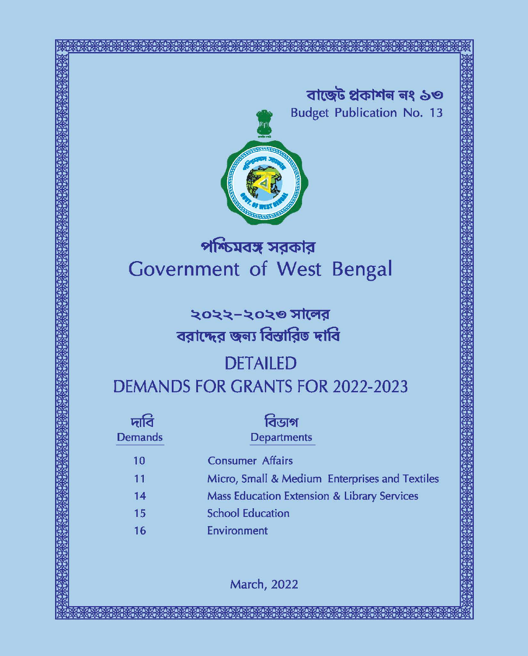বাজেঁট প্ৰকাশন নং ১৩ **Budget Publication No. 13** 



# পশ্চিমবঙ্গ সরকার Government of West Bengal

## ২০২২–২০২৩ সালের বরাদ্দের জন্য বিস্তারিত দাবি

# **DETAILED DEMANDS FOR GRANTS FOR 2022-2023**

| দাব<br><b>Demands</b> | বিভাগ<br>Departments                                   |
|-----------------------|--------------------------------------------------------|
|                       |                                                        |
| 10                    | <b>Consumer Affairs</b>                                |
| 11                    | Micro, Small & Medium Enterprises and Textiles         |
| 14                    | <b>Mass Education Extension &amp; Library Services</b> |
| 15                    | <b>School Education</b>                                |
| 16                    | Environment                                            |

March, 2022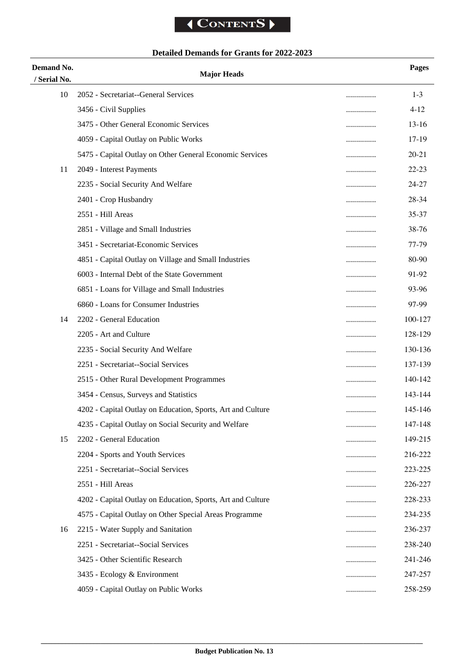## **Detailed Demands for Grants for 2022-2023**

| Demand No.<br>/ Serial No. | <b>Major Heads</b>                                          |   | Pages     |
|----------------------------|-------------------------------------------------------------|---|-----------|
| 10                         | 2052 - Secretariat--General Services                        |   | $1 - 3$   |
|                            | 3456 - Civil Supplies                                       | . | $4 - 12$  |
|                            | 3475 - Other General Economic Services                      | . | $13 - 16$ |
|                            | 4059 - Capital Outlay on Public Works                       | . | 17-19     |
|                            | 5475 - Capital Outlay on Other General Economic Services    | . | $20 - 21$ |
| 11                         | 2049 - Interest Payments                                    | . | $22 - 23$ |
|                            | 2235 - Social Security And Welfare                          | . | 24-27     |
|                            | 2401 - Crop Husbandry                                       | . | 28-34     |
|                            | 2551 - Hill Areas                                           | . | 35-37     |
|                            | 2851 - Village and Small Industries                         | . | 38-76     |
|                            | 3451 - Secretariat-Economic Services                        | . | 77-79     |
|                            | 4851 - Capital Outlay on Village and Small Industries       | . | 80-90     |
|                            | 6003 - Internal Debt of the State Government                | . | 91-92     |
|                            | 6851 - Loans for Village and Small Industries               |   | 93-96     |
|                            | 6860 - Loans for Consumer Industries                        | . | 97-99     |
| 14                         | 2202 - General Education                                    | . | 100-127   |
|                            | 2205 - Art and Culture                                      | . | 128-129   |
|                            | 2235 - Social Security And Welfare                          | . | 130-136   |
|                            | 2251 - Secretariat--Social Services                         |   | 137-139   |
|                            | 2515 - Other Rural Development Programmes                   | . | 140-142   |
|                            | 3454 - Census, Surveys and Statistics                       | . | 143-144   |
|                            | 4202 - Capital Outlay on Education, Sports, Art and Culture |   | 145-146   |
|                            | 4235 - Capital Outlay on Social Security and Welfare        | . | 147-148   |
| 15                         | 2202 - General Education                                    | . | 149-215   |
|                            | 2204 - Sports and Youth Services                            | . | 216-222   |
|                            | 2251 - Secretariat--Social Services                         |   | 223-225   |
|                            | 2551 - Hill Areas                                           | . | 226-227   |
|                            | 4202 - Capital Outlay on Education, Sports, Art and Culture | . | 228-233   |
|                            | 4575 - Capital Outlay on Other Special Areas Programme      | . | 234-235   |
| 16                         | 2215 - Water Supply and Sanitation                          | . | 236-237   |
|                            | 2251 - Secretariat--Social Services                         |   | 238-240   |
|                            | 3425 - Other Scientific Research                            | . | 241-246   |
|                            | 3435 - Ecology & Environment                                | . | 247-257   |
|                            | 4059 - Capital Outlay on Public Works                       |   | 258-259   |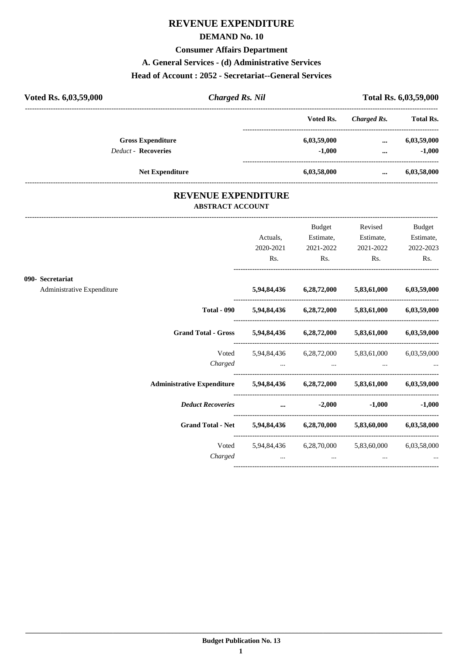## **REVENUE EXPENDITURE**

#### **DEMAND No. 10**

#### **Consumer Affairs Department**

#### **A. General Services - (d) Administrative Services**

#### **Head of Account : 2052 - Secretariat--General Services**

| Voted Rs. 6,03,59,000      | <b>Charged Rs. Nil</b> |             | Total Rs. 6,03,59,000 |                  |
|----------------------------|------------------------|-------------|-----------------------|------------------|
|                            |                        | Voted Rs.   | Charged Rs.           | <b>Total Rs.</b> |
| <b>Gross Expenditure</b>   |                        | 6,03,59,000 | $\cdots$              | 6,03,59,000      |
| <b>Deduct - Recoveries</b> |                        | $-1.000$    | $\cdots$              | $-1,000$         |
| <b>Net Expenditure</b>     |                        | 6,03,58,000 | $\cdots$              | 6,03,58,000      |

#### **REVENUE EXPENDITURE ABSTRACT ACCOUNT**

---------------------------------------------------------------------------------------------------------------------------------------------------------------------------------

|                            |                                                                                                                                                                                                                                | Actuals,  | <b>Budget</b><br>Estimate,    | Revised<br>Estimate,                                                                                | Budget<br>Estimate, |
|----------------------------|--------------------------------------------------------------------------------------------------------------------------------------------------------------------------------------------------------------------------------|-----------|-------------------------------|-----------------------------------------------------------------------------------------------------|---------------------|
|                            |                                                                                                                                                                                                                                | 2020-2021 | 2021-2022                     | 2021-2022                                                                                           | 2022-2023           |
|                            |                                                                                                                                                                                                                                | Rs.       | $\mathbf{Rs.}$                | $\mathbf{Rs.}$                                                                                      | Rs.                 |
| 090- Secretariat           |                                                                                                                                                                                                                                |           |                               |                                                                                                     |                     |
| Administrative Expenditure |                                                                                                                                                                                                                                |           |                               | 5,94,84,436 6,28,72,000 5,83,61,000 6,03,59,000                                                     |                     |
|                            |                                                                                                                                                                                                                                |           |                               | Total - 090 5,94,84,436 6,28,72,000 5,83,61,000 6,03,59,000                                         |                     |
|                            | Grand Total - Gross 5,94,84,436 6,28,72,000 5,83,61,000 6,03,59,000                                                                                                                                                            |           |                               |                                                                                                     |                     |
|                            |                                                                                                                                                                                                                                |           |                               | Voted 5,94,84,436 6,28,72,000 5,83,61,000 6,03,59,000                                               |                     |
|                            | Charged                                                                                                                                                                                                                        |           |                               | the contract of the contract of the contract of the contract of the contract of the contract of the |                     |
|                            | Administrative Expenditure 5,94,84,436 6,28,72,000 5,83,61,000 6,03,59,000                                                                                                                                                     |           |                               |                                                                                                     |                     |
|                            | Deduct Recoveries and the control of the control of the control of the control of the control of the control of the control of the control of the control of the control of the control of the control of the control of the c |           |                               |                                                                                                     | $-1,000$ $-1,000$   |
|                            | Grand Total - Net 5,94,84,436 6,28,70,000 5,83,60,000 6,03,58,000                                                                                                                                                              |           |                               |                                                                                                     |                     |
|                            |                                                                                                                                                                                                                                |           |                               | Voted 5,94,84,436 6,28,70,000 5,83,60,000 6,03,58,000                                               |                     |
|                            | Charged                                                                                                                                                                                                                        |           | and the contract of the state |                                                                                                     |                     |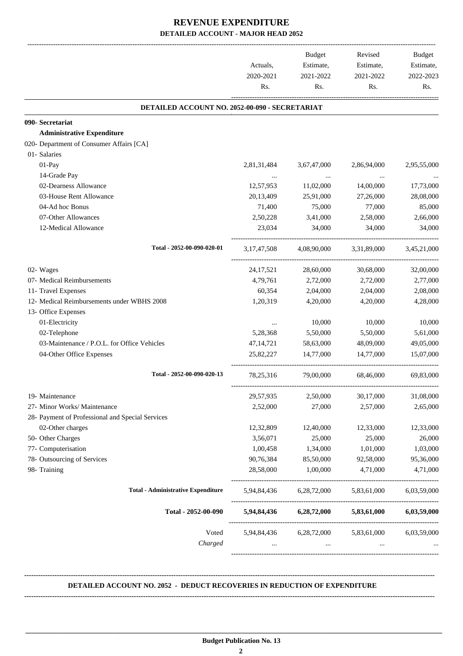|                                                  | Actuals,<br>2020-2021<br>Rs. | <b>Budget</b><br>Estimate,<br>2021-2022<br>Rs. | Revised<br>Estimate,<br>2021-2022<br>Rs. | <b>Budget</b><br>Estimate,<br>2022-2023<br>Rs. |
|--------------------------------------------------|------------------------------|------------------------------------------------|------------------------------------------|------------------------------------------------|
| DETAILED ACCOUNT NO. 2052-00-090 - SECRETARIAT   |                              |                                                |                                          |                                                |
| 090- Secretariat                                 |                              |                                                |                                          |                                                |
| <b>Administrative Expenditure</b>                |                              |                                                |                                          |                                                |
| 020- Department of Consumer Affairs [CA]         |                              |                                                |                                          |                                                |
| 01- Salaries                                     |                              |                                                |                                          |                                                |
| 01-Pay                                           | 2,81,31,484                  | 3,67,47,000                                    | 2,86,94,000                              | 2,95,55,000                                    |
| 14-Grade Pay                                     |                              | $\ldots$                                       | $\ldots$                                 |                                                |
| 02-Dearness Allowance                            | 12,57,953                    | 11,02,000                                      | 14,00,000                                | 17,73,000                                      |
| 03-House Rent Allowance                          | 20,13,409                    | 25,91,000                                      | 27,26,000                                | 28,08,000                                      |
| 04-Ad hoc Bonus                                  | 71,400                       | 75,000                                         | 77,000                                   | 85,000                                         |
| 07-Other Allowances                              | 2,50,228                     | 3,41,000                                       | 2,58,000                                 | 2,66,000                                       |
| 12-Medical Allowance                             | 23,034                       | 34,000                                         | 34,000                                   | 34,000                                         |
| Total - 2052-00-090-020-01                       | 3,17,47,508                  | 4,08,90,000                                    | 3,31,89,000                              | 3,45,21,000                                    |
| 02- Wages                                        | 24, 17, 521                  | 28,60,000                                      | 30,68,000                                | 32,00,000                                      |
| 07- Medical Reimbursements                       | 4,79,761                     | 2,72,000                                       | 2,72,000                                 | 2,77,000                                       |
| 11- Travel Expenses                              | 60,354                       | 2,04,000                                       | 2,04,000                                 | 2,08,000                                       |
| 12- Medical Reimbursements under WBHS 2008       | 1,20,319                     | 4,20,000                                       | 4,20,000                                 | 4,28,000                                       |
| 13- Office Expenses                              |                              |                                                |                                          |                                                |
| 01-Electricity                                   | $\cdots$                     | 10,000                                         | 10,000                                   | 10,000                                         |
| 02-Telephone                                     | 5,28,368                     | 5,50,000                                       | 5,50,000                                 | 5,61,000                                       |
| 03-Maintenance / P.O.L. for Office Vehicles      | 47, 14, 721                  | 58,63,000                                      | 48,09,000                                | 49,05,000                                      |
| 04-Other Office Expenses                         | 25,82,227                    | 14,77,000                                      | 14,77,000                                | 15,07,000                                      |
| Total - 2052-00-090-020-13                       | 78,25,316                    | 79,00,000                                      | 68,46,000                                | 69,83,000                                      |
| 19- Maintenance                                  | 29,57,935                    | 2,50,000                                       | 30,17,000                                | 31,08,000                                      |
| 27- Minor Works/ Maintenance                     | 2,52,000                     | 27,000                                         | 2,57,000                                 | 2,65,000                                       |
| 28- Payment of Professional and Special Services |                              |                                                |                                          |                                                |
| 02-Other charges                                 | 12,32,809                    | 12,40,000                                      | 12,33,000                                | 12,33,000                                      |
| 50- Other Charges                                | 3,56,071                     | 25,000                                         | 25,000                                   | 26,000                                         |
| 77- Computerisation                              | 1,00,458                     | 1,34,000                                       | 1,01,000                                 | 1,03,000                                       |
| 78- Outsourcing of Services                      | 90,76,384                    | 85,50,000                                      | 92,58,000                                | 95,36,000                                      |
| 98- Training                                     | 28,58,000                    | 1,00,000                                       | 4,71,000                                 | 4,71,000                                       |
| <b>Total - Administrative Expenditure</b>        | 5,94,84,436                  | 6,28,72,000                                    | 5,83,61,000                              | 6,03,59,000                                    |
| Total - 2052-00-090                              | 5,94,84,436                  | 6,28,72,000                                    | 5,83,61,000                              | 6,03,59,000                                    |
| Voted                                            | 5,94,84,436                  | 6,28,72,000                                    | 5,83,61,000                              | 6,03,59,000                                    |
| Charged                                          |                              | $\cdots$                                       | $\cdots$                                 |                                                |

#### **DETAILED ACCOUNT NO. 2052 - DEDUCT RECOVERIES IN REDUCTION OF EXPENDITURE**

**--------------------------------------------------------------------------------------------------------------------------------------------------------------------------------**

 **\_\_\_\_\_\_\_\_\_\_\_\_\_\_\_\_\_\_\_\_\_\_\_\_\_\_\_\_\_\_\_\_\_\_\_\_\_\_\_\_\_\_\_\_\_\_\_\_\_\_\_\_\_\_\_\_\_\_\_\_\_\_\_\_\_\_\_\_\_\_\_\_\_\_\_\_\_\_\_\_\_\_\_\_\_\_\_\_\_\_\_\_\_\_\_\_\_\_\_\_\_\_\_\_\_\_\_\_\_\_\_\_\_\_\_\_\_\_\_**

**--------------------------------------------------------------------------------------------------------------------------------------------------------------------------------**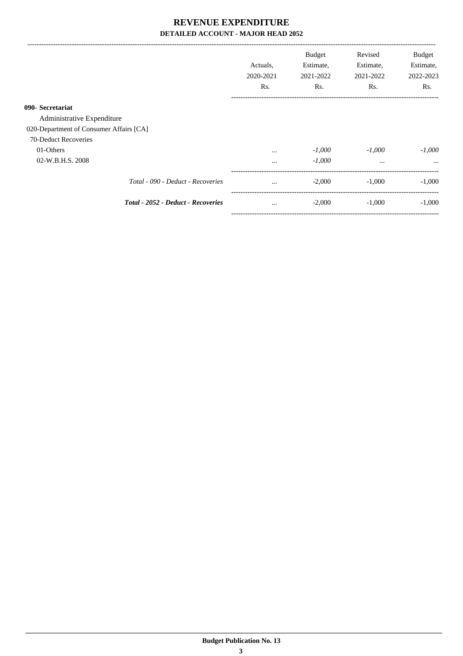|                                         | Actuals,<br>2020-2021<br>Rs. | Budget<br>Estimate,<br>2021-2022<br>Rs. | Revised<br>Estimate,<br>2021-2022<br>Rs. | <b>Budget</b><br>Estimate,<br>2022-2023<br>Rs. |
|-----------------------------------------|------------------------------|-----------------------------------------|------------------------------------------|------------------------------------------------|
| 090- Secretariat                        |                              |                                         |                                          |                                                |
| Administrative Expenditure              |                              |                                         |                                          |                                                |
| 020-Department of Consumer Affairs [CA] |                              |                                         |                                          |                                                |
| 70-Deduct Recoveries                    |                              |                                         |                                          |                                                |
| 01-Others                               | $\cdots$                     | $-1,000$                                | $-1,000$                                 | $-1,000$                                       |
| 02-W.B.H.S. 2008                        | $\cdots$                     | $-1,000$                                | $\cdots$                                 | $\cdots$                                       |
| Total - 090 - Deduct - Recoveries       | $\cdots$                     | $-2,000$                                | $-1,000$                                 | $-1,000$                                       |
| Total - 2052 - Deduct - Recoveries      | $\cdots$                     | $-2,000$                                | $-1,000$                                 | $-1,000$                                       |

-----------------------------------------------------------------------------------------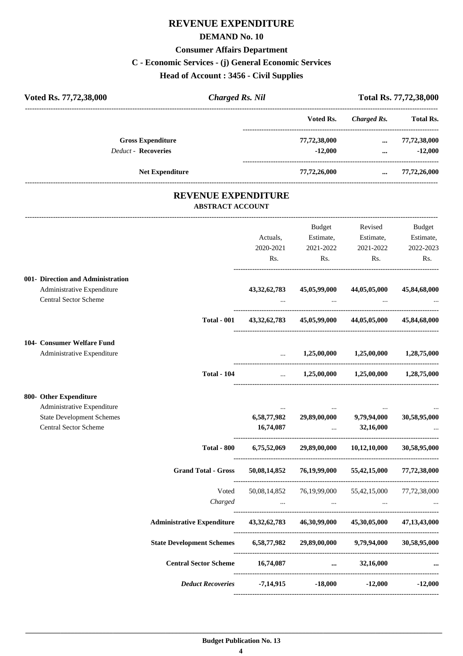## **REVENUE EXPENDITURE**

#### **DEMAND No. 10**

#### **Consumer Affairs Department**

#### **C - Economic Services - (j) General Economic Services**

**Head of Account : 3456 - Civil Supplies**

| Voted Rs. 77,72,38,000            | <b>Charged Rs. Nil</b>     |                                            |                                                                 |                     | Total Rs. 77,72,38,000 |
|-----------------------------------|----------------------------|--------------------------------------------|-----------------------------------------------------------------|---------------------|------------------------|
|                                   |                            |                                            | Voted Rs.                                                       | <b>Charged Rs.</b>  | <b>Total Rs.</b>       |
| <b>Gross Expenditure</b>          |                            |                                            | 77,72,38,000                                                    | $\cdots$            | 77,72,38,000           |
| <b>Deduct - Recoveries</b>        |                            |                                            | $-12,000$                                                       | $\cdots$            | $-12,000$              |
| <b>Net Expenditure</b>            |                            |                                            | 77,72,26,000                                                    |                     | $\ldots$ 77,72,26,000  |
|                                   | <b>ABSTRACT ACCOUNT</b>    | <b>REVENUE EXPENDITURE</b>                 |                                                                 |                     |                        |
|                                   |                            |                                            | Budget                                                          | Revised             | Budget                 |
|                                   |                            | Actuals,                                   |                                                                 | Estimate, Estimate, | Estimate,              |
|                                   |                            | 2020-2021                                  | 2021-2022                                                       | 2021-2022           | 2022-2023              |
|                                   |                            | Rs.                                        | Rs.                                                             | Rs.                 | Rs.                    |
| 001- Direction and Administration |                            |                                            |                                                                 |                     |                        |
| Administrative Expenditure        |                            | 43, 32, 62, 783                            | 45,05,99,000                                                    | 44,05,05,000        | 45,84,68,000           |
| Central Sector Scheme             |                            |                                            | $\ddots$                                                        |                     |                        |
|                                   | <b>Total - 001</b>         |                                            | 43, 32, 62, 783 45, 05, 99, 000 44, 05, 05, 000 45, 84, 68, 000 |                     |                        |
| 104- Consumer Welfare Fund        |                            |                                            |                                                                 |                     |                        |
| Administrative Expenditure        |                            | $\cdots$<br>------------------------------ | $1,25,00,000$ $1,25,00,000$ $1,28,75,000$                       |                     |                        |
|                                   | <b>Total - 104</b>         |                                            | $1,25,00,000$ $1,25,00,000$ $1,28,75,000$                       |                     |                        |
| 800- Other Expenditure            |                            |                                            |                                                                 |                     |                        |
| Administrative Expenditure        |                            |                                            |                                                                 |                     |                        |
| <b>State Development Schemes</b>  |                            | 6,58,77,982                                | 29,89,00,000                                                    | 9,79,94,000         | 30,58,95,000           |
| Central Sector Scheme             |                            | 16,74,087                                  |                                                                 | 32,16,000           |                        |
|                                   | <b>Total - 800</b>         | 6,75,52,069                                | 29,89,00,000                                                    | 10,12,10,000        | 30,58,95,000           |
|                                   | <b>Grand Total - Gross</b> | 50,08,14,852                               | 76,19,99,000                                                    | 55,42,15,000        | 77,72,38,000           |
|                                   | Voted                      |                                            | 50,08,14,852 76,19,99,000 55,42,15,000                          |                     | 77,72,38,000           |
|                                   | Charged                    | $\cdots$                                   | $\sim$ 100 $\mu$ 100 $\mu$                                      | $\cdots$            |                        |
| <b>Administrative Expenditure</b> |                            | 43, 32, 62, 783                            | 46,30,99,000                                                    | 45,30,05,000        | 47,13,43,000           |
| <b>State Development Schemes</b>  |                            | 6,58,77,982                                | 29,89,00,000                                                    | 9,79,94,000         | 30,58,95,000           |

----------------------------------------------------------------------------------------

----------------------------------------------------------------------------------------

----------------------------------------------------------------------------------------

**Central Sector Scheme 16,74,087 ... 32,16,000 ...**

*Deduct Recoveries* **-7,14,915 -18,000 -12,000 -12,000**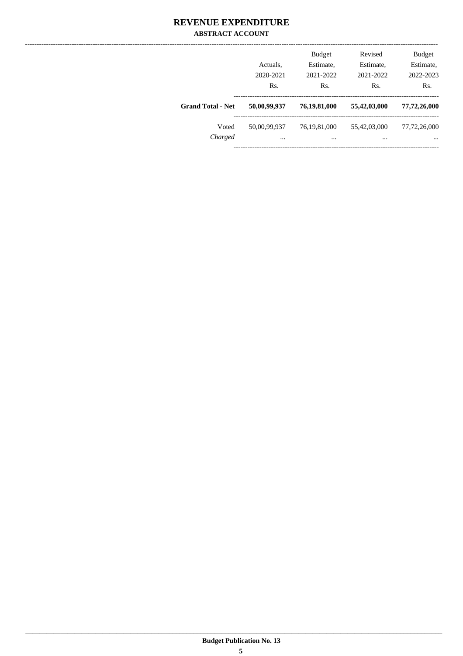#### **REVENUE EXPENDITURE ABSTRACT ACCOUNT**

|                          | Actuals,<br>2020-2021<br>Rs. | <b>Budget</b><br>Estimate,<br>2021-2022<br>Rs. | Revised<br>Estimate,<br>2021-2022<br>Rs. | <b>Budget</b><br>Estimate,<br>2022-2023<br>Rs. |
|--------------------------|------------------------------|------------------------------------------------|------------------------------------------|------------------------------------------------|
| <b>Grand Total - Net</b> | 50,00,99,937                 | 76,19,81,000                                   | 55,42,03,000                             | 77,72,26,000                                   |
| Voted<br>Charged         | 50,00,99,937<br>$\cdots$     | 76,19,81,000<br>                               | 55,42,03,000<br>$\cdots$                 | 77,72,26,000<br>$\cdots$                       |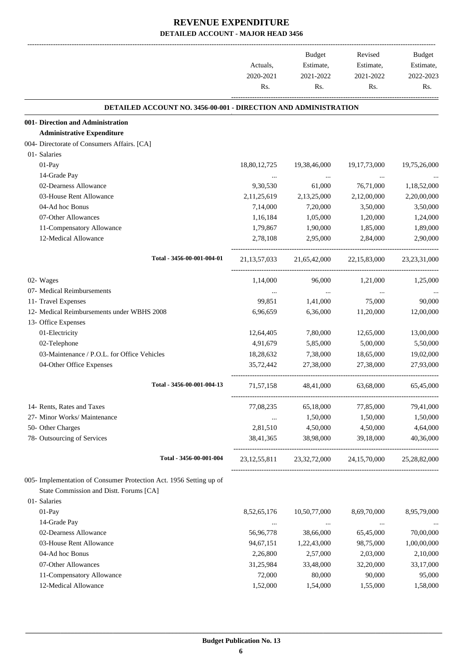|                                                                        | Actuals,        | Budget<br>Estimate, | Revised<br>Estimate,                            | Budget<br>Estimate, |
|------------------------------------------------------------------------|-----------------|---------------------|-------------------------------------------------|---------------------|
|                                                                        | 2020-2021       | 2021-2022           | 2021-2022                                       | 2022-2023           |
|                                                                        | Rs.             | Rs.                 | Rs.                                             | Rs.                 |
| <b>DETAILED ACCOUNT NO. 3456-00-001 - DIRECTION AND ADMINISTRATION</b> |                 |                     |                                                 |                     |
| 001- Direction and Administration                                      |                 |                     |                                                 |                     |
| <b>Administrative Expenditure</b>                                      |                 |                     |                                                 |                     |
| 004- Directorate of Consumers Affairs. [CA]                            |                 |                     |                                                 |                     |
| 01- Salaries                                                           |                 |                     |                                                 |                     |
| 01-Pay                                                                 | 18,80,12,725    | 19,38,46,000        | 19, 17, 73, 000                                 | 19,75,26,000        |
| 14-Grade Pay                                                           |                 | $\cdots$            |                                                 |                     |
| 02-Dearness Allowance                                                  | 9,30,530        | 61,000              | 76,71,000                                       | 1,18,52,000         |
| 03-House Rent Allowance                                                | 2,11,25,619     | 2,13,25,000         | 2,12,00,000                                     | 2,20,00,000         |
| 04-Ad hoc Bonus                                                        | 7,14,000        | 7,20,000            | 3,50,000                                        | 3,50,000            |
| 07-Other Allowances                                                    | 1,16,184        | 1,05,000            | 1,20,000                                        | 1,24,000            |
| 11-Compensatory Allowance                                              | 1,79,867        | 1,90,000            | 1,85,000                                        | 1,89,000            |
| 12-Medical Allowance                                                   | 2,78,108        | 2,95,000            | 2,84,000                                        | 2,90,000            |
| Total - 3456-00-001-004-01                                             | 21, 13, 57, 033 | 21,65,42,000        | 22,15,83,000                                    | 23, 23, 31, 000     |
| 02- Wages                                                              | 1,14,000        | 96,000              | 1,21,000                                        | 1,25,000            |
| 07- Medical Reimbursements                                             | $\cdots$        | $\cdots$            | $\cdots$                                        |                     |
| 11- Travel Expenses                                                    | 99,851          | 1,41,000            | 75,000                                          | 90,000              |
| 12- Medical Reimbursements under WBHS 2008                             | 6,96,659        | 6,36,000            | 11,20,000                                       | 12,00,000           |
| 13- Office Expenses                                                    |                 |                     |                                                 |                     |
| 01-Electricity                                                         | 12,64,405       | 7,80,000            | 12,65,000                                       | 13,00,000           |
| 02-Telephone                                                           | 4,91,679        | 5,85,000            | 5,00,000                                        | 5,50,000            |
| 03-Maintenance / P.O.L. for Office Vehicles                            | 18,28,632       | 7,38,000            | 18,65,000                                       | 19,02,000           |
| 04-Other Office Expenses                                               | 35,72,442       | 27,38,000           | 27,38,000                                       | 27,93,000           |
| Total - 3456-00-001-004-13                                             | 71,57,158       | 48,41,000           | 63,68,000                                       | 65,45,000           |
|                                                                        |                 |                     |                                                 |                     |
| 14- Rents, Rates and Taxes                                             | 77,08,235       | 65,18,000           | 77,85,000                                       | 79,41,000           |
| 27- Minor Works/ Maintenance                                           | $\cdots$        | 1,50,000            | 1,50,000                                        | 1,50,000            |
| 50- Other Charges                                                      | 2,81,510        | 4,50,000            | 4,50,000                                        | 4,64,000            |
| 78- Outsourcing of Services                                            | 38,41,365       | 38,98,000           | 39,18,000                                       | 40,36,000           |
| Total - 3456-00-001-004                                                |                 |                     | 23, 12, 55, 811 23, 32, 72, 000 24, 15, 70, 000 | 25,28,82,000        |
| 005- Implementation of Consumer Protection Act. 1956 Setting up of     |                 |                     |                                                 |                     |
| State Commission and Distt. Forums [CA]                                |                 |                     |                                                 |                     |
| 01- Salaries                                                           |                 |                     |                                                 |                     |
| 01-Pay                                                                 | 8,52,65,176     | 10,50,77,000        | 8,69,70,000                                     | 8,95,79,000         |
| 14-Grade Pay                                                           | $\cdots$        | $\cdots$            | $\cdots$                                        |                     |
| 02-Dearness Allowance                                                  | 56,96,778       | 38,66,000           | 65,45,000                                       | 70,00,000           |
| 03-House Rent Allowance                                                | 94,67,151       | 1,22,43,000         | 98,75,000                                       | 1,00,00,000         |
| 04-Ad hoc Bonus                                                        | 2,26,800        | 2,57,000            | 2,03,000                                        | 2,10,000            |
| 07-Other Allowances                                                    | 31,25,984       | 33,48,000           | 32,20,000                                       | 33,17,000           |
| 11-Compensatory Allowance                                              | 72,000          | 80,000              | 90,000                                          | 95,000              |
| 12-Medical Allowance                                                   | 1,52,000        | 1,54,000            | 1,55,000                                        | 1,58,000            |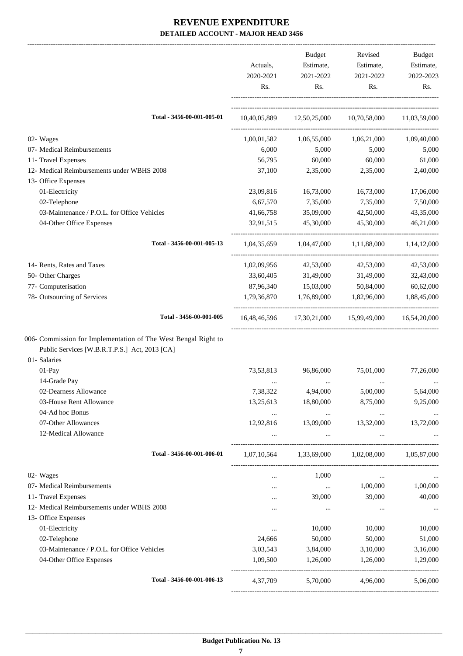|                                                                | Actuals,<br>2020-2021<br>Rs. | <b>Budget</b><br>Estimate,<br>2021-2022<br>Rs. | Revised<br>Estimate,<br>2021-2022<br>Rs.                | Budget<br>Estimate,<br>2022-2023<br>Rs. |
|----------------------------------------------------------------|------------------------------|------------------------------------------------|---------------------------------------------------------|-----------------------------------------|
| Total - 3456-00-001-005-01                                     | 10,40,05,889                 |                                                | 12,50,25,000 10,70,58,000                               | 11,03,59,000                            |
| 02- Wages                                                      | 1,00,01,582                  | 1,06,55,000                                    | 1,06,21,000                                             | 1,09,40,000                             |
| 07- Medical Reimbursements                                     | 6,000                        | 5,000                                          | 5,000                                                   | 5,000                                   |
| 11- Travel Expenses                                            | 56,795                       | 60,000                                         | 60,000                                                  | 61,000                                  |
| 12- Medical Reimbursements under WBHS 2008                     | 37,100                       | 2,35,000                                       | 2,35,000                                                | 2,40,000                                |
| 13- Office Expenses                                            |                              |                                                |                                                         |                                         |
| 01-Electricity                                                 | 23,09,816                    | 16,73,000                                      | 16,73,000                                               | 17,06,000                               |
| 02-Telephone                                                   | 6,67,570                     | 7,35,000                                       | 7,35,000                                                | 7,50,000                                |
| 03-Maintenance / P.O.L. for Office Vehicles                    | 41,66,758                    | 35,09,000                                      | 42,50,000                                               | 43,35,000                               |
| 04-Other Office Expenses                                       | 32,91,515                    | 45,30,000                                      | 45,30,000                                               | 46,21,000                               |
| Total - 3456-00-001-005-13                                     | 1,04,35,659                  | 1,04,47,000                                    | 1,11,88,000                                             | 1,14,12,000                             |
| 14- Rents, Rates and Taxes                                     | 1,02,09,956                  | 42,53,000                                      | 42,53,000                                               | 42,53,000                               |
| 50- Other Charges                                              | 33,60,405                    | 31,49,000                                      | 31,49,000                                               | 32,43,000                               |
| 77- Computerisation                                            | 87,96,340                    | 15,03,000                                      | 50,84,000                                               | 60,62,000                               |
| 78- Outsourcing of Services                                    | 1,79,36,870                  | 1,76,89,000                                    | 1,82,96,000                                             | 1,88,45,000                             |
| Total - 3456-00-001-005                                        |                              |                                                | 16,48,46,596 17,30,21,000 15,99,49,000                  | 16,54,20,000                            |
| 006- Commission for Implementation of The West Bengal Right to |                              |                                                |                                                         |                                         |
| Public Services [W.B.R.T.P.S.] Act, 2013 [CA]                  |                              |                                                |                                                         |                                         |
| 01- Salaries                                                   |                              |                                                |                                                         |                                         |
| 01-Pay                                                         | 73,53,813                    | 96,86,000                                      | 75,01,000                                               | 77,26,000                               |
| 14-Grade Pay                                                   |                              |                                                |                                                         |                                         |
| 02-Dearness Allowance                                          | 7,38,322                     | 4,94,000                                       | 5,00,000                                                | 5,64,000                                |
| 03-House Rent Allowance                                        | 13,25,613                    | 18,80,000                                      | 8,75,000                                                | 9,25,000                                |
| 04-Ad hoc Bonus                                                | $\cdots$                     | $\cdots$                                       | $\ldots$                                                | $\cdots$                                |
| 07-Other Allowances                                            | 12,92,816                    | 13,09,000                                      | 13,32,000                                               | 13,72,000                               |
| 12-Medical Allowance                                           |                              | $\cdots$                                       | $\cdots$                                                |                                         |
| Total - 3456-00-001-006-01                                     |                              |                                                | $1,07,10,564$ $1,33,69,000$ $1,02,08,000$ $1,05,87,000$ |                                         |
| 02- Wages                                                      | $\cdots$                     | 1,000                                          | $\cdots$                                                |                                         |
| 07- Medical Reimbursements                                     | $\cdots$                     | $\ldots$                                       | 1,00,000                                                | 1,00,000                                |
| 11- Travel Expenses                                            | $\cdots$                     | 39,000                                         | 39,000                                                  | 40,000                                  |
| 12- Medical Reimbursements under WBHS 2008                     | $\cdots$                     | $\cdots$                                       | $\ldots$                                                | $\cdots$                                |
| 13- Office Expenses                                            |                              |                                                |                                                         |                                         |
| 01-Electricity                                                 | $\ldots$                     | 10,000                                         | 10,000                                                  | 10,000                                  |
| 02-Telephone                                                   | 24,666                       | 50,000                                         | 50,000                                                  | 51,000                                  |
| 03-Maintenance / P.O.L. for Office Vehicles                    | 3,03,543                     | 3,84,000                                       | 3,10,000                                                | 3,16,000                                |
| 04-Other Office Expenses                                       | 1,09,500                     | 1,26,000                                       | 1,26,000                                                | 1,29,000                                |
| Total - 3456-00-001-006-13                                     | 4,37,709                     |                                                | 5,70,000 4,96,000                                       | 5,06,000                                |
|                                                                |                              |                                                |                                                         |                                         |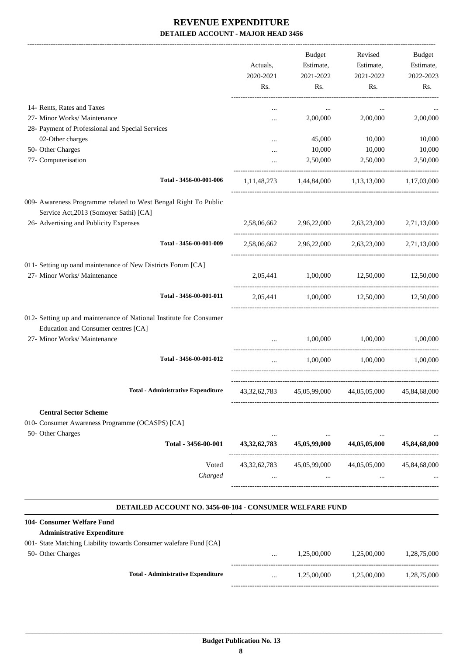|                                                                                                           |                                                          |                  | Budget                      | Revised                                             | Budget           |
|-----------------------------------------------------------------------------------------------------------|----------------------------------------------------------|------------------|-----------------------------|-----------------------------------------------------|------------------|
|                                                                                                           |                                                          | Actuals,         | Estimate,                   | Estimate,                                           | Estimate,        |
|                                                                                                           |                                                          | 2020-2021<br>Rs. | 2021-2022<br>Rs.            | 2021-2022<br>Rs.                                    | 2022-2023<br>Rs. |
|                                                                                                           |                                                          |                  |                             |                                                     |                  |
| 14- Rents, Rates and Taxes                                                                                |                                                          |                  | $\cdots$                    | $\cdots$                                            |                  |
| 27- Minor Works/ Maintenance                                                                              |                                                          |                  | 2,00,000                    | 2,00,000                                            | 2,00,000         |
| 28- Payment of Professional and Special Services                                                          |                                                          |                  |                             |                                                     |                  |
| 02-Other charges                                                                                          |                                                          |                  | 45,000                      | 10,000                                              | 10,000           |
| 50- Other Charges                                                                                         |                                                          |                  | 10,000                      | 10,000                                              | 10,000           |
| 77- Computerisation                                                                                       |                                                          |                  | 2,50,000                    | 2,50,000                                            | 2,50,000         |
|                                                                                                           | Total - 3456-00-001-006                                  | 1, 11, 48, 273   |                             | 1,44,84,000 1,13,13,000 1,17,03,000                 |                  |
| 009- Awareness Programme related to West Bengal Right To Public                                           |                                                          |                  |                             |                                                     |                  |
| Service Act, 2013 (Somoyer Sathi) [CA]                                                                    |                                                          |                  |                             |                                                     |                  |
| 26- Advertising and Publicity Expenses                                                                    |                                                          | 2,58,06,662      |                             | 2,96,22,000 2,63,23,000                             | 2,71,13,000      |
|                                                                                                           | Total - 3456-00-001-009                                  |                  |                             | 2,58,06,662 2,96,22,000 2,63,23,000 2,71,13,000     |                  |
| 011- Setting up oand maintenance of New Districts Forum [CA]                                              |                                                          |                  |                             |                                                     |                  |
| 27- Minor Works/ Maintenance                                                                              |                                                          |                  | 2,05,441 1,00,000 12,50,000 |                                                     | 12,50,000        |
|                                                                                                           | Total - 3456-00-001-011                                  |                  |                             | 2,05,441 1,00,000 12,50,000 12,50,000               |                  |
| 012- Setting up and maintenance of National Institute for Consumer<br>Education and Consumer centres [CA] |                                                          |                  |                             |                                                     |                  |
| 27- Minor Works/ Maintenance                                                                              |                                                          | $\cdots$         | 1,00,000                    | 1,00,000                                            | 1,00,000         |
|                                                                                                           | Total - 3456-00-001-012                                  | $\cdots$         | 1,00,000                    | 1.00.000                                            | 1,00,000         |
|                                                                                                           | <b>Total - Administrative Expenditure</b>                |                  |                             | 43,32,62,783 45,05,99,000 44,05,05,000 45,84,68,000 |                  |
| <b>Central Sector Scheme</b><br>010- Consumer Awareness Programme (OCASPS) [CA]<br>50- Other Charges      |                                                          |                  |                             |                                                     |                  |
|                                                                                                           | Total - 3456-00-001                                      | 43, 32, 62, 783  | 45,05,99,000                | 44,05,05,000                                        | 45,84,68,000     |
|                                                                                                           | Voted<br>Charged                                         | 43, 32, 62, 783  | 45,05,99,000                | 44,05,05,000                                        | 45,84,68,000     |
|                                                                                                           |                                                          |                  |                             |                                                     |                  |
|                                                                                                           | DETAILED ACCOUNT NO. 3456-00-104 - CONSUMER WELFARE FUND |                  |                             |                                                     |                  |
| 104- Consumer Welfare Fund<br><b>Administrative Expenditure</b>                                           |                                                          |                  |                             |                                                     |                  |
| 001- State Matching Liability towards Consumer walefare Fund [CA]<br>50- Other Charges                    |                                                          |                  | 1,25,00,000                 | 1,25,00,000                                         | 1,28,75,000      |
|                                                                                                           | <b>Total - Administrative Expenditure</b>                |                  | 1,25,00,000                 | 1,25,00,000                                         | 1,28,75,000      |
|                                                                                                           |                                                          |                  |                             |                                                     |                  |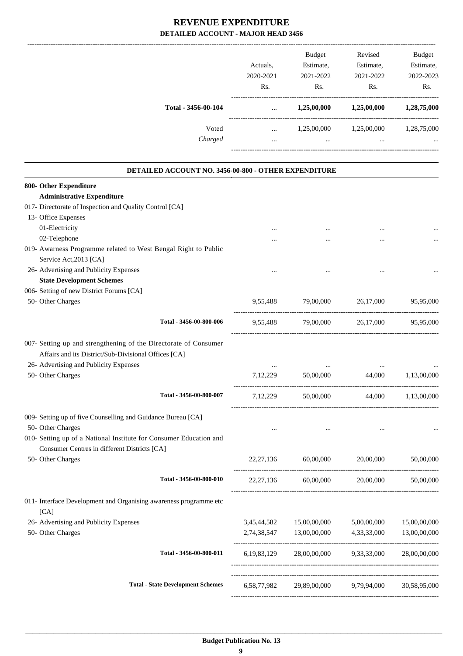|                     | Actuals.<br>2020-2021 | <b>Budget</b><br>Estimate,<br>2021-2022 | Revised<br>Estimate,<br>2021-2022 | <b>Budget</b><br>Estimate,<br>2022-2023 |
|---------------------|-----------------------|-----------------------------------------|-----------------------------------|-----------------------------------------|
|                     | Rs.                   | R <sub>s</sub> .                        | Rs.                               | Rs.                                     |
| Total - 3456-00-104 | $\cdots$              | 1,25,00,000                             | 1,25,00,000                       | 1,28,75,000                             |
| Voted               | $\cdots$              | 1,25,00,000                             | 1,25,00,000                       | 1,28,75,000                             |
| Charged             | $\cdots$              |                                         |                                   | $\cdots$                                |
|                     |                       |                                         |                                   |                                         |

.

| DETAILED ACCOUNT NO. 3456-00-800 - OTHER EXPENDITURE                                                                                                               |                |              |             |              |
|--------------------------------------------------------------------------------------------------------------------------------------------------------------------|----------------|--------------|-------------|--------------|
| 800- Other Expenditure                                                                                                                                             |                |              |             |              |
| <b>Administrative Expenditure</b>                                                                                                                                  |                |              |             |              |
| 017- Directorate of Inspection and Quality Control [CA]                                                                                                            |                |              |             |              |
| 13- Office Expenses                                                                                                                                                |                |              |             |              |
| 01-Electricity                                                                                                                                                     |                |              |             |              |
| 02-Telephone                                                                                                                                                       |                |              |             |              |
| 019- Awarness Programme related to West Bengal Right to Public<br>Service Act, 2013 [CA]                                                                           |                |              |             |              |
| 26- Advertising and Publicity Expenses                                                                                                                             |                |              |             |              |
| <b>State Development Schemes</b>                                                                                                                                   |                |              |             |              |
| 006- Setting of new District Forums [CA]                                                                                                                           |                |              |             |              |
| 50- Other Charges                                                                                                                                                  | 9,55,488       | 79,00,000    | 26,17,000   | 95,95,000    |
| Total - 3456-00-800-006                                                                                                                                            | 9,55,488       | 79,00,000    | 26,17,000   | 95,95,000    |
| 007- Setting up and strengthening of the Directorate of Consumer<br>Affairs and its District/Sub-Divisional Offices [CA]<br>26- Advertising and Publicity Expenses |                |              |             |              |
|                                                                                                                                                                    |                | 50,00,000    |             |              |
| 50- Other Charges                                                                                                                                                  | 7, 12, 229     |              | 44,000      | 1,13,00,000  |
| Total - 3456-00-800-007                                                                                                                                            | 7,12,229       | 50,00,000    | 44,000      | 1,13,00,000  |
| 009- Setting up of five Counselling and Guidance Bureau [CA]<br>50- Other Charges<br>010- Setting up of a National Institute for Consumer Education and            |                |              |             |              |
| Consumer Centres in different Districts [CA]<br>50- Other Charges                                                                                                  | 22, 27, 136    | 60,00,000    | 20,00,000   | 50,00,000    |
| Total - 3456-00-800-010                                                                                                                                            | 22, 27, 136    | 60,00,000    | 20,00,000   | 50,00,000    |
| 011- Interface Development and Organising awareness programme etc<br>[CA]                                                                                          |                |              |             |              |
| 26- Advertising and Publicity Expenses                                                                                                                             | 3,45,44,582    | 15,00,00,000 | 5,00,00,000 | 15,00,00,000 |
| 50- Other Charges                                                                                                                                                  | 2,74,38,547    | 13,00,00,000 | 4,33,33,000 | 13,00,00,000 |
| Total - 3456-00-800-011                                                                                                                                            | 6, 19, 83, 129 | 28,00,00,000 | 9,33,33,000 | 28,00,00,000 |
| <b>Total - State Development Schemes</b>                                                                                                                           | 6,58,77,982    | 29,89,00,000 | 9,79,94,000 | 30,58,95,000 |
|                                                                                                                                                                    |                |              |             |              |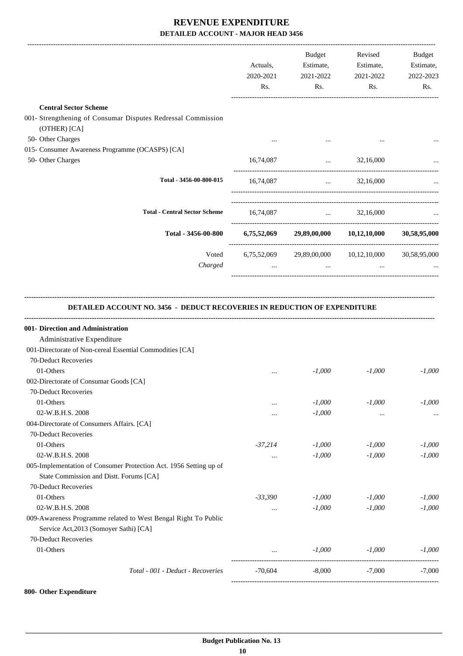|                                                                                                                              | Actuals,<br>2020-2021<br>Rs. | Budget<br>Estimate,<br>2021-2022<br>Rs.           | Revised<br>Estimate,<br>2021-2022<br>Rs. | Budget<br>Estimate,<br>2022-2023<br>Rs.                                          |
|------------------------------------------------------------------------------------------------------------------------------|------------------------------|---------------------------------------------------|------------------------------------------|----------------------------------------------------------------------------------|
| <b>Central Sector Scheme</b>                                                                                                 |                              |                                                   |                                          |                                                                                  |
| 001- Strengthening of Consumar Disputes Redressal Commission                                                                 |                              |                                                   |                                          |                                                                                  |
| (OTHER) [CA]                                                                                                                 |                              |                                                   |                                          |                                                                                  |
| 50- Other Charges                                                                                                            |                              |                                                   |                                          |                                                                                  |
| 015- Consumer Awareness Programme (OCASPS) [CA]                                                                              |                              |                                                   |                                          |                                                                                  |
| 50- Other Charges                                                                                                            | 16,74,087                    | $\cdots$                                          | 32,16,000                                |                                                                                  |
| Total - 3456-00-800-015                                                                                                      | 16,74,087                    | $\ddots$                                          | 32,16,000                                |                                                                                  |
| <b>Total - Central Sector Scheme</b>                                                                                         | 16,74,087                    | and the company of                                | 32,16,000                                |                                                                                  |
| Total - 3456-00-800                                                                                                          |                              | $6,75,52,069$ $29,89,00,000$ $10,12,10,000$       |                                          | 30,58,95,000                                                                     |
| Voted<br>Charged                                                                                                             | $\cdots$                     | 6,75,52,069 29,89,00,000 10,12,10,000<br>$\cdots$ |                                          | 30,58,95,000                                                                     |
| Administrative Expenditure<br>001-Directorate of Non-cereal Essential Commodities [CA]<br>70-Deduct Recoveries               |                              |                                                   |                                          |                                                                                  |
| 01-Others                                                                                                                    | $\cdots$                     |                                                   |                                          |                                                                                  |
| 002-Directorate of Consumar Goods [CA]                                                                                       |                              | $-1,000$                                          | $-1,000$                                 |                                                                                  |
| 70-Deduct Recoveries                                                                                                         |                              |                                                   |                                          |                                                                                  |
|                                                                                                                              |                              |                                                   |                                          |                                                                                  |
| 01-Others                                                                                                                    |                              | $-1,000$                                          | $-1,000$                                 |                                                                                  |
| 02-W.B.H.S. 2008                                                                                                             |                              | $-1,000$                                          | $\cdots$                                 |                                                                                  |
| 004-Directorate of Consumers Affairs. [CA]                                                                                   |                              |                                                   |                                          |                                                                                  |
| 70-Deduct Recoveries                                                                                                         |                              |                                                   |                                          |                                                                                  |
| 01-Others                                                                                                                    | $-37,214$                    | $-1,000$                                          | $-1,000$                                 |                                                                                  |
| 02-W.B.H.S. 2008                                                                                                             | $\cdots$                     | $-1,000$                                          | $-1,000$                                 |                                                                                  |
| 005-Implementation of Consumer Protection Act. 1956 Setting up of<br>State Commission and Distt. Forums [CA]                 |                              |                                                   |                                          |                                                                                  |
| 70-Deduct Recoveries                                                                                                         |                              |                                                   |                                          |                                                                                  |
| 01-Others                                                                                                                    | $-33,390$                    | $-1,000$                                          | $-1,000$                                 |                                                                                  |
| 02-W.B.H.S. 2008<br>009-Awareness Programme related to West Bengal Right To Public<br>Service Act, 2013 (Somoyer Sathi) [CA] | $\cdots$                     | $-1,000$                                          | $-1,000$                                 |                                                                                  |
| 70-Deduct Recoveries                                                                                                         |                              |                                                   |                                          |                                                                                  |
| 01-Others                                                                                                                    | $\cdots$                     | $-1,000$                                          | $-1,000$                                 | $-1,000$<br>$-1,000$<br>$-1,000$<br>$-1,000$<br>$-1,000$<br>$-1,000$<br>$-1,000$ |

**800- Other Expenditure**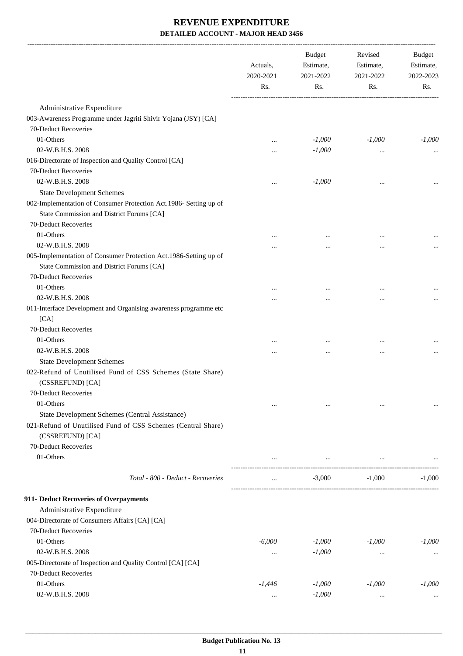|                                                                                | Actuals,<br>2020-2021<br>Rs. | <b>Budget</b><br>Estimate,<br>2021-2022<br>Rs. | Revised<br>Estimate,<br>2021-2022<br>Rs. | Budget<br>Estimate,<br>2022-2023<br>Rs. |
|--------------------------------------------------------------------------------|------------------------------|------------------------------------------------|------------------------------------------|-----------------------------------------|
|                                                                                |                              |                                                |                                          |                                         |
| Administrative Expenditure                                                     |                              |                                                |                                          |                                         |
| 003-Awareness Programme under Jagriti Shivir Yojana (JSY) [CA]                 |                              |                                                |                                          |                                         |
| 70-Deduct Recoveries                                                           |                              |                                                |                                          |                                         |
| 01-Others                                                                      |                              | $-1,000$                                       | $-1,000$                                 | $-1,000$                                |
| 02-W.B.H.S. 2008                                                               |                              | $-1,000$                                       | $\ddotsc$                                |                                         |
| 016-Directorate of Inspection and Quality Control [CA]                         |                              |                                                |                                          |                                         |
| 70-Deduct Recoveries                                                           |                              |                                                |                                          |                                         |
| 02-W.B.H.S. 2008                                                               |                              | $-1,000$                                       |                                          |                                         |
| <b>State Development Schemes</b>                                               |                              |                                                |                                          |                                         |
| 002-Implementation of Consumer Protection Act.1986- Setting up of              |                              |                                                |                                          |                                         |
| State Commission and District Forums [CA]                                      |                              |                                                |                                          |                                         |
| 70-Deduct Recoveries                                                           |                              |                                                |                                          |                                         |
| 01-Others                                                                      |                              |                                                |                                          |                                         |
| 02-W.B.H.S. 2008                                                               |                              |                                                |                                          |                                         |
| 005-Implementation of Consumer Protection Act.1986-Setting up of               |                              |                                                |                                          |                                         |
| State Commission and District Forums [CA]                                      |                              |                                                |                                          |                                         |
| 70-Deduct Recoveries                                                           |                              |                                                |                                          |                                         |
| 01-Others                                                                      |                              | $\ddotsc$                                      | $\cdots$                                 |                                         |
| 02-W.B.H.S. 2008                                                               |                              |                                                |                                          |                                         |
| 011-Interface Development and Organising awareness programme etc               |                              |                                                |                                          |                                         |
| [CA]                                                                           |                              |                                                |                                          |                                         |
| 70-Deduct Recoveries                                                           |                              |                                                |                                          |                                         |
| 01-Others                                                                      |                              |                                                |                                          |                                         |
| 02-W.B.H.S. 2008                                                               |                              |                                                | $\cdots$                                 |                                         |
| <b>State Development Schemes</b>                                               |                              |                                                |                                          |                                         |
| 022-Refund of Unutilised Fund of CSS Schemes (State Share)<br>(CSSREFUND) [CA] |                              |                                                |                                          |                                         |
| 70-Deduct Recoveries                                                           |                              |                                                |                                          |                                         |
| 01-Others                                                                      | $\cdots$                     | $\cdots$                                       | $\cdots$                                 |                                         |
| State Development Schemes (Central Assistance)                                 |                              |                                                |                                          |                                         |
| 021-Refund of Unutilised Fund of CSS Schemes (Central Share)                   |                              |                                                |                                          |                                         |
| (CSSREFUND) [CA]                                                               |                              |                                                |                                          |                                         |
| 70-Deduct Recoveries                                                           |                              |                                                |                                          |                                         |
| 01-Others                                                                      |                              | $\ldots$                                       |                                          |                                         |
| Total - 800 - Deduct - Recoveries                                              | $\cdots$                     | $-3,000$                                       | $-1,000$                                 | $-1,000$                                |
| 911- Deduct Recoveries of Overpayments                                         |                              |                                                |                                          |                                         |
| Administrative Expenditure                                                     |                              |                                                |                                          |                                         |
| 004-Directorate of Consumers Affairs [CA] [CA]                                 |                              |                                                |                                          |                                         |
| 70-Deduct Recoveries                                                           |                              |                                                |                                          |                                         |
| 01-Others                                                                      | $-6,000$                     | $-1,000$                                       | $-1,000$                                 | $-1,000$                                |
| 02-W.B.H.S. 2008                                                               |                              | $-1,000$                                       |                                          |                                         |
| 005-Directorate of Inspection and Quality Control [CA] [CA]                    | $\cdots$                     |                                                | $\cdots$                                 | $\cdots$                                |
| 70-Deduct Recoveries                                                           |                              |                                                |                                          |                                         |
| 01-Others                                                                      | $-1,446$                     | $-1,000$                                       | $-1,000$                                 | $-1,000$                                |
| 02-W.B.H.S. 2008                                                               | $\cdots$                     | $-1,000$                                       | $\cdots$                                 |                                         |
|                                                                                |                              |                                                |                                          |                                         |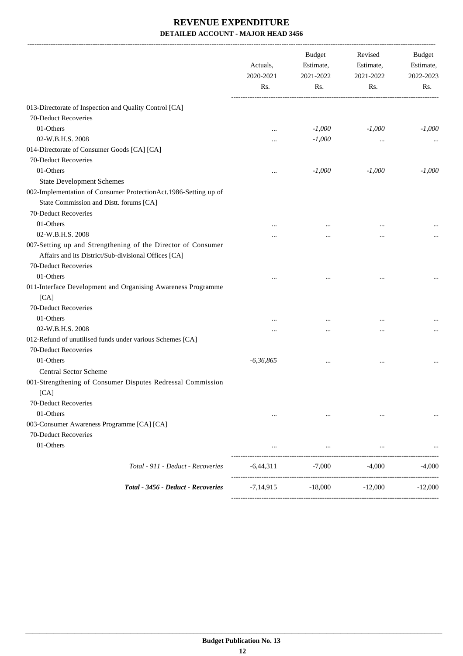|                                                                     | Actuals,<br>2020-2021 | <b>Budget</b><br>Estimate,<br>2021-2022 | Revised<br>Estimate,<br>2021-2022 | Budget<br>Estimate,<br>2022-2023 |
|---------------------------------------------------------------------|-----------------------|-----------------------------------------|-----------------------------------|----------------------------------|
|                                                                     | Rs.                   | Rs.                                     | Rs.                               | Rs.                              |
| 013-Directorate of Inspection and Quality Control [CA]              |                       |                                         |                                   |                                  |
| 70-Deduct Recoveries                                                |                       |                                         |                                   |                                  |
| 01-Others                                                           | $\ddotsc$             | $-1,000$                                | $-1,000$                          | $-1,000$                         |
| 02-W.B.H.S. 2008                                                    | $\cdots$              | $-1,000$                                | $\ddotsc$                         |                                  |
| 014-Directorate of Consumer Goods [CA] [CA]                         |                       |                                         |                                   |                                  |
| 70-Deduct Recoveries                                                |                       |                                         |                                   |                                  |
| 01-Others                                                           | $\cdots$              | $-1,000$                                | $-1,000$                          | $-1,000$                         |
| <b>State Development Schemes</b>                                    |                       |                                         |                                   |                                  |
| 002-Implementation of Consumer ProtectionAct.1986-Setting up of     |                       |                                         |                                   |                                  |
| State Commission and Distt. forums [CA]                             |                       |                                         |                                   |                                  |
| 70-Deduct Recoveries                                                |                       |                                         |                                   |                                  |
| 01-Others                                                           |                       |                                         |                                   |                                  |
| 02-W.B.H.S. 2008                                                    |                       |                                         | $\cdots$                          |                                  |
| 007-Setting up and Strengthening of the Director of Consumer        |                       |                                         |                                   |                                  |
| Affairs and its District/Sub-divisional Offices [CA]                |                       |                                         |                                   |                                  |
| 70-Deduct Recoveries                                                |                       |                                         |                                   |                                  |
| 01-Others                                                           |                       |                                         |                                   |                                  |
| 011-Interface Development and Organising Awareness Programme        |                       |                                         |                                   |                                  |
| [CA]                                                                |                       |                                         |                                   |                                  |
| 70-Deduct Recoveries                                                |                       |                                         |                                   |                                  |
| 01-Others                                                           |                       |                                         |                                   |                                  |
| 02-W.B.H.S. 2008                                                    |                       |                                         | $\ddotsc$                         |                                  |
| 012-Refund of unutilised funds under various Schemes [CA]           |                       |                                         |                                   |                                  |
| 70-Deduct Recoveries                                                |                       |                                         |                                   |                                  |
| 01-Others                                                           | $-6,36,865$           |                                         | $\cdots$                          |                                  |
| <b>Central Sector Scheme</b>                                        |                       |                                         |                                   |                                  |
| 001-Strengthening of Consumer Disputes Redressal Commission<br>[CA] |                       |                                         |                                   |                                  |
| 70-Deduct Recoveries                                                |                       |                                         |                                   |                                  |
| 01-Others                                                           | $\cdots$              | $\ldots$                                | $\cdots$                          |                                  |
| 003-Consumer Awareness Programme [CA] [CA]                          |                       |                                         |                                   |                                  |
| 70-Deduct Recoveries                                                |                       |                                         |                                   |                                  |
| 01-Others                                                           |                       |                                         |                                   |                                  |
| Total - 911 - Deduct - Recoveries                                   | $-6,44,311$           | $-7,000$                                | $-4,000$                          | $-4,000$                         |
|                                                                     |                       |                                         |                                   |                                  |
| Total - 3456 - Deduct - Recoveries                                  | $-7,14,915$           | $-18,000$                               | $-12,000$                         | $-12,000$                        |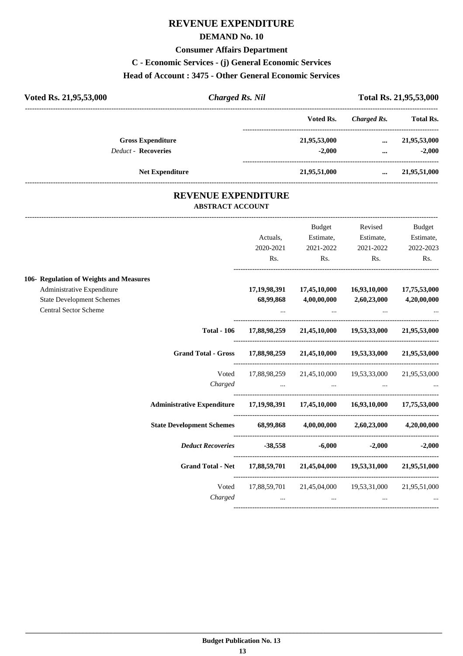## **REVENUE EXPENDITURE**

#### **DEMAND No. 10**

#### **Consumer Affairs Department**

#### **C - Economic Services - (j) General Economic Services**

#### **Head of Account : 3475 - Other General Economic Services**

| Voted Rs. 21,95,53,000     | <b>Charged Rs. Nil</b> |              | Total Rs. 21,95,53,000 |                  |
|----------------------------|------------------------|--------------|------------------------|------------------|
|                            |                        | Voted Rs.    | Charged Rs.            | <b>Total Rs.</b> |
| <b>Gross Expenditure</b>   |                        | 21,95,53,000 | $\cdots$               | 21,95,53,000     |
| <b>Deduct - Recoveries</b> |                        | $-2.000$     | $\cdots$               | $-2.000$         |
| <b>Net Expenditure</b>     |                        | 21,95,51,000 | $\cdots$               | 21,95,51,000     |

#### **REVENUE EXPENDITURE ABSTRACT ACCOUNT**

---------------------------------------------------------------------------------------------------------------------------------------------------------------------------------

|                                         |                                                                                |                                   | Budget    | Revised                                                         | <b>Budget</b>     |
|-----------------------------------------|--------------------------------------------------------------------------------|-----------------------------------|-----------|-----------------------------------------------------------------|-------------------|
|                                         |                                                                                | Actuals,                          | Estimate, | Estimate,                                                       | Estimate,         |
|                                         |                                                                                | 2020-2021                         | 2021-2022 | 2021-2022                                                       | 2022-2023         |
|                                         |                                                                                | Rs.                               | Rs.       | $\mathbf{Rs.}$                                                  | Rs.               |
| 106- Regulation of Weights and Measures |                                                                                |                                   |           |                                                                 |                   |
| Administrative Expenditure              |                                                                                |                                   |           | 17, 19, 98, 391 17, 45, 10, 000 16, 93, 10, 000 17, 75, 53, 000 |                   |
| <b>State Development Schemes</b>        |                                                                                | 68,99,868                         |           | $4,00,00,000$ $2,60,23,000$                                     | 4,20,00,000       |
| <b>Central Sector Scheme</b>            |                                                                                |                                   |           |                                                                 |                   |
|                                         | <b>Total - 106</b>                                                             |                                   |           | 17,88,98,259 21,45,10,000 19,53,33,000 21,95,53,000             |                   |
|                                         | <b>Grand Total - Gross</b>                                                     |                                   |           | 17,88,98,259 21,45,10,000 19,53,33,000 21,95,53,000             |                   |
|                                         |                                                                                |                                   |           | Voted 17,88,98,259 21,45,10,000 19,53,33,000 21,95,53,000       |                   |
|                                         |                                                                                |                                   |           |                                                                 |                   |
|                                         | Administrative Expenditure 17,19,98,391 17,45,10,000 16,93,10,000 17,75,53,000 |                                   |           |                                                                 |                   |
|                                         | State Development Schemes 68,99,868 4,00,00,000 2,60,23,000 4,20,00,000        |                                   |           |                                                                 |                   |
|                                         | Deduct Recoveries 38,558 -6,000                                                |                                   |           |                                                                 | $-2,000$ $-2,000$ |
|                                         | Grand Total - Net 17,88,59,701 21,45,04,000 19,53,31,000 21,95,51,000          |                                   |           |                                                                 |                   |
|                                         |                                                                                |                                   |           | Voted 17,88,59,701 21,45,04,000 19,53,31,000 21,95,51,000       |                   |
|                                         | Charged                                                                        | and the control of the control of | $\ddots$  | $\cdots$                                                        |                   |
|                                         |                                                                                |                                   |           |                                                                 |                   |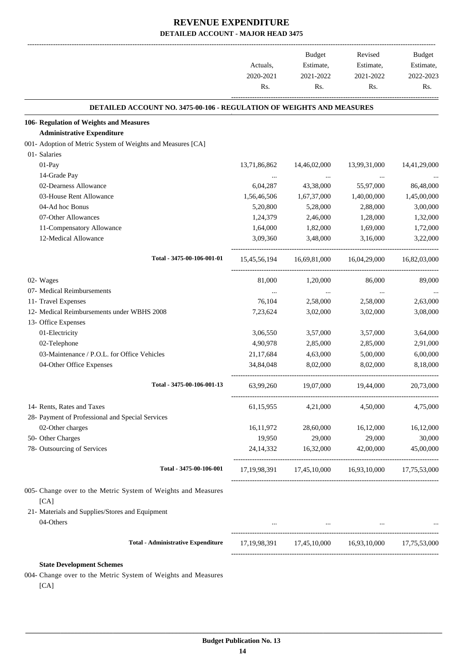|                                                                              | Actuals,<br>2020-2021 | <b>Budget</b><br>Estimate,<br>2021-2022 | Revised<br>Estimate,<br>2021-2022                                     | <b>Budget</b><br>Estimate,<br>2022-2023 |
|------------------------------------------------------------------------------|-----------------------|-----------------------------------------|-----------------------------------------------------------------------|-----------------------------------------|
|                                                                              | Rs.                   | Rs.                                     | Rs.                                                                   | Rs.                                     |
| <b>DETAILED ACCOUNT NO. 3475-00-106 - REGULATION OF WEIGHTS AND MEASURES</b> |                       |                                         |                                                                       |                                         |
| 106- Regulation of Weights and Measures                                      |                       |                                         |                                                                       |                                         |
| <b>Administrative Expenditure</b>                                            |                       |                                         |                                                                       |                                         |
| 001- Adoption of Metric System of Weights and Measures [CA]                  |                       |                                         |                                                                       |                                         |
| 01- Salaries                                                                 |                       |                                         |                                                                       |                                         |
| 01-Pay                                                                       | 13,71,86,862          | 14,46,02,000                            | 13,99,31,000                                                          | 14,41,29,000                            |
| 14-Grade Pay                                                                 |                       |                                         |                                                                       |                                         |
| 02-Dearness Allowance                                                        | 6,04,287              | 43,38,000                               | 55,97,000                                                             | 86,48,000                               |
| 03-House Rent Allowance                                                      | 1,56,46,506           | 1,67,37,000                             | 1,40,00,000                                                           | 1,45,00,000                             |
| 04-Ad hoc Bonus                                                              | 5,20,800              | 5,28,000                                | 2,88,000                                                              | 3,00,000                                |
| 07-Other Allowances                                                          | 1,24,379              | 2,46,000                                | 1,28,000                                                              | 1,32,000                                |
| 11-Compensatory Allowance                                                    | 1,64,000              | 1,82,000                                | 1,69,000                                                              | 1,72,000                                |
| 12-Medical Allowance                                                         | 3,09,360              | 3,48,000                                | 3,16,000                                                              | 3,22,000                                |
| Total - 3475-00-106-001-01                                                   | 15,45,56,194          | 16,69,81,000                            | 16,04,29,000                                                          | 16,82,03,000                            |
| 02- Wages                                                                    | 81,000                | 1,20,000                                | 86,000                                                                | 89,000                                  |
| 07- Medical Reimbursements                                                   | $\cdots$              |                                         | $\cdots$                                                              |                                         |
| 11- Travel Expenses                                                          | 76,104                | 2,58,000                                | 2,58,000                                                              | 2,63,000                                |
| 12- Medical Reimbursements under WBHS 2008                                   | 7,23,624              | 3,02,000                                | 3,02,000                                                              | 3,08,000                                |
| 13- Office Expenses                                                          |                       |                                         |                                                                       |                                         |
| 01-Electricity                                                               | 3,06,550              | 3,57,000                                | 3,57,000                                                              | 3,64,000                                |
| 02-Telephone                                                                 | 4,90,978              | 2,85,000                                | 2,85,000                                                              | 2,91,000                                |
| 03-Maintenance / P.O.L. for Office Vehicles                                  | 21,17,684             | 4,63,000                                | 5,00,000                                                              | 6,00,000                                |
| 04-Other Office Expenses                                                     | 34,84,048             | 8,02,000                                | 8,02,000                                                              | 8,18,000                                |
| Total - 3475-00-106-001-13                                                   | 63,99,260             | 19,07,000                               | 19,44,000                                                             | 20,73,000                               |
| 14- Rents, Rates and Taxes                                                   | 61,15,955             | 4,21,000                                | 4,50,000                                                              | 4,75,000                                |
| 28- Payment of Professional and Special Services                             |                       |                                         |                                                                       |                                         |
| 02-Other charges                                                             | 16,11,972             | 28,60,000                               | 16,12,000                                                             | 16,12,000                               |
| 50- Other Charges                                                            | 19,950                | 29,000                                  | 29,000                                                                | 30,000                                  |
| 78- Outsourcing of Services                                                  | 24, 14, 332           | 16,32,000                               | 42,00,000                                                             | 45,00,000                               |
| Total - 3475-00-106-001                                                      |                       |                                         | 17, 19, 98, 391   17, 45, 10, 000   16, 93, 10, 000   17, 75, 53, 000 |                                         |
| 005- Change over to the Metric System of Weights and Measures<br>[CA]        |                       |                                         |                                                                       |                                         |
| 21- Materials and Supplies/Stores and Equipment                              |                       |                                         |                                                                       |                                         |
| 04-Others                                                                    |                       |                                         | $\sim 100$ km s $^{-1}$ , $\sim 100$ km s $^{-1}$                     |                                         |
| <b>Total - Administrative Expenditure</b>                                    |                       |                                         | 17, 19, 98, 391 17, 45, 10, 000 16, 93, 10, 000 17, 75, 53, 000       |                                         |
| <b>State Development Schemes</b>                                             |                       |                                         |                                                                       |                                         |

004- Change over to the Metric System of Weights and Measures [CA]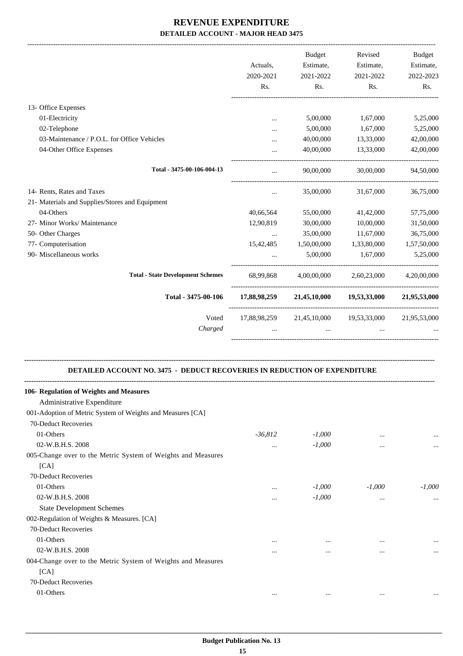|                                                                                  |           | <b>Budget</b>                                      | Revised     | <b>Budget</b> |
|----------------------------------------------------------------------------------|-----------|----------------------------------------------------|-------------|---------------|
|                                                                                  | Actuals,  | Estimate,                                          | Estimate,   | Estimate,     |
|                                                                                  | 2020-2021 | 2021-2022                                          | 2021-2022   | 2022-2023     |
|                                                                                  | Rs.       | Rs.                                                | Rs.         | Rs.           |
| 13- Office Expenses                                                              |           |                                                    |             |               |
| 01-Electricity                                                                   |           | 5,00,000                                           | 1,67,000    | 5,25,000      |
| 02-Telephone                                                                     |           | 5,00,000                                           | 1,67,000    | 5,25,000      |
| 03-Maintenance / P.O.L. for Office Vehicles                                      |           | 40,00,000                                          | 13,33,000   | 42,00,000     |
| 04-Other Office Expenses                                                         |           | 40,00,000                                          | 13,33,000   | 42,00,000     |
| Total - 3475-00-106-004-13                                                       | $\cdots$  | 90,00,000                                          | 30,00,000   | 94,50,000     |
|                                                                                  |           |                                                    |             |               |
| 14- Rents, Rates and Taxes                                                       | $\cdots$  | 35,00,000                                          | 31,67,000   | 36,75,000     |
| 21- Materials and Supplies/Stores and Equipment                                  |           |                                                    |             |               |
| 04-Others                                                                        | 40,66,564 | 55,00,000                                          | 41,42,000   | 57,75,000     |
| 27- Minor Works/ Maintenance                                                     | 12,90,819 | 30,00,000                                          | 10,00,000   | 31,50,000     |
| 50- Other Charges                                                                | $\cdots$  | 35,00,000                                          | 11,67,000   | 36,75,000     |
| 77- Computerisation                                                              | 15,42,485 | 1,50,00,000                                        | 1,33,80,000 | 1,57,50,000   |
| 90- Miscellaneous works                                                          |           | 5,00,000                                           | 1,67,000    | 5,25,000      |
| <b>Total - State Development Schemes</b>                                         | 68,99,868 | 4,00,00,000                                        | 2,60,23,000 | 4,20,00,000   |
| Total - 3475-00-106                                                              |           | $17,88,98,259$ $21,45,10,000$ $19,53,33,000$       |             | 21,95,53,000  |
| Voted<br>Charged                                                                 |           | 17,88,98,259 21,45,10,000 19,53,33,000<br>$\cdots$ |             | 21,95,53,000  |
| <b>DETAILED ACCOUNT NO. 3475 - DEDUCT RECOVERIES IN REDUCTION OF EXPENDITURE</b> |           |                                                    |             |               |
| 106- Regulation of Weights and Measures                                          |           |                                                    |             |               |
| Administrative Expenditure                                                       |           |                                                    |             |               |
| 001-Adoption of Metric System of Weights and Measures [CA]                       |           |                                                    |             |               |
| 70-Deduct Recoveries                                                             |           |                                                    |             |               |
| 01-Others                                                                        | $-36,812$ | $-1,000$                                           |             |               |
| 02-W.B.H.S. 2008                                                                 | $\cdots$  | $-1,000$                                           |             | $\cdots$      |
| 005-Change over to the Metric System of Weights and Measures                     |           |                                                    |             |               |
| [CA]                                                                             |           |                                                    |             |               |
| 70-Deduct Recoveries                                                             |           |                                                    |             |               |
| 01-Others                                                                        |           | $-1,000$                                           | $-1,000$    | $-1,000$      |
| 02-W.B.H.S. 2008                                                                 |           | $-1,000$                                           |             | $\cdots$      |
| <b>State Development Schemes</b>                                                 |           |                                                    |             |               |
| 002-Regulation of Weights & Measures. [CA]                                       |           |                                                    |             |               |
| 70-Deduct Recoveries                                                             |           |                                                    |             |               |
| 01-Others                                                                        | $\cdots$  | $\cdots$                                           |             |               |
| 02-W.B.H.S. 2008                                                                 | $\cdots$  |                                                    |             |               |
| 004-Change over to the Metric System of Weights and Measures                     |           |                                                    |             |               |
| [CA]                                                                             |           |                                                    |             |               |
| 70-Deduct Recoveries                                                             |           |                                                    |             |               |
| 01-Others                                                                        |           |                                                    |             |               |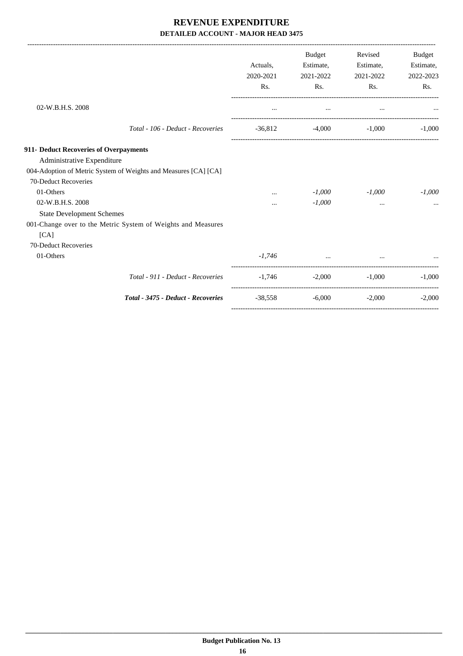-------------------------------------------------------------------------------------------------------------------------------------------------------------------------------

|                                                                      |                                    | Actuals,<br>2020-2021<br>Rs. | <b>Budget</b><br>Estimate,<br>2021-2022<br>Rs.                                          | Revised<br>Estimate,<br>2021-2022<br>Rs. | <b>Budget</b><br>Estimate,<br>2022-2023<br>Rs. |
|----------------------------------------------------------------------|------------------------------------|------------------------------|-----------------------------------------------------------------------------------------|------------------------------------------|------------------------------------------------|
| 02-W.B.H.S. 2008                                                     |                                    |                              | $\cdots$                                                                                |                                          |                                                |
|                                                                      | Total - 106 - Deduct - Recoveries  | $-36,812$                    | $-4,000$                                                                                | $-1,000$                                 | $-1,000$                                       |
| 911- Deduct Recoveries of Overpayments<br>Administrative Expenditure |                                    |                              |                                                                                         |                                          |                                                |
| 004-Adoption of Metric System of Weights and Measures [CA] [CA]      |                                    |                              |                                                                                         |                                          |                                                |
| 70-Deduct Recoveries                                                 |                                    |                              |                                                                                         |                                          |                                                |
| 01-Others                                                            |                                    | $\cdots$                     | $-1,000$                                                                                | $-1,000$                                 | $-1,000$                                       |
| 02-W.B.H.S. 2008                                                     |                                    | $\cdots$                     | $-1,000$                                                                                | $\cdots$                                 |                                                |
| <b>State Development Schemes</b>                                     |                                    |                              |                                                                                         |                                          |                                                |
| 001-Change over to the Metric System of Weights and Measures         |                                    |                              |                                                                                         |                                          |                                                |
| [CA]                                                                 |                                    |                              |                                                                                         |                                          |                                                |
| 70-Deduct Recoveries                                                 |                                    |                              |                                                                                         |                                          |                                                |
| 01-Others                                                            |                                    | $-1,746$                     | and the contract of the contract of the contract of the contract of the contract of the |                                          |                                                |
|                                                                      | Total - 911 - Deduct - Recoveries  |                              | $-1,746$ $-2,000$                                                                       | $-1,000$                                 | $-1,000$                                       |
|                                                                      | Total - 3475 - Deduct - Recoveries | $-38,558$                    | $-6,000$                                                                                | $-2.000$                                 | $-2,000$                                       |
|                                                                      |                                    |                              |                                                                                         |                                          |                                                |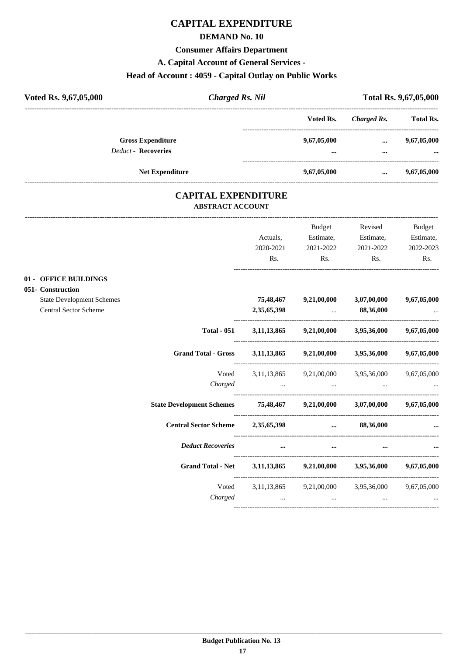## **CAPITAL EXPENDITURE**

#### **DEMAND No. 10**

#### **Consumer Affairs Department**

#### **A. Capital Account of General Services -**

## **Head of Account : 4059 - Capital Outlay on Public Works**

| Voted Rs. 9,67,05,000      | <b>Charged Rs. Nil</b> |                         | Total Rs. 9,67,05,000 |                  |
|----------------------------|------------------------|-------------------------|-----------------------|------------------|
|                            |                        | Voted Rs.               | Charged Rs.           | <b>Total Rs.</b> |
| <b>Gross Expenditure</b>   |                        | 9,67,05,000             | $\cdots$              | 9,67,05,000      |
| <b>Deduct - Recoveries</b> |                        | $\bullet\bullet\bullet$ | $\cdots$              | $\cdots$         |
|                            | <b>Net Expenditure</b> | 9,67,05,000             | $\cdots$              | 9,67,05,000      |

#### **CAPITAL EXPENDITURE ABSTRACT ACCOUNT**

---------------------------------------------------------------------------------------------------------------------------------------------------------------------------------

---------------------------------------------------------------------------------------------------------------------------------------------------------------------------------

|                   |                                                           |                                                                         | Actuals,<br>2020-2021<br>Rs. | <b>Budget</b><br>Estimate,<br>2021-2022<br>Rs.                 | Revised<br>Estimate,<br>2021-2022<br>Rs. | <b>Budget</b><br>Estimate,<br>2022-2023<br>Rs. |
|-------------------|-----------------------------------------------------------|-------------------------------------------------------------------------|------------------------------|----------------------------------------------------------------|------------------------------------------|------------------------------------------------|
| 051- Construction | 01 - OFFICE BUILDINGS                                     |                                                                         |                              |                                                                |                                          |                                                |
|                   | <b>State Development Schemes</b><br>Central Sector Scheme |                                                                         |                              | 75,48,467 9,21,00,000 3,07,00,000<br>$2,35,65,398$ $88,36,000$ |                                          | 9,67,05,000                                    |
|                   |                                                           | <b>Total - 051</b>                                                      |                              | 3,11,13,865 9,21,00,000 3,95,36,000 9,67,05,000                |                                          |                                                |
|                   |                                                           | <b>Grand Total - Gross</b>                                              |                              | 3,11,13,865 9,21,00,000 3,95,36,000 9,67,05,000                |                                          |                                                |
|                   |                                                           |                                                                         |                              | Voted 3,11,13,865 9,21,00,000 3,95,36,000 9,67,05,000          |                                          |                                                |
|                   |                                                           | State Development Schemes 75,48,467 9,21,00,000 3,07,00,000 9,67,05,000 |                              |                                                                |                                          |                                                |
|                   |                                                           | Central Sector Scheme 2,35,65,398  88,36,000                            |                              |                                                                |                                          |                                                |
|                   |                                                           | <b>Deduct Recoveries</b>                                                | $\cdots$                     | $\cdots$                                                       |                                          |                                                |
|                   |                                                           | Grand Total - Net 3,11,13,865 9,21,00,000 3,95,36,000 9,67,05,000       |                              |                                                                |                                          |                                                |
|                   |                                                           |                                                                         |                              | Voted 3,11,13,865 9,21,00,000 3,95,36,000 9,67,05,000          |                                          |                                                |
|                   |                                                           |                                                                         |                              |                                                                |                                          |                                                |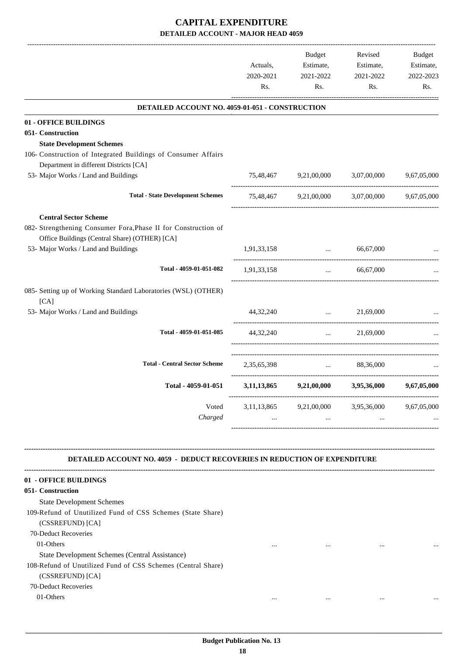## **CAPITAL EXPENDITURE DETAILED ACCOUNT - MAJOR HEAD 4059**

|                                                                                  | Actuals,<br>2020-2021<br>Rs. | Budget<br>Estimate,<br>2021-2022<br>Rs.                              | Revised<br>Estimate,<br>2021-2022<br>Rs.                                                                                                                                                                                                                                            | Budget<br>Estimate,<br>2022-2023<br>Rs. |
|----------------------------------------------------------------------------------|------------------------------|----------------------------------------------------------------------|-------------------------------------------------------------------------------------------------------------------------------------------------------------------------------------------------------------------------------------------------------------------------------------|-----------------------------------------|
| DETAILED ACCOUNT NO. 4059-01-051 - CONSTRUCTION                                  |                              |                                                                      |                                                                                                                                                                                                                                                                                     |                                         |
| 01 - OFFICE BUILDINGS                                                            |                              |                                                                      |                                                                                                                                                                                                                                                                                     |                                         |
| 051- Construction                                                                |                              |                                                                      |                                                                                                                                                                                                                                                                                     |                                         |
| <b>State Development Schemes</b>                                                 |                              |                                                                      |                                                                                                                                                                                                                                                                                     |                                         |
| 106- Construction of Integrated Buildings of Consumer Affairs                    |                              |                                                                      |                                                                                                                                                                                                                                                                                     |                                         |
| Department in different Districts [CA]                                           |                              |                                                                      |                                                                                                                                                                                                                                                                                     |                                         |
| 53- Major Works / Land and Buildings                                             |                              | 75,48,467 9,21,00,000                                                | 3,07,00,000                                                                                                                                                                                                                                                                         | 9,67,05,000                             |
| <b>Total - State Development Schemes</b>                                         |                              |                                                                      | 75,48,467 9,21,00,000 3,07,00,000 9,67,05,000                                                                                                                                                                                                                                       |                                         |
|                                                                                  |                              |                                                                      |                                                                                                                                                                                                                                                                                     |                                         |
| <b>Central Sector Scheme</b>                                                     |                              |                                                                      |                                                                                                                                                                                                                                                                                     |                                         |
| 082- Strengthening Consumer Fora, Phase II for Construction of                   |                              |                                                                      |                                                                                                                                                                                                                                                                                     |                                         |
| Office Buildings (Central Share) (OTHER) [CA]                                    |                              |                                                                      |                                                                                                                                                                                                                                                                                     |                                         |
| 53- Major Works / Land and Buildings                                             | 1,91,33,158                  | and the company of the company of                                    | 66,67,000                                                                                                                                                                                                                                                                           |                                         |
|                                                                                  |                              |                                                                      |                                                                                                                                                                                                                                                                                     |                                         |
| Total - 4059-01-051-082                                                          | 1,91,33,158                  | $\cdots$                                                             | 66,67,000                                                                                                                                                                                                                                                                           |                                         |
| 085- Setting up of Working Standard Laboratories (WSL) (OTHER)                   |                              |                                                                      |                                                                                                                                                                                                                                                                                     |                                         |
| [CA]                                                                             |                              |                                                                      |                                                                                                                                                                                                                                                                                     |                                         |
| 53- Major Works / Land and Buildings                                             | 44,32,240                    | and the company of the state<br>------------------------------------ | 21,69,000                                                                                                                                                                                                                                                                           |                                         |
| Total - 4059-01-051-085                                                          | 44, 32, 240                  | <b>Second Contract Contract</b>                                      | 21,69,000                                                                                                                                                                                                                                                                           |                                         |
| <b>Total - Central Sector Scheme</b>                                             | 2,35,65,398                  | $\sim 10^{-10}$                                                      | 88,36,000                                                                                                                                                                                                                                                                           |                                         |
| Total - 4059-01-051                                                              | 3, 11, 13, 865               | 9,21,00,000                                                          | 3,95,36,000                                                                                                                                                                                                                                                                         | 9,67,05,000                             |
| Voted                                                                            |                              |                                                                      | 3,11,13,865 9,21,00,000 3,95,36,000 9,67,05,000                                                                                                                                                                                                                                     |                                         |
| Charged                                                                          |                              | and the state of the state                                           | $\mathbf{1}_{\mathbf{1}_{\mathbf{2}}\mathbf{1}_{\mathbf{3}}\mathbf{2}_{\mathbf{4}}\mathbf{3}_{\mathbf{5}}\mathbf{4}_{\mathbf{6}}$ and $\mathbf{1}_{\mathbf{3}_{\mathbf{3}}\mathbf{3}_{\mathbf{4}}\mathbf{4}_{\mathbf{5}}\mathbf{4}_{\mathbf{6}}\mathbf{4}_{\mathbf{7}}$<br>$\cdots$ |                                         |
| <b>DETAILED ACCOUNT NO. 4059 - DEDUCT RECOVERIES IN REDUCTION OF EXPENDITURE</b> |                              |                                                                      |                                                                                                                                                                                                                                                                                     |                                         |
| 01 - OFFICE BUILDINGS                                                            |                              |                                                                      |                                                                                                                                                                                                                                                                                     |                                         |
| 051- Construction                                                                |                              |                                                                      |                                                                                                                                                                                                                                                                                     |                                         |
| <b>State Development Schemes</b>                                                 |                              |                                                                      |                                                                                                                                                                                                                                                                                     |                                         |
| 109-Refund of Unutilized Fund of CSS Schemes (State Share)                       |                              |                                                                      |                                                                                                                                                                                                                                                                                     |                                         |
| (CSSREFUND) [CA]                                                                 |                              |                                                                      |                                                                                                                                                                                                                                                                                     |                                         |
| 70-Deduct Recoveries                                                             |                              |                                                                      |                                                                                                                                                                                                                                                                                     |                                         |
| 01-Others                                                                        |                              |                                                                      |                                                                                                                                                                                                                                                                                     |                                         |
| State Development Schemes (Central Assistance)                                   | $\cdots$                     | $\ldots$                                                             | $\cdots$                                                                                                                                                                                                                                                                            |                                         |
| 108-Refund of Unutilized Fund of CSS Schemes (Central Share)<br>(CSSREFUND) [CA] |                              |                                                                      |                                                                                                                                                                                                                                                                                     |                                         |
| 70-Deduct Recoveries                                                             |                              |                                                                      |                                                                                                                                                                                                                                                                                     |                                         |
| 01-Others                                                                        | $\cdots$                     | $\cdots$                                                             | $\cdots$                                                                                                                                                                                                                                                                            |                                         |
|                                                                                  |                              |                                                                      |                                                                                                                                                                                                                                                                                     |                                         |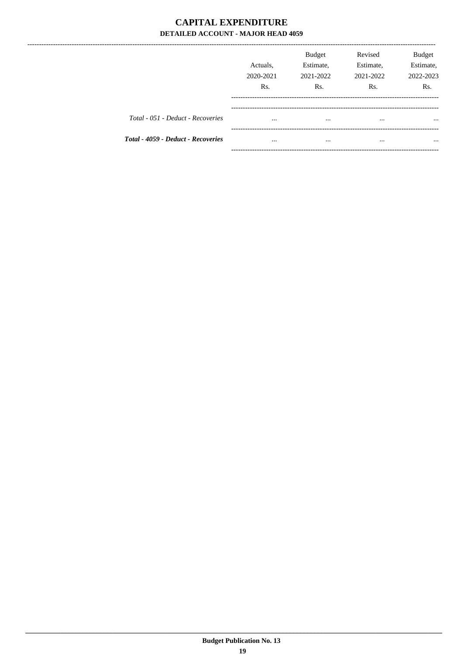## **CAPITAL EXPENDITURE** DETAILED ACCOUNT - MAJOR HEAD 4059

|                                    | Actuals.<br>2020-2021<br>R <sub>s</sub> . | <b>Budget</b><br>Estimate,<br>2021-2022<br>Rs. | Revised<br>Estimate,<br>2021-2022<br>Rs. | Budget<br>Estimate,<br>2022-2023<br>Rs. |
|------------------------------------|-------------------------------------------|------------------------------------------------|------------------------------------------|-----------------------------------------|
| Total - 051 - Deduct - Recoveries  | $\cdots$                                  | $\cdots$                                       | $\cdots$                                 | $\cdots$                                |
| Total - 4059 - Deduct - Recoveries | $\cdots$                                  | $\cdots$                                       | $\cdots$                                 | $\cdots$                                |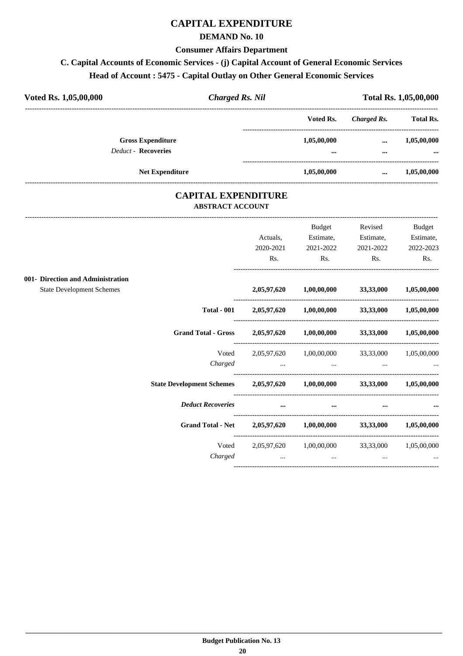## **CAPITAL EXPENDITURE**

#### **DEMAND No. 10**

#### **Consumer Affairs Department**

## **C. Capital Accounts of Economic Services - (j) Capital Account of General Economic Services**

#### **Head of Account : 5475 - Capital Outlay on Other General Economic Services**

| Voted Rs. 1,05,00,000 |                                                        | <b>Charged Rs. Nil</b>  | Total Rs. 1,05,00,000 |                         |  |
|-----------------------|--------------------------------------------------------|-------------------------|-----------------------|-------------------------|--|
|                       |                                                        | Voted Rs.               | Charged Rs.           | <b>Total Rs.</b>        |  |
|                       | <b>Gross Expenditure</b><br><b>Deduct - Recoveries</b> | 1,05,00,000<br>$\cdots$ | $\cdots$<br>$\cdots$  | 1,05,00,000<br>$\cdots$ |  |
|                       | <b>Net Expenditure</b>                                 | 1,05,00,000             | $\cdots$              | 1,05,00,000             |  |

#### **CAPITAL EXPENDITURE ABSTRACT ACCOUNT**

---------------------------------------------------------------------------------------------------------------------------------------------------------------------------------

|                                   |                                                                         |                                                                                                                                                                                                                                      | Budget                                                    | Revised        | <b>Budget</b> |
|-----------------------------------|-------------------------------------------------------------------------|--------------------------------------------------------------------------------------------------------------------------------------------------------------------------------------------------------------------------------------|-----------------------------------------------------------|----------------|---------------|
|                                   |                                                                         | Actuals,                                                                                                                                                                                                                             | Estimate,                                                 | Estimate,      | Estimate,     |
|                                   |                                                                         | 2020-2021                                                                                                                                                                                                                            | 2021-2022                                                 | 2021-2022      | 2022-2023     |
|                                   |                                                                         | Rs.                                                                                                                                                                                                                                  | $\mathbf{Rs.}$                                            | $\mathbf{Rs.}$ | Rs.           |
| 001- Direction and Administration |                                                                         |                                                                                                                                                                                                                                      |                                                           |                |               |
| <b>State Development Schemes</b>  |                                                                         |                                                                                                                                                                                                                                      | 2,05,97,620 1,00,00,000 33,33,000 1,05,00,000             |                |               |
|                                   |                                                                         |                                                                                                                                                                                                                                      | Total - 001 2,05,97,620 1,00,00,000 33,33,000 1,05,00,000 |                |               |
|                                   | Grand Total - Gross 2,05,97,620 1,00,00,000 33,33,000 1,05,00,000       |                                                                                                                                                                                                                                      |                                                           |                |               |
|                                   |                                                                         |                                                                                                                                                                                                                                      | Voted 2,05,97,620 1,00,00,000 33,33,000 1,05,00,000       |                |               |
|                                   |                                                                         |                                                                                                                                                                                                                                      |                                                           |                |               |
|                                   | State Development Schemes 2,05,97,620 1,00,00,000 33,33,000 1,05,00,000 |                                                                                                                                                                                                                                      |                                                           |                |               |
|                                   | <b>Deduct Recoveries</b>                                                | <u>and the company of the company of the company of the company of the company of the company of the company of the company of the company of the company of the company of the company of the company of the company of the com</u> | $\cdots$                                                  |                |               |
|                                   | Grand Total - Net 2,05,97,620 1,00,00,000 33,33,000 1,05,00,000         |                                                                                                                                                                                                                                      |                                                           |                |               |
|                                   |                                                                         |                                                                                                                                                                                                                                      | Voted 2,05,97,620 1,00,00,000 33,33,000 1,05,00,000       |                |               |
|                                   | Charged                                                                 | and the contract of the contract of                                                                                                                                                                                                  | $\sim 10^{-10}$                                           | $\cdots$       |               |
|                                   |                                                                         |                                                                                                                                                                                                                                      |                                                           |                |               |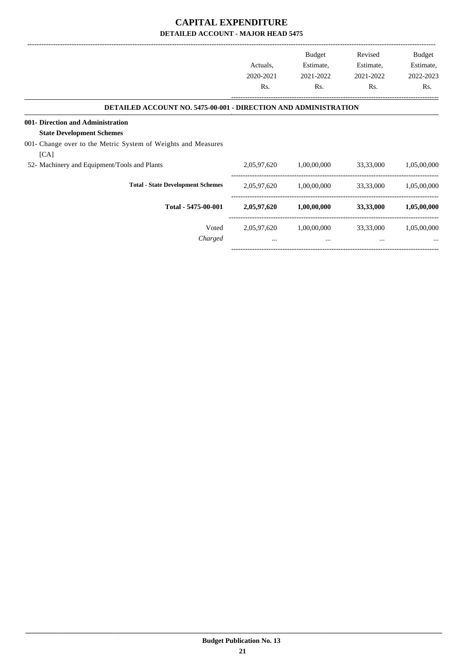## **CAPITAL EXPENDITURE DETAILED ACCOUNT - MAJOR HEAD 5475**

|                                                                 |             | Budget      | Revised   | Budget      |
|-----------------------------------------------------------------|-------------|-------------|-----------|-------------|
|                                                                 | Actuals.    | Estimate,   | Estimate, | Estimate,   |
|                                                                 | 2020-2021   | 2021-2022   | 2021-2022 | 2022-2023   |
|                                                                 | Rs.         | Rs.         | Rs.       | Rs.         |
| DETAILED ACCOUNT NO. 5475-00-001 - DIRECTION AND ADMINISTRATION |             |             |           |             |
| 001- Direction and Administration                               |             |             |           |             |
| <b>State Development Schemes</b>                                |             |             |           |             |
| 001- Change over to the Metric System of Weights and Measures   |             |             |           |             |
| [CA]                                                            |             |             |           |             |
| 52- Machinery and Equipment/Tools and Plants                    | 2,05,97,620 | 1,00,00,000 | 33,33,000 | 1,05,00,000 |
| <b>Total - State Development Schemes</b>                        | 2,05,97,620 | 1,00,00,000 | 33,33,000 | 1,05,00,000 |
| Total - 5475-00-001                                             | 2,05,97,620 | 1,00,00,000 | 33,33,000 | 1,05,00,000 |
| Voted                                                           | 2,05,97,620 | 1,00,00,000 | 33,33,000 | 1,05,00,000 |
| Charged                                                         | $\cdots$    | $\cdots$    | $\cdots$  |             |
|                                                                 |             |             |           |             |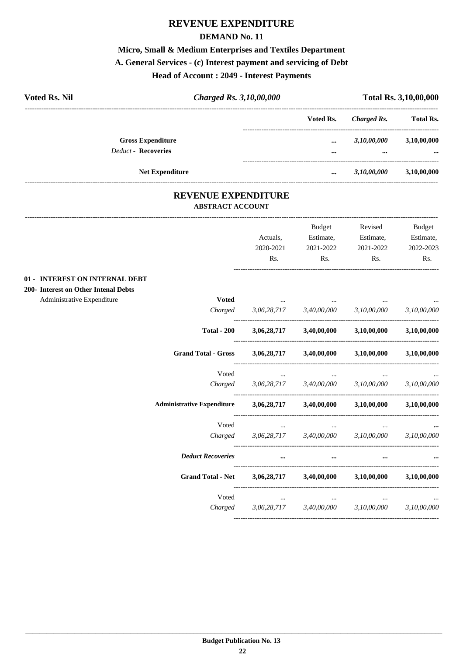## **REVENUE EXPENDITURE**

#### **DEMAND No. 11**

## **Micro, Small & Medium Enterprises and Textiles Department A. General Services - (c) Interest payment and servicing of Debt**

#### **Head of Account : 2049 - Interest Payments**

| <b>Voted Rs. Nil</b> |                            | Charged Rs. 3,10,00,000 |             | <b>Total Rs. 3,10,00,000</b> |             |
|----------------------|----------------------------|-------------------------|-------------|------------------------------|-------------|
|                      |                            | Voted Rs.               | Charged Rs. | <b>Total Rs.</b>             |             |
|                      | <b>Gross Expenditure</b>   |                         | $\cdots$    | 3,10,00,000                  | 3,10,00,000 |
|                      | <b>Deduct - Recoveries</b> |                         |             | $\cdots$                     | $\cdots$    |
|                      | <b>Net Expenditure</b>     |                         |             | 3,10,00,000                  | 3,10,00,000 |

#### **REVENUE EXPENDITURE ABSTRACT ACCOUNT**

|                                      |                                   |                                                         | <b>Budget</b>                                                     | Revised                                                 | Budget      |
|--------------------------------------|-----------------------------------|---------------------------------------------------------|-------------------------------------------------------------------|---------------------------------------------------------|-------------|
|                                      |                                   | Actuals,                                                | Estimate,                                                         | Estimate,                                               | Estimate,   |
|                                      |                                   | 2020-2021                                               | 2021-2022                                                         | 2021-2022                                               | 2022-2023   |
|                                      |                                   | Rs.                                                     | Rs.                                                               | Rs.                                                     | Rs.         |
| 01 - INTEREST ON INTERNAL DEBT       |                                   |                                                         |                                                                   |                                                         |             |
| 200- Interest on Other Intenal Debts |                                   |                                                         |                                                                   |                                                         |             |
| Administrative Expenditure           | <b>Voted</b>                      |                                                         |                                                                   |                                                         |             |
|                                      | Charged                           |                                                         |                                                                   | $3,06,28,717$ $3,40,00,000$ $3,10,00,000$ $3,10,00,000$ |             |
|                                      | <b>Total - 200</b>                |                                                         |                                                                   | 3,06,28,717 3,40,00,000 3,10,00,000 3,10,00,000         |             |
|                                      | <b>Grand Total - Gross</b>        |                                                         |                                                                   | $3,06,28,717$ $3,40,00,000$ $3,10,00,000$               | 3,10,00,000 |
|                                      | Voted                             |                                                         |                                                                   |                                                         |             |
|                                      |                                   | Charged 3,06,28,717 3,40,00,000 3,10,00,000 3,10,00,000 |                                                                   |                                                         |             |
|                                      | <b>Administrative Expenditure</b> |                                                         |                                                                   | $3,06,28,717$ $3,40,00,000$ $3,10,00,000$ $3,10,00,000$ |             |
|                                      | Voted                             |                                                         | $\sim 10^{11}$ km s $^{-1}$ km s $^{-1}$ km s $^{-1}$<br>$\cdots$ | $\cdots$                                                |             |
|                                      |                                   | Charged 3,06,28,717 3,40,00,000 3,10,00,000             |                                                                   |                                                         | 3,10,00,000 |
|                                      | <b>Deduct Recoveries</b>          | $\ddotsc$                                               |                                                                   |                                                         |             |
|                                      | <b>Grand Total - Net</b>          |                                                         |                                                                   | $3,06,28,717$ $3,40,00,000$ $3,10,00,000$               | 3,10,00,000 |
|                                      | Voted                             | $\cdots$                                                | $\ddots$                                                          | $\cdots$                                                |             |
|                                      |                                   | Charged 3,06,28,717 3,40,00,000 3,10,00,000 3,10,00,000 |                                                                   |                                                         |             |
|                                      |                                   |                                                         |                                                                   |                                                         |             |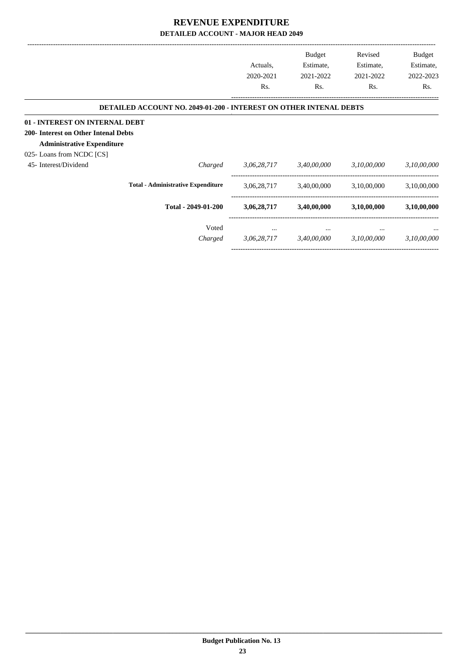|                                      |                                                                           | Actuals,<br>2020-2021 | Budget<br>Estimate,<br>2021-2022 | Revised<br>Estimate,<br>2021-2022 | Budget<br>Estimate,<br>2022-2023 |
|--------------------------------------|---------------------------------------------------------------------------|-----------------------|----------------------------------|-----------------------------------|----------------------------------|
|                                      |                                                                           | Rs.                   | Rs.                              | Rs.                               | Rs.                              |
|                                      | <b>DETAILED ACCOUNT NO. 2049-01-200 - INTEREST ON OTHER INTENAL DEBTS</b> |                       |                                  |                                   |                                  |
| 01 - INTEREST ON INTERNAL DEBT       |                                                                           |                       |                                  |                                   |                                  |
| 200- Interest on Other Intenal Debts |                                                                           |                       |                                  |                                   |                                  |
| <b>Administrative Expenditure</b>    |                                                                           |                       |                                  |                                   |                                  |
| 025-Loans from NCDC [CS]             |                                                                           |                       |                                  |                                   |                                  |
| 45- Interest/Dividend                | Charged                                                                   | 3,06,28,717           | 3,40,00,000                      | 3,10,00,000                       | 3,10,00,000                      |
|                                      | <b>Total - Administrative Expenditure</b>                                 | 3,06,28,717           | 3,40,00,000                      | 3,10,00,000                       | 3,10,00,000                      |
|                                      | Total - 2049-01-200                                                       | 3,06,28,717           | 3,40,00,000                      | 3,10,00,000                       | 3,10,00,000                      |
|                                      | Voted                                                                     | $\cdots$              | $\cdots$                         | $\cdots$                          |                                  |
|                                      | Charged                                                                   | 3,06,28,717           | 3,40,00,000                      | 3,10,00,000                       | 3,10,00,000                      |
|                                      |                                                                           |                       |                                  |                                   |                                  |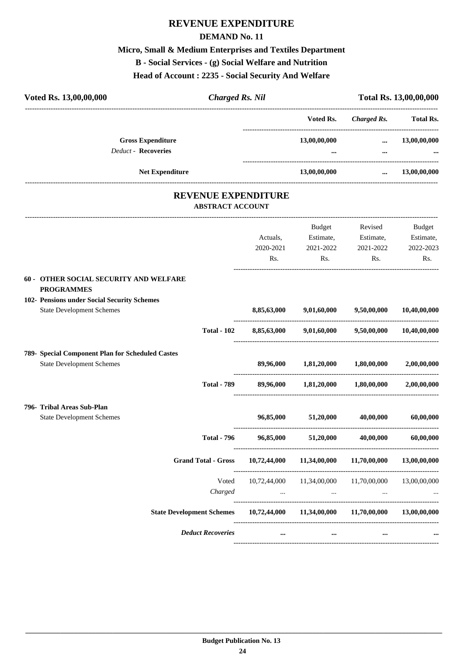### **REVENUE EXPENDITURE**

#### **DEMAND No. 11**

## **Micro, Small & Medium Enterprises and Textiles Department**

**B - Social Services - (g) Social Welfare and Nutrition Head of Account : 2235 - Social Security And Welfare**

**Voted Rs. 13,00,00,000** *Charged Rs. Nil* **Total Rs. 13,00,00,000** --------------------------------------------------------------------------------------------------------------------------------------------------------------------------------- **Voted Rs.** *Charged Rs.* **Total Rs.** ------------------------------------------------------------------------------------ **Gross Expenditure 13,00,00,000** *...* **13,00,00,000** *Deduct -* **Recoveries ...** *...* **...** ------------------------------------------------------------------------------------  **Net Expenditure 13,00,00,000** *...* **13,00,00,000** --------------------------------------------------------------------------------------------------------------------------------------------------------------------------------- **REVENUE EXPENDITURE ABSTRACT ACCOUNT** --------------------------------------------------------------------------------------------------------------------------------------------------------------------------------- Actuals, 2020-2021 Rs. Budget Estimate, 2021-2022 Rs. Revised Estimate, 2021-2022 Rs. Budget Estimate, 2022-2023 Rs. ---------------------------------------------------------------------------------------- **60 - OTHER SOCIAL SECURITY AND WELFARE PROGRAMMES 102- Pensions under Social Security Schemes** State Development Schemes **8,85,63,000 9,01,60,000 9,50,00,000 10,40,00,000** ---------------------------------------------------------------------------------------- **Total - 102 8,85,63,000 9,01,60,000 9,50,00,000 10,40,00,000** ---------------------------------------------------------------------------------------- **789- Special Component Plan for Scheduled Castes** State Development Schemes **89,96,000 1,81,20,000 1,80,00,000 2,00,00,000** ---------------------------------------------------------------------------------------- **Total - 789 89,96,000 1,81,20,000 1,80,00,000 2,00,00,000** ---------------------------------------------------------------------------------------- **796- Tribal Areas Sub-Plan** State Development Schemes **96,85,000 51,20,000 40,00,000 60,00,000** ---------------------------------------------------------------------------------------- **Total - 796 96,85,000 51,20,000 40,00,000 60,00,000** ---------------------------------------------------------------------------------------- **Grand Total - Gross 10,72,44,000 11,34,00,000 11,70,00,000 13,00,00,000** ---------------------------------------------------------------------------------------- Voted 10,72,44,000 11,34,00,000 11,70,00,000 13,00,00,000 *Charged ... ... ... ...* ---------------------------------------------------------------------------------------- **State Development Schemes 10,72,44,000 11,34,00,000 11,70,00,000 13,00,00,000** ---------------------------------------------------------------------------------------- *Deduct Recoveries* **... ... ... ...** ----------------------------------------------------------------------------------------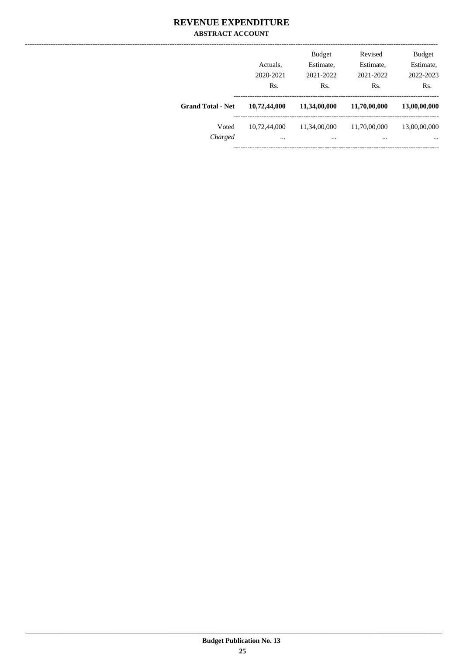#### **REVENUE EXPENDITURE ABSTRACT ACCOUNT**

|                          | Actuals,<br>2020-2021<br>Rs. | <b>Budget</b><br>Estimate,<br>2021-2022<br>Rs. | Revised<br>Estimate,<br>2021-2022<br>Rs. | <b>Budget</b><br>Estimate,<br>2022-2023<br>Rs. |
|--------------------------|------------------------------|------------------------------------------------|------------------------------------------|------------------------------------------------|
| <b>Grand Total - Net</b> | 10,72,44,000                 | 11,34,00,000                                   | 11,70,00,000                             | 13,00,00,000                                   |
| Voted<br>Charged         | 10,72,44,000<br>$\cdots$     | 11,34,00,000<br>                               | 11,70,00,000<br>$\cdots$                 | 13,00,00,000<br>$\cdots$                       |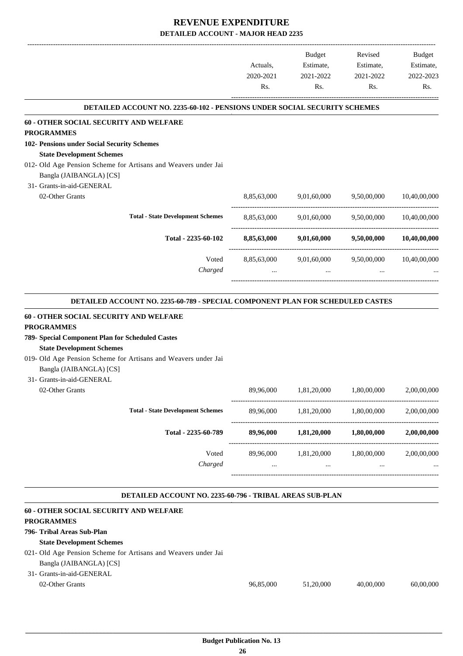|                                                                                           |             | Budget      | Revised     | Budget       |
|-------------------------------------------------------------------------------------------|-------------|-------------|-------------|--------------|
|                                                                                           | Actuals,    | Estimate,   | Estimate,   | Estimate,    |
|                                                                                           | 2020-2021   | 2021-2022   | 2021-2022   | 2022-2023    |
|                                                                                           | Rs.         | Rs.         | Rs.         | Rs.          |
| <b>DETAILED ACCOUNT NO. 2235-60-102 - PENSIONS UNDER SOCIAL SECURITY SCHEMES</b>          |             |             |             |              |
| 60 - OTHER SOCIAL SECURITY AND WELFARE<br><b>PROGRAMMES</b>                               |             |             |             |              |
| 102- Pensions under Social Security Schemes                                               |             |             |             |              |
| <b>State Development Schemes</b>                                                          |             |             |             |              |
| 012- Old Age Pension Scheme for Artisans and Weavers under Jai<br>Bangla (JAIBANGLA) [CS] |             |             |             |              |
| 31- Grants-in-aid-GENERAL                                                                 |             |             |             |              |
| 02-Other Grants                                                                           | 8,85,63,000 | 9,01,60,000 | 9,50,00,000 | 10,40,00,000 |
| <b>Total - State Development Schemes</b>                                                  | 8,85,63,000 | 9,01,60,000 | 9,50,00,000 | 10,40,00,000 |
| Total - 2235-60-102                                                                       | 8,85,63,000 | 9,01,60,000 | 9,50,00,000 | 10,40,00,000 |
| Voted                                                                                     | 8,85,63,000 | 9,01,60,000 | 9,50,00,000 | 10,40,00,000 |
| Charged                                                                                   |             | $\cdots$    |             |              |
|                                                                                           |             |             |             |              |
| DETAILED ACCOUNT NO. 2235-60-789 - SPECIAL COMPONENT PLAN FOR SCHEDULED CASTES            |             |             |             |              |
| 60 - OTHER SOCIAL SECURITY AND WELFARE<br><b>PROGRAMMES</b>                               |             |             |             |              |
|                                                                                           |             |             |             |              |
| 789- Special Component Plan for Scheduled Castes<br><b>State Development Schemes</b>      |             |             |             |              |
| 019- Old Age Pension Scheme for Artisans and Weavers under Jai                            |             |             |             |              |
| Bangla (JAIBANGLA) [CS]                                                                   |             |             |             |              |
| 31- Grants-in-aid-GENERAL                                                                 |             |             |             |              |
| 02-Other Grants                                                                           | 89,96,000   | 1,81,20,000 | 1,80,00,000 | 2,00,00,000  |
|                                                                                           |             |             |             |              |
| <b>Total - State Development Schemes</b>                                                  | 89,96,000   | 1,81,20,000 | 1,80,00,000 | 2,00,00,000  |
| Total - 2235-60-789                                                                       | 89,96,000   | 1,81,20,000 | 1,80,00,000 | 2,00,00,000  |
| Voted                                                                                     | 89,96,000   | 1,81,20,000 | 1,80,00,000 | 2,00,00,000  |
| Charged                                                                                   | $\cdots$    | $\cdots$    |             |              |
|                                                                                           |             |             |             |              |
|                                                                                           |             |             |             |              |
| DETAILED ACCOUNT NO. 2235-60-796 - TRIBAL AREAS SUB-PLAN                                  |             |             |             |              |

| 60 - OTHER SOCIAL SECURITY AND WELFARE                         |           |           |           |           |
|----------------------------------------------------------------|-----------|-----------|-----------|-----------|
| <b>PROGRAMMES</b>                                              |           |           |           |           |
| 796- Tribal Areas Sub-Plan                                     |           |           |           |           |
| <b>State Development Schemes</b>                               |           |           |           |           |
| 021- Old Age Pension Scheme for Artisans and Weavers under Jai |           |           |           |           |
| Bangla (JAIBANGLA) [CS]                                        |           |           |           |           |
| 31- Grants-in-aid-GENERAL                                      |           |           |           |           |
| 02-Other Grants                                                | 96.85,000 | 51,20,000 | 40,00,000 | 60.00.000 |
|                                                                |           |           |           |           |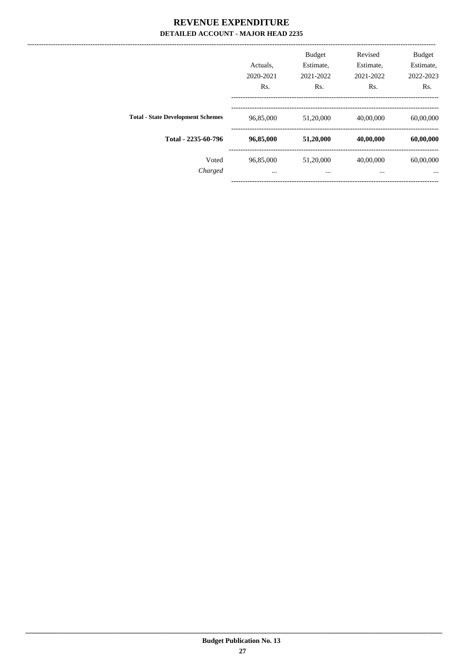|                                          | Actuals.<br>2020-2021<br>Rs. | <b>Budget</b><br>Estimate,<br>2021-2022<br>Rs. | Revised<br>Estimate,<br>2021-2022<br>Rs. | <b>Budget</b><br>Estimate,<br>2022-2023<br>R <sub>s</sub> . |
|------------------------------------------|------------------------------|------------------------------------------------|------------------------------------------|-------------------------------------------------------------|
| <b>Total - State Development Schemes</b> | 96,85,000                    | 51,20,000                                      | 40,00,000                                | 60,00,000                                                   |
| Total - 2235-60-796                      | 96,85,000                    | 51,20,000                                      | 40,00,000                                | 60,00,000                                                   |
| Voted<br>Charged                         | 96,85,000<br>$\cdots$        | 51,20,000<br>$\cdots$                          | 40,00,000<br>$\cdots$                    | 60,00,000<br>$\cdots$                                       |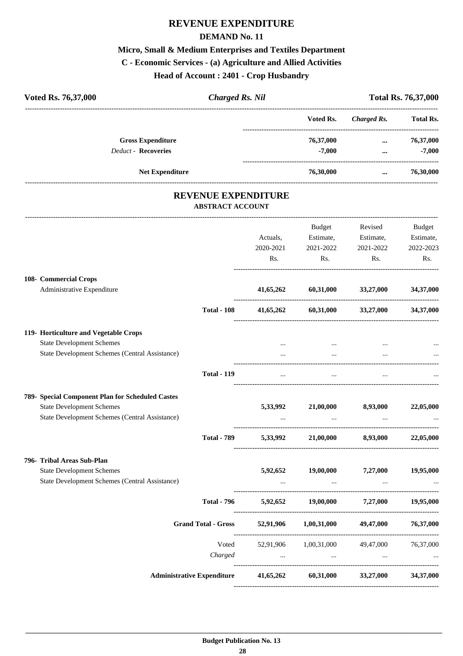## **REVENUE EXPENDITURE**

#### **DEMAND No. 11**

## **Micro, Small & Medium Enterprises and Textiles Department C - Economic Services - (a) Agriculture and Allied Activities Head of Account : 2401 - Crop Husbandry**

| Voted Rs. 76,37,000                                                                                                            | <b>Charged Rs. Nil</b> |                                                       |             | <b>Total Rs. 76,37,000</b> |                  |
|--------------------------------------------------------------------------------------------------------------------------------|------------------------|-------------------------------------------------------|-------------|----------------------------|------------------|
|                                                                                                                                |                        |                                                       | Voted Rs.   | <b>Charged Rs.</b>         | <b>Total Rs.</b> |
| <b>Gross Expenditure</b>                                                                                                       |                        |                                                       | 76,37,000   | $\cdots$                   | 76,37,000        |
| <b>Deduct - Recoveries</b>                                                                                                     |                        |                                                       | $-7,000$    | $\cdots$                   | $-7,000$         |
|                                                                                                                                | <b>Net Expenditure</b> |                                                       | 76,30,000   | $\cdots$                   | 76,30,000        |
|                                                                                                                                |                        | <b>REVENUE EXPENDITURE</b><br><b>ABSTRACT ACCOUNT</b> |             |                            |                  |
|                                                                                                                                |                        |                                                       | Budget      | Revised                    | Budget           |
|                                                                                                                                |                        | Actuals,                                              | Estimate,   | Estimate,                  | Estimate,        |
|                                                                                                                                |                        | 2020-2021                                             | 2021-2022   | 2021-2022                  | 2022-2023        |
|                                                                                                                                |                        | Rs.                                                   | Rs.         | Rs.                        | Rs.              |
| 108- Commercial Crops                                                                                                          |                        |                                                       |             |                            |                  |
| $\mathbf{A}$ , and $\mathbf{B}$ , and $\mathbf{B}$ , and $\mathbf{B}$ , and $\mathbf{B}$ , and $\mathbf{B}$ , and $\mathbf{B}$ |                        | $A + B = A$                                           | - 60.01.000 | 22.27.00                   | 24.27.00         |

|                                                                           | <b>Administrative Expenditure</b>                   |                             | 41,65,262 60,31,000 33,27,000 34,37,000                                                                                                                                                                                                                                              |                      |                     |
|---------------------------------------------------------------------------|-----------------------------------------------------|-----------------------------|--------------------------------------------------------------------------------------------------------------------------------------------------------------------------------------------------------------------------------------------------------------------------------------|----------------------|---------------------|
|                                                                           |                                                     | Charged                     | Voted 52,91,906 1,00,31,000 49,47,000 76,37,000<br>$\mathbf{r}$ , and the contract of the contract of the contract of the contract of the contract of the contract of the contract of the contract of the contract of the contract of the contract of the contract of the contract o |                      |                     |
|                                                                           | Grand Total - Gross 52,91,906 1,00,31,000 49,47,000 |                             |                                                                                                                                                                                                                                                                                      |                      | 76,37,000           |
|                                                                           |                                                     |                             |                                                                                                                                                                                                                                                                                      |                      |                     |
|                                                                           | <b>Total - 796</b>                                  |                             | 5,92,652 19,00,000 7,27,000 19,95,000                                                                                                                                                                                                                                                |                      |                     |
|                                                                           | State Development Schemes (Central Assistance)      |                             |                                                                                                                                                                                                                                                                                      | $\ddots$             |                     |
| 796- Tribal Areas Sub-Plan<br><b>State Development Schemes</b>            |                                                     | 5,92,652                    | 19,00,000 7,27,000 19,95,000                                                                                                                                                                                                                                                         |                      |                     |
|                                                                           | <b>Total - 789</b>                                  |                             | 5,33,992 21,00,000 8,93,000 22,05,000                                                                                                                                                                                                                                                |                      |                     |
|                                                                           | State Development Schemes (Central Assistance)      |                             |                                                                                                                                                                                                                                                                                      |                      |                     |
| <b>State Development Schemes</b>                                          | 789- Special Component Plan for Scheduled Castes    |                             | 5,33,992 21,00,000 8,93,000 22,05,000                                                                                                                                                                                                                                                |                      |                     |
|                                                                           | <b>Total - 119</b>                                  | $\cdots$                    | $\cdots$                                                                                                                                                                                                                                                                             | $\ddots$             |                     |
|                                                                           | State Development Schemes (Central Assistance)      | $\mathbf{r}$ , $\mathbf{r}$ | $\sim 10^{-11}$                                                                                                                                                                                                                                                                      | $\mathbf{r}$         |                     |
| 119- Horticulture and Vegetable Crops<br><b>State Development Schemes</b> |                                                     | $\ddotsc$                   |                                                                                                                                                                                                                                                                                      |                      |                     |
|                                                                           | <b>Total - 108</b>                                  |                             | 41,65,262 60,31,000 33,27,000 34,37,000                                                                                                                                                                                                                                              |                      |                     |
| 108- Commercial Crops<br>Administrative Expenditure                       |                                                     |                             | 41,65,262 60,31,000 33,27,000 34,37,000                                                                                                                                                                                                                                              |                      |                     |
|                                                                           |                                                     | Rs.                         | Rs.                                                                                                                                                                                                                                                                                  | Rs.                  | Rs.                 |
|                                                                           |                                                     | 2020-2021                   | 2021-2022                                                                                                                                                                                                                                                                            | 2021-2022            | 2022-2023           |
|                                                                           |                                                     | Actuals,                    | Duuget<br>Estimate,                                                                                                                                                                                                                                                                  | Reviseu<br>Estimate, | Duuget<br>Estimate, |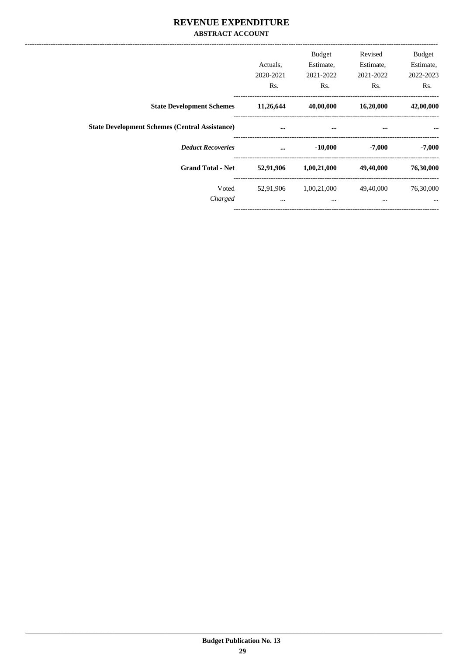#### REVENUE EXPENDITURE **ABSTRACT ACCOUNT**

|                                                       | Actuals,<br>2020-2021<br>Rs. | <b>Budget</b><br>Estimate,<br>2021-2022<br>Rs. | Revised<br>Estimate,<br>2021-2022<br>Rs. | <b>Budget</b><br>Estimate,<br>2022-2023<br>Rs. |
|-------------------------------------------------------|------------------------------|------------------------------------------------|------------------------------------------|------------------------------------------------|
| <b>State Development Schemes</b>                      | 11,26,644                    | 40,00,000                                      | 16,20,000                                | 42,00,000                                      |
| <b>State Development Schemes (Central Assistance)</b> |                              | $\cdots$                                       |                                          |                                                |
| <b>Deduct Recoveries</b>                              | $\ddotsc$                    | $-10,000$                                      | $-7,000$                                 | $-7,000$                                       |
| <b>Grand Total - Net</b>                              | 52,91,906                    | 1,00,21,000                                    | 49,40,000                                | 76,30,000                                      |
| Voted<br>Charged                                      | 52,91,906<br>$\cdots$        | 1,00,21,000<br>$\cdots$                        | 49,40,000<br>$\cdots$                    | 76,30,000<br>$\cdots$                          |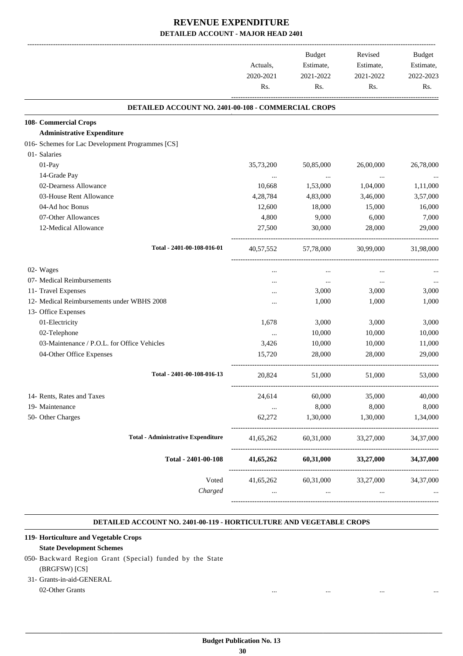|                                                     |           | Budget    | Revised   | Budget    |
|-----------------------------------------------------|-----------|-----------|-----------|-----------|
|                                                     | Actuals,  | Estimate, | Estimate, | Estimate, |
|                                                     | 2020-2021 | 2021-2022 | 2021-2022 | 2022-2023 |
|                                                     | Rs.       | Rs.       | Rs.       | Rs.       |
| DETAILED ACCOUNT NO. 2401-00-108 - COMMERCIAL CROPS |           |           |           |           |
| 108- Commercial Crops                               |           |           |           |           |
| <b>Administrative Expenditure</b>                   |           |           |           |           |
| 016- Schemes for Lac Development Programmes [CS]    |           |           |           |           |
| 01- Salaries                                        |           |           |           |           |
| 01-Pay                                              | 35,73,200 | 50,85,000 | 26,00,000 | 26,78,000 |
| 14-Grade Pay                                        | $\cdots$  | $\ldots$  | $\cdots$  |           |
| 02-Dearness Allowance                               | 10,668    | 1,53,000  | 1,04,000  | 1,11,000  |
| 03-House Rent Allowance                             | 4,28,784  | 4,83,000  | 3,46,000  | 3,57,000  |
| 04-Ad hoc Bonus                                     | 12,600    | 18,000    | 15,000    | 16,000    |
| 07-Other Allowances                                 | 4,800     | 9,000     | 6,000     | 7,000     |
| 12-Medical Allowance                                | 27,500    | 30,000    | 28,000    | 29,000    |
| Total - 2401-00-108-016-01                          | 40,57,552 | 57,78,000 | 30,99,000 | 31,98,000 |
| 02- Wages                                           |           | $\cdots$  | $\ddotsc$ |           |
| 07- Medical Reimbursements                          |           | $\cdots$  | $\cdots$  |           |
| 11- Travel Expenses                                 |           | 3,000     | 3,000     | 3,000     |
| 12- Medical Reimbursements under WBHS 2008          |           | 1,000     | 1,000     | 1,000     |
| 13- Office Expenses                                 |           |           |           |           |
| 01-Electricity                                      | 1,678     | 3,000     | 3,000     | 3,000     |
| 02-Telephone                                        | $\cdots$  | 10,000    | 10,000    | 10,000    |
| 03-Maintenance / P.O.L. for Office Vehicles         | 3,426     | 10,000    | 10,000    | 11,000    |
| 04-Other Office Expenses                            | 15,720    | 28,000    | 28,000    | 29,000    |
| Total - 2401-00-108-016-13                          | 20,824    | 51,000    | 51,000    | 53,000    |
| 14- Rents, Rates and Taxes                          | 24,614    | 60,000    | 35,000    | 40,000    |
| 19- Maintenance                                     | $\cdots$  | 8,000     | 8,000     | 8,000     |
| 50- Other Charges                                   | 62,272    | 1,30,000  | 1,30,000  | 1,34,000  |
| <b>Total - Administrative Expenditure</b>           | 41,65,262 | 60,31,000 | 33,27,000 | 34,37,000 |
| Total - 2401-00-108                                 | 41,65,262 | 60,31,000 | 33,27,000 | 34,37,000 |
| Voted                                               | 41,65,262 | 60,31,000 | 33,27,000 | 34,37,000 |
| Charged                                             |           | $\cdots$  | $\cdots$  |           |

#### **DETAILED ACCOUNT NO. 2401-00-119 - HORTICULTURE AND VEGETABLE CROPS .**

.

#### **119- Horticulture and Vegetable Crops**

#### **State Development Schemes**

050- Backward Region Grant (Special) funded by the State (BRGFSW) [CS]

## 31- Grants-in-aid-GENERAL

02-Other Grants ... ... ... ...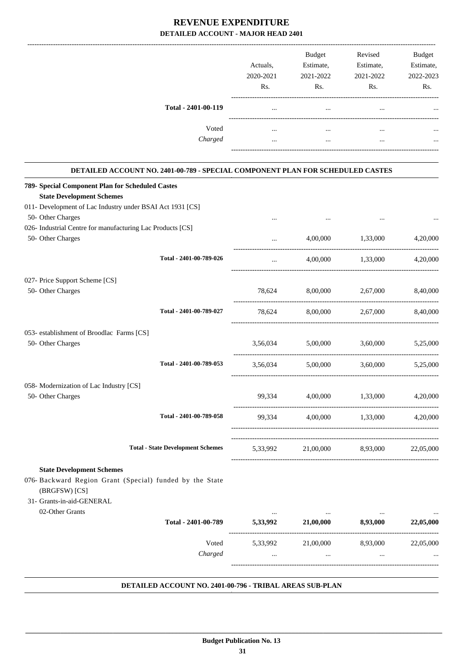|                     | Actuals.<br>2020-2021<br>Rs. | <b>Budget</b><br>Estimate,<br>2021-2022<br>Rs. | Revised<br>Estimate,<br>2021-2022<br>Rs. | <b>Budget</b><br>Estimate,<br>2022-2023<br>Rs. |
|---------------------|------------------------------|------------------------------------------------|------------------------------------------|------------------------------------------------|
| Total - 2401-00-119 | $\cdots$                     |                                                |                                          |                                                |
| Voted               | $\cdots$                     |                                                |                                          |                                                |
| Charged             |                              |                                                |                                          | $\cdots$                                       |

#### . **DETAILED ACCOUNT NO. 2401-00-789 - SPECIAL COMPONENT PLAN FOR SCHEDULED CASTES . 789- Special Component Plan for Scheduled Castes State Development Schemes** 011- Development of Lac Industry under BSAI Act 1931 [CS] 50- Other Charges ... ... ... ... 026- Industrial Centre for manufacturing Lac Products [CS] 50- Other Charges ... 4,00,000 1,33,000 4,20,000 ---------------------------------------------------------------------------------------- **Total - 2401-00-789-026** ... 4,00,000 1,33,000 4,20,000 ----------------------------------------------------------------------------------------- 027- Price Support Scheme [CS] 50- Other Charges 78,624 8,00,000 2,67,000 8,40,000 ---------------------------------------------------------------------------------------- **Total - 2401-00-789-027** 78,624 8,00,000 2,67,000 8,40,000 ----------------------------------------------------------------------------------------- 053- establishment of Broodlac Farms [CS] 50- Other Charges 3,56,034 5,00,000 3,60,000 5,25,000 ---------------------------------------------------------------------------------------- **Total - 2401-00-789-053** 3,56,034 5,00,000 3,60,000 5,25,000 ----------------------------------------------------------------------------------------- 058- Modernization of Lac Industry [CS] 50- Other Charges 99,334 4,00,000 1,33,000 4,20,000 ---------------------------------------------------------------------------------------- **Total - 2401-00-789-058** 99,334 4,00,000 1,33,000 4,20,000 ----------------------------------------------------------------------------------------- ----------------------------------------------------------------------------------------- **Total - State Development Schemes** 5,33,992 21,00,000 8,93,000 22,05,000 ----------------------------------------------------------------------------------------- **State Development Schemes** 076- Backward Region Grant (Special) funded by the State (BRGFSW) [CS] 31- Grants-in-aid-GENERAL 02-Other Grants ... ... ... ... **Total - 2401-00-789 5,33,992 21,00,000 8,93,000 22,05,000**

| Total - 2401-00-789 | 5.33.992 | 21,00,000 | 8.93.000 | 22,05,000 |
|---------------------|----------|-----------|----------|-----------|
| Voted               | 5.33.992 | 21,00,000 | 8.93.000 | 22,05,000 |
| Charged             | $\cdots$ | $\cdots$  | $\cdots$ | $\cdots$  |
|                     |          |           |          |           |

.

#### **DETAILED ACCOUNT NO. 2401-00-796 - TRIBAL AREAS SUB-PLAN .**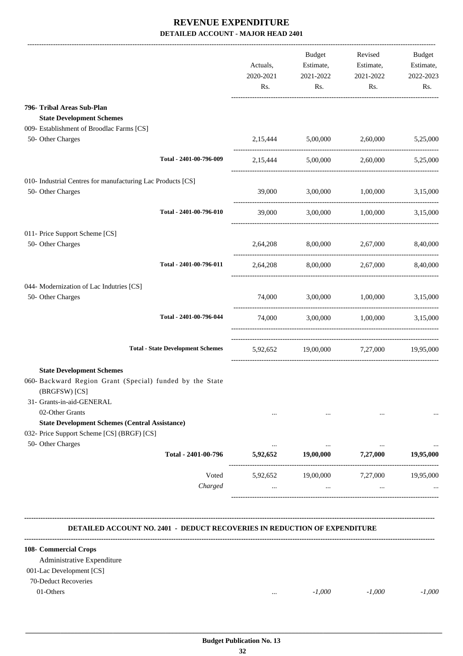|                                                                                  | Actuals,<br>2020-2021<br>Rs.          | Budget<br>Estimate,<br>2021-2022<br>Rs.     | Revised<br>Estimate,<br>2021-2022<br>Rs.        | Budget<br>Estimate,<br>2022-2023<br>Rs. |
|----------------------------------------------------------------------------------|---------------------------------------|---------------------------------------------|-------------------------------------------------|-----------------------------------------|
| 796- Tribal Areas Sub-Plan                                                       |                                       |                                             |                                                 |                                         |
| <b>State Development Schemes</b>                                                 |                                       |                                             |                                                 |                                         |
| 009- Establishment of Broodlac Farms [CS]                                        |                                       |                                             |                                                 |                                         |
| 50- Other Charges                                                                | 2,15,444                              |                                             | 5,00,000 2,60,000                               | 5,25,000                                |
| Total - 2401-00-796-009                                                          |                                       | 2,15,444 5,00,000 2,60,000 5,25,000         |                                                 |                                         |
| 010- Industrial Centres for manufacturing Lac Products [CS]                      |                                       |                                             |                                                 |                                         |
| 50- Other Charges                                                                |                                       | 39,000 3,00,000 1,00,000 3,15,000           |                                                 |                                         |
| Total - 2401-00-796-010                                                          | 39,000                                |                                             | 3,00,000 1,00,000                               | 3,15,000                                |
| 011- Price Support Scheme [CS]                                                   |                                       |                                             |                                                 |                                         |
| 50- Other Charges                                                                |                                       | $2,64,208$ $8,00,000$ $2,67,000$ $8,40,000$ |                                                 |                                         |
| Total - 2401-00-796-011                                                          |                                       | 2,64,208 8,00,000 2,67,000 8,40,000         |                                                 |                                         |
| 044- Modernization of Lac Indutries [CS]                                         |                                       |                                             |                                                 |                                         |
| 50- Other Charges                                                                |                                       | 74,000 3,00,000 1,00,000 3,15,000           |                                                 |                                         |
| Total - 2401-00-796-044                                                          |                                       | 74,000 3,00,000 1,00,000 3,15,000           |                                                 |                                         |
| <b>Total - State Development Schemes</b>                                         | 5,92,652 19,00,000 7,27,000 19,95,000 |                                             |                                                 |                                         |
| <b>State Development Schemes</b>                                                 |                                       |                                             |                                                 |                                         |
| 060- Backward Region Grant (Special) funded by the State<br>(BRGFSW) [CS]        |                                       |                                             |                                                 |                                         |
| 31- Grants-in-aid-GENERAL                                                        |                                       |                                             |                                                 |                                         |
| 02-Other Grants                                                                  | $\cdots$ .                            |                                             | the contract of the contract of the<br>$\ldots$ |                                         |
| <b>State Development Schemes (Central Assistance)</b>                            |                                       |                                             |                                                 |                                         |
| 032- Price Support Scheme [CS] (BRGF) [CS]                                       |                                       |                                             |                                                 |                                         |
| 50- Other Charges<br>Total - 2401-00-796 $5,92,652$ $19,00,000$ $7,27,000$       | $\sim 10^{-11}$ and $\sim 10^{-11}$   | <b>SAMPLE DES</b>                           | and the contract of the con-                    | 19,95,000                               |
| Voted                                                                            | 5,92,652 19,00,000 7,27,000 19,95,000 |                                             |                                                 |                                         |
| Charged                                                                          | $\cdots$                              | $\ddots$                                    | $\cdots$                                        |                                         |
| <b>DETAILED ACCOUNT NO. 2401 - DEDUCT RECOVERIES IN REDUCTION OF EXPENDITURE</b> |                                       |                                             |                                                 |                                         |
| 108- Commercial Crops                                                            |                                       |                                             |                                                 |                                         |
| Administrative Expenditure                                                       |                                       |                                             |                                                 |                                         |
| 001-Lac Development [CS]                                                         |                                       |                                             |                                                 |                                         |

70-Deduct Recoveries

01-Others ... *-1,000 -1,000 -1,000*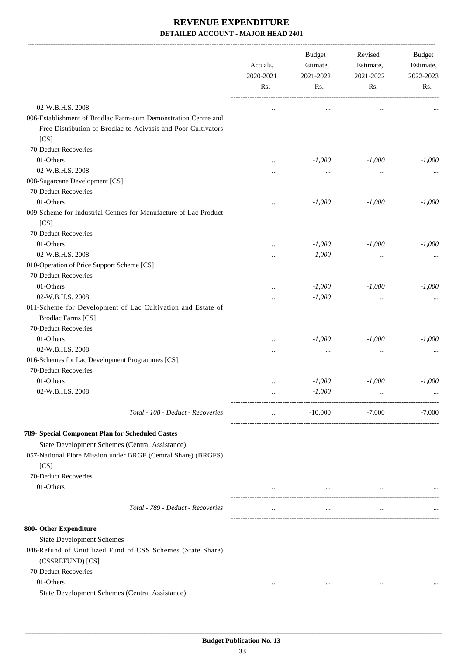|                                                                                                                                         | Actuals,<br>2020-2021<br>Rs. | <b>Budget</b><br>Estimate,<br>2021-2022<br>Rs. | Revised<br>Estimate,<br>2021-2022<br>Rs.  | Budget<br>Estimate,<br>2022-2023<br>Rs. |
|-----------------------------------------------------------------------------------------------------------------------------------------|------------------------------|------------------------------------------------|-------------------------------------------|-----------------------------------------|
| 02-W.B.H.S. 2008                                                                                                                        | $\ddotsc$                    | $\ldots$                                       | $\cdots$                                  |                                         |
| 006-Establishment of Brodlac Farm-cum Demonstration Centre and<br>Free Distribution of Brodlac to Adivasis and Poor Cultivators<br>[CS] |                              |                                                |                                           |                                         |
| 70-Deduct Recoveries                                                                                                                    |                              |                                                |                                           |                                         |
| 01-Others                                                                                                                               | $\ddotsc$                    | $-1,000$                                       | $-1,000$                                  | $-1,000$                                |
| 02-W.B.H.S. 2008                                                                                                                        |                              | $\ldots$                                       | $\cdots$                                  |                                         |
| 008-Sugarcane Development [CS]                                                                                                          |                              |                                                |                                           |                                         |
| 70-Deduct Recoveries                                                                                                                    |                              |                                                |                                           |                                         |
| 01-Others                                                                                                                               | $\ddotsc$                    | $-1,000$                                       | $-1,000$                                  | $-1,000$                                |
| 009-Scheme for Industrial Centres for Manufacture of Lac Product<br>[CS]                                                                |                              |                                                |                                           |                                         |
| 70-Deduct Recoveries                                                                                                                    |                              |                                                |                                           |                                         |
| 01-Others                                                                                                                               |                              | $-1,000$                                       | $-1,000$                                  | $-1,000$                                |
| 02-W.B.H.S. 2008                                                                                                                        | $\ddotsc$                    | $-1,000$                                       | $\ldots$                                  | $\cdots$                                |
| 010-Operation of Price Support Scheme [CS]                                                                                              |                              |                                                |                                           |                                         |
| 70-Deduct Recoveries                                                                                                                    |                              |                                                |                                           |                                         |
| 01-Others                                                                                                                               |                              | $-1,000$                                       | $-1,000$                                  | $-1,000$                                |
| 02-W.B.H.S. 2008                                                                                                                        | .                            | $-1,000$                                       | $\ldots$                                  |                                         |
| 011-Scheme for Development of Lac Cultivation and Estate of<br><b>Brodlac Farms [CS]</b>                                                |                              |                                                |                                           |                                         |
| 70-Deduct Recoveries                                                                                                                    |                              |                                                |                                           |                                         |
| 01-Others                                                                                                                               | $\ddotsc$                    | $-1,000$                                       | $-1,000$                                  | $-1,000$                                |
| 02-W.B.H.S. 2008                                                                                                                        |                              | $\cdots$                                       | $\cdots$                                  |                                         |
| 016-Schemes for Lac Development Programmes [CS]                                                                                         |                              |                                                |                                           |                                         |
| 70-Deduct Recoveries                                                                                                                    |                              |                                                |                                           |                                         |
| 01-Others                                                                                                                               | $\cdots$                     | $-1,000$                                       | $-1,000$                                  | $-1,000$                                |
| 02-W.B.H.S. 2008                                                                                                                        |                              | $\text{-}1,\!000$                              |                                           |                                         |
| Total - 108 - Deduct - Recoveries                                                                                                       | $\cdots$                     | $-10,000$                                      | $-7,000$                                  | $-7,000$                                |
| 789- Special Component Plan for Scheduled Castes                                                                                        |                              |                                                |                                           |                                         |
| State Development Schemes (Central Assistance)                                                                                          |                              |                                                |                                           |                                         |
| 057-National Fibre Mission under BRGF (Central Share) (BRGFS)<br>[CS]                                                                   |                              |                                                |                                           |                                         |
| 70-Deduct Recoveries                                                                                                                    |                              |                                                |                                           |                                         |
| 01-Others                                                                                                                               | $\cdots$                     |                                                | and the state of the state of<br>$\ldots$ |                                         |
| Total - 789 - Deduct - Recoveries                                                                                                       | $\cdots$                     | $\cdots$                                       | $\cdots$                                  |                                         |
| 800- Other Expenditure                                                                                                                  |                              |                                                |                                           |                                         |
| <b>State Development Schemes</b>                                                                                                        |                              |                                                |                                           |                                         |
| 046-Refund of Unutilized Fund of CSS Schemes (State Share)<br>(CSSREFUND) [CS]                                                          |                              |                                                |                                           |                                         |
| 70-Deduct Recoveries                                                                                                                    |                              |                                                |                                           |                                         |
| 01-Others                                                                                                                               | $\cdots$                     | $\cdots$                                       | $\cdots$                                  |                                         |
| State Development Schemes (Central Assistance)                                                                                          |                              |                                                |                                           |                                         |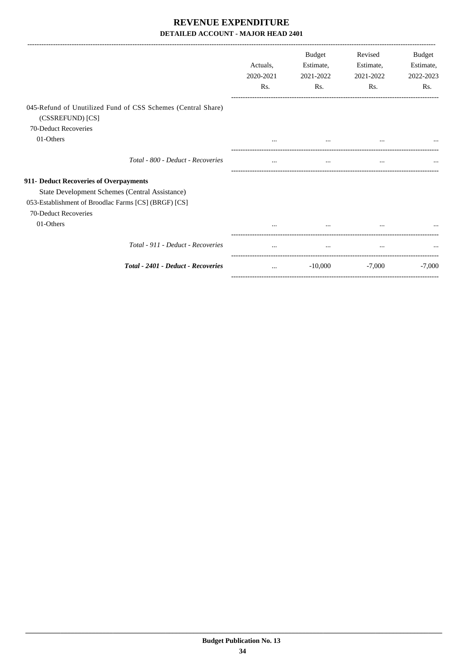|                                                                                                          | Actuals.<br>2020-2021<br>Rs. | <b>Budget</b><br>Estimate,<br>2021-2022<br>Rs. | Revised<br>Estimate,<br>2021-2022<br>Rs. | <b>Budget</b><br>Estimate,<br>2022-2023<br>Rs. |
|----------------------------------------------------------------------------------------------------------|------------------------------|------------------------------------------------|------------------------------------------|------------------------------------------------|
| 045-Refund of Unutilized Fund of CSS Schemes (Central Share)<br>(CSSREFUND) [CS]<br>70-Deduct Recoveries |                              |                                                |                                          |                                                |
| 01-Others                                                                                                |                              | $\cdots$                                       |                                          |                                                |
| Total - 800 - Deduct - Recoveries                                                                        | $\cdots$                     | $\cdots$                                       | $\cdots$                                 |                                                |
| 911- Deduct Recoveries of Overpayments                                                                   |                              |                                                |                                          |                                                |
| State Development Schemes (Central Assistance)                                                           |                              |                                                |                                          |                                                |
| 053-Establishment of Broodlac Farms [CS] (BRGF) [CS]                                                     |                              |                                                |                                          |                                                |
| 70-Deduct Recoveries                                                                                     |                              |                                                |                                          |                                                |
| 01-Others                                                                                                |                              |                                                | $\cdots$                                 |                                                |
| Total - 911 - Deduct - Recoveries                                                                        | $\cdots$                     | $\cdots$                                       | $\cdots$                                 |                                                |
| Total - 2401 - Deduct - Recoveries                                                                       | $\cdots$                     | $-10,000$                                      | $-7.000$                                 | $-7,000$                                       |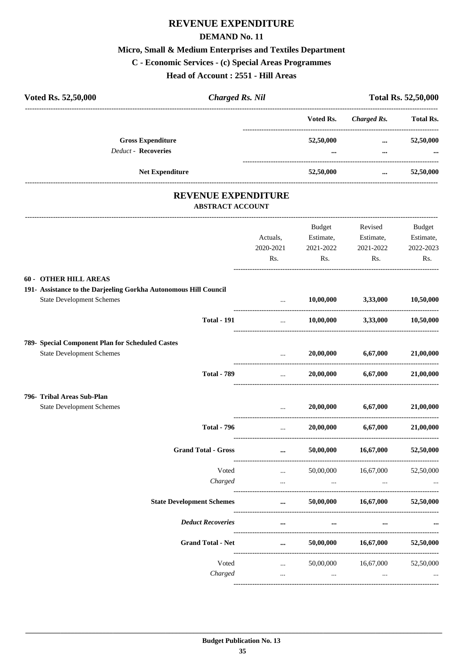# **REVENUE EXPENDITURE**

#### **DEMAND No. 11**

#### **Micro, Small & Medium Enterprises and Textiles Department**

#### **C - Economic Services - (c) Special Areas Programmes**

**Head of Account : 2551 - Hill Areas**

| <b>Charged Rs. Nil</b><br>Voted Rs. 52,50,000                                                                                        |                                            |                                         |                                          | Total Rs. 52,50,000                            |
|--------------------------------------------------------------------------------------------------------------------------------------|--------------------------------------------|-----------------------------------------|------------------------------------------|------------------------------------------------|
|                                                                                                                                      |                                            | Voted Rs.                               | <b>Charged Rs.</b>                       | <b>Total Rs.</b>                               |
| <b>Gross Expenditure</b><br><b>Deduct - Recoveries</b>                                                                               |                                            | 52,50,000                               | $\cdots$<br>$\cdots$                     | 52,50,000                                      |
| <b>Net Expenditure</b>                                                                                                               |                                            | 52,50,000                               | $\cdots$                                 | 52,50,000                                      |
| <b>REVENUE EXPENDITURE</b><br><b>ABSTRACT ACCOUNT</b>                                                                                |                                            |                                         |                                          |                                                |
|                                                                                                                                      | Actuals,<br>2020-2021<br>Rs.               | Budget<br>Estimate,<br>2021-2022<br>Rs. | Revised<br>Estimate,<br>2021-2022<br>Rs. | <b>Budget</b><br>Estimate,<br>2022-2023<br>Rs. |
| <b>60 - OTHER HILL AREAS</b><br>191- Assistance to the Darjeeling Gorkha Autonomous Hill Council<br><b>State Development Schemes</b> | $\cdots$                                   | 10,00,000                               | 3,33,000                                 | 10,50,000                                      |
| <b>Total - 191</b>                                                                                                                   | $\ddots$                                   | 10,00,000                               | 3,33,000                                 | 10,50,000                                      |
| 789- Special Component Plan for Scheduled Castes                                                                                     |                                            |                                         |                                          |                                                |
| <b>State Development Schemes</b>                                                                                                     |                                            | 20,00,000                               | 6,67,000                                 | 21,00,000                                      |
| <b>Total - 789</b>                                                                                                                   |                                            | 20,00,000                               | 6,67,000                                 | 21,00,000                                      |
| 796- Tribal Areas Sub-Plan<br><b>State Development Schemes</b>                                                                       | $\cdots$                                   | 20,00,000                               | 6,67,000                                 | 21,00,000                                      |
| <b>Total - 796</b>                                                                                                                   |                                            | 20,00,000                               | 6,67,000                                 | 21,00,000                                      |
| <b>Grand Total - Gross</b>                                                                                                           | $\cdots$                                   | 50,00,000                               | 16,67,000                                | 52,50,000                                      |
| Voted                                                                                                                                | $\cdots$                                   |                                         | 50,00,000 16,67,000                      | 52,50,000                                      |
| Charged                                                                                                                              | $\mathbf{r}$ , $\mathbf{r}$ , $\mathbf{r}$ | $\cdots$                                | $\cdots$                                 |                                                |
| <b>State Development Schemes</b>                                                                                                     | $\cdots$                                   | 50,00,000                               | 16,67,000                                | 52,50,000<br>-------------------               |
| <b>Deduct Recoveries</b>                                                                                                             | $\cdots$                                   | $\cdots$                                | $\cdots$                                 |                                                |
| <b>Grand Total - Net</b>                                                                                                             | $\cdots$                                   | 50,00,000                               | 16,67,000                                | 52,50,000                                      |
| Voted                                                                                                                                | $\cdots$                                   | 50,00,000                               | 16,67,000                                | 52,50,000                                      |
| Charged                                                                                                                              | $\cdots$                                   | $\ldots$                                | $\cdots$                                 |                                                |

----------------------------------------------------------------------------------------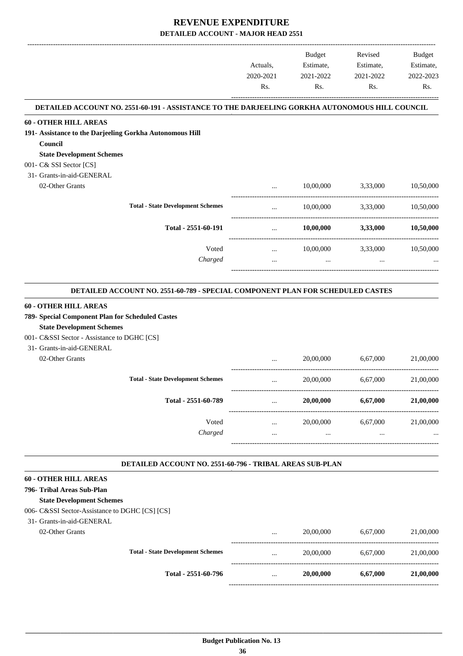|                                                                                                                                                                                     | Actuals,<br>2020-2021 | Budget<br>Estimate,<br>2021-2022                                                                  | Revised<br>Estimate,<br>2021-2022 | <b>Budget</b><br>Estimate,<br>2022-2023 |
|-------------------------------------------------------------------------------------------------------------------------------------------------------------------------------------|-----------------------|---------------------------------------------------------------------------------------------------|-----------------------------------|-----------------------------------------|
|                                                                                                                                                                                     | Rs.                   | Rs.                                                                                               | Rs.                               | Rs.                                     |
| DETAILED ACCOUNT NO. 2551-60-191 - ASSISTANCE TO THE DARJEELING GORKHA AUTONOMOUS HILL COUNCIL                                                                                      |                       |                                                                                                   |                                   |                                         |
| <b>60 - OTHER HILL AREAS</b>                                                                                                                                                        |                       |                                                                                                   |                                   |                                         |
| 191- Assistance to the Darjeeling Gorkha Autonomous Hill<br>Council                                                                                                                 |                       |                                                                                                   |                                   |                                         |
| <b>State Development Schemes</b>                                                                                                                                                    |                       |                                                                                                   |                                   |                                         |
| 001- C& SSI Sector [CS]                                                                                                                                                             |                       |                                                                                                   |                                   |                                         |
| 31- Grants-in-aid-GENERAL                                                                                                                                                           |                       |                                                                                                   |                                   |                                         |
| 02-Other Grants                                                                                                                                                                     | $\cdots$              |                                                                                                   | 10,00,000 3,33,000                | 10,50,000                               |
| <b>Total - State Development Schemes</b>                                                                                                                                            | $\cdots$              |                                                                                                   | 10,00,000 3,33,000 10,50,000      |                                         |
| Total - 2551-60-191                                                                                                                                                                 | $\ddots$              |                                                                                                   | $10,00,000$ $3,33,000$            | 10,50,000                               |
| Voted                                                                                                                                                                               | $\cdots$              |                                                                                                   | 10,00,000 3,33,000                | 10,50,000                               |
| Charged                                                                                                                                                                             |                       | $\mathbf{r}$ , and the contract of $\mathbf{r}$ and $\mathbf{r}$ are the contract of $\mathbf{r}$ | $\mathbf{r}$                      |                                         |
|                                                                                                                                                                                     |                       |                                                                                                   |                                   |                                         |
| 789- Special Component Plan for Scheduled Castes<br><b>State Development Schemes</b><br>001- C&SSI Sector - Assistance to DGHC [CS]<br>31- Grants-in-aid-GENERAL<br>02-Other Grants | $\cdots$              | 20,00,000                                                                                         | 6,67,000                          | 21,00,000                               |
|                                                                                                                                                                                     |                       |                                                                                                   |                                   |                                         |
| <b>Total - State Development Schemes</b>                                                                                                                                            | $\cdots$              | 20,00,000                                                                                         | 6,67,000                          | 21,00,000                               |
| Total - 2551-60-789                                                                                                                                                                 | $\cdots$              | 20,00,000                                                                                         | 6,67,000                          | 21,00,000                               |
| Voted                                                                                                                                                                               | $\cdots$              | 20,00,000                                                                                         | 6,67,000                          | 21,00,000                               |
| Charged                                                                                                                                                                             | $\cdots$              | $\cdots$                                                                                          | $\cdots$                          |                                         |
|                                                                                                                                                                                     |                       |                                                                                                   |                                   |                                         |
| DETAILED ACCOUNT NO. 2551-60-796 - TRIBAL AREAS SUB-PLAN                                                                                                                            |                       |                                                                                                   |                                   |                                         |
| <b>60 - OTHER HILL AREAS</b>                                                                                                                                                        |                       |                                                                                                   |                                   |                                         |
| 796- Tribal Areas Sub-Plan<br><b>State Development Schemes</b>                                                                                                                      |                       |                                                                                                   |                                   |                                         |
| 006- C&SSI Sector-Assistance to DGHC [CS] [CS]                                                                                                                                      |                       |                                                                                                   |                                   |                                         |
| 31- Grants-in-aid-GENERAL                                                                                                                                                           |                       |                                                                                                   |                                   |                                         |
| 02-Other Grants                                                                                                                                                                     | $\cdots$              | 20,00,000                                                                                         | 6,67,000                          | 21,00,000                               |
| <b>Total - State Development Schemes</b>                                                                                                                                            |                       | 20,00,000                                                                                         | 6,67,000                          | 21,00,000                               |
|                                                                                                                                                                                     |                       |                                                                                                   |                                   |                                         |

**Total - 2551-60-796** ... **20,00,000 6,67,000 21,00,000**

------------------------------------------------------------------------------------------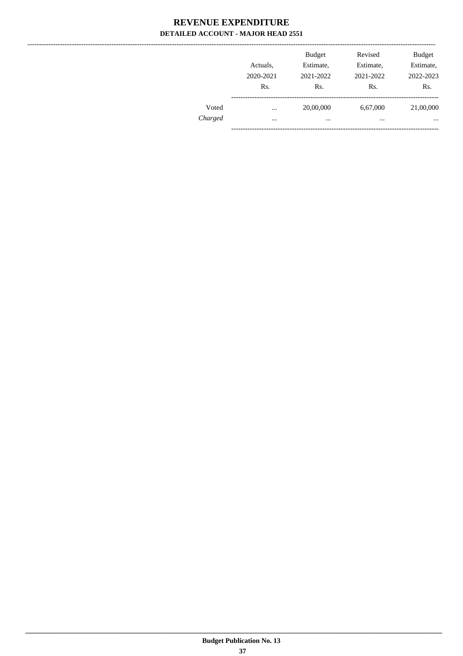|         | Actuals.<br>2020-2021<br>Rs. | <b>Budget</b><br>Estimate,<br>2021-2022<br>Rs. | Revised<br>Estimate,<br>2021-2022<br>Rs. | <b>Budget</b><br>Estimate,<br>2022-2023<br>Rs. |
|---------|------------------------------|------------------------------------------------|------------------------------------------|------------------------------------------------|
| Voted   | $\cdots$                     | 20,00,000                                      | 6,67,000                                 | 21,00,000                                      |
| Charged | $\cdots$                     | $\cdots$                                       | $\cdots$                                 | $\cdots$                                       |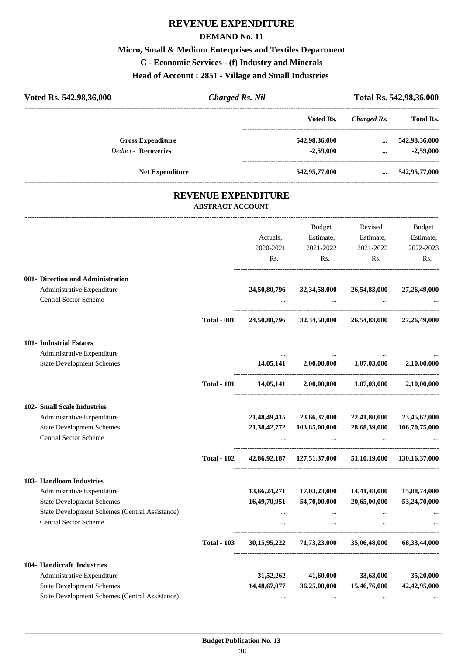# **REVENUE EXPENDITURE**

#### **DEMAND No. 11**

# **Micro, Small & Medium Enterprises and Textiles Department**

**C - Economic Services - (f) Industry and Minerals**

#### **Head of Account : 2851 - Village and Small Industries**

| Voted Rs. 542,98,36,000                        |                                                       | <b>Charged Rs. Nil</b> |                                                       |                             | Total Rs. 542,98,36,000                      |
|------------------------------------------------|-------------------------------------------------------|------------------------|-------------------------------------------------------|-----------------------------|----------------------------------------------|
|                                                |                                                       |                        | --------------------------------------<br>Voted Rs.   | <b>Charged Rs.</b>          | <b>Total Rs.</b>                             |
| <b>Gross Expenditure</b>                       |                                                       |                        | 542,98,36,000                                         |                             | $\dots$ 542,98,36,000                        |
| <b>Deduct - Recoveries</b>                     |                                                       |                        | $-2,59,000$                                           |                             | $-2,59,000$<br>$\mathbf{m}$ and $\mathbf{m}$ |
| <b>Net Expenditure</b>                         |                                                       |                        | 542,95,77,000                                         |                             | $\dots$ 542,95,77,000                        |
|                                                | <b>REVENUE EXPENDITURE</b><br><b>ABSTRACT ACCOUNT</b> |                        |                                                       |                             |                                              |
|                                                |                                                       |                        | Budget                                                | Revised                     | Budget                                       |
|                                                |                                                       | Actuals,               | Estimate,                                             | Estimate,                   | Estimate,                                    |
|                                                |                                                       | 2020-2021              | 2021-2022                                             | 2021-2022                   | 2022-2023                                    |
|                                                |                                                       | Rs.                    | Rs.                                                   | Rs.                         | Rs.                                          |
| 001- Direction and Administration              |                                                       |                        |                                                       |                             |                                              |
| Administrative Expenditure                     |                                                       | 24,50,80,796           | 32,34,58,000                                          | 26,54,83,000                | 27,26,49,000                                 |
| <b>Central Sector Scheme</b>                   |                                                       |                        |                                                       |                             |                                              |
|                                                | <b>Total - 001</b>                                    |                        | 24,50,80,796 32,34,58,000 26,54,83,000 27,26,49,000   |                             |                                              |
| 101- Industrial Estates                        |                                                       |                        |                                                       |                             |                                              |
| Administrative Expenditure                     |                                                       | $\cdots$               |                                                       |                             |                                              |
| <b>State Development Schemes</b>               |                                                       | 14,05,141              | 2,00,00,000                                           | 1,07,03,000                 | 2,10,00,000                                  |
|                                                | <b>Total - 101</b>                                    | 14,05,141              |                                                       | $2,00,00,000$ $1,07,03,000$ | 2,10,00,000                                  |
| 102- Small Scale Industries                    |                                                       |                        |                                                       |                             |                                              |
| Administrative Expenditure                     |                                                       | 21,48,49,415           | 23,66,37,000                                          | 22,41,80,000                | 23,45,62,000                                 |
| <b>State Development Schemes</b>               |                                                       | 21,38,42,772           | 103,85,00,000                                         | 28,68,39,000                | 106,70,75,000                                |
| <b>Central Sector Scheme</b>                   |                                                       |                        |                                                       |                             |                                              |
|                                                | <b>Total - 102</b>                                    |                        | 42,86,92,187 127,51,37,000 51,10,19,000 130,16,37,000 |                             |                                              |
| 103- Handloom Industries                       |                                                       |                        |                                                       |                             |                                              |
| Administrative Expenditure                     |                                                       | 13,66,24,271           | 17,03,23,000                                          | 14,41,48,000                | 15,08,74,000                                 |
| <b>State Development Schemes</b>               |                                                       | 16,49,70,951           | 54,70,00,000                                          | 20,65,00,000                | 53,24,70,000                                 |
| State Development Schemes (Central Assistance) |                                                       | $\cdots$               | $\cdots$                                              | $\cdots$                    |                                              |
| <b>Central Sector Scheme</b>                   |                                                       | $\cdots$               | $\cdots$                                              | $\cdots$                    |                                              |
|                                                | <b>Total - 103</b>                                    | 30, 15, 95, 222        |                                                       | 71,73,23,000 35,06,48,000   | 68,33,44,000                                 |
| 104- Handicraft Industries                     |                                                       |                        |                                                       |                             |                                              |
| Administrative Expenditure                     |                                                       | 31,52,262              | 41,60,000                                             | 33,63,000                   | 35,20,000                                    |
| <b>State Development Schemes</b>               |                                                       | 14,48,67,077           | 36,25,00,000                                          | 15,46,76,000                | 42,42,95,000                                 |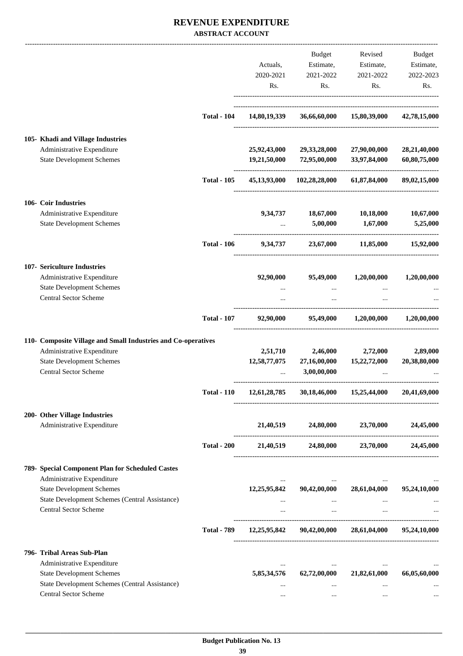#### **REVENUE EXPENDITURE ABSTRACT ACCOUNT**

|                                                                                |                    |                       | Budget                                                                                                              | Revised                                                   | Budget                 |
|--------------------------------------------------------------------------------|--------------------|-----------------------|---------------------------------------------------------------------------------------------------------------------|-----------------------------------------------------------|------------------------|
|                                                                                |                    | Actuals,<br>2020-2021 | Estimate,<br>2021-2022                                                                                              | Estimate,<br>2021-2022                                    | Estimate,<br>2022-2023 |
|                                                                                |                    | Rs.                   | Rs.                                                                                                                 | Rs.                                                       | Rs.                    |
|                                                                                | <b>Total - 104</b> | 14,80,19,339          |                                                                                                                     | 36,66,60,000 15,80,39,000                                 | 42,78,15,000           |
|                                                                                |                    |                       |                                                                                                                     |                                                           |                        |
| 105- Khadi and Village Industries                                              |                    |                       |                                                                                                                     |                                                           |                        |
| Administrative Expenditure                                                     |                    |                       | 25,92,43,000 29,33,28,000                                                                                           | 27,90,00,000                                              | 28,21,40,000           |
| <b>State Development Schemes</b>                                               |                    |                       | 19,21,50,000 72,95,00,000 33,97,84,000                                                                              |                                                           | 60,80,75,000           |
|                                                                                | <b>Total - 105</b> |                       | 45,13,93,000 102,28,28,000                                                                                          | 61,87,84,000                                              | 89,02,15,000           |
| 106- Coir Industries                                                           |                    |                       |                                                                                                                     |                                                           |                        |
| Administrative Expenditure                                                     |                    |                       | 9,34,737 18,67,000 10,18,000                                                                                        |                                                           | 10,67,000              |
| <b>State Development Schemes</b>                                               |                    |                       | 5,00,000                                                                                                            | 1,67,000                                                  | 5,25,000               |
|                                                                                | <b>Total - 106</b> |                       | $9,34,737$ $23,67,000$ $11,85,000$                                                                                  |                                                           | 15,92,000              |
| 107- Sericulture Industries                                                    |                    |                       |                                                                                                                     |                                                           |                        |
| Administrative Expenditure                                                     |                    | 92,90,000             | 95,49,000                                                                                                           | 1,20,00,000                                               | 1,20,00,000            |
| <b>State Development Schemes</b>                                               |                    |                       |                                                                                                                     |                                                           |                        |
| Central Sector Scheme                                                          |                    |                       |                                                                                                                     |                                                           |                        |
|                                                                                | <b>Total - 107</b> | 92,90,000             | 95,49,000 1,20,00,000                                                                                               |                                                           | 1,20,00,000            |
| 110- Composite Village and Small Industries and Co-operatives                  |                    |                       |                                                                                                                     |                                                           |                        |
| Administrative Expenditure                                                     |                    | 2,51,710              | 2,46,000                                                                                                            | 2,72,000                                                  | 2,89,000               |
| <b>State Development Schemes</b>                                               |                    | 12,58,77,075          | 27,16,00,000                                                                                                        | 15,22,72,000                                              | 20,38,80,000           |
| Central Sector Scheme                                                          |                    |                       | 3,00,00,000                                                                                                         |                                                           |                        |
|                                                                                | Total - 110        | 12,61,28,785          | 30,18,46,000                                                                                                        | 15,25,44,000                                              | 20,41,69,000           |
| 200- Other Village Industries                                                  |                    |                       |                                                                                                                     |                                                           |                        |
| Administrative Expenditure                                                     |                    |                       | 21,40,519 24,80,000 23,70,000 24,45,000                                                                             |                                                           |                        |
|                                                                                | <b>Total - 200</b> |                       | $21,40,519$ $24,80,000$ $23,70,000$ $24,45,000$                                                                     |                                                           |                        |
| 789- Special Component Plan for Scheduled Castes                               |                    |                       |                                                                                                                     |                                                           |                        |
| Administrative Expenditure                                                     |                    |                       | the company of the company of the                                                                                   | and the company of the season                             |                        |
| <b>State Development Schemes</b>                                               |                    |                       | $12,25,95,842$ $90,42,00,000$ $28,61,04,000$                                                                        |                                                           | 95,24,10,000           |
| State Development Schemes (Central Assistance)<br><b>Central Sector Scheme</b> |                    |                       | $\cdots$<br>$\mathbf{1}$ and $\mathbf{1}$ are all $\mathbf{1}$ and $\mathbf{1}$ and $\mathbf{1}$<br>$\sim$ . $\sim$ | $\cdots$<br>and the contract of the con-                  |                        |
|                                                                                | <b>Total - 789</b> |                       | 12,25,95,842  90,42,00,000  28,61,04,000  95,24,10,000                                                              |                                                           |                        |
|                                                                                |                    |                       |                                                                                                                     |                                                           |                        |
| 796- Tribal Areas Sub-Plan<br>Administrative Expenditure                       |                    |                       |                                                                                                                     |                                                           |                        |
| <b>State Development Schemes</b>                                               |                    | 5,85,34,576           | 62,72,00,000 21,82,61,000                                                                                           | $\mathcal{L}_{\text{max}}$ and $\mathcal{L}_{\text{max}}$ | 66,05,60,000           |
| State Development Schemes (Central Assistance)                                 |                    | $\cdots$              | $\cdots$                                                                                                            | $\cdots$                                                  |                        |
| Central Sector Scheme                                                          |                    | $\cdots$              | $\cdots$                                                                                                            | $\cdots$                                                  |                        |
|                                                                                |                    |                       |                                                                                                                     |                                                           |                        |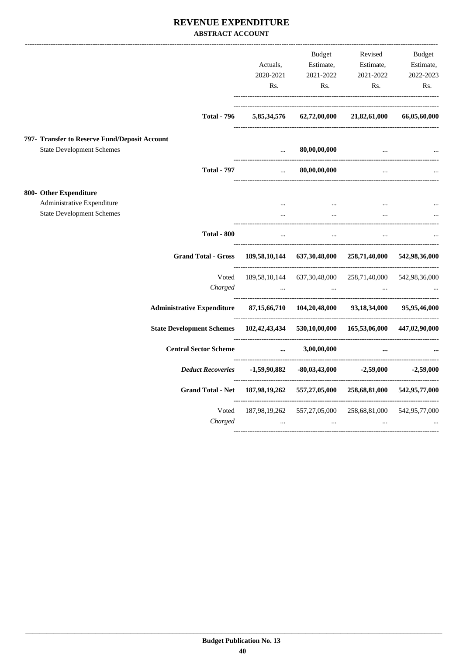#### REVENUE EXPENDITURE **ABSTRACT ACCOUNT**

|                                                                                          | Actuals,<br>2020-2021<br>Rs.                                                              | Budget<br>Estimate,<br>2021-2022<br>Rs.                              | Revised<br>Estimate,<br>2021-2022<br>Rs. | <b>Budget</b><br>Estimate,<br>2022-2023<br>Rs. |
|------------------------------------------------------------------------------------------|-------------------------------------------------------------------------------------------|----------------------------------------------------------------------|------------------------------------------|------------------------------------------------|
| <b>Total - 796</b>                                                                       | 5,85,34,576                                                                               | 62,72,00,000                                                         | 21,82,61,000                             | 66,05,60,000                                   |
| 797- Transfer to Reserve Fund/Deposit Account<br><b>State Development Schemes</b>        | $\mathbf{r}$ , $\mathbf{r}$ , $\mathbf{r}$                                                | 80,00,00,000                                                         | and the contract of the contract of the  |                                                |
| <b>Total - 797</b>                                                                       | $\mathbf{r}$                                                                              | 80,00,00,000                                                         | $\ddotsc$                                |                                                |
| 800- Other Expenditure<br>Administrative Expenditure<br><b>State Development Schemes</b> | $\ddotsc$<br>$\ddotsc$                                                                    | and the contract of the contract of<br>$\mathbf{L}$ and $\mathbf{L}$ | $\cdots$<br>$\cdots$                     |                                                |
| <b>Total - 800</b>                                                                       | $\ddotsc$                                                                                 | $\cdots$                                                             |                                          |                                                |
| Grand Total - Gross 189,58,10,144 637,30,48,000 258,71,40,000 542,98,36,000              |                                                                                           |                                                                      |                                          |                                                |
| Voted<br>Charged                                                                         | 189,58,10,144 637,30,48,000 258,71,40,000 542,98,36,000<br><b>Contract Contract State</b> |                                                                      | الساريات والمساريات                      |                                                |
| Administrative Expenditure 87,15,66,710 104,20,48,000 93,18,34,000                       |                                                                                           |                                                                      |                                          | 95,95,46,000                                   |
| State Development Schemes 102,42,43,434 530,10,00,000 165,53,06,000 447,02,90,000        |                                                                                           |                                                                      |                                          |                                                |
| <b>Central Sector Scheme</b>                                                             |                                                                                           | $\dots$ 3,00,00,000                                                  |                                          |                                                |
| Deduct Recoveries    4,59,90,882    480,03,43,000    4,59,000                            |                                                                                           |                                                                      |                                          | $-2,59,000$                                    |
| <b>Grand Total - Net</b>                                                                 | 187,98,19,262 557,27,05,000 258,68,81,000 542,95,77,000                                   |                                                                      |                                          |                                                |
| Voted<br>Charged                                                                         | $\cdots$                                                                                  | 187,98,19,262 557,27,05,000 258,68,81,000 542,95,77,000<br>$\cdots$  | $\cdots$                                 |                                                |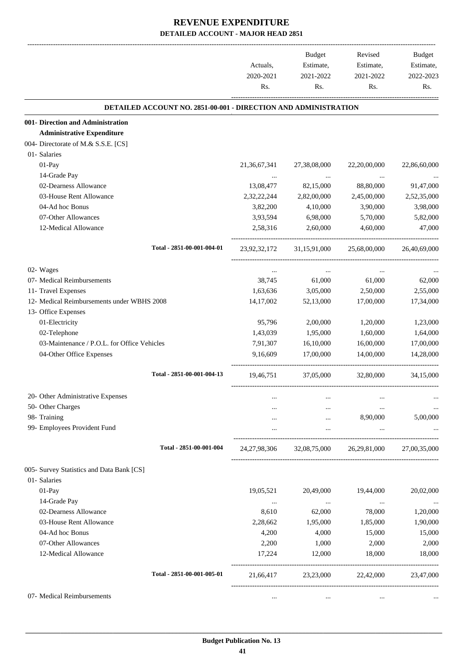|                                                                 | Actuals,<br>2020-2021<br>Rs. | <b>Budget</b><br>Estimate,<br>2021-2022<br>Rs. | Revised<br>Estimate,<br>2021-2022<br>Rs. | <b>Budget</b><br>Estimate,<br>2022-2023<br>Rs. |
|-----------------------------------------------------------------|------------------------------|------------------------------------------------|------------------------------------------|------------------------------------------------|
| DETAILED ACCOUNT NO. 2851-00-001 - DIRECTION AND ADMINISTRATION |                              |                                                |                                          |                                                |
| 001- Direction and Administration                               |                              |                                                |                                          |                                                |
| <b>Administrative Expenditure</b>                               |                              |                                                |                                          |                                                |
| 004- Directorate of M.& S.S.E. [CS]                             |                              |                                                |                                          |                                                |
| 01- Salaries                                                    |                              |                                                |                                          |                                                |
| 01-Pay                                                          | 21, 36, 67, 341              | 27,38,08,000                                   | 22,20,00,000                             | 22,86,60,000                                   |
| 14-Grade Pay                                                    | $\cdots$                     | $\ldots$                                       | $\ldots$                                 |                                                |
| 02-Dearness Allowance                                           | 13,08,477                    | 82,15,000                                      | 88,80,000                                | 91,47,000                                      |
| 03-House Rent Allowance                                         | 2,32,22,244                  | 2,82,00,000                                    | 2,45,00,000                              | 2,52,35,000                                    |
| 04-Ad hoc Bonus                                                 | 3,82,200                     | 4,10,000                                       | 3,90,000                                 | 3,98,000                                       |
| 07-Other Allowances                                             | 3,93,594                     | 6,98,000                                       | 5,70,000                                 | 5,82,000                                       |
| 12-Medical Allowance                                            | 2,58,316                     | 2,60,000                                       | 4,60,000                                 | 47,000                                         |
| Total - 2851-00-001-004-01                                      |                              | 23,92,32,172 31,15,91,000 25,68,00,000         |                                          | 26,40,69,000                                   |
| 02- Wages                                                       | $\cdots$                     | $\ldots$                                       | $\cdots$                                 |                                                |
| 07- Medical Reimbursements                                      | 38,745                       | 61,000                                         | 61,000                                   | 62,000                                         |
| 11- Travel Expenses                                             | 1,63,636                     | 3,05,000                                       | 2,50,000                                 | 2,55,000                                       |
| 12- Medical Reimbursements under WBHS 2008                      | 14,17,002                    | 52,13,000                                      | 17,00,000                                | 17,34,000                                      |
| 13- Office Expenses                                             |                              |                                                |                                          |                                                |
| 01-Electricity                                                  | 95,796                       | 2,00,000                                       | 1,20,000                                 | 1,23,000                                       |
| 02-Telephone                                                    | 1,43,039                     | 1,95,000                                       | 1,60,000                                 | 1,64,000                                       |
| 03-Maintenance / P.O.L. for Office Vehicles                     | 7,91,307                     | 16,10,000                                      | 16,00,000                                | 17,00,000                                      |
| 04-Other Office Expenses                                        | 9,16,609                     | 17,00,000                                      | 14,00,000                                | 14,28,000                                      |
| Total - 2851-00-001-004-13                                      | 19,46,751                    | 37,05,000                                      | 32,80,000                                | 34,15,000                                      |
| 20- Other Administrative Expenses                               |                              |                                                |                                          |                                                |
| 50- Other Charges                                               |                              |                                                |                                          |                                                |
| 98- Training                                                    |                              |                                                | $\cdots$<br>8,90,000                     | $\cdots$<br>5,00,000                           |
| 99- Employees Provident Fund                                    | $\cdots$                     | $\cdots$<br>$\cdots$                           | $\ddots$                                 | $\cdots$                                       |
| Total - 2851-00-001-004                                         | 24, 27, 98, 306              |                                                | 32,08,75,000 26,29,81,000                | 27,00,35,000                                   |
|                                                                 |                              |                                                |                                          |                                                |
| 005- Survey Statistics and Data Bank [CS]<br>01- Salaries       |                              |                                                |                                          |                                                |
| $01-Pay$                                                        | 19,05,521                    |                                                | 19,44,000                                |                                                |
|                                                                 |                              | 20,49,000                                      |                                          | 20,02,000                                      |
| 14-Grade Pay<br>02-Dearness Allowance                           | $\cdots$<br>8,610            | $\ldots$<br>62,000                             | $\cdots$<br>78,000                       | $\cdots$                                       |
| 03-House Rent Allowance                                         | 2,28,662                     | 1,95,000                                       | 1,85,000                                 | 1,20,000<br>1,90,000                           |
| 04-Ad hoc Bonus                                                 | 4,200                        | 4,000                                          | 15,000                                   | 15,000                                         |
| 07-Other Allowances                                             | 2,200                        | 1,000                                          | 2,000                                    | 2,000                                          |
|                                                                 |                              |                                                |                                          |                                                |
| 12-Medical Allowance                                            | 17,224                       | 12,000                                         | 18,000                                   | 18,000                                         |
| Total - 2851-00-001-005-01                                      |                              |                                                | 21,66,417 23,23,000 22,42,000 23,47,000  |                                                |
| 07- Medical Reimbursements                                      | $\cdots$                     | $\ldots$                                       | $\ldots$                                 |                                                |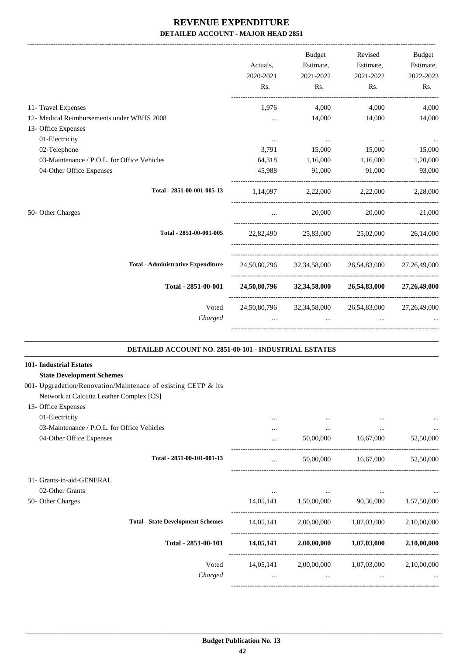-------------------------------------------------------------------------------------------------------------------------------------------------------------------------------

|                                             |              | <b>Budget</b>               | Revised                                             | Budget       |
|---------------------------------------------|--------------|-----------------------------|-----------------------------------------------------|--------------|
|                                             | Actuals,     | Estimate,                   | Estimate,                                           | Estimate,    |
|                                             | 2020-2021    | 2021-2022                   | 2021-2022                                           | 2022-2023    |
|                                             | Rs.          | Rs.                         | Rs.                                                 | Rs.          |
| 11- Travel Expenses                         | 1,976        | 4,000                       | 4,000                                               | 4,000        |
| 12- Medical Reimbursements under WBHS 2008  | $\cdots$     | 14,000                      | 14,000                                              | 14,000       |
| 13- Office Expenses                         |              |                             |                                                     |              |
| 01-Electricity                              | $\cdots$     | $\ldots$                    | $\cdots$                                            | $\cdots$     |
| 02-Telephone                                | 3,791        | 15,000                      | 15,000                                              | 15,000       |
| 03-Maintenance / P.O.L. for Office Vehicles | 64,318       | 1,16,000                    | 1,16,000                                            | 1,20,000     |
| 04-Other Office Expenses                    | 45,988       | 91,000                      | 91,000                                              | 93,000       |
| Total - 2851-00-001-005-13                  | 1,14,097     |                             | 2,22,000 2,22,000 2,28,000                          |              |
| 50- Other Charges                           |              | 20,000                      | 20,000                                              | 21,000       |
| Total - 2851-00-001-005                     | 22,82,490    |                             | 25.83.000 25.02.000 26.14.000                       |              |
| <b>Total - Administrative Expenditure</b>   |              |                             | 24,50,80,796 32,34,58,000 26,54,83,000 27,26,49,000 |              |
| Total - 2851-00-001                         |              |                             | 24,50,80,796 32,34,58,000 26,54,83,000 27,26,49,000 |              |
| Voted<br>Charged                            | 24,50,80,796 | 32, 34, 58, 000<br>$\cdots$ | 26,54,83,000<br>$\cdots$                            | 27,26,49,000 |
|                                             |              |                             |                                                     |              |

#### **DETAILED ACCOUNT NO. 2851-00-101 - INDUSTRIAL ESTATES .**

.

| <b>101- Industrial Estates</b>                                |           |                                                       |                         |             |
|---------------------------------------------------------------|-----------|-------------------------------------------------------|-------------------------|-------------|
| <b>State Development Schemes</b>                              |           |                                                       |                         |             |
| 001- Upgradation/Renovation/Maintenace of existing CETP & its |           |                                                       |                         |             |
| Network at Calcutta Leather Complex [CS]                      |           |                                                       |                         |             |
| 13- Office Expenses                                           |           |                                                       |                         |             |
| 01-Electricity                                                |           |                                                       |                         |             |
| 03-Maintenance / P.O.L. for Office Vehicles                   | $\cdots$  | $\cdots$                                              | $\cdots$                |             |
| 04-Other Office Expenses                                      | $\cdots$  | 50,00,000                                             | 16,67,000               | 52,50,000   |
| Total - 2851-00-101-001-13                                    | $\cdots$  | 50,00,000                                             | 16,67,000               | 52,50,000   |
| 31- Grants-in-aid-GENERAL                                     |           |                                                       |                         |             |
| 02-Other Grants                                               | $\cdots$  |                                                       |                         |             |
| 50- Other Charges                                             | 14,05,141 | 1,50,00,000                                           | 90,36,000               | 1,57,50,000 |
| <b>Total - State Development Schemes</b>                      |           | $14,05,141$ $2,00,00,000$ $1,07,03,000$ $2,10,00,000$ |                         |             |
| Total - 2851-00-101                                           | 14,05,141 | 2,00,00,000                                           | 1,07,03,000             | 2,10,00,000 |
| Voted                                                         | 14,05,141 |                                                       | 2,00,00,000 1,07,03,000 | 2,10,00,000 |
| Charged                                                       | $\cdots$  | $\cdots$                                              | $\cdots$                |             |
|                                                               |           |                                                       |                         |             |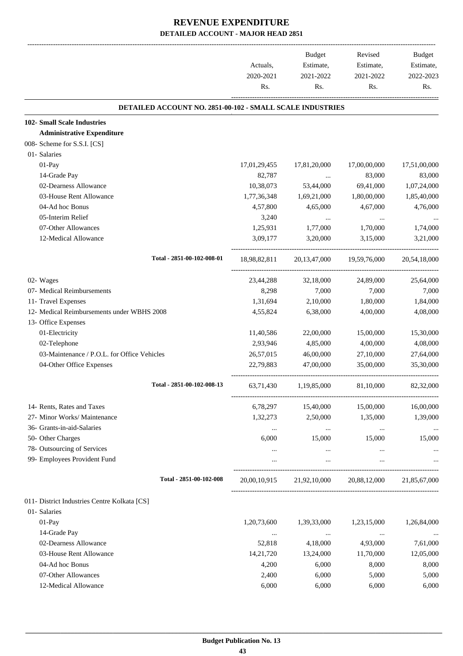|                                                           | Actuals,<br>2020-2021<br>Rs. | Budget<br>Estimate,<br>2021-2022<br>Rs. | Revised<br>Estimate,<br>2021-2022<br>Rs. | Budget<br>Estimate,<br>2022-2023<br>Rs. |
|-----------------------------------------------------------|------------------------------|-----------------------------------------|------------------------------------------|-----------------------------------------|
| DETAILED ACCOUNT NO. 2851-00-102 - SMALL SCALE INDUSTRIES |                              |                                         |                                          |                                         |
| <b>102- Small Scale Industries</b>                        |                              |                                         |                                          |                                         |
| <b>Administrative Expenditure</b>                         |                              |                                         |                                          |                                         |
| 008- Scheme for S.S.I. [CS]                               |                              |                                         |                                          |                                         |
| 01- Salaries                                              |                              |                                         |                                          |                                         |
| 01-Pay                                                    | 17,01,29,455                 | 17,81,20,000                            | 17,00,00,000                             | 17,51,00,000                            |
| 14-Grade Pay                                              | 82,787                       | $\ddots$                                | 83,000                                   | 83,000                                  |
| 02-Dearness Allowance                                     | 10,38,073                    | 53,44,000                               | 69,41,000                                | 1,07,24,000                             |
| 03-House Rent Allowance                                   | 1,77,36,348                  | 1,69,21,000                             | 1,80,00,000                              | 1,85,40,000                             |
| 04-Ad hoc Bonus                                           | 4,57,800                     | 4,65,000                                | 4,67,000                                 | 4,76,000                                |
| 05-Interim Relief                                         | 3,240                        | $\cdots$                                | $\cdots$                                 |                                         |
| 07-Other Allowances                                       | 1,25,931                     | 1,77,000                                | 1,70,000                                 | 1,74,000                                |
| 12-Medical Allowance                                      | 3,09,177                     | 3,20,000                                | 3,15,000                                 | 3,21,000                                |
| Total - 2851-00-102-008-01                                | 18,98,82,811                 | 20, 13, 47, 000                         | 19,59,76,000                             | 20,54,18,000                            |
| 02- Wages                                                 | 23,44,288                    | 32,18,000                               | 24,89,000                                | 25,64,000                               |
| 07- Medical Reimbursements                                | 8,298                        | 7,000                                   | 7,000                                    | 7,000                                   |
| 11- Travel Expenses                                       | 1,31,694                     | 2,10,000                                | 1,80,000                                 | 1,84,000                                |
| 12- Medical Reimbursements under WBHS 2008                | 4,55,824                     | 6,38,000                                | 4,00,000                                 | 4,08,000                                |
| 13- Office Expenses                                       |                              |                                         |                                          |                                         |
| 01-Electricity                                            | 11,40,586                    | 22,00,000                               | 15,00,000                                | 15,30,000                               |
| 02-Telephone                                              | 2,93,946                     | 4,85,000                                | 4,00,000                                 | 4,08,000                                |
| 03-Maintenance / P.O.L. for Office Vehicles               | 26,57,015                    | 46,00,000                               | 27,10,000                                | 27,64,000                               |
| 04-Other Office Expenses                                  | 22,79,883                    | 47,00,000                               | 35,00,000                                | 35,30,000                               |
| Total - 2851-00-102-008-13                                | 63,71,430                    | 1,19,85,000                             | 81,10,000                                | 82,32,000                               |
| 14- Rents, Rates and Taxes                                | 6,78,297                     | 15,40,000                               | 15,00,000                                | 16,00,000                               |
| 27- Minor Works/ Maintenance                              | 1,32,273                     | 2,50,000                                | 1,35,000                                 | 1,39,000                                |
| 36- Grants-in-aid-Salaries                                | $\cdots$                     | $\ldots$                                | $\cdots$                                 |                                         |
| 50- Other Charges                                         | 6,000                        | 15,000                                  | 15,000                                   | 15,000                                  |
| 78- Outsourcing of Services                               | $\cdots$                     |                                         | $\cdots$                                 |                                         |
| 99- Employees Provident Fund                              | $\cdots$                     | $\cdots$                                | $\cdots$                                 |                                         |
| Total - 2851-00-102-008                                   | 20,00,10,915                 |                                         | 21,92,10,000 20,88,12,000                | 21,85,67,000                            |
| 011- District Industries Centre Kolkata [CS]              |                              |                                         |                                          |                                         |
| 01- Salaries                                              |                              |                                         |                                          |                                         |
| 01-Pay                                                    | 1,20,73,600                  | 1,39,33,000                             | 1,23,15,000                              | 1,26,84,000                             |
| 14-Grade Pay                                              | $\cdots$                     | $\ldots$                                | $\cdots$                                 |                                         |
| 02-Dearness Allowance                                     | 52,818                       | 4,18,000                                | 4,93,000                                 | 7,61,000                                |
| 03-House Rent Allowance                                   | 14,21,720                    | 13,24,000                               | 11,70,000                                | 12,05,000                               |
| 04-Ad hoc Bonus                                           | 4,200                        | 6,000                                   | 8,000                                    | 8,000                                   |
| 07-Other Allowances                                       | 2,400                        | 6,000                                   | 5,000                                    | 5,000                                   |
| 12-Medical Allowance                                      | 6,000                        | 6,000                                   | 6,000                                    | 6,000                                   |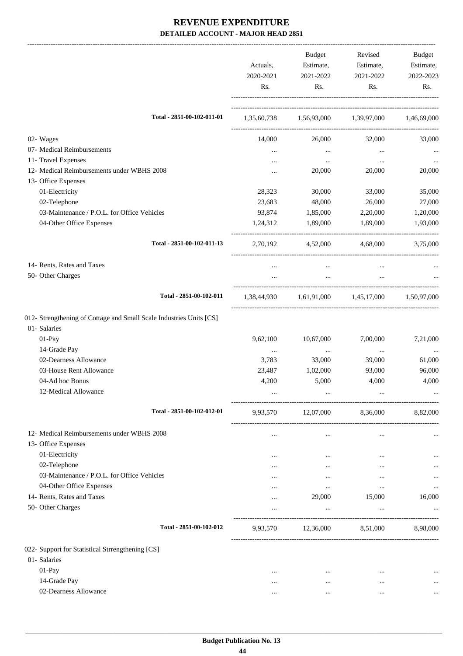|                                                                     |           | Budget             | Revised                                         | Budget    |
|---------------------------------------------------------------------|-----------|--------------------|-------------------------------------------------|-----------|
|                                                                     | Actuals,  | Estimate,          | Estimate,                                       | Estimate, |
|                                                                     | 2020-2021 | 2021-2022          | 2021-2022                                       | 2022-2023 |
|                                                                     | Rs.       | Rs.                | Rs.                                             | Rs.       |
|                                                                     |           |                    |                                                 |           |
| Total - 2851-00-102-011-01                                          |           |                    | 1,35,60,738 1,56,93,000 1,39,97,000 1,46,69,000 |           |
| 02- Wages                                                           | 14,000    | 26,000             | 32,000                                          | 33,000    |
| 07- Medical Reimbursements                                          | $\cdots$  | $\cdots$           | $\ldots$                                        |           |
| 11- Travel Expenses                                                 | $\cdots$  | $\cdots$           | $\cdots$                                        |           |
| 12- Medical Reimbursements under WBHS 2008                          | $\cdots$  | 20,000             | 20,000                                          | 20,000    |
| 13- Office Expenses                                                 |           |                    |                                                 |           |
| 01-Electricity                                                      | 28,323    | 30,000             | 33,000                                          | 35,000    |
| 02-Telephone                                                        | 23,683    | 48,000             | 26,000                                          | 27,000    |
| 03-Maintenance / P.O.L. for Office Vehicles                         | 93,874    | 1,85,000           | 2,20,000                                        | 1,20,000  |
| 04-Other Office Expenses                                            | 1,24,312  | 1,89,000           | 1,89,000                                        | 1,93,000  |
| Total - 2851-00-102-011-13                                          |           |                    | 2,70,192 4,52,000 4,68,000 3,75,000             |           |
| 14- Rents, Rates and Taxes                                          | $\cdots$  | $\cdots$           | $\cdots$                                        |           |
| 50- Other Charges                                                   | $\cdots$  | $\cdots$           | $\ldots$                                        |           |
| Total - 2851-00-102-011                                             |           |                    | 1,38,44,930 1,61,91,000 1,45,17,000 1,50,97,000 |           |
| 012- Strengthening of Cottage and Small Scale Industries Units [CS] |           |                    |                                                 |           |
| 01- Salaries                                                        |           |                    |                                                 |           |
| 01-Pay                                                              | 9,62,100  | 10,67,000          | 7,00,000                                        | 7,21,000  |
| 14-Grade Pay                                                        | $\cdots$  | $\cdots$           | $\cdots$                                        | $\cdots$  |
| 02-Dearness Allowance                                               | 3,783     | 33,000             | 39,000                                          | 61,000    |
| 03-House Rent Allowance                                             | 23,487    | 1,02,000           | 93,000                                          | 96,000    |
| 04-Ad hoc Bonus                                                     | 4,200     | 5,000              | 4,000                                           | 4,000     |
| 12-Medical Allowance                                                |           |                    |                                                 |           |
| Total - 2851-00-102-012-01                                          | 9,93,570  | 12,07,000 8,36,000 |                                                 | 8,82,000  |
| 12- Medical Reimbursements under WBHS 2008                          |           | $\cdots$           | $\cdots$                                        |           |
| 13- Office Expenses                                                 |           |                    |                                                 |           |
| 01-Electricity                                                      |           | $\cdots$           | $\cdots$                                        | $\cdots$  |
| 02-Telephone                                                        |           | $\cdots$           | $\cdots$                                        | $\cdots$  |
| 03-Maintenance / P.O.L. for Office Vehicles                         |           | $\cdots$           | $\cdots$                                        | $\cdots$  |
| 04-Other Office Expenses                                            |           | $\cdots$           | $\cdots$                                        | $\cdots$  |
| 14- Rents, Rates and Taxes                                          | $\cdots$  | 29,000             | 15,000                                          | 16,000    |
| 50- Other Charges                                                   | $\cdots$  | $\cdots$           | $\cdots$                                        |           |
| Total - 2851-00-102-012                                             | 9,93,570  |                    | 12,36,000 8,51,000                              | 8,98,000  |
| 022- Support for Statistical Strrengthening [CS]                    |           |                    |                                                 |           |
| 01- Salaries                                                        |           |                    |                                                 |           |
| 01-Pay                                                              | $\cdots$  | $\cdots$           | $\cdots$                                        |           |
| 14-Grade Pay                                                        | $\cdots$  | $\cdots$           | $\cdots$                                        |           |
| 02-Dearness Allowance                                               | $\cdots$  | $\ldots$           | $\ldots$                                        | $\cdots$  |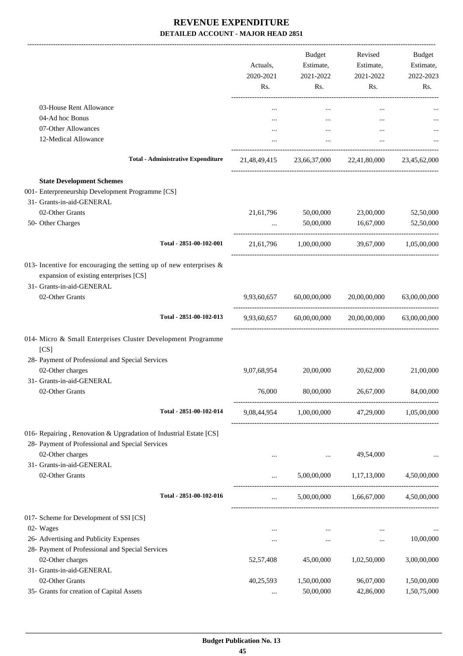|                                                                       | Actuals,<br>2020-2021<br>Rs. | Budget<br>Estimate,<br>2021-2022 | Revised<br>Estimate,<br>2021-2022                   | Budget<br>Estimate,<br>2022-2023 |  |  |     |     |
|-----------------------------------------------------------------------|------------------------------|----------------------------------|-----------------------------------------------------|----------------------------------|--|--|-----|-----|
|                                                                       |                              |                                  |                                                     |                                  |  |  | Rs. | Rs. |
| 03-House Rent Allowance                                               |                              | $\cdots$                         | $\cdots$                                            |                                  |  |  |     |     |
| 04-Ad hoc Bonus                                                       |                              |                                  |                                                     |                                  |  |  |     |     |
| 07-Other Allowances                                                   |                              | $\cdots$                         | $\cdots$                                            |                                  |  |  |     |     |
| 12-Medical Allowance                                                  |                              | $\cdots$                         | $\cdots$                                            |                                  |  |  |     |     |
| <b>Total - Administrative Expenditure</b>                             |                              |                                  | 21,48,49,415 23,66,37,000 22,41,80,000 23,45,62,000 |                                  |  |  |     |     |
| <b>State Development Schemes</b>                                      |                              |                                  |                                                     |                                  |  |  |     |     |
| 001- Enterpreneurship Development Programme [CS]                      |                              |                                  |                                                     |                                  |  |  |     |     |
| 31- Grants-in-aid-GENERAL                                             |                              |                                  |                                                     |                                  |  |  |     |     |
| 02-Other Grants                                                       | 21,61,796                    | 50,00,000                        | 23,00,000                                           | 52,50,000                        |  |  |     |     |
| 50- Other Charges                                                     |                              | 50,00,000                        | 16,67,000                                           | 52,50,000                        |  |  |     |     |
| Total - 2851-00-102-001                                               |                              |                                  | 21,61,796 1,00,00,000 39,67,000 1,05,00,000         |                                  |  |  |     |     |
| 013- Incentive for encouraging the setting up of new enterprises $\&$ |                              |                                  |                                                     |                                  |  |  |     |     |
| expansion of existing enterprises [CS]                                |                              |                                  |                                                     |                                  |  |  |     |     |
| 31- Grants-in-aid-GENERAL                                             |                              |                                  |                                                     |                                  |  |  |     |     |
| 02-Other Grants                                                       | 9,93,60,657                  | 60,00,00,000                     | 20,00,00,000                                        | 63,00,00,000                     |  |  |     |     |
| Total - 2851-00-102-013                                               |                              |                                  | 9,93,60,657 60,00,00,000 20,00,00,000               | 63,00,00,000                     |  |  |     |     |
| 014- Micro & Small Enterprises Cluster Development Programme          |                              |                                  |                                                     |                                  |  |  |     |     |
| [CS]                                                                  |                              |                                  |                                                     |                                  |  |  |     |     |
| 28- Payment of Professional and Special Services<br>02-Other charges  |                              |                                  |                                                     |                                  |  |  |     |     |
| 31- Grants-in-aid-GENERAL                                             | 9,07,68,954                  | 20,00,000                        | 20,62,000                                           | 21,00,000                        |  |  |     |     |
|                                                                       |                              |                                  |                                                     |                                  |  |  |     |     |
| 02-Other Grants                                                       | 76,000                       | 80,00,000                        | 26,67,000                                           | 84,00,000                        |  |  |     |     |
| Total - 2851-00-102-014                                               |                              |                                  | 9,08,44,954 1,00,00,000 47,29,000 1,05,00,000       |                                  |  |  |     |     |
| 016- Repairing, Renovation & Upgradation of Industrial Estate [CS]    |                              |                                  |                                                     |                                  |  |  |     |     |
| 28- Payment of Professional and Special Services                      |                              |                                  |                                                     |                                  |  |  |     |     |
| 02-Other charges                                                      | $\cdots$                     | $\cdots$                         | 49,54,000                                           |                                  |  |  |     |     |
| 31- Grants-in-aid-GENERAL                                             |                              |                                  |                                                     |                                  |  |  |     |     |
| 02-Other Grants                                                       | $\cdots$                     | 5,00,00,000                      | 1,17,13,000                                         | 4,50,00,000                      |  |  |     |     |
| Total - 2851-00-102-016                                               | $\cdots$                     |                                  | 5,00,00,000   1,66,67,000   4,50,00,000             |                                  |  |  |     |     |
| 017- Scheme for Development of SSI [CS]                               |                              |                                  |                                                     |                                  |  |  |     |     |
| 02- Wages                                                             | $\cdots$                     | $\cdots$                         | $\cdots$                                            | $\cdots$                         |  |  |     |     |
| 26- Advertising and Publicity Expenses                                | $\cdots$                     | $\ldots$                         | $\cdots$                                            | 10,00,000                        |  |  |     |     |
| 28- Payment of Professional and Special Services                      |                              |                                  |                                                     |                                  |  |  |     |     |
| 02-Other charges                                                      | 52,57,408                    | 45,00,000                        | 1,02,50,000                                         | 3,00,00,000                      |  |  |     |     |
| 31- Grants-in-aid-GENERAL                                             |                              |                                  |                                                     |                                  |  |  |     |     |
| 02-Other Grants                                                       | 40,25,593                    | 1,50,00,000                      | 96,07,000                                           | 1,50,00,000                      |  |  |     |     |
| 35- Grants for creation of Capital Assets                             | $\cdots$                     | 50,00,000                        | 42,86,000                                           | 1,50,75,000                      |  |  |     |     |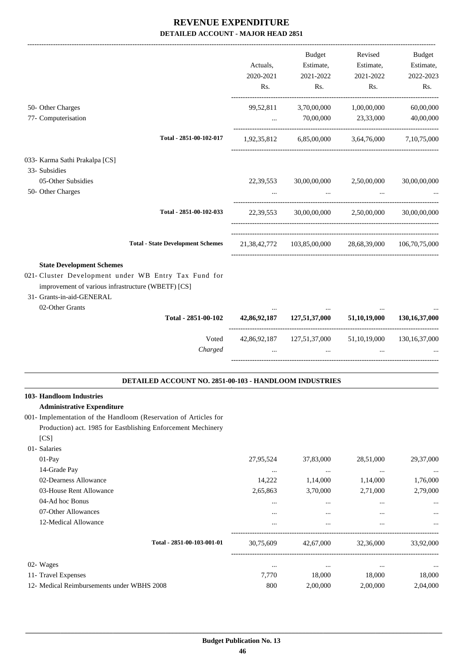|                                                                                                                                         |           | Budget                                                   | Revised                                            | Budget           |
|-----------------------------------------------------------------------------------------------------------------------------------------|-----------|----------------------------------------------------------|----------------------------------------------------|------------------|
|                                                                                                                                         | Actuals,  | Estimate,                                                | Estimate,                                          | Estimate,        |
|                                                                                                                                         | 2020-2021 | 2021-2022                                                | 2021-2022                                          | 2022-2023        |
|                                                                                                                                         | Rs.       | Rs.                                                      | Rs.                                                | Rs.              |
| 50- Other Charges                                                                                                                       | 99,52,811 | 3,70,00,000                                              | 1,00,00,000                                        | 60,00,000        |
| 77- Computerisation                                                                                                                     | $\cdots$  | 70,00,000                                                | 23,33,000                                          | 40,00,000        |
| Total - 2851-00-102-017                                                                                                                 |           | 1,92,35,812 6,85,00,000 3,64,76,000                      |                                                    | 7,10,75,000      |
| 033- Karma Sathi Prakalpa [CS]                                                                                                          |           |                                                          |                                                    |                  |
| 33- Subsidies                                                                                                                           |           |                                                          |                                                    |                  |
| 05-Other Subsidies                                                                                                                      | 22,39,553 | 30,00,00,000                                             | 2,50,00,000                                        | 30,00,00,000     |
| 50- Other Charges                                                                                                                       |           |                                                          |                                                    |                  |
| Total - 2851-00-102-033                                                                                                                 |           | 22,39,553 30,00,00,000 2,50,00,000                       |                                                    | 30,00,00,000     |
| <b>Total - State Development Schemes</b>                                                                                                |           | 21,38,42,772  103,85,00,000  28,68,39,000  106,70,75,000 |                                                    |                  |
| <b>State Development Schemes</b>                                                                                                        |           |                                                          |                                                    |                  |
| 021- Cluster Development under WB Entry Tax Fund for<br>improvement of various infrastructure (WBETF) [CS]<br>31- Grants-in-aid-GENERAL |           |                                                          |                                                    |                  |
| 02-Other Grants<br>Total - 2851-00-102                                                                                                  |           | 42,86,92,187 127,51,37,000                               | 51,10,19,000                                       | 130, 16, 37, 000 |
| Voted                                                                                                                                   |           |                                                          |                                                    |                  |
| Charged                                                                                                                                 |           | 42,86,92,187 127,51,37,000 51,10,19,000                  |                                                    | 130, 16, 37, 000 |
| DETAILED ACCOUNT NO. 2851-00-103 - HANDLOOM INDUSTRIES                                                                                  |           |                                                          |                                                    |                  |
| 103- Handloom Industries<br><b>Administrative Expenditure</b>                                                                           |           |                                                          |                                                    |                  |
| 001- Implementation of the Handloom (Reservation of Articles for                                                                        |           |                                                          |                                                    |                  |
| Production) act. 1985 for Eastblishing Enforcement Mechinery                                                                            |           |                                                          |                                                    |                  |
| [CS]                                                                                                                                    |           |                                                          |                                                    |                  |
| 01- Salaries                                                                                                                            |           |                                                          |                                                    |                  |
| 01-Pay                                                                                                                                  | 27,95,524 | 37,83,000                                                | 28,51,000                                          | 29,37,000        |
| 14-Grade Pay                                                                                                                            | $\ldots$  | $\ldots$                                                 | $\ldots$                                           |                  |
| 02-Dearness Allowance                                                                                                                   | 14,222    | 1,14,000                                                 | 1,14,000                                           | 1,76,000         |
| 03-House Rent Allowance                                                                                                                 | 2,65,863  | 3,70,000                                                 | 2,71,000                                           | 2,79,000         |
| 04-Ad hoc Bonus                                                                                                                         |           | $\cdots$                                                 | $\cdots$                                           |                  |
| 07-Other Allowances                                                                                                                     | $\cdots$  | $\cdots$                                                 | $\ddotsc$                                          | $\cdots$         |
| 12-Medical Allowance                                                                                                                    |           | $\cdots$                                                 | $\cdots$<br>-------------------------------------- |                  |
| Total - 2851-00-103-001-01                                                                                                              | 30,75,609 | 42,67,000                                                | 32,36,000                                          | 33,92,000        |
| 02- Wages                                                                                                                               | $\ldots$  | $\ldots$                                                 | $\cdots$                                           |                  |
| 11- Travel Expenses                                                                                                                     | 7,770     | 18,000                                                   | 18,000                                             | 18,000           |

12- Medical Reimbursements under WBHS 2008 800 2,00,000 2,00,000 2,04,000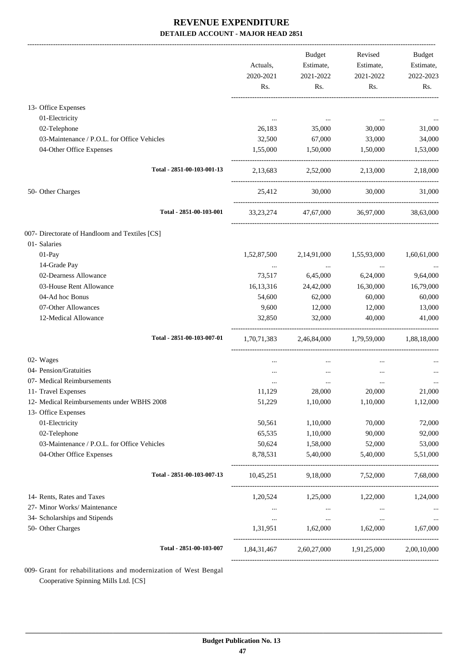|                                                | Actuals,<br>2020-2021<br>Rs. | Budget<br>Estimate,<br>2021-2022<br>Rs.         | Revised<br>Estimate,<br>2021-2022<br>Rs. | Budget<br>Estimate,<br>2022-2023<br>Rs. |
|------------------------------------------------|------------------------------|-------------------------------------------------|------------------------------------------|-----------------------------------------|
| 13- Office Expenses                            |                              |                                                 |                                          |                                         |
| 01-Electricity                                 |                              |                                                 |                                          |                                         |
| 02-Telephone                                   | 26,183                       | $\sim$ 0.000 $\mu$<br>35,000                    | 30,000                                   | 31,000                                  |
| 03-Maintenance / P.O.L. for Office Vehicles    | 32,500                       | 67,000                                          | 33,000                                   | 34,000                                  |
| 04-Other Office Expenses                       | 1,55,000                     | 1,50,000                                        | 1,50,000                                 | 1,53,000                                |
| Total - 2851-00-103-001-13                     |                              | 2,13,683 2,52,000 2,13,000                      |                                          | 2,18,000                                |
| 50- Other Charges                              | 25,412                       | 30,000                                          | 30,000                                   | 31,000                                  |
| Total - 2851-00-103-001                        |                              | 33,23,274 47,67,000 36,97,000                   |                                          | 38,63,000                               |
| 007- Directorate of Handloom and Textiles [CS] |                              |                                                 |                                          |                                         |
| 01- Salaries                                   |                              |                                                 |                                          |                                         |
| 01-Pay                                         | 1,52,87,500                  | 2,14,91,000                                     | 1,55,93,000                              | 1,60,61,000                             |
| 14-Grade Pay                                   | $\cdots$                     | $\ldots$                                        | $\ldots$                                 | $\cdots$                                |
| 02-Dearness Allowance                          | 73,517                       | 6,45,000                                        | 6,24,000                                 | 9,64,000                                |
| 03-House Rent Allowance                        | 16, 13, 316                  | 24,42,000                                       | 16,30,000                                | 16,79,000                               |
| 04-Ad hoc Bonus                                | 54,600                       | 62,000                                          | 60,000                                   | 60,000                                  |
| 07-Other Allowances                            | 9,600                        | 12,000                                          | 12,000                                   | 13,000                                  |
| 12-Medical Allowance                           | 32,850                       | 32,000                                          | 40,000                                   | 41,000                                  |
| Total - 2851-00-103-007-01                     |                              | 1,70,71,383 2,46,84,000 1,79,59,000 1,88,18,000 |                                          |                                         |
| 02- Wages                                      |                              | $\cdots$                                        | $\cdots$                                 |                                         |
| 04- Pension/Gratuities                         |                              |                                                 |                                          |                                         |
| 07- Medical Reimbursements                     |                              | $\cdots$                                        | $\cdots$                                 |                                         |
| 11- Travel Expenses                            | 11,129                       | 28,000                                          | 20,000                                   | 21,000                                  |
| 12- Medical Reimbursements under WBHS 2008     | 51,229                       | 1,10,000                                        | 1,10,000                                 | 1,12,000                                |
| 13- Office Expenses                            |                              |                                                 |                                          |                                         |
| 01-Electricity                                 | 50,561                       | 1,10,000                                        | 70,000                                   | 72,000                                  |
| 02-Telephone                                   | 65,535                       | 1,10,000                                        | 90,000                                   | 92,000                                  |
| 03-Maintenance / P.O.L. for Office Vehicles    | 50,624                       | 1,58,000                                        | 52,000                                   | 53,000                                  |
| 04-Other Office Expenses                       | 8,78,531                     | 5,40,000                                        | 5,40,000                                 | 5,51,000                                |
| Total - 2851-00-103-007-13                     |                              | 10,45,251 9,18,000 7,52,000                     |                                          | 7,68,000                                |
| 14- Rents, Rates and Taxes                     | 1,20,524                     | 1,25,000                                        | 1,22,000                                 | 1,24,000                                |
| 27- Minor Works/ Maintenance                   | $\cdots$                     | $\ldots$                                        | $\cdots$                                 |                                         |
| 34- Scholarships and Stipends                  | $\cdots$                     | $\ldots$                                        | $\ldots$                                 | $\cdots$                                |
| 50- Other Charges                              | 1,31,951                     | 1,62,000                                        | 1,62,000                                 | 1,67,000                                |
| Total - 2851-00-103-007                        | 1,84,31,467                  |                                                 | 2,60,27,000 1,91,25,000                  | 2,00,10,000                             |

009- Grant for rehabilitations and modernization of West Bengal Cooperative Spinning Mills Ltd. [CS]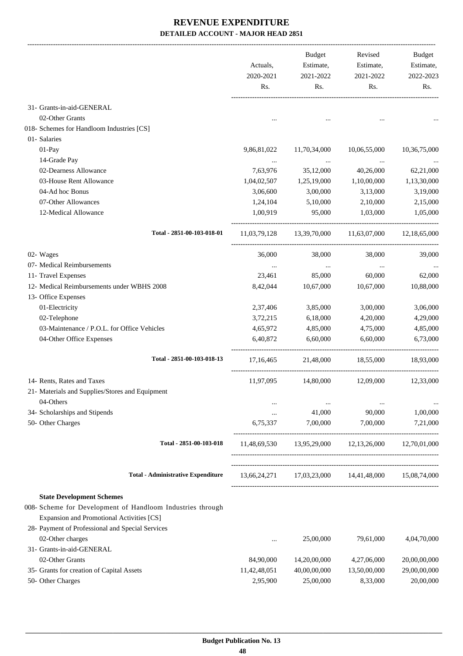|                                                                                                         |                  | Budget           | Revised                                             | Budget           |
|---------------------------------------------------------------------------------------------------------|------------------|------------------|-----------------------------------------------------|------------------|
|                                                                                                         | Actuals,         | Estimate,        | Estimate,                                           | Estimate,        |
|                                                                                                         | 2020-2021<br>Rs. | 2021-2022<br>Rs. | 2021-2022<br>Rs.                                    | 2022-2023<br>Rs. |
|                                                                                                         |                  |                  |                                                     |                  |
| 31- Grants-in-aid-GENERAL                                                                               |                  |                  |                                                     |                  |
| 02-Other Grants                                                                                         |                  |                  |                                                     |                  |
| 018- Schemes for Handloom Industries [CS]                                                               |                  |                  |                                                     |                  |
| 01- Salaries                                                                                            |                  |                  |                                                     |                  |
| 01-Pay                                                                                                  | 9,86,81,022      | 11,70,34,000     | 10,06,55,000                                        | 10,36,75,000     |
| 14-Grade Pay                                                                                            |                  | $\cdots$         |                                                     |                  |
| 02-Dearness Allowance                                                                                   | 7,63,976         | 35,12,000        | 40,26,000                                           | 62,21,000        |
| 03-House Rent Allowance                                                                                 | 1,04,02,507      | 1,25,19,000      | 1,10,00,000                                         | 1,13,30,000      |
| 04-Ad hoc Bonus                                                                                         | 3,06,600         | 3,00,000         | 3,13,000                                            | 3,19,000         |
| 07-Other Allowances                                                                                     | 1,24,104         | 5,10,000         | 2,10,000                                            | 2,15,000         |
| 12-Medical Allowance                                                                                    | 1,00,919         | 95,000           | 1,03,000                                            | 1,05,000         |
| Total - 2851-00-103-018-01                                                                              |                  |                  | 11,03,79,128 13,39,70,000 11,63,07,000              | 12,18,65,000     |
| 02- Wages                                                                                               | 36,000           | 38,000           | 38,000                                              | 39,000           |
| 07- Medical Reimbursements                                                                              | $\cdots$         | $\cdots$         | $\cdots$                                            |                  |
| 11- Travel Expenses                                                                                     | 23,461           | 85,000           | 60,000                                              | 62,000           |
| 12- Medical Reimbursements under WBHS 2008                                                              | 8,42,044         | 10,67,000        | 10,67,000                                           | 10,88,000        |
| 13- Office Expenses                                                                                     |                  |                  |                                                     |                  |
| 01-Electricity                                                                                          | 2,37,406         | 3,85,000         | 3,00,000                                            | 3,06,000         |
| 02-Telephone                                                                                            | 3,72,215         | 6,18,000         | 4,20,000                                            | 4,29,000         |
| 03-Maintenance / P.O.L. for Office Vehicles                                                             | 4,65,972         | 4,85,000         | 4,75,000                                            | 4,85,000         |
| 04-Other Office Expenses                                                                                | 6,40,872         | 6,60,000         | 6,60,000                                            | 6,73,000         |
| Total - 2851-00-103-018-13                                                                              | 17, 16, 465      | 21,48,000        | 18,55,000                                           | 18,93,000        |
| 14- Rents, Rates and Taxes                                                                              | 11,97,095        | 14,80,000        | 12,09,000                                           | 12,33,000        |
|                                                                                                         |                  |                  |                                                     |                  |
| 21- Materials and Supplies/Stores and Equipment<br>04-Others                                            |                  |                  |                                                     |                  |
|                                                                                                         |                  |                  |                                                     |                  |
| 34- Scholarships and Stipends                                                                           |                  | 41,000           | 90,000                                              | 1,00,000         |
| 50- Other Charges                                                                                       | 6,75,337         | 7,00,000         | 7,00,000                                            | 7,21,000         |
| Total - 2851-00-103-018                                                                                 |                  |                  | 11,48,69,530 13,95,29,000 12,13,26,000 12,70,01,000 |                  |
| <b>Total - Administrative Expenditure</b>                                                               |                  |                  | 13,66,24,271 17,03,23,000 14,41,48,000              | 15,08,74,000     |
|                                                                                                         |                  |                  |                                                     |                  |
| <b>State Development Schemes</b>                                                                        |                  |                  |                                                     |                  |
| 008- Scheme for Development of Handloom Industries through<br>Expansion and Promotional Activities [CS] |                  |                  |                                                     |                  |
| 28- Payment of Professional and Special Services                                                        |                  |                  |                                                     |                  |
| 02-Other charges                                                                                        |                  | 25,00,000        | 79,61,000                                           | 4,04,70,000      |
| 31- Grants-in-aid-GENERAL                                                                               |                  |                  |                                                     |                  |
| 02-Other Grants                                                                                         | 84,90,000        | 14,20,00,000     | 4,27,06,000                                         | 20,00,00,000     |
| 35- Grants for creation of Capital Assets                                                               | 11,42,48,051     | 40,00,00,000     | 13,50,00,000                                        | 29,00,00,000     |
| 50- Other Charges                                                                                       | 2,95,900         | 25,00,000        | 8,33,000                                            | 20,00,000        |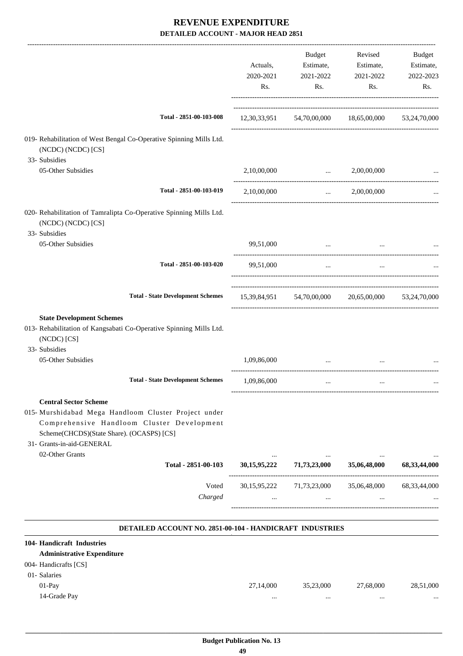|                                                                                                                                                                                                                                 | Actuals,         | Budget<br>Estimate,                                 | Revised<br>Estimate, | Budget<br>Estimate, |
|---------------------------------------------------------------------------------------------------------------------------------------------------------------------------------------------------------------------------------|------------------|-----------------------------------------------------|----------------------|---------------------|
|                                                                                                                                                                                                                                 | 2020-2021<br>Rs. | 2021-2022<br>Rs.                                    | 2021-2022<br>Rs.     | 2022-2023<br>Rs.    |
| Total - 2851-00-103-008                                                                                                                                                                                                         |                  | 12,30,33,951 54,70,00,000 18,65,00,000 53,24,70,000 |                      |                     |
| 019- Rehabilitation of West Bengal Co-Operative Spinning Mills Ltd.<br>(NCDC) (NCDC) [CS]                                                                                                                                       |                  |                                                     |                      |                     |
| 33- Subsidies<br>05-Other Subsidies                                                                                                                                                                                             | 2,10,00,000      | and the company of the company                      | 2,00,00,000          |                     |
|                                                                                                                                                                                                                                 |                  |                                                     |                      |                     |
| Total - 2851-00-103-019                                                                                                                                                                                                         | 2,10,00,000      | $\mathbf{1}$ and $\mathbf{1}$ and $\mathbf{1}$      | 2,00,00,000          |                     |
| 020- Rehabilitation of Tamralipta Co-Operative Spinning Mills Ltd.<br>(NCDC) (NCDC) [CS]<br>33- Subsidies                                                                                                                       |                  |                                                     |                      |                     |
| 05-Other Subsidies                                                                                                                                                                                                              | 99,51,000        | $\ddots$                                            |                      |                     |
| Total - 2851-00-103-020                                                                                                                                                                                                         | 99,51,000        | $\cdots$                                            | $\ldots$             |                     |
| <b>Total - State Development Schemes</b>                                                                                                                                                                                        |                  | 15,39,84,951 54,70,00,000 20,65,00,000              |                      | 53,24,70,000        |
| <b>State Development Schemes</b><br>013- Rehabilitation of Kangsabati Co-Operative Spinning Mills Ltd.<br>(NCDC) [CS]<br>33- Subsidies                                                                                          |                  |                                                     |                      |                     |
| 05-Other Subsidies                                                                                                                                                                                                              | 1,09,86,000      | $\ddotsc$                                           |                      |                     |
| <b>Total - State Development Schemes</b>                                                                                                                                                                                        | 1,09,86,000      | $\cdots$                                            | $\cdots$             |                     |
| <b>Central Sector Scheme</b><br>015- Murshidabad Mega Handloom Cluster Project under<br>Comprehensive Handloom Cluster Development<br>Scheme(CHCDS)(State Share). (OCASPS) [CS]<br>31- Grants-in-aid-GENERAL<br>02-Other Grants |                  |                                                     |                      |                     |
| Total - 2851-00-103                                                                                                                                                                                                             | 30, 15, 95, 222  | 71,73,23,000                                        | 35,06,48,000         | 68, 33, 44, 000     |
| Voted<br>Charged                                                                                                                                                                                                                | $\cdots$         | 30,15,95,222 71,73,23,000<br>$\cdots$               | 35,06,48,000         | 68, 33, 44, 000     |
| DETAILED ACCOUNT NO. 2851-00-104 - HANDICRAFT INDUSTRIES                                                                                                                                                                        |                  |                                                     |                      |                     |
| 104- Handicraft Industries<br><b>Administrative Expenditure</b><br>004- Handicrafts [CS]<br>01- Salaries                                                                                                                        |                  |                                                     |                      |                     |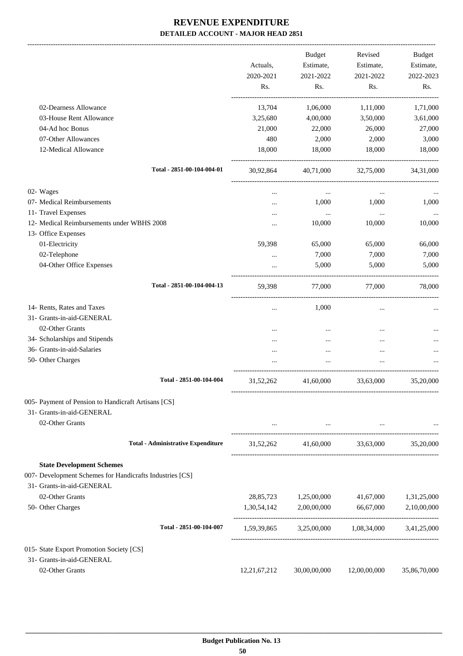-------------------------------------------------------------------------------------------------------------------------------------------------------------------------------

|                                                          | Actuals,<br>2020-2021 | <b>Budget</b><br>Estimate,<br>2021-2022             | Revised<br>Estimate,<br>2021-2022 | <b>Budget</b><br>Estimate,<br>2022-2023 |
|----------------------------------------------------------|-----------------------|-----------------------------------------------------|-----------------------------------|-----------------------------------------|
|                                                          | Rs.                   | Rs.                                                 | Rs.                               | Rs.                                     |
| 02-Dearness Allowance                                    | 13,704                | 1,06,000                                            | 1,11,000                          | 1,71,000                                |
| 03-House Rent Allowance                                  | 3,25,680              | 4,00,000                                            | 3,50,000                          | 3,61,000                                |
| 04-Ad hoc Bonus                                          | 21,000                | 22,000                                              | 26,000                            | 27,000                                  |
| 07-Other Allowances                                      | 480                   | 2,000                                               | 2,000                             | 3,000                                   |
| 12-Medical Allowance                                     | 18,000                | 18,000                                              | 18,000                            | 18,000                                  |
| Total - 2851-00-104-004-01                               | 30,92,864             | 40,71,000                                           | 32,75,000                         | 34,31,000                               |
| 02- Wages                                                |                       | $\cdots$                                            |                                   |                                         |
| 07- Medical Reimbursements                               |                       | 1,000                                               | 1,000                             | 1,000                                   |
| 11- Travel Expenses                                      |                       | $\cdots$                                            | $\ldots$                          |                                         |
| 12- Medical Reimbursements under WBHS 2008               |                       | 10,000                                              | 10,000                            | 10,000                                  |
| 13- Office Expenses                                      |                       |                                                     |                                   |                                         |
| 01-Electricity                                           | 59,398                | 65,000                                              | 65,000                            | 66,000                                  |
| 02-Telephone                                             |                       | 7,000                                               | 7,000                             | 7,000                                   |
| 04-Other Office Expenses                                 |                       | 5,000                                               | 5,000                             | 5,000                                   |
| Total - 2851-00-104-004-13                               | 59,398                | 77,000                                              | 77,000                            | 78,000                                  |
| 14- Rents, Rates and Taxes                               |                       | 1,000                                               | $\cdots$                          |                                         |
| 31- Grants-in-aid-GENERAL                                |                       |                                                     |                                   |                                         |
| 02-Other Grants                                          |                       |                                                     |                                   |                                         |
| 34- Scholarships and Stipends                            | .                     |                                                     |                                   |                                         |
| 36- Grants-in-aid-Salaries                               |                       |                                                     |                                   |                                         |
| 50- Other Charges                                        |                       |                                                     |                                   |                                         |
| Total - 2851-00-104-004                                  | 31,52,262             | 41,60,000                                           | 33,63,000                         | 35,20,000                               |
| 005- Payment of Pension to Handicraft Artisans [CS]      |                       |                                                     |                                   |                                         |
| 31- Grants-in-aid-GENERAL                                |                       |                                                     |                                   |                                         |
| 02-Other Grants                                          |                       | the contract of the contract of the contract of the |                                   |                                         |
| <b>Total - Administrative Expenditure</b>                | 31,52,262             |                                                     | 41,60,000 33,63,000               | 35,20,000                               |
| <b>State Development Schemes</b>                         |                       |                                                     |                                   |                                         |
| 007- Development Schemes for Handicrafts Industries [CS] |                       |                                                     |                                   |                                         |
| 31- Grants-in-aid-GENERAL                                |                       |                                                     |                                   |                                         |
| 02-Other Grants                                          |                       | 28,85,723 1,25,00,000                               | 41,67,000                         | 1,31,25,000                             |
| 50- Other Charges                                        |                       | 1,30,54,142 2,00,00,000                             | 66,67,000                         | 2,10,00,000                             |
| Total - 2851-00-104-007                                  | 1,59,39,865           |                                                     | 3,25,00,000 1,08,34,000           | 3,41,25,000                             |
| 015- State Export Promotion Society [CS]                 |                       |                                                     |                                   |                                         |
| 31- Grants-in-aid-GENERAL                                |                       |                                                     |                                   |                                         |
| 02-Other Grants                                          | 12, 21, 67, 212       | 30,00,00,000                                        | 12,00,00,000                      | 35,86,70,000                            |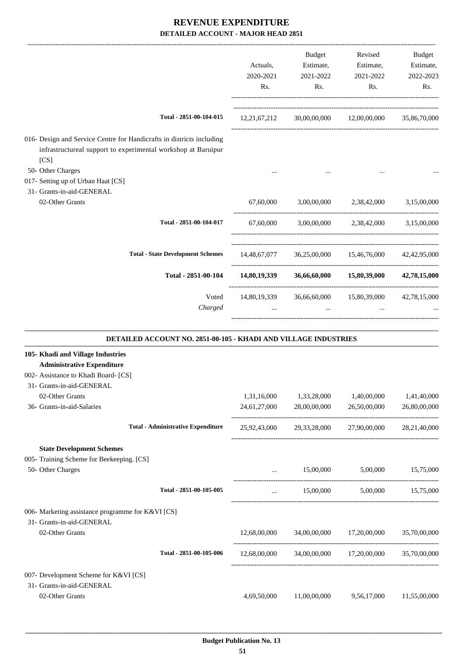|                                                                                                                                                                                              | Actuals,<br>2020-2021<br>Rs. | Budget<br>Estimate,<br>2021-2022<br>Rs. | Revised<br>Estimate,<br>2021-2022<br>Rs.            | Budget<br>Estimate,<br>2022-2023<br>Rs. |
|----------------------------------------------------------------------------------------------------------------------------------------------------------------------------------------------|------------------------------|-----------------------------------------|-----------------------------------------------------|-----------------------------------------|
| Total - 2851-00-104-015                                                                                                                                                                      |                              |                                         | 12,21,67,212 30,00,00,000 12,00,00,000 35,86,70,000 |                                         |
| 016- Design and Service Centre for Handicrafts in districts including<br>infrastructureal support to experimental workshop at Baruipur<br>[CS]                                               |                              |                                         |                                                     |                                         |
| 50- Other Charges<br>017- Setting up of Urban Haat [CS]<br>31- Grants-in-aid-GENERAL                                                                                                         |                              |                                         |                                                     |                                         |
| 02-Other Grants                                                                                                                                                                              |                              |                                         | 67,60,000 3,00,00,000 2,38,42,000 3,15,00,000       |                                         |
| Total - 2851-00-104-017                                                                                                                                                                      |                              |                                         | 67,60,000 3,00,00,000 2,38,42,000 3,15,00,000       |                                         |
| <b>Total - State Development Schemes</b>                                                                                                                                                     |                              |                                         | 14,48,67,077 36,25,00,000 15,46,76,000 42,42,95,000 |                                         |
| Total - 2851-00-104                                                                                                                                                                          |                              |                                         | 14,80,19,339 36,66,60,000 15,80,39,000 42,78,15,000 |                                         |
| Voted<br>Charged                                                                                                                                                                             |                              | $\cdots$                                |                                                     | 42,78,15,000                            |
| <b>DETAILED ACCOUNT NO. 2851-00-105 - KHADI AND VILLAGE INDUSTRIES</b>                                                                                                                       |                              |                                         |                                                     |                                         |
| 105- Khadi and Village Industries<br><b>Administrative Expenditure</b><br>002- Assistance to Khadi Board- [CS]<br>31- Grants-in-aid-GENERAL<br>02-Other Grants<br>36- Grants-in-aid-Salaries | 1,31,16,000                  | 1,33,28,000                             | 1,40,00,000<br>26,50,00,000                         | 1,41,40,000                             |
|                                                                                                                                                                                              | 24,61,27,000                 | 28,00,00,000                            |                                                     | 26,80,00,000                            |
| <b>Total - Administrative Expenditure</b>                                                                                                                                                    |                              |                                         | 25,92,43,000 29,33,28,000 27,90,00,000 28,21,40,000 |                                         |
| <b>State Development Schemes</b><br>005- Training Scheme for Beekeeping. [CS]<br>50- Other Charges                                                                                           |                              |                                         | $15,00,000$ $5,00,000$ $15,75,000$                  |                                         |
| Total - 2851-00-105-005                                                                                                                                                                      |                              |                                         | $15,00,000$ $5,00,000$ $15,75,000$                  |                                         |
| 006- Marketing assistance programme for K&VI [CS]<br>31- Grants-in-aid-GENERAL                                                                                                               |                              |                                         |                                                     |                                         |
| 02-Other Grants                                                                                                                                                                              |                              |                                         | 12,68,00,000 34,00,00,000 17,20,00,000              | 35,70,00,000                            |
| Total - 2851-00-105-006                                                                                                                                                                      |                              |                                         | 12,68,00,000 34,00,00,000 17,20,00,000 35,70,00,000 |                                         |
| 007- Development Scheme for K&VI [CS]<br>31- Grants-in-aid-GENERAL                                                                                                                           |                              |                                         |                                                     |                                         |
| 02-Other Grants                                                                                                                                                                              | 4,69,50,000                  | 11,00,00,000                            | 9,56,17,000                                         | 11,55,00,000                            |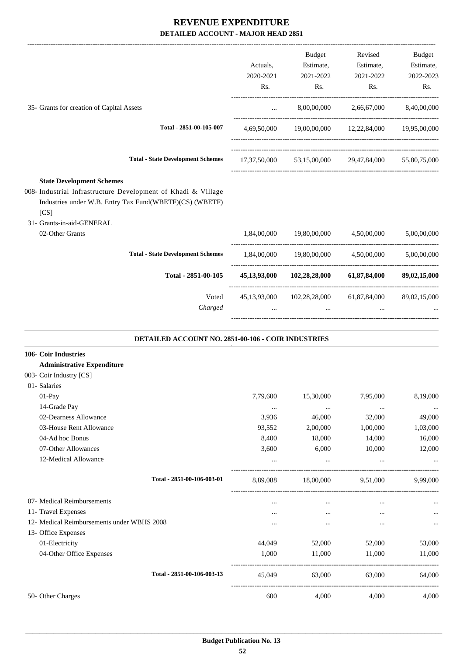|                                                                                                                                  |           | Budget                                                   | Revised                             | Budget       |
|----------------------------------------------------------------------------------------------------------------------------------|-----------|----------------------------------------------------------|-------------------------------------|--------------|
|                                                                                                                                  | Actuals,  | Estimate,                                                | Estimate,                           | Estimate,    |
|                                                                                                                                  | 2020-2021 | 2021-2022                                                | 2021-2022                           | 2022-2023    |
|                                                                                                                                  | Rs.       | Rs.                                                      | Rs.                                 | Rs.          |
| 35- Grants for creation of Capital Assets                                                                                        | $\cdots$  |                                                          | 8,00,00,000 2,66,67,000 8,40,00,000 |              |
|                                                                                                                                  |           |                                                          |                                     |              |
| Total - 2851-00-105-007                                                                                                          |           | 4,69,50,000 19,00,00,000 12,22,84,000 19,95,00,000       |                                     |              |
| <b>Total - State Development Schemes</b>                                                                                         |           | 17,37,50,000 53,15,00,000 29,47,84,000 55,80,75,000      |                                     |              |
| <b>State Development Schemes</b>                                                                                                 |           |                                                          |                                     |              |
| 008- Industrial Infrastructure Development of Khadi & Village<br>Industries under W.B. Entry Tax Fund(WBETF)(CS) (WBETF)<br>[CS] |           |                                                          |                                     |              |
| 31- Grants-in-aid-GENERAL                                                                                                        |           |                                                          |                                     |              |
| 02-Other Grants                                                                                                                  |           | 1,84,00,000 19,80,00,000 4,50,00,000                     |                                     | 5,00,00,000  |
| <b>Total - State Development Schemes</b>                                                                                         |           | $1,84,00,000$ $19,80,00,000$ $4,50,00,000$ $5,00,00,000$ |                                     |              |
| Total - 2851-00-105                                                                                                              |           | 45,13,93,000 102,28,28,000 61,87,84,000                  |                                     | 89,02,15,000 |
| Voted                                                                                                                            |           | 45,13,93,000 102,28,28,000 61,87,84,000                  |                                     | 89,02,15,000 |
| DETAILED ACCOUNT NO. 2851-00-106 - COIR INDUSTRIES                                                                               |           |                                                          |                                     |              |
| 106- Coir Industries                                                                                                             |           |                                                          |                                     |              |
| <b>Administrative Expenditure</b>                                                                                                |           |                                                          |                                     |              |
| 003- Coir Industry [CS]                                                                                                          |           |                                                          |                                     |              |
| 01- Salaries                                                                                                                     |           |                                                          |                                     |              |
| 01-Pay                                                                                                                           | 7,79,600  | 15,30,000                                                | 7,95,000                            | 8,19,000     |
| 14-Grade Pay                                                                                                                     | $\cdots$  | $\ldots$                                                 | $\cdots$                            |              |
| 02-Dearness Allowance                                                                                                            | 3,936     | 46,000                                                   | 32,000                              | 49,000       |
| 03-House Rent Allowance                                                                                                          | 93,552    | 2,00,000                                                 | 1,00,000                            | 1,03,000     |
| 04-Ad hoc Bonus                                                                                                                  | 8,400     | 18,000                                                   | 14,000                              | 16,000       |
| 07-Other Allowances                                                                                                              | 3,600     | 6,000                                                    | 10,000                              | 12,000       |
| 12-Medical Allowance                                                                                                             |           | $\cdots$                                                 | $\ldots$                            |              |
| Total - 2851-00-106-003-01                                                                                                       | 8,89,088  | 18,00,000                                                | 9,51,000                            | 9,99,000     |
| 07- Medical Reimbursements                                                                                                       |           | $\cdots$                                                 | $\cdots$                            |              |
| 11- Travel Expenses                                                                                                              |           | $\cdots$                                                 | $\cdots$                            |              |
| 12- Medical Reimbursements under WBHS 2008                                                                                       |           |                                                          |                                     | $\ldots$     |
| 13- Office Expenses                                                                                                              |           |                                                          |                                     |              |
| 01-Electricity                                                                                                                   | 44,049    | 52,000                                                   | 52,000                              | 53,000       |
| 04-Other Office Expenses                                                                                                         | 1,000     | 11,000                                                   | 11,000                              | 11,000       |
| Total - 2851-00-106-003-13                                                                                                       | 45,049    | 63,000                                                   | 63,000                              | 64,000       |
|                                                                                                                                  |           |                                                          |                                     |              |

50- Other Charges 600 4,000 4,000 4,000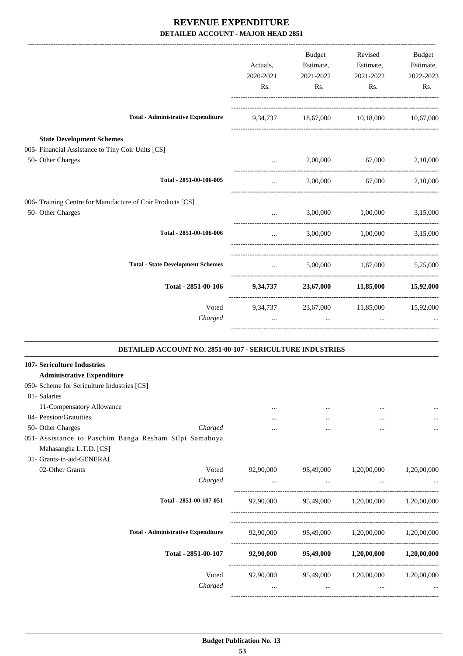| Actuals,<br>2020-2021 | Estimate, | Estimate,                                                                                                                                                                                                                                                                                                                                       |                                                                                                                                                                                                                                                                                                                |
|-----------------------|-----------|-------------------------------------------------------------------------------------------------------------------------------------------------------------------------------------------------------------------------------------------------------------------------------------------------------------------------------------------------|----------------------------------------------------------------------------------------------------------------------------------------------------------------------------------------------------------------------------------------------------------------------------------------------------------------|
|                       |           |                                                                                                                                                                                                                                                                                                                                                 | Estimate,                                                                                                                                                                                                                                                                                                      |
|                       | 2021-2022 | 2021-2022                                                                                                                                                                                                                                                                                                                                       | 2022-2023                                                                                                                                                                                                                                                                                                      |
| Rs.                   | Rs.       | Rs.                                                                                                                                                                                                                                                                                                                                             | Rs.                                                                                                                                                                                                                                                                                                            |
|                       |           |                                                                                                                                                                                                                                                                                                                                                 |                                                                                                                                                                                                                                                                                                                |
|                       |           |                                                                                                                                                                                                                                                                                                                                                 |                                                                                                                                                                                                                                                                                                                |
|                       |           |                                                                                                                                                                                                                                                                                                                                                 |                                                                                                                                                                                                                                                                                                                |
|                       |           |                                                                                                                                                                                                                                                                                                                                                 |                                                                                                                                                                                                                                                                                                                |
| $\cdots$              |           |                                                                                                                                                                                                                                                                                                                                                 | 2,10,000                                                                                                                                                                                                                                                                                                       |
|                       |           |                                                                                                                                                                                                                                                                                                                                                 |                                                                                                                                                                                                                                                                                                                |
|                       |           |                                                                                                                                                                                                                                                                                                                                                 | 3,15,000                                                                                                                                                                                                                                                                                                       |
| $\cdots$              |           |                                                                                                                                                                                                                                                                                                                                                 | 3.15.000                                                                                                                                                                                                                                                                                                       |
|                       |           |                                                                                                                                                                                                                                                                                                                                                 |                                                                                                                                                                                                                                                                                                                |
|                       |           |                                                                                                                                                                                                                                                                                                                                                 |                                                                                                                                                                                                                                                                                                                |
|                       |           |                                                                                                                                                                                                                                                                                                                                                 |                                                                                                                                                                                                                                                                                                                |
| $\cdots$              |           | $\ddots$                                                                                                                                                                                                                                                                                                                                        |                                                                                                                                                                                                                                                                                                                |
|                       |           |                                                                                                                                                                                                                                                                                                                                                 |                                                                                                                                                                                                                                                                                                                |
|                       |           |                                                                                                                                                                                                                                                                                                                                                 |                                                                                                                                                                                                                                                                                                                |
|                       |           | <b>Second Committee</b><br>$\mathbf{1.1}$ and $\mathbf{1.1}$ and $\mathbf{1.1}$<br>and the state of the<br><u>and the community of the community of the community of the community of the community of the community of the community of the community of the community of the community of the community of the community of the community</u> | 9,34,737 18,67,000 10,18,000 10,67,000<br>2,00,000 67,000 2,10,000<br>2,00,000 67,000<br>3,00,000 1,00,000<br>3,00,000 1,00,000<br>5,00,000 1,67,000 5,25,000<br>9,34,737 23,67,000 11,85,000 15,92,000<br>9,34,737 23,67,000 11,85,000 15,92,000<br>DETAILED ACCOUNT NO. 2851-00-107 - SERICULTURE INDUSTRIES |

| 050- Scheme for Sericulture Industries [CS]            |           |           |                       |             |
|--------------------------------------------------------|-----------|-----------|-----------------------|-------------|
| 01- Salaries                                           |           |           |                       |             |
| 11-Compensatory Allowance                              | $\cdots$  | $\cdots$  | $\cdots$              | $\cdots$    |
| 04- Pension/Gratuities                                 | $\cdots$  | $\cdots$  | $\cdots$              | $\cdots$    |
| 50- Other Charges<br>Charged                           | $\cdots$  | $\cdots$  | $\cdots$              | $\cdots$    |
| 051- Assistance to Paschim Banga Resham Silpi Samaboya |           |           |                       |             |
| Mahasangha L.T.D. [CS]                                 |           |           |                       |             |
| 31- Grants-in-aid-GENERAL                              |           |           |                       |             |
| 02-Other Grants<br>Voted                               | 92,90,000 | 95,49,000 | 1,20,00,000           | 1,20,00,000 |
| Charged                                                | $\cdots$  | $\cdots$  | $\cdots$              | $\cdots$    |
| Total - 2851-00-107-051                                | 92,90,000 | 95,49,000 | 1,20,00,000           | 1,20,00,000 |
| <b>Total - Administrative Expenditure</b>              | 92,90,000 |           | 95,49,000 1,20,00,000 |             |
|                                                        |           |           |                       | 1,20,00,000 |
| Total - 2851-00-107                                    | 92,90,000 | 95,49,000 | 1,20,00,000           | 1,20,00,000 |
| Voted                                                  | 92,90,000 | 95,49,000 | 1,20,00,000           | 1,20,00,000 |
| Charged                                                |           |           | $\cdots$              | $\cdots$    |

-----------------------------------------------------------------------------------------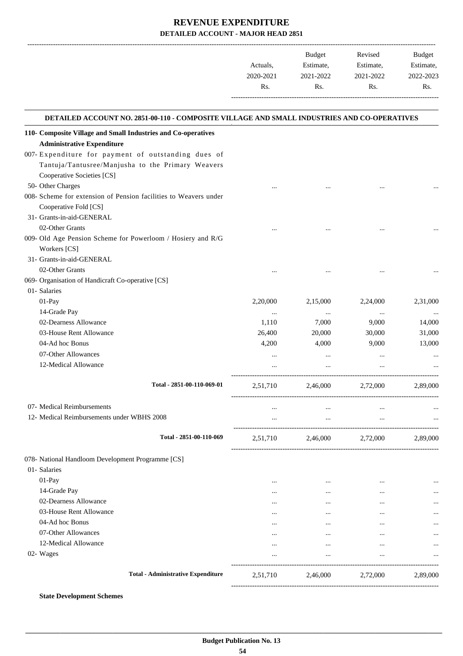|           | Budget    | Revised   | <b>Budget</b> |
|-----------|-----------|-----------|---------------|
| Actuals.  | Estimate, | Estimate, | Estimate,     |
| 2020-2021 | 2021-2022 | 2021-2022 | 2022-2023     |
| Rs.       | Rs.       | Rs.       | Rs.           |
|           |           |           |               |

.

| DETAILED ACCOUNT NO. 2851-00-110 - COMPOSITE VILLAGE AND SMALL INDUSTRIES AND CO-OPERATIVES |           |           |           |          |
|---------------------------------------------------------------------------------------------|-----------|-----------|-----------|----------|
| 110- Composite Village and Small Industries and Co-operatives                               |           |           |           |          |
| <b>Administrative Expenditure</b>                                                           |           |           |           |          |
| 007-Expenditure for payment of outstanding dues of                                          |           |           |           |          |
| Tantuja/Tantusree/Manjusha to the Primary Weavers                                           |           |           |           |          |
| Cooperative Societies [CS]                                                                  |           |           |           |          |
| 50- Other Charges                                                                           |           |           |           |          |
| 008- Scheme for extension of Pension facilities to Weavers under                            |           |           |           |          |
| Cooperative Fold [CS]                                                                       |           |           |           |          |
| 31- Grants-in-aid-GENERAL                                                                   |           |           |           |          |
| 02-Other Grants                                                                             |           |           |           |          |
| 009- Old Age Pension Scheme for Powerloom / Hosiery and R/G                                 |           |           |           |          |
| Workers [CS]                                                                                |           |           |           |          |
| 31- Grants-in-aid-GENERAL                                                                   |           |           |           |          |
| 02-Other Grants                                                                             |           |           |           |          |
| 069- Organisation of Handicraft Co-operative [CS]                                           |           |           |           |          |
| 01- Salaries                                                                                |           |           |           |          |
| 01-Pay                                                                                      | 2,20,000  | 2,15,000  | 2,24,000  | 2,31,000 |
| 14-Grade Pay                                                                                | $\cdots$  | $\cdots$  | $\cdots$  |          |
| 02-Dearness Allowance                                                                       | 1,110     | 7,000     | 9,000     | 14,000   |
| 03-House Rent Allowance                                                                     | 26,400    | 20,000    | 30,000    | 31,000   |
| 04-Ad hoc Bonus                                                                             | 4,200     | 4,000     | 9,000     | 13,000   |
| 07-Other Allowances                                                                         | $\cdots$  | $\cdots$  | $\cdots$  |          |
| 12-Medical Allowance                                                                        | $\cdots$  | $\cdots$  | $\cdots$  |          |
| Total - 2851-00-110-069-01                                                                  | 2,51,710  | 2,46,000  | 2,72,000  | 2,89,000 |
| 07- Medical Reimbursements                                                                  | $\cdots$  | $\cdots$  | $\cdots$  |          |
| 12- Medical Reimbursements under WBHS 2008                                                  | $\cdots$  | $\cdots$  | $\ddotsc$ |          |
|                                                                                             |           |           |           |          |
| Total - 2851-00-110-069                                                                     | 2,51,710  | 2,46,000  | 2,72,000  | 2,89,000 |
| 078- National Handloom Development Programme [CS]                                           |           |           |           |          |
| 01- Salaries                                                                                |           |           |           |          |
| 01-Pay                                                                                      | $\ddotsc$ | $\ddotsc$ |           |          |
| 14-Grade Pay                                                                                |           | $\cdots$  |           |          |
| 02-Dearness Allowance                                                                       |           | $\cdots$  |           |          |
| 03-House Rent Allowance                                                                     |           |           |           |          |
| 04-Ad hoc Bonus                                                                             | $\cdots$  |           |           |          |
| 07-Other Allowances                                                                         |           |           |           |          |
| 12-Medical Allowance                                                                        |           |           |           |          |
| 02- Wages                                                                                   |           |           |           |          |
| <b>Total - Administrative Expenditure</b>                                                   | 2,51,710  | 2,46,000  | 2,72,000  | 2,89,000 |
|                                                                                             |           |           |           |          |

**State Development Schemes**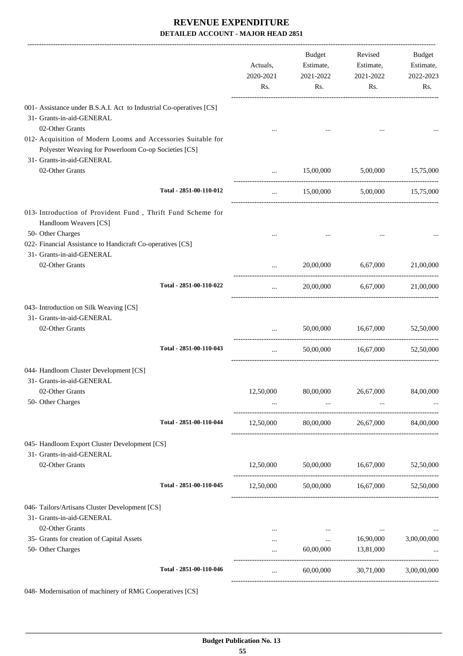|                                                                                                                                                    |                         | Actuals,<br>2020-2021<br>Rs. | Budget<br>Estimate,<br>2021-2022<br>Rs.           | Revised<br>Estimate,<br>2021-2022<br>Rs.        | Budget<br>Estimate,<br>2022-2023<br>Rs. |
|----------------------------------------------------------------------------------------------------------------------------------------------------|-------------------------|------------------------------|---------------------------------------------------|-------------------------------------------------|-----------------------------------------|
| 001- Assistance under B.S.A.I. Act to Industrial Co-operatives [CS]<br>31- Grants-in-aid-GENERAL                                                   |                         |                              |                                                   |                                                 |                                         |
| 02-Other Grants                                                                                                                                    |                         |                              |                                                   |                                                 |                                         |
| 012- Acquisition of Modern Looms and Accessories Suitable for<br>Polyester Weaving for Powerloom Co-op Societies [CS]<br>31- Grants-in-aid-GENERAL |                         |                              |                                                   |                                                 |                                         |
| 02-Other Grants                                                                                                                                    |                         | $\cdots$                     | 15,00,000                                         | 5,00,000                                        | 15,75,000                               |
|                                                                                                                                                    | Total - 2851-00-110-012 | $\cdots$                     | 15,00,000                                         | 5,00,000 15,75,000                              |                                         |
| 013- Introduction of Provident Fund, Thrift Fund Scheme for<br>Handloom Weavers [CS]                                                               |                         |                              |                                                   |                                                 |                                         |
| 50- Other Charges<br>022- Financial Assistance to Handicraft Co-operatives [CS]<br>31- Grants-in-aid-GENERAL                                       |                         |                              |                                                   |                                                 |                                         |
| 02-Other Grants                                                                                                                                    |                         | $\cdots$                     | 20,00,000                                         | 6,67,000                                        | 21,00,000                               |
|                                                                                                                                                    | Total - 2851-00-110-022 | $\cdots$                     |                                                   | 20,00,000 6,67,000                              | 21,00,000                               |
| 043- Introduction on Silk Weaving [CS]<br>31- Grants-in-aid-GENERAL                                                                                |                         |                              |                                                   |                                                 |                                         |
| 02-Other Grants                                                                                                                                    |                         |                              |                                                   |                                                 |                                         |
|                                                                                                                                                    | Total - 2851-00-110-043 | $\cdots$                     |                                                   |                                                 |                                         |
| 044- Handloom Cluster Development [CS]                                                                                                             |                         |                              |                                                   |                                                 |                                         |
| 31- Grants-in-aid-GENERAL<br>02-Other Grants<br>50- Other Charges                                                                                  |                         | 12,50,000                    | 80,00,000 26,67,000<br>$\cdots$                   | $\cdots$                                        | 84,00,000                               |
|                                                                                                                                                    | Total - 2851-00-110-044 |                              |                                                   | 12,50,000 80,00,000 26,67,000 84,00,000         |                                         |
| 045- Handloom Export Cluster Development [CS]                                                                                                      |                         |                              |                                                   |                                                 |                                         |
| 31- Grants-in-aid-GENERAL<br>02-Other Grants                                                                                                       |                         |                              |                                                   | $12,50,000$ $50,00,000$ $16,67,000$ $52,50,000$ |                                         |
|                                                                                                                                                    | Total - 2851-00-110-045 |                              |                                                   | 12,50,000 50,00,000 16,67,000                   | 52,50,000                               |
| 046- Tailors/Artisans Cluster Development [CS]<br>31- Grants-in-aid-GENERAL<br>02-Other Grants                                                     |                         |                              |                                                   |                                                 |                                         |
| 35- Grants for creation of Capital Assets<br>50- Other Charges                                                                                     |                         | $\cdots$<br>.<br>$\cdots$    | <b>Contract Contract</b><br>$\cdots$<br>60,00,000 | $\cdots$<br>16,90,000<br>13,81,000              | 3,00,00,000                             |
|                                                                                                                                                    | Total - 2851-00-110-046 | $\cdots$                     | 60,00,000                                         | 30,71,000                                       | 3,00,00,000                             |
|                                                                                                                                                    |                         |                              |                                                   |                                                 |                                         |

048- Modernisation of machinery of RMG Cooperatives [CS]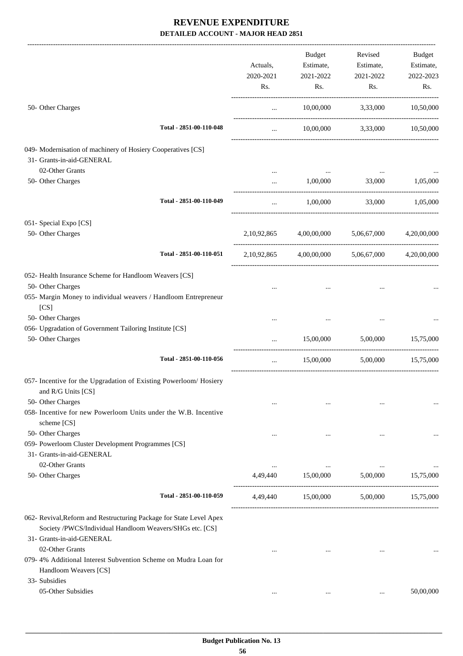|                                                                                         |             | Budget      | Revised                                         | Budget             |
|-----------------------------------------------------------------------------------------|-------------|-------------|-------------------------------------------------|--------------------|
|                                                                                         | Actuals,    | Estimate,   | Estimate,                                       | Estimate,          |
|                                                                                         | 2020-2021   | 2021-2022   | 2021-2022                                       | 2022-2023          |
|                                                                                         | Rs.         | Rs.         | Rs.                                             | Rs.                |
| 50- Other Charges                                                                       | $\cdots$    |             | $10,00,000$ $3,33,000$ $10,50,000$              |                    |
| Total - 2851-00-110-048                                                                 | $\cdots$    |             | 10,00,000 3,33,000 10,50,000                    |                    |
|                                                                                         |             |             |                                                 |                    |
| 049- Modernisation of machinery of Hosiery Cooperatives [CS]                            |             |             |                                                 |                    |
| 31- Grants-in-aid-GENERAL                                                               |             |             |                                                 |                    |
| 02-Other Grants                                                                         | $\cdots$    | $\ldots$    | $\ddotsc$                                       |                    |
| 50- Other Charges                                                                       |             | 1,00,000    | 33,000                                          | 1,05,000           |
|                                                                                         |             |             |                                                 |                    |
| Total - 2851-00-110-049                                                                 | $\cdots$    | 1,00,000    |                                                 | 33,000 1,05,000    |
| 051- Special Expo [CS]                                                                  |             |             |                                                 |                    |
| 50- Other Charges                                                                       | 2,10,92,865 | 4,00,00,000 | 5,06,67,000                                     | 4,20,00,000        |
| Total - 2851-00-110-051                                                                 |             |             | 2,10,92,865 4,00,00,000 5,06,67,000 4,20,00,000 |                    |
| 052- Health Insurance Scheme for Handloom Weavers [CS]                                  |             |             |                                                 |                    |
| 50- Other Charges                                                                       | $\cdots$    |             |                                                 |                    |
| 055- Margin Money to individual weavers / Handloom Entrepreneur<br>[CS]                 |             |             |                                                 |                    |
| 50- Other Charges                                                                       |             |             |                                                 |                    |
| 056- Upgradation of Government Tailoring Institute [CS]                                 |             |             |                                                 |                    |
| 50- Other Charges                                                                       | $\cdots$    | 15,00,000   | 5,00,000                                        | 15,75,000          |
| Total - 2851-00-110-056                                                                 | $\cdots$    | 15,00,000   |                                                 | 5,00,000 15,75,000 |
| 057- Incentive for the Upgradation of Existing Powerloom/ Hosiery<br>and R/G Units [CS] |             |             |                                                 |                    |
| 50- Other Charges                                                                       | $\cdots$    |             | $\cdots$                                        |                    |
| 058- Incentive for new Powerloom Units under the W.B. Incentive                         |             |             |                                                 |                    |
| scheme [CS]                                                                             |             |             |                                                 |                    |
| 50- Other Charges                                                                       |             | $\ddotsc$   |                                                 |                    |
| 059- Powerloom Cluster Development Programmes [CS]                                      |             |             |                                                 |                    |
| 31- Grants-in-aid-GENERAL                                                               |             |             |                                                 |                    |
| 02-Other Grants                                                                         | $\cdots$    |             | $\cdots$                                        |                    |
| 50- Other Charges                                                                       | 4,49,440    | 15,00,000   | 5,00,000                                        | 15,75,000          |
| Total - 2851-00-110-059                                                                 | 4,49,440    | 15,00,000   | 5,00,000                                        | 15,75,000          |
| 062- Revival, Reform and Restructuring Package for State Level Apex                     |             |             |                                                 |                    |
| Society /PWCS/Individual Handloom Weavers/SHGs etc. [CS]                                |             |             |                                                 |                    |
| 31- Grants-in-aid-GENERAL                                                               |             |             |                                                 |                    |
| 02-Other Grants                                                                         | $\cdots$    | $\cdots$    | $\cdots$                                        |                    |
| 079-4% Additional Interest Subvention Scheme on Mudra Loan for                          |             |             |                                                 |                    |
| Handloom Weavers [CS]                                                                   |             |             |                                                 |                    |
| 33- Subsidies                                                                           |             |             |                                                 |                    |
| 05-Other Subsidies                                                                      | $\cdots$    | $\cdots$    | $\cdots$                                        | 50,00,000          |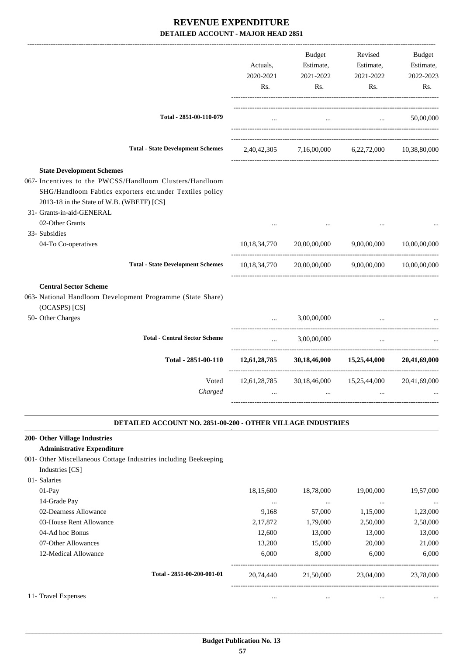|                                                                                                                                                                                                                                                      | Actuals,<br>2020-2021<br>Rs. | Budget<br>Estimate,<br>2021-2022<br>Rs. | Revised<br>Estimate,<br>2021-2022<br>Rs.             | Budget<br>Estimate,<br>2022-2023<br>Rs. |
|------------------------------------------------------------------------------------------------------------------------------------------------------------------------------------------------------------------------------------------------------|------------------------------|-----------------------------------------|------------------------------------------------------|-----------------------------------------|
| Total - 2851-00-110-079                                                                                                                                                                                                                              |                              | $\cdots$                                | $\dddot{\phantom{0}}$                                | 50,00,000                               |
| <b>Total - State Development Schemes</b>                                                                                                                                                                                                             | 2,40,42,305                  |                                         | 7,16,00,000 6,22,72,000                              | 10,38,80,000                            |
| <b>State Development Schemes</b><br>067- Incentives to the PWCSS/Handloom Clusters/Handloom<br>SHG/Handloom Fabtics exporters etc.under Textiles policy<br>2013-18 in the State of W.B. (WBETF) [CS]<br>31- Grants-in-aid-GENERAL<br>02-Other Grants |                              |                                         |                                                      |                                         |
| 33- Subsidies                                                                                                                                                                                                                                        |                              |                                         |                                                      |                                         |
| 04-To Co-operatives                                                                                                                                                                                                                                  | 10, 18, 34, 770              | 20,00,00,000                            | 9,00,00,000                                          | 10,00,00,000                            |
| <b>Total - State Development Schemes</b>                                                                                                                                                                                                             | 10,18,34,770                 | 20,00,00,000                            | 9,00,00,000                                          | 10,00,00,000                            |
| <b>Central Sector Scheme</b>                                                                                                                                                                                                                         |                              |                                         |                                                      |                                         |
| 063- National Handloom Development Programme (State Share)<br>(OCASPS) [CS]                                                                                                                                                                          |                              |                                         |                                                      |                                         |
| 50- Other Charges                                                                                                                                                                                                                                    |                              | 3.00.00.000                             |                                                      |                                         |
| <b>Total - Central Sector Scheme</b>                                                                                                                                                                                                                 | $\dddot{\phantom{0}}$        | 3,00,00,000                             | $\cdots$                                             |                                         |
| Total - 2851-00-110                                                                                                                                                                                                                                  | 12,61,28,785                 |                                         | 30,18,46,000 15,25,44,000                            | 20,41,69,000                            |
| Voted<br>Charged                                                                                                                                                                                                                                     | $\cdots$                     | $\cdots$                                | 12,61,28,785 30,18,46,000 15,25,44,000<br>$\dddotsc$ | 20,41,69,000                            |

#### **DETAILED ACCOUNT NO. 2851-00-200 - OTHER VILLAGE INDUSTRIES .**

.

#### **200- Other Village Industries**

**Administrative Expenditure**

001- Other Miscellaneous Cottage Industries including Beekeeping

Industries [CS]

| 01- Salaries            |                            |           |           |           |           |
|-------------------------|----------------------------|-----------|-----------|-----------|-----------|
| $01-Pav$                |                            | 18,15,600 | 18,78,000 | 19,00,000 | 19,57,000 |
| 14-Grade Pay            |                            | $\cdots$  | $\cdots$  | $\cdots$  | $\cdots$  |
| 02-Dearness Allowance   |                            | 9.168     | 57,000    | 1,15,000  | 1,23,000  |
| 03-House Rent Allowance |                            | 2,17,872  | 1,79,000  | 2,50,000  | 2,58,000  |
| 04-Ad hoc Bonus         |                            | 12,600    | 13,000    | 13,000    | 13,000    |
| 07-Other Allowances     |                            | 13,200    | 15,000    | 20,000    | 21,000    |
| 12-Medical Allowance    |                            | 6,000     | 8.000     | 6,000     | 6.000     |
|                         | Total - 2851-00-200-001-01 | 20,74,440 | 21,50,000 | 23,04,000 | 23,78,000 |
| 11- Travel Expenses     |                            |           |           |           |           |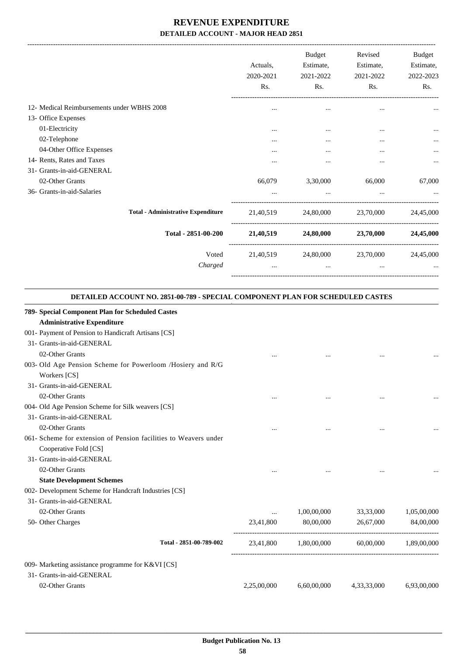|                                            | Actuals.<br>2020-2021<br>Rs. | <b>Budget</b><br>Estimate,<br>2021-2022<br>Rs. | Revised<br>Estimate,<br>2021-2022<br>Rs. | Budget<br>Estimate,<br>2022-2023<br>Rs. |
|--------------------------------------------|------------------------------|------------------------------------------------|------------------------------------------|-----------------------------------------|
| 12- Medical Reimbursements under WBHS 2008 | $\cdots$                     | $\cdots$                                       | $\cdots$                                 | $\cdots$                                |
| 13- Office Expenses                        |                              |                                                |                                          |                                         |
| 01-Electricity                             | $\cdots$                     | $\cdots$                                       | $\cdots$                                 | $\cdots$                                |
| 02-Telephone                               | $\cdots$                     | $\cdots$                                       | $\cdots$                                 |                                         |
| 04-Other Office Expenses                   | $\cdots$                     | $\cdots$                                       | $\cdots$                                 |                                         |
| 14- Rents, Rates and Taxes                 | $\cdots$                     | $\cdots$                                       | $\cdots$                                 | $\cdots$                                |
| 31- Grants-in-aid-GENERAL                  |                              |                                                |                                          |                                         |
| 02-Other Grants                            | 66,079                       | 3,30,000                                       | 66,000                                   | 67,000                                  |
| 36- Grants-in-aid-Salaries                 | $\cdots$                     | $\cdots$                                       | $\cdots$                                 |                                         |
| <b>Total - Administrative Expenditure</b>  | 21,40,519                    | 24,80,000                                      | 23,70,000                                | 24,45,000                               |
| Total - 2851-00-200                        | 21,40,519                    | 24,80,000                                      | 23,70,000                                | 24,45,000                               |
| Voted                                      | 21,40,519                    | 24,80,000                                      | 23,70,000                                | 24,45,000                               |
| Charged                                    | $\cdots$                     | $\cdots$                                       | $\cdots$                                 |                                         |
|                                            |                              |                                                |                                          |                                         |

.

| DETAILED ACCOUNT NO. 2851-00-789 - SPECIAL COMPONENT PLAN FOR SCHEDULED CASTES        |             |             |             |             |
|---------------------------------------------------------------------------------------|-------------|-------------|-------------|-------------|
| 789- Special Component Plan for Scheduled Castes<br><b>Administrative Expenditure</b> |             |             |             |             |
| 001- Payment of Pension to Handicraft Artisans [CS]                                   |             |             |             |             |
| 31- Grants-in-aid-GENERAL                                                             |             |             |             |             |
| 02-Other Grants                                                                       | $\ddotsc$   |             |             |             |
| 003- Old Age Pension Scheme for Powerloom /Hosiery and R/G                            |             |             |             |             |
| Workers [CS]                                                                          |             |             |             |             |
| 31- Grants-in-aid-GENERAL                                                             |             |             |             |             |
| 02-Other Grants                                                                       |             |             |             |             |
| 004- Old Age Pension Scheme for Silk weavers [CS]                                     |             |             |             |             |
| 31- Grants-in-aid-GENERAL                                                             |             |             |             |             |
| 02-Other Grants                                                                       |             |             | $\cdots$    |             |
| 061- Scheme for extension of Pension facilities to Weavers under                      |             |             |             |             |
| Cooperative Fold [CS]                                                                 |             |             |             |             |
| 31- Grants-in-aid-GENERAL                                                             |             |             |             |             |
| 02-Other Grants                                                                       |             |             |             |             |
| <b>State Development Schemes</b>                                                      |             |             |             |             |
| 002- Development Scheme for Handcraft Industries [CS]                                 |             |             |             |             |
| 31- Grants-in-aid-GENERAL                                                             |             |             |             |             |
| 02-Other Grants                                                                       | $\cdots$    | 1,00,00,000 | 33,33,000   | 1,05,00,000 |
| 50- Other Charges                                                                     | 23,41,800   | 80,00,000   | 26,67,000   | 84,00,000   |
|                                                                                       |             |             |             |             |
| Total - 2851-00-789-002                                                               | 23,41,800   | 1,80,00,000 | 60,00,000   | 1.89.00.000 |
| 009- Marketing assistance programme for K&VI [CS]                                     |             |             |             |             |
| 31- Grants-in-aid-GENERAL                                                             |             |             |             |             |
| 02-Other Grants                                                                       | 2,25,00,000 | 6,60,00,000 | 4,33,33,000 | 6,93,00,000 |
|                                                                                       |             |             |             |             |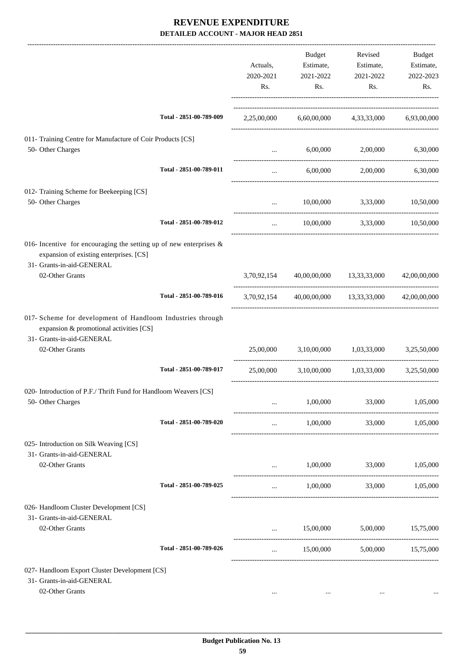|                                                                                                                                               |                         | Actuals,<br>2020-2021<br>Rs. | Budget<br>Estimate,<br>2021-2022<br>Rs. | Revised<br>Estimate,<br>2021-2022<br>Rs.           | Budget<br>Estimate,<br>2022-2023<br>Rs. |
|-----------------------------------------------------------------------------------------------------------------------------------------------|-------------------------|------------------------------|-----------------------------------------|----------------------------------------------------|-----------------------------------------|
|                                                                                                                                               | Total - 2851-00-789-009 |                              |                                         | 2,25,00,000 6,60,00,000 4,33,33,000 6,93,00,000    |                                         |
| 011- Training Centre for Manufacture of Coir Products [CS]<br>50- Other Charges                                                               |                         | $\cdots$                     | 6,00,000                                | 2,00,000                                           | 6,30,000                                |
|                                                                                                                                               | Total - 2851-00-789-011 | $\cdots$                     |                                         | 6,00,000 2,00,000 6,30,000                         |                                         |
| 012- Training Scheme for Beekeeping [CS]<br>50- Other Charges                                                                                 |                         | $\ddots$                     |                                         | 10,00,000 3,33,000 10,50,000                       |                                         |
|                                                                                                                                               | Total - 2851-00-789-012 | $\cdots$                     |                                         | 10,00,000 3,33,000 10,50,000                       |                                         |
| 016- Incentive for encouraging the setting up of new enterprises $\&$<br>expansion of existing enterprises. [CS]<br>31- Grants-in-aid-GENERAL |                         |                              |                                         |                                                    |                                         |
| 02-Other Grants                                                                                                                               |                         |                              |                                         | 3,70,92,154 40,00,00,000 13,33,33,000 42,00,00,000 |                                         |
|                                                                                                                                               | Total - 2851-00-789-016 | 3,70,92,154                  |                                         | 40,00,00,000 13,33,33,000                          | 42,00,00,000                            |
| 017- Scheme for development of Handloom Industries through<br>expansion & promotional activities [CS]<br>31- Grants-in-aid-GENERAL            |                         |                              |                                         |                                                    |                                         |
| 02-Other Grants                                                                                                                               |                         |                              |                                         | 25,00,000 3,10,00,000 1,03,33,000                  | 3,25,50,000                             |
|                                                                                                                                               | Total - 2851-00-789-017 | 25,00,000                    |                                         | 3,10,00,000 1,03,33,000                            | 3,25,50,000                             |
| 020- Introduction of P.F./ Thrift Fund for Handloom Weavers [CS]<br>50- Other Charges                                                         |                         | $\cdots$                     | 1,00,000                                | 33,000                                             | 1,05,000                                |
|                                                                                                                                               | Total - 2851-00-789-020 | $\cdots$                     | 1,00,000                                |                                                    | 33,000 1,05,000                         |
| 025- Introduction on Silk Weaving [CS]<br>31- Grants-in-aid-GENERAL                                                                           |                         |                              |                                         |                                                    |                                         |
| 02-Other Grants                                                                                                                               |                         | $\cdots$                     | 1,00,000                                | 33,000 1,05,000                                    |                                         |
|                                                                                                                                               | Total - 2851-00-789-025 | $\cdots$                     | 1,00,000                                |                                                    | 33,000 1,05,000                         |
| 026- Handloom Cluster Development [CS]<br>31- Grants-in-aid-GENERAL<br>02-Other Grants                                                        |                         |                              |                                         | 15,00,000 5,00,000 15,75,000                       |                                         |
|                                                                                                                                               | Total - 2851-00-789-026 | $\ddots$                     |                                         | 15,00,000 5,00,000 15,75,000                       |                                         |
| 027- Handloom Export Cluster Development [CS]<br>31- Grants-in-aid-GENERAL<br>02-Other Grants                                                 |                         | $\cdots$                     | $\cdots$                                | $\cdots$                                           |                                         |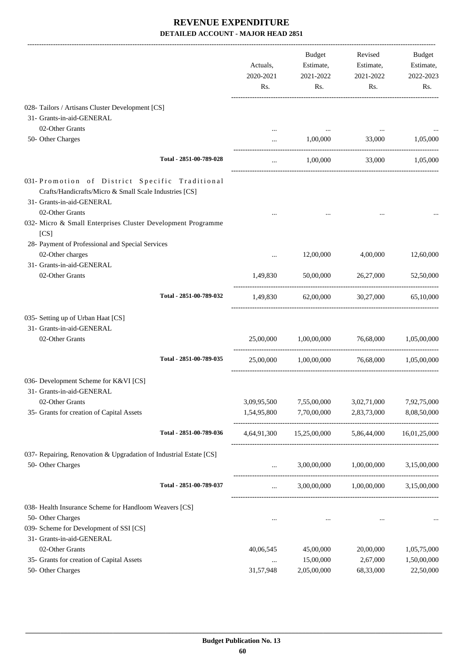|                                                                                                                                       |                         | Actuals,<br>2020-2021<br>Rs. | Budget<br>Estimate,<br>2021-2022<br>Rs. | Revised<br>Estimate,<br>2021-2022<br>Rs. | Budget<br>Estimate,<br>2022-2023<br>Rs. |
|---------------------------------------------------------------------------------------------------------------------------------------|-------------------------|------------------------------|-----------------------------------------|------------------------------------------|-----------------------------------------|
| 028- Tailors / Artisans Cluster Development [CS]                                                                                      |                         |                              |                                         |                                          |                                         |
| 31- Grants-in-aid-GENERAL                                                                                                             |                         |                              |                                         |                                          |                                         |
| 02-Other Grants                                                                                                                       |                         | $\cdots$                     |                                         |                                          |                                         |
| 50- Other Charges                                                                                                                     |                         | $\cdots$                     | 1,00,000                                | 33,000                                   | 1.05.000                                |
|                                                                                                                                       | Total - 2851-00-789-028 | $\cdots$                     | 1,00,000                                |                                          | 33,000 1,05,000                         |
| 031-Promotion of District Specific Traditional<br>Crafts/Handicrafts/Micro & Small Scale Industries [CS]<br>31- Grants-in-aid-GENERAL |                         |                              |                                         |                                          |                                         |
| 02-Other Grants                                                                                                                       |                         |                              |                                         |                                          |                                         |
| 032- Micro & Small Enterprises Cluster Development Programme<br>[CS]                                                                  |                         |                              |                                         |                                          |                                         |
| 28- Payment of Professional and Special Services                                                                                      |                         |                              |                                         |                                          |                                         |
| 02-Other charges                                                                                                                      |                         | $\cdots$                     | 12,00,000                               | 4,00,000                                 | 12,60,000                               |
| 31- Grants-in-aid-GENERAL<br>02-Other Grants                                                                                          |                         | 1,49,830                     | 50,00,000                               | 26,27,000                                | 52,50,000                               |
|                                                                                                                                       | Total - 2851-00-789-032 | 1,49,830                     | 62,00,000                               | 30,27,000                                | 65,10,000                               |
| 035- Setting up of Urban Haat [CS]                                                                                                    |                         |                              |                                         |                                          |                                         |
| 31- Grants-in-aid-GENERAL                                                                                                             |                         |                              |                                         |                                          |                                         |
| 02-Other Grants                                                                                                                       |                         |                              | 25,00,000 1,00,00,000                   | 76,68,000                                | 1,05,00,000                             |
|                                                                                                                                       | Total - 2851-00-789-035 | 25,00,000                    | 1,00,00,000                             | 76,68,000                                | 1,05,00,000                             |
| 036- Development Scheme for K&VI [CS]<br>31- Grants-in-aid-GENERAL                                                                    |                         |                              |                                         |                                          |                                         |
| 02-Other Grants                                                                                                                       |                         | 3,09,95,500                  | 7,55,00,000                             | 3,02,71,000                              | 7,92,75,000                             |
| 35- Grants for creation of Capital Assets                                                                                             |                         | 1,54,95,800                  |                                         | 7,70,00,000 2,83,73,000                  | 8,08,50,000                             |
|                                                                                                                                       | Total - 2851-00-789-036 |                              | 4,64,91,300 15,25,00,000                |                                          | 5,86,44,000 16,01,25,000                |
| 037- Repairing, Renovation & Upgradation of Industrial Estate [CS]<br>50- Other Charges                                               |                         | $\cdots$                     |                                         | 3,00,00,000 1,00,00,000                  | 3,15,00,000                             |
|                                                                                                                                       | Total - 2851-00-789-037 | $\cdots$                     | 3,00,00,000                             |                                          | 1,00,00,000 3,15,00,000                 |
| 038- Health Insurance Scheme for Handloom Weavers [CS]                                                                                |                         |                              |                                         |                                          |                                         |
| 50- Other Charges                                                                                                                     |                         | $\cdots$                     | $\cdots$                                |                                          |                                         |
| 039- Scheme for Development of SSI [CS]                                                                                               |                         |                              |                                         |                                          |                                         |
| 31- Grants-in-aid-GENERAL                                                                                                             |                         |                              |                                         |                                          |                                         |
| 02-Other Grants                                                                                                                       |                         | 40,06,545                    | 45,00,000                               | 20,00,000                                | 1,05,75,000                             |
| 35- Grants for creation of Capital Assets                                                                                             |                         | $\cdots$                     | 15,00,000                               | 2,67,000                                 | 1,50,00,000                             |
| 50- Other Charges                                                                                                                     |                         | 31,57,948                    | 2,05,00,000                             | 68,33,000                                | 22,50,000                               |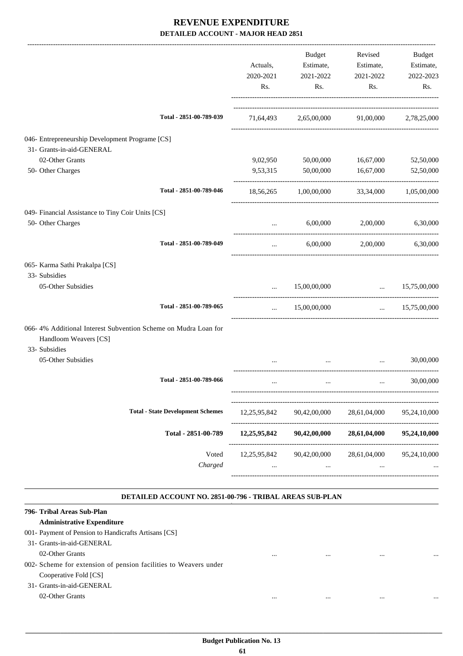|                                                                                         |                     | <b>Budget</b>             | Revised                                                      | Budget                |
|-----------------------------------------------------------------------------------------|---------------------|---------------------------|--------------------------------------------------------------|-----------------------|
|                                                                                         | Actuals,            | Estimate,                 | Estimate,                                                    | Estimate,             |
|                                                                                         | 2020-2021           | 2021-2022                 | 2021-2022                                                    | 2022-2023             |
|                                                                                         | Rs.                 | Rs.                       | Rs.                                                          | Rs.                   |
| Total - 2851-00-789-039                                                                 | 71,64,493           | 2,65,00,000               |                                                              | 91,00,000 2,78,25,000 |
| 046- Entrepreneurship Development Programe [CS]                                         |                     |                           |                                                              |                       |
| 31- Grants-in-aid-GENERAL                                                               |                     |                           |                                                              |                       |
| 02-Other Grants                                                                         | 9,02,950            | 50,00,000                 | 16,67,000                                                    | 52,50,000             |
| 50- Other Charges                                                                       | 9,53,315            | 50,00,000                 | 16,67,000                                                    | 52,50,000             |
| Total - 2851-00-789-046                                                                 | 18,56,265           | 1,00,00,000               |                                                              | 33,34,000 1,05,00,000 |
| 049- Financial Assistance to Tiny Coir Units [CS]                                       |                     |                           |                                                              |                       |
| 50- Other Charges                                                                       | $\cdots$            | 6,00,000                  | 2,00,000                                                     | 6,30,000              |
| Total - 2851-00-789-049                                                                 |                     |                           | 6,00,000 2,00,000                                            | 6,30,000              |
| 065- Karma Sathi Prakalpa [CS]                                                          |                     |                           |                                                              |                       |
| 33- Subsidies                                                                           |                     |                           |                                                              |                       |
| 05-Other Subsidies                                                                      | $\cdots$            | 15,00,00,000              | $\ldots$ 15,75,00,000<br>----------------------------------- |                       |
| Total - 2851-00-789-065                                                                 | $\ddotsc$           | 15,00,00,000              |                                                              | $\ldots$ 15,75,00,000 |
| 066-4% Additional Interest Subvention Scheme on Mudra Loan for<br>Handloom Weavers [CS] |                     |                           |                                                              |                       |
| 33- Subsidies<br>05-Other Subsidies                                                     |                     | $\cdots$                  | $\cdots$                                                     | 30,00,000             |
| Total - 2851-00-789-066                                                                 | $\cdots$            | $\cdots$                  | $\cdots$                                                     | 30,00,000             |
| <b>Total - State Development Schemes</b>                                                | 12,25,95,842        | 90,42,00,000              | 28,61,04,000                                                 | 95,24,10,000          |
| Total - 2851-00-789                                                                     | 12,25,95,842        | 90,42,00,000              | 28,61,04,000                                                 | 95,24,10,000          |
|                                                                                         | Voted               | 12,25,95,842 90,42,00,000 | 28,61,04,000                                                 | 95,24,10,000          |
|                                                                                         | Charged<br>$\cdots$ | $\cdots$                  | $\cdots$                                                     |                       |
|                                                                                         |                     |                           |                                                              |                       |

#### **DETAILED ACCOUNT NO. 2851-00-796 - TRIBAL AREAS SUB-PLAN .**

| 796- Tribal Areas Sub-Plan                                       |          |          |          |  |
|------------------------------------------------------------------|----------|----------|----------|--|
| <b>Administrative Expenditure</b>                                |          |          |          |  |
| 001 - Payment of Pension to Handicrafts Artisans [CS]            |          |          |          |  |
| 31- Grants-in-aid-GENERAL                                        |          |          |          |  |
| 02-Other Grants                                                  | $\cdots$ |          | $\cdots$ |  |
| 002- Scheme for extension of pension facilities to Weavers under |          |          |          |  |
| Cooperative Fold [CS]                                            |          |          |          |  |
| 31- Grants-in-aid-GENERAL                                        |          |          |          |  |
| 02-Other Grants                                                  | $\cdots$ | $\cdots$ | $\cdots$ |  |
|                                                                  |          |          |          |  |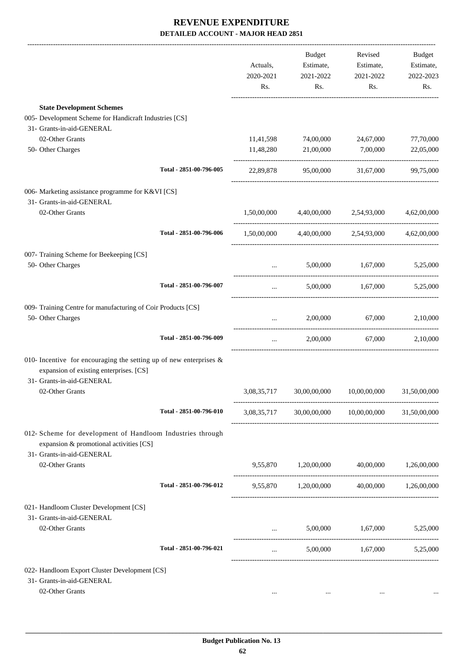|                                                                                                                                               |                         | Actuals,<br>2020-2021<br>Rs. | Budget<br>Estimate,<br>2021-2022<br>Rs. | Revised<br>Estimate,<br>2021-2022<br>Rs.                | Budget<br>Estimate,<br>2022-2023<br>Rs. |
|-----------------------------------------------------------------------------------------------------------------------------------------------|-------------------------|------------------------------|-----------------------------------------|---------------------------------------------------------|-----------------------------------------|
| <b>State Development Schemes</b>                                                                                                              |                         |                              |                                         |                                                         |                                         |
| 005- Development Scheme for Handicraft Industries [CS]                                                                                        |                         |                              |                                         |                                                         |                                         |
| 31- Grants-in-aid-GENERAL                                                                                                                     |                         |                              |                                         |                                                         |                                         |
| 02-Other Grants                                                                                                                               |                         | 11,41,598                    | 74,00,000                               | 24,67,000                                               | 77,70,000                               |
| 50- Other Charges                                                                                                                             |                         | 11,48,280                    | 21,00,000                               | 7,00,000                                                | 22,05,000                               |
|                                                                                                                                               | Total - 2851-00-796-005 |                              | 22,89,878 95,00,000                     | 31,67,000                                               | 99,75,000                               |
| 006- Marketing assistance programme for K&VI [CS]<br>31- Grants-in-aid-GENERAL                                                                |                         |                              |                                         |                                                         |                                         |
| 02-Other Grants                                                                                                                               |                         | 1,50,00,000                  |                                         | 4,40,00,000 2,54,93,000                                 | 4,62,00,000                             |
|                                                                                                                                               | Total - 2851-00-796-006 |                              |                                         | $1,50,00,000$ $4,40,00,000$ $2,54,93,000$ $4,62,00,000$ |                                         |
| 007- Training Scheme for Beekeeping [CS]                                                                                                      |                         |                              |                                         |                                                         |                                         |
| 50- Other Charges                                                                                                                             |                         | $\cdots$                     |                                         | 5,00,000 1,67,000 5,25,000                              |                                         |
|                                                                                                                                               | Total - 2851-00-796-007 | $\cdots$                     |                                         | 5,00,000 1,67,000 5,25,000                              |                                         |
| 009- Training Centre for manufacturing of Coir Products [CS]<br>50- Other Charges                                                             |                         | $\cdots$                     | 2,00,000                                | 67,000                                                  | 2,10,000                                |
|                                                                                                                                               | Total - 2851-00-796-009 | $\cdots$                     |                                         | 2,00,000 67,000 2,10,000                                |                                         |
| 010- Incentive for encouraging the setting up of new enterprises $\&$<br>expansion of existing enterprises. [CS]<br>31- Grants-in-aid-GENERAL |                         |                              |                                         |                                                         |                                         |
| 02-Other Grants                                                                                                                               |                         |                              |                                         | 3,08,35,717 30,00,00,000 10,00,00,000 31,50,00,000      |                                         |
|                                                                                                                                               | Total - 2851-00-796-010 |                              |                                         | 3,08,35,717 30,00,00,000 10,00,00,000 31,50,00,000      |                                         |
| 012- Scheme for development of Handloom Industries through<br>expansion & promotional activities [CS]<br>31- Grants-in-aid-GENERAL            |                         |                              |                                         |                                                         |                                         |
| 02-Other Grants                                                                                                                               |                         |                              |                                         | 9,55,870 1,20,00,000 40,00,000 1,26,00,000              |                                         |
|                                                                                                                                               | Total - 2851-00-796-012 |                              |                                         | 9,55,870 1,20,00,000 40,00,000 1,26,00,000              |                                         |
| 021- Handloom Cluster Development [CS]<br>31- Grants-in-aid-GENERAL                                                                           |                         |                              |                                         |                                                         |                                         |
| 02-Other Grants                                                                                                                               |                         |                              |                                         | $5,00,000$ $1,67,000$ $5,25,000$                        |                                         |
|                                                                                                                                               | Total - 2851-00-796-021 | $\cdots$                     |                                         | 5,00,000 1,67,000 5,25,000                              |                                         |
| 022- Handloom Export Cluster Development [CS]                                                                                                 |                         |                              |                                         |                                                         |                                         |
| 31- Grants-in-aid-GENERAL                                                                                                                     |                         |                              |                                         |                                                         |                                         |
| 02-Other Grants                                                                                                                               |                         | $\cdots$                     |                                         | $\ldots$                                                | $\cdots$                                |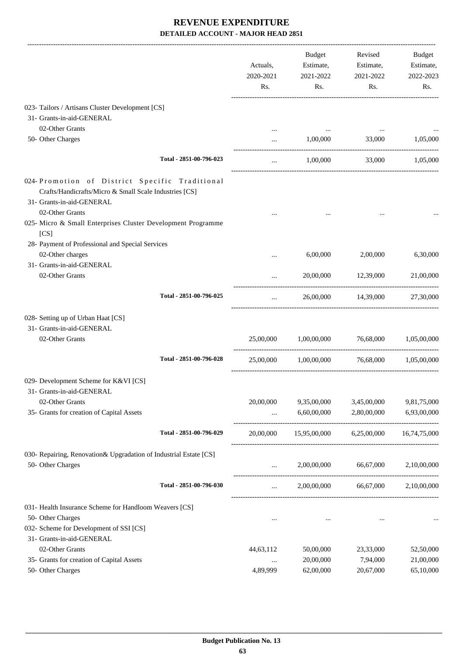| 023- Tailors / Artisans Cluster Development [CS]<br>31- Grants-in-aid-GENERAL<br>02-Other Grants<br>$\cdots$<br>50- Other Charges<br>1.00.000<br>33,000<br>$\cdots$<br>Total - 2851-00-796-023<br>1,00,000<br>33,000<br>$\cdots$<br>024- Promotion of District Specific Traditional<br>Crafts/Handicrafts/Micro & Small Scale Industries [CS]<br>31- Grants-in-aid-GENERAL<br>02-Other Grants<br>025- Micro & Small Enterprises Cluster Development Programme<br>[CS]<br>28- Payment of Professional and Special Services<br>02-Other charges<br>2,00,000<br>6,00,000<br><br>31- Grants-in-aid-GENERAL<br>02-Other Grants<br>20,00,000<br>12,39,000<br>$\cdots$<br>Total - 2851-00-796-025<br>26,00,000<br>14,39,000<br>$\cdots$<br>028- Setting up of Urban Haat [CS]<br>31- Grants-in-aid-GENERAL<br>02-Other Grants<br>25,00,000 1,00,00,000<br>76,68,000<br>Total - 2851-00-796-028<br>25,00,000<br>1,00,00,000<br>76,68,000<br>029- Development Scheme for K&VI [CS]<br>31- Grants-in-aid-GENERAL<br>20,00,000<br>02-Other Grants<br>9,35,00,000<br>3,45,00,000<br>35- Grants for creation of Capital Assets<br>6,60,00,000<br>2,80,00,000<br>$\cdots$ | 1,05,000<br>1,05,000       |
|-------------------------------------------------------------------------------------------------------------------------------------------------------------------------------------------------------------------------------------------------------------------------------------------------------------------------------------------------------------------------------------------------------------------------------------------------------------------------------------------------------------------------------------------------------------------------------------------------------------------------------------------------------------------------------------------------------------------------------------------------------------------------------------------------------------------------------------------------------------------------------------------------------------------------------------------------------------------------------------------------------------------------------------------------------------------------------------------------------------------------------------------------------------|----------------------------|
|                                                                                                                                                                                                                                                                                                                                                                                                                                                                                                                                                                                                                                                                                                                                                                                                                                                                                                                                                                                                                                                                                                                                                             |                            |
|                                                                                                                                                                                                                                                                                                                                                                                                                                                                                                                                                                                                                                                                                                                                                                                                                                                                                                                                                                                                                                                                                                                                                             |                            |
|                                                                                                                                                                                                                                                                                                                                                                                                                                                                                                                                                                                                                                                                                                                                                                                                                                                                                                                                                                                                                                                                                                                                                             |                            |
|                                                                                                                                                                                                                                                                                                                                                                                                                                                                                                                                                                                                                                                                                                                                                                                                                                                                                                                                                                                                                                                                                                                                                             |                            |
|                                                                                                                                                                                                                                                                                                                                                                                                                                                                                                                                                                                                                                                                                                                                                                                                                                                                                                                                                                                                                                                                                                                                                             |                            |
|                                                                                                                                                                                                                                                                                                                                                                                                                                                                                                                                                                                                                                                                                                                                                                                                                                                                                                                                                                                                                                                                                                                                                             |                            |
|                                                                                                                                                                                                                                                                                                                                                                                                                                                                                                                                                                                                                                                                                                                                                                                                                                                                                                                                                                                                                                                                                                                                                             |                            |
|                                                                                                                                                                                                                                                                                                                                                                                                                                                                                                                                                                                                                                                                                                                                                                                                                                                                                                                                                                                                                                                                                                                                                             |                            |
|                                                                                                                                                                                                                                                                                                                                                                                                                                                                                                                                                                                                                                                                                                                                                                                                                                                                                                                                                                                                                                                                                                                                                             | 6,30,000                   |
|                                                                                                                                                                                                                                                                                                                                                                                                                                                                                                                                                                                                                                                                                                                                                                                                                                                                                                                                                                                                                                                                                                                                                             |                            |
|                                                                                                                                                                                                                                                                                                                                                                                                                                                                                                                                                                                                                                                                                                                                                                                                                                                                                                                                                                                                                                                                                                                                                             | 21,00,000                  |
|                                                                                                                                                                                                                                                                                                                                                                                                                                                                                                                                                                                                                                                                                                                                                                                                                                                                                                                                                                                                                                                                                                                                                             | 27,30,000                  |
|                                                                                                                                                                                                                                                                                                                                                                                                                                                                                                                                                                                                                                                                                                                                                                                                                                                                                                                                                                                                                                                                                                                                                             |                            |
|                                                                                                                                                                                                                                                                                                                                                                                                                                                                                                                                                                                                                                                                                                                                                                                                                                                                                                                                                                                                                                                                                                                                                             |                            |
|                                                                                                                                                                                                                                                                                                                                                                                                                                                                                                                                                                                                                                                                                                                                                                                                                                                                                                                                                                                                                                                                                                                                                             | 1,05,00,000                |
|                                                                                                                                                                                                                                                                                                                                                                                                                                                                                                                                                                                                                                                                                                                                                                                                                                                                                                                                                                                                                                                                                                                                                             | 1,05,00,000                |
|                                                                                                                                                                                                                                                                                                                                                                                                                                                                                                                                                                                                                                                                                                                                                                                                                                                                                                                                                                                                                                                                                                                                                             |                            |
|                                                                                                                                                                                                                                                                                                                                                                                                                                                                                                                                                                                                                                                                                                                                                                                                                                                                                                                                                                                                                                                                                                                                                             | 9,81,75,000<br>6,93,00,000 |
| Total - 2851-00-796-029<br>6,25,00,000 16,74,75,000<br>20,00,000<br>15,95,00,000                                                                                                                                                                                                                                                                                                                                                                                                                                                                                                                                                                                                                                                                                                                                                                                                                                                                                                                                                                                                                                                                            |                            |
| 030- Repairing, Renovation& Upgradation of Industrial Estate [CS]<br>50- Other Charges<br>2,00,00,000<br>66,67,000<br>$\cdots$ . The set of $\mathbb{R}^n$                                                                                                                                                                                                                                                                                                                                                                                                                                                                                                                                                                                                                                                                                                                                                                                                                                                                                                                                                                                                  | 2,10,00,000                |
| Total - 2851-00-796-030<br>2,00,00,000<br>66,67,000<br>$\cdots$                                                                                                                                                                                                                                                                                                                                                                                                                                                                                                                                                                                                                                                                                                                                                                                                                                                                                                                                                                                                                                                                                             | 2,10,00,000                |
| 031- Health Insurance Scheme for Handloom Weavers [CS]                                                                                                                                                                                                                                                                                                                                                                                                                                                                                                                                                                                                                                                                                                                                                                                                                                                                                                                                                                                                                                                                                                      |                            |
| 50- Other Charges<br>$\cdots$<br>$\ddotsc$                                                                                                                                                                                                                                                                                                                                                                                                                                                                                                                                                                                                                                                                                                                                                                                                                                                                                                                                                                                                                                                                                                                  |                            |
| 032- Scheme for Development of SSI [CS]                                                                                                                                                                                                                                                                                                                                                                                                                                                                                                                                                                                                                                                                                                                                                                                                                                                                                                                                                                                                                                                                                                                     |                            |
| 31- Grants-in-aid-GENERAL                                                                                                                                                                                                                                                                                                                                                                                                                                                                                                                                                                                                                                                                                                                                                                                                                                                                                                                                                                                                                                                                                                                                   |                            |
| 02-Other Grants<br>44,63,112<br>50,00,000<br>23,33,000                                                                                                                                                                                                                                                                                                                                                                                                                                                                                                                                                                                                                                                                                                                                                                                                                                                                                                                                                                                                                                                                                                      | 52,50,000                  |
| 35- Grants for creation of Capital Assets<br>20,00,000<br>7,94,000<br>$\ldots$                                                                                                                                                                                                                                                                                                                                                                                                                                                                                                                                                                                                                                                                                                                                                                                                                                                                                                                                                                                                                                                                              |                            |
| 50- Other Charges<br>4,89,999<br>62,00,000<br>20,67,000<br>65,10,000                                                                                                                                                                                                                                                                                                                                                                                                                                                                                                                                                                                                                                                                                                                                                                                                                                                                                                                                                                                                                                                                                        | 21,00,000                  |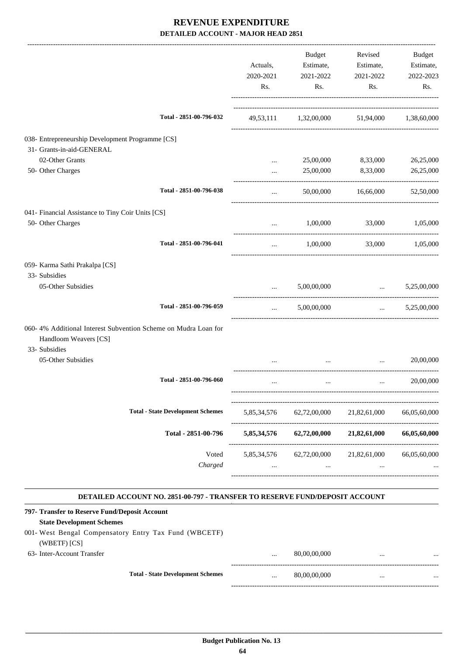|                                                                                         | Actuals,<br>2020-2021           | Budget<br>Estimate,<br>2021-2022                | Revised<br>Estimate,<br>2021-2022                                          | <b>Budget</b><br>Estimate,<br>2022-2023 |
|-----------------------------------------------------------------------------------------|---------------------------------|-------------------------------------------------|----------------------------------------------------------------------------|-----------------------------------------|
|                                                                                         | Rs.                             | Rs.                                             | Rs.                                                                        | Rs.                                     |
| Total - 2851-00-796-032                                                                 |                                 |                                                 | 49,53,111 1,32,00,000 51,94,000 1,38,60,000                                |                                         |
| 038- Entrepreneurship Development Programme [CS]                                        |                                 |                                                 |                                                                            |                                         |
| 31- Grants-in-aid-GENERAL                                                               |                                 |                                                 |                                                                            |                                         |
| 02-Other Grants                                                                         | $\cdots$                        | 25,00,000                                       | 8,33,000                                                                   | 26,25,000                               |
| 50- Other Charges                                                                       | $\cdots$                        | 25,00,000                                       | 8,33,000                                                                   | 26,25,000                               |
| Total - 2851-00-796-038                                                                 | $\cdots$                        | 50,00,000                                       | 16,66,000                                                                  | 52,50,000                               |
| 041- Financial Assistance to Tiny Coir Units [CS]                                       |                                 |                                                 |                                                                            |                                         |
| 50- Other Charges                                                                       | $\cdots$                        | 1,00,000                                        | 33,000                                                                     | 1,05,000                                |
| Total - 2851-00-796-041                                                                 | $\cdots$                        |                                                 | $1,00,000$ $33,000$ $1,05,000$                                             |                                         |
| 059- Karma Sathi Prakalpa [CS]                                                          |                                 |                                                 |                                                                            |                                         |
| 33- Subsidies                                                                           |                                 |                                                 |                                                                            |                                         |
| 05-Other Subsidies                                                                      | $\cdots$ . The same of $\cdots$ | 5,00,00,000                                     | <b>Contract Contract Contract</b><br>------------------------------------- | 5,25,00,000                             |
| Total - 2851-00-796-059                                                                 | $\cdots$                        | 5,00,00,000                                     | $\cdots$ . The same of $\cdots$                                            | 5,25,00,000                             |
| 060-4% Additional Interest Subvention Scheme on Mudra Loan for<br>Handloom Weavers [CS] |                                 |                                                 |                                                                            |                                         |
| 33- Subsidies<br>05-Other Subsidies                                                     |                                 | $\cdots$                                        | $\cdots$                                                                   | 20,00,000                               |
| Total - 2851-00-796-060                                                                 | $\cdots$                        | $\cdots$                                        | $\cdots$                                                                   | 20,00,000                               |
| <b>Total - State Development Schemes</b>                                                | 5,85,34,576                     | 62,72,00,000                                    | 21,82,61,000                                                               | 66,05,60,000                            |
| Total - 2851-00-796                                                                     | 5,85,34,576                     | . _ _ _ _ _ _ _ _ _ _ _ _ _ _ _<br>62,72,00,000 | 21,82,61,000                                                               | 66,05,60,000                            |
| Voted                                                                                   |                                 | 5,85,34,576 62,72,00,000                        | 21,82,61,000                                                               | 66,05,60,000                            |
| Charged                                                                                 | $\cdots$                        | $\cdots$                                        | $\cdots$                                                                   |                                         |
|                                                                                         |                                 |                                                 |                                                                            |                                         |
| DETAILED ACCOUNT NO. 2851-00-797 - TRANSFER TO RESERVE FUND/DEPOSIT ACCOUNT             |                                 |                                                 |                                                                            |                                         |

| 797- Transfer to Reserve Fund/Deposit Account                         |                                          |          |              |          |          |
|-----------------------------------------------------------------------|------------------------------------------|----------|--------------|----------|----------|
| <b>State Development Schemes</b>                                      |                                          |          |              |          |          |
| 001- West Bengal Compensatory Entry Tax Fund (WBCETF)<br>(WBETF) [CS] |                                          |          |              |          |          |
| 63- Inter-Account Transfer                                            |                                          | $\cdots$ | 80,00,00,000 | $\cdots$ | $\cdots$ |
|                                                                       | <b>Total - State Development Schemes</b> | $\cdots$ | 80,00,00,000 |          | $\cdots$ |
|                                                                       |                                          |          |              |          |          |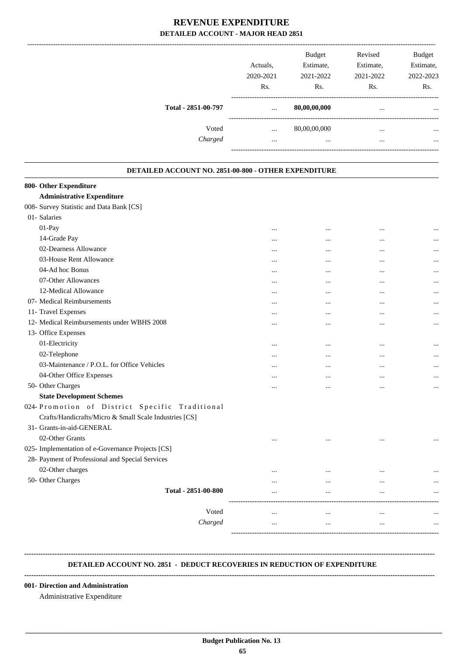| - ІЛАJUR ШЕАР 4051                                     |                              |                                                |                                          |                                                |  |
|--------------------------------------------------------|------------------------------|------------------------------------------------|------------------------------------------|------------------------------------------------|--|
|                                                        | Actuals,<br>2020-2021<br>Rs. | <b>Budget</b><br>Estimate,<br>2021-2022<br>Rs. | Revised<br>Estimate,<br>2021-2022<br>Rs. | <b>Budget</b><br>Estimate,<br>2022-2023<br>Rs. |  |
| Total - 2851-00-797                                    | $\cdots$                     | 80,00,00,000                                   | $\cdots$                                 |                                                |  |
|                                                        |                              |                                                |                                          |                                                |  |
| Voted<br>Charged                                       | $\cdots$<br>$\cdots$         | 80,00,00,000<br>$\cdots$                       | $\cdots$<br>$\cdots$                     |                                                |  |
|                                                        |                              |                                                | -----------------                        |                                                |  |
| DETAILED ACCOUNT NO. 2851-00-800 - OTHER EXPENDITURE   |                              |                                                |                                          |                                                |  |
| 800- Other Expenditure                                 |                              |                                                |                                          |                                                |  |
| <b>Administrative Expenditure</b>                      |                              |                                                |                                          |                                                |  |
| 008- Survey Statistic and Data Bank [CS]               |                              |                                                |                                          |                                                |  |
| 01- Salaries                                           |                              |                                                |                                          |                                                |  |
| 01-Pay                                                 |                              | $\cdots$                                       | $\cdots$                                 |                                                |  |
| 14-Grade Pay                                           |                              |                                                | $\ddotsc$                                |                                                |  |
| 02-Dearness Allowance                                  |                              |                                                | $\ddotsc$                                |                                                |  |
| 03-House Rent Allowance                                |                              |                                                |                                          |                                                |  |
| 04-Ad hoc Bonus                                        | $\cdots$                     |                                                | $\ddotsc$                                |                                                |  |
| 07-Other Allowances                                    |                              |                                                | $\cdots$                                 |                                                |  |
| 12-Medical Allowance                                   |                              |                                                | $\ddotsc$                                |                                                |  |
| 07- Medical Reimbursements                             |                              |                                                | $\cdots$                                 |                                                |  |
| 11- Travel Expenses                                    | $\cdots$                     |                                                | $\cdots$                                 |                                                |  |
| 12- Medical Reimbursements under WBHS 2008             |                              |                                                | $\ddotsc$                                |                                                |  |
| 13- Office Expenses                                    |                              |                                                |                                          |                                                |  |
| 01-Electricity                                         |                              | $\cdots$                                       | $\cdots$                                 |                                                |  |
| 02-Telephone                                           | $\cdots$                     | $\cdots$                                       | $\cdots$                                 |                                                |  |
| 03-Maintenance / P.O.L. for Office Vehicles            |                              | $\cdots$                                       | $\cdots$                                 |                                                |  |
| 04-Other Office Expenses                               |                              |                                                |                                          |                                                |  |
| 50- Other Charges                                      | $\cdots$                     | $\ddotsc$                                      | $\cdots$                                 | $\cdots$                                       |  |
| <b>State Development Schemes</b>                       |                              |                                                |                                          |                                                |  |
| 024-Promotion of District Specific Traditional         |                              |                                                |                                          |                                                |  |
| Crafts/Handicrafts/Micro & Small Scale Industries [CS] |                              |                                                |                                          |                                                |  |
| 31- Grants-in-aid-GENERAL                              |                              |                                                |                                          |                                                |  |
| 02-Other Grants                                        | $\ddotsc$                    | $\ddotsc$                                      | $\ddotsc$                                |                                                |  |
| 025- Implementation of e-Governance Projects [CS]      |                              |                                                |                                          |                                                |  |
| 28- Payment of Professional and Special Services       |                              |                                                |                                          |                                                |  |
| 02-Other charges                                       | $\cdots$                     | $\cdots$                                       |                                          |                                                |  |
| 50- Other Charges                                      |                              | $\cdots$                                       |                                          |                                                |  |
| Total - 2851-00-800                                    |                              | $\cdots$                                       | $\cdots$                                 |                                                |  |
|                                                        |                              |                                                |                                          |                                                |  |
| Voted                                                  | $\cdots$                     | $\cdots$                                       |                                          |                                                |  |
| Charged                                                | $\cdots$                     | $\cdots$                                       | $\ddotsc$                                |                                                |  |
|                                                        |                              |                                                |                                          |                                                |  |

#### **DETAILED ACCOUNT NO. 2851 - DEDUCT RECOVERIES IN REDUCTION OF EXPENDITURE**

 **\_\_\_\_\_\_\_\_\_\_\_\_\_\_\_\_\_\_\_\_\_\_\_\_\_\_\_\_\_\_\_\_\_\_\_\_\_\_\_\_\_\_\_\_\_\_\_\_\_\_\_\_\_\_\_\_\_\_\_\_\_\_\_\_\_\_\_\_\_\_\_\_\_\_\_\_\_\_\_\_\_\_\_\_\_\_\_\_\_\_\_\_\_\_\_\_\_\_\_\_\_\_\_\_\_\_\_\_\_\_\_\_\_\_\_\_\_\_\_**

#### **--------------------------------------------------------------------------------------------------------------------------------------------------------------------------------**

-----------------------------------------------------------------------------------------

**--------------------------------------------------------------------------------------------------------------------------------------------------------------------------------**

#### **001- Direction and Administration**

Administrative Expenditure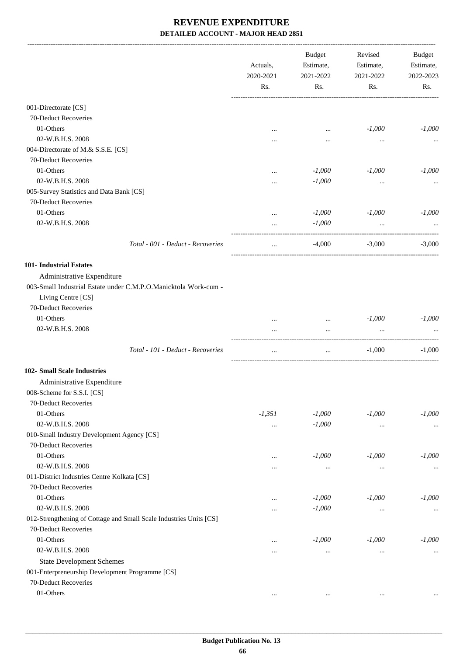|                                                                    | Actuals,<br>2020-2021<br>Rs. | <b>Budget</b><br>Estimate,<br>2021-2022 | Revised<br>Estimate,<br>2021-2022 | Budget<br>Estimate,<br>2022-2023<br>Rs. |
|--------------------------------------------------------------------|------------------------------|-----------------------------------------|-----------------------------------|-----------------------------------------|
|                                                                    |                              | Rs.                                     | Rs.                               |                                         |
| 001-Directorate [CS]                                               |                              |                                         |                                   |                                         |
| 70-Deduct Recoveries                                               |                              |                                         |                                   |                                         |
| 01-Others                                                          |                              | $\cdots$                                | $-1,000$                          | $-1,000$                                |
| 02-W.B.H.S. 2008                                                   |                              |                                         | $\cdots$                          |                                         |
| 004-Directorate of M.& S.S.E. [CS]                                 |                              |                                         |                                   |                                         |
| 70-Deduct Recoveries                                               |                              |                                         |                                   |                                         |
| 01-Others                                                          | $\ddotsc$                    | $-1,000$                                | $-1,000$                          | $-1,000$                                |
| 02-W.B.H.S. 2008                                                   | $\ddotsc$                    | $-1,000$                                | $\ddotsc$                         |                                         |
| 005-Survey Statistics and Data Bank [CS]                           |                              |                                         |                                   |                                         |
| 70-Deduct Recoveries                                               |                              |                                         |                                   |                                         |
| 01-Others                                                          |                              | $-1,000$                                | $-1,000$                          | $-1,000$                                |
| 02-W.B.H.S. 2008                                                   |                              | $-1,000$                                | $\cdots$                          |                                         |
|                                                                    |                              |                                         |                                   |                                         |
| Total - 001 - Deduct - Recoveries                                  |                              | $-4,000$                                | $-3,000$                          | $-3,000$                                |
| 101- Industrial Estates                                            |                              |                                         |                                   |                                         |
| Administrative Expenditure                                         |                              |                                         |                                   |                                         |
| 003-Small Industrial Estate under C.M.P.O.Manicktola Work-cum -    |                              |                                         |                                   |                                         |
| Living Centre [CS]                                                 |                              |                                         |                                   |                                         |
| 70-Deduct Recoveries                                               |                              |                                         |                                   |                                         |
| 01-Others                                                          |                              |                                         | $-1,000$                          | $-1,000$                                |
| 02-W.B.H.S. 2008                                                   |                              | $\cdots$                                | $\ddots$                          |                                         |
| Total - 101 - Deduct - Recoveries                                  | $\cdots$                     | $\cdots$                                | $-1,000$                          | $-1,000$                                |
| 102- Small Scale Industries                                        |                              |                                         |                                   |                                         |
| Administrative Expenditure                                         |                              |                                         |                                   |                                         |
| 008-Scheme for S.S.I. [CS]                                         |                              |                                         |                                   |                                         |
| 70-Deduct Recoveries                                               |                              |                                         |                                   |                                         |
| 01-Others                                                          | $-1,351$                     | $-1,000$                                | $-1,000$                          | $-1,000$                                |
| 02-W.B.H.S. 2008                                                   | $\cdots$                     | $-1,000$                                | $\cdots$                          |                                         |
| 010-Small Industry Development Agency [CS]                         |                              |                                         |                                   |                                         |
| 70-Deduct Recoveries                                               |                              |                                         |                                   |                                         |
| 01-Others                                                          | $\cdots$                     | $-1,000$                                | $-1,000$                          | $-1,000$                                |
| 02-W.B.H.S. 2008                                                   | $\ddotsc$                    | $\cdots$                                | $\cdots$                          |                                         |
| 011-District Industries Centre Kolkata [CS]                        |                              |                                         |                                   |                                         |
| 70-Deduct Recoveries                                               |                              |                                         |                                   |                                         |
| 01-Others                                                          | $\cdots$                     | $-1,000$                                | $-1,000$                          | $-1,000$                                |
| 02-W.B.H.S. 2008                                                   |                              | $-1,000$                                | $\cdots$                          | $\cdots$                                |
| 012-Strengthening of Cottage and Small Scale Industries Units [CS] |                              |                                         |                                   |                                         |
| 70-Deduct Recoveries                                               |                              |                                         |                                   |                                         |
| 01-Others                                                          | $\cdots$                     | $-1,000$                                | $-1,000$                          | $-1,000$                                |
| 02-W.B.H.S. 2008                                                   | $\cdots$                     | $\cdots$                                | $\ldots$                          | $\cdots$                                |
| <b>State Development Schemes</b>                                   |                              |                                         |                                   |                                         |
| 001-Enterpreneurship Development Programme [CS]                    |                              |                                         |                                   |                                         |
| 70-Deduct Recoveries                                               |                              |                                         |                                   |                                         |
| 01-Others                                                          | $\cdots$                     | $\ldots$                                | $\ldots$                          |                                         |
|                                                                    |                              |                                         |                                   |                                         |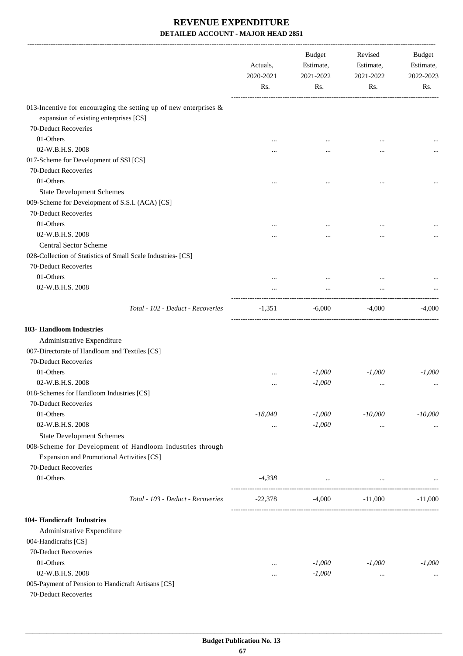|                                                                      | Actuals,<br>2020-2021<br>Rs. | <b>Budget</b><br>Estimate,<br>2021-2022<br>Rs.     | Revised<br>Estimate,<br>2021-2022<br>Rs. | Budget<br>Estimate,<br>2022-2023<br>Rs. |
|----------------------------------------------------------------------|------------------------------|----------------------------------------------------|------------------------------------------|-----------------------------------------|
| 013-Incentive for encouraging the setting up of new enterprises $\&$ |                              |                                                    |                                          |                                         |
| expansion of existing enterprises [CS]                               |                              |                                                    |                                          |                                         |
| 70-Deduct Recoveries                                                 |                              |                                                    |                                          |                                         |
| 01-Others                                                            |                              | $\cdots$                                           |                                          |                                         |
| 02-W.B.H.S. 2008                                                     |                              |                                                    |                                          |                                         |
| 017-Scheme for Development of SSI [CS]                               |                              |                                                    |                                          |                                         |
| 70-Deduct Recoveries                                                 |                              |                                                    |                                          |                                         |
| 01-Others                                                            |                              |                                                    |                                          |                                         |
| <b>State Development Schemes</b>                                     |                              |                                                    |                                          |                                         |
| 009-Scheme for Development of S.S.I. (ACA) [CS]                      |                              |                                                    |                                          |                                         |
| 70-Deduct Recoveries                                                 |                              |                                                    |                                          |                                         |
| 01-Others                                                            |                              |                                                    |                                          |                                         |
| 02-W.B.H.S. 2008                                                     |                              |                                                    |                                          |                                         |
| Central Sector Scheme                                                |                              |                                                    |                                          |                                         |
| 028-Collection of Statistics of Small Scale Industries- [CS]         |                              |                                                    |                                          |                                         |
| 70-Deduct Recoveries                                                 |                              |                                                    |                                          |                                         |
| 01-Others                                                            |                              |                                                    |                                          |                                         |
| 02-W.B.H.S. 2008                                                     |                              |                                                    |                                          |                                         |
|                                                                      |                              | $\cdots$<br>-------------------------------------- | $\cdots$                                 |                                         |
| Total - 102 - Deduct - Recoveries                                    | $-1,351$                     | $-6,000$                                           | -4,000                                   | $-4,000$                                |
| 103- Handloom Industries                                             |                              |                                                    |                                          |                                         |
| Administrative Expenditure                                           |                              |                                                    |                                          |                                         |
| 007-Directorate of Handloom and Textiles [CS]                        |                              |                                                    |                                          |                                         |
| 70-Deduct Recoveries                                                 |                              |                                                    |                                          |                                         |
| 01-Others                                                            | $\cdots$                     | $-1,000$                                           | $-1,000$                                 | $-1,000$                                |
| 02-W.B.H.S. 2008                                                     |                              | $-1,000$                                           | $\ddotsc$                                |                                         |
| 018-Schemes for Handloom Industries [CS]                             |                              |                                                    |                                          |                                         |
| 70-Deduct Recoveries                                                 |                              |                                                    |                                          |                                         |
| 01-Others                                                            | $-18,040$                    | $-1,000$                                           | $-10,000$                                | $-10,000$                               |
| 02-W.B.H.S. 2008                                                     | $\cdots$                     | $-1,000$                                           | $\cdots$                                 |                                         |
| <b>State Development Schemes</b>                                     |                              |                                                    |                                          |                                         |
| 008-Scheme for Development of Handloom Industries through            |                              |                                                    |                                          |                                         |
| Expansion and Promotional Activities [CS]                            |                              |                                                    |                                          |                                         |
| 70-Deduct Recoveries                                                 |                              |                                                    |                                          |                                         |
| 01-Others                                                            | $-4,338$                     | and the contract of the same                       | $\ldots$                                 |                                         |
|                                                                      |                              |                                                    |                                          |                                         |
| Total - 103 - Deduct - Recoveries                                    | $-22,378$                    | $-4,000$                                           | $-11,000$                                | $-11,000$                               |
| 104- Handicraft Industries                                           |                              |                                                    |                                          |                                         |
| Administrative Expenditure                                           |                              |                                                    |                                          |                                         |
| 004-Handicrafts [CS]                                                 |                              |                                                    |                                          |                                         |
| 70-Deduct Recoveries                                                 |                              |                                                    |                                          |                                         |
| 01-Others                                                            | $\cdots$                     | $-1,000$                                           | $-1,000$                                 | $-1,000$                                |
| 02-W.B.H.S. 2008                                                     | $\cdots$                     | $-1,000$                                           | $\cdots$                                 |                                         |
| 005-Payment of Pension to Handicraft Artisans [CS]                   |                              |                                                    |                                          |                                         |
| 70-Deduct Recoveries                                                 |                              |                                                    |                                          |                                         |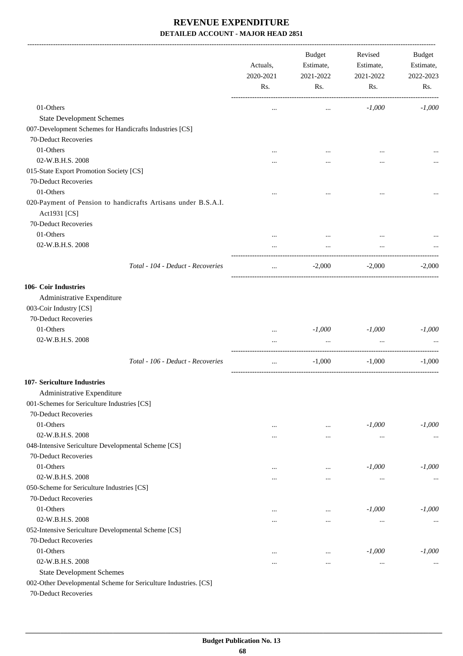-------------------------------------------------------------------------------------------------------------------------------------------------------------------------------

|                                                                               | Actuals,<br>2020-2021 | <b>Budget</b><br>Estimate,<br>2021-2022 | Revised<br>Estimate,<br>2021-2022 | <b>Budget</b><br>Estimate,<br>2022-2023 |
|-------------------------------------------------------------------------------|-----------------------|-----------------------------------------|-----------------------------------|-----------------------------------------|
|                                                                               | Rs.                   | Rs.                                     | Rs.                               | Rs.                                     |
| 01-Others                                                                     | $\ddotsc$             | $\cdots$                                | $-1,000$                          | $-1,000$                                |
| <b>State Development Schemes</b>                                              |                       |                                         |                                   |                                         |
| 007-Development Schemes for Handicrafts Industries [CS]                       |                       |                                         |                                   |                                         |
| 70-Deduct Recoveries                                                          |                       |                                         |                                   |                                         |
| 01-Others                                                                     |                       |                                         |                                   |                                         |
| 02-W.B.H.S. 2008                                                              |                       |                                         |                                   |                                         |
| 015-State Export Promotion Society [CS]                                       |                       |                                         |                                   |                                         |
| 70-Deduct Recoveries                                                          |                       |                                         |                                   |                                         |
| 01-Others                                                                     | $\cdots$              | $\ddotsc$                               | $\cdots$                          |                                         |
| 020-Payment of Pension to handicrafts Artisans under B.S.A.I.<br>Act1931 [CS] |                       |                                         |                                   |                                         |
| 70-Deduct Recoveries                                                          |                       |                                         |                                   |                                         |
| 01-Others                                                                     |                       |                                         |                                   |                                         |
| 02-W.B.H.S. 2008                                                              | $\cdots$<br>$\cdots$  | <br>$\cdots$                            | $\cdots$                          |                                         |
|                                                                               |                       |                                         |                                   |                                         |
| Total - 104 - Deduct - Recoveries                                             | $\cdots$              | $-2,000$                                | $-2,000$                          | $-2.000$                                |
| 106- Coir Industries                                                          |                       |                                         |                                   |                                         |
| Administrative Expenditure                                                    |                       |                                         |                                   |                                         |
| 003-Coir Industry [CS]                                                        |                       |                                         |                                   |                                         |
| 70-Deduct Recoveries                                                          |                       |                                         |                                   |                                         |
| 01-Others                                                                     | $\cdots$              | $-1,000$                                | $-1,000$                          | $-1,000$                                |
| 02-W.B.H.S. 2008                                                              | .                     | $\cdots$                                | $\cdots$                          |                                         |
| Total - 106 - Deduct - Recoveries                                             | $\cdots$              | $-1,000$                                | $-1,000$                          | $-1,000$                                |
| 107- Sericulture Industries                                                   |                       |                                         |                                   |                                         |
| Administrative Expenditure                                                    |                       |                                         |                                   |                                         |
| 001-Schemes for Sericulture Industries [CS]                                   |                       |                                         |                                   |                                         |
| 70-Deduct Recoveries                                                          |                       |                                         |                                   |                                         |
| 01-Others                                                                     | $\cdots$              | $\ddotsc$                               | $-1,000$                          | $-1,000$                                |
| 02-W.B.H.S. 2008                                                              |                       | $\cdots$                                | $\cdots$                          | $\cdots$                                |
| 048-Intensive Sericulture Developmental Scheme [CS]                           |                       |                                         |                                   |                                         |
| 70-Deduct Recoveries                                                          |                       |                                         |                                   |                                         |
| 01-Others                                                                     | $\cdots$              | $\cdots$                                | $-1,000$                          | $-1,000$                                |
| 02-W.B.H.S. 2008                                                              |                       | $\cdots$                                | $\cdots$                          |                                         |
| 050-Scheme for Sericulture Industries [CS]                                    |                       |                                         |                                   |                                         |
| 70-Deduct Recoveries                                                          |                       |                                         |                                   |                                         |
| 01-Others                                                                     |                       | $\cdots$                                | $-1,000$                          | $-1,000$                                |
| 02-W.B.H.S. 2008                                                              |                       | $\ddotsc$                               | $\cdots$                          |                                         |
| 052-Intensive Sericulture Developmental Scheme [CS]                           |                       |                                         |                                   |                                         |
| 70-Deduct Recoveries                                                          |                       |                                         |                                   |                                         |
| 01-Others                                                                     |                       | $\cdots$                                | $-1,000$                          | $-1,000$                                |
| 02-W.B.H.S. 2008                                                              |                       |                                         | $\cdots$                          | $\cdots$                                |
| <b>State Development Schemes</b>                                              |                       |                                         |                                   |                                         |
| 002-Other Developmental Scheme for Sericulture Industries. [CS]               |                       |                                         |                                   |                                         |
| 70-Deduct Recoveries                                                          |                       |                                         |                                   |                                         |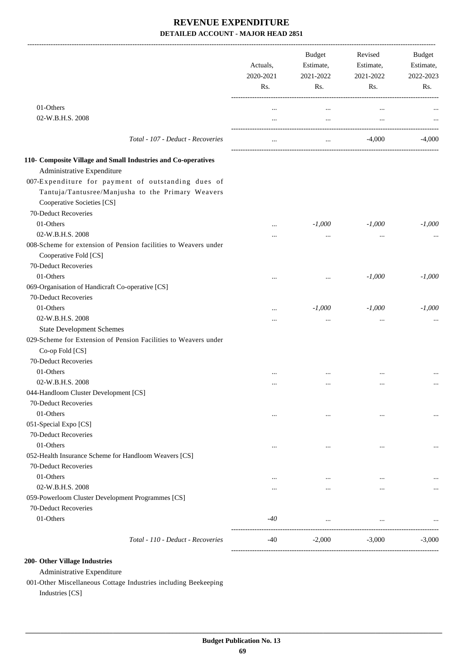|                                                                                                                                       | Actuals,<br>2020-2021<br>Rs. | <b>Budget</b><br>Estimate,<br>2021-2022<br>Rs. | Revised<br>Estimate,<br>2021-2022<br>Rs. | Budget<br>Estimate,<br>2022-2023<br>Rs. |
|---------------------------------------------------------------------------------------------------------------------------------------|------------------------------|------------------------------------------------|------------------------------------------|-----------------------------------------|
| 01-Others<br>02-W.B.H.S. 2008                                                                                                         | $\cdots$                     | $\cdots$                                       | $\ldots$                                 |                                         |
|                                                                                                                                       | $\cdots$                     | $\cdots$                                       | $\cdots$                                 |                                         |
| Total - 107 - Deduct - Recoveries                                                                                                     | $\cdots$                     | $\cdots$                                       | -4,000                                   | $-4.000$                                |
| 110- Composite Village and Small Industries and Co-operatives                                                                         |                              |                                                |                                          |                                         |
| Administrative Expenditure                                                                                                            |                              |                                                |                                          |                                         |
| 007-Expenditure for payment of outstanding dues of<br>Tantuja/Tantusree/Manjusha to the Primary Weavers<br>Cooperative Societies [CS] |                              |                                                |                                          |                                         |
| 70-Deduct Recoveries                                                                                                                  |                              |                                                |                                          |                                         |
| 01-Others                                                                                                                             |                              | $-1,000$                                       | $-1,000$                                 | $-1,000$                                |
| 02-W.B.H.S. 2008                                                                                                                      |                              | $\cdots$                                       | $\ddotsc$                                |                                         |
| 008-Scheme for extension of Pension facilities to Weavers under<br>Cooperative Fold [CS]<br>70-Deduct Recoveries                      |                              |                                                |                                          |                                         |
| 01-Others                                                                                                                             |                              |                                                | $-1,000$                                 | $-1,000$                                |
| 069-Organisation of Handicraft Co-operative [CS]                                                                                      |                              | $\cdots$                                       |                                          |                                         |
| 70-Deduct Recoveries                                                                                                                  |                              |                                                |                                          |                                         |
| 01-Others                                                                                                                             | $\cdots$                     | $-1,000$                                       | $-1,000$                                 | $-1,000$                                |
| 02-W.B.H.S. 2008                                                                                                                      |                              | $\cdots$                                       | $\ddotsc$                                |                                         |
| <b>State Development Schemes</b>                                                                                                      |                              |                                                |                                          |                                         |
| 029-Scheme for Extension of Pension Facilities to Weavers under<br>Co-op Fold [CS]                                                    |                              |                                                |                                          |                                         |
| 70-Deduct Recoveries                                                                                                                  |                              |                                                |                                          |                                         |
| 01-Others                                                                                                                             |                              | $\cdots$                                       |                                          |                                         |
| 02-W.B.H.S. 2008                                                                                                                      |                              |                                                |                                          |                                         |
| 044-Handloom Cluster Development [CS]                                                                                                 |                              |                                                |                                          |                                         |
| 70-Deduct Recoveries                                                                                                                  |                              |                                                |                                          |                                         |
| 01-Others                                                                                                                             | $\cdots$                     | $\cdots$                                       | $\ddotsc$                                |                                         |
| 051-Special Expo [CS]                                                                                                                 |                              |                                                |                                          |                                         |
| 70-Deduct Recoveries                                                                                                                  |                              |                                                |                                          |                                         |
| 01-Others                                                                                                                             |                              | $\ddotsc$                                      | $\ddotsc$                                |                                         |
| 052-Health Insurance Scheme for Handloom Weavers [CS]<br>70-Deduct Recoveries                                                         |                              |                                                |                                          |                                         |
| 01-Others                                                                                                                             |                              | $\ddotsc$                                      |                                          |                                         |
| 02-W.B.H.S. 2008                                                                                                                      | $\cdots$                     |                                                |                                          |                                         |
| 059-Powerloom Cluster Development Programmes [CS]                                                                                     |                              |                                                |                                          |                                         |
| 70-Deduct Recoveries                                                                                                                  |                              |                                                |                                          |                                         |
| 01-Others                                                                                                                             | -40                          |                                                |                                          |                                         |
| Total - 110 - Deduct - Recoveries                                                                                                     | -40                          | $-2,000$                                       | $-3,000$                                 | $-3,000$                                |
|                                                                                                                                       |                              |                                                |                                          |                                         |

#### **200- Other Village Industries**

Administrative Expenditure

001-Other Miscellaneous Cottage Industries including Beekeeping Industries [CS]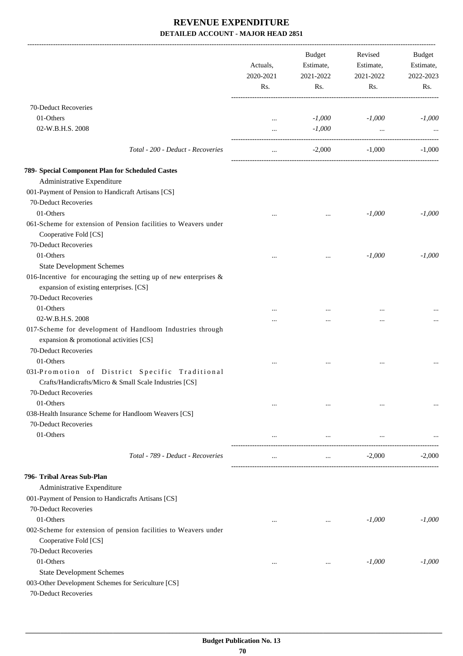|                                                                                                                 | Actuals,<br>2020-2021<br>Rs. | <b>Budget</b><br>Estimate,<br>2021-2022<br>Rs. | Revised<br>Estimate,<br>2021-2022<br>Rs. | Budget<br>Estimate,<br>2022-2023<br>Rs. |
|-----------------------------------------------------------------------------------------------------------------|------------------------------|------------------------------------------------|------------------------------------------|-----------------------------------------|
| 70-Deduct Recoveries                                                                                            |                              |                                                |                                          |                                         |
| 01-Others                                                                                                       | $\cdots$                     | $-1,000$                                       | $-1,000$                                 | $-1,000$                                |
| 02-W.B.H.S. 2008                                                                                                | $\cdots$                     | $-1,000$                                       | $\ddots$                                 |                                         |
| Total - 200 - Deduct - Recoveries                                                                               | $\cdots$                     | $-2,000$                                       | -1.000                                   | $-1.000$                                |
| 789- Special Component Plan for Scheduled Castes                                                                |                              |                                                |                                          |                                         |
| Administrative Expenditure                                                                                      |                              |                                                |                                          |                                         |
| 001-Payment of Pension to Handicraft Artisans [CS]                                                              |                              |                                                |                                          |                                         |
| 70-Deduct Recoveries                                                                                            |                              |                                                |                                          |                                         |
| 01-Others                                                                                                       |                              | $\cdots$                                       | $-1,000$                                 | $-1,000$                                |
| 061-Scheme for extension of Pension facilities to Weavers under                                                 |                              |                                                |                                          |                                         |
| Cooperative Fold [CS]                                                                                           |                              |                                                |                                          |                                         |
| 70-Deduct Recoveries                                                                                            |                              |                                                |                                          |                                         |
| 01-Others                                                                                                       |                              | $\ddotsc$                                      | $-1,000$                                 | $-1,000$                                |
| <b>State Development Schemes</b>                                                                                |                              |                                                |                                          |                                         |
| 016-Incentive for encouraging the setting up of new enterprises $\&$<br>expansion of existing enterprises. [CS] |                              |                                                |                                          |                                         |
| 70-Deduct Recoveries                                                                                            |                              |                                                |                                          |                                         |
| 01-Others                                                                                                       |                              |                                                |                                          |                                         |
| 02-W.B.H.S. 2008                                                                                                |                              |                                                |                                          |                                         |
| 017-Scheme for development of Handloom Industries through                                                       |                              |                                                |                                          |                                         |
| expansion & promotional activities [CS]                                                                         |                              |                                                |                                          |                                         |
| 70-Deduct Recoveries                                                                                            |                              |                                                |                                          |                                         |
| 01-Others                                                                                                       |                              |                                                |                                          |                                         |
| 031-Promotion of District Specific Traditional                                                                  |                              |                                                |                                          |                                         |
| Crafts/Handicrafts/Micro & Small Scale Industries [CS]<br>70-Deduct Recoveries                                  |                              |                                                |                                          |                                         |
| 01-Others                                                                                                       | $\ddotsc$                    |                                                |                                          |                                         |
| 038-Health Insurance Scheme for Handloom Weavers [CS]                                                           |                              |                                                |                                          |                                         |
| 70-Deduct Recoveries                                                                                            |                              |                                                |                                          |                                         |
| 01-Others                                                                                                       | $\cdots$                     | $\cdots$                                       | $\cdots$                                 |                                         |
|                                                                                                                 |                              |                                                |                                          |                                         |
| Total - 789 - Deduct - Recoveries                                                                               | $\cdots$                     | $\cdots$                                       | $-2.000$                                 | $-2,000$                                |
| 796- Tribal Areas Sub-Plan                                                                                      |                              |                                                |                                          |                                         |
| Administrative Expenditure                                                                                      |                              |                                                |                                          |                                         |
| 001-Payment of Pension to Handicrafts Artisans [CS]                                                             |                              |                                                |                                          |                                         |
| 70-Deduct Recoveries                                                                                            |                              |                                                |                                          |                                         |
| 01-Others                                                                                                       | $\cdots$                     | $\cdots$                                       | $-1,000$                                 | $-1,000$                                |
| 002-Scheme for extension of pension facilities to Weavers under                                                 |                              |                                                |                                          |                                         |
| Cooperative Fold [CS]                                                                                           |                              |                                                |                                          |                                         |
| 70-Deduct Recoveries                                                                                            |                              |                                                |                                          |                                         |
| 01-Others                                                                                                       | $\cdots$                     | $\cdots$                                       | $-1,000$                                 | $-1,000$                                |
| <b>State Development Schemes</b>                                                                                |                              |                                                |                                          |                                         |
| 003-Other Development Schemes for Sericulture [CS]                                                              |                              |                                                |                                          |                                         |
| 70-Deduct Recoveries                                                                                            |                              |                                                |                                          |                                         |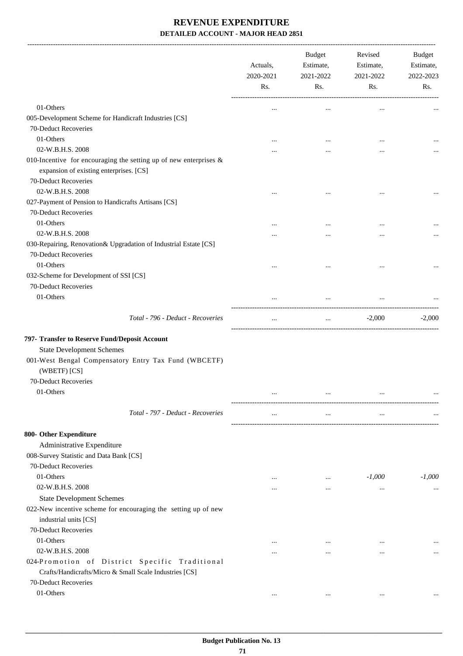|                                                                                                                 | Actuals,<br>2020-2021<br>Rs. | Budget<br>Estimate,<br>2021-2022<br>Rs. | Revised<br>Estimate,<br>2021-2022<br>Rs. | Budget<br>Estimate,<br>2022-2023<br>Rs. |
|-----------------------------------------------------------------------------------------------------------------|------------------------------|-----------------------------------------|------------------------------------------|-----------------------------------------|
| 01-Others                                                                                                       |                              |                                         |                                          |                                         |
| 005-Development Scheme for Handicraft Industries [CS]                                                           |                              | $\ddotsc$                               |                                          |                                         |
| 70-Deduct Recoveries                                                                                            |                              |                                         |                                          |                                         |
| 01-Others                                                                                                       |                              |                                         |                                          |                                         |
| 02-W.B.H.S. 2008                                                                                                |                              |                                         |                                          |                                         |
| 010-Incentive for encouraging the setting up of new enterprises $\&$<br>expansion of existing enterprises. [CS] |                              |                                         |                                          |                                         |
| 70-Deduct Recoveries                                                                                            |                              |                                         |                                          |                                         |
| 02-W.B.H.S. 2008                                                                                                |                              |                                         |                                          |                                         |
| 027-Payment of Pension to Handicrafts Artisans [CS]                                                             |                              |                                         |                                          |                                         |
| 70-Deduct Recoveries<br>01-Others                                                                               |                              |                                         |                                          |                                         |
| 02-W.B.H.S. 2008                                                                                                |                              |                                         |                                          |                                         |
| 030-Repairing, Renovation& Upgradation of Industrial Estate [CS]                                                |                              |                                         |                                          |                                         |
| 70-Deduct Recoveries<br>01-Others                                                                               |                              |                                         |                                          |                                         |
| 032-Scheme for Development of SSI [CS]                                                                          |                              |                                         |                                          |                                         |
| 70-Deduct Recoveries                                                                                            |                              |                                         |                                          |                                         |
| 01-Others                                                                                                       |                              | $\cdots$                                |                                          |                                         |
|                                                                                                                 |                              |                                         |                                          |                                         |
| Total - 796 - Deduct - Recoveries                                                                               |                              | $\ddotsc$                               | $-2,000$                                 | $-2,000$                                |
| 797- Transfer to Reserve Fund/Deposit Account                                                                   |                              |                                         |                                          |                                         |
| <b>State Development Schemes</b>                                                                                |                              |                                         |                                          |                                         |
| 001-West Bengal Compensatory Entry Tax Fund (WBCETF)                                                            |                              |                                         |                                          |                                         |
| (WBETF) [CS]                                                                                                    |                              |                                         |                                          |                                         |
| 70-Deduct Recoveries                                                                                            |                              |                                         |                                          |                                         |
| 01-Others                                                                                                       |                              |                                         |                                          |                                         |
|                                                                                                                 |                              |                                         |                                          |                                         |
| Total - 797 - Deduct - Recoveries                                                                               | $\cdots$                     | $\cdots$                                | $\cdots$                                 |                                         |
| 800- Other Expenditure                                                                                          |                              |                                         |                                          |                                         |
| Administrative Expenditure                                                                                      |                              |                                         |                                          |                                         |
| 008-Survey Statistic and Data Bank [CS]                                                                         |                              |                                         |                                          |                                         |
| 70-Deduct Recoveries                                                                                            |                              |                                         |                                          |                                         |
| 01-Others                                                                                                       | $\cdots$                     | $\cdots$                                | $-1,000$                                 | $-1,000$                                |
| 02-W.B.H.S. 2008                                                                                                |                              | $\cdots$                                | $\ddotsc$                                |                                         |
| <b>State Development Schemes</b>                                                                                |                              |                                         |                                          |                                         |
| 022-New incentive scheme for encouraging the setting up of new<br>industrial units [CS]                         |                              |                                         |                                          |                                         |
| 70-Deduct Recoveries                                                                                            |                              |                                         |                                          |                                         |
| 01-Others                                                                                                       |                              | $\cdots$                                |                                          |                                         |
| 02-W.B.H.S. 2008                                                                                                | $\cdots$                     | $\cdots$                                |                                          | $\cdots$                                |
| 024-Promotion of District Specific Traditional                                                                  |                              |                                         |                                          |                                         |
| Crafts/Handicrafts/Micro & Small Scale Industries [CS]                                                          |                              |                                         |                                          |                                         |
| 70-Deduct Recoveries                                                                                            |                              |                                         |                                          |                                         |
| 01-Others                                                                                                       | $\cdots$                     | $\cdots$                                | $\cdots$                                 |                                         |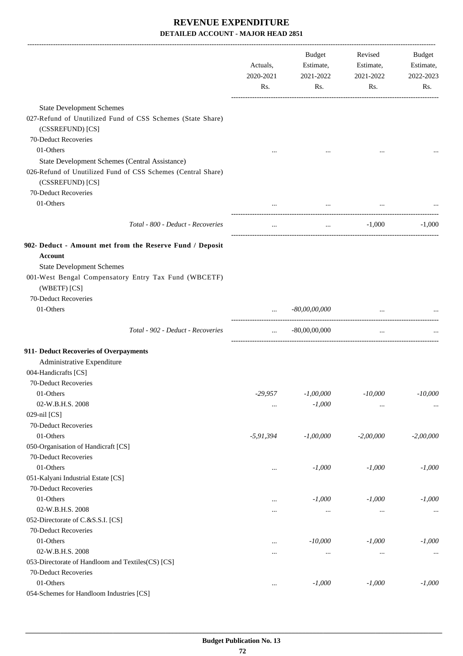|                                                                                  | Actuals,<br>2020-2021<br>Rs. | Budget<br>Estimate,<br>2021-2022<br>Rs. | Revised<br>Estimate,<br>2021-2022<br>Rs. | Budget<br>Estimate,<br>2022-2023<br>Rs. |
|----------------------------------------------------------------------------------|------------------------------|-----------------------------------------|------------------------------------------|-----------------------------------------|
| <b>State Development Schemes</b>                                                 |                              |                                         |                                          |                                         |
| 027-Refund of Unutilized Fund of CSS Schemes (State Share)<br>(CSSREFUND) [CS]   |                              |                                         |                                          |                                         |
| 70-Deduct Recoveries                                                             |                              |                                         |                                          |                                         |
| 01-Others                                                                        |                              |                                         |                                          |                                         |
| State Development Schemes (Central Assistance)                                   |                              |                                         |                                          |                                         |
| 026-Refund of Unutilized Fund of CSS Schemes (Central Share)<br>(CSSREFUND) [CS] |                              |                                         |                                          |                                         |
| 70-Deduct Recoveries                                                             |                              |                                         |                                          |                                         |
| 01-Others                                                                        |                              |                                         | and the state of the state of            |                                         |
| Total - 800 - Deduct - Recoveries                                                | $\ddots$                     | $\mathbf{r}$ , $\mathbf{r}$             | $-1,000$                                 | $-1,000$                                |
| 902- Deduct - Amount met from the Reserve Fund / Deposit                         |                              |                                         |                                          |                                         |
| <b>Account</b>                                                                   |                              |                                         |                                          |                                         |
| <b>State Development Schemes</b>                                                 |                              |                                         |                                          |                                         |
| 001-West Bengal Compensatory Entry Tax Fund (WBCETF)                             |                              |                                         |                                          |                                         |
| (WBETF) [CS]                                                                     |                              |                                         |                                          |                                         |
| 70-Deduct Recoveries                                                             |                              |                                         |                                          |                                         |
| 01-Others                                                                        |                              | $-80,00,00,000$                         |                                          |                                         |
| Total - 902 - Deduct - Recoveries                                                | $\cdots$                     | $-80,00,00,000$                         | $\cdots$                                 |                                         |
| 911- Deduct Recoveries of Overpayments                                           |                              |                                         |                                          |                                         |
| Administrative Expenditure                                                       |                              |                                         |                                          |                                         |
| 004-Handicrafts [CS]                                                             |                              |                                         |                                          |                                         |
| 70-Deduct Recoveries                                                             |                              |                                         |                                          |                                         |
| 01-Others                                                                        | $-29,957$                    | $-1,00,000$                             | $-10,000$                                | $-10,000$                               |
| 02-W.B.H.S. 2008                                                                 | $\ldots$                     | $-1,000$                                | $\cdots$                                 |                                         |
| 029-nil [CS]                                                                     |                              |                                         |                                          |                                         |
| 70-Deduct Recoveries                                                             |                              |                                         |                                          |                                         |
| 01-Others                                                                        | $-5, 91, 394$                | $-1,00,000$                             | $-2,00,000$                              | $-2,00,000$                             |
| 050-Organisation of Handicraft [CS]                                              |                              |                                         |                                          |                                         |
| 70-Deduct Recoveries                                                             |                              |                                         |                                          |                                         |
| 01-Others                                                                        |                              | $-1,000$                                | $-1,000$                                 | $-1,000$                                |
| 051-Kalyani Industrial Estate [CS]                                               |                              |                                         |                                          |                                         |
| 70-Deduct Recoveries                                                             |                              |                                         |                                          |                                         |
| 01-Others                                                                        | $\cdots$                     | $-1,000$                                | $-1,000$                                 | $-1,000$                                |
| 02-W.B.H.S. 2008                                                                 | $\cdots$                     | $\cdots$                                | $\cdots$                                 | $\ldots$                                |
| 052-Directorate of C.&S.S.I. [CS]                                                |                              |                                         |                                          |                                         |
| 70-Deduct Recoveries                                                             |                              |                                         |                                          |                                         |
| 01-Others                                                                        |                              | $-10,000$                               | $-1,000$                                 | $-1,000$                                |
| 02-W.B.H.S. 2008                                                                 | $\cdots$                     | $\cdots$                                | $\cdots$                                 | $\cdots$                                |
| 053-Directorate of Handloom and Textiles(CS) [CS]                                |                              |                                         |                                          |                                         |
| 70-Deduct Recoveries                                                             |                              |                                         |                                          |                                         |
| 01-Others                                                                        |                              | $-1,000$                                | $-1,000$                                 | $-1,000$                                |
| 054-Schemes for Handloom Industries [CS]                                         |                              |                                         |                                          |                                         |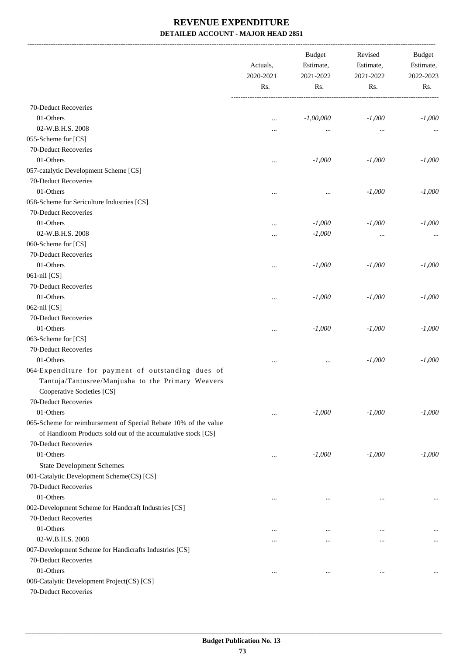-------------------------------------------------------------------------------------------------------------------------------------------------------------------------------

|                                                                                 | Actuals,<br>2020-2021<br>Rs. | <b>Budget</b><br>Estimate,<br>2021-2022<br>Rs. | Revised<br>Estimate,<br>2021-2022<br>Rs. | <b>Budget</b><br>Estimate,<br>2022-2023<br>Rs. |
|---------------------------------------------------------------------------------|------------------------------|------------------------------------------------|------------------------------------------|------------------------------------------------|
| 70-Deduct Recoveries                                                            |                              |                                                |                                          |                                                |
|                                                                                 |                              |                                                |                                          |                                                |
| 01-Others                                                                       |                              | $-1,00,000$                                    | $-1,000$                                 | $-1,000$                                       |
| 02-W.B.H.S. 2008                                                                |                              | $\ldots$                                       | $\cdots$                                 |                                                |
| 055-Scheme for [CS]                                                             |                              |                                                |                                          |                                                |
| 70-Deduct Recoveries<br>01-Others                                               |                              |                                                |                                          |                                                |
|                                                                                 | $\ddotsc$                    | $-1,000$                                       | $-1,000$                                 | $-1,000$                                       |
| 057-catalytic Development Scheme [CS]<br>70-Deduct Recoveries                   |                              |                                                |                                          |                                                |
| 01-Others                                                                       |                              |                                                |                                          |                                                |
|                                                                                 | $\cdots$                     | $\ddotsc$                                      | $-1,000$                                 | $-1,000$                                       |
| 058-Scheme for Sericulture Industries [CS]                                      |                              |                                                |                                          |                                                |
| 70-Deduct Recoveries                                                            |                              |                                                |                                          |                                                |
| 01-Others                                                                       |                              | $-1,000$                                       | $-1,000$                                 | $-1,000$                                       |
| 02-W.B.H.S. 2008                                                                |                              | $-1,000$                                       | $\cdots$                                 |                                                |
| 060-Scheme for [CS]                                                             |                              |                                                |                                          |                                                |
| 70-Deduct Recoveries                                                            |                              |                                                |                                          |                                                |
| 01-Others                                                                       | $\cdots$                     | $-1,000$                                       | $-1,000$                                 | $-1,000$                                       |
| 061-nil [CS]                                                                    |                              |                                                |                                          |                                                |
| 70-Deduct Recoveries                                                            |                              |                                                |                                          |                                                |
| 01-Others                                                                       |                              | $-1,000$                                       | $-1,000$                                 | $-1,000$                                       |
| 062-nil [CS]                                                                    |                              |                                                |                                          |                                                |
| 70-Deduct Recoveries                                                            |                              |                                                |                                          |                                                |
| 01-Others                                                                       | $\ddotsc$                    | $-1,000$                                       | $-1,000$                                 | $-1,000$                                       |
| 063-Scheme for [CS]                                                             |                              |                                                |                                          |                                                |
| 70-Deduct Recoveries                                                            |                              |                                                |                                          |                                                |
| 01-Others                                                                       | $\cdots$                     |                                                | $-1,000$                                 | $-1,000$                                       |
| 064-Expenditure for payment of outstanding dues of                              |                              |                                                |                                          |                                                |
| Tantuja/Tantusree/Manjusha to the Primary Weavers<br>Cooperative Societies [CS] |                              |                                                |                                          |                                                |
| 70-Deduct Recoveries                                                            |                              |                                                |                                          |                                                |
| 01-Others                                                                       | $\cdots$                     | $-1,000$                                       | $-1,000$                                 | $-1,000$                                       |
| 065-Scheme for reimbursement of Special Rebate 10% of the value                 |                              |                                                |                                          |                                                |
| of Handloom Products sold out of the accumulative stock [CS]                    |                              |                                                |                                          |                                                |
| 70-Deduct Recoveries                                                            |                              |                                                |                                          |                                                |
| 01-Others                                                                       | $\cdots$                     | $-1,000$                                       | $-1,000$                                 | $-1,000$                                       |
| <b>State Development Schemes</b>                                                |                              |                                                |                                          |                                                |
| 001-Catalytic Development Scheme(CS) [CS]                                       |                              |                                                |                                          |                                                |
| 70-Deduct Recoveries                                                            |                              |                                                |                                          |                                                |
| 01-Others                                                                       | $\ddotsc$                    | $\ddotsc$                                      | $\cdots$                                 |                                                |
| 002-Development Scheme for Handcraft Industries [CS]                            |                              |                                                |                                          |                                                |
| 70-Deduct Recoveries                                                            |                              |                                                |                                          |                                                |
| 01-Others                                                                       | $\cdots$                     | $\cdots$                                       | $\cdots$                                 |                                                |
| 02-W.B.H.S. 2008                                                                |                              | $\ddotsc$                                      | $\ddotsc$                                | $\cdots$                                       |
| 007-Development Scheme for Handicrafts Industries [CS]                          |                              |                                                |                                          |                                                |
| 70-Deduct Recoveries                                                            |                              |                                                |                                          |                                                |
| 01-Others                                                                       | $\cdots$                     | $\cdots$                                       | $\cdots$                                 | $\cdots$                                       |
| 008-Catalytic Development Project(CS) [CS]                                      |                              |                                                |                                          |                                                |
| 70-Deduct Recoveries                                                            |                              |                                                |                                          |                                                |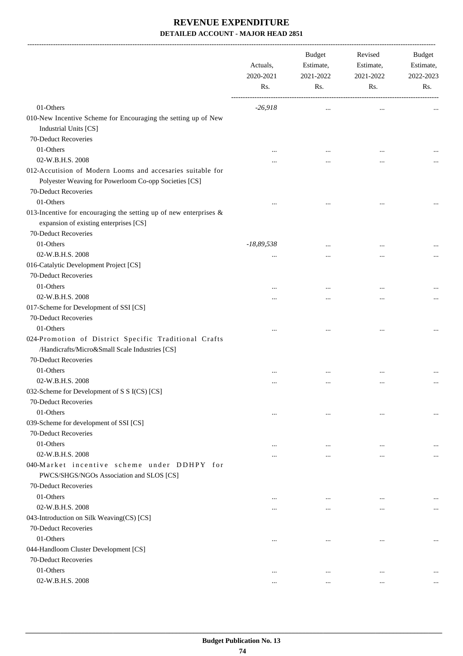-------------------------------------------------------------------------------------------------------------------------------------------------------------------------------

|                                                                                                                             | Actuals,<br>2020-2021<br>Rs. | <b>Budget</b><br>Estimate,<br>2021-2022<br>Rs. | Revised<br>Estimate,<br>2021-2022<br>Rs. | <b>Budget</b><br>Estimate,<br>2022-2023<br>Rs. |
|-----------------------------------------------------------------------------------------------------------------------------|------------------------------|------------------------------------------------|------------------------------------------|------------------------------------------------|
| 01-Others                                                                                                                   | $-26,918$                    | $\cdots$                                       | $\ddotsc$                                |                                                |
| 010-New Incentive Scheme for Encouraging the setting up of New<br>Industrial Units [CS]<br>70-Deduct Recoveries             |                              |                                                |                                          |                                                |
| 01-Others                                                                                                                   |                              |                                                |                                          |                                                |
| 02-W.B.H.S. 2008                                                                                                            | $\ddotsc$                    | $\ddotsc$                                      | $\ddotsc$                                |                                                |
|                                                                                                                             | $\cdots$                     | $\ddotsc$                                      | $\ddotsc$                                |                                                |
| 012-Accutision of Modern Looms and accesaries suitable for<br>Polyester Weaving for Powerloom Co-opp Societies [CS]         |                              |                                                |                                          |                                                |
| 70-Deduct Recoveries                                                                                                        |                              |                                                |                                          |                                                |
| 01-Others<br>013-Incentive for encouraging the setting up of new enterprises $\&$<br>expansion of existing enterprises [CS] | $\cdots$                     | $\ddotsc$                                      | $\cdots$                                 | $\cdots$                                       |
| 70-Deduct Recoveries                                                                                                        |                              |                                                |                                          |                                                |
| 01-Others                                                                                                                   | $-18,89,538$                 | $\ddotsc$                                      | $\cdots$                                 |                                                |
| 02-W.B.H.S. 2008                                                                                                            | $\cdots$                     | $\ddotsc$                                      | $\cdots$                                 | $\cdots$                                       |
| 016-Catalytic Development Project [CS]                                                                                      |                              |                                                |                                          |                                                |
| 70-Deduct Recoveries                                                                                                        |                              |                                                |                                          |                                                |
| 01-Others                                                                                                                   | $\cdots$                     | $\cdots$                                       | $\cdots$                                 |                                                |
| 02-W.B.H.S. 2008                                                                                                            | $\cdots$                     | $\ddotsc$                                      | $\cdots$                                 | $\cdots$                                       |
| 017-Scheme for Development of SSI [CS]                                                                                      |                              |                                                |                                          |                                                |
| 70-Deduct Recoveries                                                                                                        |                              |                                                |                                          |                                                |
| 01-Others                                                                                                                   | $\ddotsc$                    | $\cdots$                                       | $\cdots$                                 | $\cdots$                                       |
| 024-Promotion of District Specific Traditional Crafts<br>/Handicrafts/Micro&Small Scale Industries [CS]                     |                              |                                                |                                          |                                                |
| 70-Deduct Recoveries                                                                                                        |                              |                                                |                                          |                                                |
| 01-Others                                                                                                                   | $\cdots$                     | $\cdots$                                       | $\cdots$                                 |                                                |
| 02-W.B.H.S. 2008                                                                                                            | $\cdots$                     | $\cdots$                                       | $\cdots$                                 | $\cdots$                                       |
| 032-Scheme for Development of S S I(CS) [CS]                                                                                |                              |                                                |                                          |                                                |
| 70-Deduct Recoveries                                                                                                        |                              |                                                |                                          |                                                |
| 01-Others                                                                                                                   | $\cdots$                     | $\cdots$                                       | $\cdots$                                 | $\cdots$                                       |
| 039-Scheme for development of SSI [CS]                                                                                      |                              |                                                |                                          |                                                |
| 70-Deduct Recoveries                                                                                                        |                              |                                                |                                          |                                                |
| 01-Others                                                                                                                   | $\cdots$                     | $\ddotsc$                                      | $\cdots$                                 |                                                |
| 02-W.B.H.S. 2008                                                                                                            | $\cdots$                     | $\cdots$                                       | $\cdots$                                 | $\cdots$                                       |
| 040-Market incentive scheme under DDHPY for<br>PWCS/SHGS/NGOs Association and SLOS [CS]                                     |                              |                                                |                                          |                                                |
| 70-Deduct Recoveries                                                                                                        |                              |                                                |                                          |                                                |
| 01-Others                                                                                                                   | $\ddotsc$                    | $\cdots$                                       | $\cdots$                                 | $\cdots$                                       |
| 02-W.B.H.S. 2008                                                                                                            |                              | $\cdots$                                       | $\cdots$                                 | $\cdots$                                       |
| 043-Introduction on Silk Weaving(CS) [CS]                                                                                   |                              |                                                |                                          |                                                |
| 70-Deduct Recoveries                                                                                                        |                              |                                                |                                          |                                                |
| 01-Others                                                                                                                   | $\cdots$                     | $\cdots$                                       | $\cdots$                                 | $\cdots$                                       |
| 044-Handloom Cluster Development [CS]                                                                                       |                              |                                                |                                          |                                                |
| 70-Deduct Recoveries                                                                                                        |                              |                                                |                                          |                                                |
| 01-Others                                                                                                                   | $\ddotsc$                    | $\cdots$                                       | $\cdots$                                 |                                                |
| 02-W.B.H.S. 2008                                                                                                            | $\cdots$                     | $\cdots$                                       | $\cdots$                                 | $\cdots$                                       |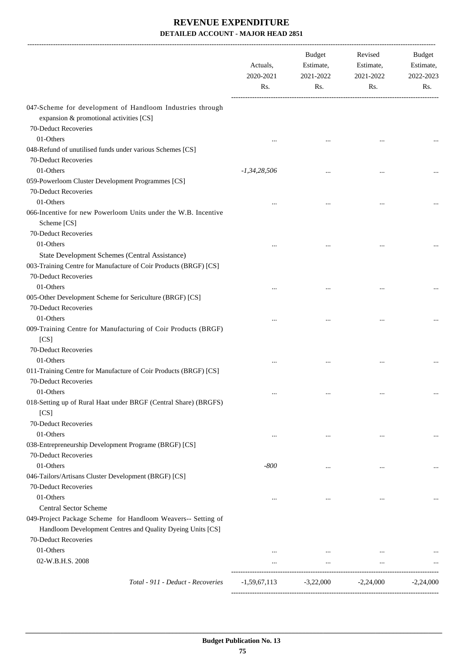|                                                                                                                              | Actuals,<br>2020-2021<br>Rs. | <b>Budget</b><br>Estimate,<br>2021-2022<br>Rs. | Revised<br>Estimate,<br>2021-2022<br>Rs. | Budget<br>Estimate,<br>2022-2023<br>Rs. |
|------------------------------------------------------------------------------------------------------------------------------|------------------------------|------------------------------------------------|------------------------------------------|-----------------------------------------|
| 047-Scheme for development of Handloom Industries through<br>expansion & promotional activities [CS]<br>70-Deduct Recoveries |                              |                                                |                                          |                                         |
| 01-Others                                                                                                                    |                              |                                                |                                          |                                         |
| 048-Refund of unutilised funds under various Schemes [CS]                                                                    |                              |                                                |                                          |                                         |
| 70-Deduct Recoveries                                                                                                         |                              |                                                |                                          |                                         |
| 01-Others                                                                                                                    | $-1,34,28,506$               |                                                |                                          |                                         |
| 059-Powerloom Cluster Development Programmes [CS]                                                                            |                              |                                                |                                          |                                         |
| 70-Deduct Recoveries                                                                                                         |                              |                                                |                                          |                                         |
| 01-Others                                                                                                                    |                              |                                                |                                          |                                         |
| 066-Incentive for new Powerloom Units under the W.B. Incentive                                                               |                              |                                                |                                          |                                         |
| Scheme [CS]                                                                                                                  |                              |                                                |                                          |                                         |
| 70-Deduct Recoveries                                                                                                         |                              |                                                |                                          |                                         |
| 01-Others                                                                                                                    |                              |                                                |                                          |                                         |
| State Development Schemes (Central Assistance)                                                                               |                              |                                                |                                          |                                         |
| 003-Training Centre for Manufacture of Coir Products (BRGF) [CS]                                                             |                              |                                                |                                          |                                         |
| 70-Deduct Recoveries                                                                                                         |                              |                                                |                                          |                                         |
| 01-Others                                                                                                                    |                              |                                                | $\ddotsc$                                |                                         |
| 005-Other Development Scheme for Sericulture (BRGF) [CS]                                                                     |                              |                                                |                                          |                                         |
| 70-Deduct Recoveries                                                                                                         |                              |                                                |                                          |                                         |
| 01-Others                                                                                                                    |                              |                                                | $\cdots$                                 |                                         |
| 009-Training Centre for Manufacturing of Coir Products (BRGF)                                                                |                              |                                                |                                          |                                         |
| [CS]                                                                                                                         |                              |                                                |                                          |                                         |
| 70-Deduct Recoveries                                                                                                         |                              |                                                |                                          |                                         |
| 01-Others                                                                                                                    |                              |                                                | $\ddotsc$                                |                                         |
| 011-Training Centre for Manufacture of Coir Products (BRGF) [CS]                                                             |                              |                                                |                                          |                                         |
| 70-Deduct Recoveries                                                                                                         |                              |                                                |                                          |                                         |
| 01-Others                                                                                                                    | $\cdots$                     | $\cdots$                                       | $\cdots$                                 |                                         |
| 018-Setting up of Rural Haat under BRGF (Central Share) (BRGFS)<br>[CS]                                                      |                              |                                                |                                          |                                         |
| 70-Deduct Recoveries                                                                                                         |                              |                                                |                                          |                                         |
| 01-Others                                                                                                                    | $\cdots$                     | $\cdots$                                       | $\ddotsc$                                | $\cdots$                                |
| 038-Entrepreneurship Development Programe (BRGF) [CS]                                                                        |                              |                                                |                                          |                                         |
| 70-Deduct Recoveries                                                                                                         |                              |                                                |                                          |                                         |
| 01-Others                                                                                                                    | -800                         | $\cdots$                                       | $\cdots$                                 |                                         |
| 046-Tailors/Artisans Cluster Development (BRGF) [CS]                                                                         |                              |                                                |                                          |                                         |
| 70-Deduct Recoveries                                                                                                         |                              |                                                |                                          |                                         |
| 01-Others                                                                                                                    |                              | $\cdots$                                       | $\cdots$                                 |                                         |
| <b>Central Sector Scheme</b>                                                                                                 |                              |                                                |                                          |                                         |
| 049-Project Package Scheme for Handloom Weavers-- Setting of                                                                 |                              |                                                |                                          |                                         |
| Handloom Development Centres and Quality Dyeing Units [CS]                                                                   |                              |                                                |                                          |                                         |
| 70-Deduct Recoveries                                                                                                         |                              |                                                |                                          |                                         |
| 01-Others                                                                                                                    | $\cdots$                     | $\cdots$                                       | $\cdots$                                 |                                         |
| 02-W.B.H.S. 2008                                                                                                             | $\cdots$                     | $\cdots$                                       | $\cdots$                                 |                                         |
| Total - 911 - Deduct - Recoveries                                                                                            | $-1,59,67,113$               | $-3,22,000$                                    | $-2,24,000$                              | $-2,24,000$                             |
|                                                                                                                              |                              |                                                |                                          |                                         |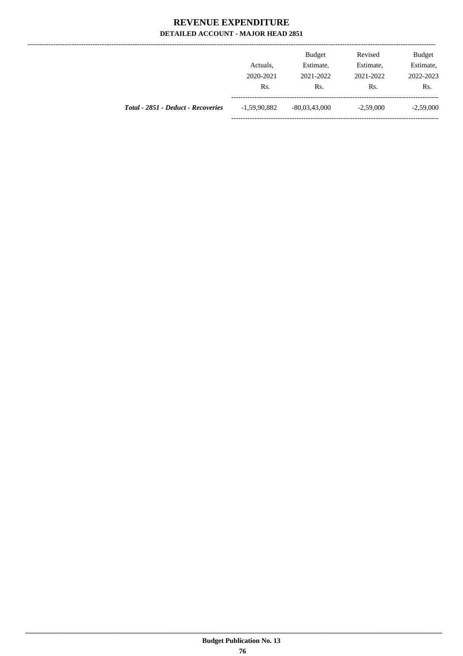---------------

|                                           |                | <b>Budget</b>   | Revised     | <b>Budget</b> |
|-------------------------------------------|----------------|-----------------|-------------|---------------|
|                                           | Actuals.       | Estimate,       | Estimate,   | Estimate,     |
|                                           | 2020-2021      | 2021-2022       | 2021-2022   | 2022-2023     |
|                                           | Rs.            | Rs.             | Rs.         | Rs.           |
| <b>Total - 2851 - Deduct - Recoveries</b> | $-1.59.90.882$ | $-80,03,43,000$ | $-2,59,000$ | $-2,59,000$   |
|                                           |                |                 |             |               |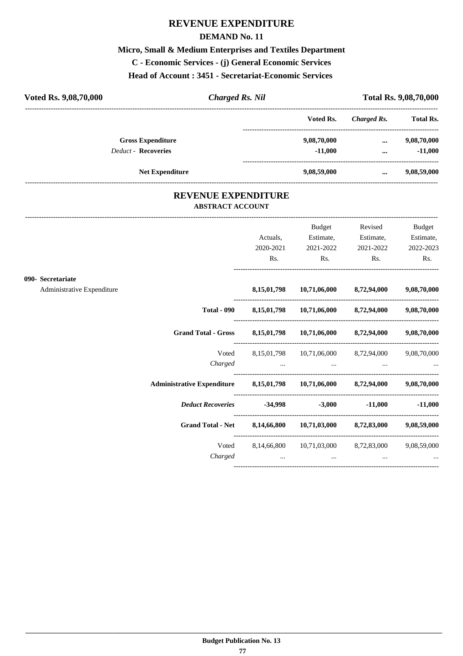## **REVENUE EXPENDITURE**

#### **DEMAND No. 11**

# **Micro, Small & Medium Enterprises and Textiles Department C - Economic Services - (j) General Economic Services**

**Head of Account : 3451 - Secretariat-Economic Services** 

| Voted Rs. 9,08,70,000      | Charged Rs. Nil |             | <b>Total Rs. 9,08,70,000</b> |                  |
|----------------------------|-----------------|-------------|------------------------------|------------------|
|                            |                 | Voted Rs.   | Charged Rs.                  | <b>Total Rs.</b> |
| <b>Gross Expenditure</b>   |                 | 9,08,70,000 | $\cdots$                     | 9,08,70,000      |
| <b>Deduct - Recoveries</b> |                 | $-11.000$   | $\cdots$                     | $-11.000$        |
| <b>Net Expenditure</b>     |                 | 9,08,59,000 | $\cdots$                     | 9,08,59,000      |

### **REVENUE EXPENDITURE ABSTRACT ACCOUNT**

---------------------------------------------------------------------------------------------------------------------------------------------------------------------------------

|                            |                                                                             |           | Budget                                                       | Revised        | <b>Budget</b> |
|----------------------------|-----------------------------------------------------------------------------|-----------|--------------------------------------------------------------|----------------|---------------|
|                            |                                                                             | Actuals,  | Estimate,                                                    | Estimate,      | Estimate,     |
|                            |                                                                             | 2020-2021 | 2021-2022                                                    | 2021-2022      | 2022-2023     |
|                            |                                                                             | Rs.       | $\mathbf{Rs.}$                                               | $\mathbf{Rs.}$ | Rs.           |
| 090- Secretariate          |                                                                             |           |                                                              |                |               |
| Administrative Expenditure |                                                                             |           | 8,15,01,798 10,71,06,000 8,72,94,000 9,08,70,000             |                |               |
|                            |                                                                             |           | Total - 090 8,15,01,798 10,71,06,000 8,72,94,000 9,08,70,000 |                |               |
|                            | Grand Total - Gross 8,15,01,798 10,71,06,000 8,72,94,000 9,08,70,000        |           |                                                              |                |               |
|                            |                                                                             |           | Voted 8,15,01,798 10,71,06,000 8,72,94,000 9,08,70,000       |                |               |
|                            |                                                                             |           | Charged                                                      |                |               |
|                            | Administrative Expenditure 8,15,01,798 10,71,06,000 8,72,94,000 9,08,70,000 |           |                                                              |                |               |
|                            | <i>Deduct Recoveries</i> -34,998 -3,000 -11,000 -11,000                     |           |                                                              |                |               |
|                            | Grand Total - Net 8,14,66,800 10,71,03,000 8,72,83,000 9,08,59,000          |           |                                                              |                |               |
|                            |                                                                             |           | Voted 8,14,66,800 10,71,03,000 8,72,83,000 9,08,59,000       |                |               |
|                            | Charged                                                                     |           | the contract of the contract of the contract of the          | $\sim$ $\sim$  |               |
|                            |                                                                             |           |                                                              |                |               |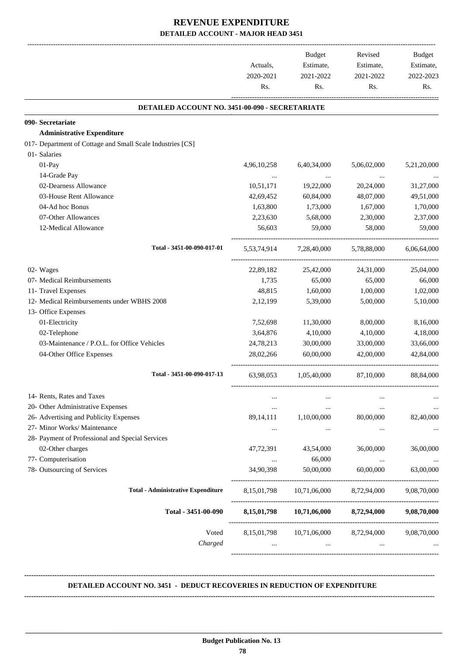|                                                            | Actuals,<br>2020-2021 | Budget<br>Estimate,<br>2021-2022 | Revised<br>Estimate,<br>2021-2022 | Budget<br>Estimate,<br>2022-2023 |
|------------------------------------------------------------|-----------------------|----------------------------------|-----------------------------------|----------------------------------|
|                                                            | Rs.                   | Rs.                              | Rs.                               | Rs.                              |
| DETAILED ACCOUNT NO. 3451-00-090 - SECRETARIATE            |                       |                                  |                                   |                                  |
| 090- Secretariate                                          |                       |                                  |                                   |                                  |
| <b>Administrative Expenditure</b>                          |                       |                                  |                                   |                                  |
| 017- Department of Cottage and Small Scale Industries [CS] |                       |                                  |                                   |                                  |
| 01- Salaries                                               |                       |                                  |                                   |                                  |
| 01-Pay                                                     | 4,96,10,258           | 6,40,34,000                      | 5,06,02,000                       | 5,21,20,000                      |
| 14-Grade Pay                                               | $\cdots$              | $\ddots$                         | $\cdots$                          |                                  |
| 02-Dearness Allowance                                      | 10,51,171             | 19,22,000                        | 20,24,000                         | 31,27,000                        |
| 03-House Rent Allowance                                    | 42,69,452             | 60,84,000                        | 48,07,000                         | 49,51,000                        |
| 04-Ad hoc Bonus                                            | 1,63,800              | 1,73,000                         | 1,67,000                          | 1,70,000                         |
| 07-Other Allowances                                        | 2,23,630              | 5,68,000                         | 2,30,000                          | 2,37,000                         |
| 12-Medical Allowance                                       | 56,603                | 59,000                           | 58,000                            | 59,000                           |
| Total - 3451-00-090-017-01                                 |                       | 5,53,74,914 7,28,40,000          | 5,78,88,000                       | 6,06,64,000                      |
| 02- Wages                                                  | 22,89,182             | 25,42,000                        | 24,31,000                         | 25,04,000                        |
| 07- Medical Reimbursements                                 | 1,735                 | 65,000                           | 65,000                            | 66,000                           |
| 11- Travel Expenses                                        | 48,815                | 1,60,000                         | 1,00,000                          | 1,02,000                         |
| 12- Medical Reimbursements under WBHS 2008                 | 2,12,199              | 5,39,000                         | 5,00,000                          | 5,10,000                         |
| 13- Office Expenses                                        |                       |                                  |                                   |                                  |
| 01-Electricity                                             | 7,52,698              | 11,30,000                        | 8,00,000                          | 8,16,000                         |
| 02-Telephone                                               | 3,64,876              | 4,10,000                         | 4,10,000                          | 4,18,000                         |
| 03-Maintenance / P.O.L. for Office Vehicles                | 24,78,213             | 30,00,000                        | 33,00,000                         | 33,66,000                        |
| 04-Other Office Expenses                                   | 28,02,266             | 60,00,000                        | 42,00,000                         | 42,84,000                        |
| Total - 3451-00-090-017-13                                 | 63,98,053             | 1,05,40,000                      | 87,10,000                         | 88,84,000                        |
| 14- Rents, Rates and Taxes                                 | $\cdots$              |                                  |                                   |                                  |
| 20- Other Administrative Expenses                          | $\cdots$              |                                  |                                   |                                  |
| 26- Advertising and Publicity Expenses                     | 89, 14, 111           | 1,10,00,000                      | 80,00,000                         | 82,40,000                        |
| 27- Minor Works/ Maintenance                               | $\cdots$              | $\cdots$                         | $\cdots$                          |                                  |
| 28- Payment of Professional and Special Services           |                       |                                  |                                   |                                  |
| 02-Other charges                                           | 47,72,391             | 43,54,000                        | 36,00,000                         | 36,00,000                        |
| 77- Computerisation                                        |                       | 66,000                           | $\ldots$                          |                                  |
| 78- Outsourcing of Services                                | 34,90,398             | 50,00,000                        | 60,00,000                         | 63,00,000                        |
| <b>Total - Administrative Expenditure</b>                  | 8,15,01,798           | 10,71,06,000                     | 8,72,94,000                       | 9,08,70,000                      |
| Total - 3451-00-090                                        | 8, 15, 01, 798        | 10,71,06,000                     | 8,72,94,000                       | 9,08,70,000                      |
| Voted                                                      | 8, 15, 01, 798        | 10,71,06,000                     | 8,72,94,000                       | 9,08,70,000                      |
| Charged                                                    |                       |                                  |                                   |                                  |

 **DETAILED ACCOUNT NO. 3451 - DEDUCT RECOVERIES IN REDUCTION OF EXPENDITURE**

**--------------------------------------------------------------------------------------------------------------------------------------------------------------------------------**

 **\_\_\_\_\_\_\_\_\_\_\_\_\_\_\_\_\_\_\_\_\_\_\_\_\_\_\_\_\_\_\_\_\_\_\_\_\_\_\_\_\_\_\_\_\_\_\_\_\_\_\_\_\_\_\_\_\_\_\_\_\_\_\_\_\_\_\_\_\_\_\_\_\_\_\_\_\_\_\_\_\_\_\_\_\_\_\_\_\_\_\_\_\_\_\_\_\_\_\_\_\_\_\_\_\_\_\_\_\_\_\_\_\_\_\_\_\_\_\_**

**--------------------------------------------------------------------------------------------------------------------------------------------------------------------------------**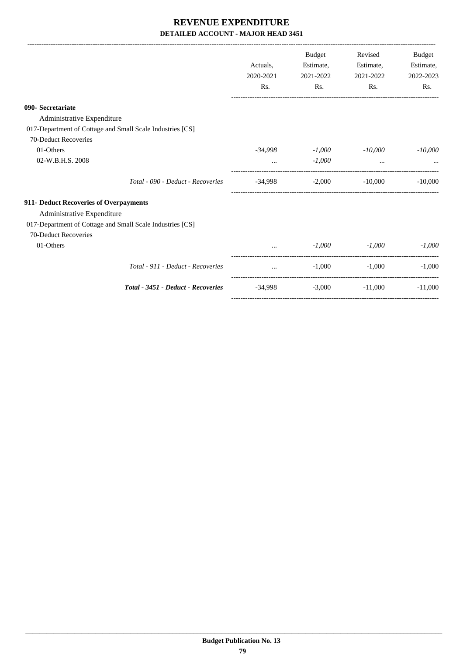|                                                           |           | <b>Budget</b> | Revised              | <b>Budget</b> |
|-----------------------------------------------------------|-----------|---------------|----------------------|---------------|
|                                                           | Actuals.  | Estimate,     | Estimate,            | Estimate,     |
|                                                           | 2020-2021 | 2021-2022     | 2021-2022            | 2022-2023     |
|                                                           | Rs.       | Rs.           | $\operatorname{Rs.}$ | Rs.           |
| 090- Secretariate                                         |           |               |                      |               |
| Administrative Expenditure                                |           |               |                      |               |
| 017-Department of Cottage and Small Scale Industries [CS] |           |               |                      |               |
| 70-Deduct Recoveries                                      |           |               |                      |               |
| 01-Others                                                 | -34.998   | $-1,000$      | $-10,000$            | $-10,000$     |
| 02-W.B.H.S. 2008                                          |           | $-1,000$      |                      |               |
| Total - 090 - Deduct - Recoveries                         | $-34.998$ | $-2,000$      | $-10,000$            | $-10,000$     |
| 911- Deduct Recoveries of Overpayments                    |           |               |                      |               |
| Administrative Expenditure                                |           |               |                      |               |
| 017-Department of Cottage and Small Scale Industries [CS] |           |               |                      |               |
| 70-Deduct Recoveries                                      |           |               |                      |               |
| 01-Others                                                 |           | $-1,000$      | $-1,000$             | $-1,000$      |
| Total - 911 - Deduct - Recoveries                         | $\cdots$  | $-1,000$      | $-1.000$             | $-1,000$      |
| Total - 3451 - Deduct - Recoveries                        | -34,998   | $-3,000$      | $-11,000$            | $-11,000$     |
|                                                           |           |               |                      |               |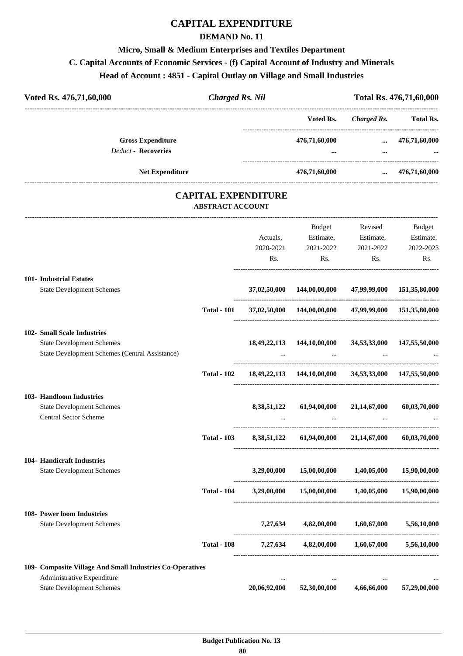## **CAPITAL EXPENDITURE**

#### **DEMAND No. 11**

## **Micro, Small & Medium Enterprises and Textiles Department**

### **C. Capital Accounts of Economic Services - (f) Capital Account of Industry and Minerals**

#### **Head of Account : 4851 - Capital Outlay on Village and Small Industries**

| Voted Rs. 476,71,60,000    | <b>Charged Rs. Nil</b>   |                           | Total Rs. 476,71,60,000 |                           |  |
|----------------------------|--------------------------|---------------------------|-------------------------|---------------------------|--|
|                            |                          | Voted Rs.                 | Charged Rs.             | <b>Total Rs.</b>          |  |
| <b>Deduct - Recoveries</b> | <b>Gross Expenditure</b> | 476,71,60,000<br>$\cdots$ | $\cdots$<br>$\cdots$    | 476,71,60,000<br>$\cdots$ |  |
|                            | <b>Net Expenditure</b>   | 476,71,60,000             | $\ddotsc$               | 476,71,60,000             |  |

### **CAPITAL EXPENDITURE ABSTRACT ACCOUNT**

---------------------------------------------------------------------------------------------------------------------------------------------------------------------------------

|                                                                                    |                    |              | <b>Budget</b>                                         | Revised                      | <b>Budget</b>              |
|------------------------------------------------------------------------------------|--------------------|--------------|-------------------------------------------------------|------------------------------|----------------------------|
|                                                                                    |                    | Actuals,     | Estimate,                                             | Estimate,                    | Estimate,                  |
|                                                                                    |                    | 2020-2021    | 2021-2022                                             | 2021-2022                    | 2022-2023                  |
|                                                                                    |                    | Rs.          | Rs.                                                   | Rs.                          | Rs.                        |
| 101- Industrial Estates                                                            |                    |              |                                                       |                              |                            |
| <b>State Development Schemes</b>                                                   |                    |              | 37,02,50,000 144,00,00,000                            |                              | 47,99,99,000 151,35,80,000 |
|                                                                                    | <b>Total - 101</b> |              | 37,02,50,000 144,00,00,000 47,99,99,000 151,35,80,000 |                              |                            |
| 102- Small Scale Industries                                                        |                    |              |                                                       |                              |                            |
| <b>State Development Schemes</b><br>State Development Schemes (Central Assistance) |                    |              | 18,49,22,113 144,10,00,000 34,53,33,000 147,55,50,000 |                              |                            |
|                                                                                    |                    |              |                                                       | and the contract of the con- |                            |
|                                                                                    | <b>Total - 102</b> |              | 18,49,22,113 144,10,00,000 34,53,33,000 147,55,50,000 |                              |                            |
| 103- Handloom Industries                                                           |                    |              |                                                       |                              |                            |
| <b>State Development Schemes</b>                                                   |                    |              | 8,38,51,122 61,94,00,000 21,14,67,000 60,03,70,000    |                              |                            |
| <b>Central Sector Scheme</b>                                                       |                    |              | $\cdots$                                              | $\cdots$                     |                            |
|                                                                                    | <b>Total - 103</b> |              | 8,38,51,122 61,94,00,000 21,14,67,000                 |                              | 60,03,70,000               |
| 104- Handicraft Industries                                                         |                    |              |                                                       |                              |                            |
| <b>State Development Schemes</b>                                                   |                    | 3,29,00,000  |                                                       | $15,00,00,000$ $1,40,05,000$ | 15,90,00,000               |
|                                                                                    | <b>Total - 104</b> |              | $3,29,00,000$ $15,00,00,000$ $1,40,05,000$            |                              | 15,90,00,000               |
| 108- Power loom Industries                                                         |                    |              |                                                       |                              |                            |
| <b>State Development Schemes</b>                                                   |                    |              | $7,27,634$ $4,82,00,000$ $1,60,67,000$                |                              | 5,56,10,000                |
|                                                                                    | <b>Total - 108</b> |              | 7,27,634 4,82,00,000 1,60,67,000 5,56,10,000          |                              |                            |
| 109- Composite Village And Small Industries Co-Operatives                          |                    |              |                                                       |                              |                            |
| Administrative Expenditure                                                         |                    | $\cdots$     | $\cdots$                                              |                              |                            |
| <b>State Development Schemes</b>                                                   |                    | 20,06,92,000 | 52,30,00,000                                          | 4,66,66,000                  | 57,29,00,000               |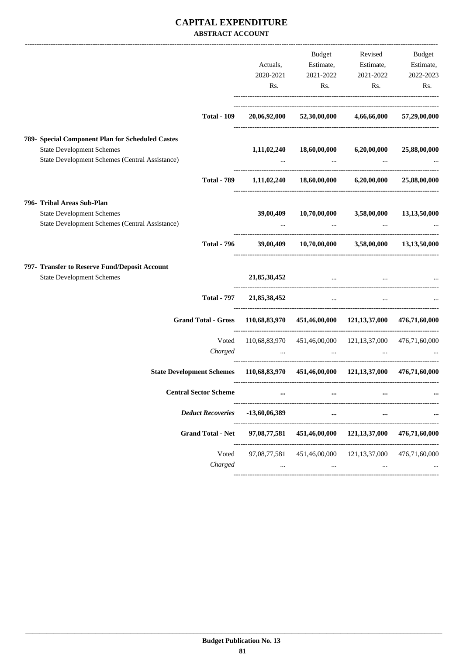### **CAPITAL EXPENDITURE ABSTRACT ACCOUNT**

|                                                                                                                                        | Actuals,<br>2020-2021<br>Rs. | Budget<br>Estimate,<br>2021-2022<br>Rs.                                                                                         | 2021-2022<br>Rs.                                        | Revised Budget<br>Estimate, Estimate,<br>2022-2023<br>Rs. |
|----------------------------------------------------------------------------------------------------------------------------------------|------------------------------|---------------------------------------------------------------------------------------------------------------------------------|---------------------------------------------------------|-----------------------------------------------------------|
| <b>Total - 109</b>                                                                                                                     |                              | 20,06,92,000 52,30,00,000                                                                                                       | 4,66,66,000                                             | 57,29,00,000                                              |
| 789- Special Component Plan for Scheduled Castes<br><b>State Development Schemes</b><br>State Development Schemes (Central Assistance) |                              | $1,11,02,240$ $18,60,00,000$ $6,20,00,000$ $25,88,00,000$<br>and the company of the state of                                    |                                                         |                                                           |
| <b>Total - 789</b>                                                                                                                     |                              | $1,11,02,240$ $18,60,00,000$ $6,20,00,000$                                                                                      |                                                         | 25,88,00,000                                              |
| 796- Tribal Areas Sub-Plan<br><b>State Development Schemes</b><br>State Development Schemes (Central Assistance)                       | 39,00,409                    | the control of the control of the control of                                                                                    | $10,70,00,000$ $3,58,00,000$ $13,13,50,000$<br>$\cdots$ |                                                           |
| <b>Total - 796</b>                                                                                                                     |                              | 39,00,409 10,70,00,000 3,58,00,000 13,13,50,000                                                                                 |                                                         |                                                           |
| 797- Transfer to Reserve Fund/Deposit Account<br><b>State Development Schemes</b>                                                      | 21,85,38,452                 |                                                                                                                                 | the contract of the contract of the contract of the     |                                                           |
| <b>Total - 797</b>                                                                                                                     | 21,85,38,452                 | <b>Contract Contract</b>                                                                                                        |                                                         |                                                           |
| <b>Grand Total - Gross</b>                                                                                                             |                              | 110,68,83,970 451,46,00,000 121,13,37,000 476,71,60,000                                                                         |                                                         |                                                           |
| Voted<br>Charged                                                                                                                       |                              | 110,68,83,970 451,46,00,000 121,13,37,000 476,71,60,000<br>المتعادل والمستحدث والمستحدث والمستحدث والمستحدث والمستحدث والمستحدث |                                                         |                                                           |
| State Development Schemes 110,68,83,970 451,46,00,000 121,13,37,000 476,71,60,000                                                      |                              |                                                                                                                                 |                                                         |                                                           |
| <b>Central Sector Scheme</b>                                                                                                           |                              |                                                                                                                                 |                                                         |                                                           |
| <b>Deduct Recoveries</b>                                                                                                               | $-13,60,06,389$              |                                                                                                                                 |                                                         |                                                           |
| <b>Grand Total - Net</b>                                                                                                               | 97,08,77,581                 | 451,46,00,000                                                                                                                   | 121, 13, 37, 000                                        | 476,71,60,000                                             |
| Voted<br>Charged                                                                                                                       | 97,08,77,581<br>$\cdots$     | 451,46,00,000<br>$\cdots$                                                                                                       | 121, 13, 37, 000<br>$\cdots$                            | 476,71,60,000                                             |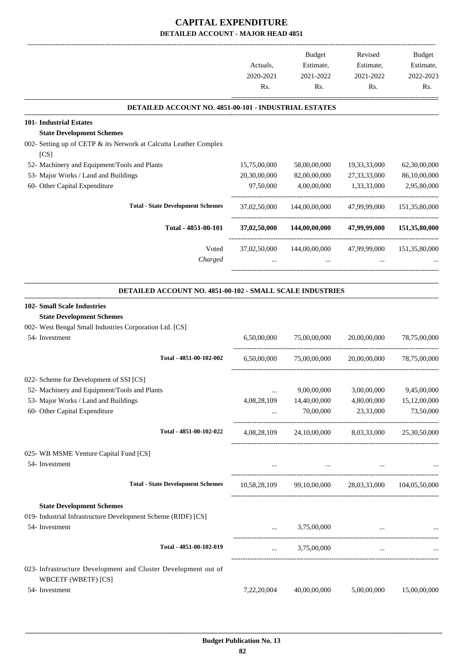|                                                                                              | Actuals.<br>2020-2021<br>Rs. | <b>Budget</b><br>Estimate,<br>2021-2022<br>Rs.       | Revised<br>Estimate,<br>2021-2022<br>Rs. | <b>Budget</b><br>Estimate,<br>2022-2023<br>Rs. |
|----------------------------------------------------------------------------------------------|------------------------------|------------------------------------------------------|------------------------------------------|------------------------------------------------|
| DETAILED ACCOUNT NO. 4851-00-101 - INDUSTRIAL ESTATES                                        |                              |                                                      |                                          |                                                |
| <b>101- Industrial Estates</b>                                                               |                              |                                                      |                                          |                                                |
| <b>State Development Schemes</b>                                                             |                              |                                                      |                                          |                                                |
| 002- Setting up of CETP & its Network at Calcutta Leather Complex<br>[CS]                    |                              |                                                      |                                          |                                                |
| 52- Machinery and Equipment/Tools and Plants                                                 | 15,75,00,000                 | 58,00,00,000                                         | 19,33,33,000                             | 62,30,00,000                                   |
| 53- Major Works / Land and Buildings                                                         | 20,30,00,000                 | 82,00,00,000                                         | 27, 33, 33, 000                          | 86,10,00,000                                   |
| 60- Other Capital Expenditure                                                                | 97,50,000                    | 4,00,00,000                                          | 1,33,33,000                              | 2,95,80,000                                    |
| <b>Total - State Development Schemes</b>                                                     | 37,02,50,000                 | 144,00,00,000                                        | 47,99,99,000                             | 151,35,80,000                                  |
| Total - 4851-00-101                                                                          | 37,02,50,000                 | 144,00,00,000                                        | 47,99,99,000                             | 151,35,80,000                                  |
| Voted                                                                                        | 37,02,50,000                 | 144,00,00,000                                        | 47,99,99,000                             | 151,35,80,000                                  |
| Charged                                                                                      |                              | $\ddotsc$                                            |                                          |                                                |
|                                                                                              |                              |                                                      |                                          |                                                |
| DETAILED ACCOUNT NO. 4851-00-102 - SMALL SCALE INDUSTRIES                                    |                              |                                                      |                                          |                                                |
| 102- Small Scale Industries                                                                  |                              |                                                      |                                          |                                                |
| <b>State Development Schemes</b>                                                             |                              |                                                      |                                          |                                                |
| 002- West Bengal Small Industries Corporation Ltd. [CS]<br>54- Investment                    | 6,50,00,000                  | 75,00,00,000                                         | 20,00,00,000                             | 78,75,00,000                                   |
|                                                                                              |                              |                                                      |                                          |                                                |
| Total - 4851-00-102-002                                                                      | 6,50,00,000                  | 75,00,00,000                                         | 20,00,00,000                             | 78,75,00,000                                   |
| 022- Scheme for Development of SSI [CS]                                                      |                              |                                                      |                                          |                                                |
| 52- Machinery and Equipment/Tools and Plants                                                 |                              | 9,00,00,000                                          | 3,00,00,000                              | 9,45,00,000                                    |
| 53- Major Works / Land and Buildings                                                         | 4,08,28,109                  | 14,40,00,000                                         | 4,80,00,000                              | 15,12,00,000                                   |
| 60- Other Capital Expenditure                                                                | $\cdots$                     | 70,00,000                                            | 23,33,000                                | 73,50,000                                      |
| Total - 4851-00-102-022                                                                      |                              | 4,08,28,109 24,10,00,000 8,03,33,000 25,30,50,000    |                                          |                                                |
|                                                                                              |                              |                                                      |                                          |                                                |
| 025- WB MSME Venture Capital Fund [CS]                                                       |                              |                                                      |                                          |                                                |
| 54- Investment                                                                               |                              | and the contract of the con-                         | the contract of the contract of the      |                                                |
| <b>Total - State Development Schemes</b>                                                     |                              | 10,58,28,109 99,10,00,000 28,03,33,000 104,05,50,000 |                                          |                                                |
| <b>State Development Schemes</b>                                                             |                              |                                                      |                                          |                                                |
| 019- Industrial Infrastructure Development Scheme (RIDF) [CS]                                |                              |                                                      |                                          |                                                |
| 54- Investment                                                                               | <b>Second Contract</b>       | 3,75,00,000                                          |                                          |                                                |
|                                                                                              |                              |                                                      |                                          |                                                |
| Total - 4851-00-102-019                                                                      |                              | $\ldots$ 3,75,00,000                                 | $\sim$ . The set of $\sim$               |                                                |
| 023- Infrastructure Development and Cluster Development out of<br><b>WBCETF (WBETF) [CS]</b> |                              |                                                      |                                          |                                                |
| 54- Investment                                                                               | 7,22,20,004                  | 40,00,00,000                                         | 5,00,00,000                              | 15,00,00,000                                   |
|                                                                                              |                              |                                                      |                                          |                                                |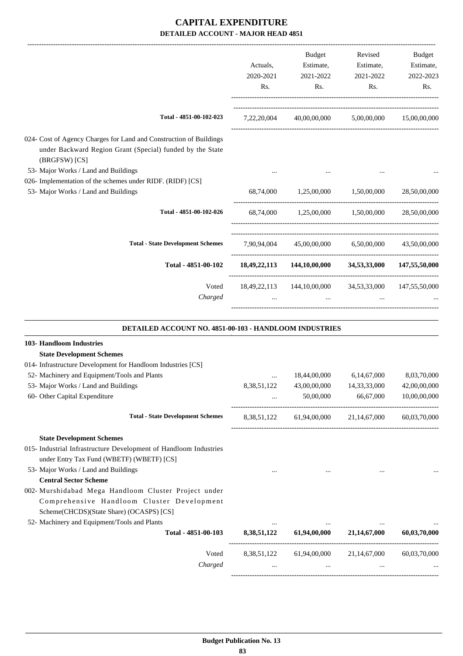| 2020-2021<br>Rs. | Estimate,<br>2021-2022<br>Rs. | Estimate,<br>2021-2022<br>Rs.             | Estimate,<br>2022-2023<br>Rs.                                                                                                                                                                                                                                                                                                                                                                                                                             |
|------------------|-------------------------------|-------------------------------------------|-----------------------------------------------------------------------------------------------------------------------------------------------------------------------------------------------------------------------------------------------------------------------------------------------------------------------------------------------------------------------------------------------------------------------------------------------------------|
|                  |                               |                                           |                                                                                                                                                                                                                                                                                                                                                                                                                                                           |
|                  |                               |                                           |                                                                                                                                                                                                                                                                                                                                                                                                                                                           |
|                  |                               |                                           |                                                                                                                                                                                                                                                                                                                                                                                                                                                           |
|                  |                               |                                           |                                                                                                                                                                                                                                                                                                                                                                                                                                                           |
|                  |                               |                                           | 28,50,00,000                                                                                                                                                                                                                                                                                                                                                                                                                                              |
|                  |                               |                                           |                                                                                                                                                                                                                                                                                                                                                                                                                                                           |
|                  |                               |                                           |                                                                                                                                                                                                                                                                                                                                                                                                                                                           |
|                  |                               |                                           |                                                                                                                                                                                                                                                                                                                                                                                                                                                           |
| $\ddotsc$        | $\cdots$                      | $\cdots$                                  |                                                                                                                                                                                                                                                                                                                                                                                                                                                           |
|                  |                               |                                           |                                                                                                                                                                                                                                                                                                                                                                                                                                                           |
|                  |                               |                                           |                                                                                                                                                                                                                                                                                                                                                                                                                                                           |
|                  |                               |                                           |                                                                                                                                                                                                                                                                                                                                                                                                                                                           |
|                  |                               |                                           |                                                                                                                                                                                                                                                                                                                                                                                                                                                           |
|                  |                               |                                           | 8,03,70,000                                                                                                                                                                                                                                                                                                                                                                                                                                               |
|                  |                               |                                           | 42,00,00,000                                                                                                                                                                                                                                                                                                                                                                                                                                              |
|                  |                               |                                           | 10,00,00,000                                                                                                                                                                                                                                                                                                                                                                                                                                              |
| 8,38,51,122      |                               |                                           | 60,03,70,000                                                                                                                                                                                                                                                                                                                                                                                                                                              |
|                  |                               |                                           |                                                                                                                                                                                                                                                                                                                                                                                                                                                           |
|                  |                               |                                           |                                                                                                                                                                                                                                                                                                                                                                                                                                                           |
|                  |                               |                                           |                                                                                                                                                                                                                                                                                                                                                                                                                                                           |
|                  |                               |                                           |                                                                                                                                                                                                                                                                                                                                                                                                                                                           |
|                  |                               |                                           |                                                                                                                                                                                                                                                                                                                                                                                                                                                           |
|                  |                               |                                           |                                                                                                                                                                                                                                                                                                                                                                                                                                                           |
|                  |                               |                                           |                                                                                                                                                                                                                                                                                                                                                                                                                                                           |
| 8,38,51,122      | 61,94,00,000                  | 21,14,67,000                              | 60,03,70,000                                                                                                                                                                                                                                                                                                                                                                                                                                              |
| 8, 38, 51, 122   | 61,94,00,000                  | 21,14,67,000                              | 60,03,70,000                                                                                                                                                                                                                                                                                                                                                                                                                                              |
|                  | 8,38,51,122                   | 18,44,00,000<br>43,00,00,000<br>50,00,000 | 7,22,20,004 40,00,00,000 5,00,00,000 15,00,00,000<br>68,74,000   1,25,00,000   1,50,00,000<br>68,74,000  1,25,00,000  1,50,00,000  28,50,00,000<br>7,90,94,004 45,00,00,000 6,50,00,000 43,50,00,000<br>18,49,22,113 144,10,00,000 34,53,33,000 147,55,50,000<br>18,49,22,113 144,10,00,000 34,53,33,000 147,55,50,000<br>DETAILED ACCOUNT NO. 4851-00-103 - HANDLOOM INDUSTRIES<br>6,14,67,000<br>14,33,33,000<br>66,67,000<br>61,94,00,000 21,14,67,000 |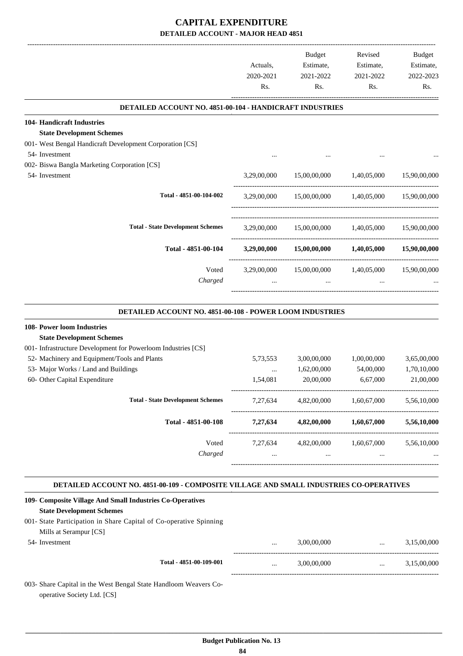|                                                                                                                                                                                                                                                                                                                                                                                                                                                                                                                                                                                                                                                                                                                                                                                                                                                                                                                                                                                                                                                                                                                                                                                                                                                                                                                                                                                           | Actuals,<br>2020-2021<br>Rs. | Budget<br>Estimate,<br>2021-2022<br>Rs. | Revised<br>Estimate,<br>2021-2022<br>Rs.                                                                                  | Budget<br>Estimate,<br>2022-2023<br>Rs. |
|-------------------------------------------------------------------------------------------------------------------------------------------------------------------------------------------------------------------------------------------------------------------------------------------------------------------------------------------------------------------------------------------------------------------------------------------------------------------------------------------------------------------------------------------------------------------------------------------------------------------------------------------------------------------------------------------------------------------------------------------------------------------------------------------------------------------------------------------------------------------------------------------------------------------------------------------------------------------------------------------------------------------------------------------------------------------------------------------------------------------------------------------------------------------------------------------------------------------------------------------------------------------------------------------------------------------------------------------------------------------------------------------|------------------------------|-----------------------------------------|---------------------------------------------------------------------------------------------------------------------------|-----------------------------------------|
|                                                                                                                                                                                                                                                                                                                                                                                                                                                                                                                                                                                                                                                                                                                                                                                                                                                                                                                                                                                                                                                                                                                                                                                                                                                                                                                                                                                           |                              |                                         |                                                                                                                           |                                         |
| 104- Handicraft Industries                                                                                                                                                                                                                                                                                                                                                                                                                                                                                                                                                                                                                                                                                                                                                                                                                                                                                                                                                                                                                                                                                                                                                                                                                                                                                                                                                                |                              |                                         |                                                                                                                           |                                         |
|                                                                                                                                                                                                                                                                                                                                                                                                                                                                                                                                                                                                                                                                                                                                                                                                                                                                                                                                                                                                                                                                                                                                                                                                                                                                                                                                                                                           |                              |                                         |                                                                                                                           |                                         |
|                                                                                                                                                                                                                                                                                                                                                                                                                                                                                                                                                                                                                                                                                                                                                                                                                                                                                                                                                                                                                                                                                                                                                                                                                                                                                                                                                                                           |                              |                                         |                                                                                                                           |                                         |
|                                                                                                                                                                                                                                                                                                                                                                                                                                                                                                                                                                                                                                                                                                                                                                                                                                                                                                                                                                                                                                                                                                                                                                                                                                                                                                                                                                                           |                              |                                         |                                                                                                                           |                                         |
| <b>DETAILED ACCOUNT NO. 4851-00-104 - HANDICRAFT INDUSTRIES</b><br><b>State Development Schemes</b><br>001- West Bengal Handicraft Development Corporation [CS]<br>54- Investment<br>002- Biswa Bangla Marketing Corporation [CS]<br>54- Investment<br>3,29,00,000<br>1,40,05,000 1,40,05,000<br>Total - 4851-00-104-002<br>3,29,00,000 15,00,00,000 1,40,05,000 15,90,00,000<br><b>Total - State Development Schemes</b><br>3,29,00,000 15,00,00,000 1,40,05,000 15,90,00,000<br>Total - 4851-00-104<br>3,29,00,000 15,00,00,000 1,40,05,000 15,90,00,000<br>Voted<br>3,29,00,000 15,00,00,000 1,40,05,000 15,90,00,000<br>Charged<br>$\cdots$<br>DETAILED ACCOUNT NO. 4851-00-108 - POWER LOOM INDUSTRIES<br>52- Machinery and Equipment/Tools and Plants<br>3,00,00,000<br>5,73,553<br>53- Major Works / Land and Buildings<br>1,62,00,000<br>$\cdots$<br>60- Other Capital Expenditure<br>1,54,081<br>20,00,000<br><b>Total - State Development Schemes</b><br>7,27,634 4,82,00,000 1,60,67,000<br>7,27,634 4,82,00,000 1,60,67,000 5,56,10,000<br>Total - 4851-00-108<br>Voted<br>7,27,634 4,82,00,000 1,60,67,000 5,56,10,000<br>Charged<br>and the state of the state of the state of the state of the<br>DETAILED ACCOUNT NO. 4851-00-109 - COMPOSITE VILLAGE AND SMALL INDUSTRIES CO-OPERATIVES<br>3,00,00,000<br>$\cdots$<br>Total - 4851-00-109-001<br>3,00,00,000<br>$\cdots$ |                              | 15,90,00,000                            |                                                                                                                           |                                         |
|                                                                                                                                                                                                                                                                                                                                                                                                                                                                                                                                                                                                                                                                                                                                                                                                                                                                                                                                                                                                                                                                                                                                                                                                                                                                                                                                                                                           |                              |                                         |                                                                                                                           |                                         |
|                                                                                                                                                                                                                                                                                                                                                                                                                                                                                                                                                                                                                                                                                                                                                                                                                                                                                                                                                                                                                                                                                                                                                                                                                                                                                                                                                                                           |                              |                                         |                                                                                                                           |                                         |
|                                                                                                                                                                                                                                                                                                                                                                                                                                                                                                                                                                                                                                                                                                                                                                                                                                                                                                                                                                                                                                                                                                                                                                                                                                                                                                                                                                                           |                              |                                         |                                                                                                                           |                                         |
|                                                                                                                                                                                                                                                                                                                                                                                                                                                                                                                                                                                                                                                                                                                                                                                                                                                                                                                                                                                                                                                                                                                                                                                                                                                                                                                                                                                           |                              |                                         |                                                                                                                           |                                         |
|                                                                                                                                                                                                                                                                                                                                                                                                                                                                                                                                                                                                                                                                                                                                                                                                                                                                                                                                                                                                                                                                                                                                                                                                                                                                                                                                                                                           |                              |                                         |                                                                                                                           |                                         |
|                                                                                                                                                                                                                                                                                                                                                                                                                                                                                                                                                                                                                                                                                                                                                                                                                                                                                                                                                                                                                                                                                                                                                                                                                                                                                                                                                                                           |                              |                                         |                                                                                                                           |                                         |
| 108- Power loom Industries                                                                                                                                                                                                                                                                                                                                                                                                                                                                                                                                                                                                                                                                                                                                                                                                                                                                                                                                                                                                                                                                                                                                                                                                                                                                                                                                                                |                              |                                         |                                                                                                                           |                                         |
| <b>State Development Schemes</b>                                                                                                                                                                                                                                                                                                                                                                                                                                                                                                                                                                                                                                                                                                                                                                                                                                                                                                                                                                                                                                                                                                                                                                                                                                                                                                                                                          |                              |                                         |                                                                                                                           |                                         |
| 001- Infrastructure Development for Powerloom Industries [CS]                                                                                                                                                                                                                                                                                                                                                                                                                                                                                                                                                                                                                                                                                                                                                                                                                                                                                                                                                                                                                                                                                                                                                                                                                                                                                                                             |                              |                                         |                                                                                                                           |                                         |
|                                                                                                                                                                                                                                                                                                                                                                                                                                                                                                                                                                                                                                                                                                                                                                                                                                                                                                                                                                                                                                                                                                                                                                                                                                                                                                                                                                                           |                              |                                         |                                                                                                                           | 3,65,00,000                             |
|                                                                                                                                                                                                                                                                                                                                                                                                                                                                                                                                                                                                                                                                                                                                                                                                                                                                                                                                                                                                                                                                                                                                                                                                                                                                                                                                                                                           |                              |                                         |                                                                                                                           | 1,70,10,000                             |
|                                                                                                                                                                                                                                                                                                                                                                                                                                                                                                                                                                                                                                                                                                                                                                                                                                                                                                                                                                                                                                                                                                                                                                                                                                                                                                                                                                                           |                              |                                         |                                                                                                                           | 21,00,000                               |
|                                                                                                                                                                                                                                                                                                                                                                                                                                                                                                                                                                                                                                                                                                                                                                                                                                                                                                                                                                                                                                                                                                                                                                                                                                                                                                                                                                                           |                              |                                         | 1,00,00,000<br>54,00,000<br>6,67,000<br><b>Second Contract Contract</b><br>$\sim$ $\sim$<br>$\mathbf{m}$ and $\mathbf{m}$ | 5,56,10,000                             |
|                                                                                                                                                                                                                                                                                                                                                                                                                                                                                                                                                                                                                                                                                                                                                                                                                                                                                                                                                                                                                                                                                                                                                                                                                                                                                                                                                                                           |                              |                                         |                                                                                                                           |                                         |
|                                                                                                                                                                                                                                                                                                                                                                                                                                                                                                                                                                                                                                                                                                                                                                                                                                                                                                                                                                                                                                                                                                                                                                                                                                                                                                                                                                                           |                              |                                         |                                                                                                                           |                                         |
|                                                                                                                                                                                                                                                                                                                                                                                                                                                                                                                                                                                                                                                                                                                                                                                                                                                                                                                                                                                                                                                                                                                                                                                                                                                                                                                                                                                           |                              |                                         |                                                                                                                           |                                         |
|                                                                                                                                                                                                                                                                                                                                                                                                                                                                                                                                                                                                                                                                                                                                                                                                                                                                                                                                                                                                                                                                                                                                                                                                                                                                                                                                                                                           |                              |                                         |                                                                                                                           |                                         |
| 109- Composite Village And Small Industries Co-Operatives<br><b>State Development Schemes</b>                                                                                                                                                                                                                                                                                                                                                                                                                                                                                                                                                                                                                                                                                                                                                                                                                                                                                                                                                                                                                                                                                                                                                                                                                                                                                             |                              |                                         |                                                                                                                           |                                         |
| 001- State Participation in Share Capital of Co-operative Spinning                                                                                                                                                                                                                                                                                                                                                                                                                                                                                                                                                                                                                                                                                                                                                                                                                                                                                                                                                                                                                                                                                                                                                                                                                                                                                                                        |                              |                                         |                                                                                                                           |                                         |
| Mills at Serampur [CS]                                                                                                                                                                                                                                                                                                                                                                                                                                                                                                                                                                                                                                                                                                                                                                                                                                                                                                                                                                                                                                                                                                                                                                                                                                                                                                                                                                    |                              |                                         |                                                                                                                           |                                         |
| 54- Investment                                                                                                                                                                                                                                                                                                                                                                                                                                                                                                                                                                                                                                                                                                                                                                                                                                                                                                                                                                                                                                                                                                                                                                                                                                                                                                                                                                            |                              |                                         |                                                                                                                           | 3,15,00,000                             |
|                                                                                                                                                                                                                                                                                                                                                                                                                                                                                                                                                                                                                                                                                                                                                                                                                                                                                                                                                                                                                                                                                                                                                                                                                                                                                                                                                                                           |                              |                                         |                                                                                                                           | 3,15,00,000                             |
| 003- Share Capital in the West Bengal State Handloom Weavers Co-                                                                                                                                                                                                                                                                                                                                                                                                                                                                                                                                                                                                                                                                                                                                                                                                                                                                                                                                                                                                                                                                                                                                                                                                                                                                                                                          |                              |                                         |                                                                                                                           |                                         |

operative Society Ltd. [CS]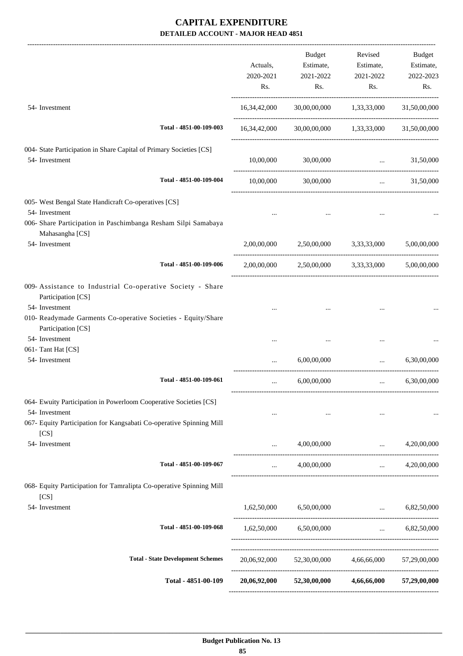|                                                                                                                                                                     | Actuals,<br>2020-2021<br>Rs. | Budget<br>Estimate,<br>2021-2022<br>Rs.            | Revised<br>Estimate,<br>2021-2022<br>Rs. | Budget<br>Estimate,<br>2022-2023<br>Rs. |
|---------------------------------------------------------------------------------------------------------------------------------------------------------------------|------------------------------|----------------------------------------------------|------------------------------------------|-----------------------------------------|
| 54- Investment                                                                                                                                                      | 16, 34, 42, 000              |                                                    | 30,00,00,000 1,33,33,000                 | 31,50,00,000                            |
| Total - 4851-00-109-003                                                                                                                                             |                              | 16,34,42,000 30,00,00,000 1,33,33,000 31,50,00,000 |                                          |                                         |
| 004- State Participation in Share Capital of Primary Societies [CS]                                                                                                 |                              |                                                    |                                          |                                         |
| 54- Investment                                                                                                                                                      | 10,00,000                    | 30,00,000                                          | and the company of the company of        | 31,50,000                               |
| Total - 4851-00-109-004                                                                                                                                             | 10,00,000                    | 30,00,000                                          | $\ddots$                                 | 31,50,000                               |
| 005- West Bengal State Handicraft Co-operatives [CS]                                                                                                                |                              |                                                    |                                          |                                         |
| 54- Investment<br>006- Share Participation in Paschimbanga Resham Silpi Samabaya<br>Mahasangha [CS]                                                                 |                              |                                                    |                                          |                                         |
| 54- Investment                                                                                                                                                      |                              | 2,00,00,000 2,50,00,000 3,33,33,000                |                                          | 5,00,00,000                             |
| Total - 4851-00-109-006                                                                                                                                             | 2,00,00,000                  |                                                    | 2,50,00,000 3,33,33,000                  | 5,00,00,000                             |
| 009- Assistance to Industrial Co-operative Society - Share<br>Participation [CS]<br>54- Investment<br>010- Readymade Garments Co-operative Societies - Equity/Share |                              |                                                    |                                          |                                         |
| Participation [CS]<br>54- Investment                                                                                                                                |                              |                                                    |                                          |                                         |
| 061- Tant Hat [CS]                                                                                                                                                  |                              |                                                    |                                          |                                         |
| 54- Investment                                                                                                                                                      |                              | 6,00,00,000                                        | $\cdots$                                 | 6,30,00,000                             |
| Total - 4851-00-109-061                                                                                                                                             | $\cdots$                     | 6,00,00,000                                        | $\cdots$                                 | 6,30,00,000                             |
| 064- Ewuity Participation in Powerloom Cooperative Societies [CS]<br>54- Investment<br>067- Equity Participation for Kangsabati Co-operative Spinning Mill          | $\cdots$                     | $\ldots$                                           |                                          |                                         |
| [CS]<br>54- Investment                                                                                                                                              | $\cdots$                     | 4,00,00,000                                        | <b>Second Contract</b>                   | 4,20,00,000                             |
| Total - 4851-00-109-067                                                                                                                                             | $\cdots$                     | 4,00,00,000                                        | $\mathbf{r}$                             | 4,20,00,000                             |
| 068- Equity Participation for Tamralipta Co-operative Spinning Mill<br>[CS]                                                                                         |                              |                                                    |                                          |                                         |
| 54- Investment                                                                                                                                                      |                              | 1,62,50,000 6,50,00,000                            | and the state of the state of the        | 6,82,50,000                             |
| Total - 4851-00-109-068                                                                                                                                             |                              | 1,62,50,000 6,50,00,000                            |                                          | $\ldots$ 6,82,50,000                    |
| <b>Total - State Development Schemes</b>                                                                                                                            |                              | 20,06,92,000 52,30,00,000 4,66,66,000              |                                          | 57,29,00,000                            |
| Total - 4851-00-109                                                                                                                                                 |                              | 20,06,92,000 52,30,00,000                          |                                          | 4,66,66,000 57,29,00,000                |
|                                                                                                                                                                     |                              |                                                    |                                          |                                         |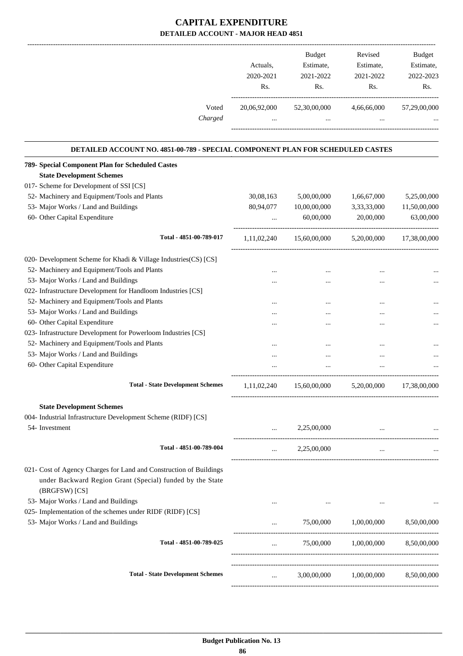|                                                                                | Actuals,<br>2020-2021<br>Rs. | <b>Budget</b><br>Estimate,<br>2021-2022<br>Rs. | Revised<br>Estimate,<br>2021-2022<br>Rs.   | <b>Budget</b><br>Estimate,<br>2022-2023<br>Rs. |
|--------------------------------------------------------------------------------|------------------------------|------------------------------------------------|--------------------------------------------|------------------------------------------------|
| Voted<br>Charged                                                               | 20,06,92,000                 | 52,30,00,000                                   | 4,66,66,000                                | 57,29,00,000                                   |
| DETAILED ACCOUNT NO. 4851-00-789 - SPECIAL COMPONENT PLAN FOR SCHEDULED CASTES |                              |                                                |                                            |                                                |
| 789- Special Component Plan for Scheduled Castes                               |                              |                                                |                                            |                                                |
| <b>State Development Schemes</b>                                               |                              |                                                |                                            |                                                |
| 017- Scheme for Development of SSI [CS]                                        |                              |                                                |                                            |                                                |
| 52- Machinery and Equipment/Tools and Plants                                   | 30,08,163                    | 5,00,00,000                                    | 1,66,67,000                                | 5,25,00,000                                    |
| 53- Major Works / Land and Buildings                                           | 80,94,077                    | 10,00,00,000                                   | 3,33,33,000                                | 11,50,00,000                                   |
| 60- Other Capital Expenditure                                                  | $\cdots$                     | 60,00,000                                      | 20,00,000                                  | 63,00,000                                      |
| Total - 4851-00-789-017                                                        | 1,11,02,240                  | 15,60,00,000                                   | 5,20,00,000                                | 17,38,00,000                                   |
| 020- Development Scheme for Khadi & Village Industries(CS) [CS]                |                              |                                                |                                            |                                                |
| 52- Machinery and Equipment/Tools and Plants                                   |                              |                                                |                                            |                                                |
| 53- Major Works / Land and Buildings                                           | $\cdots$                     | $\ddotsc$                                      | $\cdots$                                   |                                                |
| 022- Infrastructure Development for Handloom Industries [CS]                   |                              |                                                |                                            |                                                |
| 52- Machinery and Equipment/Tools and Plants                                   | $\cdots$                     | $\ddotsc$                                      | $\cdots$                                   |                                                |
| 53- Major Works / Land and Buildings                                           |                              |                                                |                                            |                                                |
| 60- Other Capital Expenditure                                                  |                              |                                                | $\cdots$                                   |                                                |
| 023- Infrastructure Development for Powerloom Industries [CS]                  |                              |                                                |                                            |                                                |
| 52- Machinery and Equipment/Tools and Plants                                   |                              |                                                |                                            |                                                |
| 53- Major Works / Land and Buildings                                           |                              | $\ddotsc$                                      | $\cdots$                                   |                                                |
| 60- Other Capital Expenditure                                                  |                              | $\cdots$                                       | $\cdots$                                   |                                                |
| <b>Total - State Development Schemes</b>                                       | 1,11,02,240                  | 15,60,00,000                                   | 5,20,00,000                                | 17,38,00,000                                   |
| <b>State Development Schemes</b>                                               |                              |                                                |                                            |                                                |
| 004- Industrial Infrastructure Development Scheme (RIDF) [CS]                  |                              |                                                |                                            |                                                |
| 54- Investment                                                                 | $\cdots$                     | 2,25,00,000                                    |                                            |                                                |
|                                                                                |                              |                                                | <b>Contract Contract Contract Contract</b> |                                                |
| Total - 4851-00-789-004                                                        | $\cdots$                     | 2,25,00,000                                    | $\cdots$                                   |                                                |
| 021- Cost of Agency Charges for Land and Construction of Buildings             |                              |                                                |                                            |                                                |
| under Backward Region Grant (Special) funded by the State                      |                              |                                                |                                            |                                                |
| (BRGFSW) [CS]                                                                  |                              |                                                |                                            |                                                |
| 53- Major Works / Land and Buildings                                           |                              |                                                |                                            |                                                |
| 025- Implementation of the schemes under RIDF (RIDF) [CS]                      |                              |                                                |                                            |                                                |
| 53- Major Works / Land and Buildings                                           | $\cdots$                     |                                                | 75,00,000 1,00,00,000                      | 8,50,00,000                                    |
| Total - 4851-00-789-025                                                        | $\cdots$                     |                                                | 75,00,000   1,00,00,000   8,50,00,000      |                                                |
|                                                                                |                              |                                                |                                            |                                                |
| <b>Total - State Development Schemes</b>                                       | $\cdots$                     |                                                | 3,00,00,000 1,00,00,000 8,50,00,000        |                                                |
|                                                                                |                              |                                                |                                            |                                                |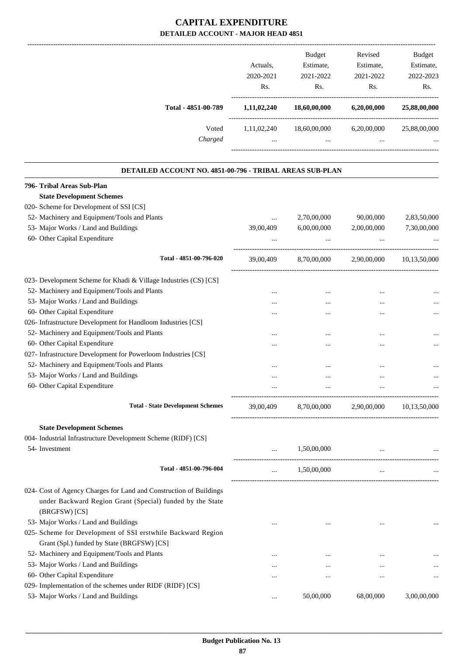| DETAILED ACCOUNT - MAJON HEAD                                                                     |             | 4091          |             |               |
|---------------------------------------------------------------------------------------------------|-------------|---------------|-------------|---------------|
|                                                                                                   |             | <b>Budget</b> | Revised     | <b>Budget</b> |
|                                                                                                   | Actuals,    | Estimate,     | Estimate,   | Estimate,     |
|                                                                                                   | 2020-2021   | 2021-2022     | 2021-2022   | 2022-2023     |
|                                                                                                   | Rs.         | Rs.           | Rs.         | Rs.           |
| Total - 4851-00-789                                                                               | 1,11,02,240 | 18,60,00,000  | 6,20,00,000 | 25,88,00,000  |
| Voted                                                                                             | 1,11,02,240 | 18,60,00,000  | 6,20,00,000 | 25,88,00,000  |
| Charged                                                                                           |             | $\cdots$      |             |               |
|                                                                                                   |             |               |             |               |
| DETAILED ACCOUNT NO. 4851-00-796 - TRIBAL AREAS SUB-PLAN                                          |             |               |             |               |
| 796- Tribal Areas Sub-Plan                                                                        |             |               |             |               |
| <b>State Development Schemes</b>                                                                  |             |               |             |               |
| 020- Scheme for Development of SSI [CS]                                                           |             |               |             |               |
| 52- Machinery and Equipment/Tools and Plants                                                      | $\cdots$    | 2,70,00,000   | 90,00,000   | 2,83,50,000   |
| 53- Major Works / Land and Buildings                                                              | 39,00,409   | 6,00,00,000   | 2,00,00,000 | 7,30,00,000   |
| 60- Other Capital Expenditure                                                                     | $\cdots$    | $\cdots$      |             |               |
| Total - 4851-00-796-020                                                                           | 39,00,409   | 8,70,00,000   | 2,90,00,000 | 10,13,50,000  |
| 023- Development Scheme for Khadi & Village Industries (CS) [CS]                                  |             |               |             |               |
| 52- Machinery and Equipment/Tools and Plants                                                      |             |               |             |               |
| 53- Major Works / Land and Buildings                                                              |             |               |             |               |
| 60- Other Capital Expenditure                                                                     |             |               |             |               |
| 026- Infrastructure Development for Handloom Industries [CS]                                      |             |               |             |               |
| 52- Machinery and Equipment/Tools and Plants                                                      | $\cdots$    | $\cdots$      | $\ddotsc$   |               |
| 60- Other Capital Expenditure                                                                     |             |               |             |               |
| 027- Infrastructure Development for Powerloom Industries [CS]                                     |             |               |             |               |
| 52- Machinery and Equipment/Tools and Plants                                                      |             |               |             |               |
| 53- Major Works / Land and Buildings                                                              |             | $\cdots$      |             |               |
| 60- Other Capital Expenditure                                                                     |             |               |             |               |
| <b>Total - State Development Schemes</b>                                                          | 39,00,409   | 8,70,00,000   | 2,90,00,000 | 10,13,50,000  |
|                                                                                                   |             |               |             |               |
| <b>State Development Schemes</b><br>004- Industrial Infrastructure Development Scheme (RIDF) [CS] |             |               |             |               |
| 54- Investment                                                                                    |             | 1,50,00,000   |             |               |
|                                                                                                   | $\cdots$    |               |             |               |
| Total - 4851-00-796-004                                                                           | $\cdots$    | 1,50,00,000   | $\cdots$    |               |
| 024- Cost of Agency Charges for Land and Construction of Buildings                                |             |               |             |               |
| under Backward Region Grant (Special) funded by the State<br>(BRGFSW) [CS]                        |             |               |             |               |
| 53- Major Works / Land and Buildings                                                              | $\cdots$    | $\cdots$      | $\cdots$    |               |
| 025- Scheme for Development of SSI erstwhile Backward Region                                      |             |               |             |               |

- Grant (Spl.) funded by State (BRGFSW) [CS]
- 52- Machinery and Equipment/Tools and Plants ... ... ... ...
- 53- Major Works / Land and Buildings ... ... ... ...
- 60- Other Capital Expenditure ... ... ... ...
- 029- Implementation of the schemes under RIDF (RIDF) [CS]
- 53- Major Works / Land and Buildings ... 50,00,000 68,00,000 68,00,000 3,00,00,000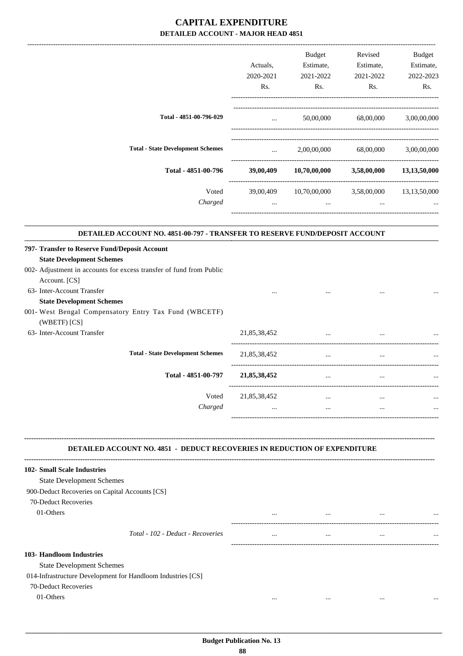|                                                                             |                                                | Budget                                          | Revised                           | Budget    |
|-----------------------------------------------------------------------------|------------------------------------------------|-------------------------------------------------|-----------------------------------|-----------|
|                                                                             | Actuals,                                       | Estimate,                                       | Estimate,                         | Estimate, |
|                                                                             | 2020-2021                                      | 2021-2022                                       | 2021-2022                         | 2022-2023 |
|                                                                             | Rs.                                            | Rs.                                             | Rs.                               | Rs.       |
|                                                                             |                                                |                                                 |                                   |           |
| Total - 4851-00-796-029                                                     | $\cdots$ . The same of $\cdots$                |                                                 | 50,00,000 68,00,000 3,00,00,000   |           |
| <b>Total - State Development Schemes</b>                                    | $\mathbf{1}$ and $\mathbf{1}$ and $\mathbf{1}$ |                                                 | 2,00,00,000 68,00,000 3,00,00,000 |           |
| Total - 4851-00-796                                                         |                                                | 39,00,409 10,70,00,000 3,58,00,000 13,13,50,000 |                                   |           |
| Voted                                                                       |                                                | 39,00,409 10,70,00,000 3,58,00,000 13,13,50,000 |                                   |           |
| Charged                                                                     |                                                | $\cdots$                                        |                                   |           |
| DETAILED ACCOUNT NO. 4851-00-797 - TRANSFER TO RESERVE FUND/DEPOSIT ACCOUNT |                                                |                                                 |                                   |           |
| 797- Transfer to Reserve Fund/Deposit Account                               |                                                |                                                 |                                   |           |
| <b>State Development Schemes</b>                                            |                                                |                                                 |                                   |           |
| 002- Adjustment in accounts for excess transfer of fund from Public         |                                                |                                                 |                                   |           |
| Account. [CS]                                                               |                                                |                                                 |                                   |           |
| 63- Inter-Account Transfer                                                  |                                                |                                                 |                                   |           |
| <b>State Development Schemes</b>                                            |                                                |                                                 |                                   |           |
| 001- West Bengal Compensatory Entry Tax Fund (WBCETF)<br>(WBETF) [CS]       |                                                |                                                 |                                   |           |
| 63- Inter-Account Transfer                                                  | 21,85,38,452                                   |                                                 |                                   |           |
| <b>Total - State Development Schemes</b>                                    | 21,85,38,452                                   | $\cdots$                                        |                                   |           |
| Total - 4851-00-797                                                         | 21,85,38,452                                   | $\cdots$                                        | $\cdots$                          |           |
| Voted                                                                       | 21,85,38,452                                   |                                                 |                                   |           |
| Charged                                                                     |                                                |                                                 |                                   |           |
|                                                                             |                                                |                                                 |                                   |           |
| DETAILED ACCOUNT NO. 4851 - DEDUCT RECOVERIES IN REDUCTION OF EXPENDITURE   |                                                |                                                 |                                   |           |
| 102- Small Scale Industries                                                 |                                                |                                                 |                                   |           |
| <b>State Development Schemes</b>                                            |                                                |                                                 |                                   |           |
| 900-Deduct Recoveries on Capital Accounts [CS]                              |                                                |                                                 |                                   |           |
| 70-Deduct Recoveries                                                        |                                                |                                                 |                                   |           |
| 01-Others                                                                   | $\cdots$                                       | $\cdots$                                        | $\cdots$                          |           |
| Total - 102 - Deduct - Recoveries                                           | $\cdots$                                       | $\ldots$                                        | $\cdots$                          |           |
| 103- Handloom Industries                                                    |                                                |                                                 |                                   |           |
| <b>State Development Schemes</b>                                            |                                                |                                                 |                                   |           |
| 014-Infrastructure Development for Handloom Industries [CS]                 |                                                |                                                 |                                   |           |
| 70-Deduct Recoveries                                                        |                                                |                                                 |                                   |           |
| 01-Others                                                                   | $\cdots$                                       | $\cdots$                                        | $\cdots$                          |           |
|                                                                             |                                                |                                                 |                                   |           |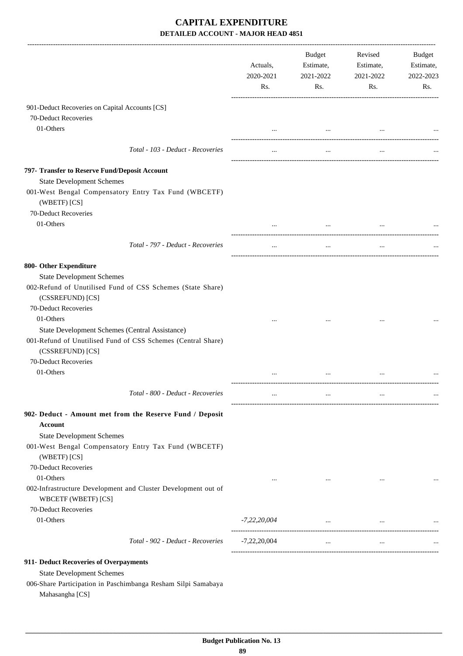|                                                                                                | Actuals,<br>2020-2021<br>Rs. | <b>Budget</b><br>Estimate,<br>2021-2022<br>Rs. | Revised<br>Estimate,<br>2021-2022<br>Rs. | Budget<br>Estimate,<br>2022-2023<br>Rs. |
|------------------------------------------------------------------------------------------------|------------------------------|------------------------------------------------|------------------------------------------|-----------------------------------------|
| 901-Deduct Recoveries on Capital Accounts [CS]                                                 |                              |                                                |                                          |                                         |
| 70-Deduct Recoveries                                                                           |                              |                                                |                                          |                                         |
| 01-Others                                                                                      |                              | $\cdots$                                       | $\cdots$                                 |                                         |
|                                                                                                |                              |                                                |                                          |                                         |
| Total - 103 - Deduct - Recoveries                                                              |                              | $\cdots$                                       |                                          |                                         |
| 797- Transfer to Reserve Fund/Deposit Account                                                  |                              |                                                |                                          |                                         |
| <b>State Development Schemes</b>                                                               |                              |                                                |                                          |                                         |
| 001-West Bengal Compensatory Entry Tax Fund (WBCETF)<br>(WBETF) [CS]                           |                              |                                                |                                          |                                         |
| 70-Deduct Recoveries                                                                           |                              |                                                |                                          |                                         |
| 01-Others                                                                                      |                              | $\cdots$                                       |                                          |                                         |
| Total - 797 - Deduct - Recoveries                                                              | $\cdots$                     | $\ldots$                                       | $\cdots$                                 |                                         |
|                                                                                                |                              |                                                |                                          |                                         |
| 800- Other Expenditure                                                                         |                              |                                                |                                          |                                         |
| <b>State Development Schemes</b><br>002-Refund of Unutilised Fund of CSS Schemes (State Share) |                              |                                                |                                          |                                         |
| (CSSREFUND) [CS]                                                                               |                              |                                                |                                          |                                         |
| 70-Deduct Recoveries                                                                           |                              |                                                |                                          |                                         |
| 01-Others                                                                                      |                              |                                                |                                          |                                         |
| State Development Schemes (Central Assistance)                                                 |                              |                                                |                                          |                                         |
| 001-Refund of Unutilised Fund of CSS Schemes (Central Share)                                   |                              |                                                |                                          |                                         |
| (CSSREFUND) [CS]                                                                               |                              |                                                |                                          |                                         |
| 70-Deduct Recoveries                                                                           |                              |                                                |                                          |                                         |
| 01-Others                                                                                      |                              |                                                |                                          |                                         |
|                                                                                                |                              |                                                |                                          |                                         |
| Total - 800 - Deduct - Recoveries                                                              |                              | $\cdots$                                       | $\ddotsc$                                |                                         |
| 902- Deduct - Amount met from the Reserve Fund / Deposit                                       |                              |                                                |                                          |                                         |
| <b>Account</b>                                                                                 |                              |                                                |                                          |                                         |
| <b>State Development Schemes</b>                                                               |                              |                                                |                                          |                                         |
| 001-West Bengal Compensatory Entry Tax Fund (WBCETF)<br>(WBETF) [CS]                           |                              |                                                |                                          |                                         |
| 70-Deduct Recoveries                                                                           |                              |                                                |                                          |                                         |
| 01-Others                                                                                      | $\cdots$                     | $\cdots$                                       | $\cdots$                                 |                                         |
| 002-Infrastructure Development and Cluster Development out of<br><b>WBCETF (WBETF) [CS]</b>    |                              |                                                |                                          |                                         |
| 70-Deduct Recoveries                                                                           |                              |                                                |                                          |                                         |
| 01-Others                                                                                      | $-7,22,20,004$               | $\cdots$                                       |                                          |                                         |
| Total - 902 - Deduct - Recoveries                                                              | $-7,22,20,004$               | $\cdots$                                       | $\cdots$                                 |                                         |
| 911- Deduct Recoveries of Overpayments                                                         |                              |                                                |                                          |                                         |
| <b>State Development Schemes</b>                                                               |                              |                                                |                                          |                                         |
| 006-Share Participation in Paschimbanga Resham Silpi Samabaya                                  |                              |                                                |                                          |                                         |
| Mahasangha [CS]                                                                                |                              |                                                |                                          |                                         |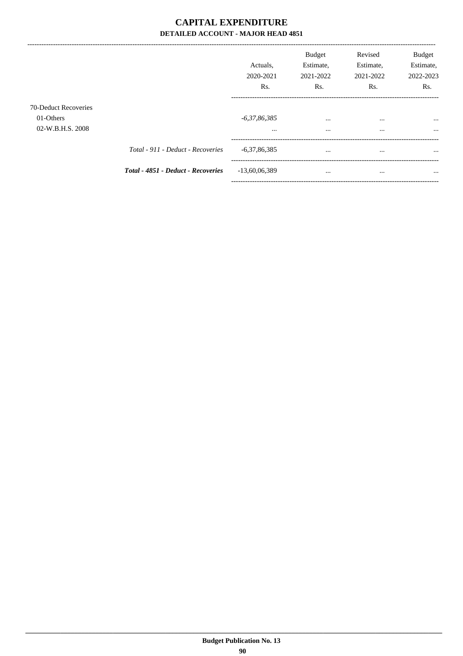|                                                       |                                    | Actuals.<br>2020-2021<br>Rs.          | <b>Budget</b><br>Estimate,<br>2021-2022<br>Rs. | Revised<br>Estimate,<br>2021-2022<br>Rs. | <b>Budget</b><br>Estimate,<br>2022-2023<br>Rs. |
|-------------------------------------------------------|------------------------------------|---------------------------------------|------------------------------------------------|------------------------------------------|------------------------------------------------|
| 70-Deduct Recoveries<br>01-Others<br>02-W.B.H.S. 2008 |                                    | $-6,37,86,385$<br>$\cdots$            | $\cdots$<br>$\cdots$                           | $\cdots$<br>$\cdots$                     | $\cdots$<br>$\cdots$                           |
|                                                       | Total - 911 - Deduct - Recoveries  | $-6,37,86,385$                        | $\cdots$                                       | $\cdots$                                 | $\cdots$                                       |
|                                                       | Total - 4851 - Deduct - Recoveries | $-13,60,06,389$<br>------------------ | $\cdots$                                       | $\cdots$                                 | $\cdots$                                       |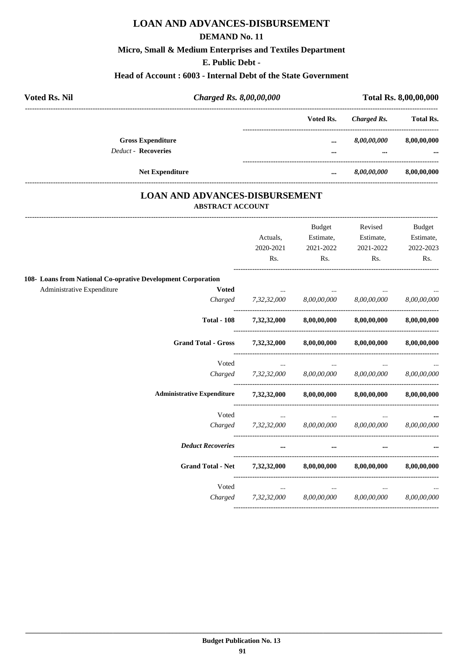## **LOAN AND ADVANCES-DISBURSEMENT**

#### **DEMAND No. 11**

## **Micro, Small & Medium Enterprises and Textiles Department**

#### **E. Public Debt -**

#### **Head of Account : 6003 - Internal Debt of the State Government**

| <b>Voted Rs. Nil</b>       | Charged Rs. 8,00,00,000 |           | <b>Total Rs. 8,00,00,000</b> |                  |
|----------------------------|-------------------------|-----------|------------------------------|------------------|
|                            |                         | Voted Rs. | Charged Rs.                  | <b>Total Rs.</b> |
| <b>Gross Expenditure</b>   |                         |           | 8,00,00,000                  | 8,00,00,000      |
| <b>Deduct - Recoveries</b> |                         |           | $\cdots$                     | $\cdots$         |
|                            | <b>Net Expenditure</b>  |           | 8,00,00,000                  | 8,00,00,000      |

### **LOAN AND ADVANCES-DISBURSEMENT ABSTRACT ACCOUNT**

|                                                              |                                                                            | Actuals,  | <b>Budget</b><br>Estimate,                                                                               | Revised<br>Estimate,                                    | Budget<br>Estimate, |
|--------------------------------------------------------------|----------------------------------------------------------------------------|-----------|----------------------------------------------------------------------------------------------------------|---------------------------------------------------------|---------------------|
|                                                              |                                                                            | 2020-2021 | 2021-2022                                                                                                | 2021-2022                                               | 2022-2023           |
|                                                              |                                                                            | Rs.       | Rs.                                                                                                      | $\mathbf{Rs.}$                                          | Rs.                 |
| 108- Loans from National Co-oprative Development Corporation |                                                                            |           |                                                                                                          |                                                         |                     |
| Administrative Expenditure                                   | <b>Voted</b>                                                               |           | and the company of the company of the                                                                    |                                                         |                     |
|                                                              |                                                                            |           |                                                                                                          | Charged 7,32,32,000 8,00,00,000 8,00,00,000 8,00,00,000 |                     |
|                                                              | <b>Total - 108</b>                                                         |           |                                                                                                          | $7,32,32,000$ $8,00,00,000$ $8,00,00,000$ $8,00,00,000$ |                     |
|                                                              | Grand Total - Gross 7,32,32,000 8,00,00,000                                |           |                                                                                                          | 8,00,00,000 8,00,00,000                                 |                     |
|                                                              | Voted                                                                      |           | $\sigma_{\rm{max}}$ and $\sigma_{\rm{max}}$<br>$\mathcal{L}_{\text{max}}$ and $\mathcal{L}_{\text{max}}$ |                                                         |                     |
|                                                              |                                                                            |           |                                                                                                          | Charged 7,32,32,000 8,00,00,000 8,00,00,000 8,00,00,000 |                     |
|                                                              | Administrative Expenditure 7,32,32,000 8,00,00,000 8,00,00,000 8,00,00,000 |           |                                                                                                          |                                                         |                     |
|                                                              | Voted                                                                      |           | and the state of the state of the state of                                                               |                                                         |                     |
|                                                              |                                                                            |           |                                                                                                          | Charged 7,32,32,000 8,00,00,000 8,00,00,000 8,00,00,000 |                     |
|                                                              | <b>Deduct Recoveries</b>                                                   |           |                                                                                                          |                                                         |                     |
|                                                              | Grand Total - Net 7,32,32,000 8,00,00,000 8,00,00,000 8,00,00,000          |           |                                                                                                          |                                                         |                     |
|                                                              | Voted                                                                      |           | $\mathbf{m}_{\mathrm{max}}$ and $\mathbf{m}_{\mathrm{max}}$ and $\mathbf{m}_{\mathrm{max}}$              |                                                         |                     |
|                                                              |                                                                            |           |                                                                                                          | Charged 7,32,32,000 8,00,00,000 8,00,00,000 8,00,00,000 |                     |
|                                                              |                                                                            |           |                                                                                                          |                                                         |                     |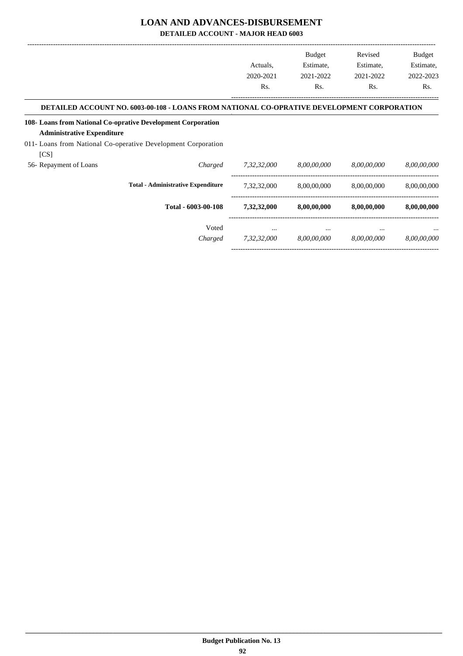## **LOAN AND ADVANCES-DISBURSEMENT**

**DETAILED ACCOUNT - MAJOR HEAD 6003**

|                                   |                                                                                            |             | <b>Budget</b> | Revised     | Budget      |
|-----------------------------------|--------------------------------------------------------------------------------------------|-------------|---------------|-------------|-------------|
|                                   |                                                                                            | Actuals,    | Estimate,     | Estimate,   | Estimate,   |
|                                   |                                                                                            | 2020-2021   | 2021-2022     | 2021-2022   | 2022-2023   |
|                                   |                                                                                            | Rs.         | Rs.           | Rs.         | Rs.         |
|                                   | DETAILED ACCOUNT NO. 6003-00-108 - LOANS FROM NATIONAL CO-OPRATIVE DEVELOPMENT CORPORATION |             |               |             |             |
| <b>Administrative Expenditure</b> | 108- Loans from National Co-oprative Development Corporation                               |             |               |             |             |
|                                   | 011- Loans from National Co-operative Development Corporation                              |             |               |             |             |
| [CS]                              |                                                                                            |             |               |             |             |
| 56- Repayment of Loans            | Charged                                                                                    | 7,32,32,000 | 8,00,00,000   | 8,00,00,000 | 8,00,00,000 |
|                                   | <b>Total - Administrative Expenditure</b>                                                  | 7,32,32,000 | 8,00,00,000   | 8,00,00,000 | 8,00,00,000 |
|                                   | Total - 6003-00-108                                                                        | 7,32,32,000 | 8,00,00,000   | 8,00,00,000 | 8,00,00,000 |
|                                   | Voted                                                                                      | $\cdots$    | $\cdots$      | $\cdots$    |             |
|                                   | Charged                                                                                    | 7,32,32,000 | 8,00,00,000   | 8,00,00,000 | 8,00,00,000 |
|                                   |                                                                                            |             |               |             |             |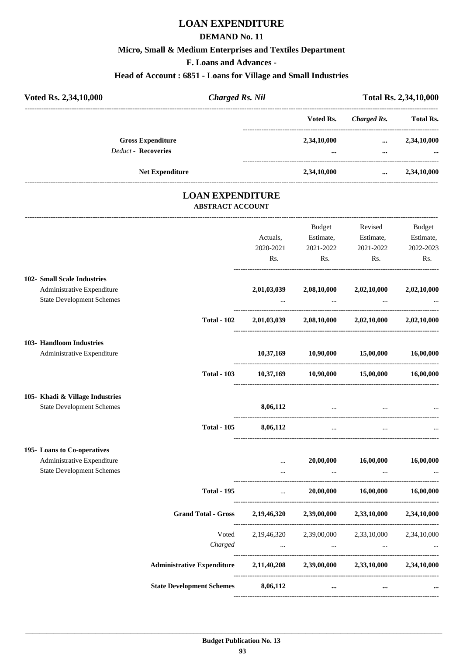## **LOAN EXPENDITURE**

#### **DEMAND No. 11**

## **Micro, Small & Medium Enterprises and Textiles Department**

**F. Loans and Advances -**

#### **Head of Account : 6851 - Loans for Village and Small Industries**

| Voted Rs. 2,34,10,000 |                                                        | <b>Charged Rs. Nil</b> | <b>Total Rs. 2,34,10,000</b> |              |                         |
|-----------------------|--------------------------------------------------------|------------------------|------------------------------|--------------|-------------------------|
|                       |                                                        |                        | Voted Rs.                    | Charged Rs.  | <b>Total Rs.</b>        |
|                       | <b>Gross Expenditure</b><br><b>Deduct - Recoveries</b> |                        | 2,34,10,000<br>              | $\cdots$<br> | 2,34,10,000<br>$\cdots$ |
|                       | <b>Net Expenditure</b>                                 |                        | 2,34,10,000                  | $\cdots$     | 2,34,10,000             |

### **LOAN EXPENDITURE ABSTRACT ACCOUNT**

---------------------------------------------------------------------------------------------------------------------------------------------------------------------------------

|                                                                                               |                                                                                 | Actuals,<br>2020-2021<br>Rs.        | Budget<br>Estimate,<br>2021-2022<br>Rs.                                            | Revised<br>Estimate,<br>2021-2022<br>Rs.                                                                                                                                                                                                                                                       | <b>Budget</b><br>Estimate,<br>2022-2023<br>Rs. |
|-----------------------------------------------------------------------------------------------|---------------------------------------------------------------------------------|-------------------------------------|------------------------------------------------------------------------------------|------------------------------------------------------------------------------------------------------------------------------------------------------------------------------------------------------------------------------------------------------------------------------------------------|------------------------------------------------|
| 102- Small Scale Industries<br>Administrative Expenditure<br><b>State Development Schemes</b> |                                                                                 | $\cdots$                            | $2,01,03,039$ $2,08,10,000$ $2,02,10,000$<br>and the company of the company        | <b><i>Contractor Contractor</i></b>                                                                                                                                                                                                                                                            | 2,02,10,000                                    |
|                                                                                               | <b>Total - 102</b>                                                              |                                     |                                                                                    | $2,01,03,039$ $2,08,10,000$ $2,02,10,000$ $2,02,10,000$                                                                                                                                                                                                                                        |                                                |
| 103- Handloom Industries<br>Administrative Expenditure                                        |                                                                                 |                                     | $10,37,169$ $10,90,000$ $15,00,000$                                                |                                                                                                                                                                                                                                                                                                | 16,00,000                                      |
|                                                                                               | <b>Total - 103</b>                                                              | $10,37,169$ $10,90,000$ $15,00,000$ |                                                                                    |                                                                                                                                                                                                                                                                                                | 16,00,000                                      |
| 105- Khadi & Village Industries<br><b>State Development Schemes</b>                           |                                                                                 | 8,06,112                            |                                                                                    | the contract of the contract of the contract of the contract of                                                                                                                                                                                                                                |                                                |
|                                                                                               | <b>Total - 105</b>                                                              | 8,06,112                            | $\cdots$                                                                           |                                                                                                                                                                                                                                                                                                |                                                |
| 195- Loans to Co-operatives<br>Administrative Expenditure<br><b>State Development Schemes</b> |                                                                                 | $\cdots$                            | 20,00,000 16,00,000<br>and the state of the state of the state of the state of the |                                                                                                                                                                                                                                                                                                | 16,00,000                                      |
|                                                                                               | <b>Total - 195</b>                                                              |                                     |                                                                                    | $20,00,000$ $16,00,000$ $16,00,000$                                                                                                                                                                                                                                                            |                                                |
|                                                                                               | Grand Total - Gross 2, 19, 46, 320 2, 39, 00, 000 2, 33, 10, 000 2, 34, 10, 000 |                                     |                                                                                    |                                                                                                                                                                                                                                                                                                |                                                |
|                                                                                               | Voted<br>Charged                                                                |                                     |                                                                                    | 2,19,46,320 2,39,00,000 2,33,10,000<br>$\mathcal{L}_{\text{max}}$ and $\mathcal{L}_{\text{max}}$ are the simulation of the simulation of the simulation of the simulation of the simulation of the simulation of the simulation of the simulation of the simulation of the simulation of the s | 2,34,10,000                                    |
|                                                                                               | Administrative Expenditure 2,11,40,208 2,39,00,000 2,33,10,000 2,34,10,000      |                                     |                                                                                    |                                                                                                                                                                                                                                                                                                |                                                |
|                                                                                               | State Development Schemes 8,06,112                                              |                                     | $\cdots$                                                                           | $\cdots$                                                                                                                                                                                                                                                                                       |                                                |
|                                                                                               |                                                                                 |                                     |                                                                                    |                                                                                                                                                                                                                                                                                                |                                                |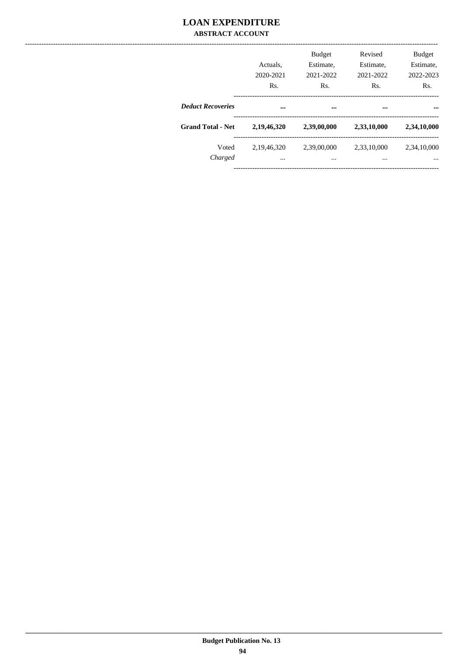### **LOAN EXPENDITURE ABSTRACT ACCOUNT**

|                          | Actuals.<br>2020-2021<br>Rs. | <b>Budget</b><br>Estimate,<br>2021-2022<br>Rs. | Revised<br>Estimate,<br>2021-2022<br>Rs. | <b>Budget</b><br>Estimate,<br>2022-2023<br>Rs. |
|--------------------------|------------------------------|------------------------------------------------|------------------------------------------|------------------------------------------------|
| <b>Deduct Recoveries</b> |                              |                                                |                                          |                                                |
| <b>Grand Total - Net</b> | 2,19,46,320                  | 2,39,00,000                                    | 2,33,10,000                              | 2,34,10,000                                    |
| Voted<br>Charged         | 2,19,46,320<br>              | 2.39,00,000<br>$\cdots$                        | 2,33,10,000<br>$\cdots$                  | 2.34.10.000<br>                                |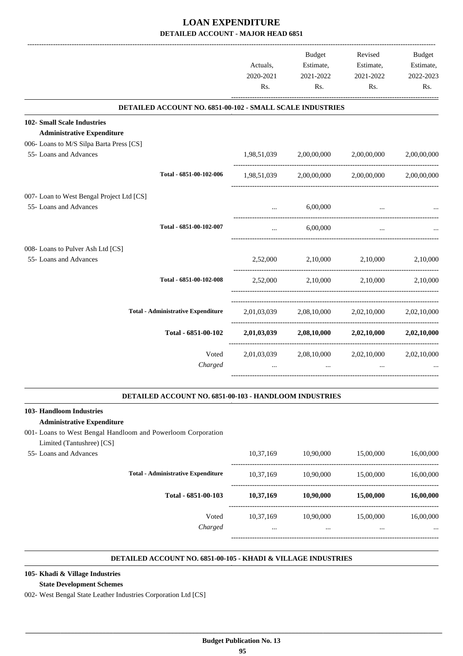|                                                                         | Actuals,<br>2020-2021<br>Rs. | Budget<br>Estimate,<br>2021-2022<br>Rs. | Revised<br>Estimate,<br>2021-2022<br>Rs.        | <b>Budget</b><br>Estimate,<br>2022-2023<br>Rs. |
|-------------------------------------------------------------------------|------------------------------|-----------------------------------------|-------------------------------------------------|------------------------------------------------|
| DETAILED ACCOUNT NO. 6851-00-102 - SMALL SCALE INDUSTRIES               |                              |                                         |                                                 |                                                |
| <b>102- Small Scale Industries</b><br><b>Administrative Expenditure</b> |                              |                                         |                                                 |                                                |
| 006- Loans to M/S Silpa Barta Press [CS]                                |                              |                                         |                                                 |                                                |
| 55- Loans and Advances                                                  | 1,98,51,039                  | 2,00,00,000                             | 2,00,00,000                                     | 2,00,00,000                                    |
| Total - 6851-00-102-006                                                 | 1,98,51,039                  |                                         | 2,00,00,000 2,00,00,000                         | 2,00,00,000                                    |
| 007- Loan to West Bengal Project Ltd [CS]                               |                              |                                         |                                                 |                                                |
| 55- Loans and Advances                                                  |                              | 6,00,000                                |                                                 |                                                |
| Total - 6851-00-102-007                                                 | $\cdots$                     | 6,00,000                                | $\cdots$                                        |                                                |
| 008- Loans to Pulver Ash Ltd [CS]                                       |                              |                                         |                                                 |                                                |
| 55- Loans and Advances                                                  |                              |                                         | 2,52,000 2,10,000 2,10,000 2,10,000             |                                                |
| Total - 6851-00-102-008                                                 |                              |                                         | 2,52,000 2,10,000 2,10,000 2,10,000             |                                                |
| <b>Total - Administrative Expenditure</b>                               |                              |                                         | 2,01,03,039 2,08,10,000 2,02,10,000 2,02,10,000 |                                                |
| Total - 6851-00-102                                                     |                              |                                         | $2,01,03,039$ $2,08,10,000$ $2,02,10,000$       | 2,02,10,000                                    |
| Voted                                                                   |                              |                                         | 2,01,03,039 2,08,10,000 2,02,10,000 2,02,10,000 |                                                |
| Charged                                                                 |                              | $\cdots$                                |                                                 |                                                |

#### **DETAILED ACCOUNT NO. 6851-00-103 - HANDLOOM INDUSTRIES .**

#### **103- Handloom Industries**

- **Administrative Expenditure**
- 001- Loans to West Bengal Handloom and Powerloom Corporation
	- Limited (Tantushree) [CS]

| 55- Loans and Advances |                                           | 10,37,169     | 10,90,000             | 15,00,000             | 16,00,000             |
|------------------------|-------------------------------------------|---------------|-----------------------|-----------------------|-----------------------|
|                        | <b>Total - Administrative Expenditure</b> | 10,37,169     | 10.90.000             | 15,00,000             | 16,00,000             |
|                        | Total - 6851-00-103                       | 10,37,169     | 10,90,000             | 15,00,000             | 16,00,000             |
|                        | Voted<br>Charged                          | 10.37.169<br> | 10,90,000<br>$\cdots$ | 15,00,000<br>$\cdots$ | 16,00,000<br>$\cdots$ |
|                        |                                           |               |                       |                       |                       |

.

#### **DETAILED ACCOUNT NO. 6851-00-105 - KHADI & VILLAGE INDUSTRIES .**

# **105- Khadi & Village Industries**

### **State Development Schemes**

002- West Bengal State Leather Industries Corporation Ltd [CS]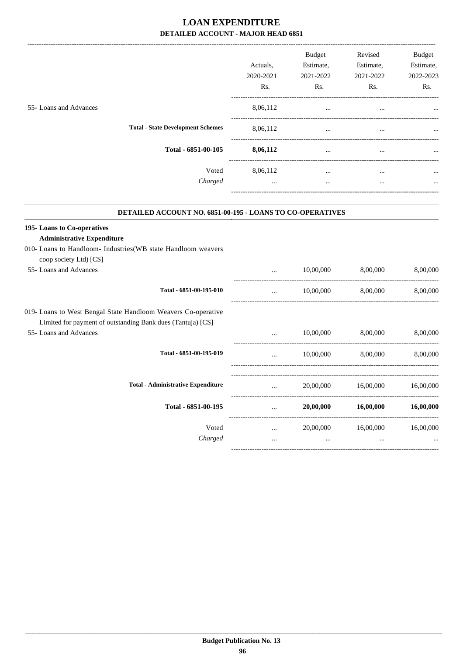|                                                           | Actuals.<br>2020-2021<br>Rs. | <b>Budget</b><br>Estimate,<br>2021-2022<br>Rs. | Revised<br>Estimate,<br>2021-2022<br>Rs. | <b>Budget</b><br>Estimate,<br>2022-2023<br>Rs. |
|-----------------------------------------------------------|------------------------------|------------------------------------------------|------------------------------------------|------------------------------------------------|
| 55- Loans and Advances                                    | 8,06,112                     | $\cdots$                                       | $\cdots$                                 | $\cdots$                                       |
| <b>Total - State Development Schemes</b>                  | 8,06,112                     | $\cdots$                                       | $\cdots$                                 | $\cdots$                                       |
| Total - 6851-00-105                                       | 8,06,112                     | $\cdots$                                       |                                          | $\cdots$                                       |
| Voted<br>Charged                                          | 8,06,112<br>$\cdots$         | $\cdots$<br>$\cdots$                           | $\cdots$<br>$\cdots$                     | $\cdots$<br>$\cdots$                           |
| DETAILED ACCOUNT NO. 6851-00-195 - LOANS TO CO-OPERATIVES |                              |                                                |                                          |                                                |

| 195-Loans to Co-operatives<br><b>Administrative Expenditure</b>                                                              |          |           |           |           |
|------------------------------------------------------------------------------------------------------------------------------|----------|-----------|-----------|-----------|
| 010- Loans to Handloom- Industries(WB state Handloom weavers                                                                 |          |           |           |           |
| coop society Ltd) [CS]<br>55- Loans and Advances                                                                             |          | 10,00,000 | 8,00,000  | 8,00,000  |
| Total - 6851-00-195-010                                                                                                      | $\cdots$ | 10,00,000 | 8,00,000  | 8,00,000  |
| 019- Loans to West Bengal State Handloom Weavers Co-operative<br>Limited for payment of outstanding Bank dues (Tantuja) [CS] |          |           |           |           |
| 55- Loans and Advances                                                                                                       |          | 10,00,000 | 8,00,000  | 8,00,000  |
| Total - 6851-00-195-019                                                                                                      | $\cdots$ | 10,00,000 | 8,00,000  | 8,00,000  |
|                                                                                                                              |          |           |           |           |
| <b>Total - Administrative Expenditure</b>                                                                                    | $\cdots$ | 20,00,000 | 16,00,000 | 16,00,000 |
| Total - 6851-00-195                                                                                                          |          | 20,00,000 | 16,00,000 | 16,00,000 |
| Voted                                                                                                                        | $\cdots$ | 20,00,000 | 16,00,000 | 16,00,000 |
| Charged                                                                                                                      | $\cdots$ | $\cdots$  | $\cdots$  |           |
|                                                                                                                              |          |           |           |           |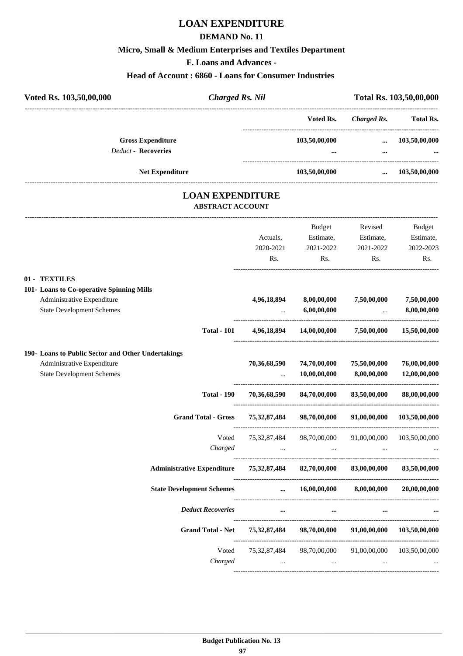## **LOAN EXPENDITURE**

#### **DEMAND No. 11**

## **Micro, Small & Medium Enterprises and Textiles Department**

**F. Loans and Advances -**

#### **Head of Account : 6860 - Loans for Consumer Industries**

| Voted Rs. 103,50,00,000                                | <b>Charged Rs. Nil</b> |               |             | Total Rs. 103,50,00,000 |  |
|--------------------------------------------------------|------------------------|---------------|-------------|-------------------------|--|
|                                                        |                        | Voted Rs.     | Charged Rs. | <b>Total Rs.</b>        |  |
| <b>Gross Expenditure</b><br><b>Deduct - Recoveries</b> |                        | 103,50,00,000 | $\ddotsc$   | 103,50,00,000           |  |
|                                                        |                        | $\cdots$      |             | $\cdots$                |  |
| <b>Net Expenditure</b>                                 |                        | 103,50,00,000 | $\cdots$    | 103,50,00,000           |  |
|                                                        |                        |               |             |                         |  |

### **LOAN EXPENDITURE ABSTRACT ACCOUNT**

---------------------------------------------------------------------------------------------------------------------------------------------------------------------------------

|                                                                |                                                | Actuals,<br>2020-2021<br>Rs. | <b>Budget</b><br>Estimate,<br>2021-2022<br>Rs. | Revised<br>Estimate,<br>2021-2022<br>Rs. | <b>Budget</b><br>Estimate,<br>2022-2023<br>Rs. |
|----------------------------------------------------------------|------------------------------------------------|------------------------------|------------------------------------------------|------------------------------------------|------------------------------------------------|
| 01 - TEXTILES                                                  |                                                |                              |                                                |                                          |                                                |
| 101- Loans to Co-operative Spinning Mills                      |                                                |                              |                                                |                                          |                                                |
| Administrative Expenditure<br><b>State Development Schemes</b> |                                                | 4,96,18,894                  | 8,00,00,000<br>6,00,00,000                     | 7,50,00,000<br>$\ddotsc$                 | 7,50,00,000<br>8,00,00,000                     |
|                                                                | <b>Total - 101</b>                             |                              | 4,96,18,894 14,00,00,000                       | 7,50,00,000                              | 15,50,00,000                                   |
| 190- Loans to Public Sector and Other Undertakings             |                                                |                              |                                                |                                          |                                                |
| Administrative Expenditure<br><b>State Development Schemes</b> |                                                | 70,36,68,590                 | 74,70,00,000<br>10,00,00,000                   | 75,50,00,000<br>8,00,00,000              | 76,00,00,000<br>12,00,00,000                   |
|                                                                | <b>Total - 190</b>                             | 70,36,68,590                 | 84,70,00,000                                   | 83,50,00,000                             | 88,00,00,000                                   |
|                                                                | <b>Grand Total - Gross</b>                     | 75,32,87,484                 | 98,70,00,000                                   | 91,00,00,000                             | 103,50,00,000                                  |
|                                                                | Voted                                          | 75,32,87,484                 | 98,70,00,000                                   | 91,00,00,000                             | 103,50,00,000                                  |
|                                                                | Charged                                        |                              |                                                |                                          |                                                |
|                                                                | <b>Administrative Expenditure 75,32,87,484</b> |                              | 82,70,00,000                                   | 83,00,00,000                             | 83,50,00,000                                   |
|                                                                | <b>State Development Schemes</b>               | $\cdots$                     | 16,00,00,000                                   | 8,00,00,000                              | 20,00,00,000                                   |
|                                                                | <b>Deduct Recoveries</b>                       | $\cdots$                     |                                                |                                          |                                                |
|                                                                | <b>Grand Total - Net</b>                       | 75, 32, 87, 484              | 98,70,00,000                                   | 91,00,00,000                             | 103,50,00,000                                  |
|                                                                | Voted<br>Charged                               | 75,32,87,484                 | 98,70,00,000                                   | 91,00,00,000                             | 103,50,00,000                                  |
|                                                                |                                                |                              |                                                |                                          |                                                |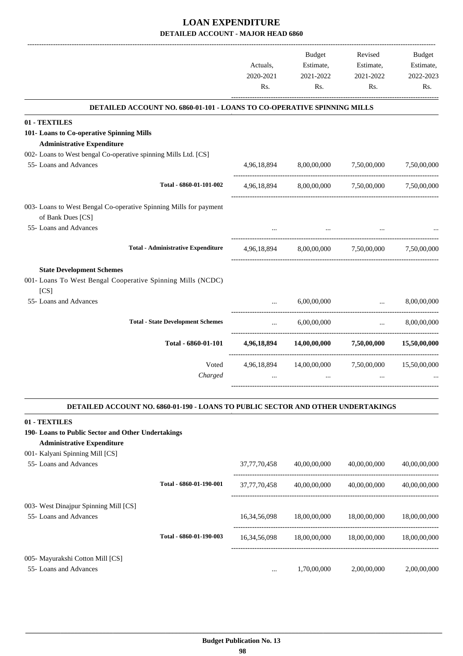|                                                                                        |             | <b>Budget</b>                       | Revised                                                | <b>Budget</b> |
|----------------------------------------------------------------------------------------|-------------|-------------------------------------|--------------------------------------------------------|---------------|
|                                                                                        | Actuals,    | Estimate,                           | Estimate,                                              | Estimate,     |
|                                                                                        | 2020-2021   | 2021-2022                           | 2021-2022                                              | 2022-2023     |
|                                                                                        | Rs.         | R <sub>s</sub> .                    | Rs.                                                    | Rs.           |
| DETAILED ACCOUNT NO. 6860-01-101 - LOANS TO CO-OPERATIVE SPINNING MILLS                |             |                                     |                                                        |               |
| 01 - TEXTILES                                                                          |             |                                     |                                                        |               |
| 101- Loans to Co-operative Spinning Mills                                              |             |                                     |                                                        |               |
| <b>Administrative Expenditure</b>                                                      |             |                                     |                                                        |               |
| 002- Loans to West bengal Co-operative spinning Mills Ltd. [CS]                        |             |                                     |                                                        |               |
| 55- Loans and Advances                                                                 |             | 4,96,18,894 8,00,00,000 7,50,00,000 |                                                        | 7,50,00,000   |
| Total - 6860-01-101-002                                                                | 4,96,18,894 |                                     | 8,00,00,000 7,50,00,000                                | 7,50,00,000   |
| 003- Loans to West Bengal Co-operative Spinning Mills for payment<br>of Bank Dues [CS] |             |                                     |                                                        |               |
| 55- Loans and Advances                                                                 |             |                                     |                                                        |               |
| <b>Total - Administrative Expenditure</b>                                              | 4.96.18.894 |                                     | 8,00,00,000 7,50,00,000                                | 7.50.00.000   |
| <b>State Development Schemes</b>                                                       |             |                                     |                                                        |               |
| 001- Loans To West Bengal Cooperative Spinning Mills (NCDC)<br>[CS]                    |             |                                     |                                                        |               |
| 55- Loans and Advances                                                                 | $\ddotsc$   | 6,00,00,000                         | $\ddotsc$                                              | 8,00,00,000   |
| <b>Total - State Development Schemes</b>                                               | $\cdots$    | 6.00.00.000                         | ------------------------------<br>$\ddot{\phantom{a}}$ | 8,00,00,000   |
| Total - 6860-01-101                                                                    | 4,96,18,894 |                                     | $14,00,00,000$ $7,50,00,000$                           | 15,50,00,000  |
| Voted                                                                                  | 4,96,18,894 | 14,00,00,000 7,50,00,000            |                                                        | 15,50,00,000  |
| Charged                                                                                | $\ddotsc$   | $\dddotsc$                          | $\ddotsc$                                              |               |
|                                                                                        |             |                                     |                                                        |               |

#### **DETAILED ACCOUNT NO. 6860-01-190 - LOANS TO PUBLIC SECTOR AND OTHER UNDERTAKINGS .**

#### **01 - TEXTILES**

#### **190- Loans to Public Sector and Other Undertakings**

**Administrative Expenditure**

#### 001- Kalyani Spinning Mill [CS]

| 55-Loans and Advances                                          |                         | 37, 77, 70, 458 | 40,00,00,000 | 40,00,00,000 | 40,00,00,000 |
|----------------------------------------------------------------|-------------------------|-----------------|--------------|--------------|--------------|
|                                                                | Total - 6860-01-190-001 | 37, 77, 70, 458 | 40,00,00,000 | 40,00,00,000 | 40.00.00.000 |
| 003- West Dinajpur Spinning Mill [CS]<br>55-Loans and Advances |                         | 16, 34, 56, 098 | 18,00,00,000 | 18,00,00,000 | 18,00,00,000 |
|                                                                | Total - 6860-01-190-003 | 16, 34, 56, 098 | 18,00,00,000 | 18,00,00,000 | 18,00,00,000 |
| 005- Mayurakshi Cotton Mill [CS]                               |                         |                 |              |              |              |
| 55- Loans and Advances                                         |                         | $\cdots$        | 1.70.00.000  | 2,00,00,000  | 2.00.00.000  |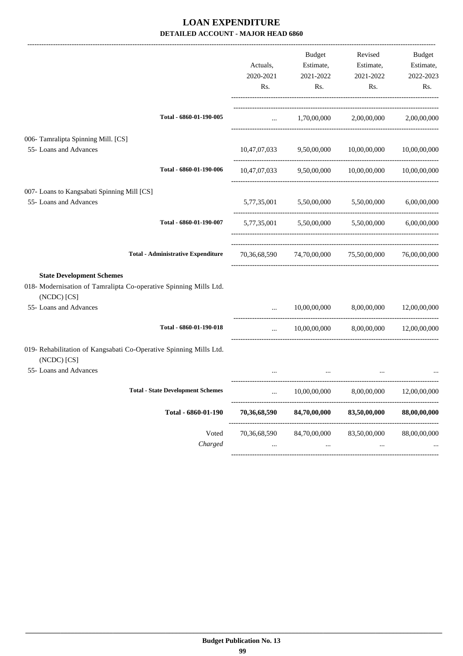|                                                                                                                                                | Actuals,<br>2020-2021<br>Rs. | Budget<br>Estimate,<br>2021-2022<br>Rs. | Revised<br>Estimate,<br>2021-2022<br>Rs.                   | Budget<br>Estimate,<br>2022-2023<br>Rs. |
|------------------------------------------------------------------------------------------------------------------------------------------------|------------------------------|-----------------------------------------|------------------------------------------------------------|-----------------------------------------|
| Total - 6860-01-190-005                                                                                                                        | <b>ALCOHOL:</b>              |                                         | 1,70,00,000 2,00,00,000 2,00,00,000                        |                                         |
| 006- Tamralipta Spinning Mill. [CS]<br>55- Loans and Advances                                                                                  | 10,47,07,033                 |                                         | 9,50,00,000 10,00,00,000                                   | 10,00,00,000                            |
| Total - 6860-01-190-006                                                                                                                        |                              |                                         | $10,47,07,033$ $9,50,00,000$ $10,00,00,000$ $10,00,00,000$ |                                         |
| 007- Loans to Kangsabati Spinning Mill [CS]<br>55- Loans and Advances                                                                          |                              |                                         | 5,77,35,001 5,50,00,000 5,50,00,000                        | 6,00,00,000                             |
| Total - 6860-01-190-007                                                                                                                        |                              |                                         | 5,77,35,001 5,50,00,000 5,50,00,000                        | 6,00,00,000                             |
| <b>Total - Administrative Expenditure</b>                                                                                                      |                              |                                         | 70,36,68,590 74,70,00,000 75,50,00,000                     | 76,00,00,000                            |
| <b>State Development Schemes</b><br>018- Modernisation of Tamralipta Co-operative Spinning Mills Ltd.<br>(NCDC) [CS]<br>55- Loans and Advances |                              | 10,00,00,000                            | 8,00,00,000                                                | 12,00,00,000                            |
| Total - 6860-01-190-018                                                                                                                        | $\cdots$                     |                                         | $10,00,00,000$ $8,00,00,000$ $12,00,00,000$                |                                         |
| 019- Rehabilitation of Kangsabati Co-Operative Spinning Mills Ltd.<br>(NCDC) [CS]<br>55- Loans and Advances                                    |                              |                                         |                                                            |                                         |
| <b>Total - State Development Schemes</b>                                                                                                       |                              | 10,00,00,000                            |                                                            | 8,00,00,000 12,00,00,000                |
| Total - 6860-01-190                                                                                                                            | 70,36,68,590                 | 84,70,00,000                            | 83,50,00,000                                               | 88,00,00,000                            |
| Voted<br>Charged                                                                                                                               | 70,36,68,590                 | 84,70,00,000                            | 83,50,00,000                                               | 88,00,00,000                            |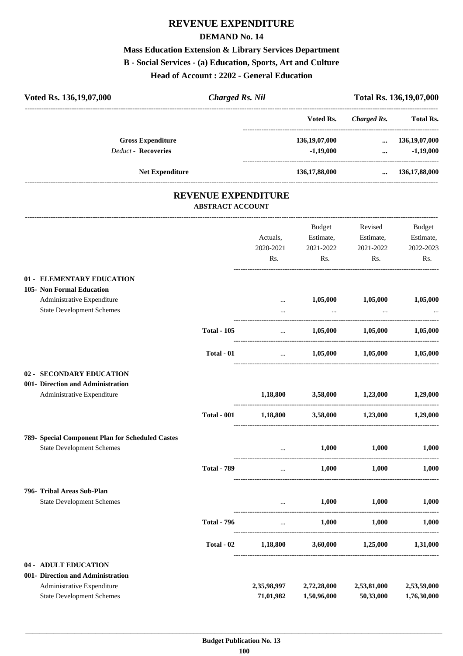## **REVENUE EXPENDITURE**

#### **DEMAND No. 14**

## **Mass Education Extension & Library Services Department B - Social Services - (a) Education, Sports, Art and Culture**

**Head of Account : 2202 - General Education**

| Voted Rs. 136, 19, 07, 000                             | <b>Charged Rs. Nil</b>                                |             |                                   |                      | Total Rs. 136,19,07,000         |
|--------------------------------------------------------|-------------------------------------------------------|-------------|-----------------------------------|----------------------|---------------------------------|
|                                                        |                                                       |             | Voted Rs.                         | <b>Charged Rs.</b>   | Total Rs.                       |
| <b>Gross Expenditure</b><br><b>Deduct - Recoveries</b> |                                                       |             | 136, 19, 07, 000<br>$-1,19,000$   | $\cdots$<br>$\cdots$ | 136, 19, 07, 000<br>$-1,19,000$ |
| <b>Net Expenditure</b>                                 |                                                       |             | 136,17,88,000                     | $\ddotsc$            | 136,17,88,000                   |
|                                                        | <b>REVENUE EXPENDITURE</b><br><b>ABSTRACT ACCOUNT</b> |             |                                   |                      |                                 |
|                                                        |                                                       |             | -----------------------<br>Budget | Revised              | Budget                          |
|                                                        |                                                       | Actuals,    | Estimate,                         | Estimate,            | Estimate,                       |
|                                                        |                                                       | 2020-2021   | 2021-2022                         | 2021-2022            | 2022-2023                       |
|                                                        |                                                       | Rs.         | Rs.                               | Rs.                  | Rs.                             |
| 01 - ELEMENTARY EDUCATION                              |                                                       |             |                                   |                      |                                 |
| 105- Non Formal Education                              |                                                       |             |                                   |                      |                                 |
| Administrative Expenditure                             |                                                       | $\cdots$    | 1,05,000                          | 1,05,000             | 1,05,000                        |
| <b>State Development Schemes</b>                       |                                                       |             |                                   |                      |                                 |
|                                                        | <b>Total - 105</b>                                    | $\cdots$    | 1,05,000                          | 1,05,000             | 1,05,000                        |
|                                                        | Total - 01                                            | $\cdots$    | 1,05,000                          | 1,05,000             | 1,05,000                        |
| 02 - SECONDARY EDUCATION                               |                                                       |             |                                   |                      |                                 |
| 001- Direction and Administration                      |                                                       |             |                                   |                      |                                 |
| Administrative Expenditure                             |                                                       | 1,18,800    | 3,58,000                          | 1,23,000             | 1,29,000                        |
|                                                        | <b>Total - 001</b>                                    | 1,18,800    |                                   | 3,58,000 1,23,000    | 1,29,000                        |
| 789- Special Component Plan for Scheduled Castes       |                                                       |             |                                   |                      |                                 |
| <b>State Development Schemes</b>                       |                                                       |             | 1,000                             | 1,000                | 1,000                           |
|                                                        | <b>Total - 789</b>                                    | $\cdots$    | 1,000                             | 1,000                | 1,000                           |
| 796- Tribal Areas Sub-Plan                             |                                                       |             |                                   |                      |                                 |
| <b>State Development Schemes</b>                       |                                                       | $\cdots$    | 1,000                             | 1,000                | 1,000                           |
|                                                        | <b>Total - 796</b>                                    | $\cdots$    | 1.000                             | 1,000                | 1,000                           |
|                                                        | Total - 02                                            | 1,18,800    | 3,60,000                          | 1,25,000             | 1,31,000                        |
| 04 - ADULT EDUCATION                                   |                                                       |             |                                   |                      |                                 |
| 001- Direction and Administration                      |                                                       |             |                                   |                      |                                 |
| Administrative Expenditure                             |                                                       | 2,35,98,997 | 2,72,28,000                       | 2,53,81,000          | 2,53,59,000                     |
| <b>State Development Schemes</b>                       |                                                       | 71,01,982   | 1,50,96,000                       | 50,33,000            | 1,76,30,000                     |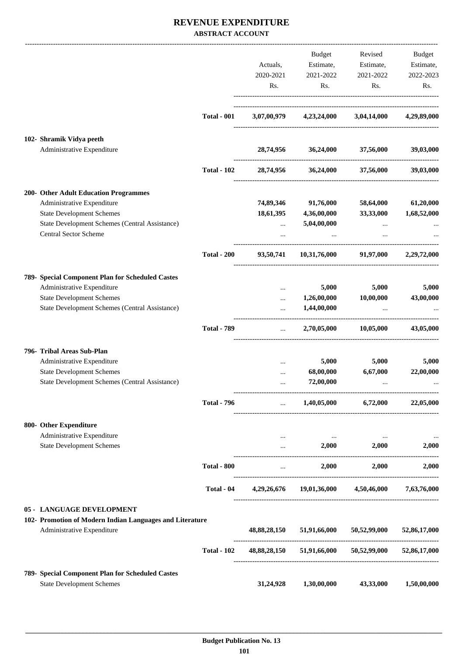### **REVENUE EXPENDITURE ABSTRACT ACCOUNT**

|                                                                                        |                    |                 | Budget                        | Revised                                                     | Budget      |
|----------------------------------------------------------------------------------------|--------------------|-----------------|-------------------------------|-------------------------------------------------------------|-------------|
|                                                                                        |                    | Actuals,        |                               | Estimate, Estimate,                                         | Estimate,   |
|                                                                                        |                    |                 |                               |                                                             |             |
|                                                                                        |                    | 2020-2021       | 2021-2022                     | 2021-2022                                                   | 2022-2023   |
|                                                                                        |                    | Rs.             | Rs.                           | Rs.                                                         | Rs.         |
|                                                                                        | <b>Total - 001</b> |                 |                               | $3,07,00,979$ $4,23,24,000$ $3,04,14,000$                   | 4,29,89,000 |
|                                                                                        |                    |                 |                               |                                                             |             |
| 102- Shramik Vidya peeth<br>Administrative Expenditure                                 |                    |                 | 28,74,956 36,24,000 37,56,000 |                                                             | 39,03,000   |
|                                                                                        |                    |                 |                               |                                                             |             |
|                                                                                        | <b>Total - 102</b> |                 |                               | 28,74,956 36,24,000 37,56,000                               | 39,03,000   |
| 200- Other Adult Education Programmes                                                  |                    |                 |                               |                                                             |             |
| Administrative Expenditure                                                             |                    |                 | 74,89,346 91,76,000           | 58,64,000                                                   | 61,20,000   |
| <b>State Development Schemes</b>                                                       |                    | 18,61,395       | 4,36,00,000                   | 33,33,000                                                   | 1,68,52,000 |
| State Development Schemes (Central Assistance)                                         |                    | $\cdots$        | 5,04,00,000                   | $\cdots$                                                    |             |
| <b>Central Sector Scheme</b>                                                           |                    |                 |                               |                                                             |             |
|                                                                                        | <b>Total - 200</b> |                 |                               | 93,50,741 10,31,76,000 91,97,000 2,29,72,000                |             |
| 789- Special Component Plan for Scheduled Castes                                       |                    |                 |                               |                                                             |             |
| Administrative Expenditure                                                             |                    | $\cdots$        | 5,000                         | 5,000                                                       | 5,000       |
| <b>State Development Schemes</b>                                                       |                    | $\cdots$        | 1,26,00,000                   | 10,00,000                                                   | 43,00,000   |
| State Development Schemes (Central Assistance)                                         |                    | $\cdots$        | 1,44,00,000                   |                                                             |             |
|                                                                                        | <b>Total - 789</b> | $\ldots$        |                               | 2,70,05,000 10,05,000                                       | 43,05,000   |
| 796- Tribal Areas Sub-Plan                                                             |                    |                 |                               |                                                             |             |
| Administrative Expenditure                                                             |                    | $\ddotsc$       | 5,000                         | 5,000                                                       | 5,000       |
| <b>State Development Schemes</b>                                                       |                    |                 | 68,00,000                     | 6,67,000                                                    | 22,00,000   |
| State Development Schemes (Central Assistance)                                         |                    |                 | 72,00,000                     | $\cdots$                                                    |             |
|                                                                                        | <b>Total - 796</b> |                 |                               | $\ldots$ 1,40,05,000 6,72,000 22,05,000                     |             |
| 800- Other Expenditure                                                                 |                    |                 |                               |                                                             |             |
| Administrative Expenditure                                                             |                    | $\cdots$        | $\sim 100$ and $\sim 100$     |                                                             |             |
| <b>State Development Schemes</b>                                                       |                    |                 | and the state                 | $2,000$ $2,000$                                             | 2,000       |
|                                                                                        | <b>Total - 800</b> | $\sim 10^{-10}$ | 2,000                         | 2,000                                                       | 2,000       |
|                                                                                        |                    |                 |                               | Total - 04 4,29,26,676 19,01,36,000 4,50,46,000 7,63,76,000 |             |
| 05 - LANGUAGE DEVELOPMENT                                                              |                    |                 |                               |                                                             |             |
| 102- Promotion of Modern Indian Languages and Literature<br>Administrative Expenditure |                    |                 |                               | 48,88,28,150 51,91,66,000 50,52,99,000 52,86,17,000         |             |
|                                                                                        |                    |                 |                               |                                                             |             |
|                                                                                        | <b>Total - 102</b> |                 |                               | 48,88,28,150 51,91,66,000 50,52,99,000 52,86,17,000         |             |
| 789- Special Component Plan for Scheduled Castes                                       |                    |                 |                               |                                                             |             |
| <b>State Development Schemes</b>                                                       |                    | 31,24,928       | 1,30,00,000                   | 43,33,000                                                   | 1,50,00,000 |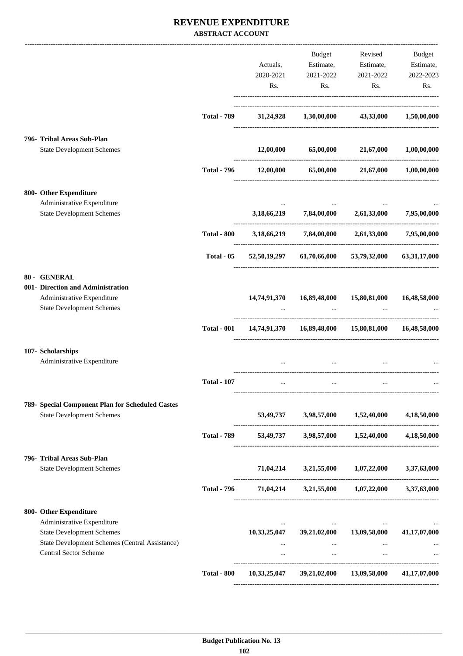### **REVENUE EXPENDITURE ABSTRACT ACCOUNT**

|                                                                                |                    |              | Budget                                                                   | Revised                                                   | Budget       |
|--------------------------------------------------------------------------------|--------------------|--------------|--------------------------------------------------------------------------|-----------------------------------------------------------|--------------|
|                                                                                |                    | Actuals,     |                                                                          | Estimate, Estimate,                                       | Estimate,    |
|                                                                                |                    | 2020-2021    | 2021-2022                                                                | 2021-2022                                                 | 2022-2023    |
|                                                                                |                    | Rs.          | Rs.                                                                      | Rs.                                                       | Rs.          |
|                                                                                | <b>Total - 789</b> |              | 31,24,928 1,30,00,000 43,33,000                                          |                                                           | 1,50,00,000  |
|                                                                                |                    |              |                                                                          |                                                           |              |
| 796- Tribal Areas Sub-Plan                                                     |                    |              |                                                                          |                                                           |              |
| <b>State Development Schemes</b>                                               |                    | 12,00,000    | 65,00,000 21,67,000                                                      |                                                           | 1,00,00,000  |
|                                                                                | <b>Total - 796</b> | 12,00,000    |                                                                          | 65,00,000 21,67,000                                       | 1,00,00,000  |
| 800- Other Expenditure                                                         |                    |              |                                                                          |                                                           |              |
| Administrative Expenditure                                                     |                    |              |                                                                          |                                                           |              |
| <b>State Development Schemes</b>                                               |                    | 3,18,66,219  |                                                                          | 7,84,00,000 2,61,33,000                                   | 7,95,00,000  |
|                                                                                | <b>Total - 800</b> |              |                                                                          | $3,18,66,219$ $7,84,00,000$ $2,61,33,000$ $7,95,00,000$   |              |
|                                                                                | Total - 05         | 52,50,19,297 | 61,70,66,000                                                             | 53,79,32,000                                              | 63,31,17,000 |
| 80 - GENERAL                                                                   |                    |              |                                                                          |                                                           |              |
| 001- Direction and Administration                                              |                    |              |                                                                          |                                                           |              |
| Administrative Expenditure<br><b>State Development Schemes</b>                 |                    |              | 14,74,91,370  16,89,48,000  15,80,81,000<br>and the contract of the con- |                                                           | 16,48,58,000 |
|                                                                                | <b>Total - 001</b> |              |                                                                          | 14,74,91,370  16,89,48,000  15,80,81,000                  | 16,48,58,000 |
| 107- Scholarships                                                              |                    |              |                                                                          |                                                           |              |
| Administrative Expenditure                                                     |                    |              |                                                                          |                                                           |              |
|                                                                                | <b>Total - 107</b> | $\cdots$     | $\cdots$                                                                 | $\cdots$                                                  |              |
| 789- Special Component Plan for Scheduled Castes                               |                    |              |                                                                          |                                                           |              |
| <b>State Development Schemes</b>                                               |                    |              |                                                                          | 53,49,737 3,98,57,000 1,52,40,000                         | 4,18,50,000  |
|                                                                                | <b>Total - 789</b> |              |                                                                          | 53,49,737 3,98,57,000 1,52,40,000 4,18,50,000             |              |
| 796- Tribal Areas Sub-Plan                                                     |                    |              |                                                                          |                                                           |              |
| <b>State Development Schemes</b>                                               |                    |              |                                                                          | 71,04,214 3,21,55,000 1,07,22,000 3,37,63,000             |              |
|                                                                                |                    |              |                                                                          | Total - 796 71,04,214 3,21,55,000 1,07,22,000 3,37,63,000 |              |
| 800- Other Expenditure                                                         |                    |              |                                                                          |                                                           |              |
| Administrative Expenditure                                                     |                    |              | and the contract of the con-                                             |                                                           |              |
| <b>State Development Schemes</b>                                               |                    |              | $10,33,25,047$ $39,21,02,000$ $13,09,58,000$                             |                                                           | 41,17,07,000 |
| State Development Schemes (Central Assistance)<br><b>Central Sector Scheme</b> |                    | $\cdots$     | $\cdots$                                                                 | <b><i>Contract Contract Services</i></b><br>$\cdots$      |              |
|                                                                                |                    |              |                                                                          |                                                           |              |
|                                                                                | <b>Total - 800</b> |              |                                                                          | 10,33,25,047 39,21,02,000 13,09,58,000 41,17,07,000       |              |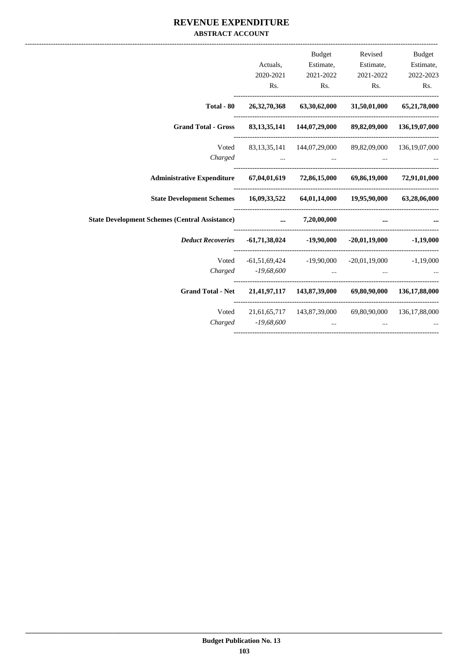### **REVENUE EXPENDITURE ABSTRACT ACCOUNT**

|                                                                                |                    | <b>Budget</b>                                                   |           | Revised Budget        |
|--------------------------------------------------------------------------------|--------------------|-----------------------------------------------------------------|-----------|-----------------------|
|                                                                                | Actuals,           | Estimate,                                                       |           | Estimate, Estimate,   |
|                                                                                | 2020-2021          | 2021-2022                                                       | 2021-2022 | 2022-2023             |
|                                                                                | Rs.                | $\mathbf{R}\mathbf{s}$ .                                        |           | $\mathbf{Rs.}$<br>Rs. |
| Total - 80                                                                     |                    | 26, 32, 70, 368 63, 30, 62, 000 31, 50, 01, 000 65, 21, 78, 000 |           |                       |
| <b>Grand Total - Gross</b>                                                     |                    | 83,13,35,141 144,07,29,000 89,82,09,000 136,19,07,000           |           |                       |
|                                                                                |                    | Voted 83,13,35,141 144,07,29,000 89,82,09,000 136,19,07,000     |           |                       |
|                                                                                | Charged            |                                                                 |           |                       |
| Administrative Expenditure 67,04,01,619 72,86,15,000 69,86,19,000 72,91,01,000 |                    |                                                                 |           |                       |
| State Development Schemes 16,09,33,522 64,01,14,000 19,95,90,000 63,28,06,000  |                    |                                                                 |           |                       |
| <b>State Development Schemes (Central Assistance)</b>                          |                    | $\ldots$ 7,20,00,000                                            |           |                       |
| <b>Deduct Recoveries</b>                                                       |                    | $-61,71,38,024$ $-19,90,000$ $-20,01,19,000$ $-1,19,000$        |           |                       |
|                                                                                |                    | Voted -61,51,69,424 -19,90,000 -20,01,19,000 -1,19,000          |           |                       |
| Charged                                                                        |                    | $-19,68,600$                                                    |           |                       |
| Grand Total - Net 21,41,97,117 143,87,39,000 69,80,90,000 136,17,88,000        |                    |                                                                 |           |                       |
|                                                                                |                    | Voted 21,61,65,717 143,87,39,000 69,80,90,000 136,17,88,000     |           |                       |
|                                                                                | Charged -19,68,600 | $\mathbf{r}$ and $\mathbf{r}$ and $\mathbf{r}$ and $\mathbf{r}$ | $\ddots$  |                       |
|                                                                                |                    |                                                                 |           |                       |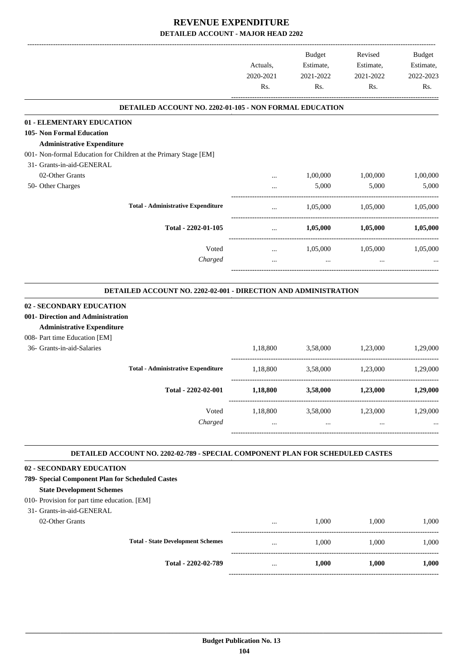|                                                                       |                                                                                |                  | Budget                                                          | Revised                    | <b>Budget</b><br>Estimate, |
|-----------------------------------------------------------------------|--------------------------------------------------------------------------------|------------------|-----------------------------------------------------------------|----------------------------|----------------------------|
|                                                                       |                                                                                | Actuals,         | Estimate,<br>2021-2022<br>Rs.                                   | Estimate,                  |                            |
|                                                                       |                                                                                | 2020-2021<br>Rs. |                                                                 | 2021-2022<br>Rs.           | 2022-2023<br>Rs.           |
|                                                                       | DETAILED ACCOUNT NO. 2202-01-105 - NON FORMAL EDUCATION                        |                  |                                                                 |                            |                            |
| 01 - ELEMENTARY EDUCATION                                             |                                                                                |                  |                                                                 |                            |                            |
| <b>105- Non Formal Education</b><br><b>Administrative Expenditure</b> |                                                                                |                  |                                                                 |                            |                            |
| 001- Non-formal Education for Children at the Primary Stage [EM]      |                                                                                |                  |                                                                 |                            |                            |
| 31- Grants-in-aid-GENERAL                                             |                                                                                |                  |                                                                 |                            |                            |
| 02-Other Grants<br>50- Other Charges                                  |                                                                                |                  | 1,00,000<br>5,000                                               | 1,00,000<br>5,000          | 1,00,000<br>5,000          |
|                                                                       |                                                                                |                  |                                                                 |                            |                            |
|                                                                       | <b>Total - Administrative Expenditure</b>                                      |                  |                                                                 | 1,05,000 1,05,000 1,05,000 |                            |
|                                                                       | Total - 2202-01-105                                                            | $\ldots$         |                                                                 | $1,05,000$ $1,05,000$      | 1,05,000                   |
|                                                                       | Voted                                                                          | $\cdots$         | 1,05,000                                                        | 1,05,000                   | 1,05,000                   |
|                                                                       | Charged                                                                        | $\ddotsc$        | $\mathbf{r}$ and $\mathbf{r}$ and $\mathbf{r}$ and $\mathbf{r}$ | $\ddotsc$                  |                            |
|                                                                       |                                                                                |                  |                                                                 |                            |                            |
|                                                                       | DETAILED ACCOUNT NO. 2202-02-001 - DIRECTION AND ADMINISTRATION                |                  |                                                                 |                            |                            |
| 02 - SECONDARY EDUCATION<br>001- Direction and Administration         |                                                                                |                  |                                                                 |                            |                            |
| <b>Administrative Expenditure</b>                                     |                                                                                |                  |                                                                 |                            |                            |
| 008- Part time Education [EM]                                         |                                                                                |                  |                                                                 |                            |                            |
| 36- Grants-in-aid-Salaries                                            |                                                                                | 1,18,800         | 3,58,000                                                        | 1,23,000                   | 1,29,000                   |
|                                                                       | <b>Total - Administrative Expenditure</b>                                      | 1,18,800         | 3,58,000                                                        | 1,23,000                   | 1,29,000                   |
|                                                                       | Total - 2202-02-001                                                            | 1,18,800         | 3,58,000                                                        | 1,23,000                   | 1,29,000                   |
|                                                                       | Voted                                                                          | 1,18,800         | 3,58,000                                                        | 1,23,000                   | 1,29,000                   |
|                                                                       | Charged                                                                        | $\cdots$         | $\cdots$                                                        | $\ddots$                   |                            |
|                                                                       |                                                                                |                  |                                                                 |                            |                            |
| 02 - SECONDARY EDUCATION                                              | DETAILED ACCOUNT NO. 2202-02-789 - SPECIAL COMPONENT PLAN FOR SCHEDULED CASTES |                  |                                                                 |                            |                            |
| 789- Special Component Plan for Scheduled Castes                      |                                                                                |                  |                                                                 |                            |                            |
| <b>State Development Schemes</b>                                      |                                                                                |                  |                                                                 |                            |                            |
| 010- Provision for part time education. [EM]                          |                                                                                |                  |                                                                 |                            |                            |
| 31- Grants-in-aid-GENERAL                                             |                                                                                |                  |                                                                 |                            |                            |
| 02-Other Grants                                                       |                                                                                | $\cdots$         | 1,000                                                           | 1,000                      | 1,000                      |
|                                                                       | <b>Total - State Development Schemes</b>                                       | $\cdots$         | 1,000                                                           | 1,000                      | 1,000                      |
|                                                                       | Total - 2202-02-789                                                            | $\cdots$         | 1,000                                                           | 1,000                      | 1,000                      |
|                                                                       |                                                                                |                  |                                                                 |                            |                            |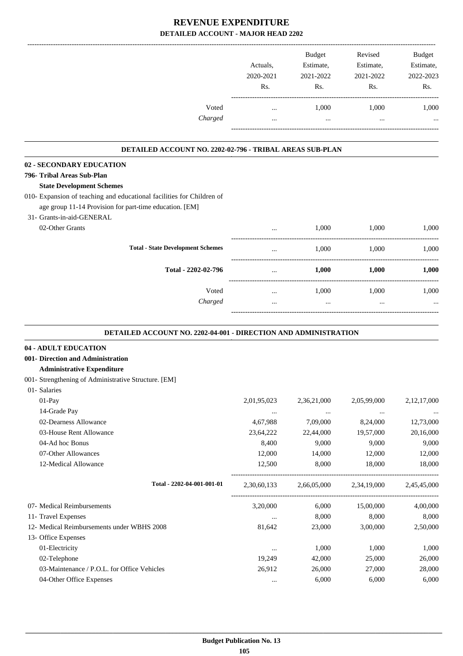|                                                                                                                                                                                                   | Actuals,<br>2020-2021<br>Rs. | <b>Budget</b><br>Estimate,<br>2021-2022<br>Rs. | Revised<br>Estimate,<br>2021-2022<br>Rs. | Budget<br>Estimate,<br>2022-2023<br>Rs. |
|---------------------------------------------------------------------------------------------------------------------------------------------------------------------------------------------------|------------------------------|------------------------------------------------|------------------------------------------|-----------------------------------------|
| Voted<br>Charged                                                                                                                                                                                  | $\cdots$<br>$\cdots$         | 1,000<br>$\cdots$                              | 1,000                                    | 1,000                                   |
|                                                                                                                                                                                                   |                              |                                                | $\cdots$                                 |                                         |
| DETAILED ACCOUNT NO. 2202-02-796 - TRIBAL AREAS SUB-PLAN                                                                                                                                          |                              |                                                |                                          |                                         |
| <b>02 - SECONDARY EDUCATION</b>                                                                                                                                                                   |                              |                                                |                                          |                                         |
| 796- Tribal Areas Sub-Plan                                                                                                                                                                        |                              |                                                |                                          |                                         |
| <b>State Development Schemes</b><br>010- Expansion of teaching and educational facilities for Children of<br>age group 11-14 Provision for part-time education. [EM]<br>31- Grants-in-aid-GENERAL |                              |                                                |                                          |                                         |
| 02-Other Grants                                                                                                                                                                                   |                              | 1,000                                          | 1.000                                    | 1,000                                   |
| <b>Total - State Development Schemes</b>                                                                                                                                                          | $\cdots$                     | 1,000                                          | 1,000                                    | 1,000                                   |
| Total - 2202-02-796                                                                                                                                                                               | $\cdots$                     | 1,000                                          | 1,000                                    | 1,000                                   |
| Voted                                                                                                                                                                                             | $\cdots$                     | 1,000                                          | 1,000                                    | 1,000                                   |
| Charged                                                                                                                                                                                           | $\cdots$                     | $\cdots$                                       | $\cdots$                                 |                                         |
| <b>DETAILED ACCOUNT NO. 2202-04-001 - DIRECTION AND ADMINISTRATION</b>                                                                                                                            |                              |                                                |                                          |                                         |
| 04 - ADULT EDUCATION                                                                                                                                                                              |                              |                                                |                                          |                                         |
| 001- Direction and Administration                                                                                                                                                                 |                              |                                                |                                          |                                         |
| <b>Administrative Expenditure</b>                                                                                                                                                                 |                              |                                                |                                          |                                         |
| 001- Strengthening of Administrative Structure. [EM]                                                                                                                                              |                              |                                                |                                          |                                         |
| 01- Salaries                                                                                                                                                                                      |                              |                                                |                                          |                                         |
| 01-Pay                                                                                                                                                                                            | 2,01,95,023                  | 2,36,21,000                                    | 2,05,99,000                              | 2,12,17,000                             |
| 14-Grade Pay                                                                                                                                                                                      | $\ldots$                     | $\ldots$                                       | $\ldots$                                 |                                         |
| 02-Dearness Allowance                                                                                                                                                                             | 4,67,988                     | 7,09,000                                       | 8,24,000                                 | 12,73,000                               |
| 03-House Rent Allowance                                                                                                                                                                           | 23,64,222                    | 22,44,000                                      | 19,57,000                                | 20,16,000                               |
| 04-Ad hoc Bonus                                                                                                                                                                                   | 8,400                        | 9,000                                          | 9,000                                    | 9,000                                   |
| 07-Other Allowances                                                                                                                                                                               | 12,000                       | 14,000                                         | 12,000                                   | 12,000                                  |
| 12-Medical Allowance                                                                                                                                                                              | 12,500                       | 8,000                                          | 18,000                                   | 18,000                                  |
| Total - 2202-04-001-001-01                                                                                                                                                                        |                              | 2,30,60,133 2,66,05,000                        | 2,34,19,000                              | -------<br>2,45,45,000                  |
| 07- Medical Reimbursements                                                                                                                                                                        | 3,20,000                     | 6,000                                          | 15,00,000                                | 4,00,000                                |
| 11- Travel Expenses                                                                                                                                                                               | $\cdots$                     | 8,000                                          | 8,000                                    | 8,000                                   |
| 12- Medical Reimbursements under WBHS 2008                                                                                                                                                        | 81,642                       | 23,000                                         | 3,00,000                                 | 2,50,000                                |
| 13- Office Expenses                                                                                                                                                                               |                              |                                                |                                          |                                         |
| 01-Electricity                                                                                                                                                                                    | $\ldots$                     | 1,000                                          | 1,000                                    | 1,000                                   |
| 02-Telephone                                                                                                                                                                                      | 19,249                       | 42,000                                         | 25,000                                   | 26,000                                  |
| 03-Maintenance / P.O.L. for Office Vehicles                                                                                                                                                       | 26,912                       | 26,000                                         | 27,000                                   | 28,000                                  |
| 04-Other Office Expenses                                                                                                                                                                          | $\cdots$                     | 6,000                                          | 6,000                                    | 6,000                                   |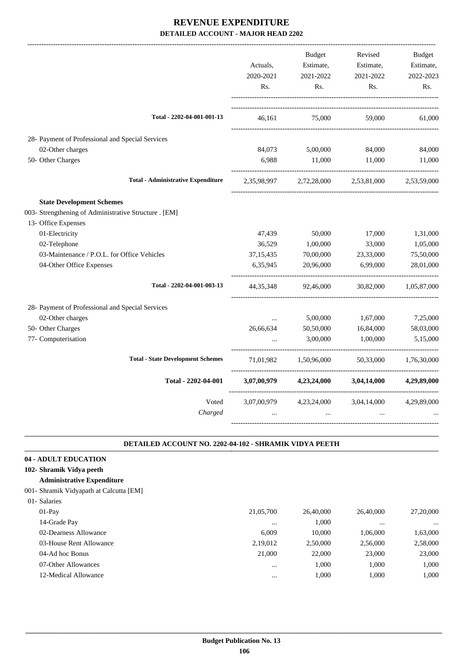|                                                       | Actuals,<br>2020-2021 | <b>Budget</b><br>Estimate,<br>2021-2022 | Revised<br>Estimate,<br>2021-2022 | <b>Budget</b><br>Estimate,<br>2022-2023 |
|-------------------------------------------------------|-----------------------|-----------------------------------------|-----------------------------------|-----------------------------------------|
|                                                       | Rs.                   | Rs.                                     | Rs.                               | Rs.                                     |
| Total - 2202-04-001-001-13                            | 46.161                | 75,000                                  | 59,000                            | 61,000                                  |
| 28- Payment of Professional and Special Services      |                       |                                         |                                   |                                         |
| 02-Other charges                                      | 84,073                | 5,00,000                                | 84,000                            | 84,000                                  |
| 50- Other Charges                                     | 6,988                 | 11,000                                  | 11,000                            | 11,000                                  |
| <b>Total - Administrative Expenditure</b>             | 2,35,98,997           | 2,72,28,000                             | 2,53,81,000                       | 2,53,59,000                             |
| <b>State Development Schemes</b>                      |                       |                                         |                                   |                                         |
| 003- Strengthening of Administrative Structure . [EM] |                       |                                         |                                   |                                         |
| 13- Office Expenses                                   |                       |                                         |                                   |                                         |
| 01-Electricity                                        | 47,439                | 50,000                                  | 17,000                            | 1,31,000                                |
| 02-Telephone                                          | 36,529                | 1,00,000                                | 33,000                            | 1,05,000                                |
| 03-Maintenance / P.O.L. for Office Vehicles           | 37, 15, 435           | 70,00,000                               | 23,33,000                         | 75,50,000                               |
| 04-Other Office Expenses                              | 6,35,945              | 20,96,000                               | 6,99,000                          | 28,01,000                               |
| Total - 2202-04-001-003-13                            | 44, 35, 348           | 92,46,000                               | 30,82,000                         | 1,05,87,000                             |
| 28- Payment of Professional and Special Services      |                       |                                         |                                   |                                         |
| 02-Other charges                                      | $\cdots$              | 5,00,000                                | 1,67,000                          | 7,25,000                                |
| 50- Other Charges                                     | 26,66,634             | 50,50,000                               | 16,84,000                         | 58,03,000                               |
| 77- Computerisation                                   |                       | 3,00,000                                | 1,00,000                          | 5,15,000                                |
| <b>Total - State Development Schemes</b>              | 71,01,982             | 1,50,96,000                             | 50,33,000                         | 1,76,30,000                             |
| Total - 2202-04-001                                   | 3,07,00,979           | 4,23,24,000                             | 3,04,14,000                       | 4,29,89,000                             |
| Voted                                                 | 3,07,00,979           | 4,23,24,000                             | 3,04,14,000                       | 4,29,89,000                             |
| Charged                                               | $\ddotsc$             | $\cdots$                                | $\ddotsc$                         |                                         |

#### **DETAILED ACCOUNT NO. 2202-04-102 - SHRAMIK VIDYA PEETH .**

.

### **04 - ADULT EDUCATION**

### **102- Shramik Vidya peeth**

#### **Administrative Expenditure**

### 001- Shramik Vidyapath at Calcutta [EM]

| 01- Salaries            |           |           |           |           |
|-------------------------|-----------|-----------|-----------|-----------|
| $01-Pav$                | 21,05,700 | 26,40,000 | 26,40,000 | 27,20,000 |
| 14-Grade Pay            | $\cdots$  | 1,000     | $\cdots$  | $\cdots$  |
| 02-Dearness Allowance   | 6.009     | 10,000    | 1.06.000  | 1,63,000  |
| 03-House Rent Allowance | 2,19,012  | 2,50,000  | 2,56,000  | 2,58,000  |
| 04-Ad hoc Bonus         | 21,000    | 22,000    | 23,000    | 23,000    |
| 07-Other Allowances     |           | 1.000     | 1.000     | 1.000     |
| 12-Medical Allowance    | $\cdots$  | 1.000     | 1.000     | 1.000     |
|                         |           |           |           |           |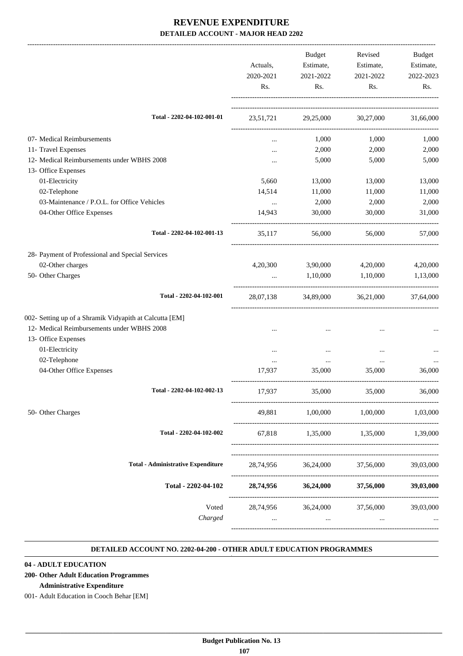|                                                         |                       | <b>Budget</b>         | Revised                  | Budget    |
|---------------------------------------------------------|-----------------------|-----------------------|--------------------------|-----------|
|                                                         | Actuals,              | Estimate,             | Estimate,                | Estimate, |
|                                                         | 2020-2021             | 2021-2022             | 2021-2022                | 2022-2023 |
|                                                         | Rs.                   | Rs.                   | Rs.                      | Rs.       |
| Total - 2202-04-102-001-01                              | 23,51,721             |                       | 29,25,000 30,27,000      | 31,66,000 |
| 07- Medical Reimbursements                              | $\cdots$              | 1,000                 | 1,000                    | 1,000     |
| 11- Travel Expenses                                     | $\ddotsc$             | 2,000                 | 2,000                    | 2,000     |
| 12- Medical Reimbursements under WBHS 2008              | $\ddotsc$             | 5,000                 | 5,000                    | 5,000     |
| 13- Office Expenses                                     |                       |                       |                          |           |
| 01-Electricity                                          | 5,660                 | 13,000                | 13,000                   | 13,000    |
| 02-Telephone                                            | 14,514                | 11,000                | 11,000                   | 11,000    |
| 03-Maintenance / P.O.L. for Office Vehicles             | $\cdots$              | 2,000                 | 2,000                    | 2,000     |
| 04-Other Office Expenses                                | 14,943                | 30,000                | 30,000                   | 31,000    |
| Total - 2202-04-102-001-13                              | 35,117                | 56,000                | 56,000                   | 57,000    |
| 28- Payment of Professional and Special Services        |                       |                       |                          |           |
| 02-Other charges                                        | 4,20,300              | 3,90,000              | 4,20,000                 | 4,20,000  |
| 50- Other Charges                                       | $\cdots$              | 1,10,000              | 1,10,000                 | 1,13,000  |
| Total - 2202-04-102-001                                 | 28,07,138             | 34,89,000             | 36,21,000                | 37,64,000 |
| 002- Setting up of a Shramik Vidyapith at Calcutta [EM] |                       |                       |                          |           |
| 12- Medical Reimbursements under WBHS 2008              | $\ddotsc$             |                       | $\cdots$                 |           |
| 13- Office Expenses                                     |                       |                       |                          |           |
| 01-Electricity                                          | $\ddotsc$             | $\cdots$              | $\cdots$                 |           |
| 02-Telephone                                            | $\ldots$              | $\cdots$              | $\cdots$                 |           |
| 04-Other Office Expenses                                | 17,937                | 35,000                | 35,000                   | 36,000    |
| Total - 2202-04-102-002-13                              | 17,937                | 35,000                | 35,000                   | 36,000    |
| 50- Other Charges                                       | 49,881                | 1,00,000              | 1,00,000                 | 1,03,000  |
| Total - 2202-04-102-002                                 |                       |                       | 67,818 1,35,000 1,35,000 | 1,39,000  |
| <b>Total - Administrative Expenditure</b>               | 28,74,956             | 36,24,000             | 37,56,000                | 39,03,000 |
|                                                         |                       |                       |                          |           |
| Total - 2202-04-102                                     | 28,74,956             | 36,24,000             | 37,56,000                | 39,03,000 |
| Voted<br>Charged                                        | 28,74,956<br>$\cdots$ | 36,24,000<br>$\cdots$ | 37,56,000<br>$\cdots$    | 39,03,000 |
|                                                         |                       |                       |                          |           |

#### **DETAILED ACCOUNT NO. 2202-04-200 - OTHER ADULT EDUCATION PROGRAMMES .**

.

### **04 - ADULT EDUCATION**

**200- Other Adult Education Programmes**

### **Administrative Expenditure**

001- Adult Education in Cooch Behar [EM]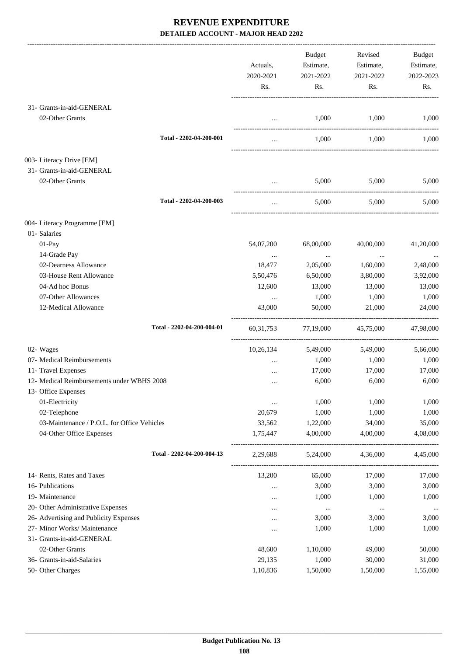-------------------------------------------------------------------------------------------------------------------------------------------------------------------------------

|                                                                          | Actuals,<br>2020-2021<br>Rs. | <b>Budget</b><br>Estimate,<br>2021-2022<br>Rs. | Revised<br>Estimate,<br>2021-2022<br>Rs. | <b>Budget</b><br>Estimate,<br>2022-2023<br>Rs. |
|--------------------------------------------------------------------------|------------------------------|------------------------------------------------|------------------------------------------|------------------------------------------------|
| 31- Grants-in-aid-GENERAL<br>02-Other Grants                             |                              | 1,000                                          | 1,000                                    | 1,000                                          |
| Total - 2202-04-200-001                                                  |                              | 1,000                                          | 1,000                                    | 1,000                                          |
| 003- Literacy Drive [EM]<br>31- Grants-in-aid-GENERAL<br>02-Other Grants |                              | 5,000                                          | 5,000                                    | 5,000                                          |
| Total - 2202-04-200-003                                                  |                              | 5,000                                          | 5,000                                    | 5,000                                          |
| 004- Literacy Programme [EM]                                             |                              |                                                |                                          |                                                |
| 01- Salaries<br>01-Pay<br>14-Grade Pay                                   | 54,07,200                    | 68,00,000                                      | 40,00,000                                | 41,20,000                                      |
| 02-Dearness Allowance                                                    | $\ldots$<br>18,477           | $\ddots$<br>2,05,000                           | $\ldots$<br>1,60,000                     | 2,48,000                                       |
| 03-House Rent Allowance                                                  | 5,50,476                     | 6,50,000                                       | 3,80,000                                 | 3,92,000                                       |
| 04-Ad hoc Bonus                                                          | 12,600                       | 13,000                                         | 13,000                                   | 13,000                                         |
| 07-Other Allowances                                                      | $\cdots$                     | 1,000                                          | 1,000                                    | 1,000                                          |
| 12-Medical Allowance                                                     | 43,000                       | 50,000                                         | 21,000                                   | 24,000                                         |
| Total - 2202-04-200-004-01                                               | 60, 31, 753                  | 77,19,000                                      | 45,75,000                                | 47,98,000                                      |
| 02- Wages                                                                | 10,26,134                    | 5,49,000                                       | 5,49,000                                 | 5,66,000                                       |
| 07- Medical Reimbursements                                               |                              | 1,000                                          | 1,000                                    | 1,000                                          |
| 11- Travel Expenses                                                      | $\cdots$                     | 17,000                                         | 17,000                                   | 17,000                                         |
| 12- Medical Reimbursements under WBHS 2008                               |                              | 6,000                                          | 6,000                                    | 6,000                                          |
| 13- Office Expenses                                                      |                              |                                                |                                          |                                                |
| 01-Electricity                                                           | $\ldots$                     | 1,000                                          | 1,000                                    | 1,000                                          |
| 02-Telephone                                                             | 20,679                       | 1,000                                          | 1,000                                    | 1,000                                          |
| 03-Maintenance / P.O.L. for Office Vehicles<br>04-Other Office Expenses  | 33,562<br>1,75,447           | 1,22,000<br>4,00,000                           | 34,000<br>4,00,000                       | 35,000<br>4,08,000                             |
| Total - 2202-04-200-004-13                                               | 2,29,688                     | 5,24,000                                       | 4,36,000                                 | 4,45,000                                       |
|                                                                          |                              |                                                |                                          |                                                |
| 14- Rents, Rates and Taxes                                               | 13,200                       | 65,000                                         | 17,000                                   | 17,000                                         |
| 16- Publications                                                         |                              | 3,000                                          | 3,000                                    | 3,000                                          |
| 19- Maintenance                                                          |                              | 1,000                                          | 1,000                                    | 1,000                                          |
| 20- Other Administrative Expenses                                        |                              | $\ldots$                                       | $\ldots$                                 | $\cdots$                                       |
| 26- Advertising and Publicity Expenses                                   |                              | 3,000                                          | 3,000                                    | 3,000                                          |
| 27- Minor Works/ Maintenance                                             | $\cdots$                     | 1,000                                          | 1,000                                    | 1,000                                          |
| 31- Grants-in-aid-GENERAL                                                |                              |                                                |                                          |                                                |
| 02-Other Grants                                                          | 48,600                       | 1,10,000                                       | 49,000                                   | 50,000                                         |
| 36- Grants-in-aid-Salaries                                               | 29,135                       | 1,000                                          | 30,000                                   | 31,000                                         |
| 50- Other Charges                                                        | 1,10,836                     | 1,50,000                                       | 1,50,000                                 | 1,55,000                                       |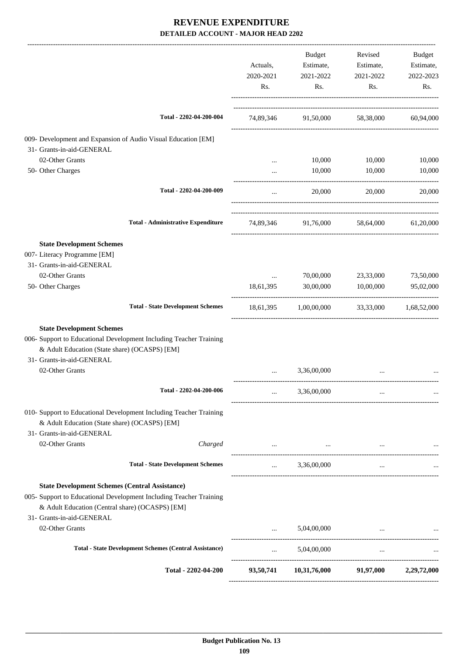|                                                                                                                       | Actuals,<br>2020-2021                          | Budget<br>Estimate,<br>2021-2022                                                                    | Revised<br>Estimate,<br>2021-2022        | Budget<br>Estimate,<br>2022-2023 |
|-----------------------------------------------------------------------------------------------------------------------|------------------------------------------------|-----------------------------------------------------------------------------------------------------|------------------------------------------|----------------------------------|
|                                                                                                                       | Rs.                                            | Rs.                                                                                                 | Rs.                                      | Rs.                              |
| Total - 2202-04-200-004                                                                                               |                                                | 74,89,346 91,50,000 58,38,000 60,94,000                                                             |                                          |                                  |
| 009- Development and Expansion of Audio Visual Education [EM]<br>31- Grants-in-aid-GENERAL                            |                                                |                                                                                                     |                                          |                                  |
| 02-Other Grants                                                                                                       | $\cdots$                                       | 10,000                                                                                              | 10,000                                   | 10,000                           |
| 50- Other Charges                                                                                                     | $\cdots$                                       | 10,000                                                                                              | 10,000                                   | 10,000                           |
| Total - 2202-04-200-009                                                                                               | $\cdots$                                       | 20,000                                                                                              | 20,000                                   | 20,000                           |
| <b>Total - Administrative Expenditure</b>                                                                             |                                                | 74,89,346 91,76,000 58,64,000 61,20,000                                                             |                                          |                                  |
| <b>State Development Schemes</b>                                                                                      |                                                |                                                                                                     |                                          |                                  |
| 007- Literacy Programme [EM]                                                                                          |                                                |                                                                                                     |                                          |                                  |
| 31- Grants-in-aid-GENERAL                                                                                             |                                                |                                                                                                     |                                          |                                  |
| 02-Other Grants                                                                                                       | $\cdots$                                       | 70,00,000                                                                                           | 23,33,000                                | 73,50,000                        |
| 50- Other Charges                                                                                                     | 18,61,395                                      |                                                                                                     | 30,00,000 10,00,000 95,02,000            |                                  |
| <b>Total - State Development Schemes</b>                                                                              |                                                | 18,61,395 1,00,00,000 33,33,000 1,68,52,000                                                         |                                          |                                  |
| <b>State Development Schemes</b>                                                                                      |                                                |                                                                                                     |                                          |                                  |
| 006- Support to Educational Development Including Teacher Training<br>& Adult Education (State share) (OCASPS) [EM]   |                                                |                                                                                                     |                                          |                                  |
| 31- Grants-in-aid-GENERAL                                                                                             |                                                |                                                                                                     |                                          |                                  |
| 02-Other Grants                                                                                                       |                                                | 3,36,00,000                                                                                         |                                          |                                  |
| Total - 2202-04-200-006                                                                                               |                                                | 3,36,00,000                                                                                         |                                          |                                  |
| 010- Support to Educational Development Including Teacher Training<br>& Adult Education (State share) (OCASPS) [EM]   |                                                |                                                                                                     |                                          |                                  |
| 31- Grants-in-aid-GENERAL                                                                                             |                                                |                                                                                                     |                                          |                                  |
| 02-Other Grants<br>Charged                                                                                            |                                                | the contract of the contract of the contract of the contract of the contract of the contract of the |                                          |                                  |
| <b>Total - State Development Schemes</b>                                                                              |                                                | $\ldots$ 3.36,00,000                                                                                | $\cdots$                                 |                                  |
| <b>State Development Schemes (Central Assistance)</b>                                                                 |                                                |                                                                                                     |                                          |                                  |
| 005- Support to Educational Development Including Teacher Training<br>& Adult Education (Central share) (OCASPS) [EM] |                                                |                                                                                                     |                                          |                                  |
| 31- Grants-in-aid-GENERAL<br>02-Other Grants                                                                          | $\cdots$                                       | 5,04,00,000                                                                                         |                                          |                                  |
|                                                                                                                       |                                                |                                                                                                     |                                          |                                  |
| <b>Total - State Development Schemes (Central Assistance)</b>                                                         | $\mathbf{r}$ and $\mathbf{r}$ and $\mathbf{r}$ | 5,04,00,000                                                                                         | <b>Section</b>                           |                                  |
| Total - 2202-04-200                                                                                                   | 93,50,741                                      |                                                                                                     | $10,31,76,000$ $91,97,000$ $2,29,72,000$ |                                  |
|                                                                                                                       |                                                |                                                                                                     |                                          |                                  |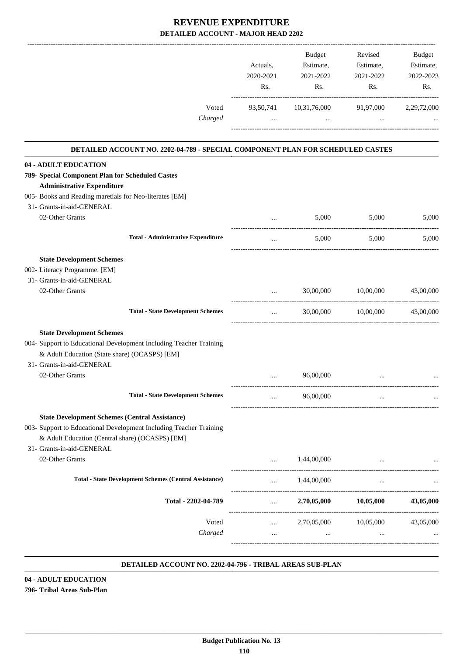|                                                                                                                                                                                                                                | Actuals,<br>2020-2021<br>Rs. | Budget<br>Estimate,<br>2021-2022<br>Rs.                                      | Revised<br>Estimate,<br>2021-2022<br>Rs. | Budget<br>Estimate,<br>2022-2023<br>Rs. |
|--------------------------------------------------------------------------------------------------------------------------------------------------------------------------------------------------------------------------------|------------------------------|------------------------------------------------------------------------------|------------------------------------------|-----------------------------------------|
| Voted<br>Charged                                                                                                                                                                                                               | $\cdots$                     | 93,50,741 10,31,76,000 91,97,000 2,29,72,000<br>and the contract of the con- | $\sim$                                   |                                         |
| DETAILED ACCOUNT NO. 2202-04-789 - SPECIAL COMPONENT PLAN FOR SCHEDULED CASTES                                                                                                                                                 |                              |                                                                              |                                          |                                         |
| 04 - ADULT EDUCATION                                                                                                                                                                                                           |                              |                                                                              |                                          |                                         |
| 789- Special Component Plan for Scheduled Castes<br><b>Administrative Expenditure</b><br>005- Books and Reading maretials for Neo-literates [EM]                                                                               |                              |                                                                              |                                          |                                         |
| 31- Grants-in-aid-GENERAL<br>02-Other Grants                                                                                                                                                                                   | $\cdots$                     | 5,000                                                                        | 5,000                                    | 5,000                                   |
| <b>Total - Administrative Expenditure</b>                                                                                                                                                                                      | $\cdots$                     | 5,000                                                                        | 5,000                                    | 5,000                                   |
| <b>State Development Schemes</b><br>002- Literacy Programme. [EM]<br>31- Grants-in-aid-GENERAL<br>02-Other Grants                                                                                                              | $\cdots$                     |                                                                              | 30,00,000 10,00,000                      | 43,00,000                               |
| <b>Total - State Development Schemes</b>                                                                                                                                                                                       | $\cdots$                     |                                                                              | 30,00,000 10,00,000                      | 43,00,000                               |
| <b>State Development Schemes</b><br>004- Support to Educational Development Including Teacher Training<br>& Adult Education (State share) (OCASPS) [EM]<br>31- Grants-in-aid-GENERAL<br>02-Other Grants                        | $\cdots$                     | 96,00,000                                                                    | $\cdots$                                 |                                         |
| <b>Total - State Development Schemes</b>                                                                                                                                                                                       |                              | 96,00,000                                                                    | ------------------------------           |                                         |
| <b>State Development Schemes (Central Assistance)</b><br>003- Support to Educational Development Including Teacher Training<br>& Adult Education (Central share) (OCASPS) [EM]<br>31- Grants-in-aid-GENERAL<br>02-Other Grants | $\cdots$                     | 1,44,00,000                                                                  | $\cdots$                                 |                                         |
| <b>Total - State Development Schemes (Central Assistance)</b>                                                                                                                                                                  | $\cdots$                     | 1,44,00,000                                                                  | $\cdots$                                 |                                         |
| Total - 2202-04-789                                                                                                                                                                                                            | $\cdots$                     | 2,70,05,000                                                                  | 10,05,000                                | 43,05,000                               |
| Voted<br>Charged                                                                                                                                                                                                               | $\cdots$<br>$\cdots$         | $\cdots$                                                                     | 2,70,05,000 10,05,000<br>$\cdots$        | 43,05,000                               |

#### **DETAILED ACCOUNT NO. 2202-04-796 - TRIBAL AREAS SUB-PLAN .**

**04 - ADULT EDUCATION 796- Tribal Areas Sub-Plan**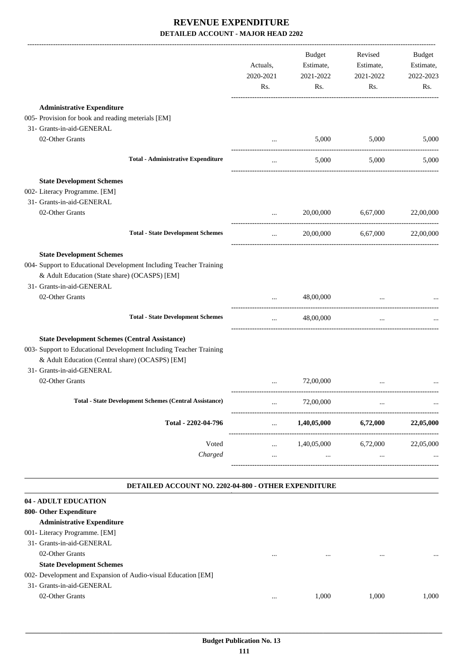|                                                                                                                                                                                | Actuals,<br>2020-2021<br>Rs. | <b>Budget</b><br>Estimate,<br>2021-2022<br>Rs. | Revised<br>Estimate,<br>2021-2022<br>Rs. | Budget<br>Estimate,<br>2022-2023<br>Rs. |
|--------------------------------------------------------------------------------------------------------------------------------------------------------------------------------|------------------------------|------------------------------------------------|------------------------------------------|-----------------------------------------|
| <b>Administrative Expenditure</b>                                                                                                                                              |                              |                                                |                                          |                                         |
| 005- Provision for book and reading meterials [EM]                                                                                                                             |                              |                                                |                                          |                                         |
| 31- Grants-in-aid-GENERAL                                                                                                                                                      |                              |                                                |                                          |                                         |
| 02-Other Grants                                                                                                                                                                | $\cdots$                     | 5,000                                          | 5,000                                    | 5,000                                   |
| <b>Total - Administrative Expenditure</b>                                                                                                                                      | $\cdots$                     | 5,000                                          | 5,000                                    | 5,000                                   |
| <b>State Development Schemes</b>                                                                                                                                               |                              |                                                |                                          |                                         |
| 002- Literacy Programme. [EM]                                                                                                                                                  |                              |                                                |                                          |                                         |
| 31- Grants-in-aid-GENERAL                                                                                                                                                      |                              |                                                |                                          |                                         |
| 02-Other Grants                                                                                                                                                                | $\cdots$                     | 20,00,000                                      | 6,67,000                                 | 22,00,000                               |
| <b>Total - State Development Schemes</b>                                                                                                                                       | $\cdots$                     |                                                | 20,00,000 6,67,000 22,00,000             |                                         |
| <b>State Development Schemes</b>                                                                                                                                               |                              |                                                |                                          |                                         |
| 004- Support to Educational Development Including Teacher Training                                                                                                             |                              |                                                |                                          |                                         |
| & Adult Education (State share) (OCASPS) [EM]                                                                                                                                  |                              |                                                |                                          |                                         |
| 31- Grants-in-aid-GENERAL                                                                                                                                                      |                              |                                                |                                          |                                         |
| 02-Other Grants                                                                                                                                                                | $\cdots$                     | 48,00,000                                      |                                          |                                         |
| <b>Total - State Development Schemes</b>                                                                                                                                       | $\cdots$                     | 48,00,000                                      | $\cdots$                                 |                                         |
| <b>State Development Schemes (Central Assistance)</b><br>003- Support to Educational Development Including Teacher Training<br>& Adult Education (Central share) (OCASPS) [EM] |                              |                                                |                                          |                                         |
| 31- Grants-in-aid-GENERAL<br>02-Other Grants                                                                                                                                   |                              | 72,00,000                                      |                                          |                                         |
| <b>Total - State Development Schemes (Central Assistance)</b>                                                                                                                  | $\cdots$                     | 72,00,000                                      | $\ldots$                                 |                                         |
| Total - 2202-04-796                                                                                                                                                            | $\cdots$                     | 1,40,05,000                                    | 6,72,000                                 | 22,05,000                               |
| Voted                                                                                                                                                                          |                              | $1,40,05,000$ 6,72,000                         |                                          | 22,05,000                               |
| Charged                                                                                                                                                                        | $\cdots$                     | $\cdots$                                       | $\cdots$                                 |                                         |
| DETAILED ACCOUNT NO. 2202-04-800 - OTHER EXPENDITURE                                                                                                                           |                              |                                                |                                          |                                         |
| 04 - ADULT EDUCATION                                                                                                                                                           |                              |                                                |                                          |                                         |
| 800- Other Expenditure                                                                                                                                                         |                              |                                                |                                          |                                         |
| <b>Administrative Expenditure</b>                                                                                                                                              |                              |                                                |                                          |                                         |
| 001- Literacy Programme. [EM]                                                                                                                                                  |                              |                                                |                                          |                                         |
| 31- Grants-in-aid-GENERAL                                                                                                                                                      |                              |                                                |                                          |                                         |
| 02-Other Grants                                                                                                                                                                |                              |                                                |                                          |                                         |
| <b>State Development Schemes</b>                                                                                                                                               | $\cdots$                     | $\cdots$                                       | $\cdots$                                 |                                         |

002- Development and Expansion of Audio-visual Education [EM]

 31- Grants-in-aid-GENERAL 02-Other Grants ... 1,000 1,000 1,000 1,000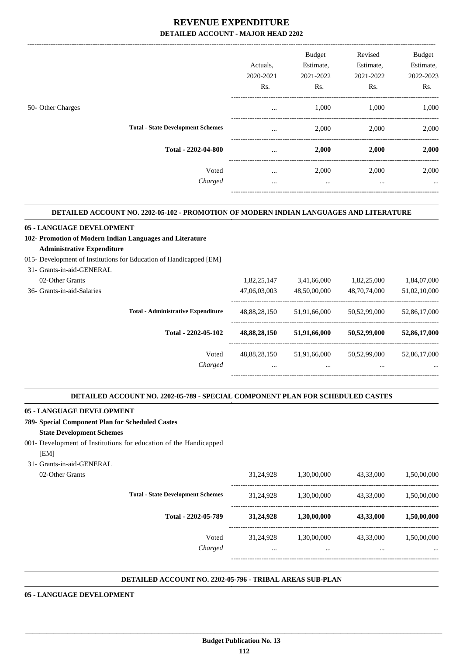| Actuals.<br>2020-2021<br>Rs.                         | <b>Budget</b><br>Estimate,<br>2021-2022<br>Rs. | Revised<br>Estimate,<br>2021-2022<br>Rs. | Budget<br>Estimate,<br>2022-2023<br>Rs. |
|------------------------------------------------------|------------------------------------------------|------------------------------------------|-----------------------------------------|
|                                                      | 1,000                                          | 1,000                                    | 1,000                                   |
| <b>Total - State Development Schemes</b><br>$\cdots$ | 2,000                                          | 2,000                                    | 2,000                                   |
| Total - 2202-04-800<br>$\cdots$                      | 2,000                                          | 2,000                                    | 2,000                                   |
| Voted<br>$\cdots$<br>Charged<br>                     | 2,000<br>$\cdots$                              | 2.000<br>$\cdots$                        | 2,000<br>$\cdots$                       |
|                                                      |                                                |                                          |                                         |

#### **DETAILED ACCOUNT NO. 2202-05-102 - PROMOTION OF MODERN INDIAN LANGUAGES AND LITERATURE .**

.

.

.

## **05 - LANGUAGE DEVELOPMENT**

| <b>05 - LANGUAGE DEVELOPMENT</b>                                   |              |              |              |              |
|--------------------------------------------------------------------|--------------|--------------|--------------|--------------|
| 102- Promotion of Modern Indian Languages and Literature           |              |              |              |              |
| <b>Administrative Expenditure</b>                                  |              |              |              |              |
| 015- Development of Institutions for Education of Handicapped [EM] |              |              |              |              |
| 31- Grants-in-aid-GENERAL                                          |              |              |              |              |
| 02-Other Grants                                                    | 1,82,25,147  | 3,41,66,000  | 1,82,25,000  | 1,84,07,000  |
| 36- Grants-in-aid-Salaries                                         | 47,06,03,003 | 48,50,00,000 | 48,70,74,000 | 51,02,10,000 |
| <b>Total - Administrative Expenditure</b>                          | 48,88,28,150 | 51,91,66,000 | 50,52,99,000 | 52,86,17,000 |
| Total - 2202-05-102                                                | 48,88,28,150 | 51,91,66,000 | 50,52,99,000 | 52,86,17,000 |
| Voted                                                              | 48,88,28,150 | 51,91,66,000 | 50,52,99,000 | 52,86,17,000 |
| Charged                                                            | $\cdots$     | $\cdots$     | $\cdots$     | $\cdots$     |
|                                                                    |              |              |              |              |

#### **DETAILED ACCOUNT NO. 2202-05-789 - SPECIAL COMPONENT PLAN FOR SCHEDULED CASTES .**

#### **05 - LANGUAGE DEVELOPMENT**

### **789- Special Component Plan for Scheduled Castes**

- **State Development Schemes**
- 001- Development of Institutions for education of the Handicapped [EM]
- 31- Grants-in-aid-GENERAL

| 02-Other Grants |  |
|-----------------|--|
|-----------------|--|

| 02-Other Grants |                                          | 31.24.928 | 1.30.00.000 | 43,33,000 | 1,50,00,000 |
|-----------------|------------------------------------------|-----------|-------------|-----------|-------------|
|                 | <b>Total - State Development Schemes</b> | 31.24.928 | 1.30.00.000 | 43,33,000 | 1,50,00,000 |
|                 | Total - 2202-05-789                      | 31,24,928 | 1,30,00,000 | 43,33,000 | 1,50,00,000 |
|                 | Voted                                    | 31.24.928 | 1.30.00.000 | 43,33,000 | 1,50,00,000 |
|                 | Charged                                  |           |             | $\cdots$  | $\cdots$    |

#### **DETAILED ACCOUNT NO. 2202-05-796 - TRIBAL AREAS SUB-PLAN .**

 **\_\_\_\_\_\_\_\_\_\_\_\_\_\_\_\_\_\_\_\_\_\_\_\_\_\_\_\_\_\_\_\_\_\_\_\_\_\_\_\_\_\_\_\_\_\_\_\_\_\_\_\_\_\_\_\_\_\_\_\_\_\_\_\_\_\_\_\_\_\_\_\_\_\_\_\_\_\_\_\_\_\_\_\_\_\_\_\_\_\_\_\_\_\_\_\_\_\_\_\_\_\_\_\_\_\_\_\_\_\_\_\_\_\_\_\_\_\_\_**

#### **05 - LANGUAGE DEVELOPMENT**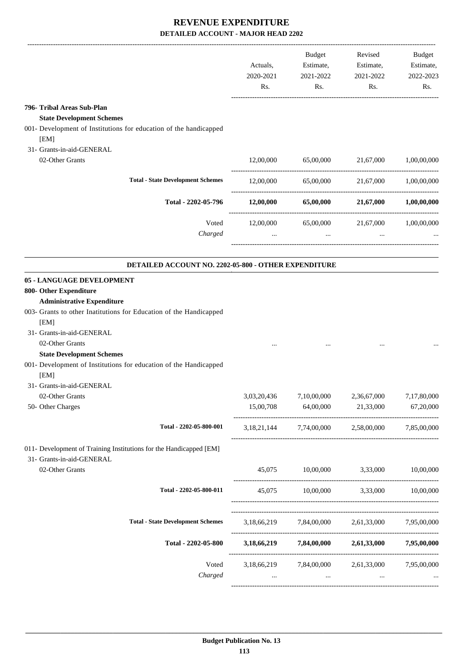|                                                                                                                                                                 | Actuals,<br>2020-2021<br>Rs.                          | <b>Budget</b><br>Estimate,<br>2021-2022<br>Rs.              | Revised<br>Estimate,<br>2021-2022<br>Rs.                                     | Budget<br>Estimate,<br>2022-2023<br>Rs. |
|-----------------------------------------------------------------------------------------------------------------------------------------------------------------|-------------------------------------------------------|-------------------------------------------------------------|------------------------------------------------------------------------------|-----------------------------------------|
| 796- Tribal Areas Sub-Plan                                                                                                                                      |                                                       |                                                             |                                                                              |                                         |
| <b>State Development Schemes</b><br>001- Development of Institutions for education of the handicapped<br>[EM]                                                   |                                                       |                                                             |                                                                              |                                         |
| 31- Grants-in-aid-GENERAL                                                                                                                                       |                                                       |                                                             |                                                                              |                                         |
| 02-Other Grants                                                                                                                                                 |                                                       | $12,00,000$ $65,00,000$ $21,67,000$ $1,00,00,000$           |                                                                              |                                         |
| <b>Total - State Development Schemes</b>                                                                                                                        |                                                       | $12,00,000$ $65,00,000$ $21,67,000$ $1,00,00,000$           |                                                                              |                                         |
| Total - 2202-05-796 $12,00,000$ $65,00,000$ $21,67,000$ $1,00,00,000$                                                                                           |                                                       |                                                             |                                                                              |                                         |
| Voted<br>Charged                                                                                                                                                | 12,00,000 65,00,000 21,67,000 1,00,00,000<br>$\cdots$ |                                                             | and the state of the state<br>$\mathbf{1}$ and $\mathbf{1}$ and $\mathbf{1}$ |                                         |
| DETAILED ACCOUNT NO. 2202-05-800 - OTHER EXPENDITURE<br>05 - LANGUAGE DEVELOPMENT<br>800- Other Expenditure                                                     |                                                       |                                                             |                                                                              |                                         |
| <b>Administrative Expenditure</b><br>003- Grants to other Inatitutions for Education of the Handicapped<br>[EM]<br>31- Grants-in-aid-GENERAL<br>02-Other Grants |                                                       |                                                             |                                                                              |                                         |
| <b>State Development Schemes</b><br>001- Development of Institutions for education of the Handicapped<br>[EM]<br>31- Grants-in-aid-GENERAL                      |                                                       |                                                             |                                                                              |                                         |
| 02-Other Grants                                                                                                                                                 | 3,03,20,436                                           | 7,10,00,000                                                 | 2,36,67,000                                                                  | 7,17,80,000                             |
| 50- Other Charges                                                                                                                                               | 15,00,708                                             | 64,00,000                                                   | 21,33,000                                                                    | 67,20,000                               |
| Total - 2202-05-800-001                                                                                                                                         | 3,18,21,144                                           | 7,74,00,000                                                 | 2,58,00,000                                                                  | 7,85,00,000                             |
| 011- Development of Training Institutions for the Handicapped [EM]<br>31- Grants-in-aid-GENERAL                                                                 |                                                       |                                                             |                                                                              |                                         |
| 02-Other Grants                                                                                                                                                 |                                                       | 45,075 10,00,000 3,33,000                                   |                                                                              | 10,00,000                               |
| Total - 2202-05-800-011                                                                                                                                         |                                                       | 45,075 10,00,000 3,33,000 10,00,000                         |                                                                              |                                         |
| <b>Total - State Development Schemes</b>                                                                                                                        |                                                       | 3,18,66,219 7,84,00,000 2,61,33,000 7,95,00,000             |                                                                              |                                         |
| Total - 2202-05-800                                                                                                                                             |                                                       | 3,18,66,219 7,84,00,000 2,61,33,000 7,95,00,000             |                                                                              |                                         |
| Voted<br>Charged                                                                                                                                                |                                                       | 3,18,66,219 7,84,00,000 2,61,33,000 7,95,00,000<br>$\cdots$ |                                                                              |                                         |
|                                                                                                                                                                 |                                                       |                                                             |                                                                              |                                         |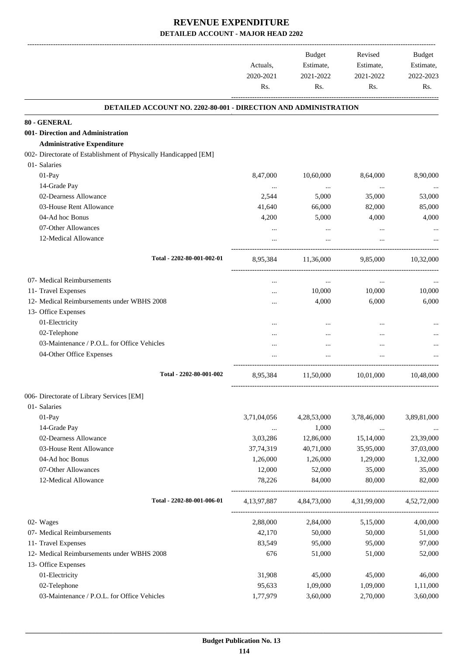-------------------------------------------------------------------------------------------------------------------------------------------------------------------------------

|                                                                  | Actuals,<br>2020-2021<br>Rs. | <b>Budget</b><br>Estimate,<br>2021-2022<br>Rs. | Revised<br>Estimate,<br>2021-2022<br>Rs. | <b>Budget</b><br>Estimate,<br>2022-2023<br>Rs. |
|------------------------------------------------------------------|------------------------------|------------------------------------------------|------------------------------------------|------------------------------------------------|
| DETAILED ACCOUNT NO. 2202-80-001 - DIRECTION AND ADMINISTRATION  |                              |                                                |                                          |                                                |
| 80 - GENERAL                                                     |                              |                                                |                                          |                                                |
| 001- Direction and Administration                                |                              |                                                |                                          |                                                |
| <b>Administrative Expenditure</b>                                |                              |                                                |                                          |                                                |
| 002- Directorate of Establishment of Physically Handicapped [EM] |                              |                                                |                                          |                                                |
| 01- Salaries                                                     |                              |                                                |                                          |                                                |
| $01-Pay$                                                         | 8,47,000                     | 10,60,000                                      | 8,64,000                                 | 8,90,000                                       |
| 14-Grade Pay                                                     | $\cdots$                     | $\ldots$                                       | $\ldots$                                 | $\cdots$                                       |
| 02-Dearness Allowance                                            | 2,544                        | 5,000                                          | 35,000                                   | 53,000                                         |
| 03-House Rent Allowance                                          | 41,640                       | 66,000                                         | 82,000                                   | 85,000                                         |
| 04-Ad hoc Bonus                                                  | 4,200                        | 5,000                                          | 4,000                                    | 4,000                                          |
| 07-Other Allowances                                              |                              |                                                |                                          |                                                |
| 12-Medical Allowance                                             |                              | $\cdots$                                       |                                          |                                                |
| Total - 2202-80-001-002-01                                       | 8,95,384                     | 11,36,000                                      | 9.85,000                                 | 10,32,000                                      |
| 07- Medical Reimbursements                                       | $\cdots$                     | $\cdots$                                       | $\ldots$                                 |                                                |
| 11- Travel Expenses                                              |                              | 10,000                                         | 10,000                                   | 10,000                                         |
| 12- Medical Reimbursements under WBHS 2008                       |                              | 4,000                                          | 6,000                                    | 6,000                                          |
| 13- Office Expenses                                              |                              |                                                |                                          |                                                |
| 01-Electricity                                                   |                              | $\cdots$                                       |                                          |                                                |
| 02-Telephone                                                     |                              |                                                |                                          |                                                |
| 03-Maintenance / P.O.L. for Office Vehicles                      |                              |                                                |                                          |                                                |
| 04-Other Office Expenses                                         |                              |                                                |                                          |                                                |
| Total - 2202-80-001-002                                          | 8,95,384                     | 11,50,000                                      | 10,01,000                                | 10,48,000                                      |
| 006- Directorate of Library Services [EM]                        |                              |                                                |                                          |                                                |
| 01- Salaries                                                     |                              |                                                |                                          |                                                |
| 01-Pay                                                           | 3,71,04,056                  | 4,28,53,000                                    | 3,78,46,000                              | 3,89,81,000                                    |
| 14-Grade Pay                                                     | $\cdots$                     | 1,000                                          | $\ldots$                                 |                                                |
| 02-Dearness Allowance                                            | 3,03,286                     | 12,86,000                                      | 15,14,000                                | 23,39,000                                      |
| 03-House Rent Allowance                                          | 37,74,319                    | 40,71,000                                      | 35,95,000                                | 37,03,000                                      |
| 04-Ad hoc Bonus                                                  | 1,26,000                     | 1,26,000                                       | 1,29,000                                 | 1,32,000                                       |
| 07-Other Allowances                                              | 12,000                       | 52,000                                         | 35,000                                   | 35,000                                         |
| 12-Medical Allowance                                             | 78,226                       | 84,000                                         | 80,000                                   | 82,000                                         |
| Total - 2202-80-001-006-01                                       | 4, 13, 97, 887               | 4,84,73,000                                    | 4,31,99,000                              | 4,52,72,000                                    |
| 02- Wages                                                        | 2,88,000                     | 2,84,000                                       | 5,15,000                                 | 4,00,000                                       |
| 07- Medical Reimbursements                                       | 42,170                       | 50,000                                         | 50,000                                   | 51,000                                         |
| 11- Travel Expenses                                              | 83,549                       | 95,000                                         | 95,000                                   | 97,000                                         |
| 12- Medical Reimbursements under WBHS 2008                       | 676                          | 51,000                                         | 51,000                                   | 52,000                                         |
| 13- Office Expenses                                              |                              |                                                |                                          |                                                |
| 01-Electricity                                                   | 31,908                       | 45,000                                         | 45,000                                   | 46,000                                         |
| 02-Telephone                                                     | 95,633                       | 1,09,000                                       | 1,09,000                                 | 1,11,000                                       |
| 03-Maintenance / P.O.L. for Office Vehicles                      | 1,77,979                     | 3,60,000                                       | 2,70,000                                 | 3,60,000                                       |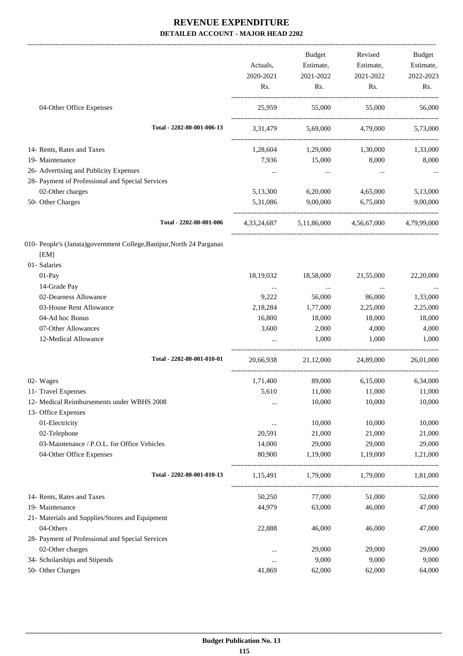|                                                                              | Actuals,<br>2020-2021<br>Rs. | Budget<br>Estimate,<br>2021-2022<br>Rs. | Revised<br>Estimate,<br>2021-2022<br>Rs.        | Budget<br>Estimate,<br>2022-2023<br>Rs. |
|------------------------------------------------------------------------------|------------------------------|-----------------------------------------|-------------------------------------------------|-----------------------------------------|
| 04-Other Office Expenses                                                     | 25,959                       | 55,000                                  | 55,000                                          | 56,000                                  |
| Total - 2202-80-001-006-13                                                   | 3,31,479                     | 5,69,000                                | 4,79,000                                        | 5,73,000                                |
| 14- Rents, Rates and Taxes                                                   |                              |                                         | $1,28,604$ $1,29,000$ $1,30,000$                | 1,33,000                                |
| 19- Maintenance                                                              |                              | 7,936 15,000                            | 8,000                                           | 8,000                                   |
| 26- Advertising and Publicity Expenses                                       | $\cdots$                     | $\cdots$                                | $\ldots$                                        | $\ldots$                                |
| 28- Payment of Professional and Special Services                             |                              |                                         |                                                 |                                         |
| 02-Other charges                                                             | 5,13,300                     | 6,20,000                                | 4,65,000                                        | 5,13,000                                |
| 50- Other Charges                                                            |                              |                                         | 5,31,086 9,00,000 6,75,000                      | 9,00,000                                |
| Total - 2202-80-001-006                                                      |                              |                                         | 4,33,24,687 5,11,86,000 4,56,67,000 4,79,99,000 |                                         |
| 010- People's (Janata)government College, Banipur, North 24 Parganas<br>[EM] |                              |                                         |                                                 |                                         |
| 01- Salaries                                                                 |                              |                                         |                                                 |                                         |
| 01-Pay                                                                       | 18,19,032                    | 18,58,000                               | 21,55,000                                       | 22,20,000                               |
| 14-Grade Pay                                                                 |                              | <b>Contractor</b>                       | $\ldots$                                        |                                         |
| 02-Dearness Allowance                                                        | 9,222                        | 56,000                                  | 86,000                                          | 1,33,000                                |
| 03-House Rent Allowance                                                      | 2,18,284                     | 1,77,000                                | 2,25,000                                        | 2,25,000                                |
| 04-Ad hoc Bonus                                                              | 16,800                       | 18,000                                  | 18,000                                          | 18,000                                  |
| 07-Other Allowances<br>12-Medical Allowance                                  | 3,600<br>$\ddotsc$           | 2,000<br>1,000                          | 4,000<br>1,000                                  | 4,000<br>1,000                          |
| Total - 2202-80-001-010-01                                                   | 20,66,938                    |                                         | 21,12,000 24,89,000                             | 26,01,000                               |
|                                                                              | 1,71,400                     | 89,000                                  | 6,15,000                                        | 6,34,000                                |
| 02- Wages<br>11- Travel Expenses                                             | 5,610                        |                                         | 11,000 11,000                                   | 11,000                                  |
| 12- Medical Reimbursements under WBHS 2008                                   |                              | 10,000                                  | 10,000                                          | 10,000                                  |
| 13- Office Expenses                                                          |                              |                                         |                                                 |                                         |
| 01-Electricity                                                               | $\ldots$                     | 10,000                                  | 10,000                                          | 10,000                                  |
| 02-Telephone                                                                 | 20,591                       | 21,000                                  | 21,000                                          | 21,000                                  |
| 03-Maintenance / P.O.L. for Office Vehicles                                  | 14,000                       | 29,000                                  | 29,000                                          | 29,000                                  |
| 04-Other Office Expenses                                                     | 80,900                       | 1,19,000                                | 1,19,000                                        | 1,21,000                                |
| Total - 2202-80-001-010-13                                                   | 1,15,491                     | 1,79,000                                | 1,79,000                                        | ------------<br>1,81,000                |
| 14- Rents, Rates and Taxes                                                   | 50,250                       | 77,000                                  | 51,000                                          | 52,000                                  |
| 19- Maintenance                                                              | 44,979                       | 63,000                                  | 46,000                                          | 47,000                                  |
| 21- Materials and Supplies/Stores and Equipment                              |                              |                                         |                                                 |                                         |
| 04-Others                                                                    | 22,888                       | 46,000                                  | 46,000                                          | 47,000                                  |
| 28- Payment of Professional and Special Services                             |                              |                                         |                                                 |                                         |
| 02-Other charges                                                             | $\cdots$                     | 29,000                                  | 29,000                                          | 29,000                                  |
| 34- Scholarships and Stipends                                                | $\ldots$                     | 9,000                                   | 9,000                                           | 9,000                                   |
| 50- Other Charges                                                            | 41,869                       | 62,000                                  | 62,000                                          | 64,000                                  |
|                                                                              |                              |                                         |                                                 |                                         |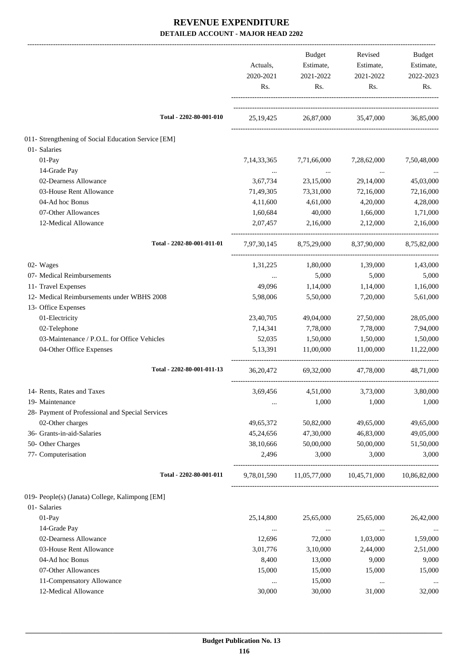|                                                     |                      | Budget             | Revised                                 | Budget               |
|-----------------------------------------------------|----------------------|--------------------|-----------------------------------------|----------------------|
|                                                     | Actuals,             | Estimate,          | Estimate,                               | Estimate,            |
|                                                     | 2020-2021<br>Rs.     | 2021-2022<br>Rs.   | 2021-2022<br>Rs.                        | 2022-2023<br>Rs.     |
|                                                     |                      |                    |                                         |                      |
| Total - 2202-80-001-010                             |                      |                    | 25,19,425 26,87,000 35,47,000 36,85,000 |                      |
| 011- Strengthening of Social Education Service [EM] |                      |                    |                                         |                      |
| 01- Salaries                                        |                      |                    |                                         |                      |
| $01-Pay$                                            | 7, 14, 33, 365       | 7,71,66,000        | 7,28,62,000                             | 7,50,48,000          |
| 14-Grade Pay                                        | $\cdots$             | $\cdots$           | $\ldots$                                | $\cdots$             |
| 02-Dearness Allowance                               | 3,67,734             | 23,15,000          | 29,14,000                               | 45,03,000            |
| 03-House Rent Allowance                             | 71,49,305            | 73,31,000          | 72,16,000                               | 72,16,000            |
| 04-Ad hoc Bonus<br>07-Other Allowances              | 4,11,600             | 4,61,000           | 4,20,000                                | 4,28,000             |
| 12-Medical Allowance                                | 1,60,684<br>2,07,457 | 40,000<br>2,16,000 | 1,66,000<br>2,12,000                    | 1,71,000<br>2,16,000 |
| Total - 2202-80-001-011-01                          |                      |                    | 7,97,30,145 8,75,29,000 8,37,90,000     | 8,75,82,000          |
| 02- Wages                                           | 1,31,225             | 1,80,000           | 1,39,000                                | 1,43,000             |
| 07- Medical Reimbursements                          | $\cdots$             | 5,000              | 5,000                                   | 5,000                |
| 11- Travel Expenses                                 | 49,096               | 1,14,000           | 1,14,000                                | 1,16,000             |
| 12- Medical Reimbursements under WBHS 2008          | 5,98,006             | 5,50,000           | 7,20,000                                | 5,61,000             |
| 13- Office Expenses                                 |                      |                    |                                         |                      |
| 01-Electricity                                      | 23,40,705            | 49,04,000          | 27,50,000                               | 28,05,000            |
| 02-Telephone                                        | 7,14,341             | 7,78,000           | 7,78,000                                | 7,94,000             |
| 03-Maintenance / P.O.L. for Office Vehicles         | 52,035               | 1,50,000           | 1,50,000                                | 1,50,000             |
| 04-Other Office Expenses                            | 5,13,391             | 11,00,000          | 11,00,000                               | 11,22,000            |
| Total - 2202-80-001-011-13                          |                      |                    | 36,20,472 69,32,000 47,78,000           | 48,71,000            |
| 14- Rents, Rates and Taxes                          |                      |                    | 3,69,456 4,51,000 3,73,000 3,80,000     |                      |
| 19- Maintenance                                     |                      | 1,000              | 1,000                                   | 1,000                |
| 28- Payment of Professional and Special Services    |                      |                    |                                         |                      |
| 02-Other charges                                    | 49,65,372            | 50,82,000          | 49,65,000                               | 49,65,000            |
| 36- Grants-in-aid-Salaries                          | 45,24,656            | 47,30,000          | 46,83,000                               | 49,05,000            |
| 50- Other Charges                                   | 38,10,666            | 50,00,000          | 50,00,000                               | 51,50,000            |
| 77- Computerisation                                 | 2,496                | 3,000              | 3,000                                   | 3,000                |
| Total - 2202-80-001-011                             | 9,78,01,590          | 11,05,77,000       | 10,45,71,000                            | 10,86,82,000         |
| 019- People(s) (Janata) College, Kalimpong [EM]     |                      |                    |                                         |                      |
| 01- Salaries                                        |                      |                    |                                         |                      |
| $01-Pay$                                            | 25,14,800            | 25,65,000          | 25,65,000                               | 26,42,000            |
| 14-Grade Pay                                        | $\cdots$             | $\ldots$           | $\ldots$                                |                      |
| 02-Dearness Allowance                               | 12,696               | 72,000             | 1,03,000                                | 1,59,000             |
| 03-House Rent Allowance                             | 3,01,776             | 3,10,000           | 2,44,000                                | 2,51,000             |
| 04-Ad hoc Bonus                                     | 8,400                | 13,000             | 9,000                                   | 9,000                |
| 07-Other Allowances                                 | 15,000               | 15,000             | 15,000                                  | 15,000               |
| 11-Compensatory Allowance                           | $\ldots$             | 15,000             | $\ldots$                                |                      |
| 12-Medical Allowance                                | 30,000               | 30,000             | 31,000                                  | 32,000               |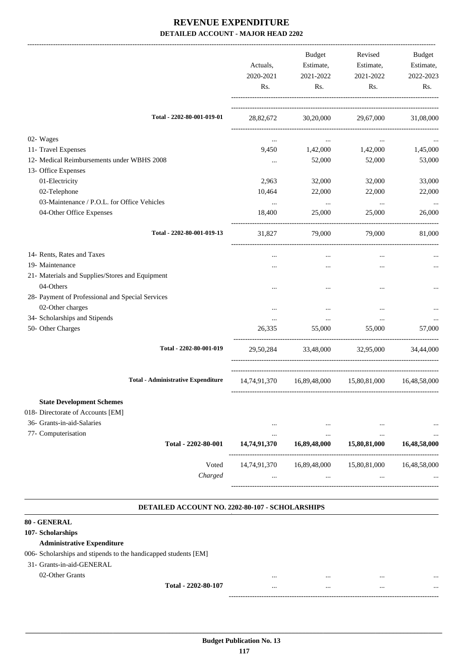|                                                  |                                                 | Actuals,         | Budget<br>Estimate,  | Revised<br>Estimate,                     | Budget<br>Estimate, |
|--------------------------------------------------|-------------------------------------------------|------------------|----------------------|------------------------------------------|---------------------|
|                                                  |                                                 | 2020-2021<br>Rs. | 2021-2022<br>Rs.     | 2021-2022<br>Rs.                         | 2022-2023<br>Rs.    |
|                                                  |                                                 |                  |                      |                                          |                     |
|                                                  | Total - 2202-80-001-019-01                      |                  |                      | 28,82,672 30,20,000 29,67,000            | 31,08,000           |
| 02- Wages                                        |                                                 | $\cdots$         | $\cdots$             | $\cdots$                                 |                     |
| 11- Travel Expenses                              |                                                 |                  |                      | 9,450 1,42,000 1,42,000                  | 1,45,000            |
| 12- Medical Reimbursements under WBHS 2008       |                                                 | $\cdots$         | 52,000               | 52,000                                   | 53,000              |
| 13- Office Expenses                              |                                                 |                  |                      |                                          |                     |
| 01-Electricity                                   |                                                 | 2,963            | 32,000               | 32,000                                   | 33,000              |
| 02-Telephone                                     |                                                 | 10,464           | 22,000               | 22,000                                   | 22,000              |
| 03-Maintenance / P.O.L. for Office Vehicles      |                                                 | $\cdots$         | $\sim$ $\sim$ $\sim$ | $\cdots$                                 | $\ldots$            |
| 04-Other Office Expenses                         |                                                 | 18,400           | 25,000               | 25,000                                   | 26,000              |
|                                                  | Total - 2202-80-001-019-13                      | 31,827           | 79,000               | 79,000                                   | 81,000              |
| 14- Rents, Rates and Taxes                       |                                                 | $\cdots$         | $\cdots$             | $\cdots$                                 |                     |
| 19- Maintenance                                  |                                                 |                  |                      | $\ddotsc$                                |                     |
| 21- Materials and Supplies/Stores and Equipment  |                                                 |                  |                      |                                          |                     |
| 04-Others                                        |                                                 |                  |                      | $\ddotsc$                                |                     |
| 28- Payment of Professional and Special Services |                                                 |                  |                      |                                          |                     |
| 02-Other charges                                 |                                                 | $\cdots$         | $\cdots$             | $\ddotsc$                                |                     |
| 34- Scholarships and Stipends                    |                                                 | $\ldots$         | $\cdots$             | $\cdots$                                 |                     |
| 50- Other Charges                                |                                                 | 26,335           | 55,000               | 55,000                                   | 57,000              |
|                                                  | Total - 2202-80-001-019                         | 29,50,284        |                      | 33,48,000 32,95,000                      | 34,44,000           |
|                                                  | <b>Total - Administrative Expenditure</b>       |                  |                      | 14,74,91,370  16,89,48,000  15,80,81,000 | 16,48,58,000        |
|                                                  |                                                 |                  |                      |                                          |                     |
| <b>State Development Schemes</b>                 |                                                 |                  |                      |                                          |                     |
| 018- Directorate of Accounts [EM]                |                                                 |                  |                      |                                          |                     |
| 36- Grants-in-aid-Salaries                       |                                                 | $\cdots$         | $\cdots$             | $\cdots$                                 |                     |
| 77- Computerisation                              |                                                 |                  |                      | $\ddotsc$                                |                     |
|                                                  | Total - 2202-80-001                             | 14,74,91,370     | 16,89,48,000         | 15,80,81,000                             | 16,48,58,000        |
|                                                  | Voted                                           | 14,74,91,370     | 16,89,48,000         | 15,80,81,000                             | 16,48,58,000        |
|                                                  | Charged                                         |                  |                      |                                          |                     |
|                                                  |                                                 |                  |                      |                                          |                     |
|                                                  | DETAILED ACCOUNT NO. 2202-80-107 - SCHOLARSHIPS |                  |                      |                                          |                     |

### **Administrative Expenditure**

006- Scholarships and stipends to the handicapped students [EM]

31- Grants-in-aid-GENERAL

02-Other Grants ... ... ... ...

**Total - 2202-80-107** ... ... ... ...

------------------------------------------------------------------------------------------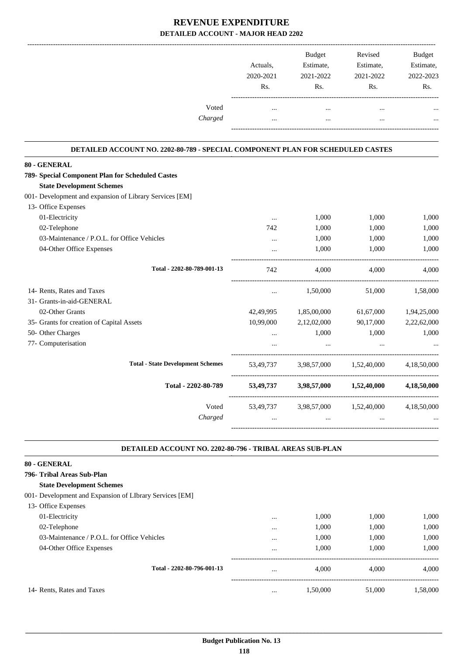|         |           | <b>Budget</b> | Revised   | <b>Budget</b> |
|---------|-----------|---------------|-----------|---------------|
|         | Actuals.  | Estimate,     | Estimate, | Estimate,     |
|         | 2020-2021 | 2021-2022     | 2021-2022 | 2022-2023     |
|         | Rs.       | Rs.           | Rs.       | Rs.           |
| Voted   |           |               |           |               |
| Charged |           |               |           |               |
|         |           |               |           |               |

### **DETAILED ACCOUNT NO. 2202-80-789 - SPECIAL COMPONENT PLAN FOR SCHEDULED CASTES**

.

.

| 80 - GENERAL                                            |           |                       |                                                             |             |
|---------------------------------------------------------|-----------|-----------------------|-------------------------------------------------------------|-------------|
| 789- Special Component Plan for Scheduled Castes        |           |                       |                                                             |             |
| <b>State Development Schemes</b>                        |           |                       |                                                             |             |
| 001- Development and expansion of Library Services [EM] |           |                       |                                                             |             |
| 13- Office Expenses                                     |           |                       |                                                             |             |
| 01-Electricity                                          | $\cdots$  | 1,000                 | 1,000                                                       | 1,000       |
| 02-Telephone                                            | 742       | 1,000                 | 1,000                                                       | 1,000       |
| 03-Maintenance / P.O.L. for Office Vehicles             | $\cdots$  | 1,000                 | 1,000                                                       | 1,000       |
| 04-Other Office Expenses                                | $\cdots$  | 1,000                 | 1,000                                                       | 1,000       |
| Total - 2202-80-789-001-13                              | 742       | 4,000                 | 4,000                                                       | 4,000       |
| 14- Rents, Rates and Taxes                              | $\cdots$  | 1,50,000              | 51,000                                                      | 1,58,000    |
| 31- Grants-in-aid-GENERAL                               |           |                       |                                                             |             |
| 02-Other Grants                                         |           | 42,49,995 1,85,00,000 | 61,67,000                                                   | 1,94,25,000 |
| 35- Grants for creation of Capital Assets               | 10,99,000 | 2,12,02,000           | 90,17,000                                                   | 2,22,62,000 |
| 50- Other Charges                                       | $\cdots$  | 1,000                 | 1,000                                                       | 1,000       |
| 77- Computerisation                                     |           |                       |                                                             |             |
| <b>Total - State Development Schemes</b>                |           |                       | 53,49,737 3,98,57,000 1,52,40,000 4,18,50,000               |             |
| Total - 2202-80-789                                     |           |                       | $53,49,737$ $3,98,57,000$ $1,52,40,000$                     | 4,18,50,000 |
| Voted                                                   |           |                       | 53,49,737 3,98,57,000 1,52,40,000                           | 4,18,50,000 |
| Charged                                                 |           |                       | and the state of the state<br>$\mathbf{r}$ and $\mathbf{r}$ |             |
|                                                         |           |                       |                                                             |             |

#### **DETAILED ACCOUNT NO. 2202-80-796 - TRIBAL AREAS SUB-PLAN .**

| 80 - GENERAL                                            |          |          |        |          |
|---------------------------------------------------------|----------|----------|--------|----------|
| 796- Tribal Areas Sub-Plan                              |          |          |        |          |
| <b>State Development Schemes</b>                        |          |          |        |          |
| 001- Development and Expansion of LIbrary Services [EM] |          |          |        |          |
| 13- Office Expenses                                     |          |          |        |          |
| 01-Electricity                                          | $\cdots$ | 1.000    | 1.000  | 1,000    |
| 02-Telephone                                            | $\cdots$ | 1,000    | 1,000  | 1,000    |
| 03-Maintenance / P.O.L. for Office Vehicles             | $\cdots$ | 1,000    | 1,000  | 1,000    |
| 04-Other Office Expenses                                | $\cdots$ | 1,000    | 1.000  | 1.000    |
| Total - 2202-80-796-001-13                              | $\cdots$ | 4.000    | 4.000  | 4.000    |
| 14- Rents, Rates and Taxes                              | $\cdots$ | 1,50,000 | 51,000 | 1,58,000 |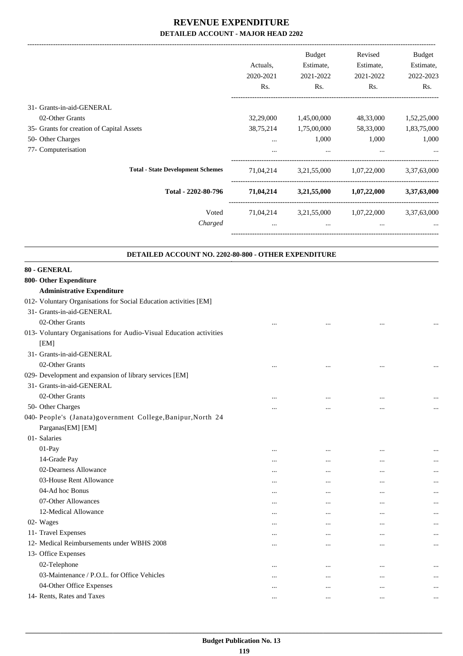|                                           | Actuals,<br>2020-2021<br>Rs. | <b>Budget</b><br>Estimate,<br>2021-2022<br>Rs. | Revised<br>Estimate,<br>2021-2022<br>Rs. | Budget<br>Estimate,<br>2022-2023<br>Rs. |
|-------------------------------------------|------------------------------|------------------------------------------------|------------------------------------------|-----------------------------------------|
| 31- Grants-in-aid-GENERAL                 |                              |                                                |                                          |                                         |
| 02-Other Grants                           | 32,29,000                    | 1,45,00,000                                    | 48,33,000                                | 1,52,25,000                             |
| 35- Grants for creation of Capital Assets | 38,75,214                    | 1,75,00,000                                    | 58,33,000                                | 1,83,75,000                             |
| 50- Other Charges                         | $\cdots$                     | 1,000                                          | 1,000                                    | 1,000                                   |
| 77- Computerisation                       | $\cdots$                     | $\cdots$                                       | $\cdots$                                 | $\cdots$                                |
| <b>Total - State Development Schemes</b>  | 71,04,214                    | 3,21,55,000                                    | 1,07,22,000                              | 3,37,63,000                             |
| Total - 2202-80-796                       | 71,04,214                    | 3,21,55,000                                    | 1,07,22,000                              | 3,37,63,000                             |
| Voted                                     | 71,04,214                    | 3,21,55,000                                    | 1,07,22,000                              | 3,37,63,000                             |
| Charged                                   | $\cdots$                     | $\cdots$                                       | $\cdots$                                 |                                         |

.

| DETAILED ACCOUNT NO. 2202-80-800 - OTHER EXPENDITURE               |          |          |           |          |
|--------------------------------------------------------------------|----------|----------|-----------|----------|
| 80 - GENERAL                                                       |          |          |           |          |
| 800- Other Expenditure                                             |          |          |           |          |
| <b>Administrative Expenditure</b>                                  |          |          |           |          |
| 012- Voluntary Organisations for Social Education activities [EM]  |          |          |           |          |
| 31- Grants-in-aid-GENERAL                                          |          |          |           |          |
| 02-Other Grants                                                    |          |          | $\ddotsc$ |          |
| 013- Voluntary Organisations for Audio-Visual Education activities |          |          |           |          |
| [EM]                                                               |          |          |           |          |
| 31- Grants-in-aid-GENERAL                                          |          |          |           |          |
| 02-Other Grants                                                    |          |          | $\ddotsc$ |          |
| 029- Development and expansion of library services [EM]            |          |          |           |          |
| 31- Grants-in-aid-GENERAL                                          |          |          |           |          |
| 02-Other Grants                                                    |          |          | $\cdots$  |          |
| 50- Other Charges                                                  |          |          |           |          |
| 040- People's (Janata)government College, Banipur, North 24        |          |          |           |          |
| Parganas[EM] [EM]                                                  |          |          |           |          |
| 01- Salaries                                                       |          |          |           |          |
| 01-Pay                                                             |          |          |           |          |
| 14-Grade Pay                                                       |          |          | $\cdots$  | $\cdots$ |
| 02-Dearness Allowance                                              | $\cdots$ | $\cdots$ | $\cdots$  | $\cdots$ |
| 03-House Rent Allowance                                            |          |          |           |          |
| 04-Ad hoc Bonus                                                    | $\cdots$ |          |           |          |
| 07-Other Allowances                                                |          |          |           |          |
| 12-Medical Allowance                                               |          | $\cdots$ | $\cdots$  | $\cdots$ |
| 02- Wages                                                          | $\cdots$ | $\cdots$ | $\cdots$  |          |
| 11- Travel Expenses                                                |          |          | $\ddotsc$ | $\cdots$ |
| 12- Medical Reimbursements under WBHS 2008                         |          |          |           |          |
| 13- Office Expenses                                                |          |          |           |          |
| 02-Telephone                                                       | $\cdots$ | $\cdots$ | $\cdots$  | $\cdots$ |
| 03-Maintenance / P.O.L. for Office Vehicles                        | $\cdots$ |          | $\cdots$  |          |
| 04-Other Office Expenses                                           |          |          | $\ddotsc$ |          |
| 14- Rents, Rates and Taxes                                         | $\cdots$ |          | $\cdots$  |          |
|                                                                    |          |          |           |          |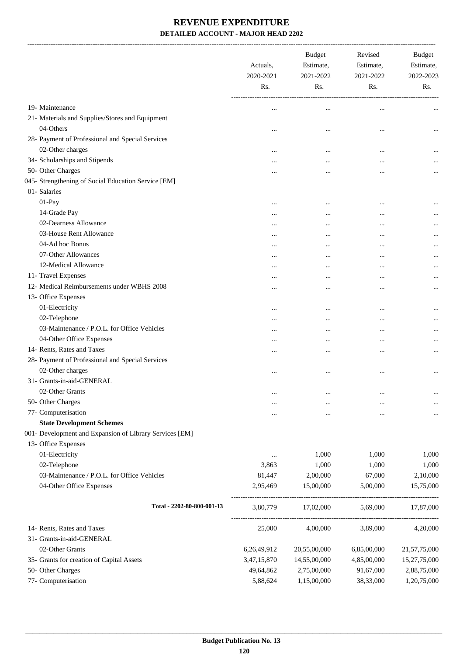-------------------------------------------------------------------------------------------------------------------------------------------------------------------------------

|                                                         | Actuals,<br>2020-2021<br>Rs. | <b>Budget</b><br>Estimate,<br>2021-2022<br>Rs. | Revised<br>Estimate,<br>2021-2022<br>Rs. | <b>Budget</b><br>Estimate,<br>2022-2023<br>Rs. |
|---------------------------------------------------------|------------------------------|------------------------------------------------|------------------------------------------|------------------------------------------------|
| 19- Maintenance                                         |                              |                                                |                                          |                                                |
| 21- Materials and Supplies/Stores and Equipment         |                              |                                                |                                          |                                                |
| 04-Others                                               |                              |                                                |                                          |                                                |
| 28- Payment of Professional and Special Services        |                              |                                                |                                          |                                                |
| 02-Other charges                                        |                              | $\cdots$                                       |                                          |                                                |
| 34- Scholarships and Stipends                           | $\cdots$                     | $\cdots$                                       |                                          | $\cdots$                                       |
| 50- Other Charges                                       |                              |                                                |                                          | $\cdots$                                       |
| 045- Strengthening of Social Education Service [EM]     |                              |                                                |                                          |                                                |
| 01- Salaries                                            |                              |                                                |                                          |                                                |
| $01-Pay$                                                |                              |                                                |                                          | $\cdots$                                       |
| 14-Grade Pay                                            |                              |                                                |                                          | $\cdots$                                       |
| 02-Dearness Allowance                                   | $\cdots$                     |                                                |                                          | $\cdots$                                       |
| 03-House Rent Allowance                                 |                              |                                                |                                          |                                                |
| 04-Ad hoc Bonus                                         | $\cdots$                     |                                                |                                          | $\cdots$                                       |
| 07-Other Allowances                                     | $\cdots$                     |                                                |                                          | $\cdots$                                       |
| 12-Medical Allowance                                    |                              | $\cdots$                                       | $\cdots$                                 | $\cdots$                                       |
| 11- Travel Expenses                                     | $\cdots$                     | $\cdots$                                       |                                          | $\cdots$                                       |
| 12- Medical Reimbursements under WBHS 2008              | $\cdots$                     |                                                |                                          | $\cdots$                                       |
| 13- Office Expenses                                     |                              |                                                |                                          |                                                |
| 01-Electricity                                          |                              | $\cdots$                                       |                                          | $\cdots$                                       |
| 02-Telephone                                            | $\cdots$                     |                                                |                                          | $\cdots$                                       |
| 03-Maintenance / P.O.L. for Office Vehicles             |                              | $\cdots$                                       |                                          | $\cdots$                                       |
| 04-Other Office Expenses                                |                              |                                                |                                          | $\cdots$                                       |
| 14- Rents, Rates and Taxes                              | $\cdots$                     |                                                |                                          | $\cdots$                                       |
| 28- Payment of Professional and Special Services        |                              |                                                |                                          |                                                |
| 02-Other charges                                        | $\cdots$                     |                                                |                                          |                                                |
| 31- Grants-in-aid-GENERAL                               |                              |                                                |                                          |                                                |
| 02-Other Grants                                         |                              |                                                |                                          |                                                |
| 50- Other Charges                                       |                              | $\cdots$                                       |                                          |                                                |
| 77- Computerisation                                     |                              | $\cdots$                                       |                                          | $\cdots$                                       |
| <b>State Development Schemes</b>                        |                              |                                                |                                          |                                                |
| 001- Development and Expansion of Library Services [EM] |                              |                                                |                                          |                                                |
| 13- Office Expenses                                     |                              |                                                |                                          |                                                |
| 01-Electricity                                          |                              | 1,000                                          | 1,000                                    | 1,000                                          |
| 02-Telephone                                            | 3,863                        | 1,000                                          | 1,000                                    | 1,000                                          |
| 03-Maintenance / P.O.L. for Office Vehicles             | 81,447                       | 2,00,000                                       | 67,000                                   | 2,10,000                                       |
| 04-Other Office Expenses                                | 2,95,469                     | 15,00,000                                      | 5.00.000                                 | 15,75,000                                      |
| Total - 2202-80-800-001-13                              | 3,80,779                     | 17,02,000                                      | 5,69,000                                 | 17,87,000                                      |
| 14- Rents, Rates and Taxes                              | 25,000                       | 4,00,000                                       | 3,89,000                                 | 4,20,000                                       |
| 31- Grants-in-aid-GENERAL                               |                              |                                                |                                          |                                                |
| 02-Other Grants                                         | 6,26,49,912                  | 20,55,00,000                                   | 6,85,00,000                              | 21,57,75,000                                   |
| 35- Grants for creation of Capital Assets               | 3,47,15,870                  | 14,55,00,000                                   | 4,85,00,000                              | 15,27,75,000                                   |
| 50- Other Charges                                       | 49,64,862                    | 2,75,00,000                                    | 91,67,000                                | 2,88,75,000                                    |
| 77- Computerisation                                     | 5,88,624                     | 1,15,00,000                                    | 38,33,000                                | 1,20,75,000                                    |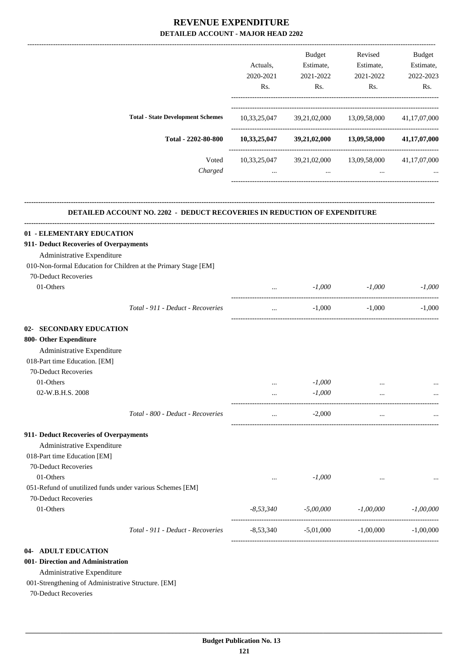|                                                                                                   |                                                                                  |                          | Budget                              | Revised                                                         | Budget           |
|---------------------------------------------------------------------------------------------------|----------------------------------------------------------------------------------|--------------------------|-------------------------------------|-----------------------------------------------------------------|------------------|
|                                                                                                   |                                                                                  | Actuals,                 | Estimate,                           | Estimate,                                                       | Estimate,        |
|                                                                                                   |                                                                                  | 2020-2021<br>Rs.         | 2021-2022<br>Rs.                    | 2021-2022<br>Rs.                                                | 2022-2023<br>Rs. |
|                                                                                                   |                                                                                  |                          |                                     |                                                                 |                  |
|                                                                                                   | <b>Total - State Development Schemes</b>                                         |                          |                                     | 10,33,25,047 39,21,02,000 13,09,58,000 41,17,07,000             |                  |
|                                                                                                   | Total - 2202-80-800                                                              |                          |                                     | $10,33,25,047$ $39,21,02,000$ $13,09,58,000$ $41,17,07,000$     |                  |
|                                                                                                   | Voted<br>Charged                                                                 | <b>Contract Contract</b> | and the state of the state of the   | 10,33,25,047 39,21,02,000 13,09,58,000 41,17,07,000<br>$\cdots$ |                  |
|                                                                                                   | <b>DETAILED ACCOUNT NO. 2202 - DEDUCT RECOVERIES IN REDUCTION OF EXPENDITURE</b> |                          |                                     |                                                                 |                  |
| 01 - ELEMENTARY EDUCATION<br>911- Deduct Recoveries of Overpayments<br>Administrative Expenditure |                                                                                  |                          |                                     |                                                                 |                  |
| 010-Non-formal Education for Children at the Primary Stage [EM]                                   |                                                                                  |                          |                                     |                                                                 |                  |
| 70-Deduct Recoveries                                                                              |                                                                                  |                          |                                     |                                                                 |                  |
| 01-Others                                                                                         |                                                                                  |                          |                                     | $-1,000$ $-1,000$                                               | $-1,000$         |
|                                                                                                   | Total - 911 - Deduct - Recoveries                                                | $\cdots$                 |                                     | $-1,000$ $-1,000$                                               | $-1,000$         |
| <b>02- SECONDARY EDUCATION</b>                                                                    |                                                                                  |                          |                                     |                                                                 |                  |
| 800- Other Expenditure                                                                            |                                                                                  |                          |                                     |                                                                 |                  |
| Administrative Expenditure                                                                        |                                                                                  |                          |                                     |                                                                 |                  |
| 018-Part time Education. [EM]                                                                     |                                                                                  |                          |                                     |                                                                 |                  |
| 70-Deduct Recoveries                                                                              |                                                                                  |                          |                                     |                                                                 |                  |
| 01-Others                                                                                         |                                                                                  |                          | $-1,000$<br>$-1,000$                |                                                                 |                  |
| 02-W.B.H.S. 2008                                                                                  |                                                                                  |                          |                                     |                                                                 |                  |
|                                                                                                   | Total - 800 - Deduct - Recoveries                                                | $\cdots$                 | $-2,000$                            | $\cdots$                                                        |                  |
| 911- Deduct Recoveries of Overpayments                                                            |                                                                                  |                          |                                     |                                                                 |                  |
| Administrative Expenditure                                                                        |                                                                                  |                          |                                     |                                                                 |                  |
| 018-Part time Education [EM]                                                                      |                                                                                  |                          |                                     |                                                                 |                  |
| 70-Deduct Recoveries                                                                              |                                                                                  |                          |                                     |                                                                 |                  |
| 01-Others                                                                                         |                                                                                  | $\cdots$                 | $-1,000$                            | $\cdots$                                                        |                  |
| 051-Refund of unutilized funds under various Schemes [EM]                                         |                                                                                  |                          |                                     |                                                                 |                  |
| 70-Deduct Recoveries                                                                              |                                                                                  |                          |                                     |                                                                 |                  |
| 01-Others                                                                                         |                                                                                  |                          | $-8,53,340$ $-5,00,000$ $-1,00,000$ |                                                                 | $-1,00,000$      |
|                                                                                                   | Total - 911 - Deduct - Recoveries                                                |                          |                                     | $-8,53,340$ $-5,01,000$ $-1,00,000$                             | $-1,00,000$      |
| 04- ADULT EDUCATION                                                                               |                                                                                  |                          |                                     |                                                                 |                  |
| 001- Direction and Administration                                                                 |                                                                                  |                          |                                     |                                                                 |                  |
| Administrative Expenditure                                                                        |                                                                                  |                          |                                     |                                                                 |                  |
| 001-Strengthening of Administrative Structure. [EM]                                               |                                                                                  |                          |                                     |                                                                 |                  |

70-Deduct Recoveries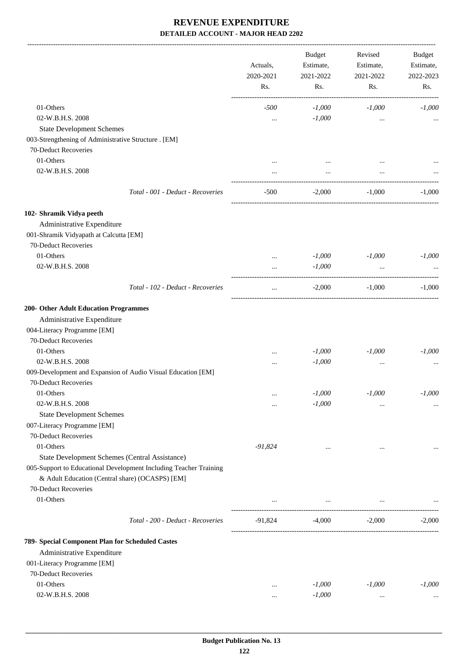|                                                              |                                                                   | Actuals,<br>2020-2021 | <b>Budget</b><br>Estimate,<br>2021-2022 | Revised<br>Estimate,<br>2021-2022           | Budget<br>Estimate,<br>2022-2023 |
|--------------------------------------------------------------|-------------------------------------------------------------------|-----------------------|-----------------------------------------|---------------------------------------------|----------------------------------|
|                                                              |                                                                   | Rs.                   | Rs.                                     | Rs.                                         | Rs.                              |
| 01-Others                                                    |                                                                   | -500                  | $-1,000$                                | $-1,000$                                    | $-1,000$                         |
| 02-W.B.H.S. 2008                                             |                                                                   |                       | $-1,000$                                |                                             |                                  |
| <b>State Development Schemes</b>                             |                                                                   | $\cdots$              |                                         | $\cdots$                                    |                                  |
| 003-Strengthening of Administrative Structure . [EM]         |                                                                   |                       |                                         |                                             |                                  |
| 70-Deduct Recoveries                                         |                                                                   |                       |                                         |                                             |                                  |
| 01-Others                                                    |                                                                   |                       |                                         |                                             |                                  |
| 02-W.B.H.S. 2008                                             |                                                                   |                       |                                         |                                             |                                  |
|                                                              |                                                                   | $\cdots$              | $\cdots$                                | $\cdots$                                    |                                  |
|                                                              | Total - 001 - Deduct - Recoveries                                 | $-500$                | $-2,000$                                | $-1,000$                                    | $-1,000$                         |
| 102- Shramik Vidya peeth                                     |                                                                   |                       |                                         |                                             |                                  |
| Administrative Expenditure                                   |                                                                   |                       |                                         |                                             |                                  |
| 001-Shramik Vidyapath at Calcutta [EM]                       |                                                                   |                       |                                         |                                             |                                  |
| 70-Deduct Recoveries                                         |                                                                   |                       |                                         |                                             |                                  |
| 01-Others                                                    |                                                                   | $\cdots$              | $-1,000$                                | $-1,000$                                    | $-1,000$                         |
| 02-W.B.H.S. 2008                                             |                                                                   | $\cdots$              | $-1,000$                                | $\ldots$                                    |                                  |
|                                                              | Total - 102 - Deduct - Recoveries                                 | $\ddots$              | $-2,000$                                | $-1,000$                                    | $-1,000$                         |
|                                                              |                                                                   |                       |                                         |                                             |                                  |
| 200- Other Adult Education Programmes                        |                                                                   |                       |                                         |                                             |                                  |
| Administrative Expenditure                                   |                                                                   |                       |                                         |                                             |                                  |
| 004-Literacy Programme [EM]                                  |                                                                   |                       |                                         |                                             |                                  |
| 70-Deduct Recoveries                                         |                                                                   |                       |                                         |                                             |                                  |
| 01-Others                                                    |                                                                   | $\cdots$              | $-1,000$                                | $-1,000$                                    | $-1,000$                         |
| 02-W.B.H.S. 2008                                             |                                                                   |                       | $-1,000$                                | $\ddotsc$                                   |                                  |
| 009-Development and Expansion of Audio Visual Education [EM] |                                                                   |                       |                                         |                                             |                                  |
| 70-Deduct Recoveries                                         |                                                                   |                       |                                         |                                             |                                  |
| 01-Others                                                    |                                                                   | $\cdots$              | $-1,000$                                | $-1,000$                                    | $-1,000$                         |
| 02-W.B.H.S. 2008                                             |                                                                   |                       | $-1,000$                                | $\ddotsc$                                   |                                  |
| <b>State Development Schemes</b>                             |                                                                   |                       |                                         |                                             |                                  |
| 007-Literacy Programme [EM]                                  |                                                                   |                       |                                         |                                             |                                  |
| 70-Deduct Recoveries                                         |                                                                   |                       |                                         |                                             |                                  |
| 01-Others                                                    |                                                                   | $-91,824$             | $\cdots$                                |                                             |                                  |
| State Development Schemes (Central Assistance)               |                                                                   |                       |                                         |                                             |                                  |
|                                                              | 005-Support to Educational Development Including Teacher Training |                       |                                         |                                             |                                  |
| & Adult Education (Central share) (OCASPS) [EM]              |                                                                   |                       |                                         |                                             |                                  |
| 70-Deduct Recoveries                                         |                                                                   |                       |                                         |                                             |                                  |
| 01-Others                                                    |                                                                   | $\ldots$              |                                         | <b>Second Contract Contract</b><br>$\cdots$ |                                  |
|                                                              | Total - 200 - Deduct - Recoveries                                 | -91,824               | $-4,000$                                | $-2,000$                                    | $-2,000$                         |
|                                                              |                                                                   |                       |                                         |                                             |                                  |
| 789- Special Component Plan for Scheduled Castes             |                                                                   |                       |                                         |                                             |                                  |
| Administrative Expenditure                                   |                                                                   |                       |                                         |                                             |                                  |
| 001-Literacy Programme [EM]<br>70-Deduct Recoveries          |                                                                   |                       |                                         |                                             |                                  |
| 01-Others                                                    |                                                                   |                       |                                         |                                             |                                  |
|                                                              |                                                                   |                       | $-1,000$                                | $-1,000$                                    | $-1,000$                         |
| 02-W.B.H.S. 2008                                             |                                                                   | $\cdots$              | $-1,000$                                | $\cdots$                                    |                                  |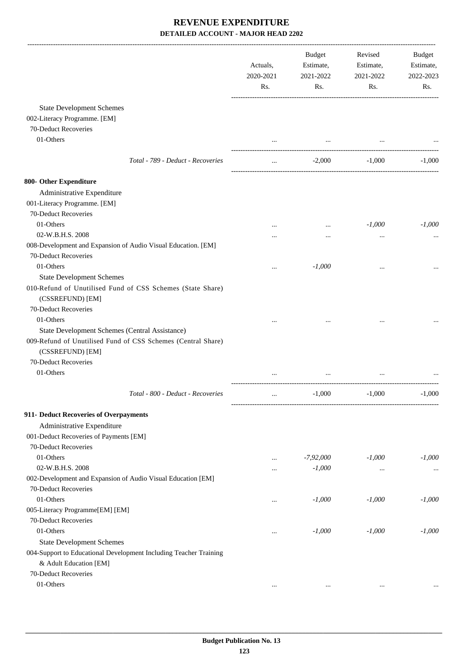|                                                                                             | Actuals,<br>2020-2021<br>Rs. | Budget<br>Estimate,<br>2021-2022<br>Rs. | Revised<br>Estimate,<br>2021-2022<br>Rs.                                                | Budget<br>Estimate,<br>2022-2023<br>Rs. |
|---------------------------------------------------------------------------------------------|------------------------------|-----------------------------------------|-----------------------------------------------------------------------------------------|-----------------------------------------|
| <b>State Development Schemes</b>                                                            |                              |                                         |                                                                                         |                                         |
| 002-Literacy Programme. [EM]                                                                |                              |                                         |                                                                                         |                                         |
| 70-Deduct Recoveries                                                                        |                              |                                         |                                                                                         |                                         |
| 01-Others                                                                                   | $\cdots$                     |                                         | $\mathbf{1}$ and $\mathbf{1}$ are all the set of the set of the set of the $\mathbf{1}$ |                                         |
|                                                                                             |                              |                                         |                                                                                         |                                         |
| Total - 789 - Deduct - Recoveries                                                           | $\cdots$                     | $-2,000$                                | $-1,000$                                                                                | $-1,000$                                |
| 800- Other Expenditure                                                                      |                              |                                         |                                                                                         |                                         |
| Administrative Expenditure                                                                  |                              |                                         |                                                                                         |                                         |
| 001-Literacy Programme. [EM]                                                                |                              |                                         |                                                                                         |                                         |
| 70-Deduct Recoveries                                                                        |                              |                                         |                                                                                         |                                         |
| 01-Others                                                                                   |                              |                                         | $-1,000$                                                                                | $-1,000$                                |
| 02-W.B.H.S. 2008                                                                            |                              |                                         | $\cdots$                                                                                |                                         |
| 008-Development and Expansion of Audio Visual Education. [EM]                               |                              |                                         |                                                                                         |                                         |
| 70-Deduct Recoveries                                                                        |                              |                                         |                                                                                         |                                         |
| 01-Others                                                                                   | $\cdots$                     | $-1,000$                                |                                                                                         |                                         |
| <b>State Development Schemes</b>                                                            |                              |                                         |                                                                                         |                                         |
| 010-Refund of Unutilised Fund of CSS Schemes (State Share)<br>(CSSREFUND) [EM]              |                              |                                         |                                                                                         |                                         |
| 70-Deduct Recoveries                                                                        |                              |                                         |                                                                                         |                                         |
| 01-Others                                                                                   | $\cdots$                     |                                         |                                                                                         |                                         |
| State Development Schemes (Central Assistance)                                              |                              |                                         |                                                                                         |                                         |
| 009-Refund of Unutilised Fund of CSS Schemes (Central Share)<br>(CSSREFUND) [EM]            |                              |                                         |                                                                                         |                                         |
| 70-Deduct Recoveries                                                                        |                              |                                         |                                                                                         |                                         |
| 01-Others                                                                                   |                              |                                         |                                                                                         |                                         |
|                                                                                             |                              |                                         |                                                                                         |                                         |
| Total - 800 - Deduct - Recoveries                                                           |                              | $-1,000$                                | $-1,000$                                                                                | $-1,000$                                |
| 911- Deduct Recoveries of Overpayments                                                      |                              |                                         |                                                                                         |                                         |
| Administrative Expenditure                                                                  |                              |                                         |                                                                                         |                                         |
| 001-Deduct Recoveries of Payments [EM]                                                      |                              |                                         |                                                                                         |                                         |
| 70-Deduct Recoveries                                                                        |                              |                                         |                                                                                         |                                         |
| 01-Others                                                                                   | $\cdots$                     | $-7,92,000$                             | $-1,000$                                                                                | $-1,000$                                |
| 02-W.B.H.S. 2008                                                                            |                              | $-1,000$                                | $\cdots$                                                                                |                                         |
| 002-Development and Expansion of Audio Visual Education [EM]                                |                              |                                         |                                                                                         |                                         |
| 70-Deduct Recoveries                                                                        |                              |                                         |                                                                                         |                                         |
| 01-Others                                                                                   |                              | $-1,000$                                | $-1,000$                                                                                | $-1,000$                                |
| 005-Literacy Programme[EM] [EM]                                                             |                              |                                         |                                                                                         |                                         |
| 70-Deduct Recoveries                                                                        |                              |                                         |                                                                                         |                                         |
| 01-Others                                                                                   | $\cdots$                     | $-1,000$                                | $-1,000$                                                                                | $-1,000$                                |
| <b>State Development Schemes</b>                                                            |                              |                                         |                                                                                         |                                         |
| 004-Support to Educational Development Including Teacher Training<br>& Adult Education [EM] |                              |                                         |                                                                                         |                                         |
| 70-Deduct Recoveries                                                                        |                              |                                         |                                                                                         |                                         |
| 01-Others                                                                                   | $\cdots$                     | $\ldots$                                | $\ldots$                                                                                |                                         |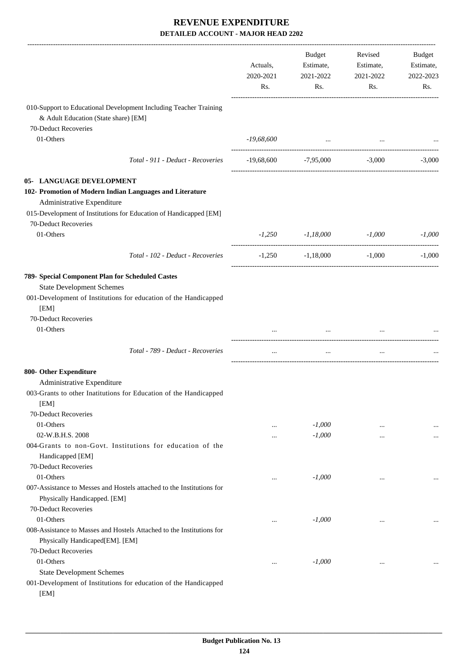|                                                                                                           | Actuals,<br>2020-2021<br>Rs. | <b>Budget</b><br>Estimate,<br>2021-2022<br>Rs. | Revised<br>Estimate,<br>2021-2022<br>Rs. | Budget<br>Estimate,<br>2022-2023<br>Rs. |
|-----------------------------------------------------------------------------------------------------------|------------------------------|------------------------------------------------|------------------------------------------|-----------------------------------------|
| 010-Support to Educational Development Including Teacher Training<br>& Adult Education (State share) [EM] |                              |                                                |                                          |                                         |
| 70-Deduct Recoveries                                                                                      |                              |                                                |                                          |                                         |
| 01-Others                                                                                                 | $-19,68,600$                 | and the company of the company                 |                                          |                                         |
| Total - 911 - Deduct - Recoveries                                                                         |                              | $-19,68,600$ $-7,95,000$ $-3,000$              |                                          | $-3,000$                                |
| 05- LANGUAGE DEVELOPMENT                                                                                  |                              |                                                |                                          |                                         |
| 102- Promotion of Modern Indian Languages and Literature                                                  |                              |                                                |                                          |                                         |
| Administrative Expenditure                                                                                |                              |                                                |                                          |                                         |
| 015-Development of Institutions for Education of Handicapped [EM]<br>70-Deduct Recoveries                 |                              |                                                |                                          |                                         |
| 01-Others                                                                                                 |                              | $-1,250$ $-1,18,000$                           | $-1,000$                                 | $-1,000$                                |
| Total - 102 - Deduct - Recoveries                                                                         | $-1,250$                     | $-1,18,000$                                    | $-1,000$                                 | $-1,000$                                |
| 789- Special Component Plan for Scheduled Castes                                                          |                              |                                                |                                          |                                         |
| <b>State Development Schemes</b>                                                                          |                              |                                                |                                          |                                         |
| 001-Development of Institutions for education of the Handicapped                                          |                              |                                                |                                          |                                         |
| [EM]                                                                                                      |                              |                                                |                                          |                                         |
| 70-Deduct Recoveries                                                                                      |                              |                                                |                                          |                                         |
| 01-Others                                                                                                 | $\cdots$                     | $\cdots$                                       | $\cdots$                                 |                                         |
| Total - 789 - Deduct - Recoveries                                                                         | $\cdots$                     | $\cdots$                                       | $\cdots$                                 |                                         |
| 800- Other Expenditure                                                                                    |                              |                                                |                                          |                                         |
| Administrative Expenditure                                                                                |                              |                                                |                                          |                                         |
| 003-Grants to other Inatitutions for Education of the Handicapped<br>[EM]                                 |                              |                                                |                                          |                                         |
| 70-Deduct Recoveries                                                                                      |                              |                                                |                                          |                                         |
| 01-Others                                                                                                 | $\ddotsc$                    | $-1,000$                                       |                                          | $\cdots$                                |
| 02-W.B.H.S. 2008                                                                                          |                              | $-1,000$                                       |                                          | $\cdots$                                |
| 004-Grants to non-Govt. Institutions for education of the                                                 |                              |                                                |                                          |                                         |
| Handicapped [EM]                                                                                          |                              |                                                |                                          |                                         |
| 70-Deduct Recoveries                                                                                      |                              |                                                |                                          |                                         |
| 01-Others                                                                                                 |                              | $-1,000$                                       | $\ddotsc$                                |                                         |
| 007-Assistance to Messes and Hostels attached to the Institutions for                                     |                              |                                                |                                          |                                         |
| Physically Handicapped. [EM]                                                                              |                              |                                                |                                          |                                         |
| 70-Deduct Recoveries                                                                                      |                              |                                                |                                          |                                         |
| 01-Others                                                                                                 | $\cdots$                     | $-1,000$                                       |                                          | $\cdots$                                |
| 008-Assistance to Masses and Hostels Attached to the Institutions for<br>Physically Handicaped[EM]. [EM]  |                              |                                                |                                          |                                         |
| 70-Deduct Recoveries                                                                                      |                              |                                                |                                          |                                         |
| 01-Others                                                                                                 | $\cdots$                     | $-1,000$                                       |                                          |                                         |
| <b>State Development Schemes</b>                                                                          |                              |                                                |                                          |                                         |
| 001-Development of Institutions for education of the Handicapped<br>[EM]                                  |                              |                                                |                                          |                                         |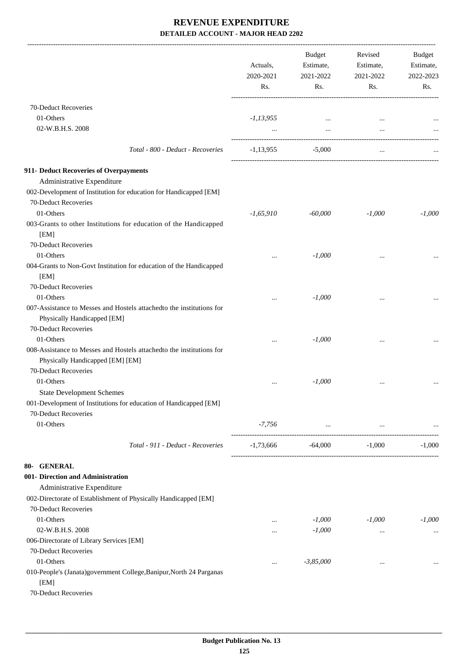|                                                                                           | Actuals,<br>2020-2021<br>Rs. | <b>Budget</b><br>Estimate,<br>2021-2022<br>Rs.  | Revised<br>Estimate,<br>2021-2022<br>Rs. | Budget<br>Estimate,<br>2022-2023<br>Rs. |
|-------------------------------------------------------------------------------------------|------------------------------|-------------------------------------------------|------------------------------------------|-----------------------------------------|
|                                                                                           |                              |                                                 |                                          |                                         |
| 70-Deduct Recoveries                                                                      |                              |                                                 |                                          |                                         |
| 01-Others                                                                                 | $-1, 13, 955$                | $\cdots$                                        | $\cdots$                                 |                                         |
| 02-W.B.H.S. 2008                                                                          | $\cdots$                     | $\ddots$                                        | $\ddots$                                 |                                         |
| Total - 800 - Deduct - Recoveries                                                         | $-1,13,955$                  | $-5,000$                                        | $\ddotsc$                                |                                         |
| 911- Deduct Recoveries of Overpayments                                                    |                              |                                                 |                                          |                                         |
| Administrative Expenditure                                                                |                              |                                                 |                                          |                                         |
| 002-Development of Institution for education for Handicapped [EM]                         |                              |                                                 |                                          |                                         |
| 70-Deduct Recoveries                                                                      |                              |                                                 |                                          |                                         |
| 01-Others                                                                                 | $-1,65,910$                  | $-60,000$                                       | $-1,000$                                 | $-1,000$                                |
| 003-Grants to other Institutions for education of the Handicapped                         |                              |                                                 |                                          |                                         |
| [EM]                                                                                      |                              |                                                 |                                          |                                         |
| 70-Deduct Recoveries                                                                      |                              |                                                 |                                          |                                         |
| 01-Others                                                                                 | $\cdots$                     | $-1,000$                                        |                                          |                                         |
| 004-Grants to Non-Govt Institution for education of the Handicapped                       |                              |                                                 |                                          |                                         |
| [EM]                                                                                      |                              |                                                 |                                          |                                         |
| 70-Deduct Recoveries                                                                      |                              |                                                 |                                          |                                         |
| 01-Others                                                                                 |                              | $-1,000$                                        | $\cdots$                                 |                                         |
| 007-Assistance to Messes and Hostels attached to the institutions for                     |                              |                                                 |                                          |                                         |
| Physically Handicapped [EM]                                                               |                              |                                                 |                                          |                                         |
| 70-Deduct Recoveries                                                                      |                              |                                                 |                                          |                                         |
| 01-Others                                                                                 | $\cdots$                     | $-1,000$                                        | $\cdots$                                 |                                         |
| 008-Assistance to Messes and Hostels attachedto the institutions for                      |                              |                                                 |                                          |                                         |
| Physically Handicapped [EM] [EM]                                                          |                              |                                                 |                                          |                                         |
| 70-Deduct Recoveries                                                                      |                              |                                                 |                                          |                                         |
| 01-Others                                                                                 | $\cdots$                     | $-1,000$                                        | $\cdots$                                 |                                         |
| <b>State Development Schemes</b>                                                          |                              |                                                 |                                          |                                         |
| 001-Development of Institutions for education of Handicapped [EM]<br>70-Deduct Recoveries |                              |                                                 |                                          |                                         |
| 01-Others                                                                                 | $-7,756$                     |                                                 |                                          |                                         |
|                                                                                           |                              | the contract of the contract of the contract of | $\cdots$                                 |                                         |
| Total - 911 - Deduct - Recoveries                                                         | $-1,73,666$                  | -64,000                                         | $-1,000$                                 | $-1.000$                                |
| 80- GENERAL                                                                               |                              |                                                 |                                          |                                         |
| 001- Direction and Administration                                                         |                              |                                                 |                                          |                                         |
| Administrative Expenditure                                                                |                              |                                                 |                                          |                                         |
| 002-Directorate of Establishment of Physically Handicapped [EM]                           |                              |                                                 |                                          |                                         |
| 70-Deduct Recoveries                                                                      |                              |                                                 |                                          |                                         |
| 01-Others                                                                                 | $\cdots$                     | $-1,000$                                        | $-1,000$                                 | $-1,000$                                |
| 02-W.B.H.S. 2008                                                                          |                              | $-1,000$                                        | $\cdots$                                 |                                         |
| 006-Directorate of Library Services [EM]                                                  |                              |                                                 |                                          |                                         |
| 70-Deduct Recoveries                                                                      |                              |                                                 |                                          |                                         |
| 01-Others                                                                                 |                              | $-3,85,000$                                     |                                          |                                         |
| 010-People's (Janata)government College, Banipur, North 24 Parganas                       |                              |                                                 |                                          |                                         |
| [EM]                                                                                      |                              |                                                 |                                          |                                         |
| 70-Deduct Recoveries                                                                      |                              |                                                 |                                          |                                         |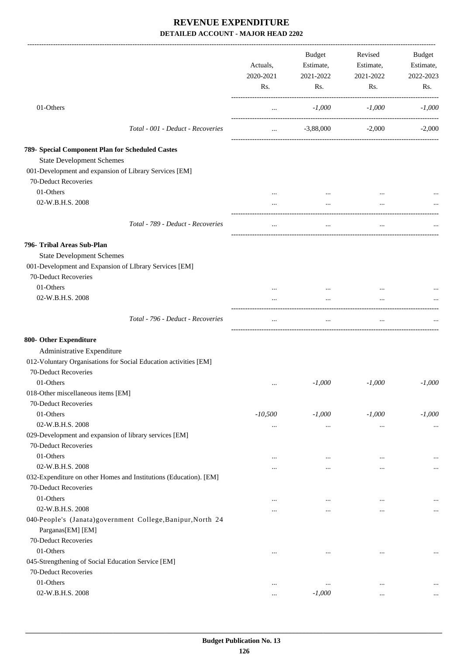|                                                                                           | Actuals,<br>2020-2021<br>Rs. | Budget<br>Estimate,<br>2021-2022<br>Rs. | Revised<br>Estimate,<br>2021-2022<br>Rs. | Budget<br>Estimate,<br>2022-2023<br>Rs. |
|-------------------------------------------------------------------------------------------|------------------------------|-----------------------------------------|------------------------------------------|-----------------------------------------|
| 01-Others                                                                                 | $\cdots$                     | $-1,000$                                | $-1,000$                                 | $-1,000$                                |
| Total - 001 - Deduct - Recoveries                                                         | $\cdots$                     | $-3,88,000$                             | $-2,000$                                 | $-2,000$                                |
| 789- Special Component Plan for Scheduled Castes                                          |                              |                                         |                                          |                                         |
| <b>State Development Schemes</b>                                                          |                              |                                         |                                          |                                         |
| 001-Development and expansion of Library Services [EM]                                    |                              |                                         |                                          |                                         |
| 70-Deduct Recoveries                                                                      |                              |                                         |                                          |                                         |
| 01-Others                                                                                 |                              |                                         |                                          |                                         |
| 02-W.B.H.S. 2008                                                                          |                              | $\cdots$                                | $\cdots$                                 |                                         |
| Total - 789 - Deduct - Recoveries                                                         | $\cdots$                     | $\cdots$                                | $\cdots$                                 |                                         |
| 796- Tribal Areas Sub-Plan                                                                |                              |                                         |                                          |                                         |
| <b>State Development Schemes</b>                                                          |                              |                                         |                                          |                                         |
| 001-Development and Expansion of LIbrary Services [EM]                                    |                              |                                         |                                          |                                         |
| 70-Deduct Recoveries                                                                      |                              |                                         |                                          |                                         |
| 01-Others                                                                                 |                              | $\cdots$                                | $\cdots$                                 |                                         |
| 02-W.B.H.S. 2008                                                                          |                              | $\ddotsc$                               |                                          |                                         |
|                                                                                           |                              |                                         |                                          |                                         |
| Total - 796 - Deduct - Recoveries                                                         | $\cdots$                     | $\cdots$                                | $\cdots$                                 |                                         |
| 800- Other Expenditure                                                                    |                              |                                         |                                          |                                         |
| Administrative Expenditure                                                                |                              |                                         |                                          |                                         |
| 012-Voluntary Organisations for Social Education activities [EM]                          |                              |                                         |                                          |                                         |
| 70-Deduct Recoveries                                                                      |                              |                                         |                                          |                                         |
| 01-Others                                                                                 |                              | $-1,000$                                | $-1,000$                                 | $-1,000$                                |
| 018-Other miscellaneous items [EM]                                                        |                              |                                         |                                          |                                         |
| 70-Deduct Recoveries                                                                      |                              |                                         |                                          |                                         |
| 01-Others                                                                                 | $-10,500$                    | $-1,000$                                | $-1,000$                                 | $-1,000$                                |
| 02-W.B.H.S. 2008                                                                          | $\cdots$                     | $\cdots$                                | $\ldots$                                 | $\cdots$                                |
| 029-Development and expansion of library services [EM]                                    |                              |                                         |                                          |                                         |
| 70-Deduct Recoveries                                                                      |                              |                                         |                                          |                                         |
| 01-Others                                                                                 |                              | $\ddotsc$                               | $\ddotsc$                                |                                         |
| 02-W.B.H.S. 2008                                                                          |                              | $\ddotsc$                               | $\ddotsc$                                | $\cdots$                                |
| 032-Expenditure on other Homes and Institutions (Education). [EM]<br>70-Deduct Recoveries |                              |                                         |                                          |                                         |
| 01-Others                                                                                 |                              |                                         |                                          |                                         |
| 02-W.B.H.S. 2008                                                                          | $\cdots$                     | $\cdots$                                | $\cdots$                                 |                                         |
| 040-People's (Janata)government College, Banipur, North 24                                |                              |                                         |                                          | $\ldots$                                |
| Parganas[EM] [EM]                                                                         |                              |                                         |                                          |                                         |
| 70-Deduct Recoveries                                                                      |                              |                                         |                                          |                                         |
| 01-Others                                                                                 | $\ddotsc$                    | $\ddotsc$                               | $\ddotsc$                                | $\cdots$                                |
| 045-Strengthening of Social Education Service [EM]                                        |                              |                                         |                                          |                                         |
| 70-Deduct Recoveries                                                                      |                              |                                         |                                          |                                         |
| 01-Others                                                                                 | $\ddotsc$                    | $\cdots$                                | $\ddotsc$                                |                                         |
| 02-W.B.H.S. 2008                                                                          | $\cdots$                     | $-1,000$                                | $\cdots$                                 | $\cdots$                                |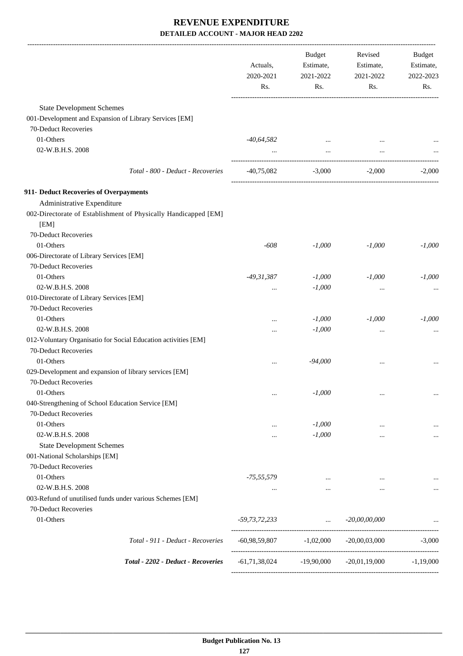|                                                                 | Actuals,<br>2020-2021<br>Rs. | Budget<br>Estimate,<br>2021-2022<br>Rs. | Revised<br>Estimate,<br>2021-2022<br>Rs. | Budget<br>Estimate,<br>2022-2023<br>Rs. |
|-----------------------------------------------------------------|------------------------------|-----------------------------------------|------------------------------------------|-----------------------------------------|
| <b>State Development Schemes</b>                                |                              |                                         |                                          |                                         |
| 001-Development and Expansion of Library Services [EM]          |                              |                                         |                                          |                                         |
| 70-Deduct Recoveries                                            |                              |                                         |                                          |                                         |
| 01-Others                                                       | $-40,64,582$                 | $\cdots$                                |                                          |                                         |
| 02-W.B.H.S. 2008                                                |                              | $\cdots$                                |                                          |                                         |
| Total - 800 - Deduct - Recoveries                               | -40,75,082                   |                                         | $-3,000$<br>$-2,000$                     | $-2,000$                                |
| 911- Deduct Recoveries of Overpayments                          |                              |                                         |                                          |                                         |
| Administrative Expenditure                                      |                              |                                         |                                          |                                         |
| 002-Directorate of Establishment of Physically Handicapped [EM] |                              |                                         |                                          |                                         |
| [EM]                                                            |                              |                                         |                                          |                                         |
| 70-Deduct Recoveries                                            |                              |                                         |                                          |                                         |
| 01-Others                                                       | $-608$                       | $-1,000$                                | $-1,000$                                 | $-1,000$                                |
| 006-Directorate of Library Services [EM]                        |                              |                                         |                                          |                                         |
| 70-Deduct Recoveries                                            |                              |                                         |                                          |                                         |
| 01-Others                                                       | $-49,31,387$                 | $-1,000$                                | $-1,000$                                 | $-1,000$                                |
| 02-W.B.H.S. 2008                                                | $\cdots$                     | $-1,000$                                | $\cdots$                                 | $\cdots$                                |
| 010-Directorate of Library Services [EM]                        |                              |                                         |                                          |                                         |
| 70-Deduct Recoveries                                            |                              |                                         |                                          |                                         |
| 01-Others                                                       |                              | $-1,000$                                | $-1,000$                                 | $-1,000$                                |
| 02-W.B.H.S. 2008                                                |                              | $-1,000$                                |                                          |                                         |
| 012-Voluntary Organisatio for Social Education activities [EM]  |                              |                                         |                                          |                                         |
| 70-Deduct Recoveries                                            |                              |                                         |                                          |                                         |
| 01-Others                                                       | $\cdots$                     | $-94,000$                               |                                          |                                         |
| 029-Development and expansion of library services [EM]          |                              |                                         |                                          |                                         |
| 70-Deduct Recoveries                                            |                              |                                         |                                          |                                         |
| 01-Others                                                       | $\cdots$                     | $-1,000$                                | $\cdots$                                 |                                         |
| 040-Strengthening of School Education Service [EM]              |                              |                                         |                                          |                                         |
| 70-Deduct Recoveries                                            |                              |                                         |                                          |                                         |
| 01-Others                                                       | $\cdots$                     | $-1,000$                                |                                          |                                         |
| 02-W.B.H.S. 2008                                                |                              | $-1,000$                                |                                          |                                         |
| <b>State Development Schemes</b>                                |                              |                                         |                                          |                                         |
| 001-National Scholarships [EM]                                  |                              |                                         |                                          |                                         |
| 70-Deduct Recoveries                                            |                              |                                         |                                          |                                         |
| 01-Others                                                       | $-75,55,579$                 |                                         |                                          |                                         |
| 02-W.B.H.S. 2008                                                | $\cdots$                     | $\cdots$                                |                                          |                                         |
| 003-Refund of unutilised funds under various Schemes [EM]       |                              |                                         |                                          |                                         |
| 70-Deduct Recoveries                                            |                              |                                         |                                          |                                         |
| 01-Others                                                       | -59,73,72,233                | $\cdots$                                | $-20,00,00,000$                          |                                         |
| Total - 911 - Deduct - Recoveries                               | $-60,98,59,807$              | $-1,02,000$                             | $-20,00,03,000$                          | $-3,000$                                |
| Total - 2202 - Deduct - Recoveries                              | $-61,71,38,024$              | $-19,90,000$                            | $-20,01,19,000$                          | $-1,19,000$                             |
|                                                                 |                              |                                         |                                          |                                         |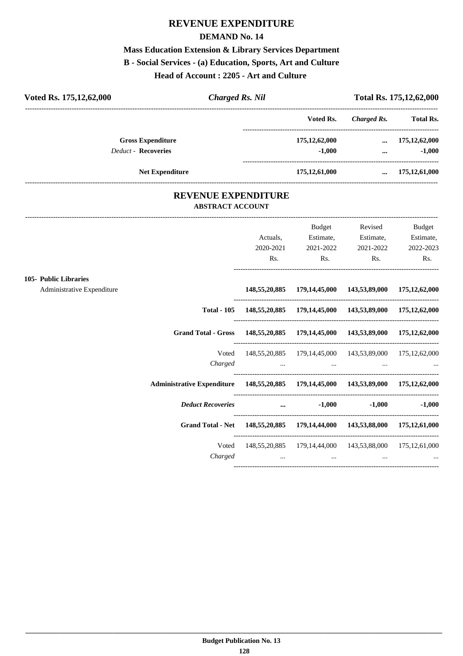# **REVENUE EXPENDITURE**

### **DEMAND No. 14**

# **Mass Education Extension & Library Services Department B - Social Services - (a) Education, Sports, Art and Culture**

**Head of Account : 2205 - Art and Culture** 

| Voted Rs. 175, 12, 62, 000 | <b>Charged Rs. Nil</b>                                                             |                                                                     | Total Rs. 175,12,62,000                                                         |                              |                                                                |
|----------------------------|------------------------------------------------------------------------------------|---------------------------------------------------------------------|---------------------------------------------------------------------------------|------------------------------|----------------------------------------------------------------|
|                            |                                                                                    |                                                                     |                                                                                 | Voted Rs. Charged Rs.        | <b>Total Rs.</b>                                               |
|                            | <b>Gross Expenditure</b>                                                           |                                                                     | 175,12,62,000                                                                   | $\ldots$ 175,12,62,000       |                                                                |
|                            | <b>Deduct - Recoveries</b>                                                         |                                                                     | $-1,000$                                                                        |                              | $-1,000$<br>$\mathbf{u}$ and $\mathbf{u}$ are all $\mathbf{u}$ |
|                            | <b>Net Expenditure</b>                                                             |                                                                     |                                                                                 | 175,12,61,000  175,12,61,000 |                                                                |
|                            | <b>REVENUE EXPENDITURE</b>                                                         |                                                                     |                                                                                 |                              |                                                                |
|                            | <b>ABSTRACT ACCOUNT</b>                                                            |                                                                     |                                                                                 |                              |                                                                |
|                            |                                                                                    |                                                                     | <b>Budget</b>                                                                   | Revised                      | Budget                                                         |
|                            |                                                                                    | Actuals,                                                            | Estimate,                                                                       | Estimate,                    | Estimate,                                                      |
|                            |                                                                                    |                                                                     | 2020-2021 2021-2022                                                             | 2021-2022                    | 2022-2023                                                      |
|                            |                                                                                    | Rs.                                                                 | Rs.                                                                             | Rs.                          | Rs.                                                            |
| 105- Public Libraries      |                                                                                    |                                                                     |                                                                                 |                              |                                                                |
| Administrative Expenditure |                                                                                    |                                                                     | 148,55,20,885 179,14,45,000 143,53,89,000 175,12,62,000                         |                              |                                                                |
|                            |                                                                                    | Total - 105 148,55,20,885 179,14,45,000 143,53,89,000 175,12,62,000 |                                                                                 |                              |                                                                |
|                            | Grand Total - Gross 148,55,20,885 179,14,45,000 143,53,89,000 175,12,62,000        |                                                                     |                                                                                 |                              |                                                                |
|                            | Voted                                                                              | 148,55,20,885 179,14,45,000 143,53,89,000 175,12,62,000             |                                                                                 |                              |                                                                |
|                            | Charged                                                                            |                                                                     | the contract of the contract of the contract of the contract of the contract of |                              |                                                                |
|                            | Administrative Expenditure 148,55,20,885 179,14,45,000 143,53,89,000 175,12,62,000 |                                                                     |                                                                                 |                              |                                                                |
|                            | <b>Deduct Recoveries</b>                                                           |                                                                     | $\mathbf{m}$ and $\mathbf{m}$                                                   | $-1,000$ $-1,000$            | $-1,000$                                                       |
|                            | Grand Total - Net 148,55,20,885 179,14,44,000 143,53,88,000 175,12,61,000          |                                                                     |                                                                                 |                              |                                                                |
|                            | Voted                                                                              |                                                                     | 148,55,20,885 179,14,44,000 143,53,88,000 175,12,61,000                         |                              |                                                                |
|                            | Charged                                                                            |                                                                     | $\mathbf{r}$ and $\mathbf{r}$ are the set of $\mathbf{r}$ and $\mathbf{r}$      |                              |                                                                |
|                            |                                                                                    |                                                                     |                                                                                 |                              |                                                                |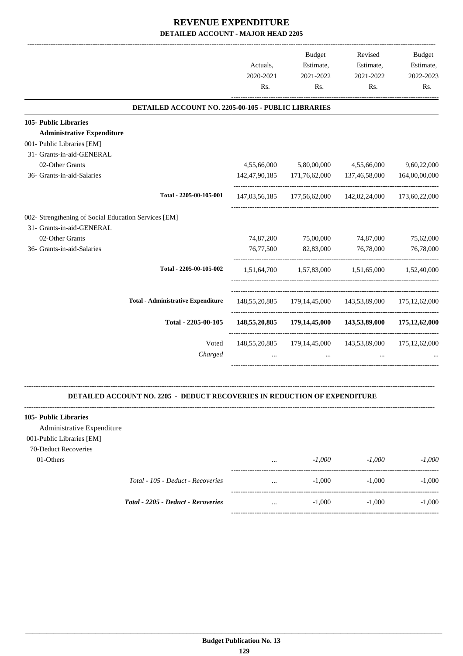| Estimate,<br>2021-2022<br>Rs.<br>4,55,66,000            | Estimate,<br>2022-2023<br>Rs. |
|---------------------------------------------------------|-------------------------------|
|                                                         |                               |
|                                                         |                               |
|                                                         |                               |
|                                                         |                               |
|                                                         |                               |
|                                                         |                               |
|                                                         |                               |
|                                                         |                               |
|                                                         | 9,60,22,000                   |
| 171,76,62,000<br>137,46,58,000                          | 164,00,00,000                 |
| 147,03,56,185 177,56,62,000 142,02,24,000 173,60,22,000 |                               |
|                                                         |                               |
|                                                         |                               |
| 74,87,000                                               | 75,62,000                     |
| 76,78,000                                               | 76,78,000                     |
| 1,57,83,000 1,51,65,000 1,52,40,000                     |                               |
| 148,55,20,885 179,14,45,000 143,53,89,000 175,12,62,000 |                               |
| 179,14,45,000                                           | 175, 12, 62, 000              |
| 148,55,20,885 179,14,45,000 143,53,89,000 175,12,62,000 |                               |
|                                                         | 143,53,89,000                 |

 **DETAILED ACCOUNT NO. 2205 - DEDUCT RECOVERIES IN REDUCTION OF EXPENDITURE**

**--------------------------------------------------------------------------------------------------------------------------------------------------------------------------------**

| 105- Public Libraries      |                                           |          |          |          |          |
|----------------------------|-------------------------------------------|----------|----------|----------|----------|
| Administrative Expenditure |                                           |          |          |          |          |
| 001-Public Libraries [EM]  |                                           |          |          |          |          |
| 70-Deduct Recoveries       |                                           |          |          |          |          |
| 01-Others                  |                                           | $\cdots$ | $-1.000$ | $-1.000$ | $-1.000$ |
|                            |                                           |          |          |          |          |
|                            | Total - 105 - Deduct - Recoveries         | $\cdots$ | $-1,000$ | $-1.000$ | $-1,000$ |
|                            |                                           |          |          |          |          |
|                            | <b>Total - 2205 - Deduct - Recoveries</b> | $\cdots$ | $-1.000$ | $-1.000$ | $-1.000$ |
|                            |                                           |          |          |          |          |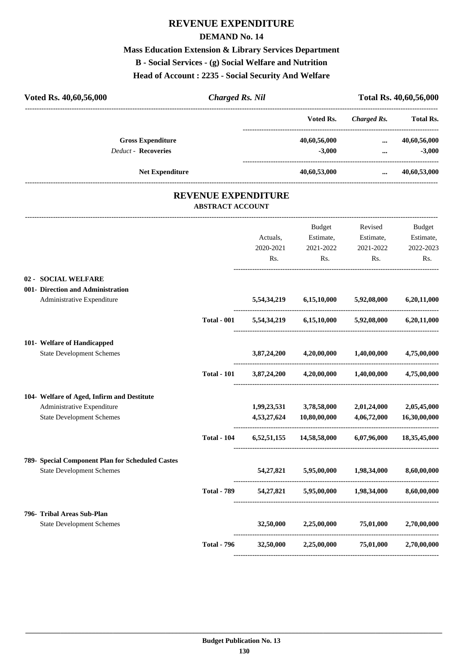# **REVENUE EXPENDITURE**

### **DEMAND No. 14**

# **Mass Education Extension & Library Services Department B - Social Services - (g) Social Welfare and Nutrition Head of Account : 2235 - Social Security And Welfare**

| Voted Rs. 40,60,56,000                           | <b>Charged Rs. Nil</b>                                |             |                                                               |                    | Total Rs. 40,60,56,000 |
|--------------------------------------------------|-------------------------------------------------------|-------------|---------------------------------------------------------------|--------------------|------------------------|
|                                                  |                                                       |             | Voted Rs.                                                     | <b>Charged Rs.</b> | <b>Total Rs.</b>       |
| <b>Gross Expenditure</b>                         |                                                       |             | 40,60,56,000                                                  | $\cdots$           | 40,60,56,000           |
| <b>Deduct - Recoveries</b>                       |                                                       |             | $-3,000$                                                      | $\cdots$           | $-3,000$               |
| Net Expenditure                                  |                                                       |             | 40,60,53,000                                                  | $\cdots$           | 40,60,53,000           |
|                                                  | <b>REVENUE EXPENDITURE</b><br><b>ABSTRACT ACCOUNT</b> |             |                                                               |                    |                        |
|                                                  |                                                       |             | Budget                                                        | Revised            | <b>Budget</b>          |
|                                                  |                                                       | Actuals,    | Estimate,                                                     | Estimate,          | Estimate,              |
|                                                  |                                                       | 2020-2021   | 2021-2022                                                     | 2021-2022          | 2022-2023              |
|                                                  |                                                       | Rs.         | Rs.                                                           | Rs.                | Rs.                    |
| 02 - SOCIAL WELFARE                              |                                                       |             |                                                               |                    |                        |
| 001- Direction and Administration                |                                                       |             |                                                               |                    |                        |
| Administrative Expenditure                       |                                                       |             | 5,54,34,219 6,15,10,000 5,92,08,000                           |                    | 6,20,11,000            |
|                                                  | <b>Total - 001</b>                                    |             | $5,54,34,219$ $6,15,10,000$ $5,92,08,000$                     |                    | 6,20,11,000            |
| 101- Welfare of Handicapped                      |                                                       |             |                                                               |                    |                        |
| <b>State Development Schemes</b>                 |                                                       | 3,87,24,200 | 4,20,00,000 1,40,00,000                                       |                    | 4,75,00,000            |
|                                                  | <b>Total - 101</b>                                    | 3,87,24,200 | 4,20,00,000                                                   | 1,40,00,000        | 4,75,00,000            |
| 104- Welfare of Aged, Infirm and Destitute       |                                                       |             |                                                               |                    |                        |
| Administrative Expenditure                       |                                                       | 1,99,23,531 | 3,78,58,000                                                   | 2,01,24,000        | 2,05,45,000            |
| <b>State Development Schemes</b>                 |                                                       | 4,53,27,624 | 10,80,00,000                                                  | 4,06,72,000        | 16,30,00,000           |
|                                                  |                                                       |             | Total - 104 6,52,51,155 14,58,58,000 6,07,96,000 18,35,45,000 |                    |                        |
| 789- Special Component Plan for Scheduled Castes |                                                       |             |                                                               |                    |                        |
| <b>State Development Schemes</b>                 |                                                       |             | 54,27,821 5,95,00,000 1,98,34,000                             |                    | 8,60,00,000            |
|                                                  | <b>Total - 789</b>                                    |             | 54,27,821 5,95,00,000 1,98,34,000                             |                    | 8,60,00,000            |
| 796- Tribal Areas Sub-Plan                       |                                                       |             |                                                               |                    |                        |
| <b>State Development Schemes</b>                 |                                                       | 32,50,000   | 2,25,00,000 75,01,000 2,70,00,000                             |                    |                        |
|                                                  | <b>Total - 796</b>                                    |             | $32,50,000$ $2,25,00,000$ $75,01,000$ $2,70,00,000$           |                    |                        |
|                                                  |                                                       |             |                                                               |                    |                        |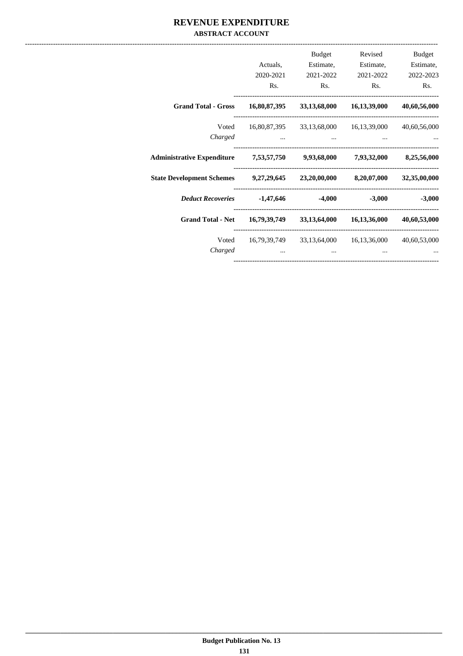### **REVENUE EXPENDITURE ABSTRACT ACCOUNT**

|                                                                |              | Budget                                 | Revised      | Budget       |
|----------------------------------------------------------------|--------------|----------------------------------------|--------------|--------------|
|                                                                | Actuals,     | Estimate,                              | Estimate,    | Estimate,    |
|                                                                | 2020-2021    | 2021-2022                              | 2021-2022    | 2022-2023    |
|                                                                | Rs.          | Rs.                                    | Rs.          | Rs.          |
| <b>Grand Total - Gross</b>                                     | 16,80,87,395 | 33,13,68,000                           | 16,13,39,000 | 40,60,56,000 |
| Voted                                                          |              | 16,80,87,395 33,13,68,000 16,13,39,000 |              | 40,60,56,000 |
| Charged                                                        | $\cdots$     | and the contract of the contract of    | $\cdots$     |              |
| Administrative Expenditure 7,53,57,750 9,93,68,000 7,93,32,000 |              |                                        |              | 8,25,56,000  |
| State Development Schemes 9,27,29,645 23,20,00,000 8,20,07,000 |              |                                        |              | 32,35,00,000 |
| <b>Deduct Recoveries</b>                                       |              | $-1,47,646$ $-4,000$                   | $-3,000$     | $-3,000$     |
| Grand Total - Net 16,79,39,749 33,13,64,000 16,13,36,000       |              |                                        |              | 40,60,53,000 |
| Voted                                                          |              | 16,79,39,749 33,13,64,000 16,13,36,000 |              | 40,60,53,000 |
| Charged                                                        | $\cdots$     | $\cdots$                               | $\cdots$     |              |
|                                                                |              |                                        |              |              |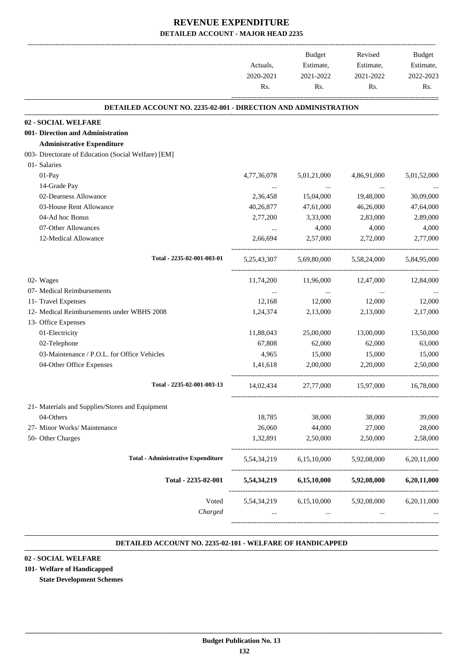|                                                                        | Actuals,    | Budget<br>Estimate, | Revised<br>Estimate,                            | <b>Budget</b><br>Estimate, |
|------------------------------------------------------------------------|-------------|---------------------|-------------------------------------------------|----------------------------|
|                                                                        | 2020-2021   | 2021-2022           | 2021-2022                                       | 2022-2023                  |
|                                                                        | Rs.         | Rs.                 | Rs.                                             | Rs.                        |
| <b>DETAILED ACCOUNT NO. 2235-02-001 - DIRECTION AND ADMINISTRATION</b> |             |                     |                                                 |                            |
| 02 - SOCIAL WELFARE                                                    |             |                     |                                                 |                            |
| 001- Direction and Administration                                      |             |                     |                                                 |                            |
| <b>Administrative Expenditure</b>                                      |             |                     |                                                 |                            |
| 003- Directorate of Education (Social Welfare) [EM]                    |             |                     |                                                 |                            |
| 01- Salaries                                                           |             |                     |                                                 |                            |
| 01-Pay                                                                 | 4,77,36,078 | 5,01,21,000         | 4,86,91,000                                     | 5,01,52,000                |
| 14-Grade Pay                                                           |             | $\ldots$            | $\cdots$                                        |                            |
| 02-Dearness Allowance                                                  | 2,36,458    | 15,04,000           | 19,48,000                                       | 30,09,000                  |
| 03-House Rent Allowance                                                | 40,26,877   | 47,61,000           | 46,26,000                                       | 47,64,000                  |
| 04-Ad hoc Bonus                                                        | 2,77,200    | 3,33,000            | 2,83,000                                        | 2,89,000                   |
| 07-Other Allowances                                                    |             | 4,000               | 4,000                                           | 4,000                      |
| 12-Medical Allowance                                                   | 2,66,694    | 2,57,000            | 2,72,000                                        | 2,77,000                   |
|                                                                        |             |                     |                                                 |                            |
| Total - 2235-02-001-003-01                                             | 5,25,43,307 | 5,69,80,000         | 5,58,24,000                                     | 5,84,95,000                |
| 02- Wages                                                              | 11,74,200   | 11,96,000           | 12,47,000                                       | 12,84,000                  |
| 07- Medical Reimbursements                                             | $\cdots$    | $\cdots$            | $\cdots$                                        |                            |
| 11- Travel Expenses                                                    | 12,168      | 12,000              | 12,000                                          | 12,000                     |
| 12- Medical Reimbursements under WBHS 2008                             | 1,24,374    | 2,13,000            | 2,13,000                                        | 2,17,000                   |
| 13- Office Expenses                                                    |             |                     |                                                 |                            |
| 01-Electricity                                                         | 11,88,043   | 25,00,000           | 13,00,000                                       | 13,50,000                  |
| 02-Telephone                                                           | 67,808      | 62,000              | 62,000                                          | 63,000                     |
| 03-Maintenance / P.O.L. for Office Vehicles                            | 4,965       | 15,000              | 15,000                                          | 15,000                     |
| 04-Other Office Expenses                                               | 1,41,618    | 2,00,000            | 2,20,000                                        | 2,50,000                   |
| Total - 2235-02-001-003-13                                             | 14,02,434   | 27,77,000           | 15,97,000                                       | 16,78,000                  |
| 21- Materials and Supplies/Stores and Equipment                        |             |                     |                                                 |                            |
| 04-Others                                                              | 18,785      | 38,000              | 38,000                                          | 39,000                     |
| 27- Minor Works/ Maintenance                                           | 26,060      | 44,000              | 27,000                                          | 28,000                     |
| 50- Other Charges                                                      | 1,32,891    | 2,50,000            | 2,50,000                                        | 2,58,000                   |
| <b>Total - Administrative Expenditure</b>                              |             |                     | 5,54,34,219 6,15,10,000 5,92,08,000             | 6,20,11,000                |
| Total - 2235-02-001                                                    |             |                     | 5,54,34,219 6,15,10,000 5,92,08,000             | 6,20,11,000                |
| Voted                                                                  |             |                     | 5,54,34,219 6,15,10,000 5,92,08,000 6,20,11,000 |                            |
| Charged                                                                | $\cdots$    | $\cdots$            | $\cdots$                                        |                            |

#### **DETAILED ACCOUNT NO. 2235-02-101 - WELFARE OF HANDICAPPED .**

.

**02 - SOCIAL WELFARE**

**101- Welfare of Handicapped**

**State Development Schemes**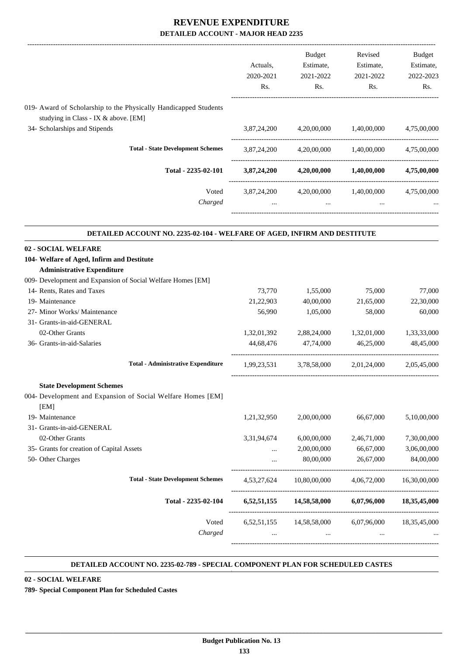|                                                                                                                                           |                                                                          | Actuals,<br>2020-2021<br>Rs. | Budget<br>Estimate,<br>2021-2022<br>Rs. | Revised<br>Estimate,<br>2021-2022<br>Rs. | <b>Budget</b><br>Estimate,<br>2022-2023<br>Rs. |
|-------------------------------------------------------------------------------------------------------------------------------------------|--------------------------------------------------------------------------|------------------------------|-----------------------------------------|------------------------------------------|------------------------------------------------|
| 019- Award of Scholarship to the Physically Handicapped Students<br>studying in Class - IX & above. [EM]<br>34- Scholarships and Stipends |                                                                          | 3,87,24,200                  | 4,20,00,000                             | 1,40,00,000                              | 4,75,00,000                                    |
|                                                                                                                                           | <b>Total - State Development Schemes</b>                                 | 3,87,24,200                  | 4,20,00,000                             | 1.40.00.000                              | 4,75,00,000                                    |
|                                                                                                                                           | Total - 2235-02-101                                                      | 3,87,24,200                  |                                         | $4,20,00,000$ $1,40,00,000$              | 4,75,00,000                                    |
|                                                                                                                                           | Voted<br>Charged                                                         | 3,87,24,200                  | 4,20,00,000                             | 1,40,00,000                              | 4,75,00,000                                    |
|                                                                                                                                           | DETAILED ACCOUNT NO. 2235-02-104 - WELFARE OF AGED, INFIRM AND DESTITUTE |                              |                                         |                                          |                                                |
| 02 - SOCIAL WELFARE                                                                                                                       |                                                                          |                              |                                         |                                          |                                                |
| 104- Welfare of Aged, Infirm and Destitute                                                                                                |                                                                          |                              |                                         |                                          |                                                |
| <b>Administrative Expenditure</b>                                                                                                         |                                                                          |                              |                                         |                                          |                                                |
| 009- Development and Expansion of Social Welfare Homes [EM]                                                                               |                                                                          |                              |                                         |                                          |                                                |
| 14- Rents, Rates and Taxes                                                                                                                |                                                                          | 73,770                       | 1,55,000                                | 75,000                                   | 77,000                                         |
| 19- Maintenance                                                                                                                           |                                                                          | 21,22,903                    | 40,00,000                               | 21,65,000                                | 22,30,000                                      |
| 27- Minor Works/ Maintenance<br>31- Grants-in-aid-GENERAL                                                                                 |                                                                          | 56,990                       | 1,05,000                                | 58,000                                   | 60,000                                         |
| 02-Other Grants                                                                                                                           |                                                                          | 1,32,01,392                  | 2,88,24,000                             | 1,32,01,000                              | 1,33,33,000                                    |
| 36- Grants-in-aid-Salaries                                                                                                                |                                                                          | 44,68,476                    | 47,74,000                               | 46,25,000                                | 48,45,000                                      |
|                                                                                                                                           | <b>Total - Administrative Expenditure</b>                                |                              | 1,99,23,531 3,78,58,000                 | 2,01,24,000                              | 2,05,45,000                                    |
| <b>State Development Schemes</b>                                                                                                          |                                                                          |                              |                                         |                                          |                                                |
| 004- Development and Expansion of Social Welfare Homes [EM]<br>[EM]                                                                       |                                                                          |                              |                                         |                                          |                                                |
| 19- Maintenance                                                                                                                           |                                                                          | 1,21,32,950                  | 2,00,00,000                             | 66,67,000                                | 5,10,00,000                                    |
| 31- Grants-in-aid-GENERAL                                                                                                                 |                                                                          |                              |                                         |                                          |                                                |
| 02-Other Grants                                                                                                                           |                                                                          | 3,31,94,674                  | 6,00,00,000                             | 2,46,71,000                              | 7,30,00,000                                    |
| 35- Grants for creation of Capital Assets                                                                                                 |                                                                          | $\cdots$                     | 2,00,00,000                             | 66,67,000                                | 3,06,00,000                                    |
| 50- Other Charges                                                                                                                         |                                                                          |                              | 80,00,000                               | 26,67,000                                | 84,00,000                                      |
|                                                                                                                                           | <b>Total - State Development Schemes</b>                                 | 4,53,27,624                  | 10,80,00,000                            | 4,06,72,000                              | 16,30,00,000                                   |
|                                                                                                                                           | Total - 2235-02-104                                                      |                              | 6,52,51,155 14,58,58,000                |                                          | 6,07,96,000 18,35,45,000                       |
|                                                                                                                                           | Voted                                                                    | 6, 52, 51, 155               | 14,58,58,000                            | 6,07,96,000                              | 18,35,45,000                                   |
|                                                                                                                                           | Charged                                                                  | $\cdots$                     | $\cdots$                                | $\cdots$                                 |                                                |
|                                                                                                                                           |                                                                          |                              |                                         |                                          |                                                |

#### **DETAILED ACCOUNT NO. 2235-02-789 - SPECIAL COMPONENT PLAN FOR SCHEDULED CASTES .**

**02 - SOCIAL WELFARE**

**789- Special Component Plan for Scheduled Castes**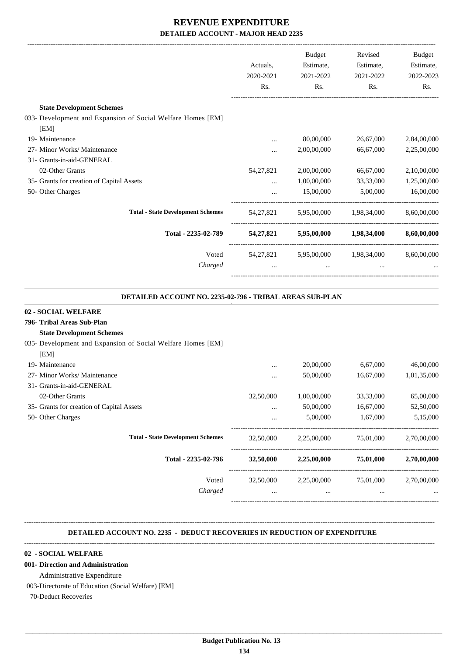|                                                             |           | <b>Budget</b>                     | Revised   | Budget      |
|-------------------------------------------------------------|-----------|-----------------------------------|-----------|-------------|
|                                                             | Actuals.  | Estimate,                         | Estimate, | Estimate,   |
|                                                             | 2020-2021 | 2021-2022                         | 2021-2022 | 2022-2023   |
|                                                             | Rs.       | Rs.                               | Rs.       | Rs.         |
| <b>State Development Schemes</b>                            |           |                                   |           |             |
| 033- Development and Expansion of Social Welfare Homes [EM] |           |                                   |           |             |
| [EM]                                                        |           |                                   |           |             |
| 19- Maintenance                                             |           | 80,00,000                         | 26,67,000 | 2,84,00,000 |
| 27- Minor Works/ Maintenance                                | $\cdots$  | 2,00,00,000                       | 66,67,000 | 2,25,00,000 |
| 31- Grants-in-aid-GENERAL                                   |           |                                   |           |             |
| 02-Other Grants                                             | 54,27,821 | 2,00,00,000                       | 66,67,000 | 2,10,00,000 |
| 35- Grants for creation of Capital Assets                   | $\cdots$  | 1,00,00,000                       | 33,33,000 | 1,25,00,000 |
| 50- Other Charges                                           | $\cdots$  | 15,00,000                         | 5,00,000  | 16,00,000   |
| <b>Total - State Development Schemes</b>                    |           | 54,27,821 5,95,00,000 1,98,34,000 |           | 8,60,00,000 |
| Total - 2235-02-789                                         |           | 54,27,821 5,95,00,000 1,98,34,000 |           | 8,60,00,000 |
| Voted                                                       |           | 54,27,821 5,95,00,000 1,98,34,000 |           | 8,60,00,000 |
| Charged                                                     | $\cdots$  | $\cdots$                          | $\cdots$  |             |
|                                                             |           |                                   |           |             |

#### **DETAILED ACCOUNT NO. 2235-02-796 - TRIBAL AREAS SUB-PLAN .**

.

### **02 - SOCIAL WELFARE**

### **796- Tribal Areas Sub-Plan State Development Schemes**

### 035- Development and Expansion of Social Welfare Homes [EM]

| [EM]                                      |           |             |           |             |
|-------------------------------------------|-----------|-------------|-----------|-------------|
| 19- Maintenance                           | $\cdots$  | 20,00,000   | 6,67,000  | 46,00,000   |
| 27- Minor Works/ Maintenance              | $\cdots$  | 50,00,000   | 16,67,000 | 1,01,35,000 |
| 31- Grants-in-aid-GENERAL                 |           |             |           |             |
| 02-Other Grants                           | 32,50,000 | 1,00,00,000 | 33,33,000 | 65,00,000   |
| 35- Grants for creation of Capital Assets | $\cdots$  | 50,00,000   | 16,67,000 | 52,50,000   |
| 50- Other Charges                         | $\cdots$  | 5,00,000    | 1,67,000  | 5,15,000    |
| <b>Total - State Development Schemes</b>  | 32,50,000 | 2,25,00,000 | 75,01,000 | 2,70,00,000 |
| Total - 2235-02-796                       | 32,50,000 | 2,25,00,000 | 75,01,000 | 2,70,00,000 |
| Voted                                     | 32,50,000 | 2,25,00,000 | 75,01,000 | 2,70,00,000 |
| Charged                                   | $\cdots$  | $\cdots$    | $\cdots$  | $\cdots$    |
|                                           |           |             |           |             |

### **DETAILED ACCOUNT NO. 2235 - DEDUCT RECOVERIES IN REDUCTION OF EXPENDITURE**

### **--------------------------------------------------------------------------------------------------------------------------------------------------------------------------------**

**--------------------------------------------------------------------------------------------------------------------------------------------------------------------------------**

### **02 - SOCIAL WELFARE**

### **001- Direction and Administration**

Administrative Expenditure

- 003-Directorate of Education (Social Welfare) [EM]
- 70-Deduct Recoveries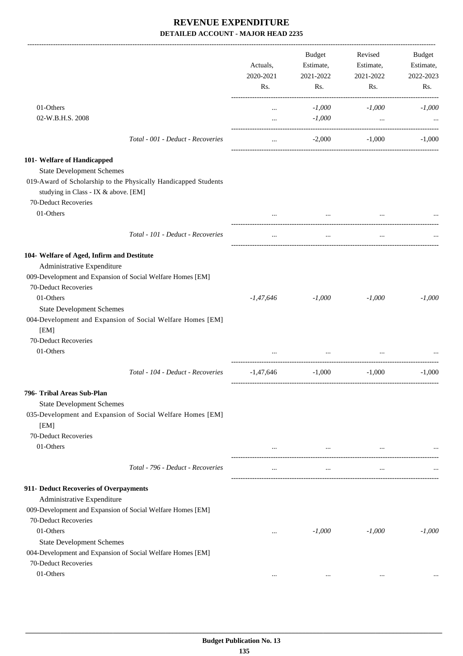|                                                                    | Actuals,<br>2020-2021<br>Rs. | Budget<br>Estimate,<br>2021-2022<br>Rs. | Revised<br>Estimate,<br>2021-2022<br>Rs. | <b>Budget</b><br>Estimate,<br>2022-2023<br>Rs. |
|--------------------------------------------------------------------|------------------------------|-----------------------------------------|------------------------------------------|------------------------------------------------|
| 01-Others                                                          | $\cdots$                     | $-1,000$                                | $-1,000$                                 | $-1,000$                                       |
| 02-W.B.H.S. 2008                                                   | $\cdots$                     | $-1,000$                                | $\cdots$                                 |                                                |
| Total - 001 - Deduct - Recoveries                                  | $\cdots$                     | $-2,000$                                | $-1.000$                                 | $-1.000$                                       |
| 101- Welfare of Handicapped                                        |                              |                                         |                                          |                                                |
| <b>State Development Schemes</b>                                   |                              |                                         |                                          |                                                |
| 019-Award of Scholarship to the Physically Handicapped Students    |                              |                                         |                                          |                                                |
| studying in Class - IX & above. [EM]                               |                              |                                         |                                          |                                                |
| 70-Deduct Recoveries                                               |                              |                                         |                                          |                                                |
| 01-Others                                                          |                              | $\cdots$                                |                                          |                                                |
| Total - 101 - Deduct - Recoveries                                  |                              | $\cdots$                                |                                          |                                                |
| 104- Welfare of Aged, Infirm and Destitute                         |                              |                                         |                                          |                                                |
| Administrative Expenditure                                         |                              |                                         |                                          |                                                |
| 009-Development and Expansion of Social Welfare Homes [EM]         |                              |                                         |                                          |                                                |
| 70-Deduct Recoveries                                               |                              |                                         |                                          |                                                |
| 01-Others                                                          | $-1,47,646$                  | $-1,000$                                | $-1,000$                                 | $-1,000$                                       |
| <b>State Development Schemes</b>                                   |                              |                                         |                                          |                                                |
| 004-Development and Expansion of Social Welfare Homes [EM]<br>[EM] |                              |                                         |                                          |                                                |
| 70-Deduct Recoveries                                               |                              |                                         |                                          |                                                |
| 01-Others                                                          |                              | $\cdots$                                |                                          |                                                |
|                                                                    |                              |                                         |                                          |                                                |
| Total - 104 - Deduct - Recoveries                                  | -1,47,646                    | $-1.000$                                | $-1.000$                                 | $-1.000$                                       |
| 796- Tribal Areas Sub-Plan                                         |                              |                                         |                                          |                                                |
| <b>State Development Schemes</b>                                   |                              |                                         |                                          |                                                |
| 035-Development and Expansion of Social Welfare Homes [EM]<br>[EM] |                              |                                         |                                          |                                                |
| 70-Deduct Recoveries                                               |                              |                                         |                                          |                                                |
| 01-Others                                                          | $\cdots$                     | $\cdots$                                | $\cdots$                                 |                                                |
|                                                                    |                              |                                         |                                          |                                                |
| Total - 796 - Deduct - Recoveries                                  | $\cdots$                     | $\ldots$                                | $\cdots$                                 |                                                |
| 911- Deduct Recoveries of Overpayments                             |                              |                                         |                                          |                                                |
| Administrative Expenditure                                         |                              |                                         |                                          |                                                |
| 009-Development and Expansion of Social Welfare Homes [EM]         |                              |                                         |                                          |                                                |
| 70-Deduct Recoveries                                               |                              |                                         |                                          |                                                |
| 01-Others                                                          | $\cdots$                     | $-1,000$                                | $-1,000$                                 | $-1,000$                                       |
| <b>State Development Schemes</b>                                   |                              |                                         |                                          |                                                |
| 004-Development and Expansion of Social Welfare Homes [EM]         |                              |                                         |                                          |                                                |
| 70-Deduct Recoveries                                               |                              |                                         |                                          |                                                |
| 01-Others                                                          | $\cdots$                     | $\cdots$                                | $\cdots$                                 |                                                |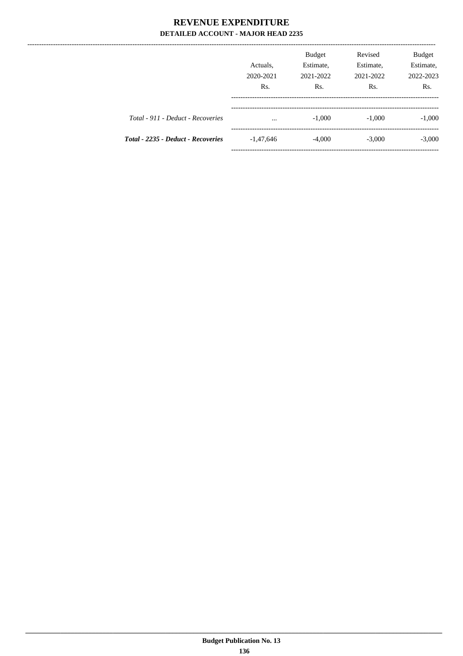---------------

|                                    | Actuals,<br>2020-2021<br>Rs. | <b>Budget</b><br>Estimate,<br>2021-2022<br>Rs. | Revised<br>Estimate,<br>2021-2022<br>Rs. | Budget<br>Estimate,<br>2022-2023<br>Rs. |
|------------------------------------|------------------------------|------------------------------------------------|------------------------------------------|-----------------------------------------|
| Total - 911 - Deduct - Recoveries  | $\cdots$                     | $-1,000$                                       | $-1,000$                                 | $-1,000$                                |
| Total - 2235 - Deduct - Recoveries | $-1,47,646$                  | $-4,000$                                       | $-3,000$                                 | $-3,000$                                |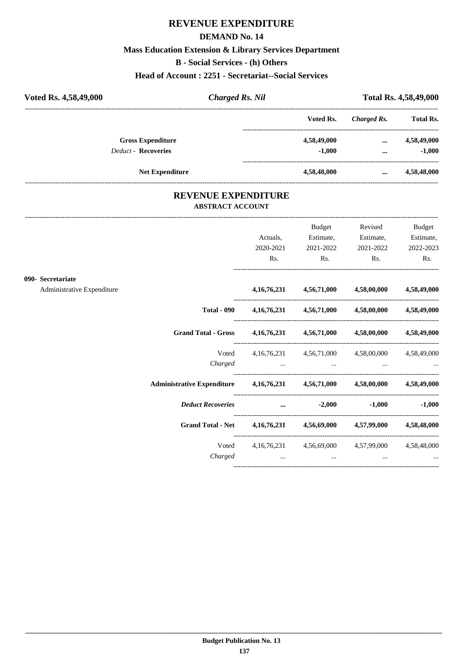## **REVENUE EXPENDITURE**

### **DEMAND No. 14**

### **Mass Education Extension & Library Services Department**

**B - Social Services - (h) Others**

**Head of Account : 2251 - Secretariat--Social Services**

| Voted Rs. 4,58,49,000 |                            | <b>Charged Rs. Nil</b> |             | <b>Total Rs. 4,58,49,000</b> |                  |
|-----------------------|----------------------------|------------------------|-------------|------------------------------|------------------|
|                       |                            |                        | Voted Rs.   | Charged Rs.                  | <b>Total Rs.</b> |
|                       | <b>Gross Expenditure</b>   |                        | 4,58,49,000 | $\cdots$                     | 4,58,49,000      |
|                       | <b>Deduct - Recoveries</b> |                        | $-1.000$    | $\cdots$                     | $-1,000$         |
|                       | <b>Net Expenditure</b>     |                        | 4,58,48,000 | $\cdots$                     | 4,58,48,000      |

### **REVENUE EXPENDITURE ABSTRACT ACCOUNT**

---------------------------------------------------------------------------------------------------------------------------------------------------------------------------------

|                                                 |                                                                                                                                                                                                                                | Actuals,<br>2020-2021<br>Rs. | Budget<br>Estimate,<br>2021-2022<br>$\mathbf{Rs.}$                                                                                                                       | Revised<br>Estimate,<br>2021-2022<br>$\mathbf{Rs.}$ | <b>Budget</b><br>Estimate,<br>2022-2023<br>Rs. |
|-------------------------------------------------|--------------------------------------------------------------------------------------------------------------------------------------------------------------------------------------------------------------------------------|------------------------------|--------------------------------------------------------------------------------------------------------------------------------------------------------------------------|-----------------------------------------------------|------------------------------------------------|
| 090- Secretariate<br>Administrative Expenditure |                                                                                                                                                                                                                                |                              | 4,16,76,231 4,56,71,000 4,58,00,000 4,58,49,000                                                                                                                          |                                                     |                                                |
|                                                 | <b>Total - 090</b>                                                                                                                                                                                                             |                              | 4,16,76,231 4,56,71,000 4,58,00,000 4,58,49,000                                                                                                                          |                                                     |                                                |
|                                                 | Grand Total - Gross 4,16,76,231 4,56,71,000 4,58,00,000 4,58,49,000                                                                                                                                                            |                              |                                                                                                                                                                          |                                                     |                                                |
|                                                 | Charged                                                                                                                                                                                                                        |                              | Voted 4,16,76,231 4,56,71,000 4,58,00,000 4,58,49,000<br>the contract of the contract of the contract of the contract of the contract of the contract of the contract of |                                                     |                                                |
|                                                 | Administrative Expenditure 4,16,76,231 4,56,71,000 4,58,00,000 4,58,49,000                                                                                                                                                     |                              |                                                                                                                                                                          |                                                     |                                                |
|                                                 | Deduct Recoveries and the control of the control of the control of the control of the control of the control of the control of the control of the control of the control of the control of the control of the control of the c |                              |                                                                                                                                                                          |                                                     | $-1,000$ $-1,000$                              |
|                                                 | Grand Total - Net 4,16,76,231 4,56,69,000 4,57,99,000 4,58,48,000                                                                                                                                                              |                              |                                                                                                                                                                          |                                                     |                                                |
|                                                 | Charged                                                                                                                                                                                                                        |                              | Voted 4,16,76,231 4,56,69,000 4,57,99,000 4,58,48,000<br>$\cdots$                                                                                                        | $\cdots$                                            |                                                |
|                                                 |                                                                                                                                                                                                                                |                              |                                                                                                                                                                          |                                                     |                                                |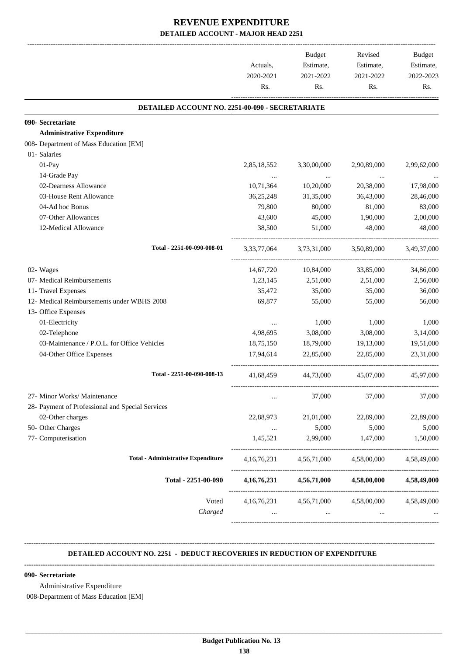|                                                  |                       | Budget                        | Revised                                         | Budget                 |
|--------------------------------------------------|-----------------------|-------------------------------|-------------------------------------------------|------------------------|
|                                                  | Actuals,<br>2020-2021 | Estimate,<br>2021-2022        | Estimate,<br>2021-2022                          | Estimate,<br>2022-2023 |
|                                                  | Rs.                   | Rs.                           | Rs.                                             | Rs.                    |
| DETAILED ACCOUNT NO. 2251-00-090 - SECRETARIATE  |                       |                               |                                                 |                        |
| 090- Secretariate                                |                       |                               |                                                 |                        |
| <b>Administrative Expenditure</b>                |                       |                               |                                                 |                        |
| 008- Department of Mass Education [EM]           |                       |                               |                                                 |                        |
| 01- Salaries                                     |                       |                               |                                                 |                        |
| 01-Pay                                           | 2,85,18,552           | 3,30,00,000                   | 2,90,89,000                                     | 2,99,62,000            |
| 14-Grade Pay                                     | $\cdots$              | $\sim$ 100 $\mu$              | $\ldots$                                        |                        |
| 02-Dearness Allowance                            | 10,71,364             | 10,20,000                     | 20,38,000                                       | 17,98,000              |
| 03-House Rent Allowance                          | 36,25,248             | 31,35,000                     | 36,43,000                                       | 28,46,000              |
| 04-Ad hoc Bonus                                  | 79,800                | 80,000                        | 81,000                                          | 83,000                 |
| 07-Other Allowances                              | 43,600                | 45,000                        | 1,90,000                                        | 2,00,000               |
| 12-Medical Allowance                             | 38,500                | 51,000                        | 48,000                                          | 48,000                 |
| Total - 2251-00-090-008-01                       |                       |                               | 3,33,77,064 3,73,31,000 3,50,89,000             | 3,49,37,000            |
| 02- Wages                                        |                       | 14,67,720 10,84,000           | 33,85,000                                       | 34,86,000              |
| 07- Medical Reimbursements                       |                       | 1,23,145 2,51,000             | 2,51,000                                        | 2,56,000               |
| 11- Travel Expenses                              | 35,472                | 35,000                        | 35,000                                          | 36,000                 |
| 12- Medical Reimbursements under WBHS 2008       | 69,877                | 55,000                        | 55,000                                          | 56,000                 |
| 13- Office Expenses                              |                       |                               |                                                 |                        |
| 01-Electricity                                   | $\cdots$              | 1,000                         | 1,000                                           | 1,000                  |
| 02-Telephone                                     | 4,98,695              | 3,08,000                      | 3,08,000                                        | 3,14,000               |
| 03-Maintenance / P.O.L. for Office Vehicles      | 18,75,150             | 18,79,000                     | 19,13,000                                       | 19,51,000              |
| 04-Other Office Expenses                         | 17,94,614             | 22,85,000                     | 22,85,000                                       | 23,31,000              |
| Total - 2251-00-090-008-13                       |                       | 41,68,459 44,73,000 45,07,000 |                                                 | 45,97,000              |
| 27- Minor Works/ Maintenance                     |                       | 37,000                        | 37,000                                          | 37,000                 |
| 28- Payment of Professional and Special Services |                       |                               |                                                 |                        |
| 02-Other charges                                 | 22,88,973             | 21,01,000                     | 22,89,000                                       | 22,89,000              |
| 50- Other Charges                                | $\cdots$              | 5,000                         | 5,000                                           | 5,000                  |
| 77- Computerisation                              | 1,45,521              | 2,99,000                      | 1,47,000                                        | 1,50,000               |
| <b>Total - Administrative Expenditure</b>        | 4, 16, 76, 231        | 4,56,71,000                   | 4,58,00,000                                     | 4,58,49,000            |
| Total - 2251-00-090                              | 4, 16, 76, 231        | 4,56,71,000                   | 4,58,00,000                                     | 4,58,49,000            |
| Voted                                            |                       |                               | 4,16,76,231 4,56,71,000 4,58,00,000 4,58,49,000 |                        |
| Charged                                          | $\cdots$              | $\cdots$                      | $\cdots$                                        |                        |

### **DETAILED ACCOUNT NO. 2251 - DEDUCT RECOVERIES IN REDUCTION OF EXPENDITURE**

**--------------------------------------------------------------------------------------------------------------------------------------------------------------------------------**

**--------------------------------------------------------------------------------------------------------------------------------------------------------------------------------**

 **\_\_\_\_\_\_\_\_\_\_\_\_\_\_\_\_\_\_\_\_\_\_\_\_\_\_\_\_\_\_\_\_\_\_\_\_\_\_\_\_\_\_\_\_\_\_\_\_\_\_\_\_\_\_\_\_\_\_\_\_\_\_\_\_\_\_\_\_\_\_\_\_\_\_\_\_\_\_\_\_\_\_\_\_\_\_\_\_\_\_\_\_\_\_\_\_\_\_\_\_\_\_\_\_\_\_\_\_\_\_\_\_\_\_\_\_\_\_\_**

#### **090- Secretariate**

Administrative Expenditure

008-Department of Mass Education [EM]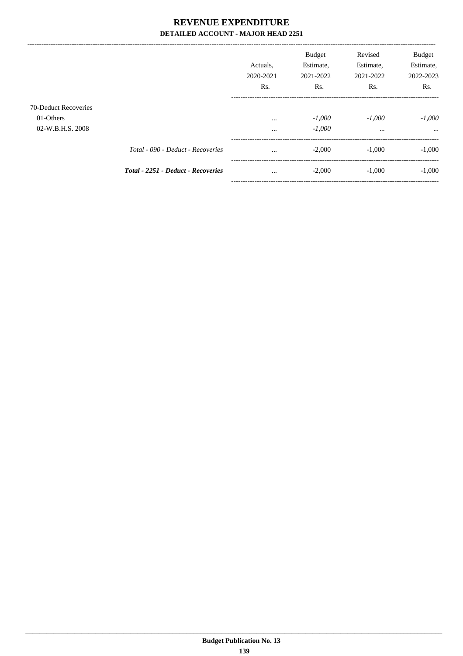|                      |                                           | Actuals.<br>2020-2021 | <b>Budget</b><br>Estimate,<br>2021-2022 | Revised<br>Estimate,<br>2021-2022 | <b>Budget</b><br>Estimate,<br>2022-2023 |
|----------------------|-------------------------------------------|-----------------------|-----------------------------------------|-----------------------------------|-----------------------------------------|
|                      |                                           | Rs.                   | Rs.                                     | Rs.                               | Rs.                                     |
| 70-Deduct Recoveries |                                           |                       |                                         |                                   |                                         |
| 01-Others            |                                           | $\cdots$              | $-1,000$                                | $-1,000$                          | $-1,000$                                |
| 02-W.B.H.S. 2008     |                                           | $\cdots$              | $-1,000$                                | $\cdots$                          | $\cdots$                                |
|                      | Total - 090 - Deduct - Recoveries         | $\cdots$              | $-2,000$                                | $-1,000$                          | $-1,000$                                |
|                      | <b>Total - 2251 - Deduct - Recoveries</b> | $\cdots$              | $-2,000$                                | $-1,000$                          | $-1,000$                                |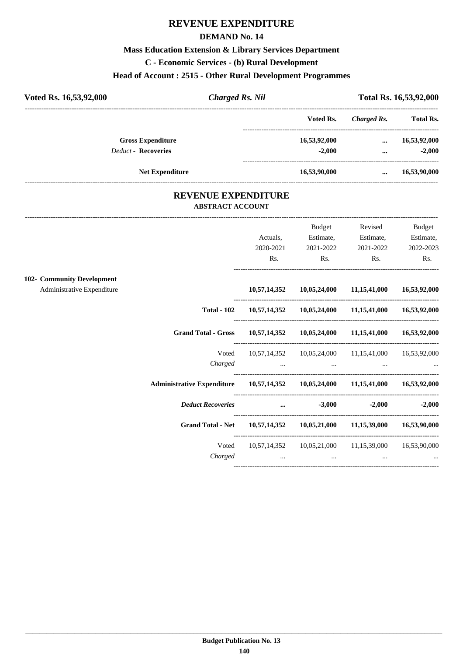# **REVENUE EXPENDITURE**

### **DEMAND No. 14**

### **Mass Education Extension & Library Services Department**

**C - Economic Services - (b) Rural Development**

### **Head of Account : 2515 - Other Rural Development Programmes**

| Voted Rs. 16,53,92,000     | <b>Charged Rs. Nil</b> |              | Total Rs. 16,53,92,000 |                  |
|----------------------------|------------------------|--------------|------------------------|------------------|
|                            |                        | Voted Rs.    | Charged Rs.            | <b>Total Rs.</b> |
| <b>Gross Expenditure</b>   |                        | 16,53,92,000 | $\cdots$               | 16,53,92,000     |
| <b>Deduct - Recoveries</b> |                        | $-2.000$     | $\cdots$               | $-2,000$         |
| <b>Net Expenditure</b>     |                        | 16,53,90,000 | $\cdots$               | 16,53,90,000     |

### **REVENUE EXPENDITURE ABSTRACT ACCOUNT**

---------------------------------------------------------------------------------------------------------------------------------------------------------------------------------

|                                                          |                                                                         | Actuals,<br>2020-2021<br>Rs.                                                                                    | Budget<br>Estimate,<br>2021-2022<br>Rs. | Revised<br>Estimate,<br>2021-2022<br>$\mathbf{Rs.}$         | <b>Budget</b><br>Estimate,<br>2022-2023<br>Rs. |
|----------------------------------------------------------|-------------------------------------------------------------------------|-----------------------------------------------------------------------------------------------------------------|-----------------------------------------|-------------------------------------------------------------|------------------------------------------------|
| 102- Community Development<br>Administrative Expenditure |                                                                         |                                                                                                                 |                                         | $10,57,14,352$ $10,05,24,000$ $11,15,41,000$ $16,53,92,000$ |                                                |
|                                                          |                                                                         | Total - 102  10,57,14,352  10,05,24,000  11,15,41,000  16,53,92,000                                             |                                         |                                                             |                                                |
|                                                          | Grand Total - Gross 10,57,14,352 10,05,24,000 11,15,41,000 16,53,92,000 |                                                                                                                 |                                         |                                                             |                                                |
|                                                          | Voted<br>Charged                                                        | the contract of the contract of the contract of the contract of the contract of the contract of the contract of |                                         | 10,57,14,352 10,05,24,000 11,15,41,000 16,53,92,000         |                                                |
|                                                          |                                                                         |                                                                                                                 |                                         |                                                             |                                                |
|                                                          | Deduct Recoveries  3,000                                                |                                                                                                                 |                                         |                                                             | $-2,000$ $-2,000$                              |
|                                                          | Grand Total - Net 10,57,14,352 10,05,21,000 11,15,39,000 16,53,90,000   |                                                                                                                 |                                         |                                                             |                                                |
|                                                          | Voted<br>Charged                                                        | and the contract of the contract of the contract of the                                                         | $\cdots$                                | 10,57,14,352 10,05,21,000 11,15,39,000 16,53,90,000         |                                                |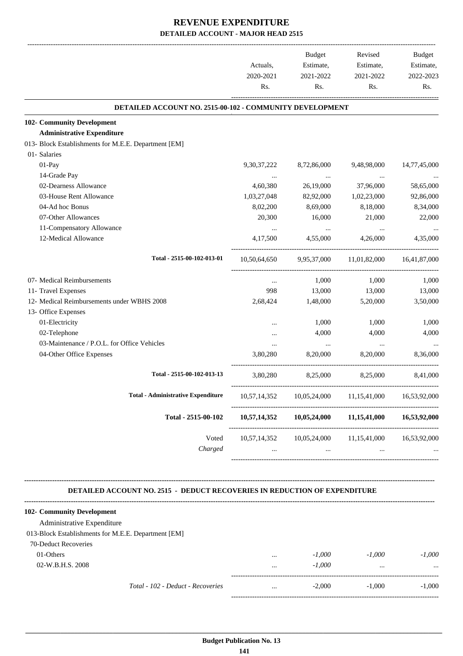|                                                                                  | Actuals,<br>2020-2021<br>Rs. | Budget<br>Estimate,<br>2021-2022<br>Rs. | Revised<br>Estimate,<br>2021-2022<br>Rs.     | Budget<br>Estimate,<br>2022-2023<br>Rs. |
|----------------------------------------------------------------------------------|------------------------------|-----------------------------------------|----------------------------------------------|-----------------------------------------|
| DETAILED ACCOUNT NO. 2515-00-102 - COMMUNITY DEVELOPMENT                         |                              |                                         |                                              |                                         |
| 102- Community Development                                                       |                              |                                         |                                              |                                         |
| <b>Administrative Expenditure</b>                                                |                              |                                         |                                              |                                         |
| 013- Block Establishments for M.E.E. Department [EM]                             |                              |                                         |                                              |                                         |
| 01- Salaries                                                                     |                              |                                         |                                              |                                         |
| 01-Pay                                                                           | 9,30,37,222                  | 8,72,86,000                             | 9,48,98,000                                  | 14,77,45,000                            |
| 14-Grade Pay                                                                     |                              | $\ddots$                                | $\cdots$                                     |                                         |
| 02-Dearness Allowance                                                            | 4,60,380                     | 26,19,000                               | 37,96,000                                    | 58,65,000                               |
| 03-House Rent Allowance                                                          | 1,03,27,048                  | 82,92,000                               | 1,02,23,000                                  | 92,86,000                               |
| 04-Ad hoc Bonus                                                                  | 8,02,200                     | 8,69,000                                | 8,18,000                                     | 8,34,000                                |
| 07-Other Allowances                                                              | 20,300                       | 16,000                                  | 21,000                                       | 22,000                                  |
| 11-Compensatory Allowance                                                        | $\cdots$                     | $\cdots$                                | $\cdots$                                     |                                         |
| 12-Medical Allowance                                                             | 4,17,500                     | 4,55,000                                | 4,26,000                                     | 4,35,000                                |
| Total - 2515-00-102-013-01                                                       | 10,50,64,650                 | 9,95,37,000                             | 11,01,82,000                                 | 16.41.87.000                            |
| 07- Medical Reimbursements                                                       | $\cdots$                     | 1,000                                   | 1,000                                        | 1,000                                   |
| 11- Travel Expenses                                                              | 998                          | 13,000                                  | 13,000                                       | 13,000                                  |
| 12- Medical Reimbursements under WBHS 2008                                       | 2,68,424                     | 1,48,000                                | 5,20,000                                     | 3,50,000                                |
| 13- Office Expenses                                                              |                              |                                         |                                              |                                         |
| 01-Electricity                                                                   |                              | 1,000                                   | 1,000                                        | 1,000                                   |
| 02-Telephone                                                                     |                              | 4,000                                   | 4,000                                        | 4,000                                   |
| 03-Maintenance / P.O.L. for Office Vehicles                                      | $\cdots$                     | $\cdots$                                | $\cdots$                                     |                                         |
| 04-Other Office Expenses                                                         | 3,80,280                     | 8,20,000                                | 8,20,000                                     | 8.36.000                                |
| Total - 2515-00-102-013-13                                                       | 3,80,280                     | 8,25,000                                | 8,25,000                                     | 8,41,000                                |
| <b>Total - Administrative Expenditure</b>                                        | 10,57,14,352                 | 10,05,24,000                            | 11,15,41,000                                 | 16,53,92,000                            |
| Total - 2515-00-102                                                              |                              |                                         | $10,57,14,352$ $10,05,24,000$ $11,15,41,000$ | 16,53,92,000                            |
| Voted<br>Charged                                                                 | 10,57,14,352                 | 10,05,24,000<br>$\cdots$                | 11,15,41,000<br>$\cdots$                     | 16,53,92,000                            |
| <b>DETAILED ACCOUNT NO. 2515 - DEDUCT RECOVERIES IN REDUCTION OF EXPENDITURE</b> |                              |                                         |                                              |                                         |
| 102- Community Development                                                       |                              |                                         |                                              |                                         |
| Administrative Expenditure                                                       |                              |                                         |                                              |                                         |
| 013-Block Establishments for M.E.E. Department [EM]                              |                              |                                         |                                              |                                         |
| 70-Deduct Recoveries                                                             |                              |                                         |                                              |                                         |
| 01-Others                                                                        |                              | $-1,000$                                | $-1,000$                                     | $-1,000$                                |
|                                                                                  |                              |                                         |                                              |                                         |

 02-W.B.H.S. 2008 ... *-1,000* ... ... ----------------------------------------------------------------------------------------- *Total - 102 - Deduct - Recoveries* ... -2,000 -1,000 -1,000 -----------------------------------------------------------------------------------------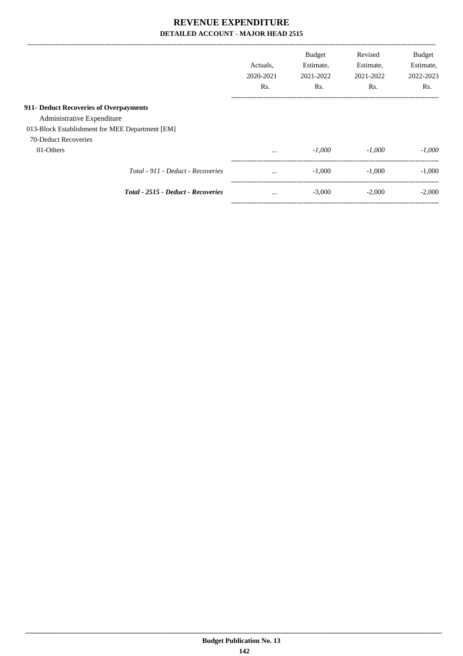|                                                 | Actuals.<br>2020-2021<br>R <sub>s</sub> . | <b>Budget</b><br>Estimate,<br>2021-2022<br>Rs. | Revised<br>Estimate,<br>2021-2022<br>Rs. | <b>Budget</b><br>Estimate,<br>2022-2023<br>Rs. |
|-------------------------------------------------|-------------------------------------------|------------------------------------------------|------------------------------------------|------------------------------------------------|
| 911- Deduct Recoveries of Overpayments          |                                           |                                                |                                          |                                                |
| Administrative Expenditure                      |                                           |                                                |                                          |                                                |
| 013-Block Establishment for MEE Department [EM] |                                           |                                                |                                          |                                                |
| 70-Deduct Recoveries                            |                                           |                                                |                                          |                                                |
| 01-Others                                       | $\cdots$                                  | $-1,000$                                       | $-1,000$                                 | $-1.000$                                       |
| Total - 911 - Deduct - Recoveries               | $\cdots$                                  | $-1.000$                                       | $-1.000$                                 | $-1.000$                                       |
| Total - 2515 - Deduct - Recoveries              | $\cdots$                                  | $-3.000$                                       | $-2.000$                                 | $-2.000$                                       |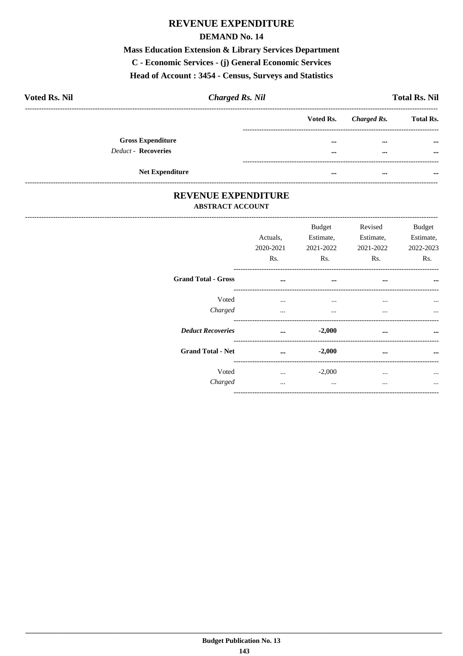## **REVENUE EXPENDITURE**

#### **DEMAND No. 14**

**Mass Education Extension & Library Services Department** C - Economic Services - (j) General Economic Services

Head of Account: 3454 - Census, Surveys and Statistics

| <b>Voted Rs. Nil</b> |                            | <b>Charged Rs. Nil</b> |          |                       | <b>Total Rs. Nil</b> |
|----------------------|----------------------------|------------------------|----------|-----------------------|----------------------|
|                      |                            |                        |          | Voted Rs. Charged Rs. | <b>Total Rs.</b>     |
|                      | <b>Gross Expenditure</b>   |                        |          | $\cdots$              | $\cdots$             |
|                      | <b>Deduct - Recoveries</b> |                        | $\cdots$ | $\cdots$              | $\cdots$             |
|                      |                            |                        |          |                       |                      |
|                      | <b>Net Expenditure</b>     |                        | $\cdots$ | $\cdots$              | $\cdots$             |

#### REVENUE EXPENDITURE **ABSTRACT ACCOUNT**

--------------------------

|                            | Actuals,<br>2020-2021<br>Rs. | <b>Budget</b><br>Estimate,<br>2021-2022<br>Rs. | Revised<br>Estimate,<br>2021-2022<br>Rs. | Budget<br>Estimate.<br>2022-2023<br>Rs. |
|----------------------------|------------------------------|------------------------------------------------|------------------------------------------|-----------------------------------------|
| <b>Grand Total - Gross</b> | $\cdots$                     | $\ddotsc$                                      | $\cdots$                                 | $\cdots$                                |
| Voted<br>Charged           | $\cdots$<br>$\cdots$         | $\cdots$<br>$\cdots$                           | $\cdots$<br>$\cdots$                     | $\cdots$                                |
| <b>Deduct Recoveries</b>   | $\cdots$                     | $-2,000$                                       | $\cdots$                                 |                                         |
| <b>Grand Total - Net</b>   | $\cdots$                     | $-2,000$                                       | $\cdots$                                 |                                         |
| Voted<br>Charged           | $\cdots$<br>                 | $-2,000$<br>                                   | $\cdots$<br>                             |                                         |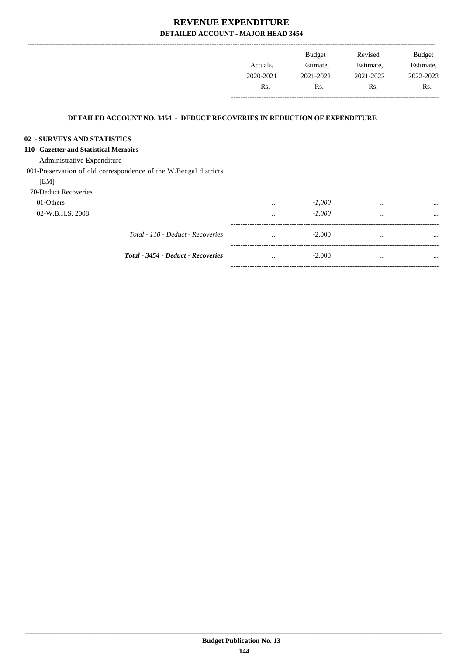|                                                                                  |           | Budget    | Revised   | Budget    |
|----------------------------------------------------------------------------------|-----------|-----------|-----------|-----------|
|                                                                                  | Actuals.  | Estimate, | Estimate, | Estimate, |
|                                                                                  | 2020-2021 | 2021-2022 | 2021-2022 | 2022-2023 |
|                                                                                  | Rs.       | Rs.       | Rs.       | Rs.       |
| <b>DETAILED ACCOUNT NO. 3454 - DEDUCT RECOVERIES IN REDUCTION OF EXPENDITURE</b> |           |           |           |           |
| 02 - SURVEYS AND STATISTICS                                                      |           |           |           |           |
| 110- Gazetter and Statistical Memoirs                                            |           |           |           |           |
| Administrative Expenditure                                                       |           |           |           |           |
| 001-Preservation of old correspondence of the W.Bengal districts                 |           |           |           |           |
| [EM]                                                                             |           |           |           |           |
| 70-Deduct Recoveries                                                             |           |           |           |           |
| 01-Others                                                                        |           | $-1,000$  |           |           |
| 02-W.B.H.S. 2008                                                                 |           | $-1,000$  |           |           |
| Total - 110 - Deduct - Recoveries                                                | $\cdots$  | $-2,000$  | $\cdots$  |           |
| Total - 3454 - Deduct - Recoveries                                               | $\cdots$  | $-2,000$  | $\cdots$  | $\cdots$  |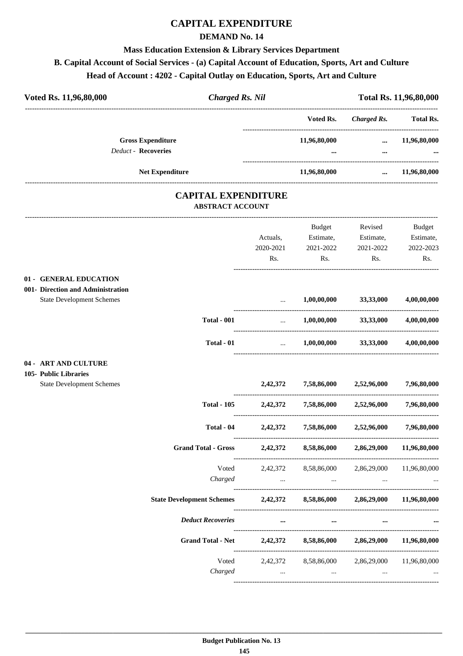### **CAPITAL EXPENDITURE**

#### **DEMAND No. 14**

### **Mass Education Extension & Library Services Department**

# **B. Capital Account of Social Services - (a) Capital Account of Education, Sports, Art and Culture**

## **Head of Account : 4202 - Capital Outlay on Education, Sports, Art and Culture**

| Voted Rs. 11,96,80,000                                      | <b>Charged Rs. Nil</b>     |                                     |                                                                                 |                                               | Total Rs. 11,96,80,000 |
|-------------------------------------------------------------|----------------------------|-------------------------------------|---------------------------------------------------------------------------------|-----------------------------------------------|------------------------|
|                                                             |                            |                                     | Voted Rs.                                                                       | <b>Charged Rs.</b>                            | Total Rs.              |
| <b>Gross Expenditure</b>                                    |                            |                                     | 11,96,80,000                                                                    | $\cdots$                                      | 11,96,80,000           |
| <b>Deduct - Recoveries</b>                                  |                            |                                     | $\cdots$                                                                        | $\ddotsc$                                     |                        |
| Net Expenditure                                             |                            |                                     | 11,96,80,000                                                                    | $\cdots$                                      | 11,96,80,000           |
|                                                             | <b>ABSTRACT ACCOUNT</b>    | <b>CAPITAL EXPENDITURE</b>          |                                                                                 |                                               |                        |
|                                                             |                            |                                     | Budget                                                                          | Revised                                       | <b>Budget</b>          |
|                                                             |                            | Actuals,                            | Estimate,                                                                       | Estimate,                                     | Estimate,              |
|                                                             |                            | 2020-2021                           | 2021-2022                                                                       | 2021-2022                                     | 2022-2023              |
|                                                             |                            | Rs.                                 | Rs.                                                                             | Rs.                                           | Rs.                    |
| 01 - GENERAL EDUCATION<br>001- Direction and Administration |                            |                                     |                                                                                 |                                               |                        |
| <b>State Development Schemes</b>                            |                            | $\cdots$                            | $1,\!00,\!00,\!000$                                                             | 33,33,000                                     | 4,00,00,000            |
|                                                             | <b>Total - 001</b>         | $\ddots$                            |                                                                                 | $1,00,00,000$ $33,33,000$                     | 4,00,00,000            |
|                                                             | Total - 01                 | $\mathbf{r}$                        |                                                                                 | $1,00,00,000$ $33,33,000$                     | 4,00,00,000            |
| 04 - ART AND CULTURE                                        |                            |                                     |                                                                                 |                                               |                        |
| 105- Public Libraries                                       |                            |                                     |                                                                                 |                                               |                        |
| <b>State Development Schemes</b>                            |                            | 2,42,372                            | 7,58,86,000 2,52,96,000                                                         |                                               | 7,96,80,000            |
|                                                             | <b>Total - 105</b>         | 2,42,372                            | 7,58,86,000                                                                     | 2,52,96,000                                   | 7,96,80,000            |
|                                                             | Total - 04                 | 2,42,372                            | 7,58,86,000                                                                     | 2,52,96,000                                   | 7,96,80,000            |
|                                                             | <b>Grand Total - Gross</b> |                                     | 2,42,372 8,58,86,000 2,86,29,000                                                |                                               | 11,96,80,000           |
|                                                             | Voted                      |                                     | 2,42,372 8,58,86,000                                                            | 2,86,29,000                                   | 11,96,80,000           |
|                                                             | Charged                    |                                     | the contract of the contract of the contract of the contract of the contract of | and the company of the                        |                        |
| <b>State Development Schemes</b>                            |                            |                                     | 2,42,372 8,58,86,000 2,86,29,000                                                |                                               | 11,96,80,000           |
|                                                             | <b>Deduct Recoveries</b>   |                                     | $\cdots$<br>$\cdots$                                                            | $\cdots$                                      |                        |
|                                                             | <b>Grand Total - Net</b>   |                                     | 2,42,372 8,58,86,000                                                            | 2,86,29,000                                   | 11,96,80,000           |
|                                                             |                            |                                     | Voted 2,42,372 8,58,86,000 2,86,29,000 11,96,80,000                             |                                               |                        |
|                                                             | Charged                    | the contract of the contract of the |                                                                                 | <b>Contract Contract Contract</b><br>$\cdots$ |                        |

----------------------------------------------------------------------------------------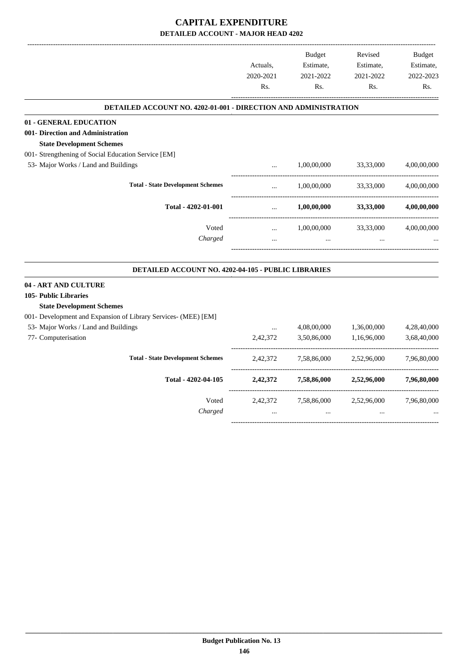## **CAPITAL EXPENDITURE DETAILED ACCOUNT - MAJOR HEAD 4202**

|                                                                 |           | <b>Budget</b> | Revised     | <b>Budget</b> |
|-----------------------------------------------------------------|-----------|---------------|-------------|---------------|
|                                                                 | Actuals,  | Estimate,     | Estimate,   | Estimate,     |
|                                                                 | 2020-2021 | 2021-2022     | 2021-2022   | 2022-2023     |
|                                                                 | Rs.       | Rs.           | Rs.         | Rs.           |
| DETAILED ACCOUNT NO. 4202-01-001 - DIRECTION AND ADMINISTRATION |           |               |             |               |
| 01 - GENERAL EDUCATION                                          |           |               |             |               |
| 001- Direction and Administration                               |           |               |             |               |
| <b>State Development Schemes</b>                                |           |               |             |               |
| 001- Strengthening of Social Education Service [EM]             |           |               |             |               |
| 53- Major Works / Land and Buildings                            | $\cdots$  | 1,00,00,000   | 33,33,000   | 4,00,00,000   |
| <b>Total - State Development Schemes</b>                        | $\cdots$  | 1,00,00,000   | 33,33,000   | 4,00,00,000   |
| Total - 4202-01-001                                             | $\cdots$  | 1,00,00,000   | 33,33,000   | 4,00,00,000   |
| Voted                                                           | $\cdots$  | 1,00,00,000   | 33,33,000   | 4,00,00,000   |
| Charged                                                         | $\ddotsc$ |               |             |               |
| DETAILED ACCOUNT NO. 4202-04-105 - PUBLIC LIBRARIES             |           |               |             |               |
| 04 - ART AND CULTURE                                            |           |               |             |               |
| 105- Public Libraries                                           |           |               |             |               |
| <b>State Development Schemes</b>                                |           |               |             |               |
| 001- Development and Expansion of Library Services- (MEE) [EM]  |           |               |             |               |
| 53- Major Works / Land and Buildings                            | $\ddotsc$ | 4,08,00,000   | 1,36,00,000 | 4,28,40,000   |
| 77- Computerisation                                             | 2,42,372  | 3,50,86,000   | 1,16,96,000 | 3,68,40,000   |
| <b>Total - State Development Schemes</b>                        | 2,42,372  | 7,58,86,000   | 2,52,96,000 | 7,96,80,000   |
| Total - 4202-04-105                                             | 2,42,372  | 7,58,86,000   | 2,52,96,000 | 7,96,80,000   |
| Voted                                                           | 2,42,372  | 7,58,86,000   | 2,52,96,000 | 7,96,80,000   |
| Charged                                                         |           |               |             |               |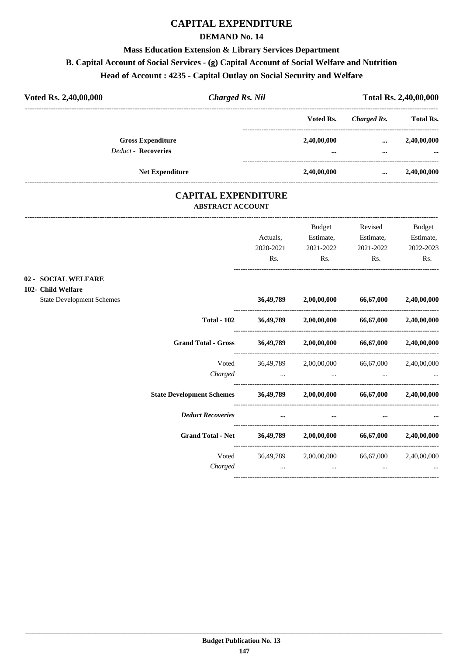## **CAPITAL EXPENDITURE**

#### **DEMAND No. 14**

#### **Mass Education Extension & Library Services Department**

#### **B. Capital Account of Social Services - (g) Capital Account of Social Welfare and Nutrition**

#### **Head of Account : 4235 - Capital Outlay on Social Security and Welfare**

| Voted Rs. 2,40,00,000 |                                                        | <b>Charged Rs. Nil</b> | Total Rs. 2,40,00,000   |                      |                         |
|-----------------------|--------------------------------------------------------|------------------------|-------------------------|----------------------|-------------------------|
|                       |                                                        |                        | Voted Rs.               | Charged Rs.          | <b>Total Rs.</b>        |
|                       | <b>Gross Expenditure</b><br><b>Deduct - Recoveries</b> |                        | 2,40,00,000<br>$\cdots$ | $\cdots$<br>$\cdots$ | 2,40,00,000<br>$\cdots$ |
|                       | <b>Net Expenditure</b>                                 |                        | 2,40,00,000             | $\cdots$             | 2,40,00,000             |

#### **CAPITAL EXPENDITURE ABSTRACT ACCOUNT**

|                                           |                                  |                                  | Actuals,<br>2020-2021<br>Rs. | <b>Budget</b><br>Estimate,<br>2021-2022<br>Rs.      | Revised<br>Estimate,<br>2021-2022<br>Rs. | <b>Budget</b><br>Estimate,<br>2022-2023<br>Rs. |
|-------------------------------------------|----------------------------------|----------------------------------|------------------------------|-----------------------------------------------------|------------------------------------------|------------------------------------------------|
| 02 - SOCIAL WELFARE<br>102- Child Welfare |                                  |                                  |                              |                                                     |                                          |                                                |
|                                           | <b>State Development Schemes</b> |                                  | 36,49,789                    | 2,00,00,000 66,67,000                               |                                          | 2,40,00,000                                    |
|                                           |                                  | <b>Total - 102</b>               |                              | 36,49,789 2,00,00,000 66,67,000 2,40,00,000         |                                          |                                                |
|                                           |                                  | <b>Grand Total - Gross</b>       |                              | 36,49,789 2,00,00,000                               | 66,67,000                                | 2,40,00,000                                    |
|                                           |                                  | Voted<br>Charged                 | 36,49,789<br>$\cdots$        | $\cdots$                                            | 2,00,00,000 66,67,000<br>$\cdots$        | 2,40,00,000                                    |
|                                           |                                  | <b>State Development Schemes</b> |                              | $36,49,789$ $2,00,00,000$ $66,67,000$ $2,40,00,000$ |                                          |                                                |
|                                           |                                  | <b>Deduct Recoveries</b>         | $\cdots$                     | $\cdots$                                            |                                          |                                                |
|                                           |                                  | <b>Grand Total - Net</b>         | 36,49,789                    |                                                     | 2,00,00,000 66,67,000                    | 2,40,00,000                                    |
|                                           |                                  | Voted<br>Charged                 | 36,49,789<br>$\cdots$        | $\cdots$                                            | 2,00,00,000 66,67,000<br>$\cdots$        | 2,40,00,000                                    |
|                                           |                                  |                                  |                              |                                                     |                                          |                                                |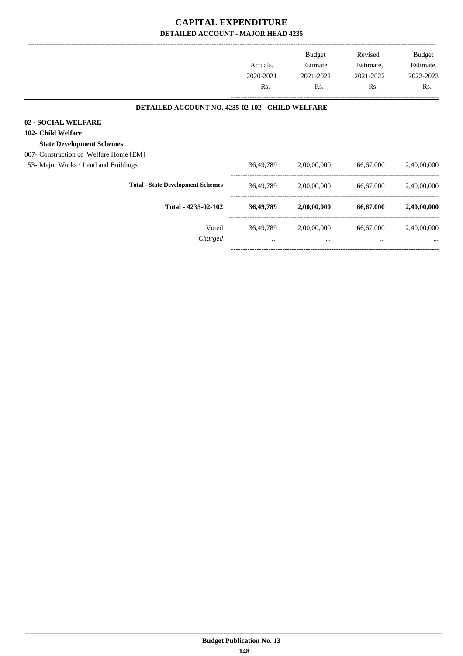## **CAPITAL EXPENDITURE DETAILED ACCOUNT - MAJOR HEAD 4235**

|                                                  |           | Budget      | Revised   | Budget      |
|--------------------------------------------------|-----------|-------------|-----------|-------------|
|                                                  | Actuals,  | Estimate,   | Estimate, | Estimate,   |
|                                                  | 2020-2021 | 2021-2022   | 2021-2022 | 2022-2023   |
|                                                  | Rs.       | Rs.         | Rs.       | Rs.         |
| DETAILED ACCOUNT NO. 4235-02-102 - CHILD WELFARE |           |             |           |             |
| 02 - SOCIAL WELFARE                              |           |             |           |             |
| 102- Child Welfare                               |           |             |           |             |
| <b>State Development Schemes</b>                 |           |             |           |             |
| 007- Construction of Welfare Home [EM]           |           |             |           |             |
| 53- Major Works / Land and Buildings             | 36,49,789 | 2,00,00,000 | 66,67,000 | 2,40,00,000 |
| <b>Total - State Development Schemes</b>         | 36,49,789 | 2,00,00,000 | 66,67,000 | 2,40,00,000 |
| Total - 4235-02-102                              | 36,49,789 | 2,00,00,000 | 66,67,000 | 2,40,00,000 |
| Voted                                            | 36,49,789 | 2,00,00,000 | 66,67,000 | 2,40,00,000 |
| Charged                                          | $\cdots$  | $\cdots$    | $\cdots$  |             |
|                                                  |           |             |           |             |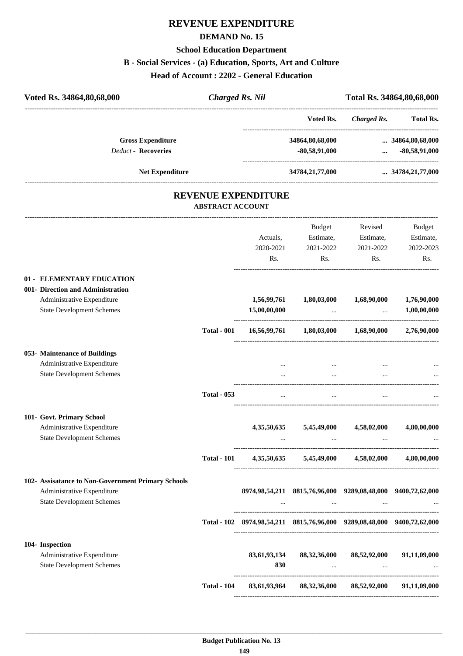## **REVENUE EXPENDITURE**

#### **DEMAND No. 15**

# **School Education Department**

#### **B - Social Services - (a) Education, Sports, Art and Culture**

**Head of Account : 2202 - General Education**

| Voted Rs. 34864,80,68,000                              |                                                       | <b>Charged Rs. Nil</b>                                                  |                                                             |                                       | Total Rs. 34864,80,68,000                   |
|--------------------------------------------------------|-------------------------------------------------------|-------------------------------------------------------------------------|-------------------------------------------------------------|---------------------------------------|---------------------------------------------|
|                                                        |                                                       |                                                                         | Voted Rs.                                                   | Charged Rs.                           | Total Rs.                                   |
| <b>Gross Expenditure</b><br><b>Deduct - Recoveries</b> |                                                       |                                                                         | 34864,80,68,000<br>$-80,58,91,000$                          | ------------------------------------- | $\ldots$ 34864,80,68,000<br>$-80,58,91,000$ |
| <b>Net Expenditure</b>                                 |                                                       |                                                                         | 34784,21,77,000                                             |                                       | $\ldots$ 34784,21,77,000                    |
|                                                        | <b>REVENUE EXPENDITURE</b><br><b>ABSTRACT ACCOUNT</b> |                                                                         |                                                             |                                       |                                             |
|                                                        |                                                       |                                                                         | <b>Budget</b>                                               | Revised                               | Budget                                      |
|                                                        |                                                       | Actuals,                                                                | Estimate,                                                   | Estimate,                             | Estimate,                                   |
|                                                        |                                                       | 2020-2021                                                               | 2021-2022                                                   | 2021-2022                             | 2022-2023                                   |
|                                                        |                                                       | Rs.                                                                     | Rs.                                                         | Rs.                                   | Rs.                                         |
| 01 - ELEMENTARY EDUCATION                              |                                                       |                                                                         |                                                             |                                       |                                             |
| 001- Direction and Administration                      |                                                       |                                                                         |                                                             |                                       |                                             |
| Administrative Expenditure                             |                                                       | 1,56,99,761                                                             | 1,80,03,000                                                 | 1,68,90,000                           | 1,76,90,000                                 |
| <b>State Development Schemes</b>                       |                                                       | 15,00,00,000                                                            |                                                             |                                       | 1,00,00,000                                 |
|                                                        | <b>Total - 001</b>                                    | 16,56,99,761                                                            | 1,80,03,000                                                 | 1,68,90,000                           | 2,76,90,000                                 |
| 053- Maintenance of Buildings                          |                                                       |                                                                         |                                                             |                                       |                                             |
| Administrative Expenditure                             |                                                       |                                                                         | $\ddotsc$                                                   |                                       |                                             |
| <b>State Development Schemes</b>                       |                                                       |                                                                         | $\cdots$                                                    |                                       |                                             |
|                                                        | <b>Total - 053</b>                                    |                                                                         |                                                             |                                       |                                             |
| 101- Govt. Primary School                              |                                                       |                                                                         |                                                             |                                       |                                             |
| Administrative Expenditure                             |                                                       | 4,35,50,635                                                             | 5,45,49,000                                                 | 4,58,02,000                           | 4,80,00,000                                 |
| <b>State Development Schemes</b>                       |                                                       |                                                                         |                                                             |                                       |                                             |
|                                                        | <b>Total - 101</b>                                    |                                                                         | $4,35,50,635$ $5,45,49,000$ $4,58,02,000$ $4,80,00,000$     |                                       |                                             |
| 102- Assisatance to Non-Government Primary Schools     |                                                       |                                                                         |                                                             |                                       |                                             |
| Administrative Expenditure                             |                                                       |                                                                         | 8974,98,54,211 8815,76,96,000 9289,08,48,000 9400,72,62,000 |                                       |                                             |
| <b>State Development Schemes</b>                       |                                                       | $\cdots$                                                                | the contract of the contract of the contract of             | $\cdots$                              |                                             |
|                                                        |                                                       | Total - 102 8974,98,54,211 8815,76,96,000 9289,08,48,000 9400,72,62,000 |                                                             |                                       |                                             |
| 104- Inspection                                        |                                                       |                                                                         |                                                             |                                       |                                             |
| Administrative Expenditure                             |                                                       | 83,61,93,134                                                            | 88,32,36,000                                                | 88,52,92,000                          | 91,11,09,000                                |
| <b>State Development Schemes</b>                       |                                                       | 830                                                                     | $\cdots$                                                    | $\cdots$                              |                                             |
|                                                        | <b>Total - 104</b>                                    | 83,61,93,964                                                            | 88,32,36,000                                                | 88,52,92,000                          | 91,11,09,000                                |

----------------------------------------------------------------------------------------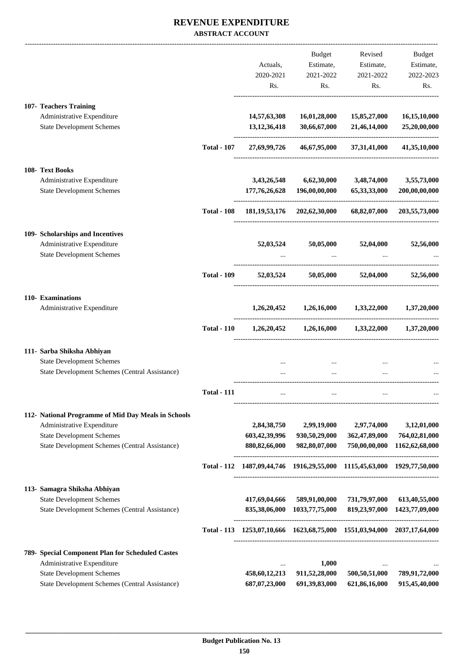|                                                                                    |                    | Actuals,                                                                | Budget<br>Estimate,                                               | Revised<br>Estimate,                                    | Budget<br>Estimate,                                         |
|------------------------------------------------------------------------------------|--------------------|-------------------------------------------------------------------------|-------------------------------------------------------------------|---------------------------------------------------------|-------------------------------------------------------------|
|                                                                                    |                    | 2020-2021<br>Rs.                                                        | 2021-2022<br>Rs.                                                  | 2021-2022<br>Rs.                                        | 2022-2023<br>Rs.                                            |
| 107- Teachers Training                                                             |                    |                                                                         |                                                                   |                                                         |                                                             |
| Administrative Expenditure<br><b>State Development Schemes</b>                     |                    | 14,57,63,308<br>13, 12, 36, 418                                         | 16,01,28,000<br>30,66,67,000                                      | 15,85,27,000<br>21,46,14,000                            | 16,15,10,000<br>25,20,00,000                                |
|                                                                                    | <b>Total - 107</b> | 27,69,99,726                                                            | 46,67,95,000                                                      | 37,31,41,000                                            | 41,35,10,000                                                |
| 108- Text Books                                                                    |                    |                                                                         |                                                                   |                                                         |                                                             |
| Administrative Expenditure<br><b>State Development Schemes</b>                     |                    | 3,43,26,548<br>177,76,26,628                                            | 6,62,30,000<br>196,00,00,000                                      | 3,48,74,000<br>65,33,33,000                             | 3,55,73,000<br>200,00,00,000                                |
|                                                                                    | <b>Total - 108</b> |                                                                         | 181,19,53,176 202,62,30,000                                       | 68,82,07,000                                            | 203,55,73,000                                               |
| 109- Scholarships and Incentives                                                   |                    |                                                                         | 52,03,524 50,05,000                                               | 52,04,000                                               |                                                             |
| Administrative Expenditure<br><b>State Development Schemes</b>                     |                    |                                                                         |                                                                   |                                                         | 52,56,000                                                   |
|                                                                                    | <b>Total - 109</b> | 52,03,524                                                               | 50,05,000                                                         | 52,04,000                                               | 52,56,000                                                   |
| 110- Examinations<br>Administrative Expenditure                                    |                    |                                                                         |                                                                   |                                                         |                                                             |
|                                                                                    |                    |                                                                         |                                                                   | $1,26,20,452$ $1,26,16,000$ $1,33,22,000$               | 1,37,20,000                                                 |
|                                                                                    | <b>Total - 110</b> |                                                                         |                                                                   | $1,26,20,452$ $1,26,16,000$ $1,33,22,000$ $1,37,20,000$ |                                                             |
| 111- Sarba Shiksha Abhiyan<br><b>State Development Schemes</b>                     |                    | $\cdots$                                                                |                                                                   |                                                         |                                                             |
| State Development Schemes (Central Assistance)                                     |                    |                                                                         | $\ddotsc$                                                         |                                                         |                                                             |
|                                                                                    | Total - 111        |                                                                         |                                                                   |                                                         |                                                             |
| 112- National Programme of Mid Day Meals in Schools                                |                    |                                                                         |                                                                   |                                                         |                                                             |
| Administrative Expenditure<br><b>State Development Schemes</b>                     |                    | 2,84,38,750<br>603,42,39,996                                            | 2,99,19,000<br>930,50,29,000                                      | 2,97,74,000<br>362,47,89,000                            | 3,12,01,000<br>764,02,81,000                                |
| State Development Schemes (Central Assistance)                                     |                    |                                                                         | 880, 82, 66, 000 982, 80, 07, 000                                 | 750,00,00,000                                           | 1162,62,68,000                                              |
|                                                                                    |                    | Total - 112 1487,09,44,746 1916,29,55,000 1115,45,63,000 1929,77,50,000 |                                                                   |                                                         |                                                             |
| 113- Samagra Shiksha Abhiyan                                                       |                    |                                                                         |                                                                   |                                                         |                                                             |
| <b>State Development Schemes</b><br>State Development Schemes (Central Assistance) |                    |                                                                         | 417,69,04,666 589,91,00,000<br>835, 38, 06, 000 1033, 77, 75, 000 |                                                         | 731,79,97,000 613,40,55,000<br>819,23,97,000 1423,77,09,000 |
|                                                                                    |                    | Total - 113 1253,07,10,666 1623,68,75,000 1551,03,94,000 2037,17,64,000 |                                                                   |                                                         |                                                             |
| 789- Special Component Plan for Scheduled Castes                                   |                    |                                                                         |                                                                   |                                                         |                                                             |
| Administrative Expenditure<br><b>State Development Schemes</b>                     |                    | 458,60,12,213                                                           | 1,000<br>911,52,28,000                                            | 500,50,51,000                                           | 789,91,72,000                                               |
| State Development Schemes (Central Assistance)                                     |                    | 687,07,23,000                                                           | 691,39,83,000                                                     | 621,86,16,000                                           | 915,45,40,000                                               |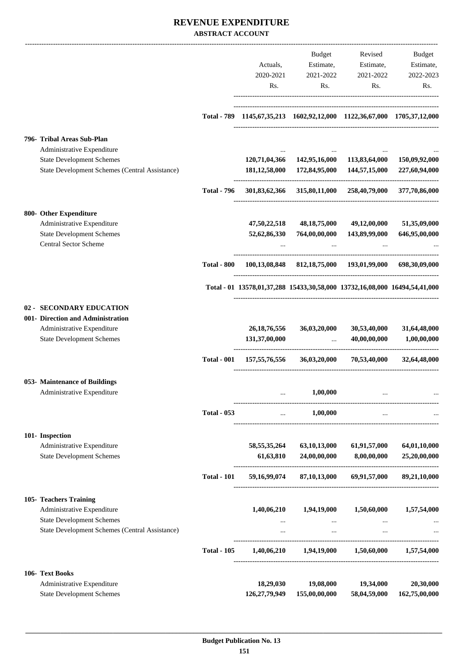|                                                                |                    |                                                                                     | Budget                                                  | Revised                      | Budget                       |
|----------------------------------------------------------------|--------------------|-------------------------------------------------------------------------------------|---------------------------------------------------------|------------------------------|------------------------------|
|                                                                |                    | Actuals,                                                                            | Estimate,                                               | Estimate,                    | Estimate,                    |
|                                                                |                    | 2020-2021                                                                           | 2021-2022                                               | 2021-2022                    | 2022-2023                    |
|                                                                |                    | Rs.                                                                                 | Rs.                                                     | Rs.                          | Rs.                          |
|                                                                |                    | Total - 789 1145, 67, 35, 213 1602, 92, 12, 000 1122, 36, 67, 000 1705, 37, 12, 000 |                                                         |                              |                              |
| 796- Tribal Areas Sub-Plan                                     |                    |                                                                                     |                                                         |                              |                              |
| Administrative Expenditure                                     |                    |                                                                                     |                                                         |                              |                              |
| <b>State Development Schemes</b>                               |                    |                                                                                     | 120,71,04,366 142,95,16,000                             | 113,83,64,000                | 150,09,92,000                |
| State Development Schemes (Central Assistance)                 |                    |                                                                                     | 181, 12, 58, 000 172, 84, 95, 000                       | 144,57,15,000                | 227,60,94,000                |
|                                                                | <b>Total - 796</b> |                                                                                     | 301,83,62,366 315,80,11,000 258,40,79,000 377,70,86,000 |                              |                              |
| 800- Other Expenditure                                         |                    |                                                                                     |                                                         |                              |                              |
| Administrative Expenditure                                     |                    |                                                                                     | 47,50,22,518 48,18,75,000                               | 49,12,00,000                 | 51,35,09,000                 |
| <b>State Development Schemes</b><br>Central Sector Scheme      |                    |                                                                                     | 52,62,86,330 764,00,00,000                              | 143,89,99,000                | 646,95,00,000                |
|                                                                | <b>Total - 800</b> |                                                                                     | 100,13,08,848 812,18,75,000 193,01,99,000 698,30,09,000 |                              |                              |
|                                                                |                    |                                                                                     |                                                         |                              |                              |
|                                                                |                    | Total - 01 13578,01,37,288 15433,30,58,000 13732,16,08,000 16494,54,41,000          |                                                         |                              |                              |
| <b>SECONDARY EDUCATION</b><br>$02 -$                           |                    |                                                                                     |                                                         |                              |                              |
| 001- Direction and Administration                              |                    |                                                                                     |                                                         |                              |                              |
| Administrative Expenditure<br><b>State Development Schemes</b> |                    | 26, 18, 76, 556<br>131,37,00,000                                                    | 36,03,20,000<br>$\mathcal{L} = \mathcal{L} \mathcal{L}$ | 30,53,40,000<br>40,00,00,000 | 31,64,48,000<br>1,00,00,000  |
|                                                                | <b>Total - 001</b> | 157,55,76,556                                                                       | 36,03,20,000                                            | 70,53,40,000                 | 32,64,48,000                 |
| 053- Maintenance of Buildings                                  |                    |                                                                                     |                                                         |                              |                              |
| Administrative Expenditure                                     |                    |                                                                                     | 1,00,000                                                |                              |                              |
|                                                                | <b>Total - 053</b> | $\cdots$                                                                            | 1,00,000                                                | $\ddots$                     |                              |
| 101- Inspection                                                |                    |                                                                                     |                                                         |                              |                              |
| Administrative Expenditure<br><b>State Development Schemes</b> |                    | 58, 55, 35, 264<br>61,63,810                                                        | 63, 10, 13, 000<br>24,00,00,000                         | 61,91,57,000<br>8,00,00,000  | 64,01,10,000<br>25,20,00,000 |
|                                                                | <b>Total - 101</b> | 59,16,99,074                                                                        | 87,10,13,000                                            | 69,91,57,000                 | 89,21,10,000                 |
|                                                                |                    |                                                                                     |                                                         |                              |                              |
| 105- Teachers Training                                         |                    |                                                                                     |                                                         |                              |                              |
| Administrative Expenditure<br><b>State Development Schemes</b> |                    | 1,40,06,210                                                                         | 1,94,19,000                                             | 1,50,60,000                  | 1,57,54,000                  |
| State Development Schemes (Central Assistance)                 |                    | $\cdots$<br>$\cdots$                                                                | $\cdots$<br>$\cdots$                                    | $\cdots$<br>$\cdots$         |                              |
|                                                                | <b>Total - 105</b> |                                                                                     | 1,40,06,210 1,94,19,000                                 | 1,50,60,000                  | 1,57,54,000                  |
| 106- Text Books                                                |                    |                                                                                     |                                                         |                              |                              |
| Administrative Expenditure                                     |                    | 18,29,030                                                                           | 19,08,000                                               | 19,34,000                    | 20,30,000                    |
| <b>State Development Schemes</b>                               |                    | 126,27,79,949                                                                       | 155,00,00,000                                           | 58,04,59,000                 | 162,75,00,000                |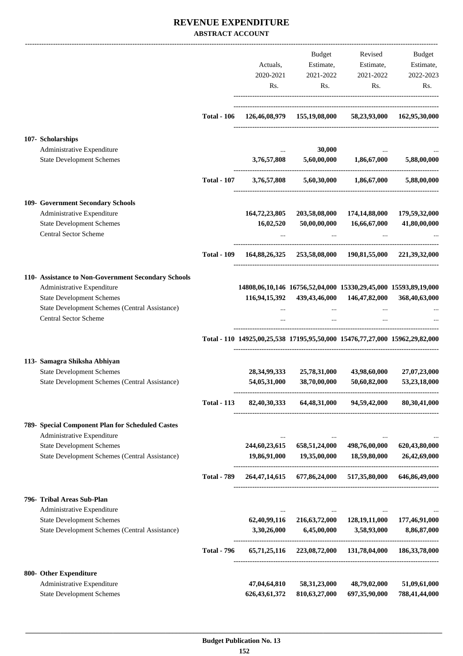|                                                                |                    |                                                                             | <b>Budget</b>                                                   |                                           | Revised Budget                    |
|----------------------------------------------------------------|--------------------|-----------------------------------------------------------------------------|-----------------------------------------------------------------|-------------------------------------------|-----------------------------------|
|                                                                |                    | Actuals,                                                                    |                                                                 | Estimate, Estimate, Estimate,             |                                   |
|                                                                |                    | 2020-2021                                                                   | 2021-2022                                                       | 2021-2022                                 | 2022-2023                         |
|                                                                |                    | Rs.                                                                         | Rs.                                                             | Rs.                                       | Rs.                               |
|                                                                | <b>Total - 106</b> |                                                                             | 126,46,08,979  155,19,08,000  58,23,93,000  162,95,30,000       |                                           |                                   |
| 107- Scholarships                                              |                    |                                                                             |                                                                 |                                           |                                   |
| Administrative Expenditure<br><b>State Development Schemes</b> |                    | 3,76,57,808                                                                 | 30,000                                                          | $5,60,00,000$ $1,86,67,000$ $5,88,00,000$ |                                   |
|                                                                | <b>Total - 107</b> |                                                                             | 3,76,57,808 5,60,30,000 1,86,67,000                             |                                           | 5,88,00,000                       |
| 109- Government Secondary Schools                              |                    |                                                                             |                                                                 |                                           |                                   |
| Administrative Expenditure                                     |                    |                                                                             | 164,72,23,805 203,58,08,000                                     |                                           | 174, 14, 88, 000 179, 59, 32, 000 |
| <b>State Development Schemes</b>                               |                    | 16,02,520                                                                   | $50,\!00,\!00,\!000$                                            | 16,66,67,000                              | 41,80,00,000                      |
| <b>Central Sector Scheme</b>                                   |                    |                                                                             | and the contract of the contract of                             | $\sim$ $\sim$ $\sim$ $\sim$ $\sim$ $\sim$ |                                   |
|                                                                | <b>Total - 109</b> |                                                                             | 164,88,26,325 253,58,08,000 190,81,55,000 221,39,32,000         |                                           |                                   |
| 110- Assistance to Non-Government Secondary Schools            |                    |                                                                             |                                                                 |                                           |                                   |
| Administrative Expenditure                                     |                    |                                                                             | 14808,06,10,146 16756,52,04,000 15330,29,45,000 15593,89,19,000 |                                           |                                   |
| <b>State Development Schemes</b>                               |                    |                                                                             | 116,94,15,392 439,43,46,000 146,47,82,000                       |                                           | 368,40,63,000                     |
| State Development Schemes (Central Assistance)                 |                    |                                                                             |                                                                 |                                           |                                   |
| <b>Central Sector Scheme</b>                                   |                    |                                                                             |                                                                 |                                           |                                   |
|                                                                |                    | Total - 110 14925,00,25,538 17195,95,50,000 15476,77,27,000 15962,29,82,000 |                                                                 |                                           |                                   |
| 113- Samagra Shiksha Abhiyan                                   |                    |                                                                             |                                                                 |                                           |                                   |
| <b>State Development Schemes</b>                               |                    | 28, 34, 99, 333                                                             | 25,78,31,000                                                    | 43,98,60,000                              | 27,07,23,000                      |
| State Development Schemes (Central Assistance)                 |                    | 54,05,31,000                                                                | 38,70,00,000                                                    | 50,60,82,000                              | 53,23,18,000                      |
|                                                                | <b>Total - 113</b> |                                                                             | 82,40,30,333 64,48,31,000 94,59,42,000 80,30,41,000             |                                           |                                   |
| 789- Special Component Plan for Scheduled Castes               |                    |                                                                             |                                                                 |                                           |                                   |
| Administrative Expenditure                                     |                    |                                                                             |                                                                 |                                           |                                   |
| <b>State Development Schemes</b>                               |                    |                                                                             | 244,60,23,615 658,51,24,000 498,76,00,000                       |                                           | 620,43,80,000                     |
| <b>State Development Schemes (Central Assistance)</b>          |                    |                                                                             | 19,86,91,000 19,35,00,000                                       | 18,59,80,000                              | 26,42,69,000                      |
|                                                                | <b>Total - 789</b> |                                                                             | 264,47,14,615 677,86,24,000 517,35,80,000 646,86,49,000         |                                           |                                   |
| 796- Tribal Areas Sub-Plan                                     |                    |                                                                             |                                                                 |                                           |                                   |
| Administrative Expenditure                                     |                    |                                                                             |                                                                 |                                           |                                   |
| <b>State Development Schemes</b>                               |                    |                                                                             | 62,40,99,116 216,63,72,000 128,19,11,000 177,46,91,000          |                                           |                                   |
| State Development Schemes (Central Assistance)                 |                    | 3,30,26,000                                                                 | 6,45,00,000                                                     | 3,58,93,000                               | 8,86,87,000                       |
|                                                                | <b>Total - 796</b> |                                                                             | 65,71,25,116 223,08,72,000 131,78,04,000 186,33,78,000          |                                           |                                   |
| 800- Other Expenditure                                         |                    |                                                                             |                                                                 |                                           |                                   |
| Administrative Expenditure                                     |                    | 47,04,64,810                                                                | 58, 31, 23, 000                                                 | 48,79,02,000                              | 51,09,61,000                      |
| <b>State Development Schemes</b>                               |                    | 626, 43, 61, 372                                                            | 810,63,27,000                                                   | 697,35,90,000                             | 788,41,44,000                     |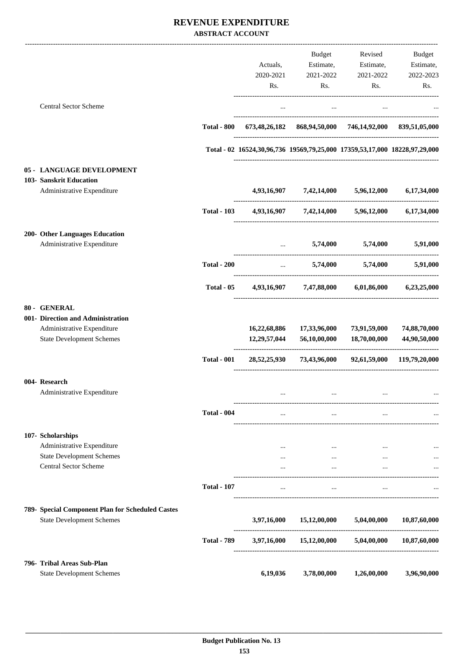|                                                              |                    |                                                                            | Budget                                         | Revised                                                 | <b>Budget</b> |
|--------------------------------------------------------------|--------------------|----------------------------------------------------------------------------|------------------------------------------------|---------------------------------------------------------|---------------|
|                                                              |                    | Actuals,                                                                   |                                                | Estimate, Estimate,                                     | Estimate,     |
|                                                              |                    | 2020-2021                                                                  | 2021-2022                                      | 2021-2022                                               | 2022-2023     |
|                                                              |                    | Rs.                                                                        | Rs.                                            | Rs.                                                     | Rs.           |
| <b>Central Sector Scheme</b>                                 |                    | $\cdots$                                                                   | $\cdots$                                       | $\cdots$                                                |               |
|                                                              | <b>Total - 800</b> |                                                                            |                                                | 673,48,26,182 868,94,50,000 746,14,92,000 839,51,05,000 |               |
|                                                              |                    |                                                                            |                                                |                                                         |               |
|                                                              |                    | Total - 02 16524,30,96,736 19569,79,25,000 17359,53,17,000 18228,97,29,000 |                                                |                                                         |               |
| 05 - LANGUAGE DEVELOPMENT                                    |                    |                                                                            |                                                |                                                         |               |
| 103- Sanskrit Education                                      |                    |                                                                            |                                                |                                                         |               |
| Administrative Expenditure                                   |                    |                                                                            |                                                | $4,93,16,907$ $7,42,14,000$ $5,96,12,000$               | 6,17,34,000   |
|                                                              | <b>Total - 103</b> |                                                                            |                                                | 4,93,16,907 7,42,14,000 5,96,12,000 6,17,34,000         |               |
| 200- Other Languages Education<br>Administrative Expenditure |                    |                                                                            |                                                | $5,74,000$ $5,74,000$ $5,91,000$                        |               |
|                                                              | <b>Total - 200</b> |                                                                            | $\mathbf{r}$ and $\mathbf{r}$ and $\mathbf{r}$ | 5,74,000 5,74,000 5,91,000                              |               |
|                                                              |                    |                                                                            |                                                |                                                         |               |
|                                                              | <b>Total - 05</b>  |                                                                            |                                                | 4,93,16,907 7,47,88,000 6,01,86,000 6,23,25,000         |               |
| 80 - GENERAL                                                 |                    |                                                                            |                                                |                                                         |               |
| 001- Direction and Administration                            |                    |                                                                            |                                                |                                                         |               |
| Administrative Expenditure                                   |                    |                                                                            | 16,22,68,886 17,33,96,000                      | 73,91,59,000                                            | 74,88,70,000  |
| <b>State Development Schemes</b>                             |                    | 12,29,57,044                                                               | 56,10,00,000                                   | 18,70,00,000                                            | 44,90,50,000  |
|                                                              | <b>Total - 001</b> |                                                                            |                                                | 28,52,25,930 73,43,96,000 92,61,59,000 119,79,20,000    |               |
| 004- Research                                                |                    |                                                                            |                                                |                                                         |               |
| Administrative Expenditure                                   |                    |                                                                            |                                                |                                                         |               |
|                                                              | <b>Total - 004</b> | $\cdots$                                                                   | $\cdots$                                       |                                                         |               |
| 107- Scholarships                                            |                    |                                                                            |                                                |                                                         |               |
| Administrative Expenditure                                   |                    | $\cdots$                                                                   | $\cdots$                                       | $\cdots$                                                |               |
| <b>State Development Schemes</b>                             |                    | $\cdots$                                                                   | $\cdots$                                       |                                                         |               |
| <b>Central Sector Scheme</b>                                 |                    |                                                                            | $\cdots$                                       |                                                         |               |
|                                                              | <b>Total - 107</b> | $\cdots$                                                                   | $\cdots$                                       | $\cdots$<br>----------------------------                |               |
| 789- Special Component Plan for Scheduled Castes             |                    |                                                                            |                                                |                                                         |               |
| <b>State Development Schemes</b>                             |                    | 3,97,16,000                                                                |                                                | $15,12,00,000$ $5,04,00,000$                            | 10,87,60,000  |
|                                                              | <b>Total - 789</b> | 3,97,16,000                                                                | 15,12,00,000                                   | 5,04,00,000                                             | 10,87,60,000  |
| 796- Tribal Areas Sub-Plan                                   |                    |                                                                            |                                                |                                                         |               |
| <b>State Development Schemes</b>                             |                    | 6,19,036                                                                   | 3,78,00,000                                    | 1,26,00,000                                             | 3,96,90,000   |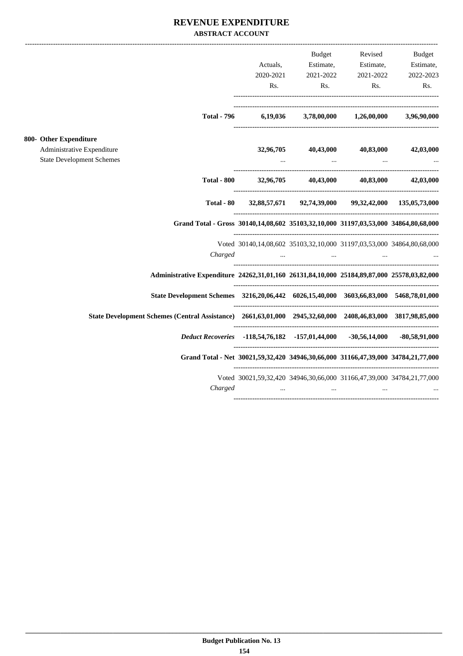|                                                                |                                                                                                            |                      | Budget                                                 |                                                                                                                 | Revised Budget |
|----------------------------------------------------------------|------------------------------------------------------------------------------------------------------------|----------------------|--------------------------------------------------------|-----------------------------------------------------------------------------------------------------------------|----------------|
|                                                                |                                                                                                            | Actuals,             |                                                        | Estimate, Estimate, Estimate,                                                                                   |                |
|                                                                |                                                                                                            |                      |                                                        | 2020-2021 2021-2022 2021-2022                                                                                   | 2022-2023      |
|                                                                |                                                                                                            | Rs.                  |                                                        | Rs. Rs.                                                                                                         | Rs.            |
|                                                                | Total - 796                                                                                                |                      |                                                        | 6,19,036 3,78,00,000 1,26,00,000 3,96,90,000                                                                    |                |
| 800- Other Expenditure                                         |                                                                                                            |                      |                                                        |                                                                                                                 |                |
| Administrative Expenditure<br><b>State Development Schemes</b> |                                                                                                            |                      | and the state and the<br>$\mathbf{1}$ and $\mathbf{1}$ | 32,96,705 40,43,000 40,83,000 42,03,000<br><b>Contract Contract State</b>                                       |                |
|                                                                |                                                                                                            |                      |                                                        | Total - 800 32,96,705 40,43,000 40,83,000 42,03,000                                                             |                |
|                                                                |                                                                                                            |                      |                                                        | Total - 80 32,88,57,671 92,74,39,000 99,32,42,000 135,05,73,000                                                 |                |
|                                                                | Grand Total - Gross 30140,14,08,602 35103,32,10,000 31197,03,53,000 34864,80,68,000                        |                      |                                                        |                                                                                                                 |                |
|                                                                |                                                                                                            |                      |                                                        | Voted 30140,14,08,602 35103,32,10,000 31197,03,53,000 34864,80,68,000                                           |                |
|                                                                | Charged                                                                                                    |                      |                                                        | المساوي المساوي المساوي المساوي المساوي المساوي المساوي المساوي المساوي المساوي المساوي المساوي المساوي المساوي |                |
|                                                                | Administrative Expenditure 24262,31,01,160 26131,84,10,000 25184,89,87,000 25578,03,82,000                 |                      |                                                        |                                                                                                                 |                |
|                                                                | State Development Schemes 3216,20,06,442 6026,15,40,000 3603,66,83,000 5468,78,01,000                      |                      |                                                        |                                                                                                                 |                |
|                                                                | State Development Schemes (Central Assistance) 2661,63,01,000 2945,32,60,000 2408,46,83,000 3817,98,85,000 |                      |                                                        |                                                                                                                 |                |
|                                                                | Deduct Recoveries -118,54,76,182 -157,01,44,000 -30,56,14,000 -80,58,91,000                                |                      |                                                        |                                                                                                                 |                |
|                                                                | Grand Total - Net 30021,59,32,420 34946,30,66,000 31166,47,39,000 34784,21,77,000                          |                      |                                                        |                                                                                                                 |                |
|                                                                | Charged                                                                                                    | $\sim$ $\sim$ $\sim$ | and the contract of the con-                           | Voted 30021,59,32,420 34946,30,66,000 31166,47,39,000 34784,21,77,000<br>and the contract of the con-           |                |
|                                                                |                                                                                                            |                      |                                                        |                                                                                                                 |                |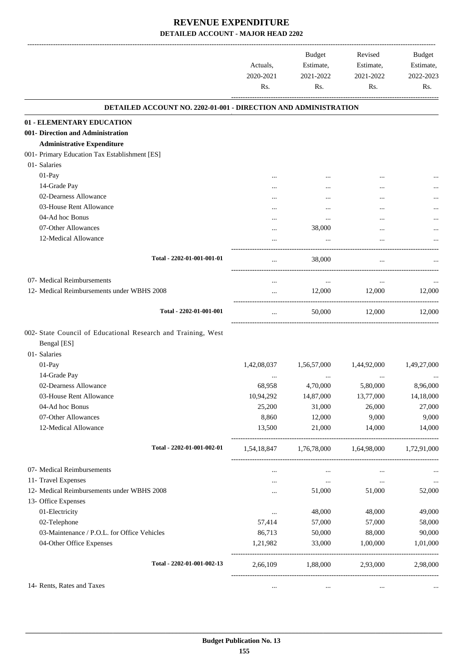|                                                                 | Actuals.<br>2020-2021<br>Rs. | <b>Budget</b><br>Estimate,<br>2021-2022<br>Rs. | Revised<br>Estimate,<br>2021-2022<br>Rs.            | <b>Budget</b><br>Estimate,<br>2022-2023<br>Rs. |
|-----------------------------------------------------------------|------------------------------|------------------------------------------------|-----------------------------------------------------|------------------------------------------------|
| DETAILED ACCOUNT NO. 2202-01-001 - DIRECTION AND ADMINISTRATION |                              |                                                |                                                     |                                                |
| 01 - ELEMENTARY EDUCATION                                       |                              |                                                |                                                     |                                                |
| 001- Direction and Administration                               |                              |                                                |                                                     |                                                |
| <b>Administrative Expenditure</b>                               |                              |                                                |                                                     |                                                |
| 001- Primary Education Tax Establishment [ES]                   |                              |                                                |                                                     |                                                |
| 01- Salaries                                                    |                              |                                                |                                                     |                                                |
| 01-Pay                                                          |                              |                                                |                                                     |                                                |
| 14-Grade Pay                                                    |                              |                                                |                                                     |                                                |
| 02-Dearness Allowance                                           |                              |                                                |                                                     |                                                |
| 03-House Rent Allowance                                         |                              |                                                |                                                     |                                                |
| 04-Ad hoc Bonus                                                 |                              | $\ddotsc$                                      |                                                     |                                                |
| 07-Other Allowances                                             |                              | 38,000                                         |                                                     |                                                |
| 12-Medical Allowance                                            |                              | $\ddotsc$                                      |                                                     |                                                |
| Total - 2202-01-001-001-01                                      |                              | 38,000                                         | $\ddotsc$                                           |                                                |
| 07- Medical Reimbursements                                      |                              | $\cdots$                                       | $\ddotsc$                                           |                                                |
| 12- Medical Reimbursements under WBHS 2008                      |                              | 12,000                                         | 12,000                                              | 12,000                                         |
| Total - 2202-01-001-001                                         | $\cdots$                     | 50,000                                         | 12,000                                              | 12,000                                         |
| 002- State Council of Educational Research and Training, West   |                              |                                                |                                                     |                                                |
| Bengal [ES]                                                     |                              |                                                |                                                     |                                                |
| 01- Salaries                                                    |                              |                                                |                                                     |                                                |
| 01-Pay                                                          | 1,42,08,037                  | 1,56,57,000                                    | 1,44,92,000                                         | 1,49,27,000                                    |
| 14-Grade Pay                                                    |                              |                                                |                                                     |                                                |
| 02-Dearness Allowance                                           | <br>68,958                   | <br>4,70,000                                   | $\ddotsc$<br>5,80,000                               | 8,96,000                                       |
| 03-House Rent Allowance                                         | 10,94,292                    | 14,87,000                                      | 13,77,000                                           | 14,18,000                                      |
| 04-Ad hoc Bonus                                                 | 25,200                       | 31,000                                         | 26,000                                              | 27,000                                         |
| 07-Other Allowances                                             | 8,860                        | 12,000                                         | 9,000                                               | 9,000                                          |
| 12-Medical Allowance                                            | 13,500                       | 21,000                                         | 14,000                                              | 14,000                                         |
| Total - 2202-01-001-002-01                                      | 1,54,18,847                  | 1,76,78,000 1,64,98,000                        |                                                     | 1,72,91,000                                    |
| 07- Medical Reimbursements                                      |                              |                                                |                                                     |                                                |
| 11- Travel Expenses                                             | $\cdots$                     | $\cdots$                                       | $\cdots$                                            |                                                |
| 12- Medical Reimbursements under WBHS 2008                      | $\cdots$                     | $\cdots$                                       | $\cdots$                                            | $\cdots$                                       |
| 13- Office Expenses                                             |                              | 51,000                                         | 51,000                                              | 52,000                                         |
| 01-Electricity                                                  |                              | 48,000                                         | 48,000                                              | 49,000                                         |
| 02-Telephone                                                    | $\cdots$<br>57,414           | 57,000                                         | 57,000                                              | 58,000                                         |
| 03-Maintenance / P.O.L. for Office Vehicles                     | 86,713                       | 50,000                                         | 88,000                                              | 90,000                                         |
| 04-Other Office Expenses                                        | 1,21,982                     | 33,000                                         | 1,00,000                                            | 1,01,000                                       |
| Total - 2202-01-001-002-13                                      |                              |                                                | ---------------------<br>2,66,109 1,88,000 2,93,000 | 2,98,000                                       |
| 14- Rents, Rates and Taxes                                      |                              |                                                |                                                     |                                                |
|                                                                 |                              | $\ddots$                                       | $\cdots$                                            |                                                |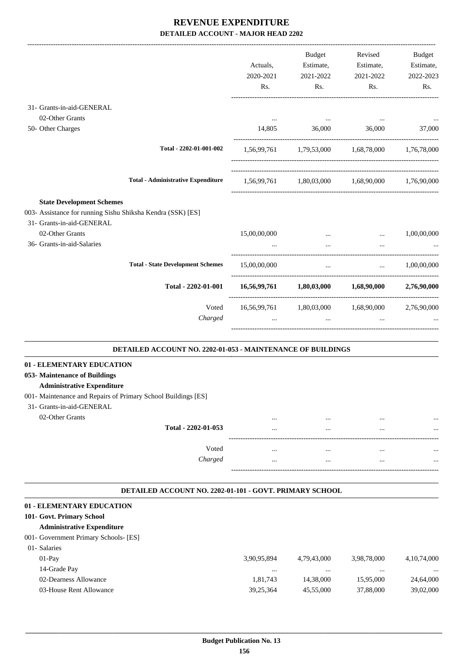|                                                                                          |                                                  | <b>Budget</b>                                            | Revised                                                                                                                           | Budget         |
|------------------------------------------------------------------------------------------|--------------------------------------------------|----------------------------------------------------------|-----------------------------------------------------------------------------------------------------------------------------------|----------------|
|                                                                                          | Actuals,                                         | Estimate,                                                | Estimate,                                                                                                                         | Estimate,      |
|                                                                                          | 2020-2021                                        | 2021-2022                                                | 2021-2022                                                                                                                         | 2022-2023      |
|                                                                                          | Rs.                                              | Rs.                                                      | Rs.                                                                                                                               | Rs.            |
| 31- Grants-in-aid-GENERAL                                                                |                                                  |                                                          |                                                                                                                                   |                |
| 02-Other Grants                                                                          | $\cdots$                                         | $\cdots$                                                 |                                                                                                                                   | $\cdots$       |
| 50- Other Charges                                                                        | 14,805                                           | 36,000                                                   | 36,000                                                                                                                            | 37,000         |
|                                                                                          |                                                  |                                                          |                                                                                                                                   |                |
| Total - 2202-01-001-002                                                                  |                                                  | 1,56,99,761 1,79,53,000 1,68,78,000 1,76,78,000          |                                                                                                                                   |                |
| <b>Total - Administrative Expenditure</b>                                                |                                                  | 1,56,99,761 1,80,03,000 1,68,90,000 1,76,90,000          |                                                                                                                                   |                |
|                                                                                          |                                                  |                                                          |                                                                                                                                   |                |
| <b>State Development Schemes</b>                                                         |                                                  |                                                          |                                                                                                                                   |                |
| 003- Assistance for running Sishu Shiksha Kendra (SSK) [ES]<br>31- Grants-in-aid-GENERAL |                                                  |                                                          |                                                                                                                                   |                |
| 02-Other Grants                                                                          | 15,00,00,000                                     |                                                          |                                                                                                                                   | 1,00,00,000    |
| 36- Grants-in-aid-Salaries                                                               | $\cdots$                                         | $\mathbf{m}$                                             | $\cdots$                                                                                                                          |                |
|                                                                                          |                                                  |                                                          |                                                                                                                                   |                |
| <b>Total - State Development Schemes</b>                                                 | 15,00,00,000                                     | $\sim$ $\sim$                                            | $\mathbf{1}_{\mathbf{1}_{\mathbf{2}}\mathbf{1}_{\mathbf{3}}\mathbf{2}_{\mathbf{4}}\mathbf{3}_{\mathbf{5}}\mathbf{4}_{\mathbf{6}}$ | 1,00,00,000    |
| Total - 2202-01-001                                                                      |                                                  | $16,56,99,761$ $1,80,03,000$ $1,68,90,000$ $2,76,90,000$ |                                                                                                                                   |                |
| Voted<br>Charged                                                                         | 16,56,99,761 1,80,03,000 1,68,90,000 2,76,90,000 | $\cdots$                                                 | $\cdots$                                                                                                                          |                |
| DETAILED ACCOUNT NO. 2202-01-053 - MAINTENANCE OF BUILDINGS                              |                                                  |                                                          |                                                                                                                                   |                |
| 01 - ELEMENTARY EDUCATION                                                                |                                                  |                                                          |                                                                                                                                   |                |
| 053- Maintenance of Buildings                                                            |                                                  |                                                          |                                                                                                                                   |                |
| <b>Administrative Expenditure</b>                                                        |                                                  |                                                          |                                                                                                                                   |                |
| 001- Maintenance and Repairs of Primary School Buildings [ES]                            |                                                  |                                                          |                                                                                                                                   |                |
| 31- Grants-in-aid-GENERAL                                                                |                                                  |                                                          |                                                                                                                                   |                |
| 02-Other Grants                                                                          |                                                  | $\cdots$                                                 | $\cdots$                                                                                                                          | $\cdots$       |
| Total - 2202-01-053                                                                      |                                                  | $\cdots$                                                 | $\cdots$                                                                                                                          |                |
| Voted                                                                                    | $\cdots$                                         | $\cdots$                                                 |                                                                                                                                   |                |
| Charged                                                                                  | $\cdots$                                         | $\cdots$                                                 | $\cdots$<br>$\cdots$                                                                                                              |                |
|                                                                                          |                                                  |                                                          |                                                                                                                                   |                |
| DETAILED ACCOUNT NO. 2202-01-101 - GOVT. PRIMARY SCHOOL                                  |                                                  |                                                          |                                                                                                                                   |                |
|                                                                                          |                                                  |                                                          |                                                                                                                                   |                |
| 01 - ELEMENTARY EDUCATION<br>101- Govt. Primary School                                   |                                                  |                                                          |                                                                                                                                   |                |
| <b>Administrative Expenditure</b>                                                        |                                                  |                                                          |                                                                                                                                   |                |
| 001- Government Primary Schools- [ES]                                                    |                                                  |                                                          |                                                                                                                                   |                |
| 01- Salaries                                                                             |                                                  |                                                          |                                                                                                                                   |                |
| 01-Pay                                                                                   | 3,90,95,894                                      | 4,79,43,000                                              | 3,98,78,000                                                                                                                       | 4, 10, 74, 000 |
| 14-Grade Pay                                                                             | $\cdots$                                         | $\cdots$                                                 | $\cdots$                                                                                                                          |                |
| 02-Dearness Allowance                                                                    | 1,81,743                                         | 14,38,000                                                | 15,95,000                                                                                                                         | 24,64,000      |
| 03-House Rent Allowance                                                                  | 39,25,364                                        | 45,55,000                                                | 37,88,000                                                                                                                         | 39,02,000      |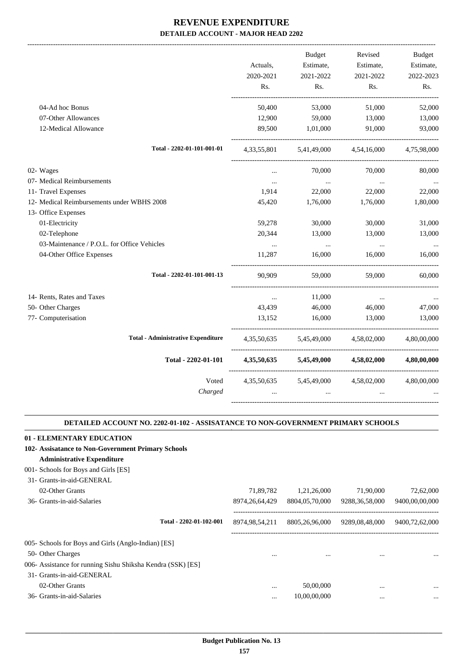-------------------------------------------------------------------------------------------------------------------------------------------------------------------------------

|                                             |                | <b>Budget</b> | Revised                 | <b>Budget</b> |
|---------------------------------------------|----------------|---------------|-------------------------|---------------|
|                                             | Actuals,       | Estimate,     | Estimate,               | Estimate,     |
|                                             | 2020-2021      | 2021-2022     | 2021-2022               | 2022-2023     |
|                                             | Rs.            | Rs.           | Rs.                     | Rs.           |
| 04-Ad hoc Bonus                             | 50,400         | 53,000        | 51,000                  | 52,000        |
| 07-Other Allowances                         | 12,900         | 59,000        | 13,000                  | 13,000        |
| 12-Medical Allowance                        | 89,500         | 1,01,000      | 91,000                  | 93,000        |
| Total - 2202-01-101-001-01                  | 4,33,55,801    |               | 5,41,49,000 4,54,16,000 | 4,75,98,000   |
| 02- Wages                                   | $\cdots$       | 70,000        | 70,000                  | 80,000        |
| 07- Medical Reimbursements                  | $\cdots$       | $\ddots$      | $\cdots$                |               |
| 11- Travel Expenses                         | 1,914          | 22,000        | 22,000                  | 22,000        |
| 12- Medical Reimbursements under WBHS 2008  | 45,420         | 1,76,000      | 1,76,000                | 1,80,000      |
| 13- Office Expenses                         |                |               |                         |               |
| 01-Electricity                              | 59,278         | 30,000        | 30,000                  | 31,000        |
| 02-Telephone                                | 20,344         | 13,000        | 13,000                  | 13,000        |
| 03-Maintenance / P.O.L. for Office Vehicles | $\cdots$       | $\ddots$      | $\cdots$                |               |
| 04-Other Office Expenses                    | 11,287         | 16,000        | 16,000                  | 16,000        |
| Total - 2202-01-101-001-13                  | 90,909         | 59,000        | 59,000                  | 60,000        |
| 14- Rents, Rates and Taxes                  | $\ddots$       | 11,000        | $\ldots$                |               |
| 50- Other Charges                           | 43,439         | 46,000        | 46,000                  | 47,000        |
| 77- Computerisation                         | 13,152         | 16,000        | 13,000                  | 13,000        |
| <b>Total - Administrative Expenditure</b>   | 4,35,50,635    | 5,45,49,000   | 4,58,02,000             | 4,80,00,000   |
| Total - 2202-01-101                         | 4,35,50,635    | 5,45,49,000   | 4,58,02,000             | 4,80,00,000   |
| Voted                                       | 4, 35, 50, 635 | 5,45,49,000   | 4,58,02,000             | 4,80,00,000   |
| Charged                                     |                |               |                         |               |
|                                             |                |               |                         |               |

#### **DETAILED ACCOUNT NO. 2202-01-102 - ASSISATANCE TO NON-GOVERNMENT PRIMARY SCHOOLS .**

.

#### **01 - ELEMENTARY EDUCATION**

| 102- Assisatance to Non-Government Primary Schools          |                   |                |                   |                |
|-------------------------------------------------------------|-------------------|----------------|-------------------|----------------|
| <b>Administrative Expenditure</b>                           |                   |                |                   |                |
| 001- Schools for Boys and Girls [ES]                        |                   |                |                   |                |
| 31- Grants-in-aid-GENERAL                                   |                   |                |                   |                |
| 02-Other Grants                                             | 71,89,782         | 1,21,26,000    | 71,90,000         | 72,62,000      |
| 36- Grants-in-aid-Salaries                                  | 8974, 26, 64, 429 | 8804,05,70,000 | 9288, 36, 58, 000 | 9400,00,00,000 |
| Total - 2202-01-102-001                                     | 8974, 98, 54, 211 | 8805,26,96,000 | 9289,08,48,000    | 9400,72,62,000 |
| 005- Schools for Boys and Girls (Anglo-Indian) [ES]         |                   |                |                   |                |
| 50- Other Charges                                           | $\cdots$          |                | $\cdots$          | $\cdots$       |
| 006- Assistance for running Sishu Shiksha Kendra (SSK) [ES] |                   |                |                   |                |
| 31- Grants-in-aid-GENERAL                                   |                   |                |                   |                |
| 02-Other Grants                                             | $\cdots$          | 50,00,000      | $\cdots$          | $\cdots$       |
| 36- Grants-in-aid-Salaries                                  | $\cdots$          | 10,00,00,000   | $\cdots$          |                |
|                                                             |                   |                |                   |                |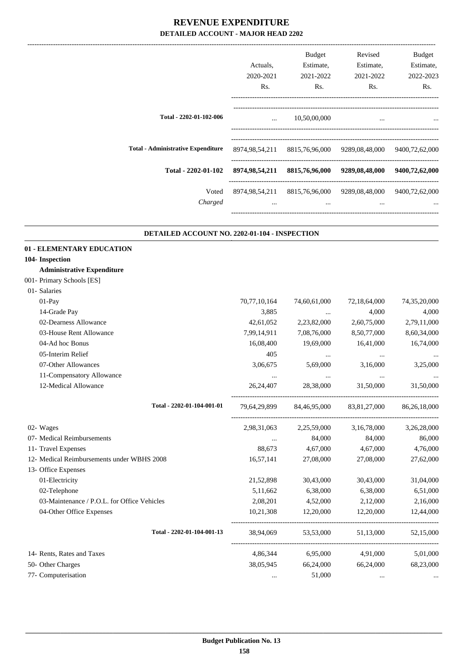|                                                   | Actuals,<br>2020-2021<br>Rs. | Budget<br>Estimate,<br>2021-2022<br>Rs.                  | Revised<br>Estimate,<br>2021-2022<br>Rs. | <b>Budget</b><br>Estimate,<br>2022-2023<br>Rs. |
|---------------------------------------------------|------------------------------|----------------------------------------------------------|------------------------------------------|------------------------------------------------|
| Total - 2202-01-102-006                           | $\cdots$                     | 10,50,00,000                                             |                                          |                                                |
| <b>Total - Administrative Expenditure</b>         |                              | 8974,98,54,211 8815,76,96,000 9289,08,48,000             |                                          | 9400,72,62,000                                 |
| Total - 2202-01-102                               |                              | 8974,98,54,211 8815,76,96,000 9289,08,48,000             |                                          | 9400,72,62,000                                 |
| Voted<br>Charged                                  |                              | 8974,98,54,211 8815,76,96,000 9289,08,48,000<br>$\cdots$ |                                          | 9400,72,62,000                                 |
| DETAILED ACCOUNT NO. 2202-01-104 - INSPECTION     |                              |                                                          |                                          |                                                |
| 01 - ELEMENTARY EDUCATION                         |                              |                                                          |                                          |                                                |
| 104- Inspection                                   |                              |                                                          |                                          |                                                |
| <b>Administrative Expenditure</b>                 |                              |                                                          |                                          |                                                |
| 001- Primary Schools [ES]                         |                              |                                                          |                                          |                                                |
| 01- Salaries                                      |                              |                                                          |                                          |                                                |
| 01-Pay                                            | 70,77,10,164                 | 74,60,61,000                                             | 72,18,64,000                             | 74,35,20,000                                   |
| 14-Grade Pay                                      | 3,885                        |                                                          | 4,000                                    | 4,000                                          |
| 02-Dearness Allowance                             | 42,61,052                    | 2,23,82,000                                              | 2,60,75,000                              | 2,79,11,000                                    |
| 03-House Rent Allowance                           | 7,99,14,911                  | 7,08,76,000                                              | 8,50,77,000                              | 8,60,34,000                                    |
| 04-Ad hoc Bonus                                   | 16,08,400                    | 19,69,000                                                | 16,41,000                                | 16,74,000                                      |
| 05-Interim Relief                                 | 405                          | $\cdots$                                                 | $\cdots$                                 |                                                |
| 07-Other Allowances                               | 3,06,675                     | 5,69,000                                                 | 3,16,000                                 | 3,25,000                                       |
| 11-Compensatory Allowance<br>12-Medical Allowance | $\cdots$<br>26,24,407        | <br>28,38,000                                            | <br>31,50,000                            | 31,50,000                                      |
| Total - 2202-01-104-001-01                        | 79,64,29,899                 | 84,46,95,000                                             | 83,81,27,000                             | 86, 26, 18, 000                                |
| 02- Wages                                         | 2,98,31,063                  | 2,25,59,000                                              | 3,16,78,000                              | 3,26,28,000                                    |
| 07- Medical Reimbursements                        | $\cdots$                     | 84,000                                                   | 84,000                                   | 86,000                                         |
| 11- Travel Expenses                               | 88,673                       | 4,67,000                                                 | 4,67,000                                 | 4,76,000                                       |
| 12- Medical Reimbursements under WBHS 2008        | 16,57,141                    | 27,08,000                                                | 27,08,000                                | 27,62,000                                      |
| 13- Office Expenses                               |                              |                                                          |                                          |                                                |
| 01-Electricity                                    | 21,52,898                    | 30,43,000                                                | 30,43,000                                | 31,04,000                                      |
| 02-Telephone                                      | 5,11,662                     | 6,38,000                                                 | 6,38,000                                 | 6,51,000                                       |
| 03-Maintenance / P.O.L. for Office Vehicles       | 2,08,201                     | 4,52,000                                                 | 2,12,000                                 | 2,16,000                                       |
| 04-Other Office Expenses                          | 10,21,308                    | 12,20,000                                                | 12,20,000                                | 12,44,000                                      |
| Total - 2202-01-104-001-13                        | 38,94,069                    | 53,53,000                                                | 51,13,000                                | 52,15,000                                      |
| 14- Rents, Rates and Taxes                        | 4,86,344                     | 6,95,000                                                 | 4,91,000                                 | 5,01,000                                       |
| 50- Other Charges                                 | 38,05,945                    | 66,24,000                                                | 66,24,000                                | 68,23,000                                      |

 **\_\_\_\_\_\_\_\_\_\_\_\_\_\_\_\_\_\_\_\_\_\_\_\_\_\_\_\_\_\_\_\_\_\_\_\_\_\_\_\_\_\_\_\_\_\_\_\_\_\_\_\_\_\_\_\_\_\_\_\_\_\_\_\_\_\_\_\_\_\_\_\_\_\_\_\_\_\_\_\_\_\_\_\_\_\_\_\_\_\_\_\_\_\_\_\_\_\_\_\_\_\_\_\_\_\_\_\_\_\_\_\_\_\_\_\_\_\_\_**

77- Computerisation ... 51,000 ... ...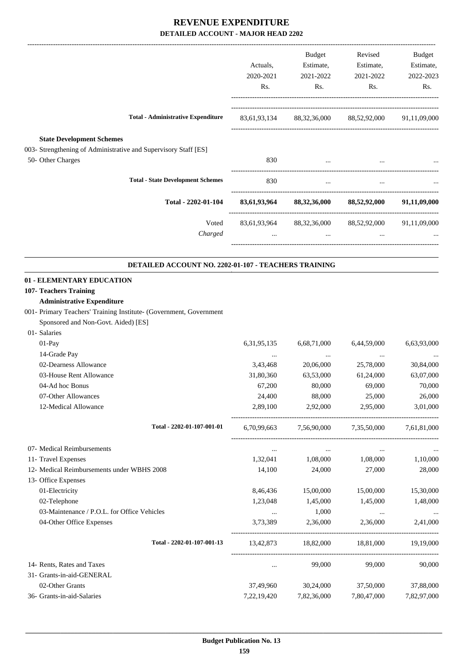|                                                                                                                                                                                                       | Actuals,<br>2020-2021<br>Rs. | Budget<br>Estimate,<br>2021-2022<br>Rs. | Revised<br>Estimate,<br>2021-2022<br>Rs.                                              | Budget<br>Estimate,<br>2022-2023<br>Rs. |
|-------------------------------------------------------------------------------------------------------------------------------------------------------------------------------------------------------|------------------------------|-----------------------------------------|---------------------------------------------------------------------------------------|-----------------------------------------|
| <b>Total - Administrative Expenditure</b>                                                                                                                                                             |                              |                                         | 83,61,93,134 88,32,36,000 88,52,92,000 91,11,09,000                                   |                                         |
| <b>State Development Schemes</b><br>003- Strengthening of Administrative and Supervisory Staff [ES]<br>50- Other Charges                                                                              | 830                          |                                         |                                                                                       |                                         |
| <b>Total - State Development Schemes</b>                                                                                                                                                              | 830                          | $\ldots$                                | $\cdots$                                                                              |                                         |
| Total - 2202-01-104                                                                                                                                                                                   |                              |                                         | 83,61,93,964 88,32,36,000 88,52,92,000 91,11,09,000                                   |                                         |
| Voted<br>Charged                                                                                                                                                                                      |                              |                                         | 83,61,93,964 88,32,36,000 88,52,92,000 91,11,09,000<br><b>The Committee Committee</b> |                                         |
| DETAILED ACCOUNT NO. 2202-01-107 - TEACHERS TRAINING                                                                                                                                                  |                              |                                         |                                                                                       |                                         |
| 01 - ELEMENTARY EDUCATION<br>107- Teachers Training<br><b>Administrative Expenditure</b><br>001- Primary Teachers' Training Institute- (Government, Government<br>Sponsored and Non-Govt. Aided) [ES] |                              |                                         |                                                                                       |                                         |
| 01- Salaries<br>01-Pay                                                                                                                                                                                | 6, 31, 95, 135               | 6,68,71,000                             | 6,44,59,000                                                                           | 6,63,93,000                             |
| 14-Grade Pay                                                                                                                                                                                          | $\cdots$                     | $\ldots$                                |                                                                                       |                                         |
| 02-Dearness Allowance                                                                                                                                                                                 | 3,43,468                     | 20,06,000                               | 25,78,000                                                                             | 30,84,000                               |
| 03-House Rent Allowance                                                                                                                                                                               | 31,80,360                    | 63,53,000                               | 61,24,000                                                                             | 63,07,000                               |
| 04-Ad hoc Bonus                                                                                                                                                                                       | 67,200                       | 80,000                                  | 69,000                                                                                | 70,000                                  |
| 07-Other Allowances<br>12-Medical Allowance                                                                                                                                                           | 24,400<br>2,89,100           | 88,000<br>2,92,000                      | 25,000<br>2,95,000                                                                    | 26,000<br>3,01,000                      |
| Total - 2202-01-107-001-01                                                                                                                                                                            |                              |                                         | 6,70,99,663 7,56,90,000 7,35,50,000 7,61,81,000                                       |                                         |
| 07- Medical Reimbursements                                                                                                                                                                            | $\cdots$                     | $\cdots$                                | $\ldots$                                                                              |                                         |
| 11- Travel Expenses                                                                                                                                                                                   | 1,32,041                     | 1,08,000                                | 1,08,000                                                                              | 1,10,000                                |
| 12- Medical Reimbursements under WBHS 2008                                                                                                                                                            | 14,100                       | 24,000                                  | 27,000                                                                                | 28,000                                  |
| 13- Office Expenses                                                                                                                                                                                   |                              |                                         |                                                                                       |                                         |
| 01-Electricity                                                                                                                                                                                        | 8,46,436                     | 15,00,000                               | 15,00,000                                                                             | 15,30,000                               |
| 02-Telephone<br>03-Maintenance / P.O.L. for Office Vehicles                                                                                                                                           | 1,23,048                     | 1,45,000<br>1,000                       | 1,45,000                                                                              | 1,48,000                                |
| 04-Other Office Expenses                                                                                                                                                                              | $\cdots$<br>3,73,389         | 2,36,000                                | $\cdots$<br>2,36,000                                                                  | $\cdots$<br>2,41,000                    |
| Total - 2202-01-107-001-13                                                                                                                                                                            |                              | 13,42,873 18,82,000 18,81,000           |                                                                                       | 19,19,000                               |
| 14- Rents, Rates and Taxes                                                                                                                                                                            | $\cdots$                     | 99,000                                  | 99,000                                                                                | 90,000                                  |
| 31- Grants-in-aid-GENERAL                                                                                                                                                                             |                              |                                         |                                                                                       |                                         |
| 02-Other Grants                                                                                                                                                                                       | 37,49,960                    | 30,24,000                               | 37,50,000                                                                             | 37,88,000                               |
| 36- Grants-in-aid-Salaries                                                                                                                                                                            | 7,22,19,420                  | 7,82,36,000                             | 7,80,47,000                                                                           | 7,82,97,000                             |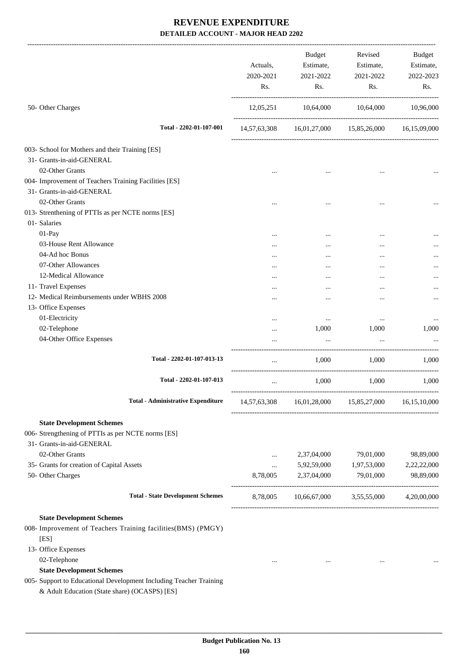-------------------------------------------------------------------------------------------------------------------------------------------------------------------------------

|                                                                                                                     | Actuals,<br>2020-2021<br>Rs. | <b>Budget</b><br>Estimate,<br>2021-2022<br>Rs. | Revised<br>Estimate,<br>2021-2022<br>Rs.            |              | <b>Budget</b><br>Estimate,<br>2022-2023<br>Rs. |
|---------------------------------------------------------------------------------------------------------------------|------------------------------|------------------------------------------------|-----------------------------------------------------|--------------|------------------------------------------------|
| 50- Other Charges                                                                                                   | 12,05,251                    | 10,64,000                                      | 10,64,000                                           | 10,96,000    |                                                |
| Total - 2202-01-107-001                                                                                             |                              |                                                | 14,57,63,308 16,01,27,000 15,85,26,000              | 16,15,09,000 |                                                |
| 003- School for Mothers and their Training [ES]                                                                     |                              |                                                |                                                     |              |                                                |
| 31- Grants-in-aid-GENERAL                                                                                           |                              |                                                |                                                     |              |                                                |
| 02-Other Grants                                                                                                     |                              | $\cdots$                                       | $\cdots$                                            |              |                                                |
| 004- Improvement of Teachers Training Facilities [ES]                                                               |                              |                                                |                                                     |              |                                                |
| 31- Grants-in-aid-GENERAL                                                                                           |                              |                                                |                                                     |              |                                                |
| 02-Other Grants                                                                                                     | $\cdots$                     | $\cdots$                                       | $\cdots$                                            |              |                                                |
| 013- Strenthening of PTTIs as per NCTE norms [ES]                                                                   |                              |                                                |                                                     |              |                                                |
| 01- Salaries                                                                                                        |                              |                                                |                                                     |              |                                                |
| 01-Pay                                                                                                              |                              | $\cdots$                                       | $\cdots$                                            |              |                                                |
| 03-House Rent Allowance                                                                                             | $\cdots$                     | $\cdots$                                       | $\cdots$                                            |              |                                                |
| 04-Ad hoc Bonus                                                                                                     | $\cdots$                     | $\cdots$                                       |                                                     |              |                                                |
| 07-Other Allowances                                                                                                 |                              | $\cdots$                                       | $\cdots$                                            |              |                                                |
| 12-Medical Allowance                                                                                                |                              | $\cdots$                                       |                                                     |              |                                                |
| 11- Travel Expenses                                                                                                 |                              |                                                |                                                     |              |                                                |
| 12- Medical Reimbursements under WBHS 2008                                                                          | $\cdots$                     |                                                |                                                     |              |                                                |
| 13- Office Expenses                                                                                                 |                              |                                                |                                                     |              |                                                |
| 01-Electricity                                                                                                      | $\cdots$                     | $\cdots$                                       | $\cdots$                                            |              |                                                |
| 02-Telephone                                                                                                        |                              | 1,000                                          | 1,000                                               | 1,000        |                                                |
| 04-Other Office Expenses                                                                                            |                              |                                                |                                                     |              |                                                |
|                                                                                                                     |                              |                                                |                                                     |              |                                                |
| Total - 2202-01-107-013-13                                                                                          |                              | 1,000                                          | 1,000                                               | 1.000        |                                                |
| Total - 2202-01-107-013                                                                                             | $\cdots$                     | 1,000                                          | 1,000                                               | 1.000        |                                                |
| <b>Total - Administrative Expenditure</b>                                                                           |                              |                                                | 14,57,63,308 16,01,28,000 15,85,27,000 16,15,10,000 |              |                                                |
| <b>State Development Schemes</b>                                                                                    |                              |                                                |                                                     |              |                                                |
| 006- Strengthening of PTTIs as per NCTE norms [ES]                                                                  |                              |                                                |                                                     |              |                                                |
| 31- Grants-in-aid-GENERAL                                                                                           |                              |                                                |                                                     |              |                                                |
| 02-Other Grants                                                                                                     | $\cdots$                     | 2,37,04,000                                    | 79,01,000                                           | 98,89,000    |                                                |
| 35- Grants for creation of Capital Assets                                                                           |                              | 5,92,59,000                                    | 1,97,53,000                                         | 2,22,22,000  |                                                |
| 50- Other Charges                                                                                                   | 8,78,005                     | 2,37,04,000                                    | 79,01,000                                           | 98,89,000    |                                                |
| <b>Total - State Development Schemes</b>                                                                            |                              |                                                | 8,78,005 10,66,67,000 3,55,55,000 4,20,00,000       |              |                                                |
|                                                                                                                     |                              |                                                |                                                     |              |                                                |
| <b>State Development Schemes</b><br>008- Improvement of Teachers Training facilities(BMS) (PMGY)                    |                              |                                                |                                                     |              |                                                |
| [ES]                                                                                                                |                              |                                                |                                                     |              |                                                |
| 13- Office Expenses                                                                                                 |                              |                                                |                                                     |              |                                                |
| 02-Telephone                                                                                                        | $\cdots$                     | $\cdots$                                       | $\cdots$                                            |              |                                                |
| <b>State Development Schemes</b>                                                                                    |                              |                                                |                                                     |              |                                                |
| 005- Support to Educational Development Including Teacher Training<br>& Adult Education (State share) (OCASPS) [ES] |                              |                                                |                                                     |              |                                                |
|                                                                                                                     |                              |                                                |                                                     |              |                                                |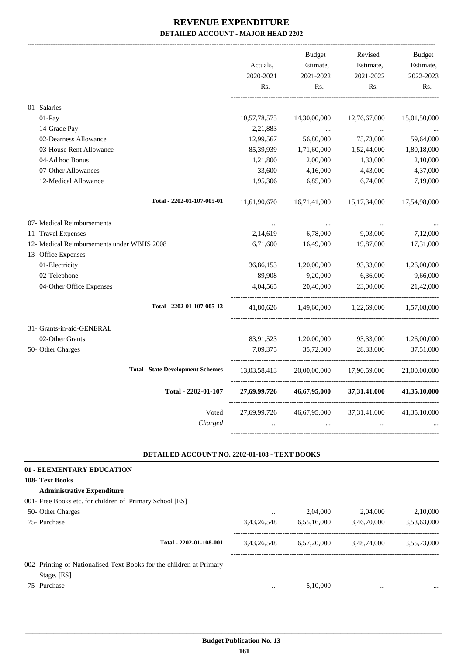|                                                                      | Actuals,<br>2020-2021<br>Rs. | Budget<br>2021-2022<br>Rs.                                                                                                                                                                                                       | Revised<br>Estimate, Estimate,<br>2021-2022<br>Rs.  | Budget<br>Estimate,<br>2022-2023<br>Rs. |
|----------------------------------------------------------------------|------------------------------|----------------------------------------------------------------------------------------------------------------------------------------------------------------------------------------------------------------------------------|-----------------------------------------------------|-----------------------------------------|
|                                                                      |                              |                                                                                                                                                                                                                                  |                                                     |                                         |
| 01- Salaries<br>01-Pay                                               |                              |                                                                                                                                                                                                                                  |                                                     |                                         |
|                                                                      | 10,57,78,575                 | 14,30,00,000                                                                                                                                                                                                                     | 12,76,67,000                                        | 15,01,50,000                            |
| 14-Grade Pay                                                         | 2,21,883                     | $\sim$ $\sim$                                                                                                                                                                                                                    | $\sim$ $\sim$                                       |                                         |
| 02-Dearness Allowance                                                | 12,99,567                    | 56,80,000                                                                                                                                                                                                                        | 75,73,000                                           | 59,64,000                               |
| 03-House Rent Allowance                                              | 85,39,939                    | 1,71,60,000                                                                                                                                                                                                                      | 1,52,44,000                                         | 1,80,18,000                             |
| 04-Ad hoc Bonus                                                      | 1,21,800                     | 2,00,000                                                                                                                                                                                                                         | 1,33,000                                            | 2,10,000                                |
| 07-Other Allowances                                                  | 33,600                       | 4,16,000                                                                                                                                                                                                                         | 4,43,000                                            | 4,37,000                                |
| 12-Medical Allowance                                                 | 1,95,306                     | 6,85,000                                                                                                                                                                                                                         | 6,74,000                                            | 7,19,000                                |
| Total - 2202-01-107-005-01                                           |                              |                                                                                                                                                                                                                                  | 11,61,90,670 16,71,41,000 15,17,34,000 17,54,98,000 |                                         |
| 07- Medical Reimbursements                                           | $\cdots$                     | $\cdots$                                                                                                                                                                                                                         | $\cdots$                                            |                                         |
| 11- Travel Expenses                                                  |                              |                                                                                                                                                                                                                                  | 2,14,619 6,78,000 9,03,000 7,12,000                 |                                         |
| 12- Medical Reimbursements under WBHS 2008                           | 6,71,600                     | 16,49,000                                                                                                                                                                                                                        | 19,87,000                                           | 17,31,000                               |
| 13- Office Expenses                                                  |                              |                                                                                                                                                                                                                                  |                                                     |                                         |
| 01-Electricity                                                       | 36,86,153                    | 1,20,00,000                                                                                                                                                                                                                      | 93,33,000                                           | 1,26,00,000                             |
| 02-Telephone                                                         | 89,908                       | 9,20,000                                                                                                                                                                                                                         | 6,36,000                                            | 9,66,000                                |
| 04-Other Office Expenses                                             | 4,04,565                     | 20,40,000                                                                                                                                                                                                                        | 23,00,000                                           | 21,42,000                               |
| Total - 2202-01-107-005-13                                           |                              |                                                                                                                                                                                                                                  | 41,80,626 1,49,60,000 1,22,69,000 1,57,08,000       |                                         |
| 31- Grants-in-aid-GENERAL                                            |                              |                                                                                                                                                                                                                                  |                                                     |                                         |
| 02-Other Grants                                                      |                              | 83,91,523 1,20,00,000                                                                                                                                                                                                            |                                                     | 93,33,000 1,26,00,000                   |
| 50- Other Charges                                                    | 7,09,375                     | 35,72,000                                                                                                                                                                                                                        | 28,33,000                                           | 37,51,000                               |
| <b>Total - State Development Schemes</b>                             |                              |                                                                                                                                                                                                                                  | 13,03,58,413 20,00,00,000 17,90,59,000 21,00,00,000 |                                         |
| Total - 2202-01-107                                                  |                              |                                                                                                                                                                                                                                  | 27,69,99,726 46,67,95,000 37,31,41,000 41,35,10,000 |                                         |
| Voted                                                                |                              |                                                                                                                                                                                                                                  | 27,69,99,726 46,67,95,000 37,31,41,000              | 41,35,10,000                            |
| Charged                                                              |                              | $\cdots$ . The contract of the contract of the contract of the contract of the contract of the contract of the contract of the contract of the contract of the contract of the contract of the contract of the contract of the c | and the state of the state<br>$\ddots$              |                                         |
| DETAILED ACCOUNT NO. 2202-01-108 - TEXT BOOKS                        |                              |                                                                                                                                                                                                                                  |                                                     |                                         |
| 01 - ELEMENTARY EDUCATION                                            |                              |                                                                                                                                                                                                                                  |                                                     |                                         |
| 108- Text Books                                                      |                              |                                                                                                                                                                                                                                  |                                                     |                                         |
| <b>Administrative Expenditure</b>                                    |                              |                                                                                                                                                                                                                                  |                                                     |                                         |
| 001- Free Books etc. for children of Primary School [ES]             |                              |                                                                                                                                                                                                                                  |                                                     |                                         |
| 50- Other Charges                                                    |                              | 2,04,000                                                                                                                                                                                                                         | 2,04,000                                            | 2,10,000                                |
| 75- Purchase                                                         | 3,43,26,548                  | 6,55,16,000                                                                                                                                                                                                                      | 3,46,70,000                                         | 3,53,63,000                             |
| Total - 2202-01-108-001                                              |                              |                                                                                                                                                                                                                                  | 3,43,26,548 6,57,20,000 3,48,74,000 3,55,73,000     |                                         |
| 002- Printing of Nationalised Text Books for the children at Primary |                              |                                                                                                                                                                                                                                  |                                                     |                                         |

Stage. [ES] 75- Purchase ... 5,10,000 ... ...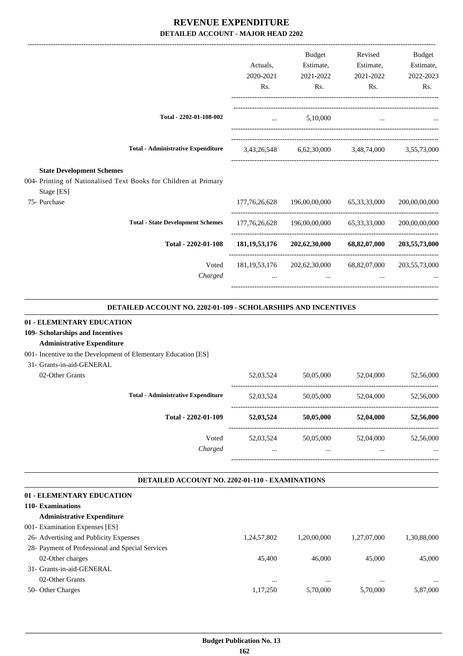|                                  |                                                                  |                  | Budget                                   | Revised                             | <b>Budget</b> |
|----------------------------------|------------------------------------------------------------------|------------------|------------------------------------------|-------------------------------------|---------------|
|                                  |                                                                  | Actuals,         | Estimate,                                | Estimate,                           | Estimate,     |
|                                  |                                                                  | 2020-2021        | 2021-2022                                | 2021-2022                           | 2022-2023     |
|                                  |                                                                  | Rs.              | Rs.                                      | Rs.                                 | Rs.           |
|                                  | Total - 2202-01-108-002                                          |                  | 5,10,000                                 |                                     |               |
|                                  | <b>Total - Administrative Expenditure</b>                        | 3,43,26,548      |                                          | 6,62,30,000 3,48,74,000 3,55,73,000 |               |
| <b>State Development Schemes</b> |                                                                  |                  |                                          |                                     |               |
|                                  | 004- Printing of Nationalised Text Books for Children at Primary |                  |                                          |                                     |               |
| Stage [ES]<br>75- Purchase       |                                                                  |                  | 177,76,26,628 196,00,00,000 65,33,33,000 |                                     | 200,00,00,000 |
|                                  |                                                                  |                  |                                          |                                     |               |
|                                  | <b>Total - State Development Schemes</b>                         |                  | 177,76,26,628 196,00,00,000 65,33,33,000 |                                     | 200,00,00,000 |
|                                  | Total - 2202-01-108                                              | 181, 19, 53, 176 |                                          | 202,62,30,000 68,82,07,000          | 203,55,73,000 |
|                                  | Voted                                                            | 181, 19, 53, 176 | 202,62,30,000                            | 68,82,07,000                        | 203,55,73,000 |
|                                  | Charged                                                          | $\cdots$         | $\cdots$                                 |                                     |               |

**.**

#### **01 - ELEMENTARY EDUCATION**

#### **109- Scholarships and Incentives**

#### **Administrative Expenditure**

 31- Grants-in-aid-GENERAL 02-Other Grants

#### 001- Incentive to the Development of Elementary Education [ES]

|                                           | 52,03,524             | 50,05,000             | 52,04,000     | 52,56,000             |
|-------------------------------------------|-----------------------|-----------------------|---------------|-----------------------|
| <b>Total - Administrative Expenditure</b> | 52,03,524             | 50,05,000             | 52,04,000     | 52,56,000             |
| Total - 2202-01-109                       | 52,03,524             | 50,05,000             | 52,04,000     | 52,56,000             |
| Voted<br>Charged                          | 52,03,524<br>$\cdots$ | 50,05,000<br>$\cdots$ | 52,04,000<br> | 52,56,000<br>$\cdots$ |
|                                           |                       |                       |               |                       |

.

#### **DETAILED ACCOUNT NO. 2202-01-110 - EXAMINATIONS**

| 01 - ELEMENTARY EDUCATION                        |             |             |             |             |
|--------------------------------------------------|-------------|-------------|-------------|-------------|
| 110- Examinations                                |             |             |             |             |
| <b>Administrative Expenditure</b>                |             |             |             |             |
| 001 - Examination Expenses [ES]                  |             |             |             |             |
| 26- Advertising and Publicity Expenses           | 1,24,57,802 | 1,20,00,000 | 1,27,07,000 | 1,30,88,000 |
| 28- Payment of Professional and Special Services |             |             |             |             |
| 02-Other charges                                 | 45,400      | 46,000      | 45,000      | 45,000      |
| 31- Grants-in-aid-GENERAL                        |             |             |             |             |
| 02-Other Grants                                  | $\cdots$    | $\cdots$    | $\cdots$    | $\cdots$    |
| 50- Other Charges                                | 1.17.250    | 5.70,000    | 5.70.000    | 5,87,000    |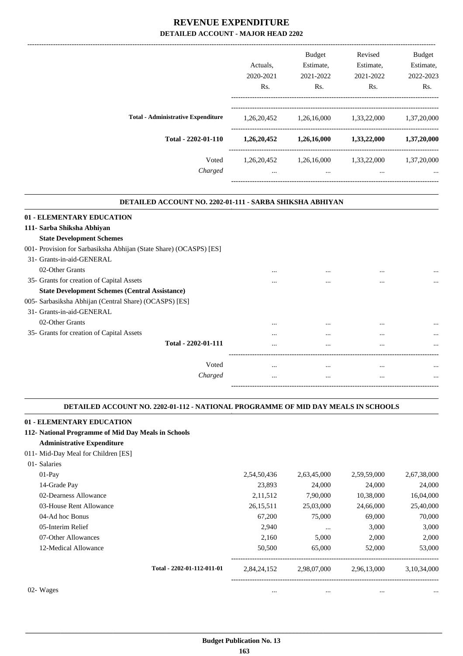|                                           | Actuals.<br>2020-2021 | <b>Budget</b><br>Estimate,<br>2021-2022 | Revised<br>Estimate,<br>2021-2022 | <b>Budget</b><br>Estimate,<br>2022-2023 |
|-------------------------------------------|-----------------------|-----------------------------------------|-----------------------------------|-----------------------------------------|
|                                           | Rs.                   | Rs.                                     | Rs.                               | Rs.                                     |
|                                           |                       |                                         |                                   |                                         |
| <b>Total - Administrative Expenditure</b> | 1,26,20,452           | 1,26,16,000                             | 1,33,22,000                       | 1,37,20,000                             |
| Total - 2202-01-110                       | 1,26,20,452           | 1,26,16,000                             | 1,33,22,000                       | 1,37,20,000                             |
| Voted                                     | 1,26,20,452           | 1,26,16,000                             | 1,33,22,000                       | 1,37,20,000                             |
| Charged                                   | $\cdots$              | $\cdots$                                | $\cdots$                          |                                         |
|                                           |                       |                                         |                                   |                                         |

.

.

| DETAILED ACCOUNT NO. 2202-01-111 - SARBA SHIKSHA ABHIYAN            |          |          |          |          |
|---------------------------------------------------------------------|----------|----------|----------|----------|
| 01 - ELEMENTARY EDUCATION                                           |          |          |          |          |
| 111- Sarba Shiksha Abhiyan                                          |          |          |          |          |
| <b>State Development Schemes</b>                                    |          |          |          |          |
| 001 - Provision for Sarbasiksha Abhijan (State Share) (OCASPS) [ES] |          |          |          |          |
| 31- Grants-in-aid-GENERAL                                           |          |          |          |          |
| 02-Other Grants                                                     | $\cdots$ | $\cdots$ | $\cdots$ | $\cdots$ |
| 35- Grants for creation of Capital Assets                           |          |          |          | $\cdots$ |
| <b>State Development Schemes (Central Assistance)</b>               |          |          |          |          |
| 005 - Sarbasiksha Abhijan (Central Share) (OCASPS) [ES]             |          |          |          |          |
| 31- Grants-in-aid-GENERAL                                           |          |          |          |          |
| 02-Other Grants                                                     |          | $\cdots$ | $\cdots$ | $\cdots$ |
| 35- Grants for creation of Capital Assets                           |          |          | $\cdots$ | $\cdots$ |
| Total - 2202-01-111                                                 |          |          | $\cdots$ |          |
|                                                                     |          |          |          |          |
| Voted                                                               | $\cdots$ | $\cdots$ | $\cdots$ | $\cdots$ |
| Charged                                                             | $\cdots$ | $\cdots$ | $\cdots$ | $\cdots$ |
|                                                                     |          |          |          |          |

#### **DETAILED ACCOUNT NO. 2202-01-112 - NATIONAL PROGRAMME OF MID DAY MEALS IN SCHOOLS .**

#### **01 - ELEMENTARY EDUCATION**

#### **112- National Programme of Mid Day Meals in Schools**

#### **Administrative Expenditure**

#### 011- Mid-Day Meal for Children [ES]

| 01- Salaries            |                            |             |             |             |             |
|-------------------------|----------------------------|-------------|-------------|-------------|-------------|
| $01-Pav$                |                            | 2,54,50,436 | 2,63,45,000 | 2,59,59,000 | 2,67,38,000 |
| 14-Grade Pay            |                            | 23,893      | 24,000      | 24,000      | 24,000      |
| 02-Dearness Allowance   |                            | 2,11,512    | 7,90,000    | 10,38,000   | 16,04,000   |
| 03-House Rent Allowance |                            | 26, 15, 511 | 25,03,000   | 24,66,000   | 25,40,000   |
| 04-Ad hoc Bonus         |                            | 67,200      | 75,000      | 69,000      | 70,000      |
| 05-Interim Relief       |                            | 2,940       | $\cdots$    | 3,000       | 3,000       |
| 07-Other Allowances     |                            | 2.160       | 5.000       | 2.000       | 2,000       |
| 12-Medical Allowance    |                            | 50,500      | 65,000      | 52,000      | 53,000      |
|                         | Total - 2202-01-112-011-01 | 2,84,24,152 | 2,98,07,000 | 2,96,13,000 | 3,10,34,000 |
| 02- Wages               |                            |             |             |             |             |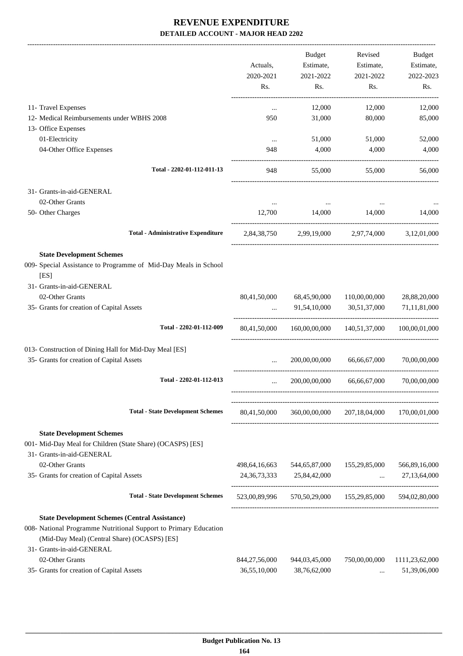|                                                                         |                 | <b>Budget</b>                                           | Revised                       | Budget                      |
|-------------------------------------------------------------------------|-----------------|---------------------------------------------------------|-------------------------------|-----------------------------|
|                                                                         | Actuals,        | Estimate,                                               | Estimate,                     | Estimate,                   |
|                                                                         | 2020-2021       | 2021-2022                                               | 2021-2022                     | 2022-2023                   |
|                                                                         | Rs.             | Rs.                                                     | Rs.                           | Rs.                         |
| 11- Travel Expenses                                                     | $\cdots$        | 12,000                                                  | 12,000                        | 12,000                      |
| 12- Medical Reimbursements under WBHS 2008                              | 950             | 31,000                                                  | 80,000                        | 85,000                      |
| 13- Office Expenses                                                     |                 |                                                         |                               |                             |
| 01-Electricity                                                          | $\cdots$        | 51,000                                                  | 51,000                        | 52,000                      |
| 04-Other Office Expenses                                                | 948             | 4,000                                                   | 4,000                         | 4,000                       |
| Total - 2202-01-112-011-13                                              | 948             | 55,000                                                  | 55,000                        | 56,000                      |
| 31- Grants-in-aid-GENERAL                                               |                 |                                                         |                               |                             |
| 02-Other Grants                                                         |                 |                                                         |                               |                             |
| 50- Other Charges                                                       | 12,700          | 14,000                                                  | 14.000                        | 14,000                      |
| <b>Total - Administrative Expenditure</b>                               |                 | 2.84.38.750 2.99.19.000 2.97.74.000                     |                               | 3.12.01.000                 |
| <b>State Development Schemes</b>                                        |                 |                                                         |                               |                             |
| 009- Special Assistance to Programme of Mid-Day Meals in School<br>[ES] |                 |                                                         |                               |                             |
| 31- Grants-in-aid-GENERAL                                               |                 |                                                         |                               |                             |
| 02-Other Grants                                                         | 80,41,50,000    | 68,45,90,000                                            | 110,00,00,000                 | 28,88,20,000                |
| 35- Grants for creation of Capital Assets                               |                 | 91,54,10,000                                            | 30,51,37,000                  | 71,11,81,000                |
| Total - 2202-01-112-009                                                 | 80,41,50,000    | 160,00,00,000                                           | 140,51,37,000                 | 100,00,01,000               |
| 013- Construction of Dining Hall for Mid-Day Meal [ES]                  |                 |                                                         |                               |                             |
| 35- Grants for creation of Capital Assets                               | $\cdots$        | 200,00,00,000                                           | 66,66,67,000                  | 70,00,00,000                |
| Total - 2202-01-112-013                                                 | $\cdots$        | 200,00,00,000                                           | 66,66,67,000                  | 70,00,00,000                |
| <b>Total - State Development Schemes</b>                                | 80,41,50,000    | 360,00,00,000                                           |                               | 207,18,04,000 170,00,01,000 |
| <b>State Development Schemes</b>                                        |                 |                                                         |                               |                             |
| 001- Mid-Day Meal for Children (State Share) (OCASPS) [ES]              |                 |                                                         |                               |                             |
| 31- Grants-in-aid-GENERAL                                               |                 |                                                         |                               |                             |
| 02-Other Grants                                                         | 498,64,16,663   | 544,65,87,000                                           | 155,29,85,000                 | 566,89,16,000               |
| 35- Grants for creation of Capital Assets                               | 24, 36, 73, 333 | 25,84,42,000                                            | $\mathbf{r}$ and $\mathbf{r}$ | 27,13,64,000                |
| <b>Total - State Development Schemes</b>                                |                 | 523,00,89,996 570,50,29,000 155,29,85,000 594,02,80,000 |                               |                             |
| <b>State Development Schemes (Central Assistance)</b>                   |                 |                                                         |                               |                             |
| 008- National Programme Nutritional Support to Primary Education        |                 |                                                         |                               |                             |
| (Mid-Day Meal) (Central Share) (OCASPS) [ES]                            |                 |                                                         |                               |                             |
| 31- Grants-in-aid-GENERAL                                               |                 |                                                         |                               |                             |
| 02-Other Grants                                                         | 844,27,56,000   | 944,03,45,000                                           | 750,00,00,000                 | 1111,23,62,000              |
| 35- Grants for creation of Capital Assets                               | 36,55,10,000    | 38,76,62,000                                            | $\cdots$                      | 51,39,06,000                |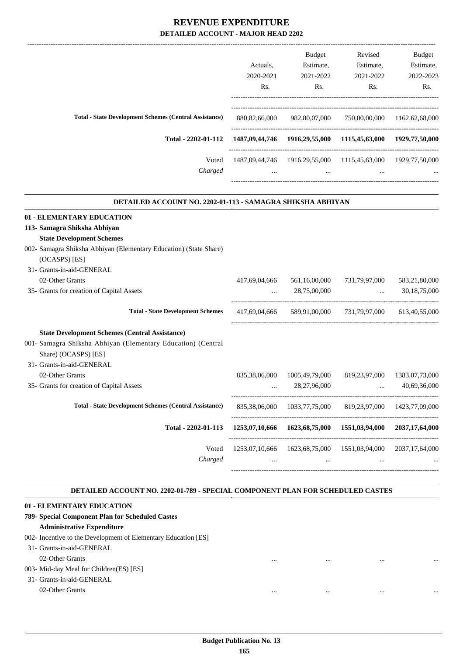|                                                               |                  | <b>Budget</b>  | Revised                                                        | <b>Budget</b>  |
|---------------------------------------------------------------|------------------|----------------|----------------------------------------------------------------|----------------|
|                                                               | Actuals.         | Estimate,      | Estimate,                                                      | Estimate,      |
|                                                               | 2020-2021        | 2021-2022      | 2021-2022                                                      | 2022-2023      |
|                                                               | Rs.              | Rs.            | Rs.                                                            | Rs.            |
| <b>Total - State Development Schemes (Central Assistance)</b> | 880, 82, 66, 000 | 982.80.07.000  | 750,00,00,000                                                  | 1162.62.68.000 |
| Total - 2202-01-112                                           | 1487,09,44,746   | 1916,29,55,000 | 1115,45,63,000                                                 | 1929,77,50,000 |
| Voted                                                         |                  |                | 1487,09,44,746  1916,29,55,000  1115,45,63,000  1929,77,50,000 |                |
| Charged                                                       | $\cdots$         | $\cdots$       | $\cdots$                                                       |                |
|                                                               |                  |                |                                                                |                |

.

.

| DETAILED ACCOUNT NO. 2202-01-113 - SAMAGRA SHIKSHA ABHIYAN        |               |                       |                                                             |                       |  |  |
|-------------------------------------------------------------------|---------------|-----------------------|-------------------------------------------------------------|-----------------------|--|--|
| 01 - ELEMENTARY EDUCATION                                         |               |                       |                                                             |                       |  |  |
| 113- Samagra Shiksha Abhiyan                                      |               |                       |                                                             |                       |  |  |
| <b>State Development Schemes</b>                                  |               |                       |                                                             |                       |  |  |
| 002- Samagra Shiksha Abhiyan (Elementary Education) (State Share) |               |                       |                                                             |                       |  |  |
| (OCASPS) [ES]                                                     |               |                       |                                                             |                       |  |  |
| 31- Grants-in-aid-GENERAL                                         |               |                       |                                                             |                       |  |  |
| 02-Other Grants                                                   | 417,69,04,666 | 561,16,00,000         | 731,79,97,000                                               | 583,21,80,000         |  |  |
| 35- Grants for creation of Capital Assets                         |               | $\ldots$ 28,75,00,000 |                                                             | $\ldots$ 30,18,75,000 |  |  |
| <b>Total - State Development Schemes</b>                          |               |                       | 417,69,04,666 589,91,00,000 731,79,97,000 613,40,55,000     |                       |  |  |
| <b>State Development Schemes (Central Assistance)</b>             |               |                       |                                                             |                       |  |  |
| 001- Samagra Shiksha Abhiyan (Elementary Education) (Central      |               |                       |                                                             |                       |  |  |
| Share) (OCASPS) [ES]                                              |               |                       |                                                             |                       |  |  |
| 31- Grants-in-aid-GENERAL                                         |               |                       |                                                             |                       |  |  |
| 02-Other Grants                                                   |               |                       | 835,38,06,000 1005,49,79,000 819,23,97,000 1383,07,73,000   |                       |  |  |
| 35- Grants for creation of Capital Assets                         |               |                       | $\ldots$ 28,27,96,000 $\ldots$ 40,69,36,000                 |                       |  |  |
| <b>Total - State Development Schemes (Central Assistance)</b>     |               |                       | 835,38,06,000 1033,77,75,000 819,23,97,000 1423,77,09,000   |                       |  |  |
| Total - 2202-01-113                                               |               |                       | 1253,07,10,666 1623,68,75,000 1551,03,94,000 2037,17,64,000 |                       |  |  |
| Voted                                                             |               |                       | 1253,07,10,666 1623,68,75,000 1551,03,94,000 2037,17,64,000 |                       |  |  |
| Charged                                                           |               |                       |                                                             |                       |  |  |
|                                                                   |               |                       |                                                             |                       |  |  |

#### **DETAILED ACCOUNT NO. 2202-01-789 - SPECIAL COMPONENT PLAN FOR SCHEDULED CASTES**

| 01 - ELEMENTARY EDUCATION                                      |              |              |
|----------------------------------------------------------------|--------------|--------------|
| 789- Special Component Plan for Scheduled Castes               |              |              |
| <b>Administrative Expenditure</b>                              |              |              |
| 002- Incentive to the Development of Elementary Education [ES] |              |              |
| 31- Grants-in-aid-GENERAL                                      |              |              |
| 02-Other Grants                                                | <br>$\cdots$ | <br>$\cdots$ |
| 003- Mid-day Meal for Children(ES) [ES]                        |              |              |
| 31- Grants-in-aid-GENERAL                                      |              |              |
| 02-Other Grants                                                | <br>         | <br>         |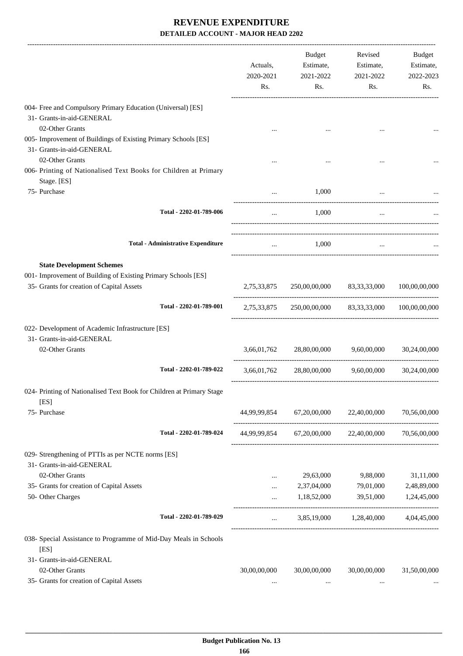|                                                                                                   |                                           | Actuals,<br>2020-2021<br>Rs. | <b>Budget</b><br>Estimate,<br>2021-2022<br>Rs.       | Revised<br>Estimate,<br>2021-2022<br>Rs. | Budget<br>Estimate,<br>2022-2023<br>Rs. |
|---------------------------------------------------------------------------------------------------|-------------------------------------------|------------------------------|------------------------------------------------------|------------------------------------------|-----------------------------------------|
| 004- Free and Compulsory Primary Education (Universal) [ES]                                       |                                           |                              |                                                      |                                          |                                         |
| 31- Grants-in-aid-GENERAL                                                                         |                                           |                              |                                                      |                                          |                                         |
| 02-Other Grants                                                                                   |                                           |                              |                                                      |                                          |                                         |
| 005- Improvement of Buildings of Existing Primary Schools [ES]                                    |                                           |                              |                                                      |                                          |                                         |
| 31- Grants-in-aid-GENERAL                                                                         |                                           |                              |                                                      |                                          |                                         |
| 02-Other Grants                                                                                   |                                           |                              |                                                      |                                          |                                         |
| 006- Printing of Nationalised Text Books for Children at Primary<br>Stage. [ES]                   |                                           |                              |                                                      |                                          |                                         |
| 75- Purchase                                                                                      |                                           | $\cdots$                     | 1,000                                                |                                          |                                         |
|                                                                                                   | Total - 2202-01-789-006                   | $\cdots$                     | 1.000                                                | $\cdots$                                 |                                         |
|                                                                                                   | <b>Total - Administrative Expenditure</b> | $\cdots$                     | 1,000                                                | $\cdots$                                 |                                         |
|                                                                                                   |                                           |                              |                                                      |                                          |                                         |
| <b>State Development Schemes</b><br>001- Improvement of Building of Existing Primary Schools [ES] |                                           |                              |                                                      |                                          |                                         |
| 35- Grants for creation of Capital Assets                                                         |                                           | 2,75,33,875                  |                                                      | 250,00,00,000 83,33,33,000               | 100,00,00,000                           |
|                                                                                                   |                                           |                              |                                                      |                                          |                                         |
|                                                                                                   | Total - 2202-01-789-001                   |                              | 2,75,33,875 250,00,00,000 83,33,33,000 100,00,00,000 |                                          |                                         |
| 022- Development of Academic Infrastructure [ES]                                                  |                                           |                              |                                                      |                                          |                                         |
| 31- Grants-in-aid-GENERAL                                                                         |                                           |                              |                                                      |                                          |                                         |
| 02-Other Grants                                                                                   |                                           |                              | 3,66,01,762 28,80,00,000 9,60,00,000                 |                                          | 30,24,00,000                            |
|                                                                                                   | Total - 2202-01-789-022                   |                              | 3,66,01,762 28,80,00,000 9,60,00,000                 |                                          | 30,24,00,000                            |
| 024- Printing of Nationalised Text Book for Children at Primary Stage<br>[ES]                     |                                           |                              |                                                      |                                          |                                         |
| 75- Purchase                                                                                      |                                           |                              | 44,99,99,854 67,20,00,000 22,40,00,000               |                                          | 70,56,00,000                            |
|                                                                                                   | Total - 2202-01-789-024                   |                              | 44,99,99,854 67,20,00,000 22,40,00,000 70,56,00,000  |                                          |                                         |
| 029- Strengthening of PTTIs as per NCTE norms [ES]                                                |                                           |                              |                                                      |                                          |                                         |
| 31- Grants-in-aid-GENERAL                                                                         |                                           |                              |                                                      |                                          |                                         |
| 02-Other Grants                                                                                   |                                           | $\cdots$                     | 29,63,000                                            | 9,88,000                                 | 31,11,000                               |
| 35- Grants for creation of Capital Assets                                                         |                                           | $\cdots$                     | 2,37,04,000                                          | 79,01,000                                | 2,48,89,000                             |
| 50- Other Charges                                                                                 |                                           | $\cdots$                     | 1,18,52,000                                          |                                          | 39,51,000 1,24,45,000                   |
|                                                                                                   | Total - 2202-01-789-029                   |                              | $3,85,19,000$ $1,28,40,000$ $4,04,45,000$            |                                          |                                         |
| 038- Special Assistance to Programme of Mid-Day Meals in Schools<br>[ES]                          |                                           |                              |                                                      |                                          |                                         |
| 31- Grants-in-aid-GENERAL                                                                         |                                           |                              |                                                      |                                          |                                         |
| 02-Other Grants                                                                                   |                                           | 30,00,00,000                 | 30,00,00,000                                         | 30,00,00,000                             | 31,50,00,000                            |
| 35- Grants for creation of Capital Assets                                                         |                                           | $\cdots$                     | $\cdots$                                             | $\cdots$                                 |                                         |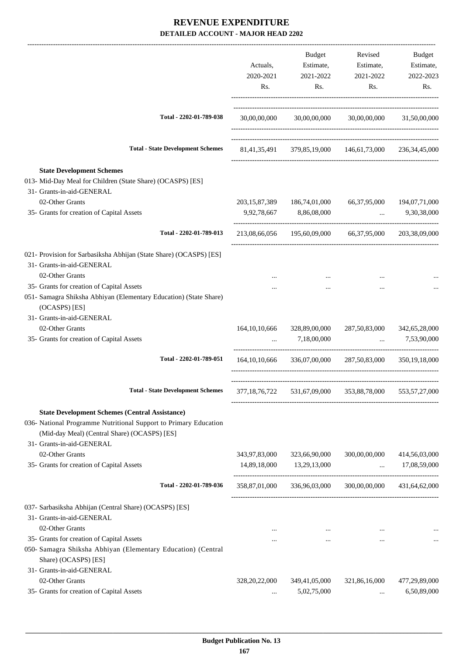|                                                                                                                                                                           | Actuals,<br>2020-2021<br>Rs. | Budget<br>Estimate,<br>2021-2022<br>Rs. | Revised<br>Estimate,<br>2021-2022<br>Rs.               | Budget<br>Estimate,<br>2022-2023<br>Rs. |
|---------------------------------------------------------------------------------------------------------------------------------------------------------------------------|------------------------------|-----------------------------------------|--------------------------------------------------------|-----------------------------------------|
| Total - 2202-01-789-038                                                                                                                                                   | 30,00,00,000                 |                                         | 30,00,00,000 30,00,00,000 31,50,00,000                 |                                         |
| <b>Total - State Development Schemes</b>                                                                                                                                  |                              |                                         | 81,41,35,491 379,85,19,000 146,61,73,000 236,34,45,000 |                                         |
| <b>State Development Schemes</b><br>013- Mid-Day Meal for Children (State Share) (OCASPS) [ES]<br>31- Grants-in-aid-GENERAL                                               |                              |                                         |                                                        |                                         |
| 02-Other Grants                                                                                                                                                           | 203, 15, 87, 389             | 186,74,01,000                           | 66,37,95,000                                           | 194,07,71,000                           |
| 35- Grants for creation of Capital Assets                                                                                                                                 | 9,92,78,667                  | 8,86,08,000                             | $\cdots$                                               | 9,30,38,000                             |
| Total - 2202-01-789-013                                                                                                                                                   |                              |                                         | 213,08,66,056 195,60,09,000 66,37,95,000 203,38,09,000 |                                         |
| 021- Provision for Sarbasiksha Abhijan (State Share) (OCASPS) [ES]<br>31- Grants-in-aid-GENERAL<br>02-Other Grants                                                        |                              |                                         |                                                        |                                         |
| 35- Grants for creation of Capital Assets                                                                                                                                 |                              |                                         |                                                        |                                         |
| 051- Samagra Shiksha Abhiyan (Elementary Education) (State Share)<br>(OCASPS) [ES]                                                                                        |                              |                                         |                                                        |                                         |
| 31- Grants-in-aid-GENERAL<br>02-Other Grants                                                                                                                              | 164, 10, 10, 666             | 328,89,00,000                           | 287,50,83,000                                          | 342,65,28,000                           |
| 35- Grants for creation of Capital Assets                                                                                                                                 | $\cdots$                     | 7,18,00,000                             | $\sim$                                                 | 7,53,90,000                             |
| Total - 2202-01-789-051                                                                                                                                                   | 164, 10, 10, 666             | 336,07,00,000                           | 287,50,83,000                                          | 350, 19, 18, 000                        |
| Total - State Development Schemes 377,18,76,722 531,67,09,000 353,88,78,000 553,57,27,000                                                                                 |                              |                                         |                                                        |                                         |
| <b>State Development Schemes (Central Assistance)</b><br>036- National Programme Nutritional Support to Primary Education<br>(Mid-day Meal) (Central Share) (OCASPS) [ES] |                              |                                         |                                                        |                                         |
| 31- Grants-in-aid-GENERAL<br>02-Other Grants                                                                                                                              | 343,97,83,000                |                                         |                                                        |                                         |
| 35- Grants for creation of Capital Assets                                                                                                                                 | 14,89,18,000                 | 323,66,90,000<br>13,29,13,000           | 300,00,00,000                                          | 414,56,03,000<br>$\ldots$ 17,08,59,000  |
| Total - 2202-01-789-036                                                                                                                                                   |                              | 358,87,01,000 336,96,03,000             | 300,00,00,000                                          | 431,64,62,000                           |
| 037- Sarbasiksha Abhijan (Central Share) (OCASPS) [ES]<br>31- Grants-in-aid-GENERAL                                                                                       |                              |                                         |                                                        |                                         |
| 02-Other Grants                                                                                                                                                           | $\cdots$                     | $\cdots$                                |                                                        |                                         |
| 35- Grants for creation of Capital Assets<br>050- Samagra Shiksha Abhiyan (Elementary Education) (Central<br>Share) (OCASPS) [ES]<br>31- Grants-in-aid-GENERAL            | $\cdots$                     | $\cdots$                                | $\cdots$                                               |                                         |
| 02-Other Grants                                                                                                                                                           | 328, 20, 22, 000             | 349,41,05,000                           | 321,86,16,000                                          | 477,29,89,000                           |
| 35- Grants for creation of Capital Assets                                                                                                                                 | $\cdots$                     | 5,02,75,000                             | $\cdots$                                               | 6,50,89,000                             |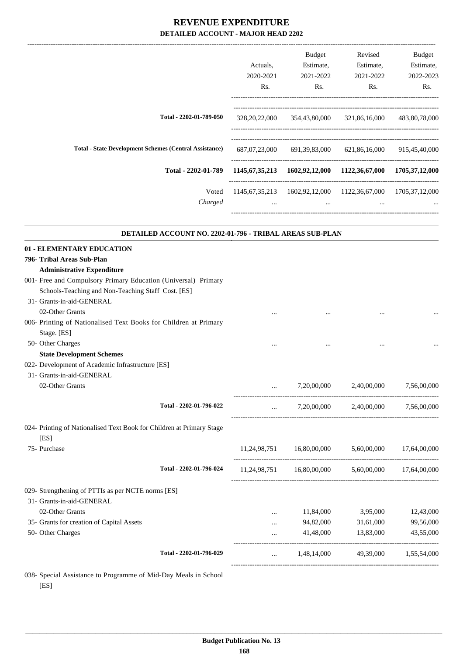|                                                                                                                                                                                                                      | Actuals,<br>2020-2021<br>Rs. | <b>Budget</b><br>Estimate,<br>2021-2022<br>Rs. | Revised<br>Estimate,<br>2021-2022<br>Rs.                                                                            | Budget<br>Estimate,<br>2022-2023<br>Rs. |
|----------------------------------------------------------------------------------------------------------------------------------------------------------------------------------------------------------------------|------------------------------|------------------------------------------------|---------------------------------------------------------------------------------------------------------------------|-----------------------------------------|
| Total - 2202-01-789-050                                                                                                                                                                                              |                              |                                                | 328, 20, 22, 000 354, 43, 80, 000 321, 86, 16, 000 483, 80, 78, 000                                                 |                                         |
| <b>Total - State Development Schemes (Central Assistance)</b>                                                                                                                                                        |                              |                                                | 687,07,23,000 691,39,83,000 621,86,16,000 915,45,40,000                                                             |                                         |
| Total - 2202-01-789                                                                                                                                                                                                  |                              |                                                | 1145, 67, 35, 213 1602, 92, 12, 000 1122, 36, 67, 000 1705, 37, 12, 000                                             |                                         |
| Voted<br>Charged                                                                                                                                                                                                     |                              | $\cdots$                                       | 1145, 67, 35, 213 1602, 92, 12, 000 1122, 36, 67, 000 1705, 37, 12, 000                                             |                                         |
| DETAILED ACCOUNT NO. 2202-01-796 - TRIBAL AREAS SUB-PLAN                                                                                                                                                             |                              |                                                |                                                                                                                     |                                         |
| 01 - ELEMENTARY EDUCATION<br>796- Tribal Areas Sub-Plan<br><b>Administrative Expenditure</b><br>001- Free and Compulsory Primary Education (Universal) Primary<br>Schools-Teaching and Non-Teaching Staff Cost. [ES] |                              |                                                |                                                                                                                     |                                         |
| 31- Grants-in-aid-GENERAL<br>02-Other Grants<br>006- Printing of Nationalised Text Books for Children at Primary<br>Stage. [ES]                                                                                      |                              |                                                |                                                                                                                     |                                         |
| 50- Other Charges<br><b>State Development Schemes</b><br>022- Development of Academic Infrastructure [ES]<br>31- Grants-in-aid-GENERAL                                                                               |                              |                                                |                                                                                                                     |                                         |
| 02-Other Grants                                                                                                                                                                                                      | $\ddotsc$                    | 7,20,00,000                                    | 2,40,00,000                                                                                                         | 7,56,00,000                             |
| Total - 2202-01-796-022                                                                                                                                                                                              |                              |                                                | $7,20,00,000$ $2,40,00,000$ $7,56,00,000$                                                                           |                                         |
| 024- Printing of Nationalised Text Book for Children at Primary Stage<br>[ES]<br>75- Purchase                                                                                                                        |                              |                                                |                                                                                                                     |                                         |
| Total - 2202-01-796-024                                                                                                                                                                                              |                              |                                                | $11,24,98,751$ $16,80,00,000$ $5,60,00,000$ $17,64,00,000$<br>11,24,98,751  16,80,00,000  5,60,00,000  17,64,00,000 |                                         |
| 029- Strengthening of PTTIs as per NCTE norms [ES]<br>31- Grants-in-aid-GENERAL<br>02-Other Grants<br>35- Grants for creation of Capital Assets                                                                      | $\cdots$<br>$\cdots$         | 11,84,000<br>94,82,000                         | 3,95,000<br>31,61,000                                                                                               | 12,43,000<br>99,56,000                  |
| 50- Other Charges<br>Total - 2202-01-796-029                                                                                                                                                                         | $\cdots$                     |                                                | 41,48,000 13,83,000<br>$1,48,14,000$ $49,39,000$ $1,55,54,000$                                                      | 43,55,000                               |
| 038- Special Assistance to Programme of Mid-Day Meals in School                                                                                                                                                      |                              |                                                |                                                                                                                     |                                         |

[ES]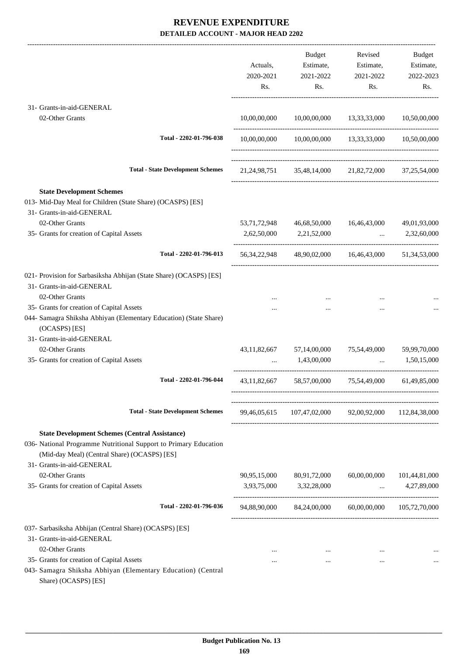-------------------------------------------------------------------------------------------------------------------------------------------------------------------------------

|                                                                                                                                                                                                                                             | Actuals,<br>2020-2021<br>Rs. | <b>Budget</b><br>Estimate,<br>2021-2022<br>Rs.                  | Revised<br>Estimate,<br>2021-2022<br>Rs. | <b>Budget</b><br>Estimate,<br>2022-2023<br>Rs. |
|---------------------------------------------------------------------------------------------------------------------------------------------------------------------------------------------------------------------------------------------|------------------------------|-----------------------------------------------------------------|------------------------------------------|------------------------------------------------|
| 31- Grants-in-aid-GENERAL<br>02-Other Grants                                                                                                                                                                                                | 10,00,00,000                 |                                                                 | 10,00,00,000 13,33,33,000 10,50,00,000   |                                                |
|                                                                                                                                                                                                                                             |                              |                                                                 |                                          |                                                |
| Total - 2202-01-796-038                                                                                                                                                                                                                     |                              | $10,00,00,000$ $10,00,00,000$ $13,33,33,000$ $10,50,00,000$     |                                          |                                                |
| <b>Total - State Development Schemes</b>                                                                                                                                                                                                    |                              | 21, 24, 98, 751 35, 48, 14, 000 21, 82, 72, 000 37, 25, 54, 000 |                                          |                                                |
| <b>State Development Schemes</b><br>013- Mid-Day Meal for Children (State Share) (OCASPS) [ES]<br>31- Grants-in-aid-GENERAL                                                                                                                 |                              |                                                                 |                                          |                                                |
| 02-Other Grants                                                                                                                                                                                                                             |                              | 53,71,72,948 46,68,50,000                                       | 16,46,43,000                             | 49,01,93,000                                   |
| 35- Grants for creation of Capital Assets                                                                                                                                                                                                   |                              | 2,62,50,000 2,21,52,000                                         | $\mathbf{11.1}$ and $\mathbf{11.1}$      | 2,32,60,000                                    |
| Total - 2202-01-796-013                                                                                                                                                                                                                     |                              | 56, 34, 22, 948 48, 90, 02, 000 16, 46, 43, 000 51, 34, 53, 000 |                                          |                                                |
| 021- Provision for Sarbasiksha Abhijan (State Share) (OCASPS) [ES]<br>31- Grants-in-aid-GENERAL<br>02-Other Grants<br>35- Grants for creation of Capital Assets                                                                             |                              |                                                                 | $\cdots$                                 |                                                |
| 044- Samagra Shiksha Abhiyan (Elementary Education) (State Share)<br>(OCASPS) [ES]<br>31- Grants-in-aid-GENERAL<br>02-Other Grants<br>35- Grants for creation of Capital Assets                                                             |                              | 43,11,82,667 57,14,00,000<br>$\ldots$ 1.43.00.000               | 75,54,49,000<br>$\mathbf{r}$             | 59,99,70,000<br>1,50,15,000                    |
| Total - 2202-01-796-044                                                                                                                                                                                                                     |                              | 43,11,82,667 58,57,00,000 75,54,49,000 61,49,85,000             |                                          |                                                |
| <b>Total - State Development Schemes</b>                                                                                                                                                                                                    |                              | 99,46,05,615 107,47,02,000 92,00,92,000 112,84,38,000           |                                          |                                                |
| <b>State Development Schemes (Central Assistance)</b><br>036- National Programme Nutritional Support to Primary Education<br>(Mid-day Meal) (Central Share) (OCASPS) [ES]<br>31- Grants-in-aid-GENERAL<br>02-Other Grants                   | 90,95,15,000                 | 80,91,72,000                                                    |                                          | 60,00,00,000 101,44,81,000                     |
| 35- Grants for creation of Capital Assets                                                                                                                                                                                                   | 3,93,75,000                  | 3,32,28,000                                                     |                                          | $4,27,89,000$                                  |
| Total - 2202-01-796-036                                                                                                                                                                                                                     |                              | 94,88,90,000  84,24,00,000  60,00,00,000  105,72,70,000         |                                          |                                                |
| 037- Sarbasiksha Abhijan (Central Share) (OCASPS) [ES]<br>31- Grants-in-aid-GENERAL<br>02-Other Grants<br>35- Grants for creation of Capital Assets<br>043- Samagra Shiksha Abhiyan (Elementary Education) (Central<br>Share) (OCASPS) [ES] | $\cdots$<br>$\cdots$         | $\cdots$<br>$\cdots$                                            | $\cdots$<br>$\cdots$                     |                                                |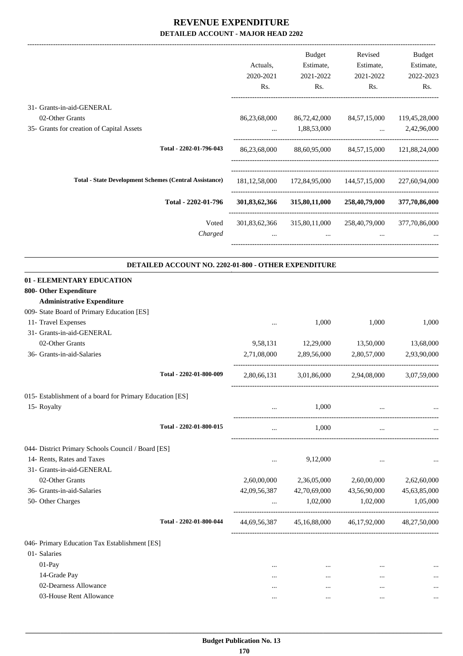|                                                                                 |                                                      |              | Budget                          | Revised                                                                   | <b>Budget</b> |
|---------------------------------------------------------------------------------|------------------------------------------------------|--------------|---------------------------------|---------------------------------------------------------------------------|---------------|
|                                                                                 |                                                      | Actuals,     | Estimate,                       | Estimate,                                                                 | Estimate,     |
|                                                                                 |                                                      | 2020-2021    | 2021-2022                       | 2021-2022                                                                 | 2022-2023     |
|                                                                                 |                                                      | Rs.          | Rs.                             | Rs.                                                                       | Rs.           |
| 31- Grants-in-aid-GENERAL                                                       |                                                      |              |                                 |                                                                           |               |
| 02-Other Grants                                                                 |                                                      |              | 86, 23, 68, 000 86, 72, 42, 000 | 84,57,15,000 119,45,28,000                                                |               |
| 35- Grants for creation of Capital Assets                                       |                                                      |              | 1,88,53,000                     | and the company of the company                                            | 2,42,96,000   |
|                                                                                 | Total - 2202-01-796-043                              |              |                                 | 86,23,68,000 88,60,95,000 84,57,15,000 121,88,24,000                      |               |
|                                                                                 |                                                      |              |                                 |                                                                           |               |
| <b>Total - State Development Schemes (Central Assistance)</b>                   |                                                      |              |                                 | 181, 12, 58, 000   172, 84, 95, 000   144, 57, 15, 000   227, 60, 94, 000 |               |
|                                                                                 | Total - 2202-01-796                                  |              |                                 | 301,83,62,366 315,80,11,000 258,40,79,000 377,70,86,000                   |               |
|                                                                                 | Voted                                                |              |                                 | 301,83,62,366 315,80,11,000 258,40,79,000 377,70,86,000                   |               |
|                                                                                 | Charged                                              |              |                                 |                                                                           |               |
|                                                                                 | DETAILED ACCOUNT NO. 2202-01-800 - OTHER EXPENDITURE |              |                                 |                                                                           |               |
| 01 - ELEMENTARY EDUCATION                                                       |                                                      |              |                                 |                                                                           |               |
| 800- Other Expenditure                                                          |                                                      |              |                                 |                                                                           |               |
| <b>Administrative Expenditure</b><br>009- State Board of Primary Education [ES] |                                                      |              |                                 |                                                                           |               |
| 11- Travel Expenses                                                             |                                                      |              | 1,000                           | 1,000                                                                     | 1,000         |
| 31- Grants-in-aid-GENERAL                                                       |                                                      | $\cdots$     |                                 |                                                                           |               |
| 02-Other Grants                                                                 |                                                      | 9,58,131     | 12,29,000                       | 13,50,000                                                                 | 13,68,000     |
| 36- Grants-in-aid-Salaries                                                      |                                                      | 2,71,08,000  | 2,89,56,000                     | 2,80,57,000                                                               | 2,93,90,000   |
|                                                                                 | Total - 2202-01-800-009                              | 2,80,66,131  | 3,01,86,000                     | 2.94.08.000                                                               | 3,07,59,000   |
| 015- Establishment of a board for Primary Education [ES]                        |                                                      |              |                                 |                                                                           |               |
| 15- Royalty                                                                     |                                                      |              | 1,000                           |                                                                           |               |
|                                                                                 | Total - 2202-01-800-015                              | $\cdots$     | 1,000                           | $\cdots$                                                                  |               |
| 044- District Primary Schools Council / Board [ES]                              |                                                      |              |                                 |                                                                           |               |
| 14- Rents, Rates and Taxes                                                      |                                                      | $\cdots$     | 9,12,000                        | $\cdots$                                                                  |               |
| 31- Grants-in-aid-GENERAL                                                       |                                                      |              |                                 |                                                                           |               |
| 02-Other Grants                                                                 |                                                      | 2,60,00,000  | 2,36,05,000                     | 2,60,00,000                                                               | 2,62,60,000   |
| 36- Grants-in-aid-Salaries                                                      |                                                      | 42,09,56,387 | 42,70,69,000                    | 43,56,90,000                                                              | 45,63,85,000  |
| 50- Other Charges                                                               |                                                      | $\cdots$     | 1,02,000                        | 1,02,000                                                                  | 1,05,000      |
|                                                                                 | Total - 2202-01-800-044                              | 44,69,56,387 | 45,16,88,000                    | 46,17,92,000                                                              | 48,27,50,000  |
| 046- Primary Education Tax Establishment [ES]                                   |                                                      |              |                                 |                                                                           |               |
| 01- Salaries                                                                    |                                                      |              |                                 |                                                                           |               |
| 01-Pay                                                                          |                                                      |              | $\cdots$                        | $\cdots$                                                                  |               |
| 14-Grade Pay                                                                    |                                                      |              | $\cdots$                        | $\ddotsc$                                                                 |               |
| 02-Dearness Allowance                                                           |                                                      |              | $\cdots$                        | $\ddotsc$                                                                 |               |
| 03-House Rent Allowance                                                         |                                                      |              |                                 | $\ddotsc$                                                                 |               |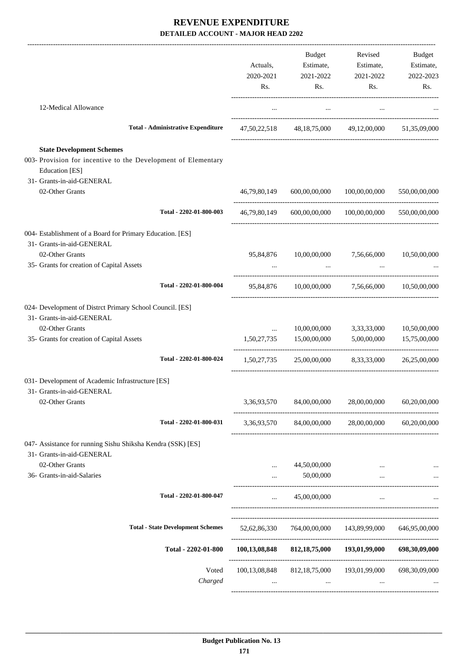|                                                                                          | Actuals,<br>2020-2021<br>Rs. | Budget<br>Estimate,<br>2021-2022<br>Rs. | Revised<br>Estimate,<br>2021-2022<br>Rs.               | Budget<br>Estimate,<br>2022-2023<br>Rs. |
|------------------------------------------------------------------------------------------|------------------------------|-----------------------------------------|--------------------------------------------------------|-----------------------------------------|
| 12-Medical Allowance                                                                     | $\cdots$                     | $\cdots$                                | $\cdots$                                               |                                         |
| <b>Total - Administrative Expenditure</b>                                                |                              |                                         | 47,50,22,518 48,18,75,000 49,12,00,000 51,35,09,000    |                                         |
| <b>State Development Schemes</b>                                                         |                              |                                         |                                                        |                                         |
| 003- Provision for incentive to the Development of Elementary                            |                              |                                         |                                                        |                                         |
| Education [ES]                                                                           |                              |                                         |                                                        |                                         |
| 31- Grants-in-aid-GENERAL<br>02-Other Grants                                             |                              |                                         |                                                        |                                         |
|                                                                                          | 46,79,80,149                 | 600,00,00,000                           | 100,00,00,000                                          | 550,00,00,000                           |
| Total - 2202-01-800-003                                                                  | 46,79,80,149                 |                                         | 600,00,00,000 100,00,00,000 550,00,00,000              |                                         |
| 004- Establishment of a Board for Primary Education. [ES]<br>31- Grants-in-aid-GENERAL   |                              |                                         |                                                        |                                         |
| 02-Other Grants                                                                          | 95,84,876                    | 10,00,00,000 7,56,66,000                |                                                        | 10,50,00,000                            |
| 35- Grants for creation of Capital Assets                                                |                              | $\cdots$                                |                                                        |                                         |
| Total - 2202-01-800-004                                                                  |                              |                                         | 95,84,876 10,00,00,000 7,56,66,000                     | 10,50,00,000                            |
| 024- Development of Distrct Primary School Council. [ES]<br>31- Grants-in-aid-GENERAL    |                              |                                         |                                                        |                                         |
| 02-Other Grants                                                                          | $\cdots$                     | 10,00,00,000                            | 3,33,33,000                                            | 10,50,00,000                            |
| 35- Grants for creation of Capital Assets                                                | 1,50,27,735                  | 15,00,00,000 5,00,00,000                |                                                        | 15,75,00,000                            |
| Total - 2202-01-800-024                                                                  | 1,50,27,735                  | 25,00,00,000                            | 8, 33, 33, 000                                         | 26,25,00,000                            |
| 031- Development of Academic Infrastructure [ES]<br>31- Grants-in-aid-GENERAL            |                              |                                         |                                                        |                                         |
| 02-Other Grants                                                                          | 3,36,93,570                  | 84,00,00,000                            | 28,00,00,000                                           | 60,20,00,000                            |
| Total - 2202-01-800-031                                                                  |                              |                                         | 3,36,93,570 84,00,00,000 28,00,00,000                  | 60,20,00,000                            |
| 047- Assistance for running Sishu Shiksha Kendra (SSK) [ES]<br>31- Grants-in-aid-GENERAL |                              |                                         |                                                        |                                         |
| 02-Other Grants                                                                          |                              | 44,50,00,000                            |                                                        |                                         |
| 36- Grants-in-aid-Salaries                                                               |                              | 50,00,000                               | $\cdots$                                               |                                         |
| Total - 2202-01-800-047                                                                  | $\cdots$                     | 45,00,00,000                            | $\cdots$                                               |                                         |
|                                                                                          |                              |                                         |                                                        |                                         |
| <b>Total - State Development Schemes</b>                                                 |                              |                                         | 52,62,86,330 764,00,00,000 143,89,99,000 646,95,00,000 |                                         |
| Total - 2202-01-800                                                                      |                              |                                         | 100,13,08,848 812,18,75,000 193,01,99,000              | 698,30,09,000                           |
| Voted                                                                                    | 100,13,08,848                | 812, 18, 75, 000                        | 193,01,99,000                                          | 698, 30, 09, 000                        |
| Charged                                                                                  |                              | $\cdots$                                |                                                        |                                         |
|                                                                                          |                              |                                         |                                                        |                                         |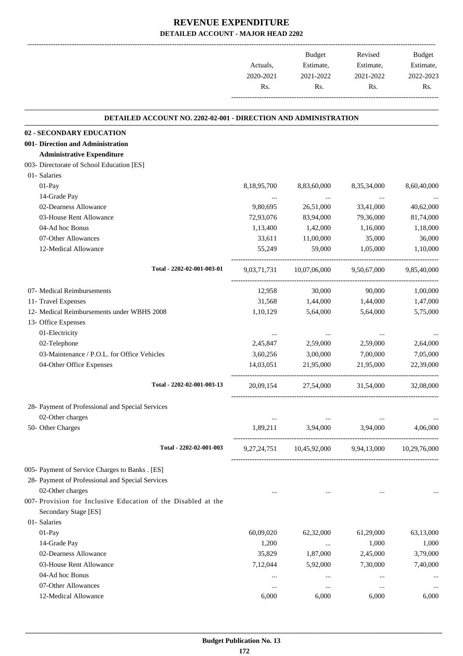|           | <b>Budget</b> | Revised   | <b>Budget</b> |
|-----------|---------------|-----------|---------------|
| Actuals,  | Estimate,     | Estimate, | Estimate,     |
| 2020-2021 | 2021-2022     | 2021-2022 | 2022-2023     |
| Rs.       | Rs.           | Rs        | Rs.           |
|           |               |           |               |

.

#### **DETAILED ACCOUNT NO. 2202-02-001 - DIRECTION AND ADMINISTRATION . 02 - SECONDARY EDUCATION 001- Direction and Administration Administrative Expenditure** 003- Directorate of School Education [ES] 01- Salaries 01-Pay 8,18,95,700 8,83,60,000 8,35,34,000 8,60,40,000 8,60,40,000 14-Grade Pay ... ... ... ... 02-Dearness Allowance  $9,80,695$   $26,51,000$   $33,41,000$   $40,62,000$ 03-House Rent Allowance 2012-03-120-203,076 83,94,000 79,36,000 81,74,000 04-Ad hoc Bonus 1,18,000 1,18,000 1,18,000 1,18,000 1,18,000 1,18,000 1,18,000 1,18,000 1,18,000 1,18,000 1,18 07-Other Allowances 33,611 11,00,000 35,000 36,000 12-Medical Allowance 55,249 59,000 1,05,000 1,10,000 ----------------------------------------------------------------------------------------- **Total - 2202-02-001-003-01** 9,03,71,731 10,07,06,000 9,50,67,000 9,85,40,000 ----------------------------------------------------------------------------------------- 07- Medical Reimbursements 12,958 30,000 90,000 1,00,000 11- Travel Expenses 31,568 1,44,000 1,44,000 1,47,000 12- Medical Reimbursements under WBHS 2008 1,10,129 5,64,000 5,64,000 5,75,000 13- Office Expenses 01-Electricity ... ... ... ... 02-Telephone 2,59,000 2,64,000 2,64,000 2,64,000 2,59,000 2,64,000 03-Maintenance / P.O.L. for Office Vehicles 3,60,256 3,00,000 7,00,000 7,05,000 7,05,000 04-Other Office Expenses 14,03,051 21,95,000 21,95,000 22,39,000 ----------------------------------------------------------------------------------------- **Total - 2202-02-001-003-13** 20,09,154 27,54,000 31,54,000 32,08,000 ----------------------------------------------------------------------------------------- 28- Payment of Professional and Special Services 02-Other charges ... ... ... ... 50- Other Charges 1,89,211 3,94,000 3,94,000 4,06,000 ---------------------------------------------------------------------------------------- **Total - 2202-02-001-003** 9,27,24,751 10,45,92,000 9,94,13,000 10,29,76,000 ----------------------------------------------------------------------------------------- 005- Payment of Service Charges to Banks . [ES] 28- Payment of Professional and Special Services 02-Other charges ... ... ... ... 007- Provision for Inclusive Education of the Disabled at the Secondary Stage [ES] 01- Salaries 01-Pay 60,09,020 62,32,000 61,29,000 63,13,000 14-Grade Pay 1,000 1,000 1,000 1,000 1,000 1,000 1,000 1,000 1,000 1,000 1,000 1,000 1,000 1,000 1,000 1,000 1,000 1,000 1,000 1,000 1,000 1,000 1,000 1,000 1,000 1,000 1,000 1,000 1,000 1,000 1,000 1,000 1,000 1,000 1,000 02-Dearness Allowance 2.45,000 3.79,000 3.79,000 3.79,000 3.79,000 03-House Rent Allowance 7,12,044 5,92,000 7,30,000 7,40,000 04-Ad hoc Bonus ... ... ... ... 07-Other Allowances ... ... ... ...

12-Medical Allowance 6,000 6,000 6,000 6,000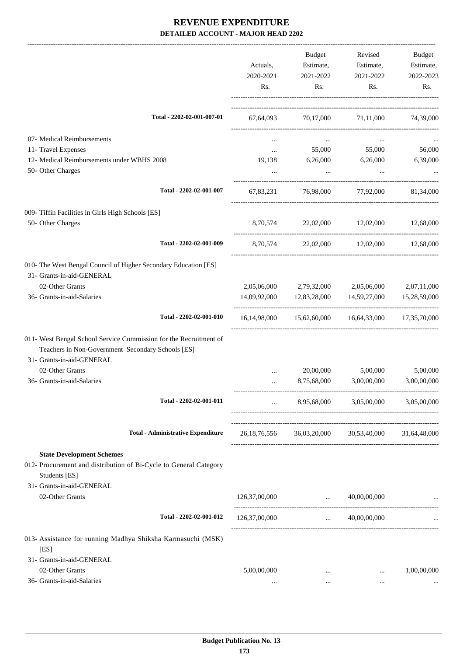|                                                                                                                                                     |               | Budget                                     | Revised                                             | <b>Budget</b> |
|-----------------------------------------------------------------------------------------------------------------------------------------------------|---------------|--------------------------------------------|-----------------------------------------------------|---------------|
|                                                                                                                                                     | Actuals,      | Estimate,                                  | Estimate,                                           | Estimate,     |
|                                                                                                                                                     | 2020-2021     | 2021-2022                                  | 2021-2022                                           | 2022-2023     |
|                                                                                                                                                     | Rs.           | Rs.                                        | Rs.                                                 | Rs.           |
| Total - 2202-02-001-007-01                                                                                                                          | 67,64,093     |                                            | 70,17,000 71,11,000 74,39,000                       |               |
|                                                                                                                                                     |               |                                            |                                                     |               |
| 07- Medical Reimbursements                                                                                                                          | $\cdots$      | $\cdots$                                   | $\ddotsc$                                           |               |
| 11- Travel Expenses                                                                                                                                 | $\cdots$      | 55,000                                     | 55,000                                              | 56,000        |
| 12- Medical Reimbursements under WBHS 2008                                                                                                          | 19,138        | 6,26,000                                   | 6,26,000                                            | 6,39,000      |
| 50- Other Charges                                                                                                                                   | $\cdots$      | $\ldots$                                   | $\ddots$                                            |               |
| Total - 2202-02-001-007                                                                                                                             | 67,83,231     | 76,98,000                                  | 77,92,000                                           | 81,34,000     |
| 009- Tiffin Facilities in Girls High Schools [ES]                                                                                                   |               |                                            |                                                     |               |
| 50- Other Charges                                                                                                                                   |               | 8,70,574 22,02,000 12,02,000               |                                                     | 12,68,000     |
| Total - 2202-02-001-009                                                                                                                             |               |                                            | 8,70,574 22,02,000 12,02,000 12,68,000              |               |
| 010- The West Bengal Council of Higher Secondary Education [ES]                                                                                     |               |                                            |                                                     |               |
| 31- Grants-in-aid-GENERAL                                                                                                                           |               |                                            |                                                     |               |
| 02-Other Grants                                                                                                                                     |               | 2,05,06,000 2,79,32,000                    | 2,05,06,000                                         | 2,07,11,000   |
| 36- Grants-in-aid-Salaries                                                                                                                          |               | 14,09,92,000   12,83,28,000   14,59,27,000 |                                                     | 15,28,59,000  |
| Total - 2202-02-001-010                                                                                                                             |               |                                            | 16,14,98,000 15,62,60,000 16,64,33,000 17,35,70,000 |               |
| 011- West Bengal School Service Commission for the Recruitment of<br>Teachers in Non-Government Secondary Schools [ES]<br>31- Grants-in-aid-GENERAL |               |                                            |                                                     |               |
| 02-Other Grants                                                                                                                                     |               | 20,00,000                                  | 5,00,000                                            | 5,00,000      |
| 36- Grants-in-aid-Salaries                                                                                                                          |               | 8,75,68,000                                | 3,00,00,000                                         | 3,00,00,000   |
| Total - 2202-02-001-011                                                                                                                             | $\cdots$      | 8,95,68,000                                | 3,05,00,000                                         | 3,05,00,000   |
| <b>Total - Administrative Expenditure</b>                                                                                                           |               |                                            | 26,18,76,556 36,03,20,000 30,53,40,000 31,64,48,000 |               |
|                                                                                                                                                     |               |                                            |                                                     |               |
| <b>State Development Schemes</b><br>012- Procurement and distribution of Bi-Cycle to General Category<br>Students [ES]                              |               |                                            |                                                     |               |
| 31- Grants-in-aid-GENERAL                                                                                                                           |               |                                            |                                                     |               |
| 02-Other Grants                                                                                                                                     | 126,37,00,000 | $\ldots$ 40,00,00,000                      |                                                     |               |
| Total - 2202-02-001-012                                                                                                                             | 126,37,00,000 | <b>Section</b> 1999                        | 40,00,00,000                                        |               |
| 013- Assistance for running Madhya Shiksha Karmasuchi (MSK)                                                                                         |               |                                            |                                                     |               |
| [ES]                                                                                                                                                |               |                                            |                                                     |               |
| 31- Grants-in-aid-GENERAL                                                                                                                           |               |                                            |                                                     |               |
| 02-Other Grants                                                                                                                                     | 5,00,00,000   | $\cdots$                                   | $\cdots$                                            | 1,00,00,000   |
| 36- Grants-in-aid-Salaries                                                                                                                          | $\cdots$      | $\cdots$                                   | $\cdots$                                            |               |
|                                                                                                                                                     |               |                                            |                                                     |               |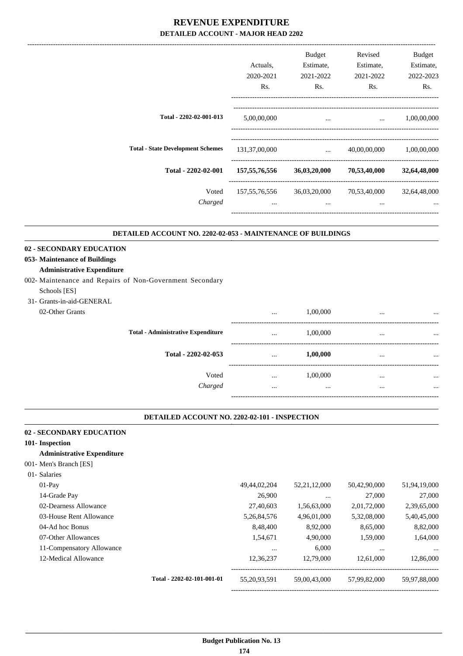-------------------------------------------------------------------------------------------------------------------------------------------------------------------------------

|                                                                                                                                                                            | Actuals,<br>2020-2021<br>Rs. | <b>Budget</b><br>Estimate,<br>2021-2022<br>Rs. | Revised<br>Estimate,<br>2021-2022<br>Rs.            | <b>Budget</b><br>Estimate,<br>2022-2023<br>Rs. |
|----------------------------------------------------------------------------------------------------------------------------------------------------------------------------|------------------------------|------------------------------------------------|-----------------------------------------------------|------------------------------------------------|
| Total - 2202-02-001-013                                                                                                                                                    | 5,00,00,000                  |                                                | $\cdots$                                            | 1,00,00,000                                    |
| <b>Total - State Development Schemes</b>                                                                                                                                   | 131,37,00,000                | <b>Contract Contract</b>                       | 40,00,00,000                                        | 1,00,00,000                                    |
| Total - 2202-02-001                                                                                                                                                        | 157, 55, 76, 556             |                                                | 36,03,20,000 70,53,40,000                           | 32,64,48,000                                   |
| Voted<br>Charged                                                                                                                                                           | $\cdots$                     | $\cdots$                                       | 157,55,76,556 36,03,20,000 70,53,40,000<br>$\cdots$ | 32,64,48,000                                   |
| DETAILED ACCOUNT NO. 2202-02-053 - MAINTENANCE OF BUILDINGS                                                                                                                |                              |                                                |                                                     |                                                |
| 02 - SECONDARY EDUCATION<br>053- Maintenance of Buildings<br><b>Administrative Expenditure</b><br>002- Maintenance and Repairs of Non-Government Secondary<br>Schools [ES] |                              |                                                |                                                     |                                                |
| 31- Grants-in-aid-GENERAL<br>02-Other Grants                                                                                                                               | $\ddotsc$                    | 1,00,000                                       | $\cdots$                                            |                                                |
| <b>Total - Administrative Expenditure</b>                                                                                                                                  | $\ddotsc$                    | 1,00,000                                       | $\ddotsc$                                           |                                                |
| Total - 2202-02-053                                                                                                                                                        | $\cdots$                     | 1,00,000                                       | $\cdots$                                            |                                                |
| Voted<br>Charged                                                                                                                                                           | $\cdots$<br>$\cdots$         | 1,00,000<br>$\ldots$                           | $\cdots$<br>$\cdots$                                | $\cdots$                                       |

#### **DETAILED ACCOUNT NO. 2202-02-101 - INSPECTION**

.

| 02 - SECONDARY EDUCATION          |                            |                 |                 |              |              |
|-----------------------------------|----------------------------|-----------------|-----------------|--------------|--------------|
| 101-Inspection                    |                            |                 |                 |              |              |
| <b>Administrative Expenditure</b> |                            |                 |                 |              |              |
| 001- Men's Branch [ES]            |                            |                 |                 |              |              |
| 01- Salaries                      |                            |                 |                 |              |              |
| $01-Pav$                          |                            | 49,44,02,204    | 52, 21, 12, 000 | 50,42,90,000 | 51,94,19,000 |
| 14-Grade Pay                      |                            | 26,900          | $\cdots$        | 27,000       | 27,000       |
| 02-Dearness Allowance             |                            | 27,40,603       | 1,56,63,000     | 2,01,72,000  | 2,39,65,000  |
| 03-House Rent Allowance           |                            | 5, 26, 84, 576  | 4,96,01,000     | 5,32,08,000  | 5,40,45,000  |
| 04-Ad hoc Bonus                   |                            | 8,48,400        | 8,92,000        | 8,65,000     | 8,82,000     |
| 07-Other Allowances               |                            | 1,54,671        | 4,90,000        | 1,59,000     | 1,64,000     |
| 11-Compensatory Allowance         |                            | $\cdots$        | 6,000           | $\cdots$     | $\cdots$     |
| 12-Medical Allowance              |                            | 12,36,237       | 12,79,000       | 12,61,000    | 12,86,000    |
|                                   | Total - 2202-02-101-001-01 | 55, 20, 93, 591 | 59,00,43,000    | 57,99,82,000 | 59,97,88,000 |
|                                   |                            |                 |                 |              |              |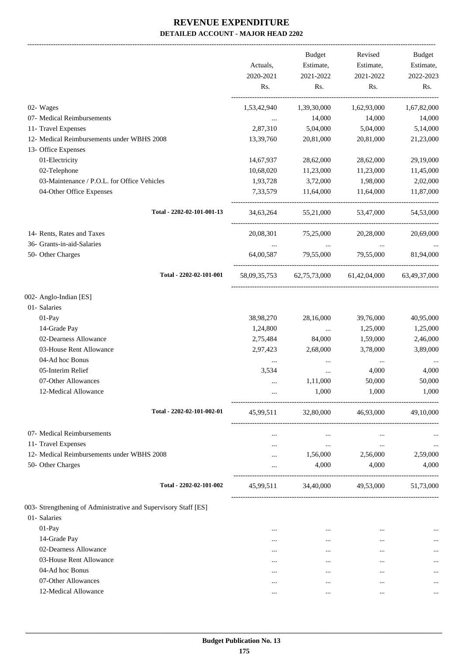-------------------------------------------------------------------------------------------------------------------------------------------------------------------------------

|                                                                 | Actuals,<br>2020-2021 | <b>Budget</b><br>Estimate,<br>2021-2022 | Revised<br>Estimate,<br>2021-2022      | <b>Budget</b><br>Estimate,<br>2022-2023 |
|-----------------------------------------------------------------|-----------------------|-----------------------------------------|----------------------------------------|-----------------------------------------|
|                                                                 | Rs.                   | Rs.                                     | Rs.                                    | Rs.                                     |
| 02- Wages                                                       | 1,53,42,940           | 1,39,30,000                             | 1,62,93,000                            | 1,67,82,000                             |
| 07- Medical Reimbursements                                      | $\ldots$              | 14,000                                  | 14,000                                 | 14,000                                  |
| 11- Travel Expenses                                             | 2,87,310              | 5,04,000                                | 5,04,000                               | 5,14,000                                |
| 12- Medical Reimbursements under WBHS 2008                      | 13,39,760             | 20,81,000                               | 20,81,000                              | 21,23,000                               |
| 13- Office Expenses                                             |                       |                                         |                                        |                                         |
| 01-Electricity                                                  | 14,67,937             | 28,62,000                               | 28,62,000                              | 29,19,000                               |
| 02-Telephone                                                    | 10,68,020             | 11,23,000                               | 11,23,000                              | 11,45,000                               |
| 03-Maintenance / P.O.L. for Office Vehicles                     | 1,93,728              | 3,72,000                                | 1,98,000                               | 2,02,000                                |
| 04-Other Office Expenses                                        | 7,33,579              | 11,64,000                               | 11,64,000                              | 11,87,000                               |
| Total - 2202-02-101-001-13                                      |                       | 34,63,264 55,21,000                     | 53,47,000                              | 54,53,000                               |
| 14- Rents, Rates and Taxes                                      | 20,08,301             | 75,25,000                               | 20,28,000                              | 20,69,000                               |
| 36- Grants-in-aid-Salaries                                      | $\cdots$              | $\cdots$                                | $\cdots$                               |                                         |
| 50- Other Charges                                               | 64,00,587             | 79,55,000                               | 79,55,000                              | 81,94,000                               |
| Total - 2202-02-101-001                                         |                       |                                         | 58,09,35,753 62,75,73,000 61,42,04,000 | 63,49,37,000                            |
| 002- Anglo-Indian [ES]                                          |                       |                                         |                                        |                                         |
| 01- Salaries                                                    |                       |                                         |                                        |                                         |
| 01-Pay                                                          | 38,98,270             | 28,16,000                               | 39,76,000                              | 40,95,000                               |
| 14-Grade Pay                                                    | 1,24,800              | $\cdots$                                | 1,25,000                               | 1,25,000                                |
| 02-Dearness Allowance                                           | 2,75,484              | 84,000                                  | 1,59,000                               | 2,46,000                                |
| 03-House Rent Allowance                                         | 2,97,423              | 2,68,000                                | 3,78,000                               | 3,89,000                                |
| 04-Ad hoc Bonus                                                 | $\cdots$              | $\cdots$                                | $\cdots$                               |                                         |
| 05-Interim Relief                                               | 3,534                 | $\cdots$                                | 4,000                                  | 4,000                                   |
| 07-Other Allowances                                             |                       | 1,11,000                                | 50,000                                 | 50,000                                  |
| 12-Medical Allowance                                            | $\cdots$              | 1,000                                   | 1,000                                  | 1,000                                   |
| Total - 2202-02-101-002-01                                      |                       |                                         | 45,99,511 32,80,000 46,93,000          | 49,10,000                               |
| 07- Medical Reimbursements                                      | $\cdots$              | $\cdots$                                | $\cdots$                               |                                         |
| 11- Travel Expenses                                             | $\cdots$              | $\cdots$                                | $\cdots$                               | $\cdots$                                |
| 12- Medical Reimbursements under WBHS 2008                      | $\cdots$              | 1,56,000                                | 2,56,000                               | 2,59,000                                |
| 50- Other Charges                                               | $\cdots$              | 4,000                                   | 4,000                                  | 4,000                                   |
| Total - 2202-02-101-002                                         |                       |                                         | 45,99,511 34,40,000 49,53,000          | 51,73,000                               |
| 003- Strengthening of Administrative and Supervisory Staff [ES] |                       |                                         |                                        |                                         |
| 01- Salaries                                                    |                       |                                         |                                        |                                         |
| 01-Pay                                                          | $\cdots$              | $\cdots$                                | $\cdots$                               |                                         |
| 14-Grade Pay                                                    | $\cdots$              | $\cdots$                                | $\cdots$                               | $\cdots$                                |
| 02-Dearness Allowance                                           | $\cdots$              | $\cdots$                                | $\cdots$                               |                                         |
| 03-House Rent Allowance                                         | $\cdots$              | $\cdots$                                | $\cdots$                               | $\cdots$                                |
| 04-Ad hoc Bonus                                                 |                       | $\cdots$                                | $\cdots$                               |                                         |
| 07-Other Allowances                                             | $\cdots$              | $\cdots$                                | $\cdots$                               |                                         |
| 12-Medical Allowance                                            | $\cdots$              | $\cdots$                                | $\cdots$                               |                                         |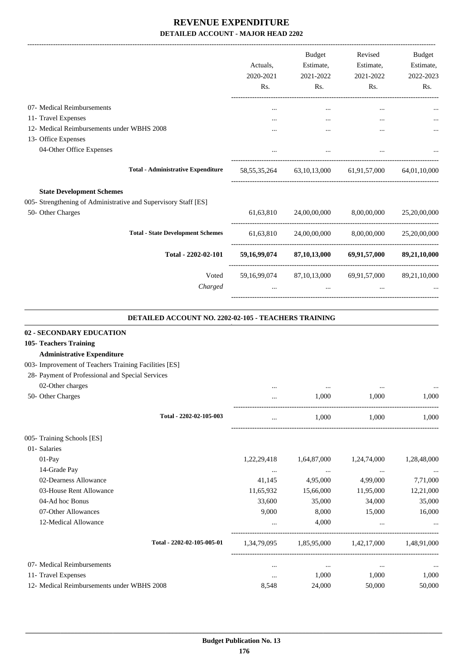-------------------------------------------------------------------------------------------------------------------------------------------------------------------------------

|                                                                                                                          | Actuals,<br>2020-2021<br>Rs. | <b>Budget</b><br>Estimate,<br>2021-2022<br>Rs. | Revised<br>Estimate,<br>2021-2022<br>Rs.            | <b>Budget</b><br>Estimate,<br>2022-2023<br>Rs. |
|--------------------------------------------------------------------------------------------------------------------------|------------------------------|------------------------------------------------|-----------------------------------------------------|------------------------------------------------|
| 07- Medical Reimbursements                                                                                               | $\cdots$                     | $\cdots$                                       | $\cdots$                                            |                                                |
| 11- Travel Expenses                                                                                                      |                              | $\cdots$                                       | $\cdots$                                            |                                                |
| 12- Medical Reimbursements under WBHS 2008                                                                               | $\cdots$                     | $\cdots$                                       | $\cdots$                                            |                                                |
| 13- Office Expenses                                                                                                      |                              |                                                |                                                     |                                                |
| 04-Other Office Expenses                                                                                                 | $\cdots$                     |                                                | and the state of the state of the                   |                                                |
| <b>Total - Administrative Expenditure</b>                                                                                |                              |                                                | 58,55,35,264 63,10,13,000 61,91,57,000 64,01,10,000 |                                                |
| <b>State Development Schemes</b><br>005- Strengthening of Administrative and Supervisory Staff [ES]<br>50- Other Charges |                              |                                                | 61,63,810 24,00,00,000 8,00,00,000                  | 25,20,00,000                                   |
| <b>Total - State Development Schemes</b>                                                                                 |                              |                                                | 61,63,810 24,00,00,000 8,00,00,000                  | 25,20,00,000                                   |
| Total - 2202-02-101                                                                                                      |                              |                                                | 59,16,99,074 87,10,13,000 69,91,57,000              | 89,21,10,000                                   |
| Voted<br>Charged                                                                                                         |                              |                                                | 59,16,99,074 87,10,13,000 69,91,57,000 89,21,10,000 |                                                |
|                                                                                                                          |                              | $\cdots$                                       |                                                     |                                                |

#### **DETAILED ACCOUNT NO. 2202-02-105 - TEACHERS TRAINING**

.

| 02 - SECONDARY EDUCATION                              |                            |             |             |                                                 |             |
|-------------------------------------------------------|----------------------------|-------------|-------------|-------------------------------------------------|-------------|
| 105- Teachers Training                                |                            |             |             |                                                 |             |
| <b>Administrative Expenditure</b>                     |                            |             |             |                                                 |             |
| 003- Improvement of Teachers Training Facilities [ES] |                            |             |             |                                                 |             |
| 28- Payment of Professional and Special Services      |                            |             |             |                                                 |             |
| 02-Other charges                                      |                            | $\ddotsc$   | $\cdots$    | $\cdots$                                        | $\cdots$    |
| 50- Other Charges                                     |                            | $\cdots$    | 1,000       | 1.000                                           | 1,000       |
|                                                       | Total - 2202-02-105-003    | $\cdots$    | 1.000       | 1.000                                           | 1.000       |
| 005- Training Schools [ES]                            |                            |             |             |                                                 |             |
| 01- Salaries                                          |                            |             |             |                                                 |             |
| $01-Pay$                                              |                            | 1,22,29,418 | 1,64,87,000 | 1,24,74,000                                     | 1,28,48,000 |
| 14-Grade Pay                                          |                            | $\cdots$    | $\cdots$    | $\cdots$                                        | $\cdots$    |
| 02-Dearness Allowance                                 |                            | 41,145      | 4,95,000    | 4,99,000                                        | 7,71,000    |
| 03-House Rent Allowance                               |                            | 11,65,932   | 15,66,000   | 11,95,000                                       | 12,21,000   |
| 04-Ad hoc Bonus                                       |                            | 33,600      | 35,000      | 34,000                                          | 35,000      |
| 07-Other Allowances                                   |                            | 9.000       | 8,000       | 15,000                                          | 16,000      |
| 12-Medical Allowance                                  |                            | $\cdots$    | 4,000       |                                                 |             |
|                                                       | Total - 2202-02-105-005-01 |             |             | 1,34,79,095 1,85,95,000 1,42,17,000 1,48,91,000 |             |
| 07- Medical Reimbursements                            |                            | $\cdots$    | $\cdots$    | $\cdots$                                        | $\cdots$    |
| 11- Travel Expenses                                   |                            | $\cdots$    | 1,000       | 1,000                                           | 1,000       |
| 12- Medical Reimbursements under WBHS 2008            |                            | 8,548       | 24,000      | 50,000                                          | 50,000      |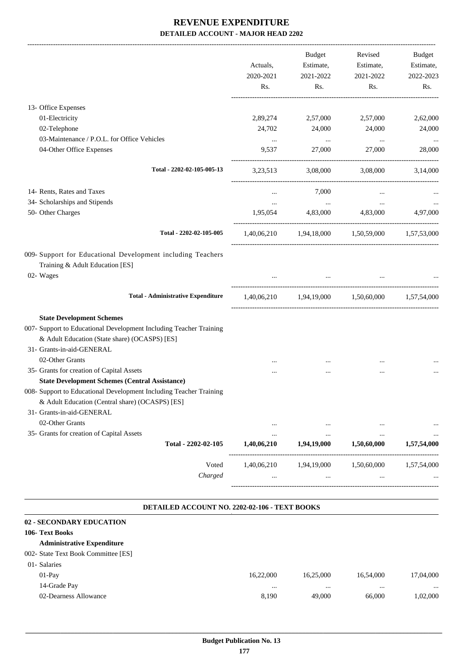|                                                                                                                                                                                                             | Actuals,<br>2020-2021<br>Rs. | Budget<br>Estimate,<br>2021-2022<br>Rs.                 | Revised<br>Estimate,<br>2021-2022<br>Rs. | Budget<br>Estimate,<br>2022-2023<br>Rs. |
|-------------------------------------------------------------------------------------------------------------------------------------------------------------------------------------------------------------|------------------------------|---------------------------------------------------------|------------------------------------------|-----------------------------------------|
|                                                                                                                                                                                                             |                              |                                                         |                                          |                                         |
| 13- Office Expenses                                                                                                                                                                                         |                              |                                                         |                                          |                                         |
| 01-Electricity                                                                                                                                                                                              | 2,89,274                     | 2,57,000                                                | 2,57,000                                 | 2,62,000                                |
| 02-Telephone                                                                                                                                                                                                | 24,702                       | 24,000                                                  | 24,000                                   | 24,000                                  |
| 03-Maintenance / P.O.L. for Office Vehicles                                                                                                                                                                 | $\cdots$                     | $\sim 100$ and $\sim 100$                               | $\cdots$                                 |                                         |
| 04-Other Office Expenses                                                                                                                                                                                    | 9,537                        | 27,000                                                  | 27,000                                   | 28,000                                  |
| Total - 2202-02-105-005-13                                                                                                                                                                                  | 3,23,513                     |                                                         | 3,08,000 3,08,000                        | 3,14,000                                |
| 14- Rents, Rates and Taxes                                                                                                                                                                                  | $\cdots$                     | 7,000                                                   |                                          |                                         |
| 34- Scholarships and Stipends                                                                                                                                                                               |                              |                                                         | $\ddotsc$                                |                                         |
| 50- Other Charges                                                                                                                                                                                           | 1,95,054                     | 4,83,000 4,83,000                                       |                                          | 4,97,000                                |
| Total - 2202-02-105-005                                                                                                                                                                                     |                              | 1,40,06,210 1,94,18,000 1,50,59,000 1,57,53,000         |                                          |                                         |
| 009- Support for Educational Development including Teachers<br>Training & Adult Education [ES]                                                                                                              |                              |                                                         |                                          |                                         |
| 02- Wages                                                                                                                                                                                                   |                              |                                                         |                                          |                                         |
| <b>Total - Administrative Expenditure</b>                                                                                                                                                                   |                              | $1,40,06,210$ $1,94,19,000$ $1,50,60,000$ $1,57,54,000$ |                                          |                                         |
| <b>State Development Schemes</b><br>007- Support to Educational Development Including Teacher Training<br>& Adult Education (State share) (OCASPS) [ES]<br>31- Grants-in-aid-GENERAL                        |                              |                                                         |                                          |                                         |
| 02-Other Grants                                                                                                                                                                                             |                              |                                                         |                                          |                                         |
| 35- Grants for creation of Capital Assets                                                                                                                                                                   |                              |                                                         |                                          |                                         |
| <b>State Development Schemes (Central Assistance)</b><br>008- Support to Educational Development Including Teacher Training<br>& Adult Education (Central share) (OCASPS) [ES]<br>31- Grants-in-aid-GENERAL |                              |                                                         |                                          |                                         |
| 02-Other Grants                                                                                                                                                                                             | $\cdots$                     |                                                         | $\cdots$                                 |                                         |
| 35- Grants for creation of Capital Assets                                                                                                                                                                   | $\cdots$                     | $\ddotsc$                                               | $\cdots$                                 |                                         |
| Total - 2202-02-105                                                                                                                                                                                         | 1,40,06,210                  | 1,94,19,000                                             | 1,50,60,000                              | 1,57,54,000                             |
| Voted<br>Charged                                                                                                                                                                                            | 1,40,06,210                  | 1,94,19,000                                             | 1,50,60,000<br>$\ddotsc$                 | 1,57,54,000                             |
| DETAILED ACCOUNT NO. 2202-02-106 - TEXT BOOKS                                                                                                                                                               |                              |                                                         |                                          |                                         |

| 02 - SECONDARY EDUCATION            |           |           |           |           |
|-------------------------------------|-----------|-----------|-----------|-----------|
| 106- Text Books                     |           |           |           |           |
| <b>Administrative Expenditure</b>   |           |           |           |           |
| 002- State Text Book Committee [ES] |           |           |           |           |
| 01- Salaries                        |           |           |           |           |
| $01-Pav$                            | 16.22.000 | 16.25,000 | 16,54,000 | 17,04,000 |
| 14-Grade Pay                        | $\cdots$  |           |           | $\cdots$  |
| 02-Dearness Allowance               | 8.190     | 49,000    | 66,000    | 1,02,000  |
|                                     |           |           |           |           |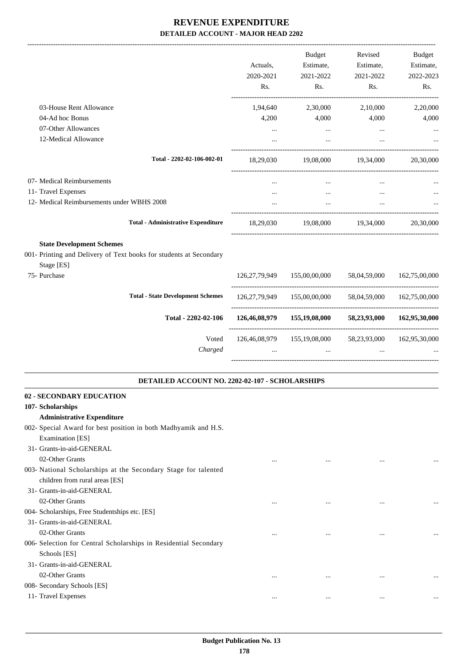|                                                                                                                      | Actuals,                     | <b>Budget</b><br>Estimate,    | Revised<br>Estimate, | Budget<br>Estimate,        |
|----------------------------------------------------------------------------------------------------------------------|------------------------------|-------------------------------|----------------------|----------------------------|
|                                                                                                                      | 2020-2021<br>Rs.<br>1,94,640 | 2021-2022                     | 2021-2022            | 2022-2023                  |
|                                                                                                                      |                              | Rs.                           | Rs.                  | Rs.                        |
| 03-House Rent Allowance                                                                                              |                              | 2,30,000                      | 2,10,000             | 2,20,000                   |
| 04-Ad hoc Bonus                                                                                                      | 4,200                        | 4,000                         | 4,000                | 4,000                      |
| 07-Other Allowances                                                                                                  | $\cdots$                     | $\cdots$                      | $\cdots$             |                            |
| 12-Medical Allowance                                                                                                 |                              |                               |                      |                            |
| Total - 2202-02-106-002-01                                                                                           | 18,29,030                    |                               | 19,08,000 19,34,000  | 20,30,000                  |
| 07- Medical Reimbursements                                                                                           | $\cdots$                     | $\cdots$                      | $\cdots$             |                            |
| 11- Travel Expenses                                                                                                  |                              |                               | $\cdots$             |                            |
| 12- Medical Reimbursements under WBHS 2008                                                                           |                              | $\cdots$                      | $\cdots$             |                            |
| <b>Total - Administrative Expenditure</b>                                                                            |                              | 18,29,030 19,08,000 19,34,000 |                      | 20,30,000                  |
| <b>State Development Schemes</b><br>001- Printing and Delivery of Text books for students at Secondary<br>Stage [ES] |                              |                               |                      |                            |
| 75- Purchase                                                                                                         |                              | 126,27,79,949 155,00,00,000   | 58,04,59,000         | 162,75,00,000              |
| <b>Total - State Development Schemes</b>                                                                             |                              | 126,27,79,949 155,00,00,000   | 58,04,59,000         | 162,75,00,000              |
| Total - 2202-02-106                                                                                                  |                              | 126,46,08,979 155,19,08,000   |                      | 58,23,93,000 162,95,30,000 |
| Voted                                                                                                                |                              | 126,46,08,979 155,19,08,000   |                      | 58,23,93,000 162,95,30,000 |
| Charged                                                                                                              | $\ddotsc$                    | $\cdots$                      |                      |                            |
| DETAILED ACCOUNT NO. 2202-02-107 - SCHOLARSHIPS                                                                      |                              |                               |                      |                            |
| 02 - SECONDARY EDUCATION                                                                                             |                              |                               |                      |                            |
| 107- Scholarships<br><b>Administrative Expenditure</b>                                                               |                              |                               |                      |                            |
| 002- Special Award for best position in both Madhyamik and H.S.                                                      |                              |                               |                      |                            |
| Examination [ES]                                                                                                     |                              |                               |                      |                            |
| 31- Grants-in-aid-GENERAL                                                                                            |                              |                               |                      |                            |
| 02-Other Grants                                                                                                      | $\ddotsc$                    | $\cdots$                      | $\ddotsc$            |                            |
| 003- National Scholarships at the Secondary Stage for talented<br>children from rural areas [ES]                     |                              |                               |                      |                            |
| 31- Grants-in-aid-GENERAL                                                                                            |                              |                               |                      |                            |

02-Other Grants ... ... ... ... 004- Scholarships, Free Studentships etc. [ES]

31- Grants-in-aid-GENERAL

02-Other Grants ... ... ... ...

006- Selection for Central Scholarships in Residential Secondary Schools [ES]

 31- Grants-in-aid-GENERAL 02-Other Grants ... ... ... ...

008- Secondary Schools [ES]

11- Travel Expenses ... ... ... ...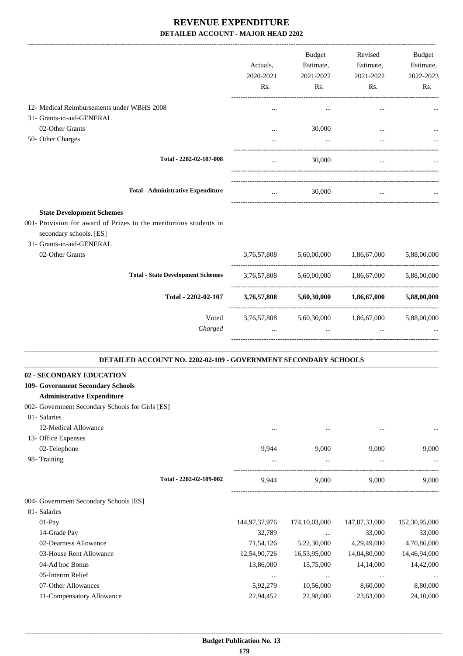|                                                                                              |               | Budget                              | Revised                             | Budget        |
|----------------------------------------------------------------------------------------------|---------------|-------------------------------------|-------------------------------------|---------------|
|                                                                                              | Actuals,      | Estimate,                           | Estimate,                           | Estimate,     |
|                                                                                              | 2020-2021     | 2021-2022                           | 2021-2022                           | 2022-2023     |
|                                                                                              | Rs.           | Rs.                                 | Rs.                                 | Rs.           |
| 12- Medical Reimbursements under WBHS 2008                                                   | $\ddotsc$     | $\cdots$                            | $\cdots$                            |               |
| 31- Grants-in-aid-GENERAL                                                                    |               |                                     |                                     |               |
| 02-Other Grants                                                                              | .             | 30,000                              |                                     |               |
| 50- Other Charges                                                                            |               |                                     |                                     |               |
|                                                                                              |               |                                     |                                     |               |
| Total - 2202-02-107-008                                                                      |               | 30,000                              |                                     |               |
| <b>Total - Administrative Expenditure</b>                                                    | $\cdots$      | 30,000                              | $\cdots$                            |               |
| <b>State Development Schemes</b>                                                             |               |                                     |                                     |               |
| 001- Provision for award of Prizes to the meritorious students in<br>secondary schools. [ES] |               |                                     |                                     |               |
| 31- Grants-in-aid-GENERAL                                                                    |               |                                     |                                     |               |
| 02-Other Grants                                                                              |               | 3,76,57,808 5,60,00,000 1,86,67,000 |                                     | 5,88,00,000   |
| <b>Total - State Development Schemes</b>                                                     | 3,76,57,808   |                                     | 5,60,00,000 1,86,67,000             | 5,88,00,000   |
| Total - 2202-02-107                                                                          | 3,76,57,808   |                                     | $5,60,30,000$ $1,86,67,000$         | 5,88,00,000   |
| Voted                                                                                        |               |                                     | 3,76,57,808 5,60,30,000 1,86,67,000 | 5,88,00,000   |
| Charged                                                                                      |               |                                     |                                     |               |
|                                                                                              |               |                                     |                                     |               |
| DETAILED ACCOUNT NO. 2202-02-109 - GOVERNMENT SECONDARY SCHOOLS                              |               |                                     |                                     |               |
| <b>02 - SECONDARY EDUCATION</b>                                                              |               |                                     |                                     |               |
| <b>109- Government Secondary Schools</b>                                                     |               |                                     |                                     |               |
| <b>Administrative Expenditure</b>                                                            |               |                                     |                                     |               |
| 002- Government Secondary Schools for Girls [ES]                                             |               |                                     |                                     |               |
| 01- Salaries                                                                                 |               |                                     |                                     |               |
| 12-Medical Allowance                                                                         | $\cdots$      | $\cdots$                            | $\ddotsc$                           |               |
| 13- Office Expenses                                                                          |               |                                     |                                     |               |
| 02-Telephone<br>98- Training                                                                 | 9,944         | 9,000                               | 9,000                               | 9,000         |
|                                                                                              |               | $\cdots$                            | $\cdots$                            |               |
| Total - 2202-02-109-002                                                                      | 9,944         | 9.000                               | 9.000                               | 9.000         |
| 004- Government Secondary Schools [ES]                                                       |               |                                     |                                     |               |
| 01- Salaries                                                                                 |               |                                     |                                     |               |
| 01-Pay                                                                                       | 144,97,37,976 | 174,10,03,000                       | 147,87,33,000                       | 152,30,95,000 |
| 14-Grade Pay                                                                                 | 32,789        | $\cdots$                            | 33,000                              | 33,000        |
| 02-Dearness Allowance                                                                        | 71,54,126     | 5,22,30,000                         | 4,29,49,000                         | 4,70,86,000   |
| 03-House Rent Allowance                                                                      | 12,54,90,726  | 16,53,95,000                        | 14,04,80,000                        | 14,46,94,000  |
| 04-Ad hoc Bonus                                                                              | 13,86,000     | 15,75,000                           | 14,14,000                           | 14,42,000     |
| 05-Interim Relief                                                                            | $\cdots$      | $\cdots$                            | $\cdots$                            |               |
| 07-Other Allowances                                                                          | 5,92,279      | 10,56,000                           | 8,60,000                            | 8,80,000      |
| 11-Compensatory Allowance                                                                    | 22,94,452     | 22,98,000                           | 23,63,000                           | 24,10,000     |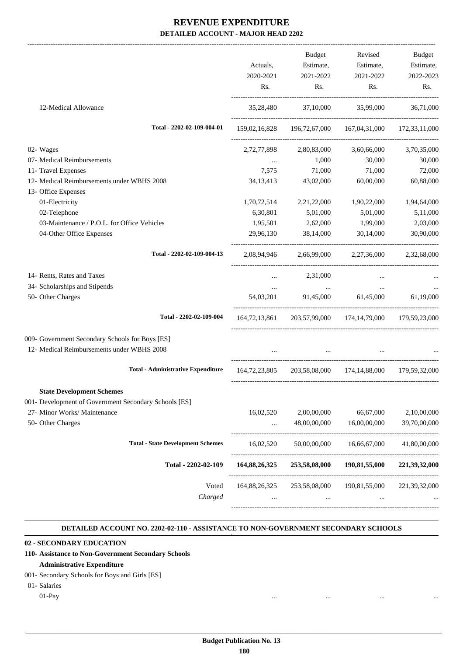| Rs.<br>Rs.<br>Rs.<br>12-Medical Allowance<br>37,10,000 35,99,000<br>35,28,480<br>Total - 2202-02-109-004-01<br>159,02,16,828 196,72,67,000 167,04,31,000 172,33,11,000<br>02- Wages<br>2,72,77,898 2,80,83,000 3,60,66,000<br>07- Medical Reimbursements<br>1,000<br>30,000<br>$\mathbf{1}$ , and $\mathbf{1}$ , and $\mathbf{1}$<br>11- Travel Expenses<br>71,000<br>71,000<br>7,575<br>12- Medical Reimbursements under WBHS 2008<br>34, 13, 413<br>43,02,000<br>60,00,000<br>13- Office Expenses<br>01-Electricity<br>1,70,72,514<br>2, 21, 22, 000<br>1,90,22,000<br>02-Telephone<br>6,30,801<br>5,01,000<br>5,01,000<br>03-Maintenance / P.O.L. for Office Vehicles<br>1,95,501<br>2,62,000<br>1,99,000<br>04-Other Office Expenses<br>29,96,130<br>38,14,000<br>30,14,000<br>Total - 2202-02-109-004-13<br>2,08,94,946 2,66,99,000 2,27,36,000 2,32,68,000<br>14- Rents, Rates and Taxes<br>2,31,000<br>$\cdots$<br>$\cdots$<br>34- Scholarships and Stipends<br>the company of the company<br>$\cdots$<br>50- Other Charges<br>54,03,201 91,45,000 61,45,000<br>Total - 2202-02-109-004<br>164,72,13,861 203,57,99,000 174,14,79,000 179,59,23,000<br>009- Government Secondary Schools for Boys [ES]<br>12- Medical Reimbursements under WBHS 2008<br><b>Service</b> Contractor<br><b>Address Contract</b><br><b>Total - Administrative Expenditure</b><br>164,72,23,805<br>203,58,08,000 174,14,88,000 179,59,32,000<br><b>State Development Schemes</b><br>001- Development of Government Secondary Schools [ES]<br>27- Minor Works/ Maintenance<br>16,02,520<br>2,00,00,000<br>66,67,000<br>50- Other Charges<br>48,00,00,000<br>16,00,00,000<br>$\cdots$<br><b>Total - State Development Schemes</b><br>16,02,520<br>50,00,00,000<br>16,66,67,000 | Actuals,<br>2020-2021 | Budget<br>Estimate,<br>2021-2022 | Revised<br>Estimate,<br>2021-2022 | Budget<br>Estimate,<br>2022-2023 |
|---------------------------------------------------------------------------------------------------------------------------------------------------------------------------------------------------------------------------------------------------------------------------------------------------------------------------------------------------------------------------------------------------------------------------------------------------------------------------------------------------------------------------------------------------------------------------------------------------------------------------------------------------------------------------------------------------------------------------------------------------------------------------------------------------------------------------------------------------------------------------------------------------------------------------------------------------------------------------------------------------------------------------------------------------------------------------------------------------------------------------------------------------------------------------------------------------------------------------------------------------------------------------------------------------------------------------------------------------------------------------------------------------------------------------------------------------------------------------------------------------------------------------------------------------------------------------------------------------------------------------------------------------------------------------------------------------------------------------------------------------------------|-----------------------|----------------------------------|-----------------------------------|----------------------------------|
|                                                                                                                                                                                                                                                                                                                                                                                                                                                                                                                                                                                                                                                                                                                                                                                                                                                                                                                                                                                                                                                                                                                                                                                                                                                                                                                                                                                                                                                                                                                                                                                                                                                                                                                                                               |                       |                                  |                                   | Rs.                              |
|                                                                                                                                                                                                                                                                                                                                                                                                                                                                                                                                                                                                                                                                                                                                                                                                                                                                                                                                                                                                                                                                                                                                                                                                                                                                                                                                                                                                                                                                                                                                                                                                                                                                                                                                                               |                       |                                  |                                   | 36,71,000                        |
|                                                                                                                                                                                                                                                                                                                                                                                                                                                                                                                                                                                                                                                                                                                                                                                                                                                                                                                                                                                                                                                                                                                                                                                                                                                                                                                                                                                                                                                                                                                                                                                                                                                                                                                                                               |                       |                                  |                                   |                                  |
|                                                                                                                                                                                                                                                                                                                                                                                                                                                                                                                                                                                                                                                                                                                                                                                                                                                                                                                                                                                                                                                                                                                                                                                                                                                                                                                                                                                                                                                                                                                                                                                                                                                                                                                                                               |                       |                                  |                                   | 3,70,35,000                      |
|                                                                                                                                                                                                                                                                                                                                                                                                                                                                                                                                                                                                                                                                                                                                                                                                                                                                                                                                                                                                                                                                                                                                                                                                                                                                                                                                                                                                                                                                                                                                                                                                                                                                                                                                                               |                       |                                  |                                   | 30,000                           |
|                                                                                                                                                                                                                                                                                                                                                                                                                                                                                                                                                                                                                                                                                                                                                                                                                                                                                                                                                                                                                                                                                                                                                                                                                                                                                                                                                                                                                                                                                                                                                                                                                                                                                                                                                               |                       |                                  |                                   | 72,000                           |
|                                                                                                                                                                                                                                                                                                                                                                                                                                                                                                                                                                                                                                                                                                                                                                                                                                                                                                                                                                                                                                                                                                                                                                                                                                                                                                                                                                                                                                                                                                                                                                                                                                                                                                                                                               |                       |                                  |                                   | 60,88,000                        |
|                                                                                                                                                                                                                                                                                                                                                                                                                                                                                                                                                                                                                                                                                                                                                                                                                                                                                                                                                                                                                                                                                                                                                                                                                                                                                                                                                                                                                                                                                                                                                                                                                                                                                                                                                               |                       |                                  |                                   | 1,94,64,000                      |
|                                                                                                                                                                                                                                                                                                                                                                                                                                                                                                                                                                                                                                                                                                                                                                                                                                                                                                                                                                                                                                                                                                                                                                                                                                                                                                                                                                                                                                                                                                                                                                                                                                                                                                                                                               |                       |                                  |                                   | 5,11,000                         |
|                                                                                                                                                                                                                                                                                                                                                                                                                                                                                                                                                                                                                                                                                                                                                                                                                                                                                                                                                                                                                                                                                                                                                                                                                                                                                                                                                                                                                                                                                                                                                                                                                                                                                                                                                               |                       |                                  |                                   | 2,03,000                         |
|                                                                                                                                                                                                                                                                                                                                                                                                                                                                                                                                                                                                                                                                                                                                                                                                                                                                                                                                                                                                                                                                                                                                                                                                                                                                                                                                                                                                                                                                                                                                                                                                                                                                                                                                                               |                       |                                  |                                   | 30,90,000                        |
|                                                                                                                                                                                                                                                                                                                                                                                                                                                                                                                                                                                                                                                                                                                                                                                                                                                                                                                                                                                                                                                                                                                                                                                                                                                                                                                                                                                                                                                                                                                                                                                                                                                                                                                                                               |                       |                                  |                                   |                                  |
|                                                                                                                                                                                                                                                                                                                                                                                                                                                                                                                                                                                                                                                                                                                                                                                                                                                                                                                                                                                                                                                                                                                                                                                                                                                                                                                                                                                                                                                                                                                                                                                                                                                                                                                                                               |                       |                                  |                                   |                                  |
|                                                                                                                                                                                                                                                                                                                                                                                                                                                                                                                                                                                                                                                                                                                                                                                                                                                                                                                                                                                                                                                                                                                                                                                                                                                                                                                                                                                                                                                                                                                                                                                                                                                                                                                                                               |                       |                                  |                                   |                                  |
|                                                                                                                                                                                                                                                                                                                                                                                                                                                                                                                                                                                                                                                                                                                                                                                                                                                                                                                                                                                                                                                                                                                                                                                                                                                                                                                                                                                                                                                                                                                                                                                                                                                                                                                                                               |                       |                                  |                                   | 61,19,000                        |
|                                                                                                                                                                                                                                                                                                                                                                                                                                                                                                                                                                                                                                                                                                                                                                                                                                                                                                                                                                                                                                                                                                                                                                                                                                                                                                                                                                                                                                                                                                                                                                                                                                                                                                                                                               |                       |                                  |                                   |                                  |
|                                                                                                                                                                                                                                                                                                                                                                                                                                                                                                                                                                                                                                                                                                                                                                                                                                                                                                                                                                                                                                                                                                                                                                                                                                                                                                                                                                                                                                                                                                                                                                                                                                                                                                                                                               |                       |                                  |                                   |                                  |
|                                                                                                                                                                                                                                                                                                                                                                                                                                                                                                                                                                                                                                                                                                                                                                                                                                                                                                                                                                                                                                                                                                                                                                                                                                                                                                                                                                                                                                                                                                                                                                                                                                                                                                                                                               |                       |                                  |                                   |                                  |
|                                                                                                                                                                                                                                                                                                                                                                                                                                                                                                                                                                                                                                                                                                                                                                                                                                                                                                                                                                                                                                                                                                                                                                                                                                                                                                                                                                                                                                                                                                                                                                                                                                                                                                                                                               |                       |                                  |                                   |                                  |
|                                                                                                                                                                                                                                                                                                                                                                                                                                                                                                                                                                                                                                                                                                                                                                                                                                                                                                                                                                                                                                                                                                                                                                                                                                                                                                                                                                                                                                                                                                                                                                                                                                                                                                                                                               |                       |                                  |                                   |                                  |
|                                                                                                                                                                                                                                                                                                                                                                                                                                                                                                                                                                                                                                                                                                                                                                                                                                                                                                                                                                                                                                                                                                                                                                                                                                                                                                                                                                                                                                                                                                                                                                                                                                                                                                                                                               |                       |                                  |                                   |                                  |
|                                                                                                                                                                                                                                                                                                                                                                                                                                                                                                                                                                                                                                                                                                                                                                                                                                                                                                                                                                                                                                                                                                                                                                                                                                                                                                                                                                                                                                                                                                                                                                                                                                                                                                                                                               |                       |                                  |                                   | 2,10,00,000                      |
|                                                                                                                                                                                                                                                                                                                                                                                                                                                                                                                                                                                                                                                                                                                                                                                                                                                                                                                                                                                                                                                                                                                                                                                                                                                                                                                                                                                                                                                                                                                                                                                                                                                                                                                                                               |                       |                                  |                                   | 39,70,00,000                     |
|                                                                                                                                                                                                                                                                                                                                                                                                                                                                                                                                                                                                                                                                                                                                                                                                                                                                                                                                                                                                                                                                                                                                                                                                                                                                                                                                                                                                                                                                                                                                                                                                                                                                                                                                                               |                       |                                  |                                   | 41,80,00,000                     |
| Total - 2202-02-109<br>164,88,26,325<br>253,58,08,000<br>190,81,55,000                                                                                                                                                                                                                                                                                                                                                                                                                                                                                                                                                                                                                                                                                                                                                                                                                                                                                                                                                                                                                                                                                                                                                                                                                                                                                                                                                                                                                                                                                                                                                                                                                                                                                        |                       |                                  |                                   | 221, 39, 32, 000                 |
| Voted<br>164,88,26,325<br>253,58,08,000<br>190,81,55,000                                                                                                                                                                                                                                                                                                                                                                                                                                                                                                                                                                                                                                                                                                                                                                                                                                                                                                                                                                                                                                                                                                                                                                                                                                                                                                                                                                                                                                                                                                                                                                                                                                                                                                      |                       |                                  |                                   | 221,39,32,000                    |
| Charged                                                                                                                                                                                                                                                                                                                                                                                                                                                                                                                                                                                                                                                                                                                                                                                                                                                                                                                                                                                                                                                                                                                                                                                                                                                                                                                                                                                                                                                                                                                                                                                                                                                                                                                                                       |                       |                                  |                                   |                                  |

#### **DETAILED ACCOUNT NO. 2202-02-110 - ASSISTANCE TO NON-GOVERNMENT SECONDARY SCHOOLS .**

.

#### **02 - SECONDARY EDUCATION**

#### **110- Assistance to Non-Government Secondary Schools**

#### **Administrative Expenditure**

#### 001- Secondary Schools for Boys and Girls [ES]

- 01- Salaries
	- 01-Pay ... ... ... ...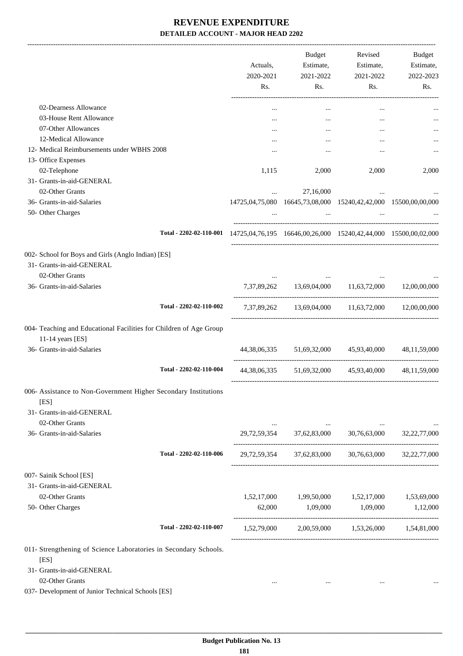| 2020-2021<br>Rs. | Estimate,<br>2021-2022<br>Rs.                                                                                                                                                                                                                                                                                                                  | Estimate,<br>2021-2022<br>Rs.                                                    | Estimate,<br>2022-2023<br>Rs.                                                                                                                                                                                                                                                                                                                                                                                                                                                                                                                  |
|------------------|------------------------------------------------------------------------------------------------------------------------------------------------------------------------------------------------------------------------------------------------------------------------------------------------------------------------------------------------|----------------------------------------------------------------------------------|------------------------------------------------------------------------------------------------------------------------------------------------------------------------------------------------------------------------------------------------------------------------------------------------------------------------------------------------------------------------------------------------------------------------------------------------------------------------------------------------------------------------------------------------|
|                  |                                                                                                                                                                                                                                                                                                                                                |                                                                                  |                                                                                                                                                                                                                                                                                                                                                                                                                                                                                                                                                |
|                  |                                                                                                                                                                                                                                                                                                                                                |                                                                                  |                                                                                                                                                                                                                                                                                                                                                                                                                                                                                                                                                |
|                  |                                                                                                                                                                                                                                                                                                                                                |                                                                                  |                                                                                                                                                                                                                                                                                                                                                                                                                                                                                                                                                |
|                  |                                                                                                                                                                                                                                                                                                                                                |                                                                                  |                                                                                                                                                                                                                                                                                                                                                                                                                                                                                                                                                |
|                  |                                                                                                                                                                                                                                                                                                                                                |                                                                                  |                                                                                                                                                                                                                                                                                                                                                                                                                                                                                                                                                |
|                  |                                                                                                                                                                                                                                                                                                                                                |                                                                                  |                                                                                                                                                                                                                                                                                                                                                                                                                                                                                                                                                |
|                  |                                                                                                                                                                                                                                                                                                                                                |                                                                                  | 2,000                                                                                                                                                                                                                                                                                                                                                                                                                                                                                                                                          |
|                  |                                                                                                                                                                                                                                                                                                                                                |                                                                                  |                                                                                                                                                                                                                                                                                                                                                                                                                                                                                                                                                |
|                  |                                                                                                                                                                                                                                                                                                                                                |                                                                                  |                                                                                                                                                                                                                                                                                                                                                                                                                                                                                                                                                |
|                  |                                                                                                                                                                                                                                                                                                                                                |                                                                                  |                                                                                                                                                                                                                                                                                                                                                                                                                                                                                                                                                |
| $\cdots$         | $\ddotsc$                                                                                                                                                                                                                                                                                                                                      |                                                                                  |                                                                                                                                                                                                                                                                                                                                                                                                                                                                                                                                                |
|                  |                                                                                                                                                                                                                                                                                                                                                |                                                                                  |                                                                                                                                                                                                                                                                                                                                                                                                                                                                                                                                                |
|                  |                                                                                                                                                                                                                                                                                                                                                |                                                                                  |                                                                                                                                                                                                                                                                                                                                                                                                                                                                                                                                                |
|                  |                                                                                                                                                                                                                                                                                                                                                |                                                                                  |                                                                                                                                                                                                                                                                                                                                                                                                                                                                                                                                                |
|                  |                                                                                                                                                                                                                                                                                                                                                |                                                                                  |                                                                                                                                                                                                                                                                                                                                                                                                                                                                                                                                                |
|                  |                                                                                                                                                                                                                                                                                                                                                |                                                                                  |                                                                                                                                                                                                                                                                                                                                                                                                                                                                                                                                                |
|                  |                                                                                                                                                                                                                                                                                                                                                |                                                                                  |                                                                                                                                                                                                                                                                                                                                                                                                                                                                                                                                                |
|                  |                                                                                                                                                                                                                                                                                                                                                |                                                                                  |                                                                                                                                                                                                                                                                                                                                                                                                                                                                                                                                                |
|                  |                                                                                                                                                                                                                                                                                                                                                |                                                                                  | 48, 11, 59, 000                                                                                                                                                                                                                                                                                                                                                                                                                                                                                                                                |
|                  |                                                                                                                                                                                                                                                                                                                                                |                                                                                  | 48.11.59.000                                                                                                                                                                                                                                                                                                                                                                                                                                                                                                                                   |
|                  |                                                                                                                                                                                                                                                                                                                                                |                                                                                  |                                                                                                                                                                                                                                                                                                                                                                                                                                                                                                                                                |
|                  |                                                                                                                                                                                                                                                                                                                                                |                                                                                  |                                                                                                                                                                                                                                                                                                                                                                                                                                                                                                                                                |
|                  |                                                                                                                                                                                                                                                                                                                                                |                                                                                  |                                                                                                                                                                                                                                                                                                                                                                                                                                                                                                                                                |
|                  |                                                                                                                                                                                                                                                                                                                                                |                                                                                  | 32, 22, 77, 000                                                                                                                                                                                                                                                                                                                                                                                                                                                                                                                                |
|                  |                                                                                                                                                                                                                                                                                                                                                |                                                                                  | 32,22,77,000                                                                                                                                                                                                                                                                                                                                                                                                                                                                                                                                   |
|                  |                                                                                                                                                                                                                                                                                                                                                |                                                                                  |                                                                                                                                                                                                                                                                                                                                                                                                                                                                                                                                                |
|                  |                                                                                                                                                                                                                                                                                                                                                |                                                                                  |                                                                                                                                                                                                                                                                                                                                                                                                                                                                                                                                                |
|                  |                                                                                                                                                                                                                                                                                                                                                |                                                                                  | 1,53,69,000                                                                                                                                                                                                                                                                                                                                                                                                                                                                                                                                    |
| 62,000           | 1,09,000                                                                                                                                                                                                                                                                                                                                       | 1,09,000                                                                         | 1,12,000                                                                                                                                                                                                                                                                                                                                                                                                                                                                                                                                       |
|                  |                                                                                                                                                                                                                                                                                                                                                |                                                                                  |                                                                                                                                                                                                                                                                                                                                                                                                                                                                                                                                                |
|                  |                                                                                                                                                                                                                                                                                                                                                |                                                                                  | 1,54,81,000                                                                                                                                                                                                                                                                                                                                                                                                                                                                                                                                    |
|                  |                                                                                                                                                                                                                                                                                                                                                |                                                                                  |                                                                                                                                                                                                                                                                                                                                                                                                                                                                                                                                                |
|                  |                                                                                                                                                                                                                                                                                                                                                |                                                                                  |                                                                                                                                                                                                                                                                                                                                                                                                                                                                                                                                                |
| $\cdots$         |                                                                                                                                                                                                                                                                                                                                                |                                                                                  |                                                                                                                                                                                                                                                                                                                                                                                                                                                                                                                                                |
|                  | <br>1,115<br>$\cdots$<br>Total - 2202-02-110-002<br>004- Teaching and Educational Facilities for Children of Age Group<br>Total - 2202-02-110-004<br>006- Assistance to Non-Government Higher Secondary Institutions<br>Total - 2202-02-110-006<br>Total - 2202-02-110-007<br>011- Strengthening of Science Laboratories in Secondary Schools. | $\cdots$<br><br>2,000<br>27,16,000<br>44,38,06,335<br>1,52,17,000<br>1,99,50,000 | $\cdots$<br><br><br><br><br>2,000<br>$\cdots$<br>14725,04,75,080 16645,73,08,000 15240,42,42,000 15500,00,00,000<br>Total - 2202-02-110-001 14725,04,76,195 16646,00,26,000 15240,42,44,000 15500,00,02,000<br>7,37,89,262 13,69,04,000 11,63,72,000 12,00,00,000<br>7,37,89,262 13,69,04,000 11,63,72,000 12,00,00,000<br>44,38,06,335 51,69,32,000 45,93,40,000<br>51,69,32,000 45,93,40,000<br>29,72,59,354 37,62,83,000<br>30,76,63,000<br>29,72,59,354 37,62,83,000<br>30,76,63,000<br>1,52,17,000<br>1,52,79,000 2,00,59,000 1,53,26,000 |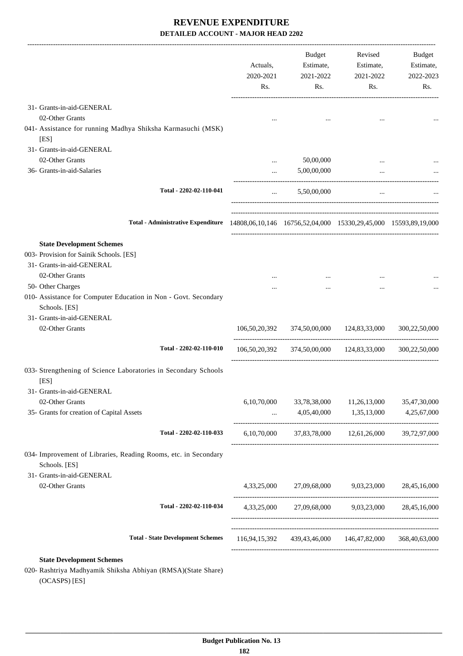|                                                                                                    | Actuals,<br>2020-2021<br>Rs. | <b>Budget</b><br>Estimate,<br>2021-2022<br>Rs.          | Revised<br>Estimate,<br>2021-2022<br>Rs. | Budget<br>Estimate,<br>2022-2023<br>Rs. |
|----------------------------------------------------------------------------------------------------|------------------------------|---------------------------------------------------------|------------------------------------------|-----------------------------------------|
| 31- Grants-in-aid-GENERAL                                                                          |                              |                                                         |                                          |                                         |
| 02-Other Grants<br>041- Assistance for running Madhya Shiksha Karmasuchi (MSK)<br>[ES]             |                              |                                                         |                                          |                                         |
| 31- Grants-in-aid-GENERAL                                                                          |                              |                                                         |                                          |                                         |
| 02-Other Grants                                                                                    |                              | 50,00,000                                               |                                          |                                         |
| 36- Grants-in-aid-Salaries                                                                         | $\cdots$                     | 5,00,00,000                                             | $\cdots$                                 |                                         |
| Total - 2202-02-110-041                                                                            | $\cdots$                     | 5,50,00,000                                             | $\cdots$                                 |                                         |
| Total - Administrative Expenditure 14808,06,10,146 16756,52,04,000 15330,29,45,000 15593,89,19,000 |                              |                                                         |                                          |                                         |
| <b>State Development Schemes</b>                                                                   |                              |                                                         |                                          |                                         |
| 003- Provision for Sainik Schools. [ES]                                                            |                              |                                                         |                                          |                                         |
| 31- Grants-in-aid-GENERAL                                                                          |                              |                                                         |                                          |                                         |
| 02-Other Grants                                                                                    |                              |                                                         |                                          |                                         |
| 50- Other Charges                                                                                  |                              |                                                         |                                          |                                         |
| 010- Assistance for Computer Education in Non - Govt. Secondary<br>Schools. [ES]                   |                              |                                                         |                                          |                                         |
| 31- Grants-in-aid-GENERAL                                                                          |                              |                                                         |                                          |                                         |
| 02-Other Grants                                                                                    |                              | 106,50,20,392 374,50,00,000 124,83,33,000 300,22,50,000 |                                          |                                         |
| Total - 2202-02-110-010                                                                            |                              | 106,50,20,392 374,50,00,000 124,83,33,000               |                                          | 300,22,50,000                           |
| 033- Strengthening of Science Laboratories in Secondary Schools<br>[ES]                            |                              |                                                         |                                          |                                         |
| 31- Grants-in-aid-GENERAL                                                                          |                              |                                                         |                                          |                                         |
| 02-Other Grants                                                                                    | 6,10,70,000                  | 33,78,38,000                                            | 11,26,13,000                             | 35,47,30,000                            |
| 35- Grants for creation of Capital Assets                                                          |                              | $4,05,40,000$ $1,35,13,000$ $4,25,67,000$               |                                          |                                         |
| Total - 2202-02-110-033                                                                            |                              | 6,10,70,000 37,83,78,000 12,61,26,000 39,72,97,000      |                                          |                                         |
| 034- Improvement of Libraries, Reading Rooms, etc. in Secondary<br>Schools. [ES]                   |                              |                                                         |                                          |                                         |
| 31- Grants-in-aid-GENERAL<br>02-Other Grants                                                       |                              | 4,33,25,000 27,09,68,000 9,03,23,000                    |                                          | 28,45,16,000                            |
|                                                                                                    |                              |                                                         |                                          |                                         |
| Total - 2202-02-110-034                                                                            |                              | 4,33,25,000 27,09,68,000 9,03,23,000 28,45,16,000       |                                          |                                         |
| <b>Total - State Development Schemes</b>                                                           |                              | 116,94,15,392 439,43,46,000 146,47,82,000 368,40,63,000 |                                          |                                         |

020- Rashtriya Madhyamik Shiksha Abhiyan (RMSA)(State Share) (OCASPS) [ES]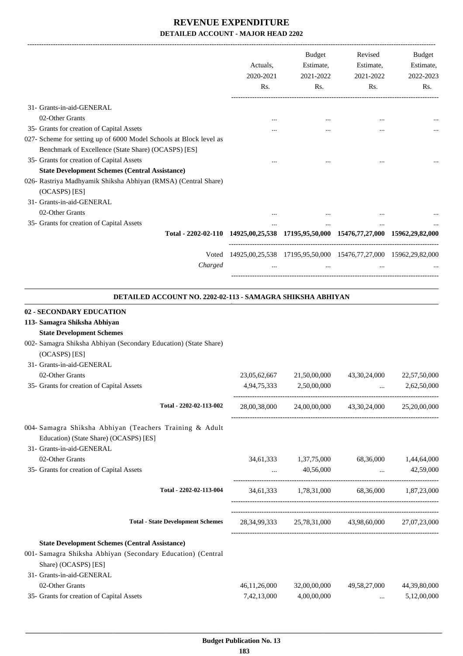-------------------------------------------------------------------------------------------------------------------------------------------------------------------------------

|                                                                                        | Actuals.<br>2020-2021<br>Rs. | <b>Budget</b><br>Estimate,<br>2021-2022<br>Rs.                  | Revised<br>Estimate,<br>2021-2022<br>Rs. | <b>Budget</b><br>Estimate,<br>2022-2023<br>Rs. |
|----------------------------------------------------------------------------------------|------------------------------|-----------------------------------------------------------------|------------------------------------------|------------------------------------------------|
| 31- Grants-in-aid-GENERAL                                                              |                              |                                                                 |                                          |                                                |
| 02-Other Grants                                                                        |                              |                                                                 |                                          |                                                |
| 35- Grants for creation of Capital Assets                                              |                              |                                                                 | $\cdots$                                 | $\cdots$                                       |
| 027- Scheme for setting up of 6000 Model Schools at Block level as                     |                              |                                                                 |                                          |                                                |
| Benchmark of Excellence (State Share) (OCASPS) [ES]                                    |                              |                                                                 |                                          |                                                |
| 35- Grants for creation of Capital Assets                                              |                              |                                                                 |                                          |                                                |
| <b>State Development Schemes (Central Assistance)</b>                                  |                              |                                                                 |                                          |                                                |
| 026- Rastriya Madhyamik Shiksha Abhiyan (RMSA) (Central Share)                         |                              |                                                                 |                                          |                                                |
| (OCASPS) [ES]                                                                          |                              |                                                                 |                                          |                                                |
| 31- Grants-in-aid-GENERAL                                                              |                              |                                                                 |                                          |                                                |
| 02-Other Grants                                                                        |                              |                                                                 |                                          |                                                |
| 35- Grants for creation of Capital Assets                                              |                              |                                                                 |                                          |                                                |
| Total - 2202-02-110 14925,00,25,538 17195,95,50,000 15476,77,27,000 15962,29,82,000    |                              |                                                                 |                                          |                                                |
| Voted                                                                                  |                              | 14925,00,25,538 17195,95,50,000 15476,77,27,000 15962,29,82,000 |                                          |                                                |
| Charged                                                                                |                              |                                                                 |                                          |                                                |
| DETAILED ACCOUNT NO. 2202-02-113 - SAMAGRA SHIKSHA ABHIYAN<br>02 - SECONDARY EDUCATION |                              |                                                                 |                                          |                                                |

| <b>02 - SECONDARY EDUCATION</b>                                                                   |                 |              |                                                                 |              |
|---------------------------------------------------------------------------------------------------|-----------------|--------------|-----------------------------------------------------------------|--------------|
| 113- Samagra Shiksha Abhiyan                                                                      |                 |              |                                                                 |              |
| <b>State Development Schemes</b>                                                                  |                 |              |                                                                 |              |
| 002- Samagra Shiksha Abhiyan (Secondary Education) (State Share)                                  |                 |              |                                                                 |              |
| (OCASPS) [ES]                                                                                     |                 |              |                                                                 |              |
| 31- Grants-in-aid-GENERAL                                                                         |                 |              |                                                                 |              |
| 02-Other Grants                                                                                   |                 |              | 23,05,62,667 21,50,00,000 43,30,24,000 22,57,50,000             |              |
| 35- Grants for creation of Capital Assets                                                         |                 |              | 4,94,75,333 2,50,00,000  2,62,50,000                            |              |
| Total - 2202-02-113-002                                                                           |                 |              | 28,00,38,000 24,00,00,000 43,30,24,000 25,20,00,000             |              |
| 004- Samagra Shiksha Abhiyan (Teachers Training & Adult<br>Education) (State Share) (OCASPS) [ES] |                 |              |                                                                 |              |
| 31- Grants-in-aid-GENERAL                                                                         |                 |              |                                                                 |              |
| 02-Other Grants                                                                                   |                 |              | 34,61,333 1,37,75,000 68,36,000 1,44,64,000                     |              |
| 35- Grants for creation of Capital Assets                                                         |                 |              | $40,56,000$ $42,59,000$                                         |              |
| Total - 2202-02-113-004                                                                           |                 |              | 34,61,333 1,78,31,000 68,36,000 1,87,23,000                     |              |
| <b>Total - State Development Schemes</b>                                                          |                 |              | 28, 34, 99, 333 25, 78, 31, 000 43, 98, 60, 000 27, 07, 23, 000 |              |
| <b>State Development Schemes (Central Assistance)</b>                                             |                 |              |                                                                 |              |
| 001- Samagra Shiksha Abhiyan (Secondary Education) (Central                                       |                 |              |                                                                 |              |
| Share) (OCASPS) [ES]                                                                              |                 |              |                                                                 |              |
| 31- Grants-in-aid-GENERAL                                                                         |                 |              |                                                                 |              |
| 02-Other Grants                                                                                   | 46, 11, 26, 000 | 32,00,00,000 | 49,58,27,000                                                    | 44,39,80,000 |
| 35- Grants for creation of Capital Assets                                                         | 7,42,13,000     | 4,00,00,000  | $\cdots$                                                        | 5,12,00,000  |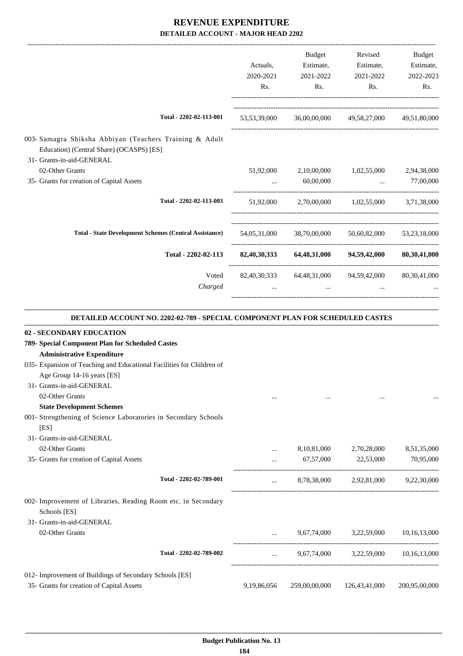|                                                                                                                                  |              | <b>Budget</b> | Revised                                                     | <b>Budget</b> |
|----------------------------------------------------------------------------------------------------------------------------------|--------------|---------------|-------------------------------------------------------------|---------------|
|                                                                                                                                  | Actuals,     | Estimate,     | Estimate,                                                   | Estimate,     |
|                                                                                                                                  | 2020-2021    | 2021-2022     | 2021-2022                                                   | 2022-2023     |
|                                                                                                                                  | Rs.          | Rs.           | Rs.                                                         | Rs.           |
| Total - 2202-02-113-001                                                                                                          | 53,53,39,000 |               | 36,00,00,000 49,58,27,000                                   | 49,51,80,000  |
| 003- Samagra Shiksha Abhiyan (Teachers Training & Adult<br>Education) (Central Share) (OCASPS) [ES]<br>31- Grants-in-aid-GENERAL |              |               |                                                             |               |
| 02-Other Grants                                                                                                                  |              |               | 51,92,000 2,10,00,000 1,02,55,000 2,94,38,000               |               |
| 35- Grants for creation of Capital Assets                                                                                        |              | 60,00,000     | $\mathbf{r}$ and $\mathbf{r}$ are the state of $\mathbf{r}$ | 77,00,000     |
| Total - 2202-02-113-003                                                                                                          |              |               | 51,92,000 2,70,00,000 1,02,55,000 3,71,38,000               |               |
| <b>Total - State Development Schemes (Central Assistance)</b>                                                                    |              |               | 54,05,31,000 38,70,00,000 50,60,82,000 53,23,18,000         |               |
| Total - 2202-02-113                                                                                                              |              |               | 82,40,30,333 64,48,31,000 94,59,42,000 80,30,41,000         |               |
| Voted                                                                                                                            |              |               | 82,40,30,333 64,48,31,000 94,59,42,000 80,30,41,000         |               |
| Charged                                                                                                                          | $\cdots$     | $\cdots$      |                                                             |               |
|                                                                                                                                  |              |               |                                                             |               |

#### **DETAILED ACCOUNT NO. 2202-02-789 - SPECIAL COMPONENT PLAN FOR SCHEDULED CASTES**

.

| 02 - SECONDARY EDUCATION                                                      |             |               |                                      |               |
|-------------------------------------------------------------------------------|-------------|---------------|--------------------------------------|---------------|
| 789- Special Component Plan for Scheduled Castes                              |             |               |                                      |               |
| <b>Administrative Expenditure</b>                                             |             |               |                                      |               |
| 035- Expansion of Teaching and Educational Facilities for Children of         |             |               |                                      |               |
| Age Group 14-16 years [ES]                                                    |             |               |                                      |               |
| 31- Grants-in-aid-GENERAL                                                     |             |               |                                      |               |
| 02-Other Grants                                                               |             |               |                                      |               |
| <b>State Development Schemes</b>                                              |             |               |                                      |               |
| 001- Strengthening of Science Laboratories in Secondary Schools<br>[ES]       |             |               |                                      |               |
| 31- Grants-in-aid-GENERAL                                                     |             |               |                                      |               |
| 02-Other Grants                                                               | $\ddotsc$   | 8,10,81,000   | 2,70,28,000                          | 8,51,35,000   |
| 35- Grants for creation of Capital Assets                                     |             |               | 67,57,000 22,53,000                  | 70,95,000     |
| Total - 2202-02-789-001                                                       | $\cdots$    |               | 8,78,38,000 2,92,81,000 9,22,30,000  |               |
| 002- Improvement of Libraries, Reading Room etc. in Secondary<br>Schools [ES] |             |               |                                      |               |
| 31- Grants-in-aid-GENERAL                                                     |             |               |                                      |               |
| 02-Other Grants                                                               |             |               | 9,67,74,000 3,22,59,000              | 10,16,13,000  |
| Total - 2202-02-789-002                                                       |             |               | 9,67,74,000 3,22,59,000 10,16,13,000 |               |
| 012- Improvement of Buildings of Secondary Schools [ES]                       |             |               |                                      |               |
| 35- Grants for creation of Capital Assets                                     | 9,19,86,056 | 259,00,00,000 | 126,43,41,000                        | 200,95,00,000 |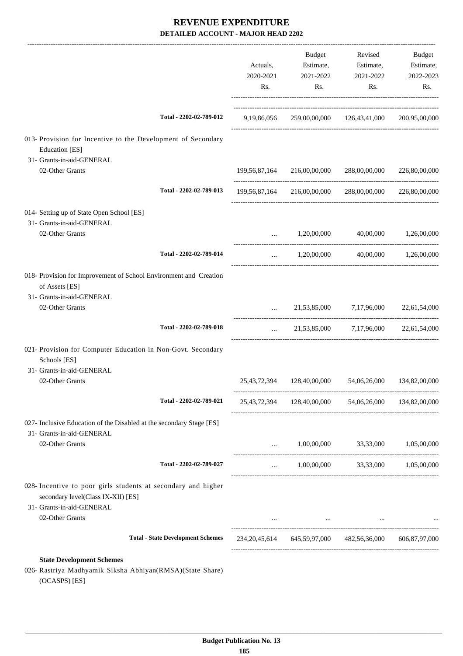|                                                                                                                                  | Actuals,<br>2020-2021<br>Rs. | Budget<br>Estimate,<br>2021-2022<br>Rs. | Revised<br>Estimate,<br>2021-2022<br>Rs.                            | Budget<br>Estimate,<br>2022-2023<br>Rs. |
|----------------------------------------------------------------------------------------------------------------------------------|------------------------------|-----------------------------------------|---------------------------------------------------------------------|-----------------------------------------|
| Total - 2202-02-789-012                                                                                                          | 9,19,86,056                  |                                         | 259,00,00,000 126,43,41,000                                         | 200,95,00,000                           |
| 013- Provision for Incentive to the Development of Secondary<br><b>Education</b> [ES]<br>31- Grants-in-aid-GENERAL               |                              |                                         |                                                                     |                                         |
| 02-Other Grants                                                                                                                  |                              | 199,56,87,164 216,00,00,000             | 288,00,00,000                                                       | 226,80,00,000                           |
| Total - 2202-02-789-013                                                                                                          |                              | 199,56,87,164 216,00,00,000             | 288,00,00,000                                                       | 226,80,00,000                           |
| 014- Setting up of State Open School [ES]<br>31- Grants-in-aid-GENERAL                                                           |                              |                                         |                                                                     |                                         |
| 02-Other Grants                                                                                                                  | $\cdots$                     | 1,20,00,000                             | 40,00,000                                                           | 1,26,00,000                             |
| Total - 2202-02-789-014                                                                                                          | $\cdots$                     |                                         | 1,20,00,000 40,00,000 1,26,00,000                                   |                                         |
| 018- Provision for Improvement of School Environment and Creation<br>of Assets [ES]                                              |                              |                                         |                                                                     |                                         |
| 31- Grants-in-aid-GENERAL<br>02-Other Grants                                                                                     |                              |                                         | 21,53,85,000 7,17,96,000                                            | 22,61,54,000                            |
| Total - 2202-02-789-018                                                                                                          | $\cdots$                     |                                         | 21,53,85,000 7,17,96,000 22,61,54,000                               |                                         |
| 021- Provision for Computer Education in Non-Govt. Secondary<br>Schools [ES]<br>31- Grants-in-aid-GENERAL                        |                              |                                         |                                                                     |                                         |
| 02-Other Grants                                                                                                                  | 25, 43, 72, 394              | 128,40,00,000                           | 54,06,26,000                                                        | 134,82,00,000                           |
| Total - 2202-02-789-021                                                                                                          |                              |                                         | 25,43,72,394 128,40,00,000 54,06,26,000 134,82,00,000               |                                         |
| 027- Inclusive Education of the Disabled at the secondary Stage [ES]<br>31- Grants-in-aid-GENERAL                                |                              |                                         |                                                                     |                                         |
| 02-Other Grants                                                                                                                  | $\cdots$                     |                                         | $1,00,00,000$ $33,33,000$ $1,05,00,000$                             |                                         |
| Total - 2202-02-789-027                                                                                                          | and the state                |                                         | 1,00,00,000 33,33,000 1,05,00,000                                   |                                         |
| 028- Incentive to poor girls students at secondary and higher<br>secondary level(Class IX-XII) [ES]<br>31- Grants-in-aid-GENERAL |                              |                                         |                                                                     |                                         |
| 02-Other Grants                                                                                                                  |                              |                                         | the contract of the contract of the contract of the contract of the |                                         |
| <b>Total - State Development Schemes</b>                                                                                         |                              |                                         | 234, 20, 45, 614 645, 59, 97, 000 482, 56, 36, 000 606, 87, 97, 000 |                                         |
| <b>State Development Schemes</b><br>026- Rastriya Madhyamik Siksha Abhiyan(RMSA)(State Share)                                    |                              |                                         |                                                                     |                                         |

(OCASPS) [ES]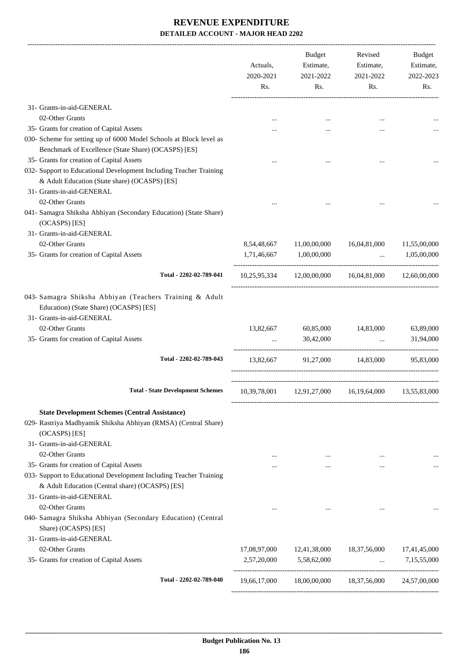|                                                                                                                                                  | Actuals,<br>2020-2021<br>Rs. | Budget<br>Estimate,<br>2021-2022<br>Rs.              | Revised<br>Estimate,<br>2021-2022<br>Rs.                     | Budget<br>Estimate,<br>2022-2023<br>Rs. |
|--------------------------------------------------------------------------------------------------------------------------------------------------|------------------------------|------------------------------------------------------|--------------------------------------------------------------|-----------------------------------------|
| 31- Grants-in-aid-GENERAL                                                                                                                        |                              |                                                      |                                                              |                                         |
| 02-Other Grants                                                                                                                                  | $\cdots$                     |                                                      |                                                              |                                         |
| 35- Grants for creation of Capital Assets                                                                                                        | .                            | $\cdots$                                             | $\cdots$                                                     |                                         |
| 030- Scheme for setting up of 6000 Model Schools at Block level as<br>Benchmark of Excellence (State Share) (OCASPS) [ES]                        |                              |                                                      |                                                              |                                         |
| 35- Grants for creation of Capital Assets                                                                                                        |                              |                                                      |                                                              |                                         |
| 032- Support to Educational Development Including Teacher Training<br>& Adult Education (State share) (OCASPS) [ES]<br>31- Grants-in-aid-GENERAL |                              |                                                      |                                                              |                                         |
| 02-Other Grants                                                                                                                                  |                              |                                                      |                                                              |                                         |
| 041- Samagra Shiksha Abhiyan (Secondary Education) (State Share)<br>(OCASPS) [ES]                                                                |                              |                                                      |                                                              |                                         |
| 31- Grants-in-aid-GENERAL                                                                                                                        |                              |                                                      |                                                              |                                         |
| 02-Other Grants                                                                                                                                  | 8,54,48,667                  | 11,00,00,000                                         | 16,04,81,000                                                 | 11,55,00,000                            |
| 35- Grants for creation of Capital Assets                                                                                                        | 1,71,46,667                  | 1,00,00,000                                          | $\dddotsc$                                                   | 1,05,00,000                             |
| Total - 2202-02-789-041                                                                                                                          |                              |                                                      | 10,25,95,334 12,00,00,000 16,04,81,000 12,60,00,000          |                                         |
| 043- Samagra Shiksha Abhiyan (Teachers Training & Adult<br>Education) (State Share) (OCASPS) [ES]<br>31- Grants-in-aid-GENERAL                   |                              |                                                      |                                                              |                                         |
| 02-Other Grants                                                                                                                                  | 13,82,667                    | 60,85,000                                            | 14,83,000                                                    | 63,89,000                               |
| 35- Grants for creation of Capital Assets                                                                                                        | $\cdots$                     | 30,42,000                                            | $\sim$                                                       | 31,94,000                               |
| Total - 2202-02-789-043                                                                                                                          | 13,82,667                    |                                                      | 91,27,000 14,83,000 95,83,000                                |                                         |
| Total - State Development Schemes<br>$10,39,78,001$ $12,91,27,000$ $16,19,64,000$ $13,55,83,000$                                                 |                              |                                                      |                                                              |                                         |
| <b>State Development Schemes (Central Assistance)</b>                                                                                            |                              |                                                      |                                                              |                                         |
| 029- Rastriya Madhyamik Shiksha Abhiyan (RMSA) (Central Share)<br>(OCASPS) [ES]                                                                  |                              |                                                      |                                                              |                                         |
| 31- Grants-in-aid-GENERAL<br>02-Other Grants                                                                                                     | $\cdots$                     | $\cdots$                                             |                                                              |                                         |
| 35- Grants for creation of Capital Assets                                                                                                        |                              | $\cdots$                                             | $\cdots$                                                     | $\cdots$                                |
| 033- Support to Educational Development Including Teacher Training<br>& Adult Education (Central share) (OCASPS) [ES]                            |                              |                                                      |                                                              |                                         |
| 31- Grants-in-aid-GENERAL                                                                                                                        |                              |                                                      |                                                              |                                         |
| 02-Other Grants                                                                                                                                  |                              |                                                      | $\cdots$                                                     |                                         |
| 040- Samagra Shiksha Abhiyan (Secondary Education) (Central<br>Share) (OCASPS) [ES]                                                              |                              |                                                      |                                                              |                                         |
| 31- Grants-in-aid-GENERAL                                                                                                                        |                              |                                                      |                                                              |                                         |
| 02-Other Grants<br>35- Grants for creation of Capital Assets                                                                                     |                              | 17,08,97,000 12,41,38,000<br>2,57,20,000 5,58,62,000 | 18, 37, 56, 000 17, 41, 45, 000<br>$\mathbf{1.11} \pm 0.000$ | 7,15,55,000                             |
| Total - 2202-02-789-040                                                                                                                          |                              |                                                      |                                                              |                                         |
|                                                                                                                                                  |                              |                                                      | 19,66,17,000 18,00,00,000 18,37,56,000 24,57,00,000          |                                         |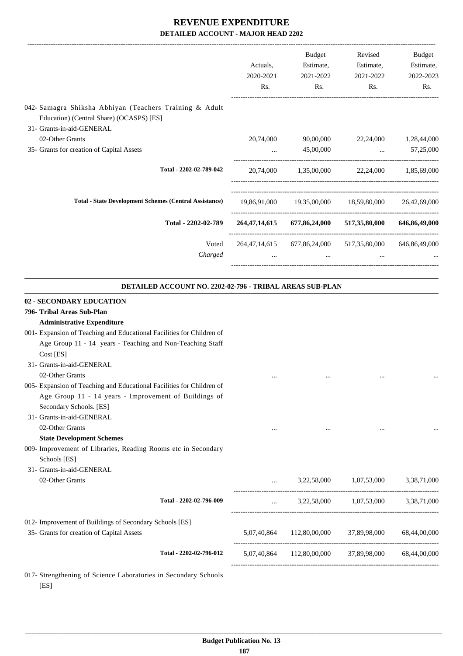|                                                                       |                              | Budget    | Revised                                                 | <b>Budget</b>                                |
|-----------------------------------------------------------------------|------------------------------|-----------|---------------------------------------------------------|----------------------------------------------|
|                                                                       | Actuals,<br>2020-2021<br>Rs. | Estimate, | Estimate,                                               | Estimate,<br>2022-2023                       |
|                                                                       |                              | 2021-2022 | 2021-2022                                               |                                              |
|                                                                       |                              | Rs.       | Rs.                                                     | Rs.                                          |
| 042- Samagra Shiksha Abhiyan (Teachers Training & Adult               |                              |           |                                                         |                                              |
| Education) (Central Share) (OCASPS) [ES]                              |                              |           |                                                         |                                              |
| 31- Grants-in-aid-GENERAL                                             |                              |           |                                                         |                                              |
| 02-Other Grants                                                       | 20,74,000                    | 90,00,000 |                                                         | 22,24,000 1,28,44,000                        |
| 35- Grants for creation of Capital Assets                             |                              | 45,00,000 |                                                         | 57,25,000<br><b>Second Contract Contract</b> |
| Total - 2202-02-789-042                                               | 20,74,000                    |           | 1,35,00,000 22,24,000 1,85,69,000                       |                                              |
| <b>Total - State Development Schemes (Central Assistance)</b>         |                              |           | 19,86,91,000  19,35,00,000  18,59,80,000                | 26,42,69,000                                 |
| Total - 2202-02-789                                                   | 264,47,14,615                |           | 677,86,24,000 517,35,80,000                             | 646,86,49,000                                |
| Voted<br>Charged                                                      | $\cdots$                     | $\cdots$  | 264,47,14,615 677,86,24,000 517,35,80,000 646,86,49,000 |                                              |
| DETAILED ACCOUNT NO. 2202-02-796 - TRIBAL AREAS SUB-PLAN              |                              |           |                                                         |                                              |
| <b>02 - SECONDARY EDUCATION</b>                                       |                              |           |                                                         |                                              |
| 796- Tribal Areas Sub-Plan                                            |                              |           |                                                         |                                              |
| <b>Administrative Expenditure</b>                                     |                              |           |                                                         |                                              |
| 001- Expansion of Teaching and Educational Facilities for Children of |                              |           |                                                         |                                              |
| Age Group 11 - 14 years - Teaching and Non-Teaching Staff             |                              |           |                                                         |                                              |
| Cost [ES]                                                             |                              |           |                                                         |                                              |
| 21. $C_{\text{monto}}$ in ald $C_{\text{ENTD}}$ AL                    |                              |           |                                                         |                                              |

| 31- Grants-in-aid-GENERAL |          |      |
|---------------------------|----------|------|
| 02-Other Grants           | $\cdots$ | <br> |

005- Expansion of Teaching and Educational Facilities for Children of Age Group 11 - 14 years - Improvement of Buildings of Secondary Schools. [ES]

31- Grants-in-aid-GENERAL

02-Other Grants ... ... ... ...

#### **State Development Schemes**

- 009- Improvement of Libraries, Reading Rooms etc in Secondary Schools [ES]
- 31- Grants-in-aid-GENERAL

| 02-Other Grants                                                                                      |                         | $\cdots$    | 3.22.58,000   | 1,07,53,000  | 3,38,71,000  |
|------------------------------------------------------------------------------------------------------|-------------------------|-------------|---------------|--------------|--------------|
|                                                                                                      | Total - 2202-02-796-009 | $\cdots$    | 3,22,58,000   | 1.07.53.000  | 3,38,71,000  |
| 012- Improvement of Buildings of Secondary Schools [ES]<br>35- Grants for creation of Capital Assets |                         | 5,07,40,864 | 112,80,00,000 | 37.89.98.000 | 68,44,00,000 |
|                                                                                                      | Total - 2202-02-796-012 | 5.07.40.864 | 112,80,00,000 | 37.89.98.000 | 68,44,00,000 |
|                                                                                                      |                         |             |               |              |              |

017- Strengthening of Science Laboratories in Secondary Schools  $[ES]$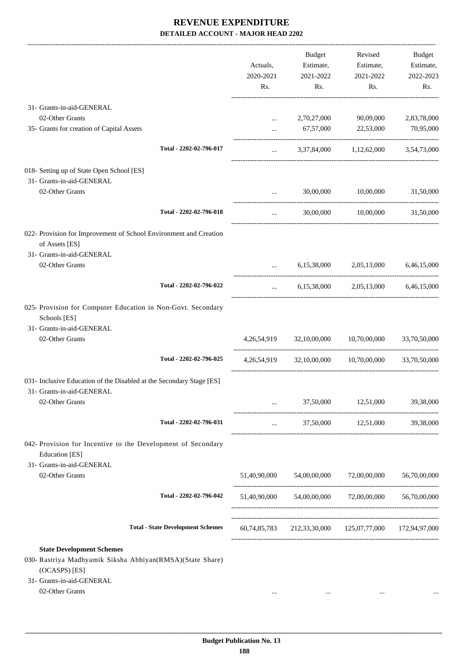|                                                                                                         |                                                | <b>Budget</b>         | Revised                                                | <b>Budget</b> |
|---------------------------------------------------------------------------------------------------------|------------------------------------------------|-----------------------|--------------------------------------------------------|---------------|
|                                                                                                         | Actuals,                                       | Estimate,             | Estimate,                                              | Estimate,     |
|                                                                                                         | 2020-2021                                      | 2021-2022             | 2021-2022                                              | 2022-2023     |
|                                                                                                         | Rs.                                            | Rs.                   | Rs.                                                    | Rs.           |
| 31- Grants-in-aid-GENERAL                                                                               |                                                |                       |                                                        |               |
| 02-Other Grants                                                                                         | $\cdots$                                       | 2,70,27,000           | 90,09,000                                              | 2,83,78,000   |
| 35- Grants for creation of Capital Assets                                                               |                                                | $67,57,000$ 22,53,000 |                                                        | 70,95,000     |
| Total - 2202-02-796-017                                                                                 | $\mathbf{1}$ and $\mathbf{1}$ and $\mathbf{1}$ |                       | 3,37,84,000 1,12,62,000 3,54,73,000                    |               |
| 018- Setting up of State Open School [ES]                                                               |                                                |                       |                                                        |               |
| 31- Grants-in-aid-GENERAL                                                                               |                                                |                       |                                                        |               |
| 02-Other Grants                                                                                         | $\cdots$                                       |                       | 30,00,000 10,00,000                                    | 31,50,000     |
| Total - 2202-02-796-018                                                                                 | $\cdots$                                       |                       | 30,00,000 10,00,000                                    | 31,50,000     |
| 022- Provision for Improvement of School Environment and Creation                                       |                                                |                       |                                                        |               |
| of Assets [ES]<br>31- Grants-in-aid-GENERAL                                                             |                                                |                       |                                                        |               |
| 02-Other Grants                                                                                         | $\mathbf{r}$ and $\mathbf{r}$                  |                       | 6,15,38,000 2,05,13,000                                | 6,46,15,000   |
| Total - 2202-02-796-022                                                                                 | $\cdots$                                       |                       | 6,15,38,000 2,05,13,000 6,46,15,000                    |               |
| 025- Provision for Computer Education in Non-Govt. Secondary<br>Schools [ES]                            |                                                |                       |                                                        |               |
| 31- Grants-in-aid-GENERAL<br>02-Other Grants                                                            |                                                |                       | 4,26,54,919 32,10,00,000 10,70,00,000                  | 33,70,50,000  |
| Total - 2202-02-796-025                                                                                 |                                                |                       | 4,26,54,919 32,10,00,000 10,70,00,000                  | 33,70,50,000  |
| 031- Inclusive Education of the Disabled at the Secondary Stage [ES]<br>31- Grants-in-aid-GENERAL       |                                                |                       |                                                        |               |
| 02-Other Grants                                                                                         | $\cdots$                                       | 37,50,000             | 12,51,000                                              | 39,38,000     |
| Total - 2202-02-796-031                                                                                 | $\cdots$                                       |                       | 37,50,000 12,51,000 39,38,000                          |               |
| 042- Provision for Incentive to the Development of Secondary<br>Education [ES]                          |                                                |                       |                                                        |               |
| 31- Grants-in-aid-GENERAL<br>02-Other Grants                                                            |                                                |                       | 51,40,90,000 54,00,00,000 72,00,00,000                 | 56,70,00,000  |
| Total - 2202-02-796-042                                                                                 |                                                |                       | 51,40,90,000 54,00,00,000 72,00,00,000 56,70,00,000    |               |
|                                                                                                         |                                                |                       |                                                        |               |
| <b>Total - State Development Schemes</b>                                                                |                                                |                       | 60,74,85,783 212,33,30,000 125,07,77,000 172,94,97,000 |               |
| <b>State Development Schemes</b>                                                                        |                                                |                       |                                                        |               |
| 030- Rastriya Madhyamik Siksha Abhiyan(RMSA)(State Share)<br>(OCASPS) [ES]<br>31- Grants-in-aid-GENERAL |                                                |                       |                                                        |               |
| 02-Other Grants                                                                                         | $\cdots$                                       | $\cdots$              | $\cdots$                                               |               |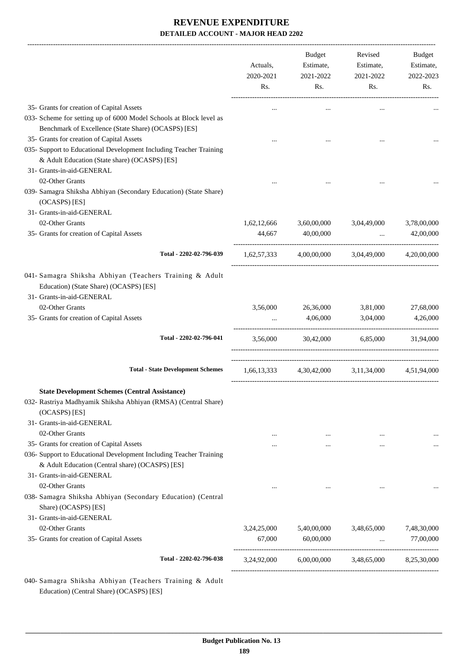|                                                                                                                                                                                                                         | Actuals,<br>2020-2021<br>Rs. | Budget<br>Estimate,<br>2021-2022<br>Rs. | Revised<br>Estimate,<br>2021-2022<br>Rs.                | Budget<br>Estimate,<br>2022-2023<br>Rs. |
|-------------------------------------------------------------------------------------------------------------------------------------------------------------------------------------------------------------------------|------------------------------|-----------------------------------------|---------------------------------------------------------|-----------------------------------------|
| 35- Grants for creation of Capital Assets<br>033- Scheme for setting up of 6000 Model Schools at Block level as                                                                                                         |                              |                                         |                                                         |                                         |
| Benchmark of Excellence (State Share) (OCASPS) [ES]<br>35- Grants for creation of Capital Assets<br>035- Support to Educational Development Including Teacher Training<br>& Adult Education (State share) (OCASPS) [ES] |                              |                                         |                                                         |                                         |
| 31- Grants-in-aid-GENERAL<br>02-Other Grants<br>039- Samagra Shiksha Abhiyan (Secondary Education) (State Share)<br>(OCASPS) [ES]                                                                                       |                              |                                         |                                                         |                                         |
| 31- Grants-in-aid-GENERAL<br>02-Other Grants<br>35- Grants for creation of Capital Assets                                                                                                                               | 1,62,12,666<br>44,667        | 3,60,00,000<br>40,00,000                | 3,04,49,000<br>$\cdots$                                 | 3,78,00,000<br>42,00,000                |
| Total - 2202-02-796-039                                                                                                                                                                                                 |                              |                                         | 1,62,57,333 4,00,00,000 3,04,49,000                     | 4,20,00,000                             |
| 041- Samagra Shiksha Abhiyan (Teachers Training & Adult<br>Education) (State Share) (OCASPS) [ES]<br>31- Grants-in-aid-GENERAL                                                                                          |                              |                                         |                                                         |                                         |
| 02-Other Grants<br>35- Grants for creation of Capital Assets                                                                                                                                                            | 3,56,000                     | 26,36,000<br>4,06,000                   | 3,81,000<br>3,04,000                                    | 27,68,000<br>4,26,000                   |
| Total - 2202-02-796-041                                                                                                                                                                                                 | 3,56,000                     |                                         | 30,42,000 6,85,000                                      | 31,94,000                               |
| <b>Total - State Development Schemes</b>                                                                                                                                                                                |                              |                                         | $1,66,13,333$ $4,30,42,000$ $3,11,34,000$ $4,51,94,000$ |                                         |
| <b>State Development Schemes (Central Assistance)</b><br>032- Rastriya Madhyamik Shiksha Abhiyan (RMSA) (Central Share)<br>(OCASPS) [ES]<br>31- Grants-in-aid-GENERAL                                                   |                              |                                         |                                                         |                                         |
| 02-Other Grants<br>35- Grants for creation of Capital Assets<br>036- Support to Educational Development Including Teacher Training                                                                                      | <br>                         |                                         |                                                         |                                         |
| & Adult Education (Central share) (OCASPS) [ES]<br>31- Grants-in-aid-GENERAL<br>02-Other Grants                                                                                                                         | $\cdots$                     |                                         |                                                         |                                         |
| 038- Samagra Shiksha Abhiyan (Secondary Education) (Central<br>Share) (OCASPS) [ES]<br>31- Grants-in-aid-GENERAL                                                                                                        |                              |                                         |                                                         |                                         |
| 02-Other Grants<br>35- Grants for creation of Capital Assets                                                                                                                                                            | 3,24,25,000<br>67,000        | 5,40,00,000<br>60,00,000                | 3,48,65,000<br>$\cdots$                                 | 7,48,30,000<br>77,00,000                |
| Total - 2202-02-796-038                                                                                                                                                                                                 | 3,24,92,000                  | 6,00,00,000                             | 3,48,65,000                                             | 8,25,30,000                             |

040- Samagra Shiksha Abhiyan (Teachers Training & Adult Education) (Central Share) (OCASPS) [ES]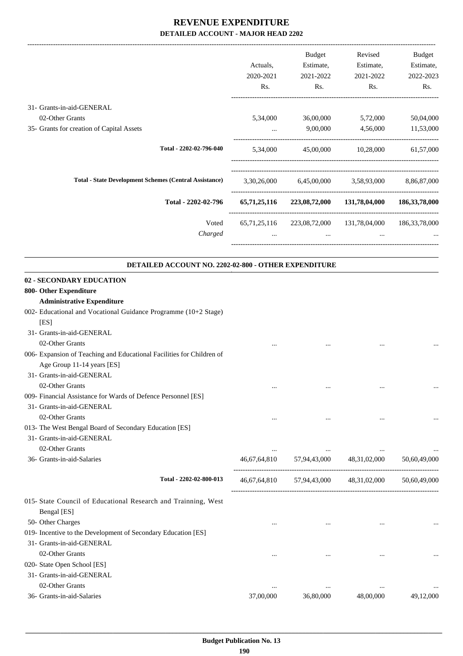-------------------------------------------------------------------------------------------------------------------------------------------------------------------------------

|                                                               | Actuals,<br>2020-2021<br>Rs. | <b>Budget</b><br>Estimate,<br>2021-2022<br>Rs. | Revised<br>Estimate,<br>2021-2022<br>Rs. | Budget<br>Estimate,<br>2022-2023<br>Rs. |
|---------------------------------------------------------------|------------------------------|------------------------------------------------|------------------------------------------|-----------------------------------------|
| 31- Grants-in-aid-GENERAL                                     |                              |                                                |                                          |                                         |
| 02-Other Grants                                               | 5,34,000                     | 36,00,000                                      | 5,72,000                                 | 50,04,000                               |
| 35- Grants for creation of Capital Assets                     | $\cdots$                     | 9,00,000                                       | 4,56,000                                 | 11,53,000                               |
| Total - 2202-02-796-040                                       | 5,34,000                     | 45,00,000                                      | 10,28,000                                | 61,57,000                               |
| <b>Total - State Development Schemes (Central Assistance)</b> |                              |                                                | 3,30,26,000 6,45,00,000 3,58,93,000      | 8,86,87,000                             |
| Total - 2202-02-796                                           | 65,71,25,116                 | 223,08,72,000                                  | 131,78,04,000                            | 186, 33, 78, 000                        |
| Voted                                                         | 65,71,25,116                 | 223,08,72,000                                  | 131,78,04,000                            | 186, 33, 78, 000                        |
| Charged                                                       | $\cdots$                     | $\cdots$                                       | $\cdots$                                 |                                         |
| DETAILED ACCOUNT NO. 2202-02-800 - OTHER EXPENDITURE          |                              |                                                |                                          |                                         |

| 02 - SECONDARY EDUCATION                                              |              |              |              |              |
|-----------------------------------------------------------------------|--------------|--------------|--------------|--------------|
| 800- Other Expenditure                                                |              |              |              |              |
| <b>Administrative Expenditure</b>                                     |              |              |              |              |
| 002- Educational and Vocational Guidance Programme (10+2 Stage)       |              |              |              |              |
| [ES]                                                                  |              |              |              |              |
| 31- Grants-in-aid-GENERAL                                             |              |              |              |              |
| 02-Other Grants                                                       |              |              |              |              |
| 006- Expansion of Teaching and Educational Facilities for Children of |              |              |              |              |
| Age Group 11-14 years [ES]                                            |              |              |              |              |
| 31- Grants-in-aid-GENERAL                                             |              |              |              |              |
| 02-Other Grants                                                       | $\cdots$     |              |              |              |
| 009- Financial Assistance for Wards of Defence Personnel [ES]         |              |              |              |              |
| 31- Grants-in-aid-GENERAL                                             |              |              |              |              |
| 02-Other Grants                                                       | $\ddotsc$    |              |              |              |
| 013- The West Bengal Board of Secondary Education [ES]                |              |              |              |              |
| 31- Grants-in-aid-GENERAL                                             |              |              |              |              |
| 02-Other Grants                                                       | $\cdots$     |              |              |              |
| 36- Grants-in-aid-Salaries                                            | 46,67,64,810 | 57,94,43,000 | 48,31,02,000 | 50,60,49,000 |
| Total - 2202-02-800-013                                               | 46,67,64,810 | 57,94,43,000 | 48,31,02,000 | 50,60,49,000 |
| 015- State Council of Educational Research and Trainning, West        |              |              |              |              |
| Bengal [ES]                                                           |              |              |              |              |
| 50- Other Charges                                                     | $\cdots$     |              |              |              |
| 019- Incentive to the Development of Secondary Education [ES]         |              |              |              |              |
| 31- Grants-in-aid-GENERAL                                             |              |              |              |              |
| 02-Other Grants                                                       |              |              |              |              |
| 020- State Open School [ES]                                           |              |              |              |              |
| 31- Grants-in-aid-GENERAL                                             |              |              |              |              |
| 02-Other Grants                                                       |              |              |              |              |
| 36- Grants-in-aid-Salaries                                            | 37,00,000    | 36,80,000    | 48,00,000    | 49,12,000    |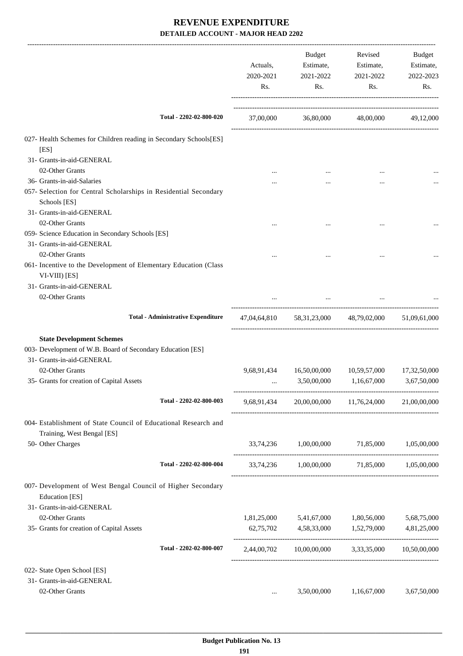|                                                                                   | Actuals,<br>2020-2021<br>Rs. | <b>Budget</b><br>Estimate,<br>2021-2022<br>Rs.      | Revised<br>Estimate,<br>2021-2022<br>Rs. | Budget<br>Estimate,<br>2022-2023<br>Rs. |
|-----------------------------------------------------------------------------------|------------------------------|-----------------------------------------------------|------------------------------------------|-----------------------------------------|
| Total - 2202-02-800-020                                                           |                              | 37,00,000 36,80,000 48,00,000 49,12,000             |                                          |                                         |
| 027- Health Schemes for Children reading in Secondary Schools[ES]                 |                              |                                                     |                                          |                                         |
| [ES]                                                                              |                              |                                                     |                                          |                                         |
| 31- Grants-in-aid-GENERAL                                                         |                              |                                                     |                                          |                                         |
| 02-Other Grants                                                                   |                              | $\cdots$                                            |                                          |                                         |
| 36- Grants-in-aid-Salaries                                                        |                              |                                                     |                                          |                                         |
| 057- Selection for Central Scholarships in Residential Secondary<br>Schools [ES]  |                              |                                                     |                                          |                                         |
| 31- Grants-in-aid-GENERAL                                                         |                              |                                                     |                                          |                                         |
| 02-Other Grants                                                                   |                              |                                                     |                                          |                                         |
| 059- Science Education in Secondary Schools [ES]                                  |                              |                                                     |                                          |                                         |
| 31- Grants-in-aid-GENERAL                                                         |                              |                                                     |                                          |                                         |
| 02-Other Grants                                                                   | $\cdots$                     |                                                     | $\cdots$                                 |                                         |
| 061- Incentive to the Development of Elementary Education (Class<br>VI-VIII) [ES] |                              |                                                     |                                          |                                         |
| 31- Grants-in-aid-GENERAL                                                         |                              |                                                     |                                          |                                         |
| 02-Other Grants                                                                   |                              | the company of the company of the company of        |                                          |                                         |
|                                                                                   |                              |                                                     |                                          |                                         |
| <b>Total - Administrative Expenditure</b>                                         |                              | 47,04,64,810 58,31,23,000 48,79,02,000 51,09,61,000 |                                          |                                         |
| <b>State Development Schemes</b>                                                  |                              |                                                     |                                          |                                         |
| 003- Development of W.B. Board of Secondary Education [ES]                        |                              |                                                     |                                          |                                         |
| 31- Grants-in-aid-GENERAL                                                         |                              |                                                     |                                          |                                         |
| 02-Other Grants                                                                   | 9,68,91,434                  | 16,50,00,000                                        | 10,59,57,000                             | 17,32,50,000                            |
| 35- Grants for creation of Capital Assets                                         | $\cdots$                     | 3,50,00,000                                         | 1,16,67,000                              | 3,67,50,000                             |
|                                                                                   |                              |                                                     |                                          |                                         |
| Total - 2202-02-800-003                                                           |                              | 9,68,91,434 20,00,00,000 11,76,24,000               |                                          | 21,00,00,000                            |
| 004- Establishment of State Council of Educational Research and                   |                              |                                                     |                                          |                                         |
| Training, West Bengal [ES]                                                        |                              |                                                     |                                          |                                         |
| 50- Other Charges                                                                 |                              | 33,74,236 1,00,00,000 71,85,000 1,05,00,000         |                                          |                                         |
| Total - 2202-02-800-004                                                           |                              | 33,74,236 1,00,00,000 71,85,000 1,05,00,000         |                                          |                                         |
| 007- Development of West Bengal Council of Higher Secondary                       |                              |                                                     |                                          |                                         |
| Education [ES]                                                                    |                              |                                                     |                                          |                                         |
| 31- Grants-in-aid-GENERAL                                                         |                              |                                                     |                                          |                                         |
| 02-Other Grants                                                                   |                              | 1,81,25,000 5,41,67,000                             | 1,80,56,000                              | 5,68,75,000                             |
| 35- Grants for creation of Capital Assets                                         |                              | 62,75,702 4,58,33,000 1,52,79,000                   |                                          | 4,81,25,000                             |
| Total - 2202-02-800-007                                                           |                              | 2,44,00,702 10,00,00,000 3,33,35,000 10,50,00,000   |                                          |                                         |
| 022- State Open School [ES]                                                       |                              |                                                     |                                          |                                         |
| 31- Grants-in-aid-GENERAL                                                         |                              |                                                     |                                          |                                         |
| 02-Other Grants                                                                   | $\cdots$                     | 3,50,00,000                                         | 1,16,67,000                              | 3,67,50,000                             |
|                                                                                   |                              |                                                     |                                          |                                         |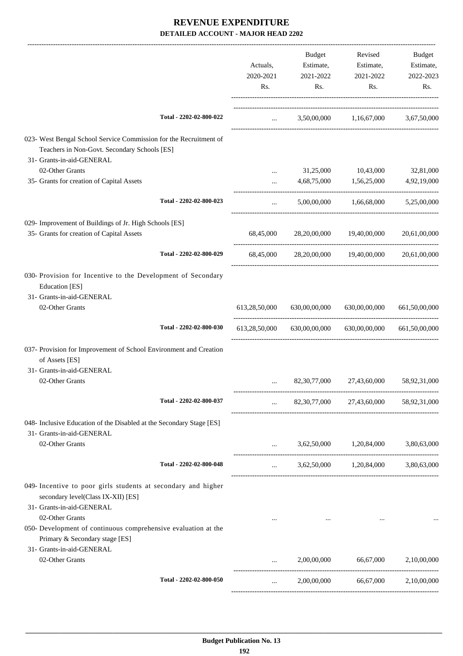|                                                                                                                                                  |                         |                                                | Budget           | Revised                                                 | Budget           |
|--------------------------------------------------------------------------------------------------------------------------------------------------|-------------------------|------------------------------------------------|------------------|---------------------------------------------------------|------------------|
|                                                                                                                                                  |                         | Actuals,                                       | Estimate,        | Estimate,                                               | Estimate,        |
|                                                                                                                                                  |                         |                                                |                  |                                                         |                  |
|                                                                                                                                                  |                         | 2020-2021<br>Rs.                               | 2021-2022<br>Rs. | 2021-2022<br>Rs.                                        | 2022-2023<br>Rs. |
|                                                                                                                                                  |                         |                                                |                  |                                                         |                  |
|                                                                                                                                                  | Total - 2202-02-800-022 | <b>Sales Committee</b>                         |                  | 3,50,00,000 1,16,67,000 3,67,50,000                     |                  |
| 023- West Bengal School Service Commission for the Recruitment of<br>Teachers in Non-Govt. Secondary Schools [ES]<br>31- Grants-in-aid-GENERAL   |                         |                                                |                  |                                                         |                  |
| 02-Other Grants                                                                                                                                  |                         | $\cdots$                                       | 31,25,000        | 10,43,000                                               | 32,81,000        |
| 35- Grants for creation of Capital Assets                                                                                                        |                         | $\cdots$                                       |                  | 4,68,75,000   1,56,25,000                               | 4,92,19,000      |
|                                                                                                                                                  | Total - 2202-02-800-023 | $\cdots$                                       |                  | 5,00,00,000 1,66,68,000 5,25,00,000                     |                  |
| 029- Improvement of Buildings of Jr. High Schools [ES]                                                                                           |                         |                                                |                  |                                                         |                  |
| 35- Grants for creation of Capital Assets                                                                                                        |                         | 68,45,000                                      |                  | 28,20,00,000 19,40,00,000                               | 20,61,00,000     |
|                                                                                                                                                  | Total - 2202-02-800-029 |                                                |                  | 68,45,000 28,20,00,000 19,40,00,000                     | 20,61,00,000     |
| 030- Provision for Incentive to the Development of Secondary<br>Education [ES]<br>31- Grants-in-aid-GENERAL                                      |                         |                                                |                  |                                                         |                  |
| 02-Other Grants                                                                                                                                  |                         | 613,28,50,000                                  | 630,00,00,000    | 630,00,00,000                                           | 661,50,00,000    |
|                                                                                                                                                  | Total - 2202-02-800-030 |                                                |                  | 613,28,50,000 630,00,00,000 630,00,00,000 661,50,00,000 |                  |
| 037- Provision for Improvement of School Environment and Creation<br>of Assets [ES]<br>31- Grants-in-aid-GENERAL                                 |                         |                                                |                  |                                                         |                  |
| 02-Other Grants                                                                                                                                  |                         |                                                | 82, 30, 77, 000  | 27,43,60,000                                            | 58,92,31,000     |
|                                                                                                                                                  | Total - 2202-02-800-037 | $\cdots$                                       |                  | 82, 30, 77, 000 27, 43, 60, 000                         | 58,92,31,000     |
| 048- Inclusive Education of the Disabled at the Secondary Stage [ES]                                                                             |                         |                                                |                  |                                                         |                  |
| 31- Grants-in-aid-GENERAL<br>02-Other Grants                                                                                                     |                         | $\mathbf{1}$ and $\mathbf{1}$ and $\mathbf{1}$ |                  | 3,62,50,000 1,20,84,000                                 | 3,80,63,000      |
|                                                                                                                                                  | Total - 2202-02-800-048 |                                                |                  | $3,62,50,000$ $1,20,84,000$ $3,80,63,000$               |                  |
| 049- Incentive to poor girls students at secondary and higher<br>secondary level(Class IX-XII) [ES]<br>31- Grants-in-aid-GENERAL                 |                         |                                                |                  |                                                         |                  |
| 02-Other Grants<br>050- Development of continuous comprehensive evaluation at the<br>Primary & Secondary stage [ES]<br>31- Grants-in-aid-GENERAL |                         |                                                | $\cdots$         |                                                         |                  |
| 02-Other Grants                                                                                                                                  |                         |                                                | 2,00,00,000      | 66,67,000                                               | 2,10,00,000      |
|                                                                                                                                                  | Total - 2202-02-800-050 | $\cdots$                                       |                  | 2,00,00,000 66,67,000                                   | 2,10,00,000      |
|                                                                                                                                                  |                         |                                                |                  |                                                         |                  |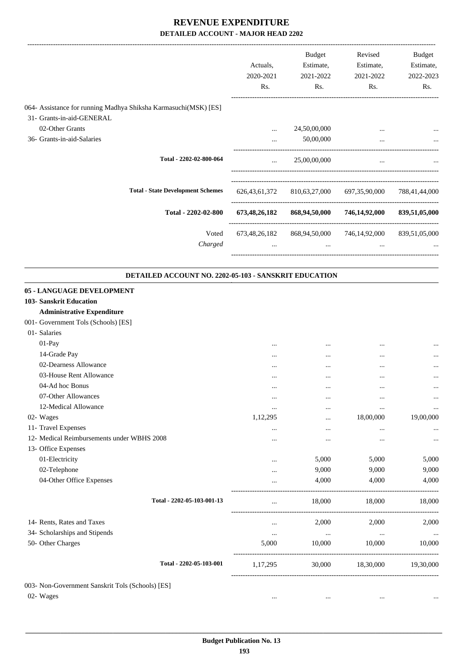|                                                                   |                                                                 |                  | <b>Budget</b>  | Revised                    | Budget         |
|-------------------------------------------------------------------|-----------------------------------------------------------------|------------------|----------------|----------------------------|----------------|
|                                                                   |                                                                 | Actuals,         | Estimate,      | Estimate,                  | Estimate,      |
|                                                                   |                                                                 | 2020-2021        | 2021-2022      | 2021-2022                  | 2022-2023      |
|                                                                   |                                                                 | Rs.              | Rs.            | Rs.                        | Rs.            |
|                                                                   | 064- Assistance for running Madhya Shiksha Karmasuchi(MSK) [ES] |                  |                |                            |                |
| 31- Grants-in-aid-GENERAL                                         |                                                                 |                  |                |                            |                |
| 02-Other Grants                                                   |                                                                 | $\cdots$         | 24,50,00,000   |                            |                |
| 36- Grants-in-aid-Salaries                                        |                                                                 | $\cdots$         | 50,00,000      | $\cdots$                   |                |
|                                                                   | Total - 2202-02-800-064                                         | $\cdots$         | 25,00,00,000   | $\cdots$                   |                |
|                                                                   |                                                                 |                  |                |                            |                |
|                                                                   | <b>Total - State Development Schemes</b>                        | 626, 43, 61, 372 | 810,63,27,000  | 697,35,90,000              | 788,41,44,000  |
|                                                                   | Total - 2202-02-800                                             | 673,48,26,182    | 868,94,50,000  | 746,14,92,000              | 839,51,05,000  |
|                                                                   | Voted                                                           | 673,48,26,182    | 868,94,50,000  | 746,14,92,000              | 839,51,05,000  |
|                                                                   | Charged                                                         | $\cdots$         | $\cdots$       | $\cdots$                   |                |
|                                                                   |                                                                 |                  |                |                            |                |
|                                                                   | DETAILED ACCOUNT NO. 2202-05-103 - SANSKRIT EDUCATION           |                  |                |                            |                |
| 05 - LANGUAGE DEVELOPMENT                                         |                                                                 |                  |                |                            |                |
| 103- Sanskrit Education                                           |                                                                 |                  |                |                            |                |
| <b>Administrative Expenditure</b>                                 |                                                                 |                  |                |                            |                |
| 001- Government Tols (Schools) [ES]                               |                                                                 |                  |                |                            |                |
| 01- Salaries                                                      |                                                                 |                  |                |                            |                |
| 01-Pay<br>14-Grade Pay                                            |                                                                 | $\cdots$         | $\cdots$       |                            |                |
| 02-Dearness Allowance                                             |                                                                 |                  |                |                            |                |
| 03-House Rent Allowance                                           |                                                                 |                  |                |                            |                |
| 04-Ad hoc Bonus                                                   |                                                                 | .                |                |                            |                |
| 07-Other Allowances                                               |                                                                 |                  | $\cdots$       |                            |                |
|                                                                   |                                                                 | $\ddotsc$        | $\cdots$       | $\ddotsc$                  | $\ddotsc$      |
| 12-Medical Allowance<br>02- Wages                                 |                                                                 | $\cdots$         |                | $\ddotsc$                  |                |
|                                                                   |                                                                 | 1,12,295         |                | 18,00,000                  | 19,00,000      |
| 11- Travel Expenses<br>12- Medical Reimbursements under WBHS 2008 |                                                                 | $\cdots$         | $\cdots$       | $\ddotsc$                  |                |
|                                                                   |                                                                 |                  | $\ddotsc$      | $\ddotsc$                  |                |
| 13- Office Expenses<br>01-Electricity                             |                                                                 |                  |                |                            |                |
| 02-Telephone                                                      |                                                                 |                  | 5,000<br>9,000 | 5,000<br>9,000             | 5,000<br>9,000 |
| 04-Other Office Expenses                                          |                                                                 | $\cdots$         | 4,000          | 4,000                      | 4,000          |
|                                                                   |                                                                 |                  |                | ---------------------      |                |
|                                                                   | Total - 2202-05-103-001-13                                      | $\cdots$         | 18,000         | 18,000                     | 18,000         |
| 14- Rents, Rates and Taxes                                        |                                                                 | $\cdots$         | 2,000          | 2,000                      | 2,000          |
| 34- Scholarships and Stipends                                     |                                                                 | $\cdots$         | $\cdots$       | $\cdots$                   |                |
| 50- Other Charges                                                 |                                                                 | 5,000            | 10,000         | 10,000                     | 10,000         |
|                                                                   | Total - 2202-05-103-001                                         | 1,17,295         |                | 30,000 18,30,000 19,30,000 |                |
| 003- Non-Government Sanskrit Tols (Schools) [ES]                  |                                                                 |                  |                |                            |                |
| 02- Wages                                                         |                                                                 |                  |                |                            |                |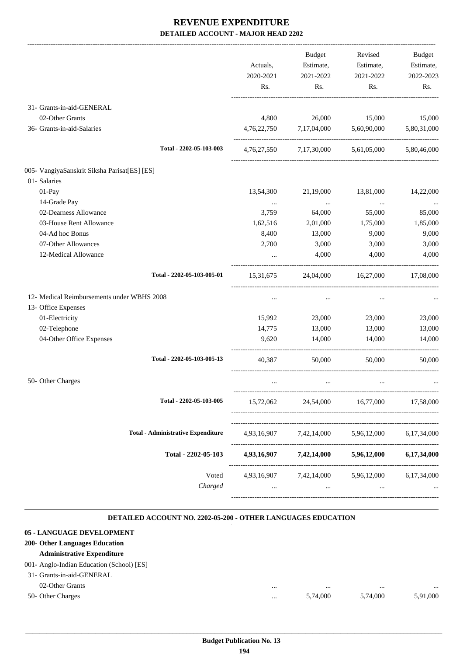|                                              | Actuals,<br>2020-2021<br>Rs. | <b>Budget</b><br>Estimate,<br>2021-2022<br>Rs. | Revised<br>Estimate,<br>2021-2022<br>Rs. | <b>Budget</b><br>Estimate,<br>2022-2023<br>Rs. |
|----------------------------------------------|------------------------------|------------------------------------------------|------------------------------------------|------------------------------------------------|
| 31- Grants-in-aid-GENERAL                    |                              |                                                |                                          |                                                |
| 02-Other Grants                              | 4,800                        | 26,000                                         | 15,000                                   | 15,000                                         |
| 36- Grants-in-aid-Salaries                   |                              | 4,76,22,750 7,17,04,000 5,60,90,000            |                                          | 5,80,31,000                                    |
| Total - 2202-05-103-003                      |                              |                                                | 4,76,27,550 7,17,30,000 5,61,05,000      | 5,80,46,000                                    |
| 005- VangiyaSanskrit Siksha Parisat[ES] [ES] |                              |                                                |                                          |                                                |
| 01- Salaries                                 |                              |                                                |                                          |                                                |
| 01-Pay                                       | 13,54,300                    | 21,19,000                                      | 13,81,000                                | 14,22,000                                      |
| 14-Grade Pay                                 | $\cdots$                     | $\sim$ $\sim$                                  | $\cdots$                                 |                                                |
| 02-Dearness Allowance                        | 3,759                        | 64,000                                         | 55,000                                   | 85,000                                         |
| 03-House Rent Allowance                      | 1,62,516                     | 2,01,000                                       | 1,75,000                                 | 1,85,000                                       |
| 04-Ad hoc Bonus                              | 8,400                        | 13,000                                         | 9,000                                    | 9,000                                          |
| 07-Other Allowances                          | 2,700                        | 3,000                                          | 3,000                                    | 3,000                                          |
| 12-Medical Allowance                         | $\cdots$                     | 4,000                                          | 4,000                                    | 4,000                                          |
| Total - 2202-05-103-005-01                   | 15,31,675                    |                                                | 24,04,000 16,27,000                      | 17,08,000                                      |
| 12- Medical Reimbursements under WBHS 2008   | $\cdots$                     | $\cdots$                                       | $\cdots$                                 |                                                |
| 13- Office Expenses                          |                              |                                                |                                          |                                                |
| 01-Electricity                               | 15,992                       | 23,000                                         | 23,000                                   | 23,000                                         |
| 02-Telephone                                 | 14,775                       | 13,000                                         | 13,000                                   | 13,000                                         |
| 04-Other Office Expenses                     | 9,620                        | 14,000                                         | 14,000                                   | 14,000                                         |
| Total - 2202-05-103-005-13                   | 40,387                       | 50,000                                         | 50,000                                   | 50,000                                         |
| 50- Other Charges                            | $\cdots$                     | $\cdots$                                       | $\cdots$                                 |                                                |
| Total - 2202-05-103-005                      | 15,72,062                    | 24,54,000                                      | 16,77,000                                | 17,58,000                                      |
| <b>Total - Administrative Expenditure</b>    | 4,93,16,907                  | 7,42,14,000                                    | 5,96,12,000                              | 6,17,34,000                                    |
| Total - 2202-05-103                          | 4,93,16,907                  | 7,42,14,000                                    | 5,96,12,000                              | 6,17,34,000                                    |
| Voted                                        | 4,93,16,907                  | 7,42,14,000                                    | 5,96,12,000                              | 6,17,34,000                                    |
| Charged                                      | $\cdots$                     | $\cdots$                                       | $\cdots$                                 |                                                |

#### **DETAILED ACCOUNT NO. 2202-05-200 - OTHER LANGUAGES EDUCATION .**

.

#### **05 - LANGUAGE DEVELOPMENT**

#### **200- Other Languages Education Administrative Expenditure**

# 001- Anglo-Indian Education (School) [ES]

# 31- Grants-in-aid-GENERAL

# 02-Other Grants ... ... ... ...

50- Other Charges ... 5,74,000 5,91,000 5,91,000 5,91,000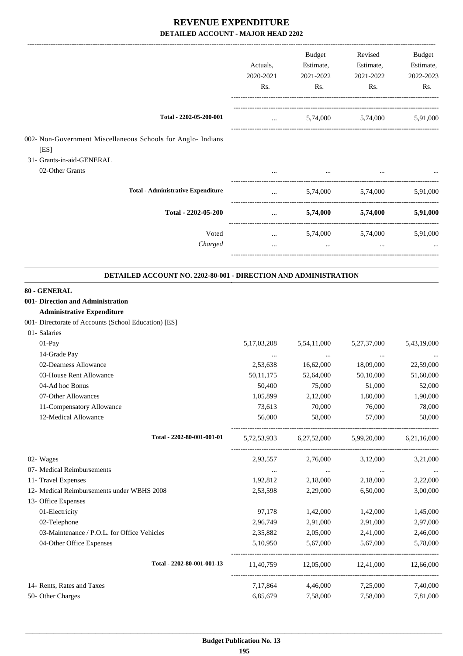|                                                                      | Actuals,<br>2020-2021<br>Rs. | Budget<br>Estimate,<br>2021-2022<br>Rs. | Revised<br>Estimate,<br>2021-2022<br>Rs. | Budget<br>Estimate,<br>2022-2023<br>Rs. |
|----------------------------------------------------------------------|------------------------------|-----------------------------------------|------------------------------------------|-----------------------------------------|
| Total - 2202-05-200-001                                              |                              | and the state of the state              | 5,74,000 5,74,000 5,91,000               |                                         |
| 002- Non-Government Miscellaneous Schools for Anglo- Indians<br>[ES] |                              |                                         |                                          |                                         |
| 31- Grants-in-aid-GENERAL                                            |                              |                                         |                                          |                                         |
| 02-Other Grants                                                      |                              |                                         |                                          |                                         |
| <b>Total - Administrative Expenditure</b>                            | $\cdots$                     |                                         | 5,74,000 5,74,000                        | 5,91,000                                |
| Total - 2202-05-200                                                  | $\cdots$                     | 5,74,000                                | 5,74,000                                 | 5,91,000                                |
| Voted                                                                | $\cdots$                     |                                         | 5,74,000 5,74,000 5,91,000               |                                         |
| Charged                                                              | $\cdots$                     | $\cdots$                                | $\cdots$                                 |                                         |
|                                                                      |                              |                                         |                                          |                                         |
| DETAILED ACCOUNT NO. 2202-80-001 - DIRECTION AND ADMINISTRATION      |                              |                                         |                                          |                                         |
| 80 - GENERAL                                                         |                              |                                         |                                          |                                         |
| 001- Direction and Administration                                    |                              |                                         |                                          |                                         |
| <b>Administrative Expenditure</b>                                    |                              |                                         |                                          |                                         |
| 001- Directorate of Accounts (School Education) [ES]                 |                              |                                         |                                          |                                         |
| 01- Salaries                                                         |                              |                                         |                                          |                                         |
| 01-Pay                                                               | 5,17,03,208                  | 5,54,11,000                             | 5,27,37,000                              | 5,43,19,000                             |
| 14-Grade Pay                                                         | $\cdots$                     | $\cdots$                                | $\ldots$                                 |                                         |
| 02-Dearness Allowance                                                | 2,53,638                     | 16,62,000                               | 18,09,000                                | 22,59,000                               |
| 03-House Rent Allowance<br>04-Ad hoc Bonus                           | 50,11,175                    | 52,64,000                               | 50,10,000                                | 51,60,000                               |
| 07-Other Allowances                                                  | 50,400<br>1,05,899           | 75,000                                  | 51,000                                   | 52,000                                  |
| 11-Compensatory Allowance                                            | 73,613                       | 2,12,000<br>70,000                      | 1,80,000<br>76,000                       | 1,90,000<br>78,000                      |
| 12-Medical Allowance                                                 | 56,000                       | 58,000                                  | 57,000                                   | 58,000                                  |
| Total - 2202-80-001-001-01                                           |                              | 5,72,53,933 6,27,52,000                 | 5,99,20,000                              | 6,21,16,000                             |
| 02- Wages                                                            | 2,93,557                     | 2,76,000                                | 3,12,000                                 | 3,21,000                                |
| 07- Medical Reimbursements                                           | $\sim$ $\sim$                | <b>Contractor</b>                       | <b>Contract Contract</b>                 | $\ddots$                                |
| 11- Travel Expenses                                                  | 1,92,812                     | 2,18,000                                | 2,18,000                                 | 2,22,000                                |
| 12- Medical Reimbursements under WBHS 2008                           | 2,53,598                     | 2,29,000                                | 6,50,000                                 | 3,00,000                                |
| 13- Office Expenses                                                  |                              |                                         |                                          |                                         |
| 01-Electricity                                                       | 97,178                       | 1,42,000                                | 1,42,000                                 | 1,45,000                                |
| 02-Telephone                                                         | 2,96,749                     | 2,91,000                                | 2,91,000                                 | 2,97,000                                |
| 03-Maintenance / P.O.L. for Office Vehicles                          | 2,35,882                     | 2,05,000                                | 2,41,000                                 | 2,46,000                                |
| 04-Other Office Expenses                                             | 5,10,950                     | 5,67,000                                | 5,67,000                                 | 5,78,000                                |
| Total - 2202-80-001-001-13                                           |                              |                                         | 11,40,759 12,05,000 12,41,000 12,66,000  |                                         |
| 14- Rents, Rates and Taxes                                           | 7,17,864                     | 4,46,000                                | 7,25,000                                 | 7,40,000                                |
| 50- Other Charges                                                    | 6,85,679                     | 7,58,000                                | 7,58,000                                 | 7,81,000                                |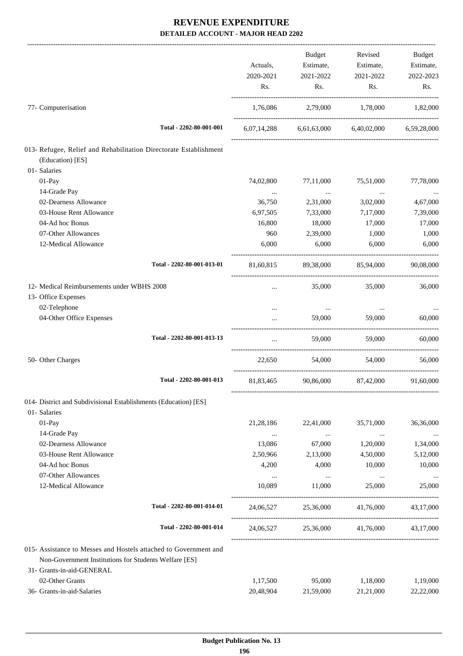|                                                                                       | Actuals,         | <b>Budget</b><br>Estimate,          | Revised<br>Estimate, | Budget<br>Estimate, |
|---------------------------------------------------------------------------------------|------------------|-------------------------------------|----------------------|---------------------|
|                                                                                       |                  |                                     |                      |                     |
|                                                                                       | 2020-2021<br>Rs. | 2021-2022<br>Rs.                    | 2021-2022<br>Rs.     | 2022-2023<br>Rs.    |
| 77- Computerisation                                                                   | 1,76,086         | 2,79,000                            | 1,78,000             | 1,82,000            |
| Total - 2202-80-001-001                                                               |                  | 6,07,14,288 6,61,63,000 6,40,02,000 |                      | 6,59,28,000         |
|                                                                                       |                  |                                     |                      |                     |
| 013- Refugee, Relief and Rehabilitation Directorate Establishment<br>(Education) [ES] |                  |                                     |                      |                     |
| 01- Salaries                                                                          |                  |                                     |                      |                     |
| 01-Pay                                                                                | 74,02,800        | 77,11,000                           | 75,51,000            | 77,78,000           |
| 14-Grade Pay                                                                          | $\cdots$         | $\ldots$                            | $\cdots$             | $\cdots$            |
| 02-Dearness Allowance                                                                 | 36,750           | 2,31,000                            | 3,02,000             | 4,67,000            |
| 03-House Rent Allowance                                                               | 6,97,505         | 7,33,000                            | 7,17,000             | 7,39,000            |
| 04-Ad hoc Bonus                                                                       | 16,800           | 18,000                              | 17,000               | 17,000              |
| 07-Other Allowances                                                                   | 960              | 2,39,000                            | 1,000                | 1,000               |
| 12-Medical Allowance                                                                  | 6,000            | 6,000                               | 6,000                | 6,000               |
|                                                                                       |                  |                                     |                      |                     |
| Total - 2202-80-001-013-01                                                            | 81,60,815        |                                     | 89,38,000 85,94,000  | 90,08,000           |
| 12- Medical Reimbursements under WBHS 2008                                            |                  | 35,000                              | 35,000               | 36,000              |
| 13- Office Expenses                                                                   |                  |                                     |                      |                     |
| 02-Telephone                                                                          | $\cdots$         | $\ldots$                            | $\cdots$             |                     |
| 04-Other Office Expenses                                                              |                  | 59,000                              | 59,000               | 60,000              |
| Total - 2202-80-001-013-13                                                            | $\cdots$         | 59,000                              | 59,000               | 60,000              |
| 50- Other Charges                                                                     | 22,650           | 54,000                              | 54,000               | 56,000              |
| Total - 2202-80-001-013                                                               | 81,83,465        | 90,86,000                           | 87,42,000            | 91,60,000           |
| 014- District and Subdivisional Establishments (Education) [ES]                       |                  |                                     |                      |                     |
| 01- Salaries                                                                          |                  |                                     |                      |                     |
| 01-Pay                                                                                | 21,28,186        | 22,41,000                           | 35,71,000            | 36,36,000           |
| 14-Grade Pay                                                                          | $\cdots$         | $\ldots$                            | $\ldots$             |                     |
| 02-Dearness Allowance                                                                 | 13,086           | 67,000                              | 1,20,000             | 1,34,000            |
| 03-House Rent Allowance                                                               | 2,50,966         | 2,13,000                            | 4,50,000             | 5,12,000            |
| 04-Ad hoc Bonus                                                                       | 4,200            | 4,000                               | 10,000               | 10,000              |
| 07-Other Allowances                                                                   | $\cdots$         | $\cdots$                            | $\ldots$             |                     |
| 12-Medical Allowance                                                                  | 10,089           | 11,000                              | 25,000               | 25,000              |
| Total - 2202-80-001-014-01                                                            | 24,06,527        | 25,36,000                           | 41,76,000            | 43,17,000           |
| Total - 2202-80-001-014                                                               | 24,06,527        | 25,36,000                           | 41,76,000            | 43,17,000           |
| 015- Assistance to Messes and Hostels attached to Government and                      |                  |                                     |                      |                     |
| Non-Government Institutions for Students Welfare [ES]                                 |                  |                                     |                      |                     |
| 31- Grants-in-aid-GENERAL                                                             |                  |                                     |                      |                     |
| 02-Other Grants                                                                       |                  | 95,000                              | 1,18,000             | 1,19,000            |
| 36- Grants-in-aid-Salaries                                                            | 1,17,500         |                                     |                      |                     |
|                                                                                       | 20,48,904        | 21,59,000                           | 21,21,000            | 22,22,000           |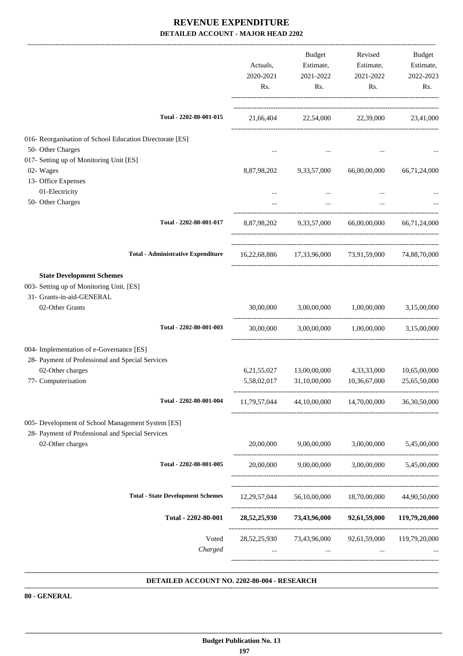| Actuals,<br>Rs. | Budget<br>2021-2022<br>Rs.                                                                                                                                                                                                                                              | Revised<br>Estimate,<br>Rs.                                                                                                                                                          | Budget<br>Estimate,<br>2022-2023<br>Rs.                                                                                                                                                                                                                                                                                                                                                                                                                                                                                         |
|-----------------|-------------------------------------------------------------------------------------------------------------------------------------------------------------------------------------------------------------------------------------------------------------------------|--------------------------------------------------------------------------------------------------------------------------------------------------------------------------------------|---------------------------------------------------------------------------------------------------------------------------------------------------------------------------------------------------------------------------------------------------------------------------------------------------------------------------------------------------------------------------------------------------------------------------------------------------------------------------------------------------------------------------------|
|                 |                                                                                                                                                                                                                                                                         |                                                                                                                                                                                      |                                                                                                                                                                                                                                                                                                                                                                                                                                                                                                                                 |
|                 |                                                                                                                                                                                                                                                                         |                                                                                                                                                                                      |                                                                                                                                                                                                                                                                                                                                                                                                                                                                                                                                 |
|                 | 9,33,57,000                                                                                                                                                                                                                                                             |                                                                                                                                                                                      | 66,71,24,000                                                                                                                                                                                                                                                                                                                                                                                                                                                                                                                    |
|                 |                                                                                                                                                                                                                                                                         | $\cdots$                                                                                                                                                                             |                                                                                                                                                                                                                                                                                                                                                                                                                                                                                                                                 |
|                 |                                                                                                                                                                                                                                                                         |                                                                                                                                                                                      |                                                                                                                                                                                                                                                                                                                                                                                                                                                                                                                                 |
|                 |                                                                                                                                                                                                                                                                         |                                                                                                                                                                                      |                                                                                                                                                                                                                                                                                                                                                                                                                                                                                                                                 |
|                 |                                                                                                                                                                                                                                                                         |                                                                                                                                                                                      |                                                                                                                                                                                                                                                                                                                                                                                                                                                                                                                                 |
|                 |                                                                                                                                                                                                                                                                         |                                                                                                                                                                                      | 3,15,00,000                                                                                                                                                                                                                                                                                                                                                                                                                                                                                                                     |
|                 |                                                                                                                                                                                                                                                                         |                                                                                                                                                                                      |                                                                                                                                                                                                                                                                                                                                                                                                                                                                                                                                 |
|                 |                                                                                                                                                                                                                                                                         |                                                                                                                                                                                      |                                                                                                                                                                                                                                                                                                                                                                                                                                                                                                                                 |
|                 | 13,00,00,000                                                                                                                                                                                                                                                            |                                                                                                                                                                                      | 10,65,00,000<br>25,65,50,000                                                                                                                                                                                                                                                                                                                                                                                                                                                                                                    |
|                 |                                                                                                                                                                                                                                                                         |                                                                                                                                                                                      |                                                                                                                                                                                                                                                                                                                                                                                                                                                                                                                                 |
|                 |                                                                                                                                                                                                                                                                         |                                                                                                                                                                                      | 36, 30, 50, 000                                                                                                                                                                                                                                                                                                                                                                                                                                                                                                                 |
|                 |                                                                                                                                                                                                                                                                         |                                                                                                                                                                                      | 5,45,00,000                                                                                                                                                                                                                                                                                                                                                                                                                                                                                                                     |
|                 |                                                                                                                                                                                                                                                                         |                                                                                                                                                                                      | 5,45,00,000                                                                                                                                                                                                                                                                                                                                                                                                                                                                                                                     |
|                 |                                                                                                                                                                                                                                                                         |                                                                                                                                                                                      |                                                                                                                                                                                                                                                                                                                                                                                                                                                                                                                                 |
|                 |                                                                                                                                                                                                                                                                         |                                                                                                                                                                                      | 44,90,50,000                                                                                                                                                                                                                                                                                                                                                                                                                                                                                                                    |
|                 |                                                                                                                                                                                                                                                                         |                                                                                                                                                                                      |                                                                                                                                                                                                                                                                                                                                                                                                                                                                                                                                 |
|                 | $\cdots$                                                                                                                                                                                                                                                                | $\cdots$                                                                                                                                                                             |                                                                                                                                                                                                                                                                                                                                                                                                                                                                                                                                 |
|                 | Total - 2202-80-001-015<br>Total - 2202-80-001-017<br><b>Total - Administrative Expenditure</b><br>Total - 2202-80-001-003<br>Total - 2202-80-001-004<br>Total - 2202-80-001-005<br><b>Total - State Development Schemes</b><br>Total - 2202-80-001<br>Voted<br>Charged | 2020-2021<br>$\cdots$<br>8,87,98,202<br>30,00,000<br>6,21,55,027<br>5,58,02,017<br>31,10,00,000<br>11,79,57,044<br>44,10,00,000<br>20,00,000<br>9,00,00,000<br>20,00,000<br>$\cdots$ | Estimate,<br>2021-2022<br>21,66,404 22,54,000 22,39,000 23,41,000<br>66,00,00,000<br>8,87,98,202 9,33,57,000 66,00,00,000 66,71,24,000<br>16,22,68,886 17,33,96,000 73,91,59,000 74,88,70,000<br>3,00,00,000<br>1,00,00,000<br>30,00,000 3,00,00,000 1,00,00,000 3,15,00,000<br>4,33,33,000<br>10,36,67,000<br>14,70,00,000<br>3,00,00,000<br>9,00,00,000 3,00,00,000<br>12,29,57,044 56,10,00,000 18,70,00,000<br>28,52,25,930 73,43,96,000 92,61,59,000 119,79,20,000<br>28,52,25,930 73,43,96,000 92,61,59,000 119,79,20,000 |

#### **DETAILED ACCOUNT NO. 2202-80-004 - RESEARCH .**

**80 - GENERAL**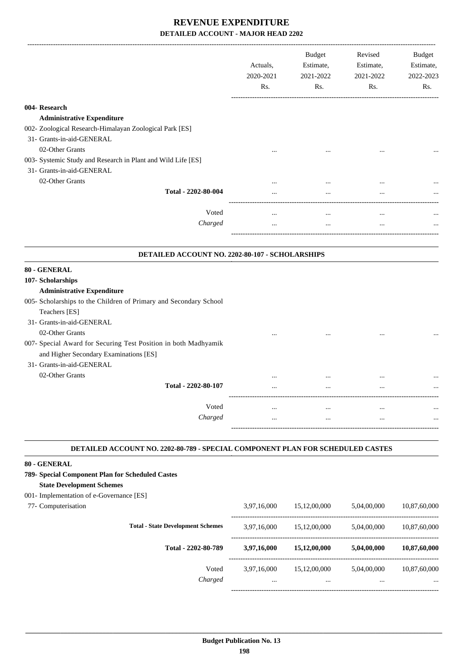|                                                                                                                                                      | Actuals,<br>2020-2021<br>Rs. | <b>Budget</b><br>Estimate,<br>2021-2022<br>Rs. | Revised<br>Estimate,<br>2021-2022<br>Rs. | <b>Budget</b><br>Estimate,<br>2022-2023<br>Rs. |
|------------------------------------------------------------------------------------------------------------------------------------------------------|------------------------------|------------------------------------------------|------------------------------------------|------------------------------------------------|
| 004- Research                                                                                                                                        |                              |                                                |                                          |                                                |
| <b>Administrative Expenditure</b>                                                                                                                    |                              |                                                |                                          |                                                |
| 002- Zoological Research-Himalayan Zoological Park [ES]                                                                                              |                              |                                                |                                          |                                                |
| 31- Grants-in-aid-GENERAL                                                                                                                            |                              |                                                |                                          |                                                |
| 02-Other Grants                                                                                                                                      |                              | $\cdots$                                       |                                          |                                                |
| 003- Systemic Study and Research in Plant and Wild Life [ES]                                                                                         |                              |                                                |                                          |                                                |
| 31- Grants-in-aid-GENERAL                                                                                                                            |                              |                                                |                                          |                                                |
| 02-Other Grants                                                                                                                                      | $\cdots$                     | $\cdots$                                       | $\cdots$                                 |                                                |
| Total - 2202-80-004                                                                                                                                  | $\cdots$                     | $\ddotsc$                                      | $\cdots$                                 |                                                |
| Voted                                                                                                                                                | $\cdots$                     | $\cdots$                                       | $\cdots$                                 |                                                |
| Charged                                                                                                                                              | $\cdots$                     | $\ddotsc$                                      | $\ddotsc$                                |                                                |
|                                                                                                                                                      |                              |                                                |                                          |                                                |
| DETAILED ACCOUNT NO. 2202-80-107 - SCHOLARSHIPS                                                                                                      |                              |                                                |                                          |                                                |
| 80 - GENERAL<br>107- Scholarships                                                                                                                    |                              |                                                |                                          |                                                |
| <b>Administrative Expenditure</b><br>005- Scholarships to the Children of Primary and Secondary School<br>Teachers [ES]<br>31- Grants-in-aid-GENERAL |                              |                                                |                                          |                                                |
| 02-Other Grants                                                                                                                                      |                              |                                                |                                          |                                                |
| and Higher Secondary Examinations [ES]                                                                                                               |                              |                                                |                                          |                                                |
| 007- Special Award for Securing Test Position in both Madhyamik<br>31- Grants-in-aid-GENERAL                                                         |                              |                                                |                                          |                                                |
| 02-Other Grants                                                                                                                                      |                              |                                                |                                          |                                                |
| Total - 2202-80-107                                                                                                                                  |                              |                                                |                                          |                                                |
| Voted                                                                                                                                                | $\ddotsc$                    | $\cdots$                                       |                                          |                                                |

#### **DETAILED ACCOUNT NO. 2202-80-789 - SPECIAL COMPONENT PLAN FOR SCHEDULED CASTES .**

#### **80 - GENERAL**

- **789- Special Component Plan for Scheduled Castes**
	- **State Development Schemes**
- 001- Implementation of e-Governance [ES]
- 77- Computerisatio

| 'n |                                          | 3,97,16,000     | 15,12,00,000             | 5,04,00,000     | 10,87,60,000             |
|----|------------------------------------------|-----------------|--------------------------|-----------------|--------------------------|
|    | <b>Total - State Development Schemes</b> | 3,97,16,000     | 15,12,00,000             | 5,04,00,000     | 10,87,60,000             |
|    | Total - 2202-80-789                      | 3,97,16,000     | 15,12,00,000             | 5,04,00,000     | 10,87,60,000             |
|    | Voted<br>Charged                         | 3,97,16,000<br> | 15,12,00,000<br>$\cdots$ | 5,04,00,000<br> | 10,87,60,000<br>$\cdots$ |
|    |                                          |                 |                          |                 |                          |

.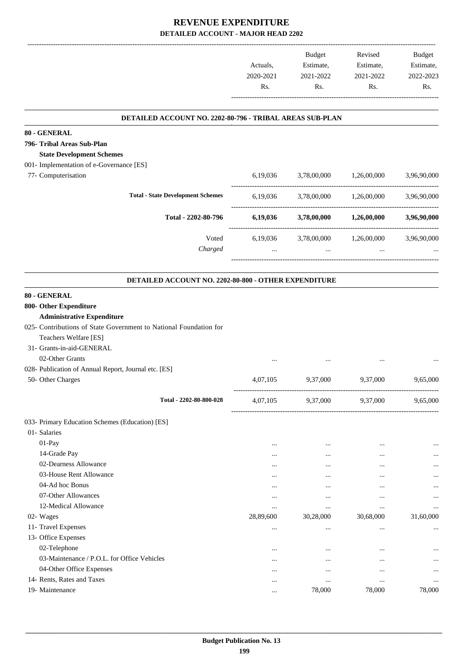|           | Budget    | Revised   | <b>Budget</b> |
|-----------|-----------|-----------|---------------|
| Actuals.  | Estimate, | Estimate, | Estimate,     |
| 2020-2021 | 2021-2022 | 2021-2022 | 2022-2023     |
| Rs.       | Rs.       | Rs.       | Rs.           |
|           |           |           |               |

.

.

#### **DETAILED ACCOUNT NO. 2202-80-796 - TRIBAL AREAS SUB-PLAN .**

**80 - GENERAL**

# **796- Tribal Areas Sub-Plan**

# **State Development Schemes**

#### 001- Implementation of e-Governance [ES]

77- Computerisation

|                                          | 6,19,036             | 3,78,00,000             | 1,26,00,000     | 3,96,90,000             |
|------------------------------------------|----------------------|-------------------------|-----------------|-------------------------|
| <b>Total - State Development Schemes</b> | 6,19,036             | 3,78,00,000             | 1,26,00,000     | 3,96,90,000             |
| Total - 2202-80-796                      | 6,19,036             | 3,78,00,000             | 1,26,00,000     | 3,96,90,000             |
| Voted<br>Charged                         | 6,19,036<br>$\cdots$ | 3,78,00,000<br>$\cdots$ | 1,26,00,000<br> | 3,96,90,000<br>$\cdots$ |
|                                          |                      |                         |                 |                         |

#### **DETAILED ACCOUNT NO. 2202-80-800 - OTHER EXPENDITURE .**

#### **80 - GENERAL**

#### **800- Other Expenditure**

#### **Administrative Expenditure**

025- Contributions of State Government to National Foundation for

- Teachers Welfare [ES]
- 31- Grants-in-aid-GENERAL

| 02-Other Grants                                      | $\cdots$  |           |           |           |
|------------------------------------------------------|-----------|-----------|-----------|-----------|
| 028- Publication of Annual Report, Journal etc. [ES] |           |           |           |           |
| 50- Other Charges                                    | 4,07,105  | 9,37,000  | 9,37,000  | 9,65,000  |
| Total - 2202-80-800-028                              | 4,07,105  | 9,37,000  | 9,37,000  | 9,65,000  |
| 033- Primary Education Schemes (Education) [ES]      |           |           |           |           |
| 01- Salaries                                         |           |           |           |           |
| $01-Pay$                                             | $\cdots$  | $\cdots$  | $\cdots$  | $\cdots$  |
| 14-Grade Pay                                         |           | $\cdots$  | $\cdots$  | $\cdots$  |
| 02-Dearness Allowance                                | $\cdots$  | $\cdots$  | $\cdots$  | $\cdots$  |
| 03-House Rent Allowance                              | $\cdots$  | $\cdots$  |           | $\cdots$  |
| 04-Ad hoc Bonus                                      | $\cdots$  |           | $\cdots$  | $\cdots$  |
| 07-Other Allowances                                  | $\cdots$  | $\cdots$  | $\cdots$  | $\cdots$  |
| 12-Medical Allowance                                 | $\cdots$  | $\cdots$  | $\cdots$  | $\cdots$  |
| 02- Wages                                            | 28,89,600 | 30,28,000 | 30,68,000 | 31,60,000 |
| 11- Travel Expenses                                  | $\cdots$  | $\cdots$  | $\cdots$  | $\cdots$  |
| 13- Office Expenses                                  |           |           |           |           |
| 02-Telephone                                         | $\cdots$  | $\cdots$  |           | $\cdots$  |
| 03-Maintenance / P.O.L. for Office Vehicles          | $\cdots$  | $\cdots$  | $\cdots$  | $\cdots$  |
| 04-Other Office Expenses                             | $\cdots$  | $\cdots$  | $\cdots$  | $\cdots$  |
| 14- Rents, Rates and Taxes                           | $\cdots$  | $\cdots$  | $\cdots$  | $\cdots$  |

19- Maintenance 2000 78,000 78,000 78,000 78,000 78,000 78,000 78,000 78,000 78,000 78,000 78,000 78,000 78,000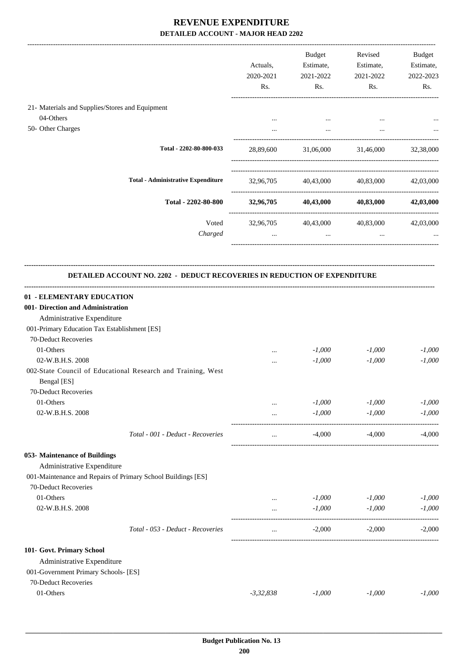|                                                                                                                                                                                         |                                                              | Actuals,<br>2020-2021<br>Rs.            | <b>Budget</b><br>Estimate,<br>2021-2022<br>Rs. | Revised<br>Estimate,<br>2021-2022<br>Rs. | Budget<br>Estimate,<br>2022-2023<br>Rs. |
|-----------------------------------------------------------------------------------------------------------------------------------------------------------------------------------------|--------------------------------------------------------------|-----------------------------------------|------------------------------------------------|------------------------------------------|-----------------------------------------|
| 21- Materials and Supplies/Stores and Equipment                                                                                                                                         |                                                              |                                         |                                                |                                          |                                         |
| 04-Others                                                                                                                                                                               |                                                              |                                         |                                                |                                          |                                         |
| 50- Other Charges                                                                                                                                                                       |                                                              | $\cdots$                                | $\cdots$                                       | $\cdots$                                 |                                         |
|                                                                                                                                                                                         |                                                              |                                         |                                                |                                          |                                         |
|                                                                                                                                                                                         | Total - 2202-80-800-033                                      |                                         | 28,89,600 31,06,000 31,46,000 32,38,000        |                                          |                                         |
|                                                                                                                                                                                         | <b>Total - Administrative Expenditure</b>                    |                                         | 32,96,705 40,43,000 40,83,000 42,03,000        |                                          |                                         |
|                                                                                                                                                                                         | Total - 2202-80-800                                          | 32,96,705 40,43,000 40,83,000 42,03,000 |                                                |                                          |                                         |
|                                                                                                                                                                                         | Voted                                                        | 32,96,705 40,43,000 40,83,000 42,03,000 |                                                |                                          |                                         |
|                                                                                                                                                                                         | Charged                                                      | $\cdots$                                |                                                | and the state of the state<br>$\cdots$   |                                         |
| Administrative Expenditure<br>001-Primary Education Tax Establishment [ES]<br>70-Deduct Recoveries<br>01-Others<br>02-W.B.H.S. 2008<br>Bengal [ES]<br>70-Deduct Recoveries<br>01-Others | 002-State Council of Educational Research and Training, West | $\cdots$<br>$\cdots$<br>$\cdots$        | $-1,000$<br>$-1,000$<br>$-1,000$               | $-1,000$<br>$-1,000$<br>$-1,000$         | $-1,000$<br>$-1,000$<br>$-1,000$        |
| 02-W.B.H.S. 2008                                                                                                                                                                        |                                                              | $\cdots$                                | $-1,000$                                       | $-1,000$                                 | $-1,000$                                |
|                                                                                                                                                                                         | Total - 001 - Deduct - Recoveries                            | $\cdots$                                | -4,000                                         | -4,000                                   | $-4,000$                                |
| 053- Maintenance of Buildings<br>Administrative Expenditure<br>70-Deduct Recoveries<br>01-Others<br>02-W.B.H.S. 2008                                                                    | 001-Maintenance and Repairs of Primary School Buildings [ES] | $\cdots$                                | $-1,000$<br>$-1,000$                           | $-1,000$<br>$-1,000$                     | $-1,000$<br>$-1,000$                    |
|                                                                                                                                                                                         | Total - 053 - Deduct - Recoveries                            | $\ddotsc$                               | $-2,000$                                       | $-2,000$                                 | $-2,000$                                |
| 101- Govt. Primary School                                                                                                                                                               |                                                              |                                         |                                                |                                          |                                         |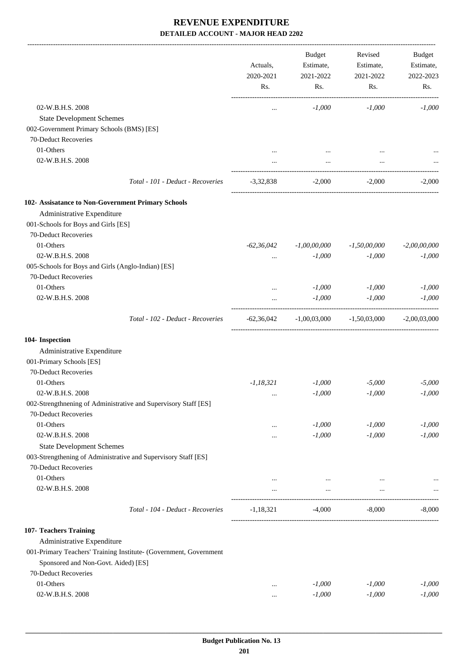-------------------------------------------------------------------------------------------------------------------------------------------------------------------------------

|                                                                                        | Actuals,<br>2020-2021<br>Rs. | <b>Budget</b><br>Estimate,<br>2021-2022<br>Rs. | Revised<br>Estimate,<br>2021-2022<br>Rs. | <b>Budget</b><br>Estimate,<br>2022-2023<br>Rs. |
|----------------------------------------------------------------------------------------|------------------------------|------------------------------------------------|------------------------------------------|------------------------------------------------|
|                                                                                        |                              |                                                |                                          |                                                |
| 02-W.B.H.S. 2008                                                                       | $\cdots$                     | $-1,000$                                       | $-1,000$                                 | $-1,000$                                       |
| <b>State Development Schemes</b>                                                       |                              |                                                |                                          |                                                |
| 002-Government Primary Schools (BMS) [ES]<br>70-Deduct Recoveries                      |                              |                                                |                                          |                                                |
| 01-Others                                                                              |                              |                                                |                                          |                                                |
| 02-W.B.H.S. 2008                                                                       | $\cdots$                     | $\cdots$<br>$\cdots$                           | $\cdots$                                 |                                                |
| Total - 101 - Deduct - Recoveries                                                      | $-3,32,838$                  | $-2,000$                                       | $-2,000$                                 | $-2.000$                                       |
|                                                                                        |                              |                                                |                                          |                                                |
| 102- Assisatance to Non-Government Primary Schools                                     |                              |                                                |                                          |                                                |
| Administrative Expenditure                                                             |                              |                                                |                                          |                                                |
| 001-Schools for Boys and Girls [ES]<br>70-Deduct Recoveries                            |                              |                                                |                                          |                                                |
| 01-Others                                                                              | $-62,36,042$                 | $-1,00,00,000$                                 | $-1,50,00,000$                           | $-2,00,00,000$                                 |
| 02-W.B.H.S. 2008                                                                       | $\cdots$                     | $-1,000$                                       | $-1,000$                                 | $-1,000$                                       |
| 005-Schools for Boys and Girls (Anglo-Indian) [ES]                                     |                              |                                                |                                          |                                                |
| 70-Deduct Recoveries                                                                   |                              |                                                |                                          |                                                |
| 01-Others                                                                              |                              | $-1,000$                                       | $-1,000$                                 | $-1,000$                                       |
| 02-W.B.H.S. 2008                                                                       | $\cdots$                     | $-1,000$                                       | $-1,000$                                 | $-1,000$                                       |
| Total - 102 - Deduct - Recoveries                                                      | $-62,36,042$                 |                                                | $-1,00,03,000$ $-1,50,03,000$            | $-2,00,03,000$                                 |
| 104- Inspection                                                                        |                              |                                                |                                          |                                                |
| Administrative Expenditure                                                             |                              |                                                |                                          |                                                |
| 001-Primary Schools [ES]                                                               |                              |                                                |                                          |                                                |
| 70-Deduct Recoveries                                                                   |                              |                                                |                                          |                                                |
| 01-Others                                                                              | $-1,18,321$                  | $-1,000$                                       | $-5,000$                                 | $-5,000$                                       |
| 02-W.B.H.S. 2008                                                                       | $\cdots$                     | $-1,000$                                       | $-1,000$                                 | $-1,000$                                       |
| 002-Strengthnening of Administrative and Supervisory Staff [ES]                        |                              |                                                |                                          |                                                |
| 70-Deduct Recoveries                                                                   |                              |                                                |                                          |                                                |
| 01-Others                                                                              | $\cdots$                     | $-1,000$                                       | $-1,000$                                 | $-1,000$                                       |
| 02-W.B.H.S. 2008                                                                       | $\cdots$                     | $-1,000$                                       | $-1,000$                                 | $-1,000$                                       |
| <b>State Development Schemes</b>                                                       |                              |                                                |                                          |                                                |
| 003-Strengthening of Administrative and Supervisory Staff [ES]<br>70-Deduct Recoveries |                              |                                                |                                          |                                                |
| 01-Others                                                                              |                              |                                                |                                          |                                                |
| 02-W.B.H.S. 2008                                                                       | $\cdots$                     | $\ldots$                                       | $\cdots$                                 |                                                |
|                                                                                        | $\cdots$                     |                                                | $\ldots$                                 |                                                |
| Total - 104 - Deduct - Recoveries                                                      | $-1,18,321$                  | $-4,000$                                       | $-8,000$                                 | $-8,000$                                       |
| 107- Teachers Training                                                                 |                              |                                                |                                          |                                                |
| Administrative Expenditure                                                             |                              |                                                |                                          |                                                |
| 001-Primary Teachers' Training Institute- (Government, Government                      |                              |                                                |                                          |                                                |
| Sponsored and Non-Govt. Aided) [ES]                                                    |                              |                                                |                                          |                                                |
| 70-Deduct Recoveries                                                                   |                              |                                                |                                          |                                                |
| 01-Others                                                                              | $\cdots$                     | $-1,000$                                       | $-1,000$                                 | $-1,000$                                       |
| 02-W.B.H.S. 2008                                                                       |                              | $-1,000$                                       | $-1,000$                                 | $-1,000$                                       |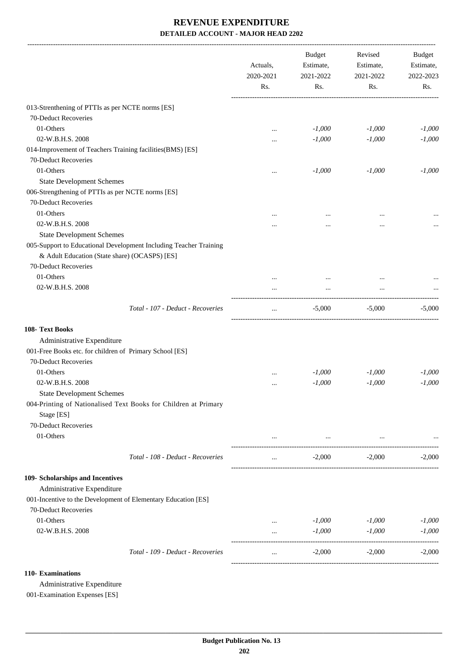|                                                                   | Actuals,<br>2020-2021<br>Rs. | Budget<br>Estimate,<br>2021-2022<br>Rs. | Revised<br>Estimate,<br>2021-2022<br>Rs. | <b>Budget</b><br>Estimate,<br>2022-2023<br>Rs. |
|-------------------------------------------------------------------|------------------------------|-----------------------------------------|------------------------------------------|------------------------------------------------|
| 013-Strenthening of PTTIs as per NCTE norms [ES]                  |                              |                                         |                                          |                                                |
| 70-Deduct Recoveries                                              |                              |                                         |                                          |                                                |
| 01-Others                                                         |                              | $-1,000$                                | $-1,000$                                 | $-1,000$                                       |
| 02-W.B.H.S. 2008                                                  | $\cdots$                     | $-1,000$                                | $-1,000$                                 | $-1,000$                                       |
| 014-Improvement of Teachers Training facilities(BMS) [ES]         |                              |                                         |                                          |                                                |
| 70-Deduct Recoveries                                              |                              |                                         |                                          |                                                |
| 01-Others                                                         |                              | $-1,000$                                | $-1,000$                                 | $-1,000$                                       |
| <b>State Development Schemes</b>                                  |                              |                                         |                                          |                                                |
| 006-Strengthening of PTTIs as per NCTE norms [ES]                 |                              |                                         |                                          |                                                |
| 70-Deduct Recoveries                                              |                              |                                         |                                          |                                                |
| 01-Others                                                         |                              |                                         |                                          |                                                |
| 02-W.B.H.S. 2008                                                  |                              | $\cdots$                                |                                          |                                                |
|                                                                   |                              |                                         |                                          |                                                |
| <b>State Development Schemes</b>                                  |                              |                                         |                                          |                                                |
| 005-Support to Educational Development Including Teacher Training |                              |                                         |                                          |                                                |
| & Adult Education (State share) (OCASPS) [ES]                     |                              |                                         |                                          |                                                |
| 70-Deduct Recoveries                                              |                              |                                         |                                          |                                                |
| 01-Others                                                         |                              |                                         |                                          |                                                |
| 02-W.B.H.S. 2008                                                  |                              | $\cdots$                                |                                          |                                                |
| Total - 107 - Deduct - Recoveries                                 | $\cdots$                     | $-5,000$                                | $-5,000$                                 | $-5,000$                                       |
| 108- Text Books                                                   |                              |                                         |                                          |                                                |
| Administrative Expenditure                                        |                              |                                         |                                          |                                                |
| 001-Free Books etc. for children of Primary School [ES]           |                              |                                         |                                          |                                                |
| 70-Deduct Recoveries                                              |                              |                                         |                                          |                                                |
| 01-Others                                                         | $\cdots$                     | $-1,000$                                | $-1,000$                                 | $-1,000$                                       |
| 02-W.B.H.S. 2008                                                  |                              | $-1,000$                                | $-1,000$                                 | $-1,000$                                       |
| <b>State Development Schemes</b>                                  |                              |                                         |                                          |                                                |
| 004-Printing of Nationalised Text Books for Children at Primary   |                              |                                         |                                          |                                                |
| Stage [ES]                                                        |                              |                                         |                                          |                                                |
| 70-Deduct Recoveries                                              |                              |                                         |                                          |                                                |
| 01-Others                                                         |                              | $\cdots$                                |                                          |                                                |
| Total - 108 - Deduct - Recoveries                                 | $\cdots$                     | $-2,000$                                | $-2,000$                                 | $-2,000$                                       |
|                                                                   |                              |                                         |                                          |                                                |
| 109- Scholarships and Incentives<br>Administrative Expenditure    |                              |                                         |                                          |                                                |
|                                                                   |                              |                                         |                                          |                                                |
| 001-Incentive to the Development of Elementary Education [ES]     |                              |                                         |                                          |                                                |
| 70-Deduct Recoveries                                              |                              |                                         |                                          |                                                |
| 01-Others                                                         |                              | $-1,000$                                | $-1,000$                                 | $-1,000$                                       |
| 02-W.B.H.S. 2008                                                  | $\cdots$                     | $-1,000$                                | $-1,000$                                 | $-1,000$                                       |
| Total - 109 - Deduct - Recoveries                                 | $\cdots$                     | $-2,000$                                | $-2,000$                                 | $-2,000$                                       |
| 110- Examinations                                                 |                              |                                         |                                          |                                                |

Administrative Expenditure

001-Examination Expenses [ES]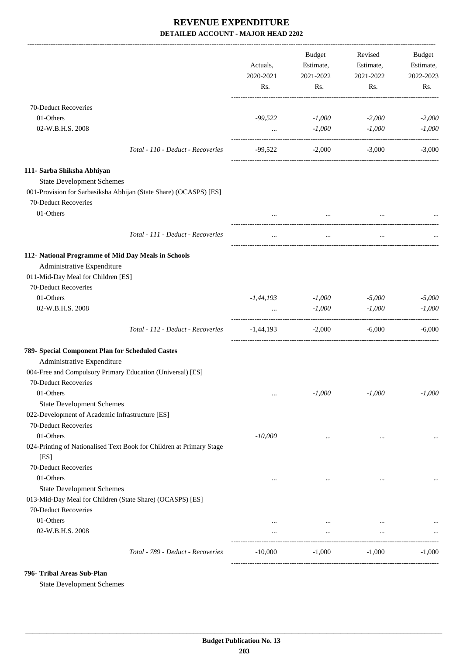|                                                                                                                         | Actuals,<br>2020-2021<br>Rs. | Budget<br>Estimate,<br>2021-2022<br>Rs. | Revised<br>Estimate,<br>2021-2022<br>Rs. | Budget<br>Estimate,<br>2022-2023<br>Rs. |
|-------------------------------------------------------------------------------------------------------------------------|------------------------------|-----------------------------------------|------------------------------------------|-----------------------------------------|
| 70-Deduct Recoveries                                                                                                    |                              |                                         |                                          |                                         |
| 01-Others                                                                                                               | $-99,522$                    | $-1,000$                                | $-2,000$                                 | $-2,000$                                |
| 02-W.B.H.S. 2008                                                                                                        | $\cdots$                     | $-1,000$                                | $-1,000$                                 | $-1,000$                                |
| Total - 110 - Deduct - Recoveries                                                                                       | -99,522                      | $-2,000$                                | $-3,000$                                 | $-3,000$                                |
| 111- Sarba Shiksha Abhiyan                                                                                              |                              |                                         |                                          |                                         |
| <b>State Development Schemes</b>                                                                                        |                              |                                         |                                          |                                         |
| 001-Provision for Sarbasiksha Abhijan (State Share) (OCASPS) [ES]                                                       |                              |                                         |                                          |                                         |
| 70-Deduct Recoveries                                                                                                    |                              |                                         |                                          |                                         |
| 01-Others                                                                                                               |                              | $\cdots$                                |                                          |                                         |
| Total - 111 - Deduct - Recoveries                                                                                       |                              | $\cdots$                                |                                          |                                         |
| 112- National Programme of Mid Day Meals in Schools<br>Administrative Expenditure<br>011-Mid-Day Meal for Children [ES] |                              |                                         |                                          |                                         |
| 70-Deduct Recoveries<br>01-Others                                                                                       | $-1,44,193$                  | $-1,000$                                | $-5,000$                                 | $-5,000$                                |
| 02-W.B.H.S. 2008                                                                                                        |                              | $-1,000$                                | $-1,000$                                 | $-1,000$                                |
| Total - 112 - Deduct - Recoveries                                                                                       | $-1,44,193$                  | $-2,000$                                | $-6,000$                                 | $-6,000$                                |
| 789- Special Component Plan for Scheduled Castes                                                                        |                              |                                         |                                          |                                         |
| Administrative Expenditure                                                                                              |                              |                                         |                                          |                                         |
| 004-Free and Compulsory Primary Education (Universal) [ES]                                                              |                              |                                         |                                          |                                         |
| 70-Deduct Recoveries                                                                                                    |                              |                                         |                                          |                                         |
| 01-Others                                                                                                               | $\cdots$                     | $-1,000$                                | $-1,000$                                 | -1,000                                  |
| <b>State Development Schemes</b><br>022-Development of Academic Infrastructure [ES]                                     |                              |                                         |                                          |                                         |
| 70-Deduct Recoveries                                                                                                    |                              |                                         |                                          |                                         |
| 01-Others                                                                                                               | $-10,000$                    | $\cdots$                                | $\ddotsc$                                |                                         |
| 024-Printing of Nationalised Text Book for Children at Primary Stage<br>[ES]                                            |                              |                                         |                                          |                                         |
| 70-Deduct Recoveries                                                                                                    |                              |                                         |                                          |                                         |
| 01-Others                                                                                                               | $\ddotsc$                    | $\cdots$                                | $\ddotsc$                                |                                         |
| <b>State Development Schemes</b>                                                                                        |                              |                                         |                                          |                                         |
| 013-Mid-Day Meal for Children (State Share) (OCASPS) [ES]                                                               |                              |                                         |                                          |                                         |
| 70-Deduct Recoveries                                                                                                    |                              |                                         |                                          |                                         |
| 01-Others<br>02-W.B.H.S. 2008                                                                                           | $\cdots$<br>$\cdots$         | $\cdots$<br>$\cdots$                    | $\cdots$<br>$\cdots$                     |                                         |
| Total - 789 - Deduct - Recoveries                                                                                       | $-10,000$                    | $-1,000$                                | $-1,000$                                 | $-1,000$                                |
|                                                                                                                         |                              |                                         |                                          |                                         |

#### **796- Tribal Areas Sub-Plan**

State Development Schemes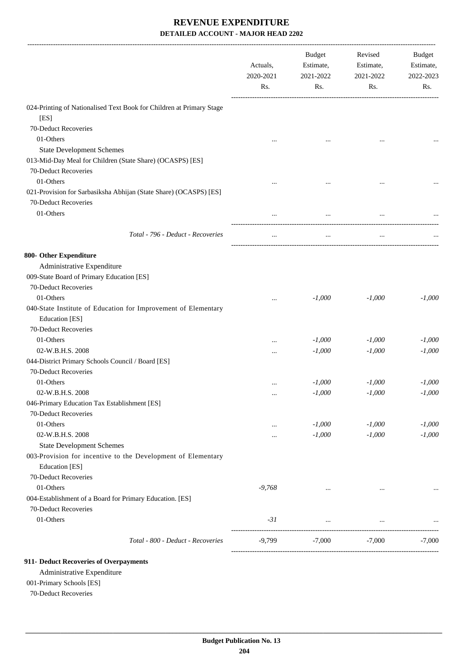|                                                                      | Actuals,<br>2020-2021<br>Rs. | Budget<br>Estimate,<br>2021-2022<br>Rs. | Revised<br>Estimate,<br>2021-2022<br>Rs. | Budget<br>Estimate,<br>2022-2023<br>Rs. |
|----------------------------------------------------------------------|------------------------------|-----------------------------------------|------------------------------------------|-----------------------------------------|
| 024-Printing of Nationalised Text Book for Children at Primary Stage |                              |                                         |                                          |                                         |
| [ES]                                                                 |                              |                                         |                                          |                                         |
| 70-Deduct Recoveries                                                 |                              |                                         |                                          |                                         |
| 01-Others                                                            |                              |                                         |                                          |                                         |
| <b>State Development Schemes</b>                                     |                              |                                         |                                          |                                         |
| 013-Mid-Day Meal for Children (State Share) (OCASPS) [ES]            |                              |                                         |                                          |                                         |
| 70-Deduct Recoveries                                                 |                              |                                         |                                          |                                         |
| 01-Others                                                            |                              |                                         |                                          |                                         |
| 021-Provision for Sarbasiksha Abhijan (State Share) (OCASPS) [ES]    |                              |                                         |                                          |                                         |
| 70-Deduct Recoveries                                                 |                              |                                         |                                          |                                         |
| 01-Others                                                            |                              | $\cdots$                                |                                          |                                         |
| Total - 796 - Deduct - Recoveries                                    | $\ddotsc$                    | $\cdots$                                | $\ddotsc$                                |                                         |
| 800- Other Expenditure                                               |                              |                                         |                                          |                                         |
| Administrative Expenditure                                           |                              |                                         |                                          |                                         |
| 009-State Board of Primary Education [ES]                            |                              |                                         |                                          |                                         |
| 70-Deduct Recoveries                                                 |                              |                                         |                                          |                                         |
| 01-Others                                                            | $\ddotsc$                    | $-1,000$                                | $-1,000$                                 | $-1,000$                                |
| 040-State Institute of Education for Improvement of Elementary       |                              |                                         |                                          |                                         |
| Education [ES]                                                       |                              |                                         |                                          |                                         |
| 70-Deduct Recoveries                                                 |                              |                                         |                                          |                                         |
| 01-Others                                                            |                              | $-1,000$                                | $-1,000$                                 | $-1,000$                                |
| 02-W.B.H.S. 2008                                                     |                              | $-1,000$                                | $-1,000$                                 | $-1,000$                                |
| 044-District Primary Schools Council / Board [ES]                    |                              |                                         |                                          |                                         |
| 70-Deduct Recoveries                                                 |                              |                                         |                                          |                                         |
| 01-Others                                                            | $\ddotsc$                    | $-1,000$                                | $-1,000$                                 | $-1,000$                                |
| 02-W.B.H.S. 2008                                                     | $\cdots$                     | $-1,000$                                | $-1,000$                                 | $-1,000$                                |
| 046-Primary Education Tax Establishment [ES]                         |                              |                                         |                                          |                                         |
| 70-Deduct Recoveries                                                 |                              |                                         |                                          |                                         |
| 01-Others                                                            | $\ddotsc$                    | $-1,000$                                | $-1,000$                                 | $-1,000$                                |
| 02-W.B.H.S. 2008                                                     |                              | $-1,000$                                | $-1,000$                                 | $-1,000$                                |
| <b>State Development Schemes</b>                                     |                              |                                         |                                          |                                         |
| 003-Provision for incentive to the Development of Elementary         |                              |                                         |                                          |                                         |
| Education [ES]                                                       |                              |                                         |                                          |                                         |
| 70-Deduct Recoveries                                                 |                              |                                         |                                          |                                         |
| 01-Others                                                            | $-9,768$                     | $\cdots$                                | $\cdots$                                 |                                         |
| 004-Establishment of a Board for Primary Education. [ES]             |                              |                                         |                                          |                                         |
| 70-Deduct Recoveries                                                 |                              |                                         |                                          |                                         |
| 01-Others                                                            | $-31$                        | $\cdots$                                | $\cdots$                                 |                                         |
| Total - 800 - Deduct - Recoveries                                    | $-9,799$                     | $-7,000$                                | $-7,000$                                 | $-7,000$                                |
|                                                                      |                              |                                         |                                          |                                         |

#### **911- Deduct Recoveries of Overpayments**

Administrative Expenditure

001-Primary Schools [ES]

70-Deduct Recoveries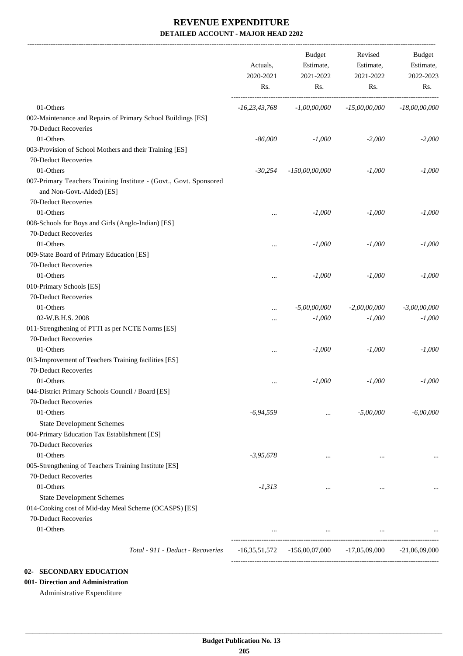| 01-Others<br>$-16,23,43,768$<br>002-Maintenance and Repairs of Primary School Buildings [ES]<br>70-Deduct Recoveries<br>01-Others<br>$-86,000$<br>003-Provision of School Mothers and their Training [ES]<br>70-Deduct Recoveries<br>01-Others<br>$-30,254$<br>007-Primary Teachers Training Institute - (Govt., Govt. Sponsored<br>and Non-Govt.-Aided) [ES] | $-1,00,00,000$<br>$-1,000$<br>$-150,00,00,000$ | $-15,00,00,000$<br>$-2,000$<br>$-1,000$ | $-18,00,00,000$      |
|---------------------------------------------------------------------------------------------------------------------------------------------------------------------------------------------------------------------------------------------------------------------------------------------------------------------------------------------------------------|------------------------------------------------|-----------------------------------------|----------------------|
|                                                                                                                                                                                                                                                                                                                                                               |                                                |                                         |                      |
|                                                                                                                                                                                                                                                                                                                                                               |                                                |                                         | $-2,000$<br>$-1,000$ |
|                                                                                                                                                                                                                                                                                                                                                               |                                                |                                         |                      |
|                                                                                                                                                                                                                                                                                                                                                               |                                                |                                         |                      |
|                                                                                                                                                                                                                                                                                                                                                               |                                                |                                         |                      |
|                                                                                                                                                                                                                                                                                                                                                               |                                                |                                         |                      |
|                                                                                                                                                                                                                                                                                                                                                               |                                                |                                         |                      |
|                                                                                                                                                                                                                                                                                                                                                               |                                                |                                         |                      |
| 70-Deduct Recoveries                                                                                                                                                                                                                                                                                                                                          |                                                |                                         |                      |
| 01-Others<br>                                                                                                                                                                                                                                                                                                                                                 | $-1,000$                                       | $-1,000$                                | $-1,000$             |
| 008-Schools for Boys and Girls (Anglo-Indian) [ES]                                                                                                                                                                                                                                                                                                            |                                                |                                         |                      |
| 70-Deduct Recoveries                                                                                                                                                                                                                                                                                                                                          |                                                |                                         |                      |
| 01-Others<br>                                                                                                                                                                                                                                                                                                                                                 | $-1,000$                                       | $-1,000$                                | $-1,000$             |
| 009-State Board of Primary Education [ES]                                                                                                                                                                                                                                                                                                                     |                                                |                                         |                      |
| 70-Deduct Recoveries                                                                                                                                                                                                                                                                                                                                          |                                                |                                         |                      |
| 01-Others<br>$\cdots$                                                                                                                                                                                                                                                                                                                                         | $-1,000$                                       | $-1,000$                                | $-1,000$             |
| 010-Primary Schools [ES]                                                                                                                                                                                                                                                                                                                                      |                                                |                                         |                      |
| 70-Deduct Recoveries                                                                                                                                                                                                                                                                                                                                          |                                                |                                         |                      |
| 01-Others<br>                                                                                                                                                                                                                                                                                                                                                 | $-5,00,00,000$                                 | $-2,00,00,000$                          | $-3,00,00,000$       |
| 02-W.B.H.S. 2008<br>$\cdots$                                                                                                                                                                                                                                                                                                                                  | $-1,000$                                       | $-1,000$                                | $-1,000$             |
| 011-Strengthening of PTTI as per NCTE Norms [ES]<br>70-Deduct Recoveries                                                                                                                                                                                                                                                                                      |                                                |                                         |                      |
| 01-Others<br>                                                                                                                                                                                                                                                                                                                                                 | $-1,000$                                       | $-1,000$                                | $-1,000$             |
| 013-Improvement of Teachers Training facilities [ES]                                                                                                                                                                                                                                                                                                          |                                                |                                         |                      |
| 70-Deduct Recoveries                                                                                                                                                                                                                                                                                                                                          |                                                |                                         |                      |
| 01-Others<br>                                                                                                                                                                                                                                                                                                                                                 | $-1,000$                                       | $-1,000$                                | $-1,000$             |
| 044-District Primary Schools Council / Board [ES]                                                                                                                                                                                                                                                                                                             |                                                |                                         |                      |
| 70-Deduct Recoveries                                                                                                                                                                                                                                                                                                                                          |                                                |                                         |                      |
| 01-Others<br>$-6,94,559$                                                                                                                                                                                                                                                                                                                                      | $\cdots$                                       | $-5,00,000$                             | $-6,00,000$          |
| <b>State Development Schemes</b>                                                                                                                                                                                                                                                                                                                              |                                                |                                         |                      |
| 004-Primary Education Tax Establishment [ES]                                                                                                                                                                                                                                                                                                                  |                                                |                                         |                      |
| 70-Deduct Recoveries                                                                                                                                                                                                                                                                                                                                          |                                                |                                         |                      |
| 01-Others<br>$-3,95,678$                                                                                                                                                                                                                                                                                                                                      | $\cdots$                                       | $\ddotsc$                               |                      |
| 005-Strengthening of Teachers Training Institute [ES]                                                                                                                                                                                                                                                                                                         |                                                |                                         |                      |
| 70-Deduct Recoveries                                                                                                                                                                                                                                                                                                                                          |                                                |                                         |                      |
| 01-Others<br>$-1,313$                                                                                                                                                                                                                                                                                                                                         | $\cdots$                                       | $\cdots$                                |                      |
| <b>State Development Schemes</b>                                                                                                                                                                                                                                                                                                                              |                                                |                                         |                      |
| 014-Cooking cost of Mid-day Meal Scheme (OCASPS) [ES]                                                                                                                                                                                                                                                                                                         |                                                |                                         |                      |
| 70-Deduct Recoveries                                                                                                                                                                                                                                                                                                                                          |                                                |                                         |                      |
| 01-Others                                                                                                                                                                                                                                                                                                                                                     | $\cdots$                                       | $\cdots$                                |                      |
|                                                                                                                                                                                                                                                                                                                                                               |                                                |                                         |                      |
| Total - 911 - Deduct - Recoveries<br>-16,35,51,572                                                                                                                                                                                                                                                                                                            |                                                | $-156,00,07,000$ $-17,05,09,000$        | $-21,06,09,000$      |

# **02- SECONDARY EDUCATION**

**001- Direction and Administration**

Administrative Expenditure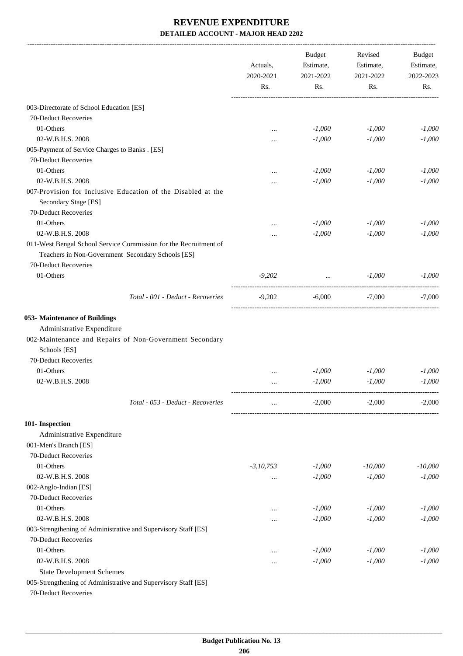|                                                                                                                       | Actuals,<br>2020-2021 | <b>Budget</b><br>Estimate,<br>2021-2022 | Revised<br>Estimate,<br>2021-2022 | <b>Budget</b><br>Estimate,<br>2022-2023 |
|-----------------------------------------------------------------------------------------------------------------------|-----------------------|-----------------------------------------|-----------------------------------|-----------------------------------------|
|                                                                                                                       | Rs.                   | Rs.                                     | Rs.                               | Rs.                                     |
| 003-Directorate of School Education [ES]                                                                              |                       |                                         |                                   |                                         |
| 70-Deduct Recoveries                                                                                                  |                       |                                         |                                   |                                         |
| 01-Others                                                                                                             |                       | $-1,000$                                | $-1,000$                          | $-1,000$                                |
| 02-W.B.H.S. 2008                                                                                                      |                       | $-1,000$                                | $-1,000$                          | $-1,000$                                |
| 005-Payment of Service Charges to Banks . [ES]                                                                        |                       |                                         |                                   |                                         |
| 70-Deduct Recoveries                                                                                                  |                       |                                         |                                   |                                         |
| 01-Others                                                                                                             |                       | $-1,000$                                | $-1,000$                          | $-1,000$                                |
| 02-W.B.H.S. 2008                                                                                                      |                       | $-1,000$                                | $-1,000$                          | $-1,000$                                |
| 007-Provision for Inclusive Education of the Disabled at the<br>Secondary Stage [ES]                                  |                       |                                         |                                   |                                         |
| 70-Deduct Recoveries                                                                                                  |                       |                                         |                                   |                                         |
| 01-Others                                                                                                             |                       | $-1,000$                                | $-1,000$                          | $-1.000$                                |
| 02-W.B.H.S. 2008                                                                                                      |                       | $-1,000$                                | $-1,000$                          | $-1,000$                                |
| 011-West Bengal School Service Commission for the Recruitment of<br>Teachers in Non-Government Secondary Schools [ES] |                       |                                         |                                   |                                         |
| 70-Deduct Recoveries                                                                                                  |                       |                                         |                                   |                                         |
| 01-Others                                                                                                             | $-9,202$              | $\sim$ $\sim$                           | $-1,000$                          | $-1,000$                                |
| Total - 001 - Deduct - Recoveries                                                                                     | $-9,202$              | $-6,000$                                | -7,000                            | $-7.000$                                |
| 053- Maintenance of Buildings                                                                                         |                       |                                         |                                   |                                         |
| Administrative Expenditure                                                                                            |                       |                                         |                                   |                                         |
| 002-Maintenance and Repairs of Non-Government Secondary                                                               |                       |                                         |                                   |                                         |
| Schools [ES]                                                                                                          |                       |                                         |                                   |                                         |
| 70-Deduct Recoveries                                                                                                  |                       |                                         |                                   |                                         |
| 01-Others                                                                                                             |                       | $-1,000$                                | $-1,000$                          | $-1,000$                                |
| 02-W.B.H.S. 2008                                                                                                      |                       | $-1,000$                                | $-1,000$                          | $-1,000$                                |
| Total - 053 - Deduct - Recoveries                                                                                     | $\cdots$              | $-2,000$                                | $-2,000$                          | $-2,000$                                |
| 101- Inspection                                                                                                       |                       |                                         |                                   |                                         |
| Administrative Expenditure                                                                                            |                       |                                         |                                   |                                         |
| 001-Men's Branch [ES]                                                                                                 |                       |                                         |                                   |                                         |
| 70-Deduct Recoveries                                                                                                  |                       |                                         |                                   |                                         |
| 01-Others                                                                                                             | $-3, 10, 753$         | $-1,000$                                | $-10,000$                         | $-10,000$                               |
| 02-W.B.H.S. 2008                                                                                                      |                       | $-1,000$                                | $-1,000$                          | $-1,000$                                |
| 002-Anglo-Indian [ES]                                                                                                 |                       |                                         |                                   |                                         |
| 70-Deduct Recoveries                                                                                                  |                       |                                         |                                   |                                         |
| 01-Others                                                                                                             |                       | $-1,000$                                | $-1,000$                          | $-1,000$                                |
| 02-W.B.H.S. 2008                                                                                                      |                       | $-1,000$                                | $-1,000$                          | $-1,000$                                |
| 003-Strengthening of Administrative and Supervisory Staff [ES]                                                        |                       |                                         |                                   |                                         |
| 70-Deduct Recoveries                                                                                                  |                       |                                         |                                   |                                         |
| 01-Others                                                                                                             |                       | $-1,000$                                | $-1,000$                          | $-1,000$                                |
| 02-W.B.H.S. 2008                                                                                                      |                       | $-1,000$                                | $-1,000$                          | $-1,000$                                |
| <b>State Development Schemes</b>                                                                                      |                       |                                         |                                   |                                         |
| 005-Strengthening of Administrative and Supervisory Staff [ES]                                                        |                       |                                         |                                   |                                         |
| 70-Deduct Recoveries                                                                                                  |                       |                                         |                                   |                                         |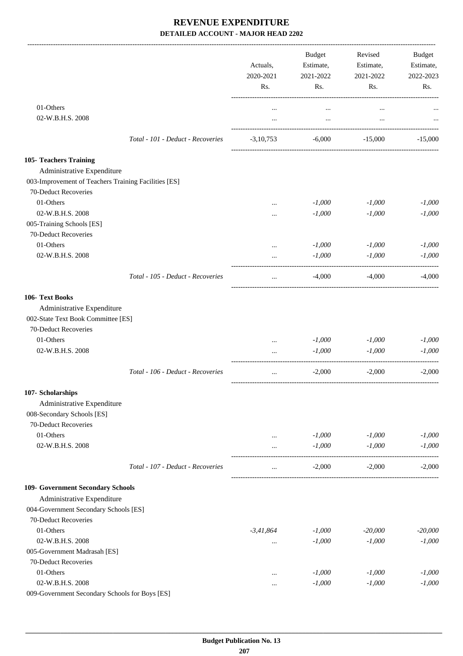|                                                      |                                   | Actuals,<br>2020-2021<br>Rs. |          |                  | <b>Budget</b><br>Estimate, | Revised<br>Estimate, | Budget<br>Estimate, |
|------------------------------------------------------|-----------------------------------|------------------------------|----------|------------------|----------------------------|----------------------|---------------------|
|                                                      |                                   |                              |          | 2021-2022<br>Rs. | 2021-2022<br>Rs.           | 2022-2023<br>Rs.     |                     |
| 01-Others                                            |                                   |                              | $\cdots$ | $\cdots$         |                            |                      |                     |
| 02-W.B.H.S. 2008                                     |                                   | $\cdots$                     | $\cdots$ | $\cdots$         |                            |                      |                     |
|                                                      | Total - 101 - Deduct - Recoveries | $-3,10,753$                  | $-6,000$ | $-15,000$        | $-15,000$                  |                      |                     |
| 105- Teachers Training                               |                                   |                              |          |                  |                            |                      |                     |
| Administrative Expenditure                           |                                   |                              |          |                  |                            |                      |                     |
| 003-Improvement of Teachers Training Facilities [ES] |                                   |                              |          |                  |                            |                      |                     |
| 70-Deduct Recoveries                                 |                                   |                              |          |                  |                            |                      |                     |
| 01-Others                                            |                                   |                              | $-1,000$ | $-1,000$         | $-1,000$                   |                      |                     |
| 02-W.B.H.S. 2008                                     |                                   | $\cdots$                     | $-1,000$ | $-1,000$         | $-1,000$                   |                      |                     |
| 005-Training Schools [ES]                            |                                   |                              |          |                  |                            |                      |                     |
| 70-Deduct Recoveries                                 |                                   |                              |          |                  |                            |                      |                     |
| 01-Others                                            |                                   | $\cdots$                     | $-1,000$ | $-1,000$         | $-1,000$                   |                      |                     |
| 02-W.B.H.S. 2008                                     |                                   | $\cdots$                     | $-1,000$ | $-1,000$         | $-1,000$                   |                      |                     |
|                                                      | Total - 105 - Deduct - Recoveries | $\cdots$                     | $-4,000$ | $-4,000$         | $-4,000$                   |                      |                     |
| 106- Text Books                                      |                                   |                              |          |                  |                            |                      |                     |
| Administrative Expenditure                           |                                   |                              |          |                  |                            |                      |                     |
| 002-State Text Book Committee [ES]                   |                                   |                              |          |                  |                            |                      |                     |
| 70-Deduct Recoveries                                 |                                   |                              |          |                  |                            |                      |                     |
| 01-Others                                            |                                   | $\cdots$                     | $-1,000$ | $-1,000$         | $-1,000$                   |                      |                     |
| 02-W.B.H.S. 2008                                     |                                   | $\cdots$                     | $-1,000$ | $-1,000$         | $-1,000$                   |                      |                     |
|                                                      | Total - 106 - Deduct - Recoveries |                              | $-2,000$ | $-2,000$         | $-2,000$                   |                      |                     |
| 107- Scholarships                                    |                                   |                              |          |                  |                            |                      |                     |
| Administrative Expenditure                           |                                   |                              |          |                  |                            |                      |                     |
| 008-Secondary Schools [ES]                           |                                   |                              |          |                  |                            |                      |                     |
| 70-Deduct Recoveries                                 |                                   |                              |          |                  |                            |                      |                     |
| 01-Others                                            |                                   | $\cdots$                     | $-1,000$ | $-1,000$         | $-1,000$                   |                      |                     |
| 02-W.B.H.S. 2008                                     |                                   | $\cdots$                     | $-1,000$ | $-1,000$         | $-1,000$                   |                      |                     |
|                                                      | Total - 107 - Deduct - Recoveries | $\cdots$                     | $-2,000$ | $-2,000$         | $-2,000$                   |                      |                     |
| 109- Government Secondary Schools                    |                                   |                              |          |                  |                            |                      |                     |
| Administrative Expenditure                           |                                   |                              |          |                  |                            |                      |                     |
| 004-Government Secondary Schools [ES]                |                                   |                              |          |                  |                            |                      |                     |
| 70-Deduct Recoveries                                 |                                   |                              |          |                  |                            |                      |                     |
| 01-Others                                            |                                   | $-3,41,864$                  | $-1,000$ | $-20,000$        | $-20,000$                  |                      |                     |
| 02-W.B.H.S. 2008                                     |                                   | $\cdots$                     | $-1,000$ | $-1,000$         | $-1,000$                   |                      |                     |
| 005-Government Madrasah [ES]                         |                                   |                              |          |                  |                            |                      |                     |
| 70-Deduct Recoveries                                 |                                   |                              |          |                  |                            |                      |                     |
| 01-Others                                            |                                   | $\cdots$                     | $-1,000$ | $-1,000$         | $-1,000$                   |                      |                     |
| 02-W.B.H.S. 2008                                     |                                   | $\cdots$                     | $-1,000$ | $-1,000$         | $-1,000$                   |                      |                     |
| 009-Government Secondary Schools for Boys [ES]       |                                   |                              |          |                  |                            |                      |                     |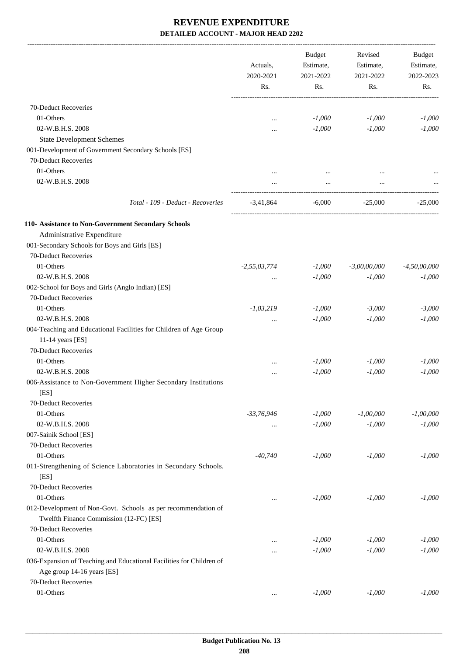|                                                                      | Actuals,<br>2020-2021 | <b>Budget</b><br>Estimate,<br>2021-2022 | Revised<br>Estimate,<br>2021-2022 | Budget<br>Estimate,<br>2022-2023<br>Rs. |
|----------------------------------------------------------------------|-----------------------|-----------------------------------------|-----------------------------------|-----------------------------------------|
|                                                                      | Rs.                   | Rs.                                     | Rs.                               |                                         |
| 70-Deduct Recoveries                                                 |                       |                                         |                                   |                                         |
| 01-Others                                                            |                       | $-1,000$                                | $-1,000$                          | $-1,000$                                |
| 02-W.B.H.S. 2008                                                     | $\cdots$              | $-1,000$                                | $-1,000$                          | $-1,000$                                |
| <b>State Development Schemes</b>                                     | $\ddotsc$             |                                         |                                   |                                         |
| 001-Development of Government Secondary Schools [ES]                 |                       |                                         |                                   |                                         |
| 70-Deduct Recoveries                                                 |                       |                                         |                                   |                                         |
| 01-Others                                                            |                       |                                         |                                   |                                         |
| 02-W.B.H.S. 2008                                                     | $\cdots$              | $\cdots$                                | $\cdots$                          |                                         |
|                                                                      | $\cdots$              | $\cdots$                                | $\cdots$                          |                                         |
| Total - 109 - Deduct - Recoveries                                    | -3,41,864             | $-6,000$                                | -25,000                           | $-25,000$                               |
| 110- Assistance to Non-Government Secondary Schools                  |                       |                                         |                                   |                                         |
| Administrative Expenditure                                           |                       |                                         |                                   |                                         |
| 001-Secondary Schools for Boys and Girls [ES]                        |                       |                                         |                                   |                                         |
| 70-Deduct Recoveries                                                 |                       |                                         |                                   |                                         |
| 01-Others                                                            | $-2,55,03,774$        | $-1,000$                                | $-3,00,00,000$                    | $-4,50,00,000$                          |
| 02-W.B.H.S. 2008                                                     | $\cdots$              | $-1,000$                                | $-1,000$                          | $-1,000$                                |
| 002-School for Boys and Girls (Anglo Indian) [ES]                    |                       |                                         |                                   |                                         |
| 70-Deduct Recoveries                                                 |                       |                                         |                                   |                                         |
| 01-Others                                                            | $-1,03,219$           | $-1,000$                                | $-3,000$                          | $-3,000$                                |
| 02-W.B.H.S. 2008                                                     | $\cdots$              | $-1,000$                                | $-1,000$                          | $-1,000$                                |
| 004-Teaching and Educational Facilities for Children of Age Group    |                       |                                         |                                   |                                         |
| 11-14 years [ES]                                                     |                       |                                         |                                   |                                         |
| 70-Deduct Recoveries                                                 |                       |                                         |                                   |                                         |
| 01-Others                                                            |                       | $-1,000$                                | $-1,000$                          | $-1,000$                                |
| 02-W.B.H.S. 2008                                                     | $\ddotsc$             | $-1,000$                                | $-1,000$                          | $-1,000$                                |
| 006-Assistance to Non-Government Higher Secondary Institutions       |                       |                                         |                                   |                                         |
| [ES]                                                                 |                       |                                         |                                   |                                         |
| 70-Deduct Recoveries                                                 |                       |                                         |                                   |                                         |
| 01-Others                                                            | $-33,76,946$          | $-1,000$                                | $-1,00,000$                       | $-1,00,000$                             |
| 02-W.B.H.S. 2008                                                     | $\cdots$              | $-1,000$                                | $-1,000$                          | $-1,000$                                |
| 007-Sainik School [ES]                                               |                       |                                         |                                   |                                         |
| 70-Deduct Recoveries                                                 |                       |                                         |                                   |                                         |
| 01-Others                                                            | $-40,740$             | $-1,000$                                | $-1,000$                          | $-1,000$                                |
| 011-Strengthening of Science Laboratories in Secondary Schools.      |                       |                                         |                                   |                                         |
| [ES]                                                                 |                       |                                         |                                   |                                         |
| 70-Deduct Recoveries                                                 |                       |                                         |                                   |                                         |
| 01-Others                                                            | $\ddotsc$             | $-1,000$                                | $-1,000$                          | $-1,000$                                |
| 012-Development of Non-Govt. Schools as per recommendation of        |                       |                                         |                                   |                                         |
| Twelfth Finance Commission (12-FC) [ES]                              |                       |                                         |                                   |                                         |
| 70-Deduct Recoveries                                                 |                       |                                         |                                   |                                         |
| 01-Others                                                            |                       | $-1,000$                                | $-1,000$                          | $-1,000$                                |
| 02-W.B.H.S. 2008                                                     | $\ddotsc$             | $-1,000$                                | $-1,000$                          | $-1,000$                                |
| 036-Expansion of Teaching and Educational Facilities for Children of |                       |                                         |                                   |                                         |
| Age group 14-16 years [ES]                                           |                       |                                         |                                   |                                         |
| 70-Deduct Recoveries                                                 |                       |                                         |                                   |                                         |
| 01-Others                                                            | $\cdots$              | $-1,000$                                | $-1,000$                          | $-1,000$                                |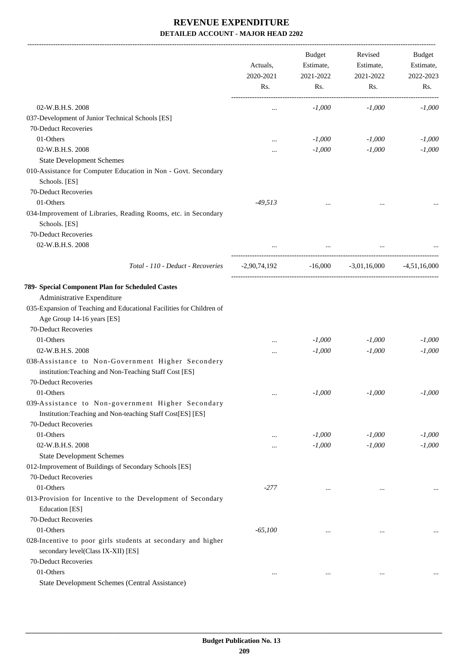-------------------------------------------------------------------------------------------------------------------------------------------------------------------------------

|                                                                                                                                         | Actuals,<br>2020-2021<br>Rs. | <b>Budget</b><br>Estimate,<br>2021-2022 | Revised<br>Estimate,<br>2021-2022<br>Rs. | <b>Budget</b><br>Estimate,<br>2022-2023<br>Rs. |
|-----------------------------------------------------------------------------------------------------------------------------------------|------------------------------|-----------------------------------------|------------------------------------------|------------------------------------------------|
|                                                                                                                                         |                              | Rs.                                     |                                          |                                                |
| 02-W.B.H.S. 2008                                                                                                                        | $\ddotsc$                    | $-1,000$                                | $-1,000$                                 | $-1,000$                                       |
| 037-Development of Junior Technical Schools [ES]                                                                                        |                              |                                         |                                          |                                                |
| 70-Deduct Recoveries                                                                                                                    |                              |                                         |                                          |                                                |
| 01-Others                                                                                                                               | $\ddotsc$                    | $-1,000$                                | $-1,000$                                 | $-1,000$                                       |
| 02-W.B.H.S. 2008                                                                                                                        | .                            | $-1,000$                                | $-1,000$                                 | $-1,000$                                       |
| <b>State Development Schemes</b>                                                                                                        |                              |                                         |                                          |                                                |
| 010-Assistance for Computer Education in Non - Govt. Secondary                                                                          |                              |                                         |                                          |                                                |
| Schools. [ES]                                                                                                                           |                              |                                         |                                          |                                                |
| 70-Deduct Recoveries                                                                                                                    |                              |                                         |                                          |                                                |
| 01-Others                                                                                                                               | $-49,513$                    |                                         | $\cdots$                                 |                                                |
| 034-Improvement of Libraries, Reading Rooms, etc. in Secondary                                                                          |                              |                                         |                                          |                                                |
| Schools. [ES]                                                                                                                           |                              |                                         |                                          |                                                |
| 70-Deduct Recoveries                                                                                                                    |                              |                                         |                                          |                                                |
| 02-W.B.H.S. 2008                                                                                                                        |                              |                                         |                                          |                                                |
| Total - 110 - Deduct - Recoveries                                                                                                       | $-2,90,74,192$               | $-16,000$                               | $-3.01, 16,000$                          | $-4,51,16,000$                                 |
|                                                                                                                                         |                              |                                         |                                          |                                                |
| 789- Special Component Plan for Scheduled Castes                                                                                        |                              |                                         |                                          |                                                |
| Administrative Expenditure                                                                                                              |                              |                                         |                                          |                                                |
| 035-Expansion of Teaching and Educational Facilities for Children of<br>Age Group 14-16 years [ES]                                      |                              |                                         |                                          |                                                |
| 70-Deduct Recoveries                                                                                                                    |                              |                                         |                                          |                                                |
| 01-Others                                                                                                                               |                              | $-1,000$                                | $-1,000$                                 | $-1,000$                                       |
| 02-W.B.H.S. 2008                                                                                                                        |                              | $-1,000$                                | $-1,000$                                 | $-1,000$                                       |
| 038-Assistance to Non-Government Higher Secondery<br>institution: Teaching and Non-Teaching Staff Cost [ES]                             |                              |                                         |                                          |                                                |
| 70-Deduct Recoveries                                                                                                                    |                              |                                         |                                          |                                                |
| 01-Others                                                                                                                               | $\ddotsc$                    | $-1,000$                                | $-1,000$                                 | $-1,000$                                       |
| 039-Assistance to Non-government Higher Secondary<br>Institution: Teaching and Non-teaching Staff Cost[ES] [ES]<br>70-Deduct Recoveries |                              |                                         |                                          |                                                |
| 01-Others                                                                                                                               |                              | $-1,000$                                | $-1,000$                                 | $-1,000$                                       |
| 02-W.B.H.S. 2008                                                                                                                        |                              | $-1,000$                                | $-1,000$                                 | $-1,000$                                       |
| <b>State Development Schemes</b>                                                                                                        |                              |                                         |                                          |                                                |
| 012-Improvement of Buildings of Secondary Schools [ES]                                                                                  |                              |                                         |                                          |                                                |
| 70-Deduct Recoveries                                                                                                                    |                              |                                         |                                          |                                                |
| 01-Others                                                                                                                               | $-277$                       |                                         |                                          |                                                |
| 013-Provision for Incentive to the Development of Secondary                                                                             |                              |                                         |                                          |                                                |
| Education [ES]                                                                                                                          |                              |                                         |                                          |                                                |
| 70-Deduct Recoveries                                                                                                                    |                              |                                         |                                          |                                                |
| 01-Others                                                                                                                               | $-65,100$                    | $\ddotsc$                               | $\cdots$                                 |                                                |
| 028-Incentive to poor girls students at secondary and higher<br>secondary level(Class IX-XII) [ES]                                      |                              |                                         |                                          |                                                |
| 70-Deduct Recoveries                                                                                                                    |                              |                                         |                                          |                                                |
| 01-Others                                                                                                                               | $\cdots$                     | $\cdots$                                | $\cdots$                                 |                                                |
| State Development Schemes (Central Assistance)                                                                                          |                              |                                         |                                          |                                                |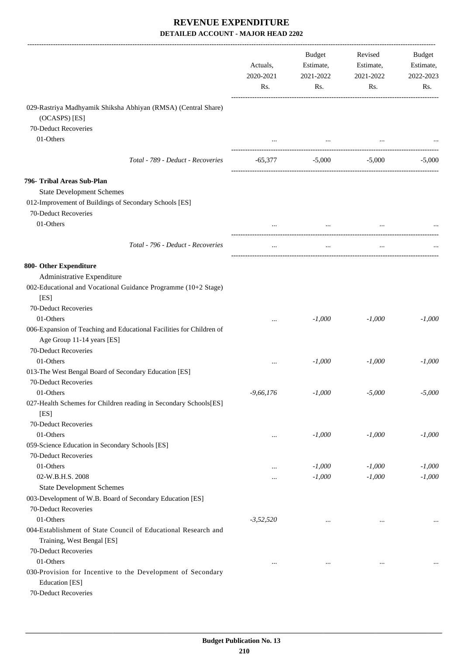|                                                                                              | Actuals,<br>2020-2021<br>Rs. | Budget<br>Estimate,<br>2021-2022<br>Rs. | Revised<br>Estimate,<br>2021-2022<br>Rs. | Budget<br>Estimate,<br>2022-2023<br>Rs. |
|----------------------------------------------------------------------------------------------|------------------------------|-----------------------------------------|------------------------------------------|-----------------------------------------|
| 029-Rastriya Madhyamik Shiksha Abhiyan (RMSA) (Central Share)<br>(OCASPS) [ES]               |                              |                                         |                                          |                                         |
| 70-Deduct Recoveries                                                                         |                              |                                         |                                          |                                         |
| 01-Others                                                                                    |                              | $\ldots$                                |                                          |                                         |
|                                                                                              |                              |                                         |                                          |                                         |
| Total - 789 - Deduct - Recoveries                                                            | -65,377                      | $-5,000$ $-5,000$                       |                                          | $-5,000$                                |
| 796- Tribal Areas Sub-Plan                                                                   |                              |                                         |                                          |                                         |
| <b>State Development Schemes</b>                                                             |                              |                                         |                                          |                                         |
| 012-Improvement of Buildings of Secondary Schools [ES]                                       |                              |                                         |                                          |                                         |
| 70-Deduct Recoveries                                                                         |                              |                                         |                                          |                                         |
| 01-Others                                                                                    |                              | $\cdots$                                |                                          |                                         |
| Total - 796 - Deduct - Recoveries                                                            | $\cdots$                     | $\ddots$                                | $\cdots$                                 |                                         |
| 800- Other Expenditure                                                                       |                              |                                         |                                          |                                         |
| Administrative Expenditure                                                                   |                              |                                         |                                          |                                         |
| 002-Educational and Vocational Guidance Programme (10+2 Stage)                               |                              |                                         |                                          |                                         |
| [ES]                                                                                         |                              |                                         |                                          |                                         |
| 70-Deduct Recoveries                                                                         |                              |                                         |                                          |                                         |
| 01-Others                                                                                    |                              | $-1,000$                                | $-1,000$                                 | $-1,000$                                |
| 006-Expansion of Teaching and Educational Facilities for Children of                         |                              |                                         |                                          |                                         |
| Age Group 11-14 years [ES]                                                                   |                              |                                         |                                          |                                         |
| 70-Deduct Recoveries                                                                         |                              |                                         |                                          |                                         |
| 01-Others                                                                                    | $\cdots$                     | $-1,000$                                | $-1,000$                                 | $-1,000$                                |
| 013-The West Bengal Board of Secondary Education [ES]                                        |                              |                                         |                                          |                                         |
| 70-Deduct Recoveries                                                                         |                              |                                         |                                          |                                         |
| 01-Others                                                                                    | $-9,66,176$                  | $-1,000$                                | $-5,000$                                 | $-5,000$                                |
| 027-Health Schemes for Children reading in Secondary Schools[ES]                             |                              |                                         |                                          |                                         |
| [ES]                                                                                         |                              |                                         |                                          |                                         |
| 70-Deduct Recoveries                                                                         |                              |                                         |                                          |                                         |
| 01-Others                                                                                    | $\cdots$                     | $-1,000$                                | $-1,000$                                 | $-1,000$                                |
| 059-Science Education in Secondary Schools [ES]                                              |                              |                                         |                                          |                                         |
| 70-Deduct Recoveries                                                                         |                              |                                         |                                          |                                         |
| 01-Others                                                                                    | $\cdots$                     | $-1,000$                                | $-1,000$                                 | $-1,000$                                |
| 02-W.B.H.S. 2008                                                                             | $\cdots$                     | $-1,000$                                | $-1,000$                                 | $-1,000$                                |
| <b>State Development Schemes</b>                                                             |                              |                                         |                                          |                                         |
| 003-Development of W.B. Board of Secondary Education [ES]                                    |                              |                                         |                                          |                                         |
| 70-Deduct Recoveries                                                                         |                              |                                         |                                          |                                         |
| 01-Others                                                                                    | $-3,52,520$                  | $\cdots$                                |                                          |                                         |
| 004-Establishment of State Council of Educational Research and<br>Training, West Bengal [ES] |                              |                                         |                                          |                                         |
| 70-Deduct Recoveries                                                                         |                              |                                         |                                          |                                         |
| 01-Others                                                                                    | $\ddotsc$                    |                                         | $\ddotsc$                                |                                         |
| 030-Provision for Incentive to the Development of Secondary<br><b>Education</b> [ES]         |                              |                                         |                                          |                                         |
| 70-Deduct Recoveries                                                                         |                              |                                         |                                          |                                         |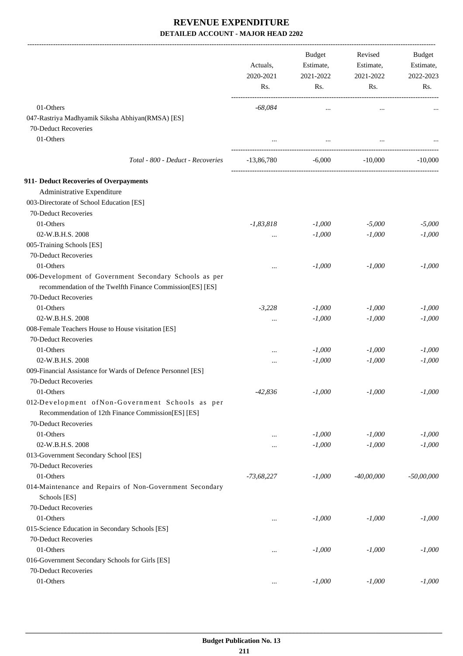-------------------------------------------------------------------------------------------------------------------------------------------------------------------------------

|                                                                                                                                             | Actuals,<br>2020-2021<br>Rs. | <b>Budget</b><br>Estimate,<br>2021-2022<br>Rs. | Revised<br>Estimate,<br>2021-2022<br>Rs. | <b>Budget</b><br>Estimate,<br>2022-2023<br>Rs. |
|---------------------------------------------------------------------------------------------------------------------------------------------|------------------------------|------------------------------------------------|------------------------------------------|------------------------------------------------|
| 01-Others                                                                                                                                   | $-68,084$                    |                                                |                                          |                                                |
| 047-Rastriya Madhyamik Siksha Abhiyan(RMSA) [ES]                                                                                            |                              | $\cdots$                                       | $\ddotsc$                                |                                                |
| 70-Deduct Recoveries                                                                                                                        |                              |                                                |                                          |                                                |
| 01-Others                                                                                                                                   |                              |                                                |                                          |                                                |
|                                                                                                                                             |                              | $\cdots$                                       |                                          |                                                |
| Total - 800 - Deduct - Recoveries                                                                                                           | $-13,86,780$                 | $-6,000$                                       | $-10,000$                                | $-10,000$                                      |
| 911- Deduct Recoveries of Overpayments                                                                                                      |                              |                                                |                                          |                                                |
| Administrative Expenditure                                                                                                                  |                              |                                                |                                          |                                                |
| 003-Directorate of School Education [ES]                                                                                                    |                              |                                                |                                          |                                                |
| 70-Deduct Recoveries                                                                                                                        |                              |                                                |                                          |                                                |
| 01-Others                                                                                                                                   | $-1,83,818$                  | $-1,000$                                       | $-5,000$                                 | $-5,000$                                       |
| 02-W.B.H.S. 2008                                                                                                                            | $\cdots$                     | $-1,000$                                       | $-1,000$                                 | $-1,000$                                       |
| 005-Training Schools [ES]                                                                                                                   |                              |                                                |                                          |                                                |
| 70-Deduct Recoveries                                                                                                                        |                              |                                                |                                          |                                                |
| 01-Others                                                                                                                                   | $\cdots$                     | $-1,000$                                       | $-1,000$                                 | $-1,000$                                       |
| 006-Development of Government Secondary Schools as per<br>recommendation of the Twelfth Finance Commission[ES] [ES]<br>70-Deduct Recoveries |                              |                                                |                                          |                                                |
| 01-Others                                                                                                                                   | $-3,228$                     | $-1,000$                                       | $-1,000$                                 | $-1,000$                                       |
| 02-W.B.H.S. 2008                                                                                                                            | $\cdots$                     | $-1,000$                                       | $-1,000$                                 | $-1,000$                                       |
| 008-Female Teachers House to House visitation [ES]                                                                                          |                              |                                                |                                          |                                                |
| 70-Deduct Recoveries                                                                                                                        |                              |                                                |                                          |                                                |
| 01-Others                                                                                                                                   | $\cdots$                     | $-1,000$                                       | $-1,000$                                 | $-1,000$                                       |
| 02-W.B.H.S. 2008                                                                                                                            | $\cdots$                     | $-1,000$                                       | $-1,000$                                 | $-1,000$                                       |
| 009-Financial Assistance for Wards of Defence Personnel [ES]                                                                                |                              |                                                |                                          |                                                |
| 70-Deduct Recoveries                                                                                                                        |                              |                                                |                                          |                                                |
| 01-Others                                                                                                                                   | $-42,836$                    | $-1,000$                                       | $-1,000$                                 | $-1,000$                                       |
| 012-Development ofNon-Government Schools as per<br>Recommendation of 12th Finance Commission[ES] [ES]<br>70-Deduct Recoveries               |                              |                                                |                                          |                                                |
| 01-Others                                                                                                                                   |                              | $-1,000$                                       | $-1,000$                                 | $-1,000$                                       |
| 02-W.B.H.S. 2008                                                                                                                            |                              | $-1,000$                                       | $-1,000$                                 | $-1,000$                                       |
| 013-Government Secondary School [ES]                                                                                                        |                              |                                                |                                          |                                                |
| 70-Deduct Recoveries                                                                                                                        |                              |                                                |                                          |                                                |
| 01-Others                                                                                                                                   | $-73,68,227$                 | $-1,000$                                       | $-40,00,000$                             | $-50,00,000$                                   |
| 014-Maintenance and Repairs of Non-Government Secondary                                                                                     |                              |                                                |                                          |                                                |
| Schools [ES]                                                                                                                                |                              |                                                |                                          |                                                |
| 70-Deduct Recoveries                                                                                                                        |                              |                                                |                                          |                                                |
| 01-Others                                                                                                                                   |                              | $-1,000$                                       | $-1,000$                                 | $-1,000$                                       |
| 015-Science Education in Secondary Schools [ES]                                                                                             |                              |                                                |                                          |                                                |
| 70-Deduct Recoveries                                                                                                                        |                              |                                                |                                          |                                                |
| 01-Others                                                                                                                                   | $\cdots$                     | $-1,000$                                       | $-1,000$                                 | $-1,000$                                       |
| 016-Government Secondary Schools for Girls [ES]                                                                                             |                              |                                                |                                          |                                                |
| 70-Deduct Recoveries                                                                                                                        |                              |                                                |                                          |                                                |
| 01-Others                                                                                                                                   | $\cdots$                     | $-1,000$                                       | $-1,000$                                 | $-1,000$                                       |
|                                                                                                                                             |                              |                                                |                                          |                                                |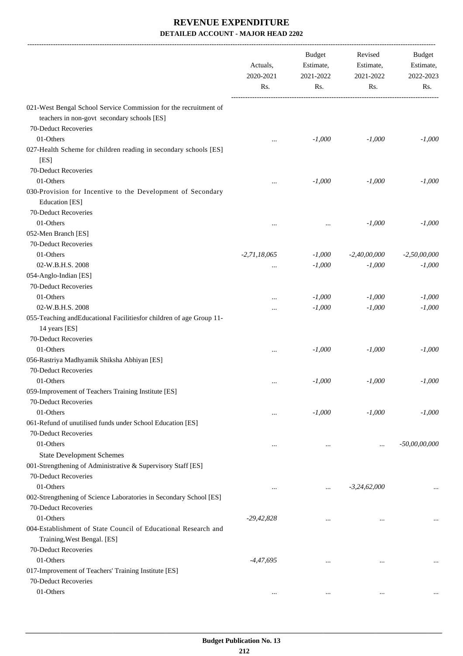|                                                                                                                                         | Actuals,<br>2020-2021<br>Rs. | <b>Budget</b><br>Estimate,<br>2021-2022<br>Rs. | Revised<br>Estimate,<br>2021-2022<br>Rs. | <b>Budget</b><br>Estimate,<br>2022-2023<br>Rs. |
|-----------------------------------------------------------------------------------------------------------------------------------------|------------------------------|------------------------------------------------|------------------------------------------|------------------------------------------------|
| 021-West Bengal School Service Commission for the recruitment of<br>teachers in non-govt secondary schools [ES]<br>70-Deduct Recoveries |                              |                                                |                                          |                                                |
| 01-Others                                                                                                                               |                              | $-1,000$                                       | $-1,000$                                 | $-1,000$                                       |
| 027-Health Scheme for children reading in secondary schools [ES]                                                                        |                              |                                                |                                          |                                                |
| [ES]                                                                                                                                    |                              |                                                |                                          |                                                |
| 70-Deduct Recoveries                                                                                                                    |                              |                                                |                                          |                                                |
| 01-Others                                                                                                                               |                              | $-1,000$                                       | $-1,000$                                 | $-1,000$                                       |
| 030-Provision for Incentive to the Development of Secondary                                                                             |                              |                                                |                                          |                                                |
| <b>Education</b> [ES]                                                                                                                   |                              |                                                |                                          |                                                |
| 70-Deduct Recoveries                                                                                                                    |                              |                                                |                                          |                                                |
| 01-Others                                                                                                                               |                              | $\ddotsc$                                      | $-1,000$                                 | $-1,000$                                       |
| 052-Men Branch [ES]                                                                                                                     |                              |                                                |                                          |                                                |
| 70-Deduct Recoveries                                                                                                                    |                              |                                                |                                          |                                                |
| 01-Others                                                                                                                               | $-2, 71, 18, 065$            | $-1,000$                                       | $-2,40,00,000$                           | $-2,50,00,000$                                 |
| 02-W.B.H.S. 2008                                                                                                                        | $\cdots$                     | $-1,000$                                       | $-1,000$                                 | $-1,000$                                       |
| 054-Anglo-Indian [ES]                                                                                                                   |                              |                                                |                                          |                                                |
| 70-Deduct Recoveries                                                                                                                    |                              |                                                |                                          |                                                |
| 01-Others                                                                                                                               | $\ddotsc$                    | $-1,000$                                       | $-1,000$                                 | $-1,000$                                       |
| 02-W.B.H.S. 2008                                                                                                                        |                              | $-1,000$                                       | $-1,000$                                 | $-1,000$                                       |
| 055-Teaching and Educational Facilities for children of age Group 11-<br>14 years [ES]                                                  |                              |                                                |                                          |                                                |
| 70-Deduct Recoveries                                                                                                                    |                              |                                                |                                          |                                                |
| 01-Others                                                                                                                               | $\ddotsc$                    | $-1,000$                                       | $-1,000$                                 | $-1,000$                                       |
| 056-Rastriya Madhyamik Shiksha Abhiyan [ES]                                                                                             |                              |                                                |                                          |                                                |
| 70-Deduct Recoveries                                                                                                                    |                              |                                                |                                          |                                                |
| 01-Others                                                                                                                               |                              | $-1,000$                                       | $-1,000$                                 | $-1,000$                                       |
| 059-Improvement of Teachers Training Institute [ES]                                                                                     |                              |                                                |                                          |                                                |
| 70-Deduct Recoveries<br>01-Others                                                                                                       |                              |                                                |                                          | $-1,000$                                       |
| 061-Refund of unutilised funds under School Education [ES]                                                                              |                              | $-1,000$                                       | $-1,000$                                 |                                                |
| 70-Deduct Recoveries                                                                                                                    |                              |                                                |                                          |                                                |
| 01-Others                                                                                                                               |                              |                                                |                                          | $-50,00,00,000$                                |
| <b>State Development Schemes</b>                                                                                                        |                              | $\cdots$                                       | $\ldots$                                 |                                                |
| 001-Strengthening of Administrative & Supervisory Staff [ES]                                                                            |                              |                                                |                                          |                                                |
| 70-Deduct Recoveries                                                                                                                    |                              |                                                |                                          |                                                |
| 01-Others                                                                                                                               | $\cdots$                     | $\cdots$                                       | $-3,24,62,000$                           |                                                |
| 002-Strengthening of Science Laboratories in Secondary School [ES]                                                                      |                              |                                                |                                          |                                                |
| 70-Deduct Recoveries                                                                                                                    |                              |                                                |                                          |                                                |
| 01-Others                                                                                                                               | $-29,42,828$                 |                                                |                                          |                                                |
| 004-Establishment of State Council of Educational Research and<br>Training, West Bengal. [ES]                                           |                              |                                                |                                          |                                                |
| 70-Deduct Recoveries                                                                                                                    |                              |                                                |                                          |                                                |
| 01-Others                                                                                                                               | $-4,47,695$                  | $\cdots$                                       | $\ddotsc$                                |                                                |
| 017-Improvement of Teachers' Training Institute [ES]                                                                                    |                              |                                                |                                          |                                                |
| 70-Deduct Recoveries                                                                                                                    |                              |                                                |                                          |                                                |
| 01-Others                                                                                                                               | $\ddotsc$                    | $\cdots$                                       | $\cdots$                                 |                                                |
|                                                                                                                                         |                              |                                                |                                          |                                                |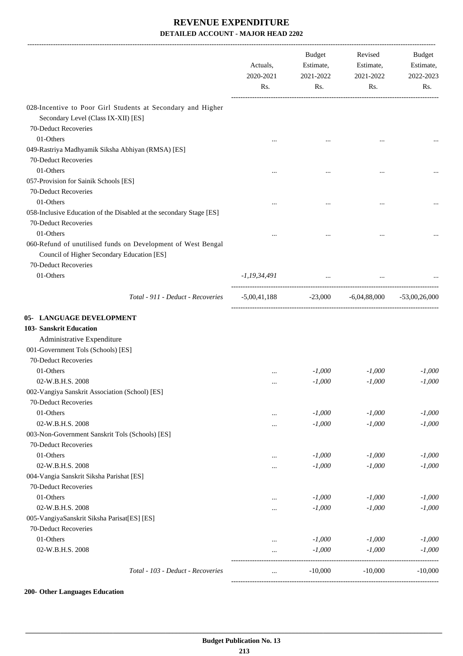|                                                                                                                                                 | Actuals,<br>2020-2021<br>Rs. | <b>Budget</b><br>Estimate,<br>2021-2022<br>Rs. | Revised<br>Estimate,<br>2021-2022<br>Rs. | Budget<br>Estimate,<br>2022-2023<br>Rs. |
|-------------------------------------------------------------------------------------------------------------------------------------------------|------------------------------|------------------------------------------------|------------------------------------------|-----------------------------------------|
| 028-Incentive to Poor Girl Students at Secondary and Higher<br>Secondary Level (Class IX-XII) [ES]                                              |                              |                                                |                                          |                                         |
| 70-Deduct Recoveries                                                                                                                            |                              |                                                |                                          |                                         |
| 01-Others                                                                                                                                       |                              |                                                |                                          |                                         |
| 049-Rastriya Madhyamik Siksha Abhiyan (RMSA) [ES]                                                                                               |                              |                                                |                                          |                                         |
| 70-Deduct Recoveries                                                                                                                            |                              |                                                |                                          |                                         |
| 01-Others                                                                                                                                       |                              |                                                |                                          |                                         |
| 057-Provision for Sainik Schools [ES]                                                                                                           |                              |                                                | $\cdots$                                 |                                         |
|                                                                                                                                                 |                              |                                                |                                          |                                         |
| 70-Deduct Recoveries                                                                                                                            |                              |                                                |                                          |                                         |
| 01-Others                                                                                                                                       |                              |                                                |                                          |                                         |
| 058-Inclusive Education of the Disabled at the secondary Stage [ES]<br>70-Deduct Recoveries                                                     |                              |                                                |                                          |                                         |
| 01-Others<br>060-Refund of unutilised funds on Development of West Bengal                                                                       |                              |                                                |                                          |                                         |
| Council of Higher Secondary Education [ES]<br>70-Deduct Recoveries                                                                              |                              |                                                |                                          |                                         |
| 01-Others                                                                                                                                       | $-1, 19, 34, 491$            | $\sim$ $\sim$                                  |                                          |                                         |
| Total - 911 - Deduct - Recoveries                                                                                                               | $-5,00,41,188$               | $-23,000$ $-6,04,88,000$                       |                                          | $-53,00,26,000$                         |
| 05- LANGUAGE DEVELOPMENT<br>103- Sanskrit Education<br>Administrative Expenditure<br>001-Government Tols (Schools) [ES]<br>70-Deduct Recoveries |                              |                                                |                                          |                                         |
| 01-Others                                                                                                                                       |                              |                                                |                                          |                                         |
| 02-W.B.H.S. 2008                                                                                                                                | .                            | $-1,000$                                       | $-1,000$                                 | $-1,000$                                |
|                                                                                                                                                 | $\cdots$                     | $-1,000$                                       | $-1,000$                                 | $-1,000$                                |
| 002-Vangiya Sanskrit Association (School) [ES]<br>70-Deduct Recoveries                                                                          |                              |                                                |                                          |                                         |
| 01-Others                                                                                                                                       |                              | $-1,000$                                       | $-1,000$                                 | $-1,000$                                |
| 02-W.B.H.S. 2008                                                                                                                                |                              | $-1,000$                                       | $-1,000$                                 | $-1,000$                                |
| 003-Non-Government Sanskrit Tols (Schools) [ES]                                                                                                 |                              |                                                |                                          |                                         |
| 70-Deduct Recoveries                                                                                                                            |                              |                                                |                                          |                                         |
| 01-Others                                                                                                                                       |                              | $-1,000$                                       | $-1,000$                                 | $-1,000$                                |
| 02-W.B.H.S. 2008                                                                                                                                |                              | $-1,000$                                       | $-1,000$                                 | $-1,000$                                |
| 004-Vangia Sanskrit Siksha Parishat [ES]                                                                                                        |                              |                                                |                                          |                                         |
| 70-Deduct Recoveries                                                                                                                            |                              |                                                |                                          |                                         |
| 01-Others                                                                                                                                       |                              | $-1,000$                                       | $-1,000$                                 | $-1,000$                                |
| 02-W.B.H.S. 2008                                                                                                                                |                              | $-1,000$                                       | $-1,000$                                 | $-1,000$                                |
| 005-VangiyaSanskrit Siksha Parisat[ES] [ES]                                                                                                     | .                            |                                                |                                          |                                         |
| 70-Deduct Recoveries                                                                                                                            |                              |                                                |                                          |                                         |
| 01-Others                                                                                                                                       |                              | $-1,000$                                       | $-1,000$                                 | $-1,000$                                |
| 02-W.B.H.S. 2008                                                                                                                                | <br>$\ddotsc$                | $-1,000$                                       | $-1,000$                                 | $-1,000$                                |
| Total - 103 - Deduct - Recoveries                                                                                                               | $\ddotsc$                    | $-10,000$                                      | $-10,000$                                | $-10,000$                               |

#### **200- Other Languages Education**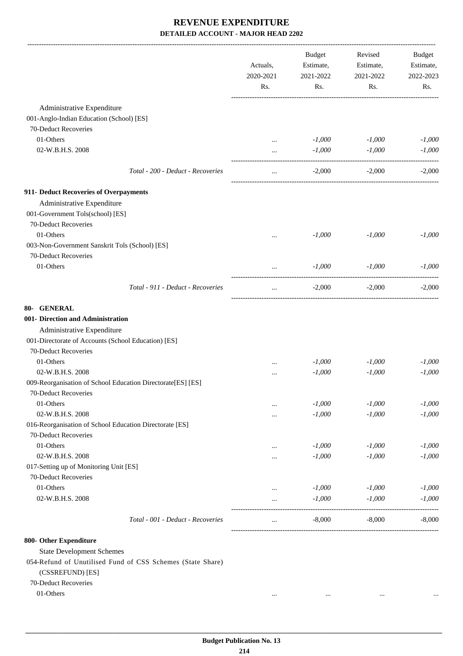|                                                             | Actuals,<br>2020-2021 |          | <b>Budget</b><br>Estimate,<br>2021-2022 | Revised<br>Estimate,<br>2021-2022 | <b>Budget</b><br>Estimate,<br>2022-2023 |
|-------------------------------------------------------------|-----------------------|----------|-----------------------------------------|-----------------------------------|-----------------------------------------|
|                                                             | Rs.                   | Rs.      | Rs.                                     | Rs.                               |                                         |
| Administrative Expenditure                                  |                       |          |                                         |                                   |                                         |
| 001-Anglo-Indian Education (School) [ES]                    |                       |          |                                         |                                   |                                         |
| 70-Deduct Recoveries                                        |                       |          |                                         |                                   |                                         |
| 01-Others                                                   | $\cdots$              | $-1,000$ | $-1,000$                                | $-1,000$                          |                                         |
| 02-W.B.H.S. 2008                                            | $\cdots$              | $-1,000$ | $-1,000$                                | $-1,000$                          |                                         |
| Total - 200 - Deduct - Recoveries                           | $\cdots$              | $-2,000$ | $-2,000$                                | $-2,000$                          |                                         |
| 911- Deduct Recoveries of Overpayments                      |                       |          |                                         |                                   |                                         |
| Administrative Expenditure                                  |                       |          |                                         |                                   |                                         |
| 001-Government Tols(school) [ES]                            |                       |          |                                         |                                   |                                         |
| 70-Deduct Recoveries                                        |                       |          |                                         |                                   |                                         |
| 01-Others                                                   |                       | $-1,000$ | $-1,000$                                | $-1,000$                          |                                         |
| 003-Non-Government Sanskrit Tols (School) [ES]              |                       |          |                                         |                                   |                                         |
| 70-Deduct Recoveries                                        |                       |          |                                         |                                   |                                         |
| 01-Others                                                   | $\cdots$              | $-1,000$ | $-1,000$                                | $-1,000$                          |                                         |
| Total - 911 - Deduct - Recoveries                           | $\cdots$              | $-2,000$ | $-2,000$                                | $-2,000$                          |                                         |
| 80- GENERAL                                                 |                       |          |                                         |                                   |                                         |
| 001- Direction and Administration                           |                       |          |                                         |                                   |                                         |
| Administrative Expenditure                                  |                       |          |                                         |                                   |                                         |
| 001-Directorate of Accounts (School Education) [ES]         |                       |          |                                         |                                   |                                         |
| 70-Deduct Recoveries                                        |                       |          |                                         |                                   |                                         |
| 01-Others                                                   |                       | $-1,000$ | $-1,000$                                | $-1,000$                          |                                         |
| 02-W.B.H.S. 2008                                            |                       | $-1,000$ | $-1,000$                                | $-1,000$                          |                                         |
| 009-Reorganisation of School Education Directorate[ES] [ES] |                       |          |                                         |                                   |                                         |
| 70-Deduct Recoveries                                        |                       |          |                                         |                                   |                                         |
| 01-Others                                                   |                       | $-1,000$ | $-1,000$                                | $-1,000$                          |                                         |
| 02-W.B.H.S. 2008                                            | $\cdots$              | $-1,000$ | $-1,000$                                | $-1,000$                          |                                         |
| 016-Reorganisation of School Education Directorate [ES]     |                       |          |                                         |                                   |                                         |
| 70-Deduct Recoveries                                        |                       |          |                                         |                                   |                                         |
| 01-Others                                                   |                       | $-1,000$ | $-1,000$                                | $-1,000$                          |                                         |
| 02-W.B.H.S. 2008                                            | $\cdots$              | $-1,000$ | $-1,000$                                | $-1,000$                          |                                         |
| 017-Setting up of Monitoring Unit [ES]                      |                       |          |                                         |                                   |                                         |
| 70-Deduct Recoveries                                        |                       |          |                                         |                                   |                                         |
| 01-Others                                                   |                       | $-1,000$ | $-1,000$                                | $-1,000$                          |                                         |
| 02-W.B.H.S. 2008                                            | $\cdots$              | $-1,000$ | $-1,000$                                | $-1,000$                          |                                         |
| Total - 001 - Deduct - Recoveries                           | $\cdots$              | $-8,000$ | $-8,000$                                | $-8,000$                          |                                         |
| 800- Other Expenditure                                      |                       |          |                                         |                                   |                                         |
| <b>State Development Schemes</b>                            |                       |          |                                         |                                   |                                         |
| 054-Refund of Unutilised Fund of CSS Schemes (State Share)  |                       |          |                                         |                                   |                                         |

(CSSREFUND) [ES] 70-Deduct Recoveries

01-Others ... ... ... ...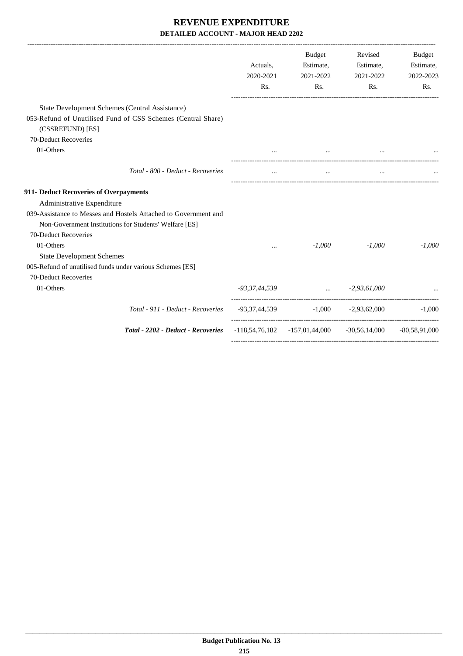|                                                                                  | Actuals,<br>2020-2021<br>Rs. | Budget<br>Estimate,<br>2021-2022 | Revised<br>Estimate,<br>2021-2022<br>Rs.<br>Rs.                   | <b>Budget</b><br>Estimate,<br>2022-2023<br>Rs. |
|----------------------------------------------------------------------------------|------------------------------|----------------------------------|-------------------------------------------------------------------|------------------------------------------------|
| State Development Schemes (Central Assistance)                                   |                              |                                  |                                                                   |                                                |
| 053-Refund of Unutilised Fund of CSS Schemes (Central Share)<br>(CSSREFUND) [ES] |                              |                                  |                                                                   |                                                |
| 70-Deduct Recoveries                                                             |                              |                                  |                                                                   |                                                |
| 01-Others                                                                        |                              |                                  |                                                                   |                                                |
| Total - 800 - Deduct - Recoveries                                                | $\cdots$                     | $\cdots$                         | $\cdots$                                                          |                                                |
| 911- Deduct Recoveries of Overpayments                                           |                              |                                  |                                                                   |                                                |
| Administrative Expenditure                                                       |                              |                                  |                                                                   |                                                |
| 039-Assistance to Messes and Hostels Attached to Government and                  |                              |                                  |                                                                   |                                                |
| Non-Government Institutions for Students' Welfare [ES]                           |                              |                                  |                                                                   |                                                |
| 70-Deduct Recoveries                                                             |                              |                                  |                                                                   |                                                |
| 01-Others                                                                        | $\cdots$                     | $-1,000$                         | $-1,000$                                                          | $-1,000$                                       |
| <b>State Development Schemes</b>                                                 |                              |                                  |                                                                   |                                                |
| 005-Refund of unutilised funds under various Schemes [ES]                        |                              |                                  |                                                                   |                                                |
| 70-Deduct Recoveries                                                             |                              |                                  |                                                                   |                                                |
| 01-Others                                                                        |                              | $-93,37,44,539$ $-2,93,61,000$   |                                                                   |                                                |
| Total - 911 - Deduct - Recoveries                                                | -93,37,44,539                |                                  | $-1,000$ $-2,93,62,000$                                           | $-1,000$                                       |
| Total - 2202 - Deduct - Recoveries                                               |                              |                                  | $-118,54,76,182$ $-157,01,44,000$ $-30,56,14,000$ $-80,58,91,000$ |                                                |
|                                                                                  |                              |                                  |                                                                   |                                                |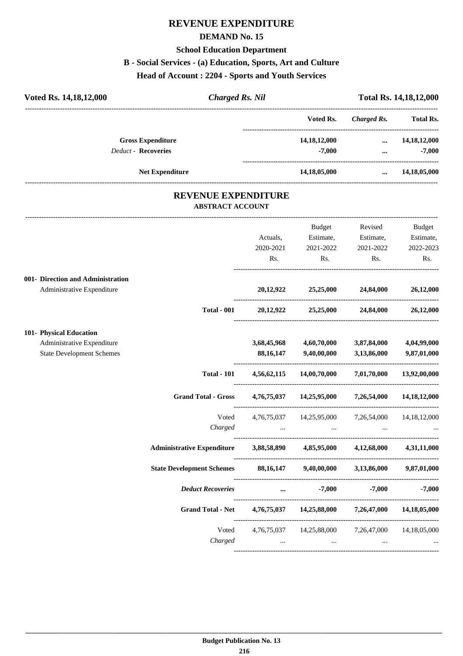## **REVENUE EXPENDITURE**

#### **DEMAND No. 15**

#### **School Education Department**

### **B - Social Services - (a) Education, Sports, Art and Culture**

**Head of Account : 2204 - Sports and Youth Services**

| Voted Rs. 14, 18, 12, 000  | <b>Charged Rs. Nil</b>                                |                 | <b>Total Rs. 14,18,12,000</b> |                  |
|----------------------------|-------------------------------------------------------|-----------------|-------------------------------|------------------|
|                            |                                                       | Voted Rs.       | Charged Rs.                   | <b>Total Rs.</b> |
| <b>Gross Expenditure</b>   |                                                       | 14, 18, 12, 000 | $\cdots$                      | 14, 18, 12, 000  |
| <b>Deduct - Recoveries</b> |                                                       | $-7,000$        |                               | $-7,000$         |
| <b>Net Expenditure</b>     |                                                       | 14, 18, 05, 000 | $\cdots$                      | 14,18,05,000     |
|                            | <b>REVENUE EXPENDITURE</b><br><b>ABSTRACT ACCOUNT</b> |                 |                               |                  |
|                            |                                                       |                 |                               |                  |

|                                   |                                                                            |                                       | <b>Budget</b>                                                                                                  | Revised   | <b>Budget</b>           |
|-----------------------------------|----------------------------------------------------------------------------|---------------------------------------|----------------------------------------------------------------------------------------------------------------|-----------|-------------------------|
|                                   |                                                                            | Actuals,                              | Estimate,                                                                                                      | Estimate, | Estimate,               |
|                                   |                                                                            | 2020-2021                             | 2021-2022                                                                                                      | 2021-2022 | 2022-2023               |
|                                   |                                                                            | Rs.                                   | Rs.                                                                                                            | Rs.       | Rs.                     |
| 001- Direction and Administration |                                                                            |                                       |                                                                                                                |           |                         |
| Administrative Expenditure        |                                                                            |                                       | 20,12,922 25,25,000 24,84,000 26,12,000                                                                        |           |                         |
|                                   | <b>Total - 001</b>                                                         |                                       | 20,12,922 25,25,000 24,84,000 26,12,000                                                                        |           |                         |
| 101- Physical Education           |                                                                            |                                       |                                                                                                                |           |                         |
| Administrative Expenditure        |                                                                            |                                       | 3,68,45,968 4,60,70,000 3,87,84,000 4,04,99,000                                                                |           |                         |
| <b>State Development Schemes</b>  |                                                                            |                                       | 88,16,147 9,40,00,000                                                                                          |           | 3,13,86,000 9,87,01,000 |
|                                   | <b>Total - 101</b>                                                         |                                       | $4,56,62,115$ $14,00,70,000$ $7,01,70,000$ $13,92,00,000$                                                      |           |                         |
|                                   | <b>Grand Total - Gross</b>                                                 |                                       | 4,76,75,037 14,25,95,000 7,26,54,000                                                                           |           | 14, 18, 12, 000         |
|                                   | Voted                                                                      |                                       | 4,76,75,037 14,25,95,000 7,26,54,000 14,18,12,000                                                              |           |                         |
|                                   | Charged                                                                    |                                       | میں اس کے اس کے مطابق اور اس کے مطابق اور اس کے مطابق اس کے مطابق اس کے مطابق اس کے مطابق اس کے مطابق اس کے مط |           |                         |
|                                   | Administrative Expenditure 3,88,58,890 4,85,95,000 4,12,68,000 4,31,11,000 |                                       |                                                                                                                |           |                         |
|                                   | State Development Schemes 88,16,147 9,40,00,000 3,13,86,000 9,87,01,000    |                                       |                                                                                                                |           |                         |
|                                   | <b>Deduct Recoveries</b>                                                   | and the company of the company of the | $-7,000$                                                                                                       |           | $-7,000$ $-7,000$       |
|                                   | Grand Total - Net 4,76,75,037 14,25,88,000 7,26,47,000 14,18,05,000        |                                       |                                                                                                                |           |                         |
|                                   |                                                                            |                                       | Voted 4,76,75,037 14,25,88,000 7,26,47,000 14,18,05,000                                                        |           |                         |
|                                   | Charged                                                                    | $\sim$ $\sim$ $\sim$ $\sim$ $\sim$    | $\sim$ $\sim$                                                                                                  | $\cdots$  |                         |
|                                   |                                                                            |                                       |                                                                                                                |           |                         |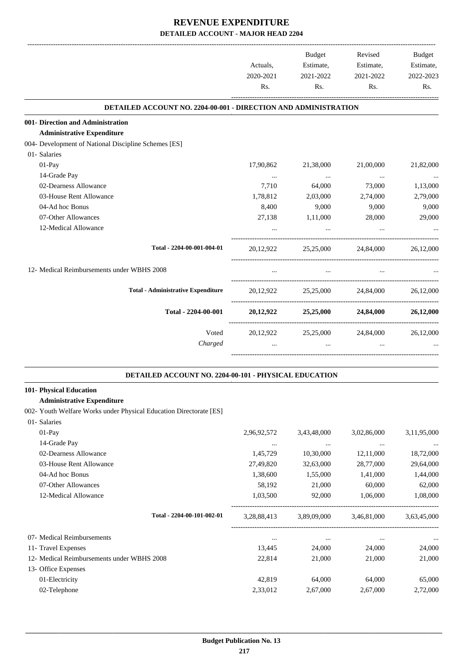|                                                                        | Actuals,    | Budget<br>Estimate,      | Revised<br>Estimate, |             |  | <b>Budget</b><br>Estimate, |
|------------------------------------------------------------------------|-------------|--------------------------|----------------------|-------------|--|----------------------------|
|                                                                        | 2020-2021   | 2021-2022                | 2021-2022            | 2022-2023   |  |                            |
|                                                                        | Rs.         | Rs.                      | Rs.                  | Rs.         |  |                            |
| <b>DETAILED ACCOUNT NO. 2204-00-001 - DIRECTION AND ADMINISTRATION</b> |             |                          |                      |             |  |                            |
| 001- Direction and Administration                                      |             |                          |                      |             |  |                            |
| <b>Administrative Expenditure</b>                                      |             |                          |                      |             |  |                            |
| 004- Development of National Discipline Schemes [ES]                   |             |                          |                      |             |  |                            |
| 01- Salaries                                                           |             |                          |                      |             |  |                            |
| 01-Pay                                                                 | 17,90,862   | 21,38,000                | 21,00,000            | 21,82,000   |  |                            |
| 14-Grade Pay                                                           |             | $\cdots$                 | $\ldots$             |             |  |                            |
| 02-Dearness Allowance                                                  | 7,710       | 64,000                   | 73,000               | 1,13,000    |  |                            |
| 03-House Rent Allowance                                                | 1,78,812    | 2,03,000                 | 2,74,000             | 2,79,000    |  |                            |
| 04-Ad hoc Bonus                                                        | 8,400       | 9,000                    | 9,000                | 9,000       |  |                            |
| 07-Other Allowances                                                    | 27,138      | 1,11,000                 | 28,000               | 29,000      |  |                            |
| 12-Medical Allowance                                                   |             | $\cdots$                 |                      |             |  |                            |
| Total - 2204-00-001-004-01                                             | 20,12,922   | 25,25,000                | 24,84,000            | 26,12,000   |  |                            |
| 12- Medical Reimbursements under WBHS 2008                             |             | $\overline{\phantom{a}}$ |                      |             |  |                            |
| <b>Total - Administrative Expenditure</b>                              | 20,12,922   | 25,25,000                | 24,84,000            | 26,12,000   |  |                            |
| Total - 2204-00-001                                                    | 20,12,922   | 25,25,000                | 24,84,000            | 26,12,000   |  |                            |
| Voted                                                                  | 20,12,922   | 25,25,000                | 24,84,000            | 26,12,000   |  |                            |
| Charged                                                                |             |                          |                      |             |  |                            |
|                                                                        |             |                          |                      |             |  |                            |
| DETAILED ACCOUNT NO. 2204-00-101 - PHYSICAL EDUCATION                  |             |                          |                      |             |  |                            |
| 101- Physical Education                                                |             |                          |                      |             |  |                            |
| <b>Administrative Expenditure</b>                                      |             |                          |                      |             |  |                            |
| 002- Youth Welfare Works under Physical Education Directorate [ES]     |             |                          |                      |             |  |                            |
| 01- Salaries                                                           |             |                          |                      |             |  |                            |
| 01-Pay                                                                 | 2,96,92,572 | 3,43,48,000              | 3,02,86,000          | 3,11,95,000 |  |                            |
| 14-Grade Pay                                                           | $\cdots$    | $\ldots$                 | $\cdots$             |             |  |                            |
| 02-Dearness Allowance                                                  | 1,45,729    | 10,30,000                | 12,11,000            | 18,72,000   |  |                            |
| 03-House Rent Allowance                                                | 27,49,820   | 32,63,000                | 28,77,000            | 29,64,000   |  |                            |
| 04-Ad hoc Bonus                                                        | 1,38,600    | 1,55,000                 | 1,41,000             | 1,44,000    |  |                            |
| 07-Other Allowances                                                    | 58,192      | 21,000                   | 60,000               | 62,000      |  |                            |
| 12-Medical Allowance                                                   | 1,03,500    | 92,000                   | 1,06,000             | 1,08,000    |  |                            |

| Total - 2204-00-101-002-01                 | 3,28,88,413 | 3.89.09.000 | 3.46.81,000 | 3,63,45,000 |
|--------------------------------------------|-------------|-------------|-------------|-------------|
|                                            |             |             |             |             |
| 07- Medical Reimbursements                 | $\cdots$    |             | $\cdots$    | $\cdots$    |
| 11- Travel Expenses                        | 13.445      | 24,000      | 24,000      | 24,000      |
| 12- Medical Reimbursements under WBHS 2008 | 22,814      | 21,000      | 21,000      | 21,000      |
| 13- Office Expenses                        |             |             |             |             |
| 01-Electricity                             | 42,819      | 64,000      | 64,000      | 65,000      |
| 02-Telephone                               | 2,33,012    | 2.67,000    | 2.67,000    | 2,72,000    |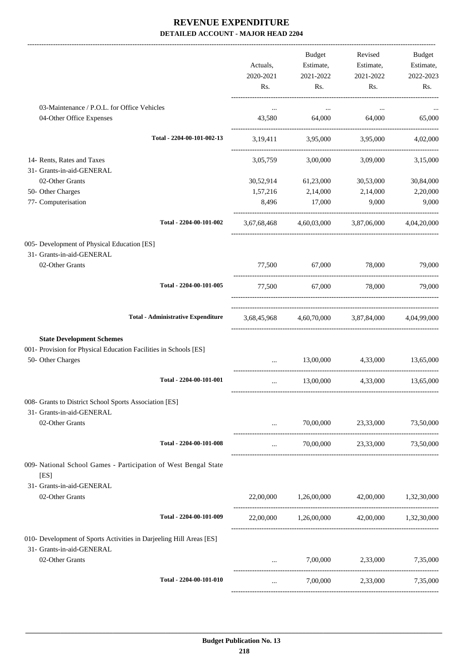|                                                                     |                                           |                                 | Budget                     | Revised                                         | Budget    |
|---------------------------------------------------------------------|-------------------------------------------|---------------------------------|----------------------------|-------------------------------------------------|-----------|
|                                                                     |                                           | Actuals,                        | Estimate,                  | Estimate,                                       | Estimate, |
|                                                                     |                                           | 2020-2021                       | 2021-2022                  | 2021-2022                                       | 2022-2023 |
|                                                                     |                                           | Rs.                             | Rs.                        | Rs.                                             | Rs.       |
| 03-Maintenance / P.O.L. for Office Vehicles                         |                                           | $\cdots$                        | $\cdots$                   | $\cdots$                                        |           |
| 04-Other Office Expenses                                            |                                           | 43,580                          | 64,000                     | 64,000                                          | 65,000    |
|                                                                     | Total - 2204-00-101-002-13                |                                 |                            | 3,19,411 3,95,000 3,95,000                      | 4,02,000  |
|                                                                     |                                           |                                 |                            |                                                 |           |
| 14- Rents, Rates and Taxes<br>31- Grants-in-aid-GENERAL             |                                           | 3,05,759                        | 3,00,000                   | 3,09,000                                        | 3,15,000  |
| 02-Other Grants                                                     |                                           | 30,52,914                       |                            |                                                 |           |
|                                                                     |                                           |                                 | 61,23,000                  | 30,53,000                                       | 30,84,000 |
| 50- Other Charges                                                   |                                           |                                 | 1,57,216 2,14,000 2,14,000 |                                                 | 2,20,000  |
| 77- Computerisation                                                 |                                           | 8,496                           | 17,000                     | 9,000                                           | 9,000     |
|                                                                     | Total - 2204-00-101-002                   |                                 |                            | 3,67,68,468 4,60,03,000 3,87,06,000 4,04,20,000 |           |
| 005- Development of Physical Education [ES]                         |                                           |                                 |                            |                                                 |           |
| 31- Grants-in-aid-GENERAL                                           |                                           |                                 |                            |                                                 |           |
| 02-Other Grants                                                     |                                           |                                 | 77,500 67,000 78,000       |                                                 | 79,000    |
|                                                                     | Total - 2204-00-101-005                   |                                 |                            | 77,500 67,000 78,000                            | 79,000    |
|                                                                     |                                           |                                 |                            |                                                 |           |
|                                                                     | <b>Total - Administrative Expenditure</b> |                                 |                            | 3,68,45,968 4,60,70,000 3,87,84,000 4,04,99,000 |           |
| <b>State Development Schemes</b>                                    |                                           |                                 |                            |                                                 |           |
| 001- Provision for Physical Education Facilities in Schools [ES]    |                                           |                                 |                            |                                                 |           |
| 50- Other Charges                                                   |                                           |                                 | $\ldots$ 13,00,000         | 4,33,000                                        | 13,65,000 |
|                                                                     | Total - 2204-00-101-001                   | $\cdots$                        | 13,00,000                  | 4,33,000                                        | 13,65,000 |
| 008- Grants to District School Sports Association [ES]              |                                           |                                 |                            |                                                 |           |
| 31- Grants-in-aid-GENERAL                                           |                                           |                                 |                            |                                                 |           |
| 02-Other Grants                                                     |                                           | $\cdots$                        |                            | 70,00,000 23,33,000 73,50,000                   |           |
|                                                                     | Total - 2204-00-101-008                   | $\cdots$                        |                            | 70,00,000 23,33,000 73,50,000                   |           |
| 009- National School Games - Participation of West Bengal State     |                                           |                                 |                            |                                                 |           |
| [ES]                                                                |                                           |                                 |                            |                                                 |           |
| 31- Grants-in-aid-GENERAL                                           |                                           |                                 |                            |                                                 |           |
| 02-Other Grants                                                     |                                           |                                 |                            | 22,00,000 1,26,00,000 42,00,000 1,32,30,000     |           |
|                                                                     | Total - 2204-00-101-009                   |                                 |                            | 22,00,000 1,26,00,000 42,00,000 1,32,30,000     |           |
| 010- Development of Sports Activities in Darjeeling Hill Areas [ES] |                                           |                                 |                            |                                                 |           |
| 31- Grants-in-aid-GENERAL<br>02-Other Grants                        |                                           | $\mathbf{r}$ , and $\mathbf{r}$ |                            | 7,00,000 2,33,000 7,35,000                      |           |
|                                                                     | Total - 2204-00-101-010                   | $\cdots$                        |                            | 7,00,000 2,33,000 7,35,000                      |           |
|                                                                     |                                           |                                 |                            |                                                 |           |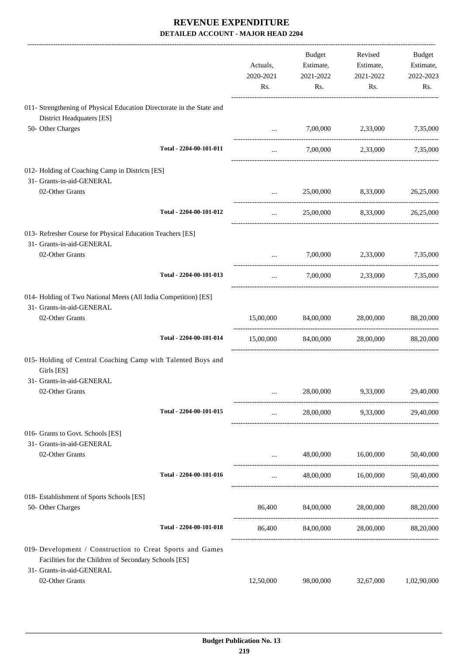|                                                                                                                    |                         | Actuals,<br>2020-2021<br>Rs.                                                                                                                                                                                                                                                                                                                                                                                                               | Budget<br>Estimate,<br>2021-2022<br>Rs. | Revised<br>Estimate,<br>2021-2022<br>Rs. | Budget<br>Estimate,<br>2022-2023<br>Rs. |
|--------------------------------------------------------------------------------------------------------------------|-------------------------|--------------------------------------------------------------------------------------------------------------------------------------------------------------------------------------------------------------------------------------------------------------------------------------------------------------------------------------------------------------------------------------------------------------------------------------------|-----------------------------------------|------------------------------------------|-----------------------------------------|
| 011- Strengthening of Physical Education Directorate in the State and<br>District Headquaters [ES]                 |                         |                                                                                                                                                                                                                                                                                                                                                                                                                                            |                                         |                                          |                                         |
| 50- Other Charges                                                                                                  |                         | $\cdots$                                                                                                                                                                                                                                                                                                                                                                                                                                   | ---------------------------             | 7,00,000 2,33,000 7,35,000               |                                         |
|                                                                                                                    | Total - 2204-00-101-011 | $\cdots$                                                                                                                                                                                                                                                                                                                                                                                                                                   |                                         | 7,00,000 2,33,000 7,35,000               |                                         |
| 012- Holding of Coaching Camp in Districts [ES]                                                                    |                         |                                                                                                                                                                                                                                                                                                                                                                                                                                            |                                         |                                          |                                         |
| 31- Grants-in-aid-GENERAL<br>02-Other Grants                                                                       |                         | $\mathbf{1}_{\mathbf{1}_{\mathbf{1}_{\mathbf{2}}\mathbf{1}_{\mathbf{3}}\mathbf{2}}\mathbf{1}_{\mathbf{1}_{\mathbf{2}}\mathbf{1}_{\mathbf{3}}\mathbf{2}_{\mathbf{4}}\mathbf{1}_{\mathbf{4}}\mathbf{1}_{\mathbf{5}}\mathbf{1}_{\mathbf{6}}\mathbf{1}_{\mathbf{7}}\mathbf{1}_{\mathbf{8}}\mathbf{1}_{\mathbf{9}}\mathbf{1}_{\mathbf{1}_{\mathbf{3}}\mathbf{1}_{\mathbf{4}}\mathbf{1}_{\mathbf{5}}\mathbf{1}_{\mathbf{6}}\mathbf{1}_{\mathbf{$ |                                         | 25,00,000 8,33,000                       | 26,25,000                               |
|                                                                                                                    | Total - 2204-00-101-012 | $\cdots$                                                                                                                                                                                                                                                                                                                                                                                                                                   |                                         | 25,00,000 8,33,000 26,25,000             |                                         |
| 013- Refresher Course for Physical Education Teachers [ES]<br>31- Grants-in-aid-GENERAL                            |                         |                                                                                                                                                                                                                                                                                                                                                                                                                                            |                                         |                                          |                                         |
| 02-Other Grants                                                                                                    |                         | $\cdots$                                                                                                                                                                                                                                                                                                                                                                                                                                   |                                         | 7,00,000 2,33,000 7,35,000               |                                         |
|                                                                                                                    | Total - 2204-00-101-013 | $\cdots$                                                                                                                                                                                                                                                                                                                                                                                                                                   |                                         | 7,00,000 2,33,000 7,35,000               |                                         |
| 014- Holding of Two National Meets (All India Competition) [ES]<br>31- Grants-in-aid-GENERAL                       |                         |                                                                                                                                                                                                                                                                                                                                                                                                                                            |                                         |                                          |                                         |
| 02-Other Grants                                                                                                    |                         | 15,00,000                                                                                                                                                                                                                                                                                                                                                                                                                                  | 84,00,000                               | 28,00,000                                | 88,20,000                               |
|                                                                                                                    | Total - 2204-00-101-014 |                                                                                                                                                                                                                                                                                                                                                                                                                                            |                                         | 15,00,000 84,00,000 28,00,000            | 88,20,000                               |
| 015- Holding of Central Coaching Camp with Talented Boys and<br>Girls [ES]                                         |                         |                                                                                                                                                                                                                                                                                                                                                                                                                                            |                                         |                                          |                                         |
| 31- Grants-in-aid-GENERAL<br>02-Other Grants                                                                       |                         |                                                                                                                                                                                                                                                                                                                                                                                                                                            | 28,00,000                               | 9,33,000                                 | 29,40,000                               |
|                                                                                                                    | Total - 2204-00-101-015 | $\cdots$                                                                                                                                                                                                                                                                                                                                                                                                                                   |                                         | 28,00,000 9,33,000                       | 29,40,000                               |
| 016- Grants to Govt. Schools [ES]                                                                                  |                         |                                                                                                                                                                                                                                                                                                                                                                                                                                            |                                         |                                          |                                         |
| 31- Grants-in-aid-GENERAL<br>02-Other Grants                                                                       |                         |                                                                                                                                                                                                                                                                                                                                                                                                                                            |                                         | 48,00,000 16,00,000                      | 50,40,000                               |
|                                                                                                                    | Total - 2204-00-101-016 | $\cdots$                                                                                                                                                                                                                                                                                                                                                                                                                                   |                                         | 48,00,000 16,00,000                      | 50,40,000                               |
| 018- Establishment of Sports Schools [ES]<br>50- Other Charges                                                     |                         |                                                                                                                                                                                                                                                                                                                                                                                                                                            |                                         | 86,400 84,00,000 28,00,000               | 88,20,000                               |
|                                                                                                                    | Total - 2204-00-101-018 |                                                                                                                                                                                                                                                                                                                                                                                                                                            |                                         | 86,400 84,00,000 28,00,000 88,20,000     |                                         |
| 019- Development / Construction to Creat Sports and Games<br>Facilities for the Children of Secondary Schools [ES] |                         |                                                                                                                                                                                                                                                                                                                                                                                                                                            |                                         |                                          |                                         |
| 31- Grants-in-aid-GENERAL<br>02-Other Grants                                                                       |                         | 12,50,000                                                                                                                                                                                                                                                                                                                                                                                                                                  | 98,00,000                               | 32,67,000                                | 1,02,90,000                             |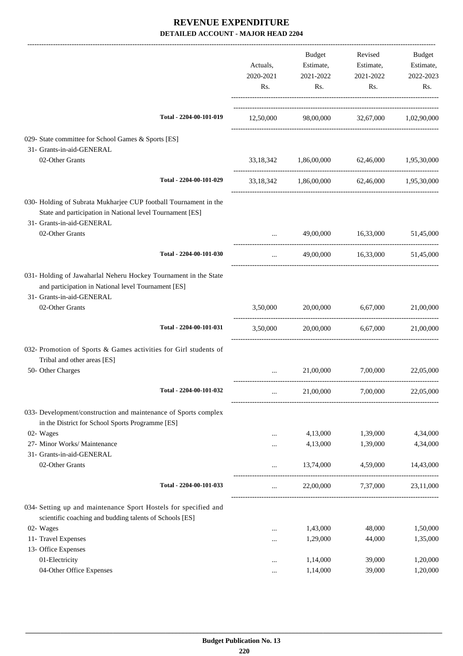|                                                                                                                                                            | Actuals,<br>2020-2021<br>Rs. | Budget<br>Estimate,<br>2021-2022<br>Rs.     | Revised<br>Estimate,<br>2021-2022<br>Rs. | Budget<br>Estimate,<br>2022-2023<br>Rs. |
|------------------------------------------------------------------------------------------------------------------------------------------------------------|------------------------------|---------------------------------------------|------------------------------------------|-----------------------------------------|
| Total - 2204-00-101-019                                                                                                                                    |                              | 12,50,000 98,00,000 32,67,000 1,02,90,000   |                                          |                                         |
| 029- State committee for School Games & Sports [ES]                                                                                                        |                              |                                             |                                          |                                         |
| 31- Grants-in-aid-GENERAL                                                                                                                                  |                              |                                             |                                          |                                         |
| 02-Other Grants                                                                                                                                            |                              | 33,18,342 1,86,00,000 62,46,000 1,95,30,000 |                                          |                                         |
| Total - 2204-00-101-029                                                                                                                                    |                              | 33,18,342 1,86,00,000 62,46,000 1,95,30,000 |                                          |                                         |
| 030- Holding of Subrata Mukharjee CUP football Tournament in the<br>State and participation in National level Tournament [ES]<br>31- Grants-in-aid-GENERAL |                              |                                             |                                          |                                         |
| 02-Other Grants                                                                                                                                            |                              | 49,00,000                                   | 16,33,000                                | 51,45,000                               |
| Total - 2204-00-101-030                                                                                                                                    | $\cdots$                     |                                             | 49,00,000 16,33,000 51,45,000            |                                         |
| 031- Holding of Jawaharlal Neheru Hockey Tournament in the State<br>and participation in National level Tournament [ES]<br>31- Grants-in-aid-GENERAL       |                              |                                             |                                          |                                         |
| 02-Other Grants                                                                                                                                            | 3,50,000                     | 20,00,000                                   | 6,67,000                                 | 21,00,000                               |
| Total - 2204-00-101-031                                                                                                                                    |                              | 3,50,000 20,00,000 6,67,000                 |                                          | 21,00,000                               |
| 032- Promotion of Sports & Games activities for Girl students of<br>Tribal and other areas [ES]                                                            |                              |                                             |                                          |                                         |
| 50- Other Charges                                                                                                                                          |                              |                                             | 21,00,000 7,00,000                       | 22,05,000                               |
| Total - 2204-00-101-032                                                                                                                                    |                              | 21,00,000                                   | 7,00,000                                 | 22,05,000                               |
| 033- Development/construction and maintenance of Sports complex<br>in the District for School Sports Programme [ES]                                        |                              |                                             |                                          |                                         |
| 02- Wages                                                                                                                                                  |                              | 4,13,000                                    | 1,39,000                                 | 4,34,000                                |
| 27- Minor Works/ Maintenance                                                                                                                               |                              | 4,13,000                                    | 1,39,000                                 | 4,34,000                                |
| 31- Grants-in-aid-GENERAL<br>02-Other Grants                                                                                                               |                              | 13,74,000                                   | 4,59,000                                 | 14,43,000                               |
| Total - 2204-00-101-033                                                                                                                                    | $\cdots$                     | 22,00,000                                   | 7,37,000                                 | 23,11,000                               |
| 034- Setting up and maintenance Sport Hostels for specified and<br>scientific coaching and budding talents of Schools [ES]                                 |                              |                                             |                                          |                                         |
| 02- Wages                                                                                                                                                  |                              | 1,43,000                                    | 48,000                                   | 1,50,000                                |
| 11- Travel Expenses                                                                                                                                        | <br>                         | 1,29,000                                    | 44,000                                   | 1,35,000                                |
| 13- Office Expenses                                                                                                                                        |                              |                                             |                                          |                                         |
| 01-Electricity                                                                                                                                             |                              | 1,14,000                                    | 39,000                                   | 1,20,000                                |
| 04-Other Office Expenses                                                                                                                                   | $\cdots$                     | 1,14,000                                    | 39,000                                   | 1,20,000                                |
|                                                                                                                                                            |                              |                                             |                                          |                                         |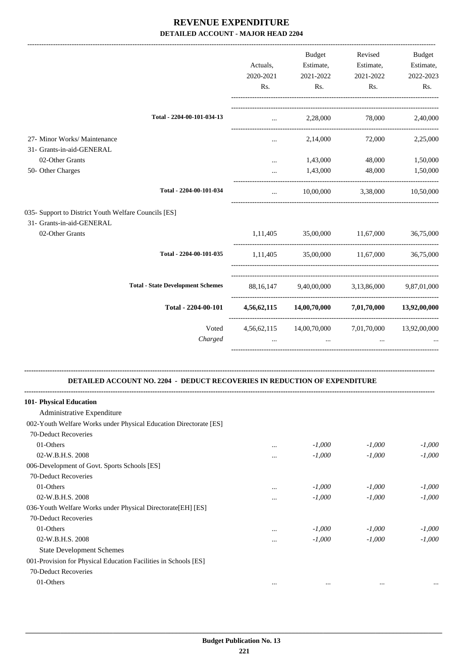|                                                                                  | Actuals,<br>2020-2021<br>Rs. | Budget<br>Estimate,<br>2021-2022<br>Rs.                       | Revised<br>Estimate,<br>2021-2022<br>Rs. | Budget<br>Estimate,<br>2022-2023<br>Rs. |
|----------------------------------------------------------------------------------|------------------------------|---------------------------------------------------------------|------------------------------------------|-----------------------------------------|
| Total - 2204-00-101-034-13                                                       | $\cdots$                     | 2,28,000                                                      | 78,000                                   | 2,40,000                                |
| 27- Minor Works/ Maintenance                                                     | $\cdots$                     | 2,14,000                                                      | 72,000                                   | 2,25,000                                |
| 31- Grants-in-aid-GENERAL                                                        |                              |                                                               |                                          |                                         |
| 02-Other Grants                                                                  | $\cdots$                     | 1,43,000                                                      | 48,000                                   | 1,50,000                                |
| 50- Other Charges                                                                | $\cdots$                     | 1,43,000                                                      | 48,000                                   | 1,50,000                                |
| Total - 2204-00-101-034                                                          | $\cdots$                     | 10,00,000                                                     | 3,38,000                                 | 10,50,000                               |
| 035- Support to District Youth Welfare Councils [ES]                             |                              |                                                               |                                          |                                         |
| 31- Grants-in-aid-GENERAL                                                        |                              |                                                               |                                          |                                         |
| 02-Other Grants                                                                  |                              | 1,11,405 35,00,000 11,67,000                                  |                                          | 36,75,000                               |
| Total - 2204-00-101-035                                                          | 1,11,405                     |                                                               | 35,00,000 11,67,000                      | 36,75,000                               |
| <b>Total - State Development Schemes</b>                                         |                              | 88,16,147 9,40,00,000 3,13,86,000 9,87,01,000                 |                                          |                                         |
| Total - 2204-00-101                                                              |                              | 4,56,62,115 14,00,70,000 7,01,70,000 13,92,00,000             |                                          |                                         |
| Voted<br>Charged                                                                 | $\cdots$                     | 4,56,62,115 14,00,70,000 7,01,70,000 13,92,00,000<br>$\ldots$ | $\ddotsc$                                |                                         |
| <b>DETAILED ACCOUNT NO. 2204 - DEDUCT RECOVERIES IN REDUCTION OF EXPENDITURE</b> |                              |                                                               |                                          |                                         |
| 101- Physical Education                                                          |                              |                                                               |                                          |                                         |
| Administrative Expenditure                                                       |                              |                                                               |                                          |                                         |
| 002-Youth Welfare Works under Physical Education Directorate [ES]                |                              |                                                               |                                          |                                         |
| 70-Deduct Recoveries                                                             |                              |                                                               |                                          |                                         |
| 01-Others                                                                        |                              | $-1,000$                                                      | $-1,000$                                 | $-1,000$                                |
| 02-W.B.H.S. 2008                                                                 |                              | $-1,000$                                                      | $-1,000$                                 | $-1,000$                                |
| 006-Development of Govt. Sports Schools [ES]                                     |                              |                                                               |                                          |                                         |
| 70-Deduct Recoveries                                                             |                              |                                                               |                                          |                                         |
| 01-Others                                                                        | $\cdots$                     | $-1,000$                                                      | $-1,000$                                 | $-1,000$                                |
| 02-W.B.H.S. 2008                                                                 | .                            | $-1,000$                                                      | $-1,000$                                 | $-1,000$                                |
| 036-Youth Welfare Works under Physical Directorate[EH] [ES]                      |                              |                                                               |                                          |                                         |
| 70-Deduct Recoveries                                                             |                              |                                                               |                                          |                                         |
| 01-Others                                                                        | .                            | $-1,000$                                                      | $-1,000$                                 | $-1,000$                                |
| 02-W.B.H.S. 2008                                                                 |                              | $-1,000$                                                      | $-1,000$                                 | $-1,000$                                |
| <b>State Development Schemes</b>                                                 |                              |                                                               |                                          |                                         |

001-Provision for Physical Education Facilities in Schools [ES]

70-Deduct Recoveries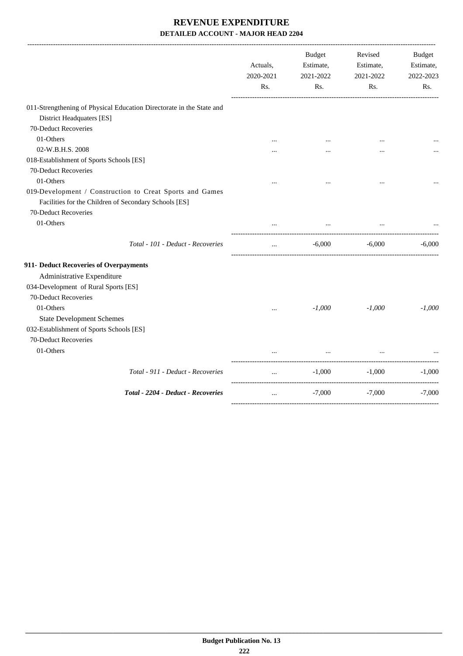|                                                                                                                                           | Actuals,<br>2020-2021<br>Rs. | <b>Budget</b><br>Estimate,<br>2021-2022<br>Rs. | Revised<br>Estimate,<br>2021-2022<br>Rs. | Budget<br>Estimate,<br>2022-2023<br>Rs. |
|-------------------------------------------------------------------------------------------------------------------------------------------|------------------------------|------------------------------------------------|------------------------------------------|-----------------------------------------|
| 011-Strengthening of Physical Education Directorate in the State and<br>District Headquaters [ES]                                         |                              |                                                |                                          |                                         |
| 70-Deduct Recoveries                                                                                                                      |                              |                                                |                                          |                                         |
| 01-Others                                                                                                                                 |                              | $\ddotsc$                                      |                                          |                                         |
| 02-W.B.H.S. 2008                                                                                                                          |                              |                                                |                                          |                                         |
| 018-Establishment of Sports Schools [ES]                                                                                                  |                              |                                                |                                          |                                         |
| 70-Deduct Recoveries                                                                                                                      |                              |                                                |                                          |                                         |
| 01-Others                                                                                                                                 |                              |                                                |                                          |                                         |
| 019-Development / Construction to Creat Sports and Games<br>Facilities for the Children of Secondary Schools [ES]<br>70-Deduct Recoveries |                              |                                                |                                          |                                         |
| 01-Others                                                                                                                                 |                              |                                                |                                          |                                         |
| Total - 101 - Deduct - Recoveries                                                                                                         |                              | $-6,000$                                       | -------------------<br>-6,000            | $-6,000$                                |
| 911- Deduct Recoveries of Overpayments                                                                                                    |                              |                                                |                                          |                                         |
| Administrative Expenditure                                                                                                                |                              |                                                |                                          |                                         |
| 034-Development of Rural Sports [ES]                                                                                                      |                              |                                                |                                          |                                         |
| 70-Deduct Recoveries                                                                                                                      |                              |                                                |                                          |                                         |
| 01-Others                                                                                                                                 | $\ddotsc$                    | $-1,000$                                       | $-1,000$                                 | $-1.000$                                |
| <b>State Development Schemes</b>                                                                                                          |                              |                                                |                                          |                                         |
| 032-Establishment of Sports Schools [ES]                                                                                                  |                              |                                                |                                          |                                         |
| 70-Deduct Recoveries                                                                                                                      |                              |                                                |                                          |                                         |
| 01-Others                                                                                                                                 |                              | $\ldots$                                       |                                          |                                         |
| Total - 911 - Deduct - Recoveries                                                                                                         | $\cdots$                     | $-1,000$                                       | $-1,000$                                 | $-1,000$                                |
| Total - 2204 - Deduct - Recoveries                                                                                                        | $\ddots$                     | $-7,000$                                       | $-7,000$                                 | $-7,000$                                |
|                                                                                                                                           |                              |                                                |                                          |                                         |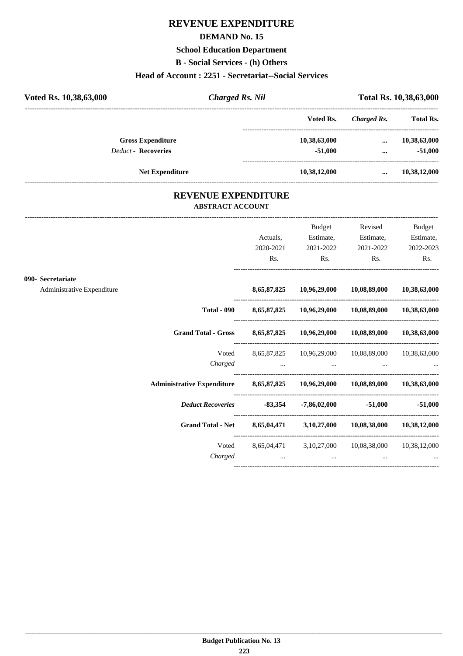### **REVENUE EXPENDITURE**

#### **DEMAND No. 15**

### **School Education Department**

**B - Social Services - (h) Others**

#### **Head of Account : 2251 - Secretariat--Social Services**

| Voted Rs. 10,38,63,000     | <b>Charged Rs. Nil</b> |              |             | Total Rs. 10,38,63,000 |
|----------------------------|------------------------|--------------|-------------|------------------------|
|                            |                        | Voted Rs.    | Charged Rs. | <b>Total Rs.</b>       |
| <b>Gross Expenditure</b>   |                        | 10,38,63,000 | $\cdots$    | 10,38,63,000           |
| <b>Deduct - Recoveries</b> |                        | $-51,000$    | $\cdots$    | $-51,000$              |
| <b>Net Expenditure</b>     |                        | 10,38,12,000 | $\cdots$    | 10,38,12,000           |
|                            |                        |              |             |                        |

### **REVENUE EXPENDITURE ABSTRACT ACCOUNT**

|                                                                               |           | Budget    | Revised                                            | Budget              |
|-------------------------------------------------------------------------------|-----------|-----------|----------------------------------------------------|---------------------|
|                                                                               | Actuals,  | Estimate, | Estimate,                                          | Estimate,           |
|                                                                               | 2020-2021 | 2021-2022 | 2021-2022                                          | 2022-2023           |
|                                                                               | Rs.       | Rs.       | Rs.                                                | Rs.                 |
| 090- Secretariate                                                             |           |           |                                                    |                     |
| Administrative Expenditure                                                    |           |           | 8,65,87,825 10,96,29,000 10,08,89,000              | 10,38,63,000        |
| <b>Total - 090</b>                                                            |           |           | 8,65,87,825 10,96,29,000 10,08,89,000 10,38,63,000 |                     |
| Grand Total - Gross 8,65,87,825 10,96,29,000 10,08,89,000 10,38,63,000        |           |           |                                                    |                     |
| Voted                                                                         |           |           | 8,65,87,825 10,96,29,000 10,08,89,000 10,38,63,000 |                     |
| Charged                                                                       |           | $\ddotsc$ |                                                    |                     |
| Administrative Expenditure 8,65,87,825 10,96,29,000 10,08,89,000 10,38,63,000 |           |           |                                                    |                     |
| Deduct Recoveries -83,354 -7,86,02,000                                        |           |           |                                                    | $-51,000$ $-51,000$ |
| <b>Grand Total - Net</b>                                                      |           |           | 8,65,04,471 3,10,27,000 10,08,38,000 10,38,12,000  |                     |
| Voted                                                                         |           |           | 8,65,04,471 3,10,27,000 10,08,38,000 10,38,12,000  |                     |
| Charged                                                                       | $\cdots$  | $\cdots$  |                                                    |                     |
|                                                                               |           |           |                                                    |                     |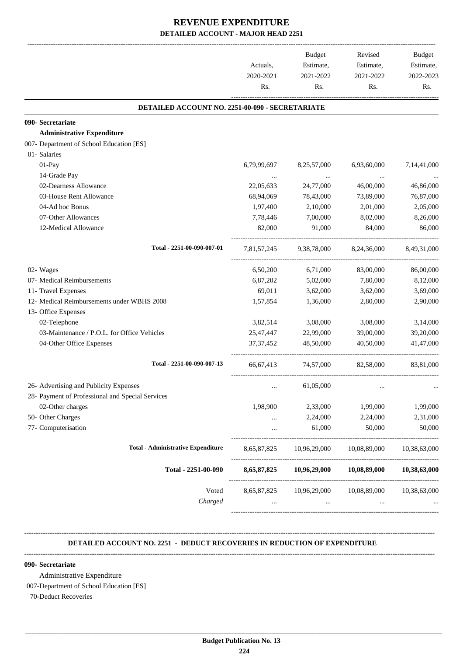|                                                  | Actuals,<br>2020-2021 | <b>Budget</b><br>Estimate,<br>2021-2022 | Revised<br>Estimate,<br>2021-2022 | Budget<br>Estimate,<br>2022-2023 |
|--------------------------------------------------|-----------------------|-----------------------------------------|-----------------------------------|----------------------------------|
|                                                  | Rs.                   | Rs.                                     | Rs.                               | Rs.                              |
| DETAILED ACCOUNT NO. 2251-00-090 - SECRETARIATE  |                       |                                         |                                   |                                  |
| 090- Secretariate                                |                       |                                         |                                   |                                  |
| <b>Administrative Expenditure</b>                |                       |                                         |                                   |                                  |
| 007- Department of School Education [ES]         |                       |                                         |                                   |                                  |
| 01- Salaries                                     |                       |                                         |                                   |                                  |
| 01-Pay                                           | 6,79,99,697           | 8,25,57,000                             | 6,93,60,000                       | 7,14,41,000                      |
| 14-Grade Pay                                     |                       |                                         |                                   |                                  |
| 02-Dearness Allowance                            | 22,05,633             | 24,77,000                               | 46,00,000                         | 46,86,000                        |
| 03-House Rent Allowance                          | 68,94,069             | 78,43,000                               | 73,89,000                         | 76,87,000                        |
| 04-Ad hoc Bonus                                  | 1,97,400              | 2,10,000                                | 2,01,000                          | 2,05,000                         |
| 07-Other Allowances                              | 7,78,446              | 7,00,000                                | 8,02,000                          | 8,26,000                         |
| 12-Medical Allowance                             | 82,000                | 91,000                                  | 84,000                            | 86,000                           |
| Total - 2251-00-090-007-01                       | 7,81,57,245           | 9,38,78,000                             | 8,24,36,000                       | 8,49,31,000                      |
| 02- Wages                                        | 6,50,200              | 6,71,000                                | 83,00,000                         | 86,00,000                        |
| 07- Medical Reimbursements                       | 6,87,202              | 5,02,000                                | 7,80,000                          | 8,12,000                         |
| 11- Travel Expenses                              | 69,011                | 3,62,000                                | 3,62,000                          | 3,69,000                         |
| 12- Medical Reimbursements under WBHS 2008       | 1,57,854              | 1,36,000                                | 2,80,000                          | 2,90,000                         |
| 13- Office Expenses                              |                       |                                         |                                   |                                  |
| 02-Telephone                                     | 3,82,514              | 3,08,000                                | 3,08,000                          | 3,14,000                         |
| 03-Maintenance / P.O.L. for Office Vehicles      | 25,47,447             | 22,99,000                               | 39,00,000                         | 39,20,000                        |
| 04-Other Office Expenses                         | 37, 37, 452           | 48,50,000                               | 40,50,000                         | 41,47,000                        |
| Total - 2251-00-090-007-13                       | 66, 67, 413           | 74,57,000                               | 82,58,000                         | 83,81,000                        |
| 26- Advertising and Publicity Expenses           | $\cdots$              | 61,05,000                               | $\cdots$                          |                                  |
| 28- Payment of Professional and Special Services |                       |                                         |                                   |                                  |
| 02-Other charges                                 | 1,98,900              | 2,33,000                                | 1,99,000                          | 1,99,000                         |
| 50- Other Charges                                | .                     | 2,24,000                                | 2,24,000                          | 2,31,000                         |
| 77- Computerisation                              |                       | 61,000                                  | 50,000                            | 50,000                           |
| <b>Total - Administrative Expenditure</b>        | 8,65,87,825           | 10,96,29,000                            | 10,08,89,000                      | 10,38,63,000                     |
| Total - 2251-00-090                              | 8,65,87,825           | 10,96,29,000                            | 10,08,89,000                      | 10,38,63,000                     |
| Voted                                            | 8,65,87,825           | 10,96,29,000                            | 10,08,89,000                      | 10,38,63,000                     |
| Charged                                          |                       |                                         |                                   |                                  |

#### **DETAILED ACCOUNT NO. 2251 - DEDUCT RECOVERIES IN REDUCTION OF EXPENDITURE --------------------------------------------------------------------------------------------------------------------------------------------------------------------------------**

**--------------------------------------------------------------------------------------------------------------------------------------------------------------------------------**

#### **090- Secretariate**

Administrative Expenditure

007-Department of School Education [ES]

70-Deduct Recoveries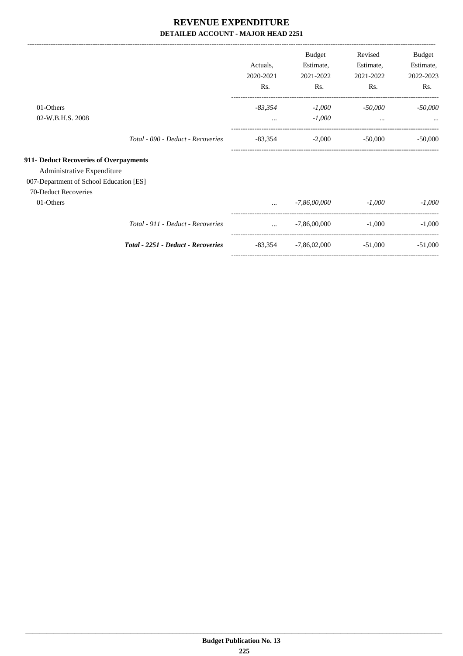|                                         |                                    |           | <b>Budget</b>  | Revised   | Budget    |
|-----------------------------------------|------------------------------------|-----------|----------------|-----------|-----------|
|                                         |                                    | Actuals,  | Estimate,      | Estimate, | Estimate, |
|                                         |                                    | 2020-2021 | 2021-2022      | 2021-2022 | 2022-2023 |
|                                         |                                    | Rs.       | Rs.            | Rs.       | Rs.       |
| 01-Others                               |                                    | $-83,354$ | $-1,000$       | $-50,000$ | $-50,000$ |
| 02-W.B.H.S. 2008                        |                                    |           | $-1,000$       | $\cdots$  | $\cdots$  |
|                                         | Total - 090 - Deduct - Recoveries  | $-83,354$ | $-2,000$       | $-50,000$ | $-50,000$ |
| 911- Deduct Recoveries of Overpayments  |                                    |           |                |           |           |
| Administrative Expenditure              |                                    |           |                |           |           |
| 007-Department of School Education [ES] |                                    |           |                |           |           |
| 70-Deduct Recoveries                    |                                    |           |                |           |           |
| 01-Others                               |                                    | $\cdots$  | -7,86,00,000   | $-1,000$  | $-1,000$  |
|                                         | Total - 911 - Deduct - Recoveries  | $\cdots$  | $-7,86,00,000$ | $-1.000$  | $-1,000$  |
|                                         | Total - 2251 - Deduct - Recoveries | -83,354   | $-7,86,02,000$ | $-51,000$ | $-51,000$ |
|                                         |                                    |           |                |           |           |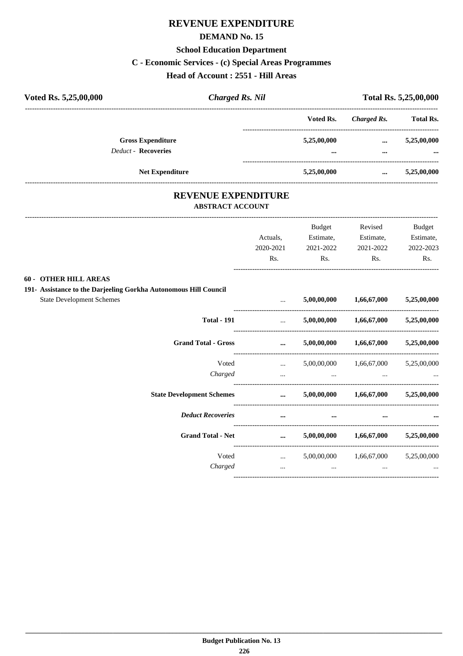## REVENUE EXPENDITURE

#### **DEMAND No. 15**

### **School Education Department**

#### C - Economic Services - (c) Special Areas Programmes

### Head of Account : 2551 - Hill Areas

| Voted Rs. 5,25,00,000      |                        | <b>Charged Rs. Nil</b> | Total Rs. 5,25,00,000   |             |                  |
|----------------------------|------------------------|------------------------|-------------------------|-------------|------------------|
|                            |                        |                        | Voted Rs.               | Charged Rs. | <b>Total Rs.</b> |
| <b>Gross Expenditure</b>   |                        |                        | 5,25,00,000             | $\cdots$    | 5,25,00,000      |
| <b>Deduct - Recoveries</b> |                        |                        | $\bullet\bullet\bullet$ | $\cdots$    | $\cdots$         |
|                            | <b>Net Expenditure</b> |                        | 5,25,00,000             | $\cdots$    | 5,25,00,000      |
|                            |                        |                        |                         |             |                  |

# REVENUE EXPENDITURE

### **ABSTRACT ACCOUNT**

|                                                                  |                                                                                                                                                                                                                                      | <b>Budget</b>                                       | Revised                                   | <b>Budget</b> |
|------------------------------------------------------------------|--------------------------------------------------------------------------------------------------------------------------------------------------------------------------------------------------------------------------------------|-----------------------------------------------------|-------------------------------------------|---------------|
|                                                                  | Actuals.                                                                                                                                                                                                                             | Estimate,                                           | Estimate,                                 | Estimate,     |
|                                                                  | 2020-2021                                                                                                                                                                                                                            | 2021-2022                                           | 2021-2022                                 | 2022-2023     |
|                                                                  | Rs.                                                                                                                                                                                                                                  | Rs.                                                 | Rs.                                       | Rs.           |
| <b>60 - OTHER HILL AREAS</b>                                     |                                                                                                                                                                                                                                      |                                                     |                                           |               |
| 191- Assistance to the Darjeeling Gorkha Autonomous Hill Council |                                                                                                                                                                                                                                      |                                                     |                                           |               |
| <b>State Development Schemes</b>                                 | $\dddot{\phantom{0}}$                                                                                                                                                                                                                | 5,00,00,000                                         | 1,66,67,000                               | 5,25,00,000   |
| <b>Total - 191</b>                                               | $\cdots$                                                                                                                                                                                                                             |                                                     | $5,00,00,000$ $1,66,67,000$ $5,25,00,000$ |               |
| <b>Grand Total - Gross</b>                                       | $\cdots$                                                                                                                                                                                                                             |                                                     | $5,00,00,000$ $1,66,67,000$               | 5,25,00,000   |
| Voted                                                            | $\mathbf{L}$ . The state $\mathbf{L}$                                                                                                                                                                                                |                                                     | 5,00,00,000  1,66,67,000  5,25,00,000     |               |
| Charged                                                          | $\cdots$                                                                                                                                                                                                                             | the contract of the contract of the contract of the |                                           |               |
| <b>State Development Schemes</b>                                 | <u>and the company of the company of the company of the company of the company of the company of the company of the company of the company of the company of the company of the company of the company of the company of the com</u> |                                                     | $5,00,00,000$ $1,66,67,000$ $5,25,00,000$ |               |
| <b>Deduct Recoveries</b>                                         | $\cdots$                                                                                                                                                                                                                             |                                                     |                                           |               |
| <b>Grand Total - Net</b>                                         | $\cdots$                                                                                                                                                                                                                             |                                                     | $5,00,00,000$ $1,66,67,000$ $5,25,00,000$ |               |
| Voted                                                            | $\mathbf{r}$ , and the state $\mathbf{r}$                                                                                                                                                                                            |                                                     | 5,00,00,000 1,66,67,000                   | 5,25,00,000   |
| Charged                                                          | $\cdots$                                                                                                                                                                                                                             | $\cdots$                                            | $\cdots$                                  |               |
|                                                                  |                                                                                                                                                                                                                                      |                                                     |                                           |               |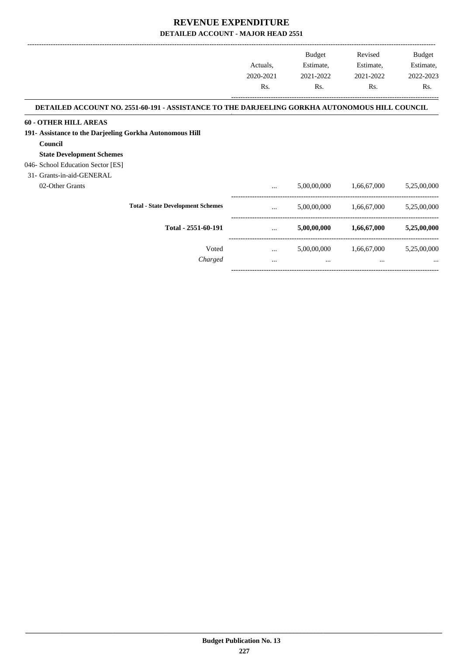-------------------------------------------------------------------------------------------------------------------------------------------------------------------------------

-----------------------------------------------------------------------------------------

|                                                                                                |                     | Actuals,<br>2020-2021 | <b>Budget</b><br>Estimate,<br>2021-2022 | Revised<br>Estimate,<br>2021-2022 | <b>Budget</b><br>Estimate,<br>2022-2023 |
|------------------------------------------------------------------------------------------------|---------------------|-----------------------|-----------------------------------------|-----------------------------------|-----------------------------------------|
|                                                                                                |                     | Rs.                   | Rs.                                     | Rs.                               | Rs.                                     |
| DETAILED ACCOUNT NO. 2551-60-191 - ASSISTANCE TO THE DARJEELING GORKHA AUTONOMOUS HILL COUNCIL |                     |                       |                                         |                                   |                                         |
| <b>60 - OTHER HILL AREAS</b>                                                                   |                     |                       |                                         |                                   |                                         |
| 191- Assistance to the Darjeeling Gorkha Autonomous Hill                                       |                     |                       |                                         |                                   |                                         |
| Council                                                                                        |                     |                       |                                         |                                   |                                         |
| <b>State Development Schemes</b>                                                               |                     |                       |                                         |                                   |                                         |
| 046- School Education Sector [ES]                                                              |                     |                       |                                         |                                   |                                         |
| 31- Grants-in-aid-GENERAL                                                                      |                     |                       |                                         |                                   |                                         |
| 02-Other Grants                                                                                |                     | $\cdots$              | 5,00,00,000                             | 1,66,67,000                       | 5,25,00,000                             |
| <b>Total - State Development Schemes</b>                                                       |                     | $\ddotsc$             | 5,00,00,000                             | 1,66,67,000                       | 5,25,00,000                             |
|                                                                                                | Total - 2551-60-191 | $\cdots$              | 5,00,00,000                             | 1,66,67,000                       | 5,25,00,000                             |
|                                                                                                | Voted               | $\cdots$              | 5,00,00,000                             | 1,66,67,000                       | 5,25,00,000                             |
|                                                                                                | Charged             | $\cdots$              |                                         | $\cdots$                          |                                         |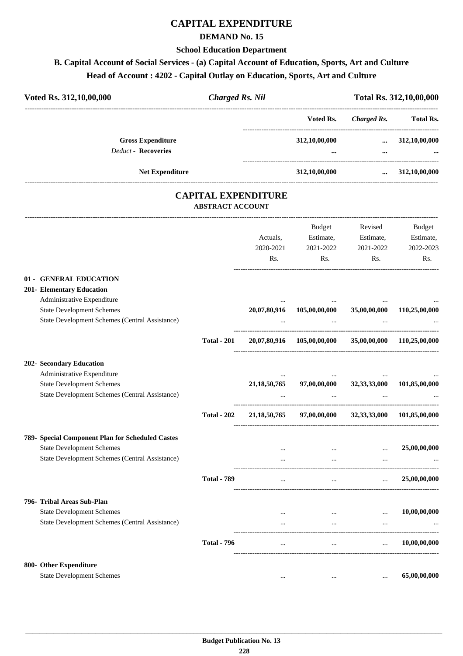### **CAPITAL EXPENDITURE**

### **DEMAND No. 15**

#### **School Education Department**

### **B. Capital Account of Social Services - (a) Capital Account of Education, Sports, Art and Culture Head of Account : 4202 - Capital Outlay on Education, Sports, Art and Culture**

| Voted Rs. 312, 10, 00, 000                             | <b>Charged Rs. Nil</b> | Total Rs. 312,10,00,000   |              |                   |
|--------------------------------------------------------|------------------------|---------------------------|--------------|-------------------|
|                                                        |                        | Voted Rs.                 | Charged Rs.  | <b>Total Rs.</b>  |
| <b>Gross Expenditure</b><br><b>Deduct - Recoveries</b> |                        | 312,10,00,000<br>$\cdots$ | $\cdots$<br> | 312,10,00,000<br> |
| <b>Net Expenditure</b>                                 |                        | 312,10,00,000             | $\cdots$     | 312,10,00,000     |

### **CAPITAL EXPENDITURE ABSTRACT ACCOUNT**

---------------------------------------------------------------------------------------------------------------------------------------------------------------------------------

|                                                                                    |                    | Actuals.<br>2020-2021<br>Rs. | <b>Budget</b><br>Estimate,<br>2021-2022<br>Rs. | Revised<br>Estimate,<br>2021-2022<br>Rs. | <b>Budget</b><br>Estimate,<br>2022-2023<br>Rs. |
|------------------------------------------------------------------------------------|--------------------|------------------------------|------------------------------------------------|------------------------------------------|------------------------------------------------|
| 01 - GENERAL EDUCATION<br>201- Elementary Education                                |                    |                              |                                                |                                          |                                                |
| Administrative Expenditure                                                         |                    |                              |                                                |                                          |                                                |
| <b>State Development Schemes</b>                                                   |                    | 20,07,80,916                 | 105,00,00,000                                  | 35,00,00,000                             | 110,25,00,000                                  |
| State Development Schemes (Central Assistance)                                     |                    |                              |                                                |                                          |                                                |
|                                                                                    | <b>Total - 201</b> |                              | 20,07,80,916 105,00,00,000                     |                                          | 35,00,00,000 110,25,00,000                     |
| 202- Secondary Education                                                           |                    |                              |                                                |                                          |                                                |
| Administrative Expenditure                                                         |                    | $\cdots$                     |                                                |                                          |                                                |
| <b>State Development Schemes</b><br>State Development Schemes (Central Assistance) |                    | 21, 18, 50, 765              | 97,00,00,000                                   | 32, 33, 33, 000                          | 101,85,00,000                                  |
|                                                                                    |                    |                              |                                                |                                          |                                                |
|                                                                                    | <b>Total - 202</b> | 21, 18, 50, 765              | 97,00,00,000                                   | 32, 33, 33, 000                          | 101,85,00,000                                  |
| 789- Special Component Plan for Scheduled Castes                                   |                    |                              |                                                |                                          |                                                |
| <b>State Development Schemes</b>                                                   |                    |                              | $\cdots$                                       | $\cdots$                                 | 25,00,00,000                                   |
| State Development Schemes (Central Assistance)                                     |                    |                              | $\ddotsc$                                      | $\ddotsc$                                |                                                |
|                                                                                    | <b>Total - 789</b> | $\cdots$                     | $\ddotsc$                                      | $\cdots$                                 | 25,00,00,000                                   |
| 796- Tribal Areas Sub-Plan                                                         |                    |                              |                                                |                                          |                                                |
| <b>State Development Schemes</b>                                                   |                    | $\cdots$                     | $\cdots$                                       | $\ddots$                                 | 10,00,00,000                                   |
| <b>State Development Schemes (Central Assistance)</b>                              |                    |                              | $\ddotsc$                                      | $\dddot{\phantom{0}}$                    |                                                |
|                                                                                    | <b>Total - 796</b> |                              | $\cdots$                                       |                                          | 10,00,00,000                                   |
| 800- Other Expenditure                                                             |                    |                              |                                                |                                          |                                                |
| <b>State Development Schemes</b>                                                   |                    |                              |                                                | $\ddotsc$                                | 65,00,00,000                                   |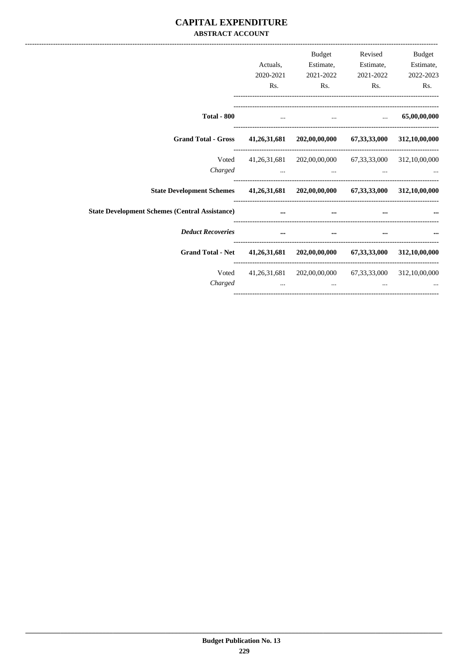### **CAPITAL EXPENDITURE ABSTRACT ACCOUNT**

|                                                                                 | Actuals,<br>2020-2021<br>Rs.                                                                                                                                                                                                         | <b>Budget</b><br>Rs.                                                                                                                                                         | Revised<br>Estimate, Estimate,<br>2021-2022 2021-2022<br>Rs. | Budget<br>Estimate,<br>2022-2023<br>Rs. |
|---------------------------------------------------------------------------------|--------------------------------------------------------------------------------------------------------------------------------------------------------------------------------------------------------------------------------------|------------------------------------------------------------------------------------------------------------------------------------------------------------------------------|--------------------------------------------------------------|-----------------------------------------|
| <b>Total - 800</b>                                                              | $\cdots$                                                                                                                                                                                                                             |                                                                                                                                                                              | $\ldots$ 65,00,00,000                                        |                                         |
| Grand Total - Gross 41,26,31,681 202,00,00,000 67,33,33,000 312,10,00,000       |                                                                                                                                                                                                                                      |                                                                                                                                                                              |                                                              |                                         |
| Voted<br>Charged                                                                | <u>and the community of the community of the community of the community of the community of the community of the community of the community of the community of the community of the community of the community of the community</u> | 41,26,31,681 202,00,00,000 67,33,33,000 312,10,00,000<br>and the contract of the contract of the contract of the contract of the contract of the contract of the contract of | $\cdots$                                                     |                                         |
| State Development Schemes 41,26,31,681 202,00,00,000 67,33,33,000 312,10,00,000 |                                                                                                                                                                                                                                      |                                                                                                                                                                              |                                                              |                                         |
| <b>State Development Schemes (Central Assistance)</b>                           | $\cdots$                                                                                                                                                                                                                             | $\cdots$                                                                                                                                                                     |                                                              |                                         |
| <b>Deduct Recoveries</b>                                                        | $\cdots$                                                                                                                                                                                                                             | $\cdots$                                                                                                                                                                     | $\cdots$                                                     |                                         |
| Grand Total - Net 41,26,31,681 202,00,00,000 67,33,33,000 312,10,00,000         |                                                                                                                                                                                                                                      |                                                                                                                                                                              |                                                              |                                         |
| Charged                                                                         | $\cdots$                                                                                                                                                                                                                             | Voted 41,26,31,681 202,00,00,000 67,33,33,000 312,10,00,000<br>$\cdots$                                                                                                      | $\cdots$                                                     |                                         |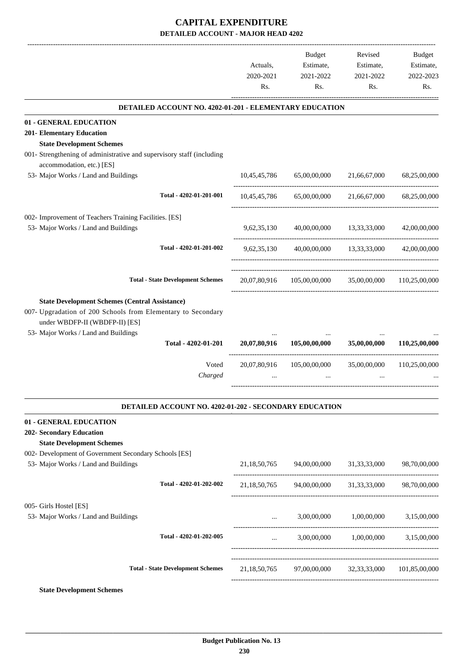|                                                                                                                                                               | Actuals,<br>2020-2021 | <b>Budget</b><br>Estimate,<br>2021-2022               | Revised<br>Estimate,<br>2021-2022 | <b>Budget</b><br>Estimate,<br>2022-2023 |
|---------------------------------------------------------------------------------------------------------------------------------------------------------------|-----------------------|-------------------------------------------------------|-----------------------------------|-----------------------------------------|
|                                                                                                                                                               | Rs.                   | Rs.                                                   | Rs.                               | Rs.                                     |
| DETAILED ACCOUNT NO. 4202-01-201 - ELEMENTARY EDUCATION                                                                                                       |                       |                                                       |                                   |                                         |
| 01 - GENERAL EDUCATION                                                                                                                                        |                       |                                                       |                                   |                                         |
| <b>201- Elementary Education</b>                                                                                                                              |                       |                                                       |                                   |                                         |
| <b>State Development Schemes</b>                                                                                                                              |                       |                                                       |                                   |                                         |
| 001- Strengthening of administrative and supervisory staff (including                                                                                         |                       |                                                       |                                   |                                         |
| accommodation, etc.) [ES]                                                                                                                                     |                       | 65,00,00,000                                          |                                   |                                         |
| 53- Major Works / Land and Buildings                                                                                                                          | 10,45,45,786          |                                                       | 21,66,67,000                      | 68,25,00,000                            |
| Total - 4202-01-201-001                                                                                                                                       | 10,45,45,786          | 65,00,00,000                                          | 21,66,67,000                      | 68,25,00,000                            |
| 002- Improvement of Teachers Training Facilities. [ES]                                                                                                        |                       |                                                       |                                   |                                         |
| 53- Major Works / Land and Buildings                                                                                                                          | 9,62,35,130           | 40,00,00,000                                          | 13, 33, 33, 000                   | 42,00,00,000                            |
|                                                                                                                                                               |                       |                                                       |                                   |                                         |
| Total - 4202-01-201-002                                                                                                                                       | 9,62,35,130           |                                                       | 40,00,00,000 13,33,33,000         | 42,00,00,000                            |
| <b>Total - State Development Schemes</b>                                                                                                                      |                       | 20,07,80,916 105,00,00,000 35,00,00,000 110,25,00,000 |                                   |                                         |
| 007- Upgradation of 200 Schools from Elementary to Secondary<br>under WBDFP-II (WBDFP-II) [ES]<br>53- Major Works / Land and Buildings<br>Total - 4202-01-201 | 20,07,80,916          | 105,00,00,000                                         | 35,00,00,000                      | 110,25,00,000                           |
| Voted                                                                                                                                                         | 20,07,80,916          | 105,00,00,000                                         | 35,00,00,000                      | 110,25,00,000                           |
| Charged                                                                                                                                                       |                       |                                                       |                                   |                                         |
| <b>DETAILED ACCOUNT NO. 4202-01-202 - SECONDARY EDUCATION</b>                                                                                                 |                       |                                                       |                                   |                                         |
| 01 - GENERAL EDUCATION                                                                                                                                        |                       |                                                       |                                   |                                         |
| 202- Secondary Education                                                                                                                                      |                       |                                                       |                                   |                                         |
| <b>State Development Schemes</b>                                                                                                                              |                       |                                                       |                                   |                                         |
| 002- Development of Government Secondary Schools [ES]                                                                                                         |                       |                                                       |                                   |                                         |
| 53- Major Works / Land and Buildings                                                                                                                          |                       | 21,18,50,765 94,00,00,000 31,33,33,000 98,70,00,000   |                                   |                                         |
| Total - 4202-01-202-002                                                                                                                                       |                       | 21,18,50,765 94,00,00,000 31,33,33,000 98,70,00,000   |                                   |                                         |
| 005- Girls Hostel [ES]                                                                                                                                        |                       |                                                       |                                   |                                         |
| 53- Major Works / Land and Buildings                                                                                                                          |                       | $3,00,00,000$ $1,00,00,000$ $3,15,00,000$             |                                   |                                         |
| Total - 4202-01-202-005                                                                                                                                       |                       | $3,00,00,000$ $1,00,00,000$ $3,15,00,000$             |                                   |                                         |
| <b>Total - State Development Schemes</b>                                                                                                                      |                       | 21,18,50,765 97,00,00,000 32,33,33,000 101,85,00,000  |                                   |                                         |
|                                                                                                                                                               |                       |                                                       |                                   |                                         |
| <b>State Development Schemes</b>                                                                                                                              |                       |                                                       |                                   |                                         |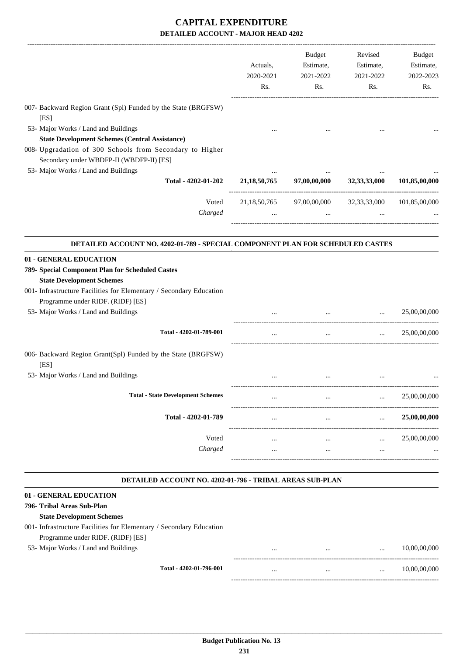|                                                                                                                                                                                                       | Actuals,<br>2020-2021<br>Rs. | Budget<br>Estimate,<br>2021-2022<br>Rs.            | Revised<br>Estimate,<br>2021-2022<br>Rs. | Budget<br>Estimate,<br>2022-2023<br>Rs. |
|-------------------------------------------------------------------------------------------------------------------------------------------------------------------------------------------------------|------------------------------|----------------------------------------------------|------------------------------------------|-----------------------------------------|
| 007- Backward Region Grant (Spl) Funded by the State (BRGFSW)<br>[ES]                                                                                                                                 |                              |                                                    |                                          |                                         |
| 53- Major Works / Land and Buildings<br><b>State Development Schemes (Central Assistance)</b><br>008- Upgradation of 300 Schools from Secondary to Higher<br>Secondary under WBDFP-II (WBDFP-II) [ES] |                              |                                                    |                                          |                                         |
| 53- Major Works / Land and Buildings                                                                                                                                                                  |                              |                                                    |                                          |                                         |
| Total - 4202-01-202                                                                                                                                                                                   | 21, 18, 50, 765              | 97,00,00,000                                       | 32, 33, 33, 000                          | 101,85,00,000                           |
| Voted<br>Charged                                                                                                                                                                                      | $\cdots$                     | 21,18,50,765 97,00,00,000 32,33,33,000<br>$\cdots$ | $\cdots$                                 | 101,85,00,000                           |
| DETAILED ACCOUNT NO. 4202-01-789 - SPECIAL COMPONENT PLAN FOR SCHEDULED CASTES                                                                                                                        |                              |                                                    |                                          |                                         |
| 01 - GENERAL EDUCATION<br>789- Special Component Plan for Scheduled Castes<br><b>State Development Schemes</b><br>001- Infrastructure Facilities for Elementary / Secondary Education                 |                              |                                                    |                                          |                                         |
| Programme under RIDF. (RIDF) [ES]<br>53- Major Works / Land and Buildings                                                                                                                             |                              | $\cdots$                                           | $\ddots$                                 | 25,00,00,000                            |
| Total - 4202-01-789-001                                                                                                                                                                               | $\cdots$                     | $\cdots$                                           | $\sim 10^{-10}$                          | 25,00,00,000                            |
| 006- Backward Region Grant(Spl) Funded by the State (BRGFSW)<br>[ES]                                                                                                                                  |                              |                                                    |                                          |                                         |
| 53- Major Works / Land and Buildings                                                                                                                                                                  |                              | $\cdots$                                           |                                          |                                         |
| <b>Total - State Development Schemes</b>                                                                                                                                                              |                              |                                                    |                                          | 25,00,00,000                            |
| Total - 4202-01-789                                                                                                                                                                                   |                              |                                                    |                                          | 25,00,00,000                            |
| Voted                                                                                                                                                                                                 | $\cdots$                     | $\cdots$                                           | $\cdots$                                 | 25,00,00,000                            |
| Charged                                                                                                                                                                                               | $\cdots$                     | $\cdots$                                           |                                          |                                         |
| DETAILED ACCOUNT NO. 4202-01-796 - TRIBAL AREAS SUB-PLAN                                                                                                                                              |                              |                                                    |                                          |                                         |
| 01 - GENERAL EDUCATION<br>796- Tribal Areas Sub-Plan<br><b>State Development Schemes</b><br>001- Infrastructure Facilities for Elementary / Secondary Education<br>Programme under RIDF. (RIDF) [ES]  |                              |                                                    |                                          |                                         |
| 53- Major Works / Land and Buildings                                                                                                                                                                  |                              |                                                    |                                          | 10,00,00,000                            |
| Total - 4202-01-796-001                                                                                                                                                                               |                              | $\cdots$                                           | $\cdots$                                 | 10,00,00,000                            |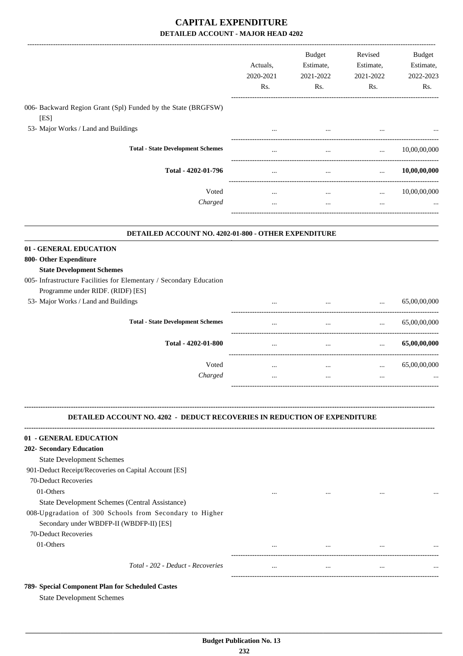|                                                                                                     | Actuals,<br>2020-2021<br>Rs. | Budget<br>Estimate,<br>2021-2022<br>Rs. | Revised<br>Estimate,<br>2021-2022<br>Rs. | <b>Budget</b><br>Estimate,<br>2022-2023<br>Rs. |
|-----------------------------------------------------------------------------------------------------|------------------------------|-----------------------------------------|------------------------------------------|------------------------------------------------|
| 006- Backward Region Grant (Spl) Funded by the State (BRGFSW)                                       |                              |                                         |                                          |                                                |
| [ES]                                                                                                |                              |                                         |                                          |                                                |
| 53- Major Works / Land and Buildings                                                                |                              | $\cdots$                                |                                          |                                                |
| <b>Total - State Development Schemes</b>                                                            |                              | $\cdots$                                | $\cdots$                                 | 10,00,00,000                                   |
| Total - 4202-01-796                                                                                 | $\cdots$                     | $\cdots$                                | $\cdots$                                 | 10,00,00,000                                   |
| Voted                                                                                               |                              |                                         |                                          |                                                |
| Charged                                                                                             | $\cdots$<br>$\cdots$         | $\cdots$<br>$\cdots$                    | $\cdots$<br>$\cdots$                     | 10,00,00,000                                   |
| DETAILED ACCOUNT NO. 4202-01-800 - OTHER EXPENDITURE                                                |                              |                                         |                                          |                                                |
| 01 - GENERAL EDUCATION                                                                              |                              |                                         |                                          |                                                |
| 800- Other Expenditure                                                                              |                              |                                         |                                          |                                                |
| <b>State Development Schemes</b>                                                                    |                              |                                         |                                          |                                                |
| 005- Infrastructure Facilities for Elementary / Secondary Education                                 |                              |                                         |                                          |                                                |
| Programme under RIDF. (RIDF) [ES]                                                                   |                              |                                         |                                          |                                                |
| 53- Major Works / Land and Buildings                                                                |                              | $\cdots$                                | $\cdots$                                 | 65,00,00,000                                   |
| <b>Total - State Development Schemes</b>                                                            | $\cdots$                     | $\cdots$                                | $\cdots$                                 | 65,00,00,000                                   |
| Total - 4202-01-800                                                                                 |                              | $\cdots$                                | $\cdots$                                 | 65,00,00,000                                   |
| Voted                                                                                               | $\cdots$                     | $\cdots$                                | $\cdots$                                 | 65,00,00,000                                   |
| Charged                                                                                             | $\cdots$                     | $\cdots$                                | $\cdots$                                 |                                                |
| <b>DETAILED ACCOUNT NO. 4202 - DEDUCT RECOVERIES IN REDUCTION OF EXPENDITURE</b>                    |                              |                                         |                                          |                                                |
| 01 - GENERAL EDUCATION                                                                              |                              |                                         |                                          |                                                |
| <b>202- Secondary Education</b>                                                                     |                              |                                         |                                          |                                                |
| <b>State Development Schemes</b>                                                                    |                              |                                         |                                          |                                                |
| 901-Deduct Receipt/Recoveries on Capital Account [ES]                                               |                              |                                         |                                          |                                                |
| 70-Deduct Recoveries                                                                                |                              |                                         |                                          |                                                |
| 01-Others                                                                                           | $\cdots$                     | $\cdots$                                |                                          |                                                |
| State Development Schemes (Central Assistance)                                                      |                              |                                         |                                          |                                                |
| 008-Upgradation of 300 Schools from Secondary to Higher<br>Secondary under WBDFP-II (WBDFP-II) [ES] |                              |                                         |                                          |                                                |
| 70-Deduct Recoveries<br>01-Others                                                                   |                              |                                         |                                          |                                                |
|                                                                                                     |                              | $\sim$ $\sim$ $\sim$                    | $\cdots$                                 |                                                |
| Total - 202 - Deduct - Recoveries                                                                   | $\cdots$                     | $\cdots$                                | $\cdots$                                 |                                                |
| 789- Special Component Plan for Scheduled Castes                                                    |                              |                                         |                                          |                                                |
| <b>State Development Schemes</b>                                                                    |                              |                                         |                                          |                                                |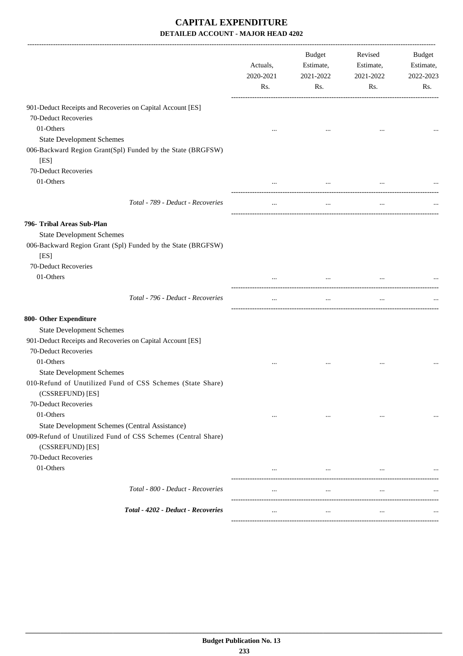|                                                                                  | Actuals,<br>2020-2021<br>Rs. | Budget<br>Estimate,<br>2021-2022<br>Rs. | Revised<br>Estimate,<br>2021-2022<br>Rs. | Budget<br>Estimate,<br>2022-2023<br>Rs. |
|----------------------------------------------------------------------------------|------------------------------|-----------------------------------------|------------------------------------------|-----------------------------------------|
| 901-Deduct Receipts and Recoveries on Capital Account [ES]                       |                              |                                         |                                          |                                         |
| 70-Deduct Recoveries                                                             |                              |                                         |                                          |                                         |
| 01-Others                                                                        |                              | $\cdots$                                | $\cdots$                                 |                                         |
| <b>State Development Schemes</b>                                                 |                              |                                         |                                          |                                         |
| 006-Backward Region Grant(Spl) Funded by the State (BRGFSW)<br>[ES]              |                              |                                         |                                          |                                         |
| 70-Deduct Recoveries                                                             |                              |                                         |                                          |                                         |
| 01-Others                                                                        | $\cdots$                     | $\cdots$                                | $\ldots$                                 |                                         |
| Total - 789 - Deduct - Recoveries                                                | $\cdots$                     | $\cdots$                                | $\cdots$                                 |                                         |
| 796- Tribal Areas Sub-Plan                                                       |                              |                                         |                                          |                                         |
| <b>State Development Schemes</b>                                                 |                              |                                         |                                          |                                         |
| 006-Backward Region Grant (Spl) Funded by the State (BRGFSW)                     |                              |                                         |                                          |                                         |
| [ES]                                                                             |                              |                                         |                                          |                                         |
| 70-Deduct Recoveries                                                             |                              |                                         |                                          |                                         |
| 01-Others                                                                        |                              |                                         |                                          |                                         |
| Total - 796 - Deduct - Recoveries                                                | $\cdots$                     | $\cdots$                                |                                          |                                         |
| 800- Other Expenditure                                                           |                              |                                         |                                          |                                         |
| <b>State Development Schemes</b>                                                 |                              |                                         |                                          |                                         |
| 901-Deduct Receipts and Recoveries on Capital Account [ES]                       |                              |                                         |                                          |                                         |
| 70-Deduct Recoveries                                                             |                              |                                         |                                          |                                         |
| 01-Others                                                                        |                              |                                         | $\ddotsc$                                |                                         |
| <b>State Development Schemes</b>                                                 |                              |                                         |                                          |                                         |
| 010-Refund of Unutilized Fund of CSS Schemes (State Share)<br>(CSSREFUND) [ES]   |                              |                                         |                                          |                                         |
| 70-Deduct Recoveries                                                             |                              |                                         |                                          |                                         |
| 01-Others                                                                        | $\ddotsc$                    | $\cdots$                                | $\cdots$                                 |                                         |
| State Development Schemes (Central Assistance)                                   |                              |                                         |                                          |                                         |
| 009-Refund of Unutilized Fund of CSS Schemes (Central Share)<br>(CSSREFUND) [ES] |                              |                                         |                                          |                                         |
| 70-Deduct Recoveries                                                             |                              |                                         |                                          |                                         |
| 01-Others                                                                        | $\cdots$                     | $\cdots$                                | $\cdots$                                 |                                         |
| Total - 800 - Deduct - Recoveries                                                |                              |                                         |                                          |                                         |
|                                                                                  | $\cdots$                     | $\cdots$                                | $\cdots$                                 |                                         |
| Total - 4202 - Deduct - Recoveries                                               | $\cdots$                     | $\cdots$                                | $\cdots$                                 |                                         |
|                                                                                  |                              |                                         |                                          |                                         |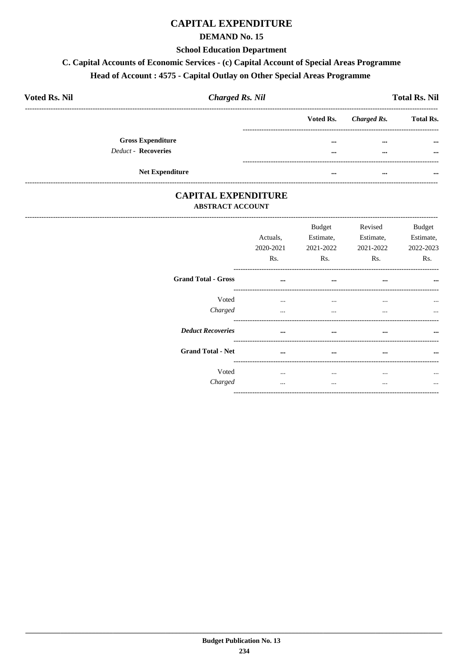### **CAPITAL EXPENDITURE**

#### **DEMAND No. 15**

#### **School Education Department**

### C. Capital Accounts of Economic Services - (c) Capital Account of Special Areas Programme

### Head of Account: 4575 - Capital Outlay on Other Special Areas Programme

| <b>Voted Rs. Nil</b>       | <b>Charged Rs. Nil</b> |          |                       | <b>Total Rs. Nil</b> |
|----------------------------|------------------------|----------|-----------------------|----------------------|
|                            |                        |          | Voted Rs. Charged Rs. | <b>Total Rs.</b>     |
| <b>Gross Expenditure</b>   |                        | $\cdots$ | $\cdots$              | $\cdots$             |
| <b>Deduct - Recoveries</b> |                        | $\cdots$ | $\cdots$              | $\cdots$             |
|                            | <b>Net Expenditure</b> | $\cdots$ | $\cdots$              | $\cdots$             |

### **CAPITAL EXPENDITURE ABSTRACT ACCOUNT**

------------------------------------

|                            | Actuals,<br>2020-2021<br>Rs. | <b>Budget</b><br>Estimate,<br>2021-2022<br>Rs. | Revised<br>Estimate,<br>2021-2022<br>Rs. | <b>Budget</b><br>Estimate,<br>2022-2023<br>Rs. |
|----------------------------|------------------------------|------------------------------------------------|------------------------------------------|------------------------------------------------|
| <b>Grand Total - Gross</b> | $\cdots$                     | $\cdots$                                       | $\cdots$                                 | $\ddotsc$                                      |
| Voted<br>Charged           | $\cdots$<br>$\cdots$         | $\cdots$<br>$\cdots$                           | $\cdots$<br>$\cdots$                     | $\ddotsc$                                      |
| <b>Deduct Recoveries</b>   | $\ddotsc$                    | $\cdots$                                       | $\cdots$                                 | $\ddotsc$                                      |
| <b>Grand Total - Net</b>   |                              | $\cdots$                                       | $\cdots$                                 | $\ddotsc$                                      |
| Voted<br>Charged           | $\cdots$<br>                 | $\cdots$<br>                                   | $\cdots$<br>                             | $\ddotsc$<br>$\cdots$                          |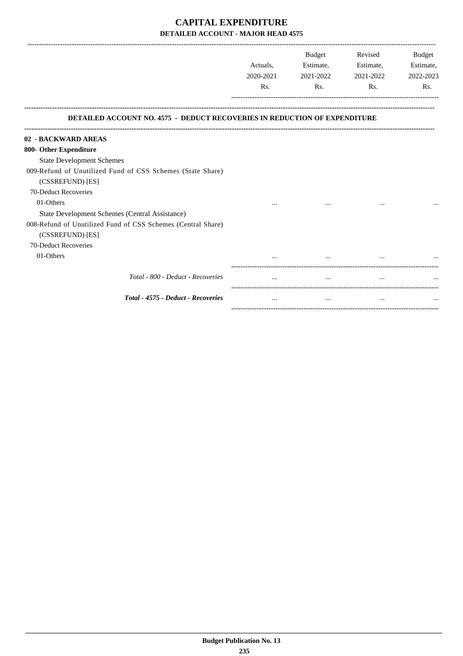|                                                                                  |           | <b>Budget</b> | Revised   | Budget           |
|----------------------------------------------------------------------------------|-----------|---------------|-----------|------------------|
|                                                                                  | Actuals,  | Estimate,     | Estimate, | Estimate,        |
|                                                                                  | 2020-2021 | 2021-2022     | 2021-2022 | 2022-2023        |
|                                                                                  | Rs.       | Rs.           | Rs.       | R <sub>s</sub> . |
| <b>DETAILED ACCOUNT NO. 4575 - DEDUCT RECOVERIES IN REDUCTION OF EXPENDITURE</b> |           |               |           |                  |
| 02 - BACKWARD AREAS                                                              |           |               |           |                  |
| 800- Other Expenditure                                                           |           |               |           |                  |
| <b>State Development Schemes</b>                                                 |           |               |           |                  |
| 009-Refund of Unutilized Fund of CSS Schemes (State Share)                       |           |               |           |                  |
| (CSSREFUND) [ES]                                                                 |           |               |           |                  |
| 70-Deduct Recoveries                                                             |           |               |           |                  |
| 01-Others                                                                        |           |               |           |                  |
| State Development Schemes (Central Assistance)                                   |           |               |           |                  |
| 008-Refund of Unutilized Fund of CSS Schemes (Central Share)                     |           |               |           |                  |
| (CSSREFUND) [ES]                                                                 |           |               |           |                  |
| 70-Deduct Recoveries                                                             |           |               |           |                  |
| 01-Others                                                                        |           |               |           |                  |
| Total - 800 - Deduct - Recoveries                                                |           | $\cdots$      | $\cdots$  |                  |
| Total - 4575 - Deduct - Recoveries                                               |           | $\cdots$      | $\cdots$  |                  |
|                                                                                  |           |               |           |                  |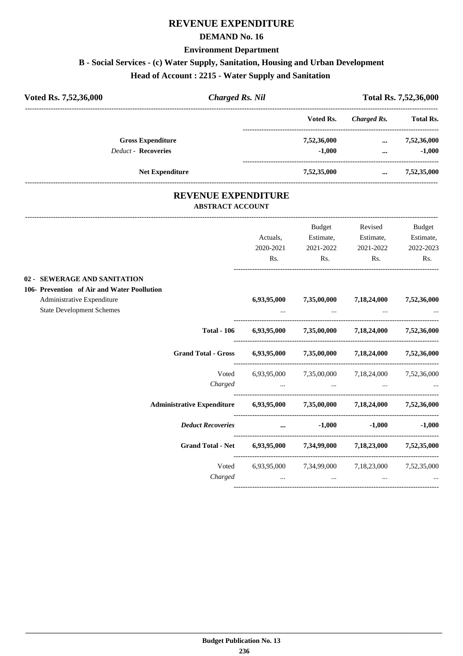### **REVENUE EXPENDITURE**

### **DEMAND No. 16**

#### **Environment Department**

### **B - Social Services - (c) Water Supply, Sanitation, Housing and Urban Development**

**Head of Account : 2215 - Water Supply and Sanitation** 

| Voted Rs. 7,52,36,000      |                          | <b>Charged Rs. Nil</b> |             | Total Rs. 7,52,36,000 |                  |  |
|----------------------------|--------------------------|------------------------|-------------|-----------------------|------------------|--|
|                            |                          |                        | Voted Rs.   | Charged Rs.           | <b>Total Rs.</b> |  |
|                            | <b>Gross Expenditure</b> |                        | 7,52,36,000 | $\cdots$              | 7,52,36,000      |  |
| <b>Deduct - Recoveries</b> |                          |                        | $-1,000$    | $\cdots$              | $-1.000$         |  |
|                            | <b>Net Expenditure</b>   |                        | 7,52,35,000 | $\cdots$              | 7,52,35,000      |  |

### **REVENUE EXPENDITURE ABSTRACT ACCOUNT**

---------------------------------------------------------------------------------------------------------------------------------------------------------------------------------

| Actuals.<br>2020-2021<br>Rs. | Budget<br>Estimate,<br>2021-2022<br>Rs. | Revised<br>Rs. | Budget<br>Estimate,<br>2022-2023<br>Rs.                                                                                                                                                                                                                                                                                                                                                                                                                                                                                                                                                                                                                                                                                                                         |
|------------------------------|-----------------------------------------|----------------|-----------------------------------------------------------------------------------------------------------------------------------------------------------------------------------------------------------------------------------------------------------------------------------------------------------------------------------------------------------------------------------------------------------------------------------------------------------------------------------------------------------------------------------------------------------------------------------------------------------------------------------------------------------------------------------------------------------------------------------------------------------------|
|                              |                                         |                |                                                                                                                                                                                                                                                                                                                                                                                                                                                                                                                                                                                                                                                                                                                                                                 |
|                              |                                         |                | 7,52,36,000                                                                                                                                                                                                                                                                                                                                                                                                                                                                                                                                                                                                                                                                                                                                                     |
|                              |                                         |                |                                                                                                                                                                                                                                                                                                                                                                                                                                                                                                                                                                                                                                                                                                                                                                 |
|                              |                                         |                |                                                                                                                                                                                                                                                                                                                                                                                                                                                                                                                                                                                                                                                                                                                                                                 |
|                              |                                         |                |                                                                                                                                                                                                                                                                                                                                                                                                                                                                                                                                                                                                                                                                                                                                                                 |
|                              |                                         |                |                                                                                                                                                                                                                                                                                                                                                                                                                                                                                                                                                                                                                                                                                                                                                                 |
|                              |                                         |                |                                                                                                                                                                                                                                                                                                                                                                                                                                                                                                                                                                                                                                                                                                                                                                 |
|                              |                                         |                |                                                                                                                                                                                                                                                                                                                                                                                                                                                                                                                                                                                                                                                                                                                                                                 |
|                              |                                         |                |                                                                                                                                                                                                                                                                                                                                                                                                                                                                                                                                                                                                                                                                                                                                                                 |
|                              | <b>Total - 106</b>                      | 6,93,95,000    | Estimate,<br>2021-2022<br>7,35,00,000 7,18,24,000<br>and the contract of the contract of the contract of the contract of the contract of the contract of the contract of<br>6,93,95,000 7,35,00,000 7,18,24,000 7,52,36,000<br>Grand Total - Gross 6,93,95,000 7,35,00,000 7,18,24,000 7,52,36,000<br>Voted 6,93,95,000 7,35,00,000 7,18,24,000 7,52,36,000<br>$Charged$ $\dots$ $\dots$ $\dots$ $\dots$<br>Administrative Expenditure 6,93,95,000 7,35,00,000 7,18,24,000 7,52,36,000<br>$-1,000$ $-1,000$ $-1,000$<br>Grand Total - Net 6,93,95,000 7,34,99,000 7,18,23,000 7,52,35,000<br>6,93,95,000 7,34,99,000 7,18,23,000 7,52,35,000<br>the contract of the contract of the contract of the contract of the contract of the contract of the contract of |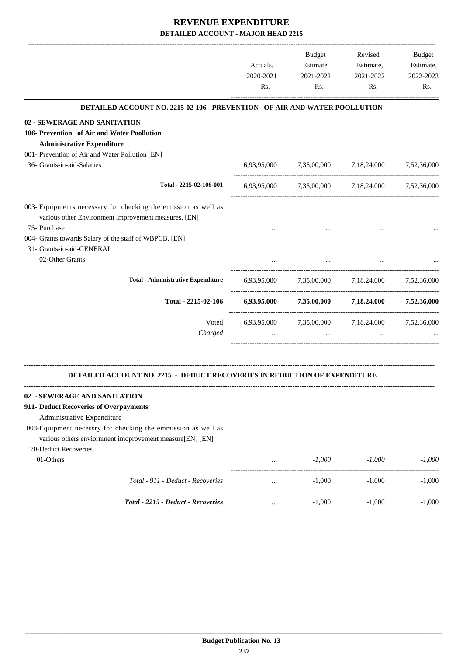|                                                                                                                          | Actuals,<br>2020-2021 | Budget<br>Estimate,<br>2021-2022 | Revised<br>Estimate,<br>2021-2022               | Budget<br>Estimate,<br>2022-2023 |
|--------------------------------------------------------------------------------------------------------------------------|-----------------------|----------------------------------|-------------------------------------------------|----------------------------------|
|                                                                                                                          | Rs.                   | Rs.                              | Rs.                                             | Rs.                              |
| DETAILED ACCOUNT NO. 2215-02-106 - PREVENTION OF AIR AND WATER POOLLUTION                                                |                       |                                  |                                                 |                                  |
| 02 - SEWERAGE AND SANITATION                                                                                             |                       |                                  |                                                 |                                  |
| 106- Prevention of Air and Water Poollution                                                                              |                       |                                  |                                                 |                                  |
| <b>Administrative Expenditure</b>                                                                                        |                       |                                  |                                                 |                                  |
| 001- Prevention of Air and Water Pollution [EN]                                                                          |                       |                                  |                                                 |                                  |
| 36- Grants-in-aid-Salaries                                                                                               |                       |                                  | 6,93,95,000 7,35,00,000 7,18,24,000 7,52,36,000 |                                  |
| Total - 2215-02-106-001                                                                                                  |                       |                                  | 6,93,95,000 7,35,00,000 7,18,24,000 7,52,36,000 |                                  |
| 003- Equipments necessary for checking the emission as well as<br>various other Environment improvement measures. [EN]   |                       |                                  |                                                 |                                  |
| 75- Purchase<br>004- Grants towards Salary of the staff of WBPCB. [EN]<br>31- Grants-in-aid-GENERAL                      |                       |                                  |                                                 |                                  |
| 02-Other Grants                                                                                                          |                       |                                  |                                                 |                                  |
| <b>Total - Administrative Expenditure</b>                                                                                |                       |                                  | 6,93,95,000 7,35,00,000 7,18,24,000 7,52,36,000 |                                  |
| Total - 2215-02-106                                                                                                      |                       |                                  | 6,93,95,000 7,35,00,000 7,18,24,000 7,52,36,000 |                                  |
| Voted<br>Charged                                                                                                         |                       |                                  | 6,93,95,000 7,35,00,000 7,18,24,000 7,52,36,000 |                                  |
| <b>DETAILED ACCOUNT NO. 2215 - DEDUCT RECOVERIES IN REDUCTION OF EXPENDITURE</b>                                         |                       |                                  |                                                 |                                  |
| 02 - SEWERAGE AND SANITATION                                                                                             |                       |                                  |                                                 |                                  |
| 911- Deduct Recoveries of Overpayments<br>Administrative Expenditure                                                     |                       |                                  |                                                 |                                  |
| 003-Equipment necessry for checking the emmission as well as<br>various others enviornment imoprovement measure[EN] [EN] |                       |                                  |                                                 |                                  |
| 70-Deduct Recoveries<br>01-Others                                                                                        |                       | $-1,000$                         | $-1,000$                                        | $-1,000$                         |
|                                                                                                                          | $\cdots$              |                                  |                                                 |                                  |
| Total - 911 - Deduct - Recoveries                                                                                        | $\cdots$              | $-1,000$                         | $-1,000$                                        | $-1,000$                         |
| Total - 2215 - Deduct - Recoveries                                                                                       | $\cdots$              | $-1,000$                         | $-1,000$                                        | $-1,000$                         |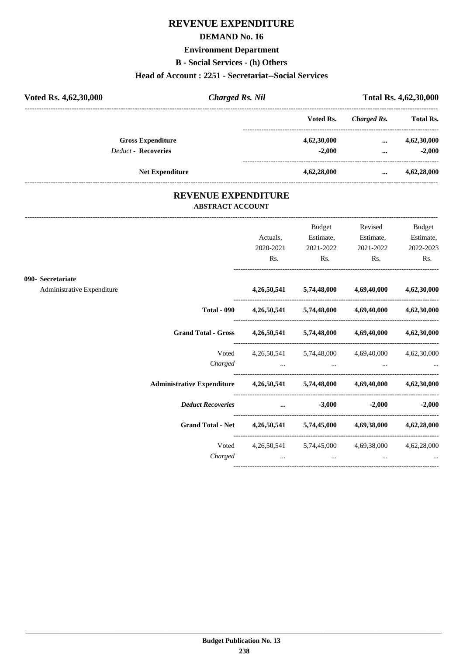### **REVENUE EXPENDITURE**

#### **DEMAND No. 16**

#### **Environment Department**

**B - Social Services - (h) Others**

#### **Head of Account : 2251 - Secretariat--Social Services**

| Voted Rs. 4,62,30,000      | <b>Charged Rs. Nil</b> |             |             | Total Rs. 4,62,30,000 |
|----------------------------|------------------------|-------------|-------------|-----------------------|
|                            |                        | Voted Rs.   | Charged Rs. | <b>Total Rs.</b>      |
| <b>Gross Expenditure</b>   |                        | 4,62,30,000 | $\cdots$    | 4,62,30,000           |
| <b>Deduct - Recoveries</b> |                        | $-2.000$    | $\cdots$    | $-2.000$              |
| <b>Net Expenditure</b>     |                        | 4,62,28,000 | $\cdots$    | 4,62,28,000           |

### **REVENUE EXPENDITURE ABSTRACT ACCOUNT**

---------------------------------------------------------------------------------------------------------------------------------------------------------------------------------

|                                                 |                                                                                                                                                                                                                                | Actuals,<br>2020-2021<br>Rs. | Budget<br>Estimate,<br>2021-2022<br>$\mathbf{Rs.}$                                                                                                                              | Revised<br>Estimate,<br>2021-2022<br>$\mathbf{Rs.}$ | <b>Budget</b><br>Estimate,<br>2022-2023<br>Rs. |
|-------------------------------------------------|--------------------------------------------------------------------------------------------------------------------------------------------------------------------------------------------------------------------------------|------------------------------|---------------------------------------------------------------------------------------------------------------------------------------------------------------------------------|-----------------------------------------------------|------------------------------------------------|
| 090- Secretariate<br>Administrative Expenditure |                                                                                                                                                                                                                                |                              | 4,26,50,541 5,74,48,000 4,69,40,000 4,62,30,000                                                                                                                                 |                                                     |                                                |
|                                                 |                                                                                                                                                                                                                                |                              | Total - 090 $4,26,50,541$ $5,74,48,000$ $4,69,40,000$ $4,62,30,000$                                                                                                             |                                                     |                                                |
|                                                 | Grand Total - Gross 4,26,50,541 5,74,48,000 4,69,40,000 4,62,30,000                                                                                                                                                            |                              |                                                                                                                                                                                 |                                                     |                                                |
|                                                 | Voted<br>Charged                                                                                                                                                                                                               |                              | 4, 26, 50, 541 5, 74, 48, 000 4, 69, 40, 000 4, 62, 30, 000<br>and the company of the company of the company of the company of the company of the company of the company of the |                                                     |                                                |
|                                                 | Administrative Expenditure 4,26,50,541 5,74,48,000 4,69,40,000 4,62,30,000                                                                                                                                                     |                              |                                                                                                                                                                                 |                                                     |                                                |
|                                                 | Deduct Recoveries and the set of the set of the set of the set of the set of the set of the set of the set of the set of the set of the set of the set of the set of the set of the set of the set of the set of the set of th |                              |                                                                                                                                                                                 |                                                     | $-2,000$ $-2,000$                              |
|                                                 | Grand Total - Net 4,26,50,541 5,74,45,000 4,69,38,000 4,62,28,000                                                                                                                                                              |                              |                                                                                                                                                                                 |                                                     |                                                |
|                                                 | Charged                                                                                                                                                                                                                        | $\cdots$                     | Voted 4,26,50,541 5,74,45,000 4,69,38,000 4,62,28,000<br>$\cdots$                                                                                                               | $\cdots$                                            |                                                |
|                                                 |                                                                                                                                                                                                                                |                              |                                                                                                                                                                                 |                                                     |                                                |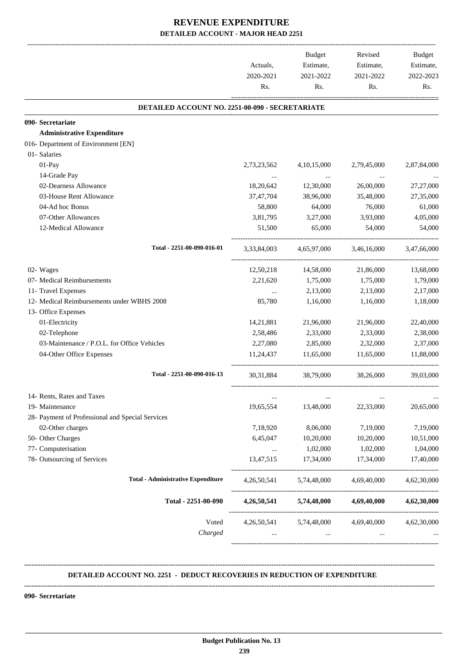|                                                  | Actuals,<br>2020-2021<br>Rs. | <b>Budget</b><br>Estimate,<br>2021-2022<br>Rs. | Revised<br>Estimate,<br>2021-2022<br>Rs. | Budget<br>Estimate,<br>2022-2023<br>Rs. |
|--------------------------------------------------|------------------------------|------------------------------------------------|------------------------------------------|-----------------------------------------|
| DETAILED ACCOUNT NO. 2251-00-090 - SECRETARIATE  |                              |                                                |                                          |                                         |
| 090- Secretariate                                |                              |                                                |                                          |                                         |
| <b>Administrative Expenditure</b>                |                              |                                                |                                          |                                         |
| 016- Department of Environment [EN]              |                              |                                                |                                          |                                         |
| 01- Salaries                                     |                              |                                                |                                          |                                         |
| 01-Pay                                           | 2,73,23,562                  | 4, 10, 15, 000                                 | 2,79,45,000                              | 2,87,84,000                             |
| 14-Grade Pay                                     |                              | $\sim$ 100 $\mu$                               | $\ldots$                                 |                                         |
| 02-Dearness Allowance                            | 18,20,642                    | 12,30,000                                      | 26,00,000                                | 27,27,000                               |
| 03-House Rent Allowance                          | 37,47,704                    | 38,96,000                                      | 35,48,000                                | 27,35,000                               |
| 04-Ad hoc Bonus                                  | 58,800                       | 64,000                                         | 76,000                                   | 61,000                                  |
| 07-Other Allowances                              | 3,81,795                     | 3,27,000                                       | 3,93,000                                 | 4,05,000                                |
| 12-Medical Allowance                             | 51,500                       | 65,000                                         | 54,000                                   | 54,000                                  |
| Total - 2251-00-090-016-01                       | 3,33,84,003                  | 4,65,97,000                                    | 3,46,16,000                              | 3,47,66,000                             |
| 02- Wages                                        | 12,50,218                    | 14,58,000                                      | 21,86,000                                | 13,68,000                               |
| 07- Medical Reimbursements                       | 2,21,620                     | 1,75,000                                       | 1,75,000                                 | 1,79,000                                |
| 11- Travel Expenses                              | $\cdots$                     | 2,13,000                                       | 2,13,000                                 | 2,17,000                                |
| 12- Medical Reimbursements under WBHS 2008       | 85,780                       | 1,16,000                                       | 1,16,000                                 | 1,18,000                                |
| 13- Office Expenses                              |                              |                                                |                                          |                                         |
| 01-Electricity                                   | 14,21,881                    | 21,96,000                                      | 21,96,000                                | 22,40,000                               |
| 02-Telephone                                     | 2,58,486                     | 2,33,000                                       | 2,33,000                                 | 2,38,000                                |
| 03-Maintenance / P.O.L. for Office Vehicles      | 2,27,080                     | 2,85,000                                       | 2,32,000                                 | 2,37,000                                |
| 04-Other Office Expenses                         | 11.24.437                    | 11,65,000                                      | 11,65,000                                | 11,88,000                               |
| Total - 2251-00-090-016-13                       | 30,31,884                    | 38,79,000                                      | 38,26,000                                | 39,03,000                               |
| 14- Rents, Rates and Taxes                       | $\cdots$                     | $\cdots$                                       | $\cdots$                                 |                                         |
| 19- Maintenance                                  | 19,65,554                    | 13,48,000                                      | 22,33,000                                | 20,65,000                               |
| 28- Payment of Professional and Special Services |                              |                                                |                                          |                                         |
| 02-Other charges                                 | 7,18,920                     | 8,06,000                                       | 7,19,000                                 | 7,19,000                                |
| 50- Other Charges                                | 6,45,047                     | 10,20,000                                      | 10,20,000                                | 10,51,000                               |
| 77- Computerisation                              | $\cdots$                     | 1,02,000                                       | 1,02,000                                 | 1,04,000                                |
| 78- Outsourcing of Services                      | 13,47,515                    | 17,34,000                                      | 17,34,000                                | 17,40,000                               |
| <b>Total - Administrative Expenditure</b>        | 4, 26, 50, 541               | 5,74,48,000                                    | 4,69,40,000                              | 4,62,30,000                             |
| Total - 2251-00-090                              | 4,26,50,541                  | 5,74,48,000                                    | 4,69,40,000                              | 4,62,30,000                             |
| Voted<br>Charged                                 | 4, 26, 50, 541<br>$\cdots$   | 5,74,48,000<br>$\cdots$                        | 4,69,40,000<br>$\cdots$                  | 4,62,30,000                             |

#### **DETAILED ACCOUNT NO. 2251 - DEDUCT RECOVERIES IN REDUCTION OF EXPENDITURE**

**--------------------------------------------------------------------------------------------------------------------------------------------------------------------------------**

 **\_\_\_\_\_\_\_\_\_\_\_\_\_\_\_\_\_\_\_\_\_\_\_\_\_\_\_\_\_\_\_\_\_\_\_\_\_\_\_\_\_\_\_\_\_\_\_\_\_\_\_\_\_\_\_\_\_\_\_\_\_\_\_\_\_\_\_\_\_\_\_\_\_\_\_\_\_\_\_\_\_\_\_\_\_\_\_\_\_\_\_\_\_\_\_\_\_\_\_\_\_\_\_\_\_\_\_\_\_\_\_\_\_\_\_\_\_\_\_**

**--------------------------------------------------------------------------------------------------------------------------------------------------------------------------------**

**090- Secretariate**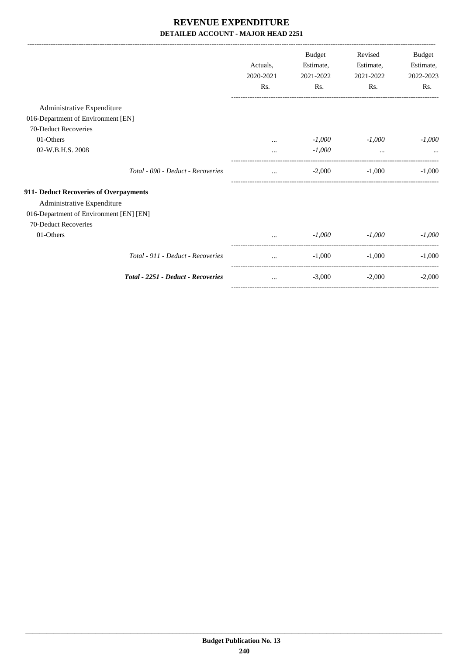|                                         |                       | <b>Budget</b>          | Revised                | <b>Budget</b>          |
|-----------------------------------------|-----------------------|------------------------|------------------------|------------------------|
|                                         | Actuals,<br>2020-2021 | Estimate,<br>2021-2022 | Estimate,<br>2021-2022 | Estimate,<br>2022-2023 |
|                                         | Rs.                   | Rs.                    | Rs.                    | Rs.                    |
| Administrative Expenditure              |                       |                        |                        |                        |
| 016-Department of Environment [EN]      |                       |                        |                        |                        |
| 70-Deduct Recoveries                    |                       |                        |                        |                        |
| 01-Others                               |                       | $-1,000$               | $-1,000$               | $-1,000$               |
| 02-W.B.H.S. 2008                        |                       | $-1,000$               | $\cdots$               |                        |
| Total - 090 - Deduct - Recoveries       | $\cdots$              | $-2,000$               | $-1,000$               | $-1,000$               |
| 911- Deduct Recoveries of Overpayments  |                       |                        |                        |                        |
| Administrative Expenditure              |                       |                        |                        |                        |
| 016-Department of Environment [EN] [EN] |                       |                        |                        |                        |
| 70-Deduct Recoveries                    |                       |                        |                        |                        |
| 01-Others                               | $\cdots$              | $-1,000$               | $-1,000$               | $-1,000$               |
| Total - 911 - Deduct - Recoveries       | $\cdots$              | $-1,000$               | $-1,000$               | $-1,000$               |
| Total - 2251 - Deduct - Recoveries      | $\cdots$              | $-3,000$               | $-2,000$               | $-2,000$               |

-----------------------------------------------------------------------------------------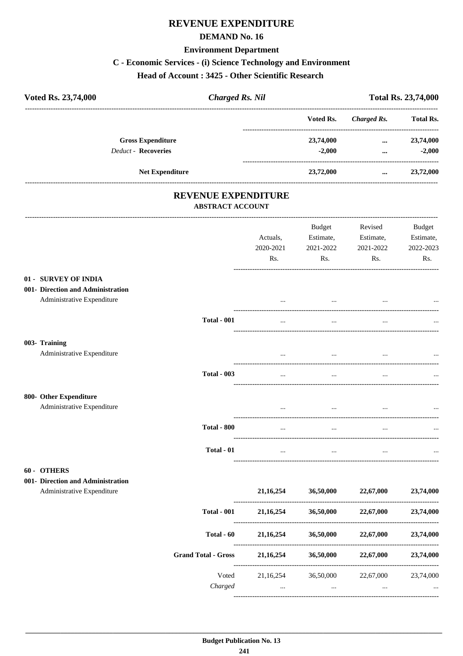### **REVENUE EXPENDITURE**

#### **DEMAND No. 16**

#### **Environment Department**

#### C - Economic Services - (i) Science Technology and Environment

#### Head of Account: 3425 - Other Scientific Research

| Voted Rs. 23,74,000 | <b>Charged Rs. Nil</b>     |                    | <b>Total Rs. 23,74,000</b> |             |                  |
|---------------------|----------------------------|--------------------|----------------------------|-------------|------------------|
|                     |                            |                    | Voted Rs.                  | Charged Rs. | <b>Total Rs.</b> |
|                     | <b>Gross Expenditure</b>   |                    | 23,74,000                  | $\cdots$    | 23,74,000        |
|                     | <b>Deduct - Recoveries</b> |                    | $-2.000$                   | $\cdots$    | $-2,000$         |
|                     | <b>Net Expenditure</b>     |                    | 23,72,000                  | $\cdots$    | 23,72,000        |
|                     |                            | DRUBUTE BYDRUDUTED |                            |             |                  |

#### **REVENUE EXPENDITURE ABSTRACT ACCOUNT**

|                                                                                         |                            | Actuals,<br>2020-2021<br>Rs. | Budget<br>Estimate,<br>2021-2022<br>Rs. | Revised<br>Estimate,<br>2021-2022<br>Rs. | <b>Budget</b><br>Estimate,<br>2022-2023<br>Rs. |
|-----------------------------------------------------------------------------------------|----------------------------|------------------------------|-----------------------------------------|------------------------------------------|------------------------------------------------|
| 01 - SURVEY OF INDIA<br>001- Direction and Administration<br>Administrative Expenditure |                            | $\ddotsc$                    | $\cdots$                                | $\overline{\phantom{a}}$                 |                                                |
|                                                                                         | <b>Total - 001</b>         | $\sim$                       | $\sim$                                  |                                          |                                                |
| 003- Training<br>Administrative Expenditure                                             |                            |                              | $\cdots$                                |                                          |                                                |
|                                                                                         | <b>Total - 003</b>         |                              |                                         |                                          |                                                |
| 800- Other Expenditure<br>Administrative Expenditure                                    |                            |                              | $\cdots$                                |                                          |                                                |
|                                                                                         | <b>Total - 800</b>         | $\cdots$                     | $\ddotsc$                               |                                          |                                                |
|                                                                                         | Total - 01                 | $\cdots$                     | $\ldots$                                | $\cdots$                                 |                                                |
| 60 - OTHERS<br>001- Direction and Administration<br>Administrative Expenditure          |                            | 21,16,254                    |                                         | 36,50,000 22,67,000                      | 23,74,000                                      |
|                                                                                         | <b>Total - 001</b>         | 21,16,254                    |                                         | 36,50,000 22,67,000                      | 23,74,000                                      |
|                                                                                         | Total $-60$                | 21, 16, 254                  | <b>36,50,000</b>                        | 22,67,000                                | 23,74,000                                      |
|                                                                                         | <b>Grand Total - Gross</b> | 21, 16, 254                  | <b>36,50,000</b>                        | 22,67,000                                | 23,74,000                                      |
|                                                                                         | Voted<br>Charged           | 21,16,254<br>$\cdots$        | 36,50,000<br>$\ldots$                   | 22,67,000<br>$\cdots$                    | 23,74,000                                      |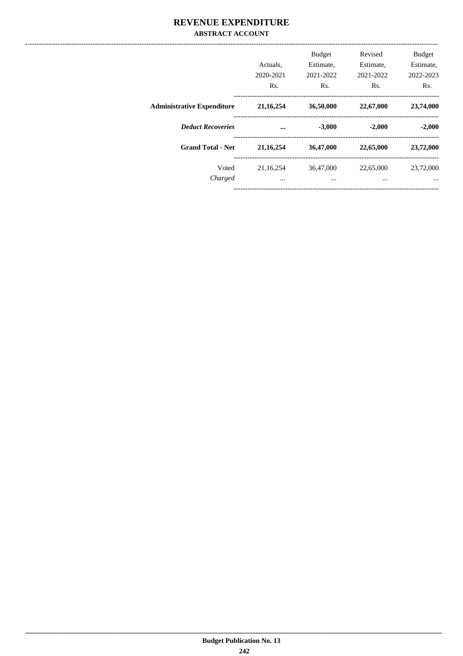### REVENUE EXPENDITURE **ABSTRACT ACCOUNT**

|                                   | Actuals.<br>2020-2021<br>R <sub>s</sub> . | <b>Budget</b><br>Estimate.<br>2021-2022<br>Rs. | Revised<br>Estimate.<br>2021-2022<br>Rs. | <b>Budget</b><br>Estimate,<br>2022-2023<br>Rs. |
|-----------------------------------|-------------------------------------------|------------------------------------------------|------------------------------------------|------------------------------------------------|
| <b>Administrative Expenditure</b> | 21, 16, 254                               | 36,50,000                                      | 22,67,000                                | 23,74,000                                      |
| <b>Deduct Recoveries</b>          | $\cdots$                                  | $-3,000$                                       | $-2,000$                                 | $-2,000$                                       |
|                                   |                                           |                                                |                                          |                                                |
| <b>Grand Total - Net</b>          | 21, 16, 254                               | 36,47,000                                      | 22,65,000                                | 23,72,000                                      |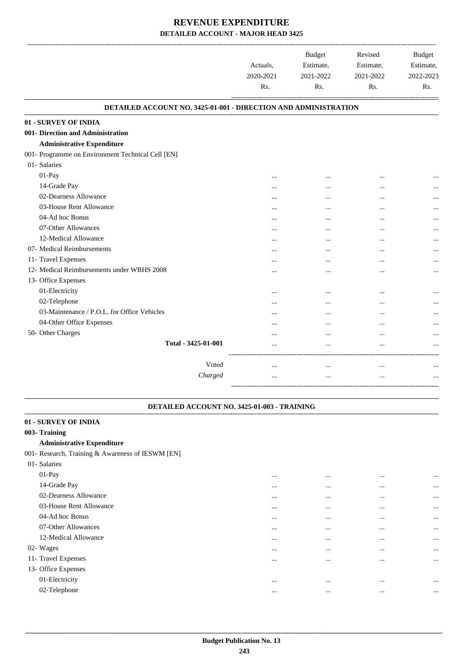|                                                                 | Actuals.<br>2020-2021<br>Rs. | <b>Budget</b><br>Estimate,<br>2021-2022<br>R <sub>s</sub> . | Revised<br>Estimate,<br>2021-2022<br>Rs. | <b>Budget</b><br>Estimate,<br>2022-2023<br>Rs. |
|-----------------------------------------------------------------|------------------------------|-------------------------------------------------------------|------------------------------------------|------------------------------------------------|
| DETAILED ACCOUNT NO. 3425-01-001 - DIRECTION AND ADMINISTRATION |                              |                                                             |                                          |                                                |
| 01 - SURVEY OF INDIA                                            |                              |                                                             |                                          |                                                |
| 001- Direction and Administration                               |                              |                                                             |                                          |                                                |
| <b>Administrative Expenditure</b>                               |                              |                                                             |                                          |                                                |
| 001- Programme on Environment Technical Cell [EN]               |                              |                                                             |                                          |                                                |
| 01- Salaries                                                    |                              |                                                             |                                          |                                                |
| 01-Pay                                                          |                              | $\cdots$                                                    | $\cdots$                                 |                                                |
| 14-Grade Pay                                                    |                              |                                                             |                                          |                                                |
| 02-Dearness Allowance                                           |                              |                                                             |                                          |                                                |
| 03-House Rent Allowance                                         |                              |                                                             | $\ddotsc$                                |                                                |
| 04-Ad hoc Bonus                                                 |                              | $\cdots$                                                    | $\cdots$                                 |                                                |
| 07-Other Allowances                                             |                              |                                                             |                                          |                                                |
| 12-Medical Allowance                                            |                              |                                                             | $\cdots$                                 |                                                |
| 07- Medical Reimbursements                                      | $\cdots$                     | $\cdots$                                                    | $\cdots$                                 |                                                |
| 11- Travel Expenses                                             |                              |                                                             | $\cdots$                                 |                                                |
| 12- Medical Reimbursements under WBHS 2008                      |                              |                                                             |                                          |                                                |
| 13- Office Expenses                                             |                              |                                                             |                                          |                                                |
| 01-Electricity                                                  |                              |                                                             |                                          |                                                |
| 02-Telephone                                                    |                              |                                                             | $\ddotsc$                                |                                                |
| 03-Maintenance / P.O.L. for Office Vehicles                     |                              |                                                             | $\cdots$                                 |                                                |
| 04-Other Office Expenses                                        |                              | $\cdots$                                                    | $\cdots$                                 |                                                |
| 50- Other Charges                                               |                              |                                                             | $\cdots$                                 |                                                |
| Total - 3425-01-001                                             | $\ddotsc$                    | $\ddotsc$                                                   | $\ddotsc$                                |                                                |
| Voted                                                           |                              | $\cdots$                                                    | $\ddotsc$                                |                                                |
| Charged                                                         |                              |                                                             |                                          |                                                |

#### **DETAILED ACCOUNT NO. 3425-01-003 - TRAINING .**

.

#### **01 - SURVEY OF INDIA**

### **003- Training**

#### **Administrative Expenditure**

#### 001- Research, Training & Awareness of IESWM [EN]

| 01- Salaries            |          |          |              |
|-------------------------|----------|----------|--------------|
| $01-Pay$                | $\cdots$ | $\cdots$ | <br>$\cdots$ |
| 14-Grade Pay            | $\cdots$ |          | <br>$\cdots$ |
| 02-Dearness Allowance   | $\cdots$ |          | <br>$\cdots$ |
| 03-House Rent Allowance | $\cdots$ |          | <br>$\cdots$ |
| 04-Ad hoc Bonus         |          |          | <br>$\cdots$ |
| 07-Other Allowances     | $\cdots$ | $\cdots$ | <br>$\cdots$ |
| 12-Medical Allowance    | $\cdots$ |          | <br>$\cdots$ |
| 02- Wages               |          | $\cdots$ | <br>$\cdots$ |
| 11- Travel Expenses     |          |          | <br>$\cdots$ |
| 13- Office Expenses     |          |          |              |
| 01-Electricity          | $\cdots$ | $\cdots$ | <br>$\cdots$ |
| 02-Telephone            | $\cdots$ | $\cdots$ | <br>$\cdots$ |
|                         |          |          |              |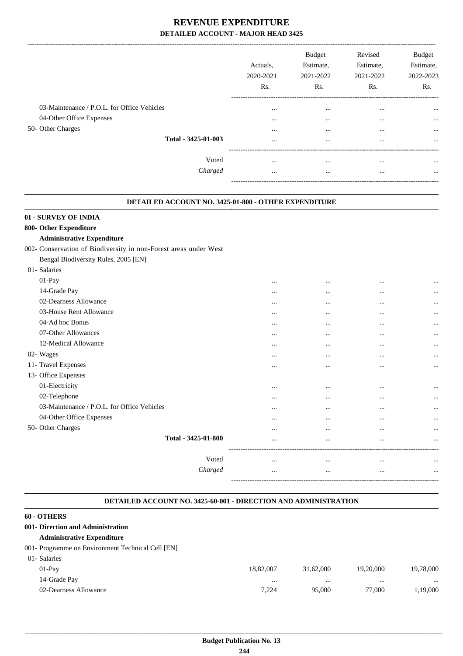|                                             |         |                       | <b>Budget</b>          | Revised                | <b>Budget</b>          |
|---------------------------------------------|---------|-----------------------|------------------------|------------------------|------------------------|
|                                             |         | Actuals.<br>2020-2021 | Estimate,<br>2021-2022 | Estimate,<br>2021-2022 | Estimate,<br>2022-2023 |
|                                             |         |                       |                        |                        |                        |
|                                             |         | Rs.                   | R <sub>s</sub> .       | Rs.                    | Rs.                    |
|                                             |         |                       |                        |                        |                        |
| 03-Maintenance / P.O.L. for Office Vehicles |         |                       | $\cdots$               | $\cdots$               | $\cdots$               |
| 04-Other Office Expenses                    |         | $\cdots$              |                        |                        | $\cdots$               |
| 50- Other Charges                           |         |                       | $\cdots$               | $\cdots$               | $\cdots$               |
| Total - 3425-01-003                         |         |                       | $\cdots$               | $\cdots$               | $\cdots$               |
|                                             |         |                       |                        |                        |                        |
|                                             | Voted   |                       | $\cdots$               | $\cdots$               | $\cdots$               |
|                                             | Charged |                       | $\cdots$               | $\cdots$               | $\cdots$               |
|                                             |         |                       |                        |                        |                        |

.

.

|                                                                  | DETAILED ACCOUNT NO. 3425-01-800 - OTHER EXPENDITURE |           |          |          |  |  |  |
|------------------------------------------------------------------|------------------------------------------------------|-----------|----------|----------|--|--|--|
| 01 - SURVEY OF INDIA                                             |                                                      |           |          |          |  |  |  |
| 800- Other Expenditure                                           |                                                      |           |          |          |  |  |  |
| <b>Administrative Expenditure</b>                                |                                                      |           |          |          |  |  |  |
| 002- Conservation of Biodiversity in non-Forest areas under West |                                                      |           |          |          |  |  |  |
| Bengal Biodiversity Rules, 2005 [EN]                             |                                                      |           |          |          |  |  |  |
| 01- Salaries                                                     |                                                      |           |          |          |  |  |  |
| $01-Pay$                                                         |                                                      |           | $\cdots$ |          |  |  |  |
| 14-Grade Pay                                                     |                                                      | $\cdots$  | $\cdots$ |          |  |  |  |
| 02-Dearness Allowance                                            |                                                      |           | $\cdots$ |          |  |  |  |
| 03-House Rent Allowance                                          |                                                      | $\ddotsc$ | $\cdots$ |          |  |  |  |
| 04-Ad hoc Bonus                                                  |                                                      | $\ddotsc$ | $\cdots$ |          |  |  |  |
| 07-Other Allowances                                              |                                                      | $\ddotsc$ | $\cdots$ | $\cdots$ |  |  |  |
| 12-Medical Allowance                                             |                                                      | $\cdots$  | $\cdots$ | $\cdots$ |  |  |  |
| 02- Wages                                                        |                                                      | $\ddotsc$ |          | $\cdots$ |  |  |  |
| 11- Travel Expenses                                              |                                                      | $\ddotsc$ | $\cdots$ | $\cdots$ |  |  |  |
| 13- Office Expenses                                              |                                                      |           |          |          |  |  |  |
| 01-Electricity                                                   | $\ddotsc$                                            | $\ddotsc$ | $\cdots$ |          |  |  |  |
| 02-Telephone                                                     |                                                      | $\ddotsc$ | $\cdots$ |          |  |  |  |
| 03-Maintenance / P.O.L. for Office Vehicles                      |                                                      | $\ddotsc$ | $\cdots$ | $\cdots$ |  |  |  |
| 04-Other Office Expenses                                         |                                                      | $\ddotsc$ | $\cdots$ |          |  |  |  |
| 50- Other Charges                                                |                                                      |           | $\cdots$ | $\cdots$ |  |  |  |
| Total - 3425-01-800                                              |                                                      |           | $\cdots$ |          |  |  |  |
|                                                                  |                                                      |           |          |          |  |  |  |
| Voted                                                            | $\ddotsc$                                            | $\cdots$  | $\cdots$ |          |  |  |  |
| Charged                                                          | .                                                    | $\ddotsc$ | $\cdots$ |          |  |  |  |
|                                                                  |                                                      |           |          |          |  |  |  |

#### **DETAILED ACCOUNT NO. 3425-60-001 - DIRECTION AND ADMINISTRATION**

| 60 - OTHERS                                        |           |           |           |           |
|----------------------------------------------------|-----------|-----------|-----------|-----------|
| 001- Direction and Administration                  |           |           |           |           |
| <b>Administrative Expenditure</b>                  |           |           |           |           |
| 001 - Programme on Environment Technical Cell [EN] |           |           |           |           |
| 01- Salaries                                       |           |           |           |           |
| $01-Pav$                                           | 18.82,007 | 31,62,000 | 19,20,000 | 19,78,000 |
| 14-Grade Pay                                       | $\cdots$  | $\cdots$  | $\cdots$  |           |
| 02-Dearness Allowance                              | 7.224     | 95,000    | 77,000    | 1,19,000  |
|                                                    |           |           |           |           |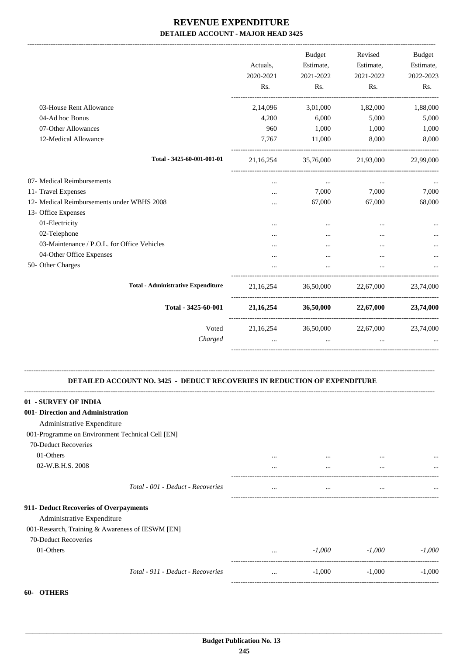|                                             | Actuals,<br>2020-2021<br>Rs. | <b>Budget</b><br>Estimate,<br>2021-2022<br>Rs. | Revised<br>Estimate,<br>2021-2022<br>Rs. | Budget<br>Estimate,<br>2022-2023<br>Rs. |
|---------------------------------------------|------------------------------|------------------------------------------------|------------------------------------------|-----------------------------------------|
| 03-House Rent Allowance                     | 2,14,096                     | 3,01,000                                       | 1,82,000                                 | 1,88,000                                |
| 04-Ad hoc Bonus                             | 4,200                        | 6,000                                          | 5,000                                    | 5,000                                   |
| 07-Other Allowances                         | 960                          | 1,000                                          | 1,000                                    | 1,000                                   |
| 12-Medical Allowance                        | 7,767                        | 11,000                                         | 8.000                                    | 8,000                                   |
| Total - 3425-60-001-001-01                  | 21,16,254                    | 35,76,000                                      | 21,93,000                                | 22,99,000                               |
| 07- Medical Reimbursements                  | $\cdots$                     | $\cdots$                                       | $\cdots$                                 |                                         |
| 11- Travel Expenses                         | .                            | 7,000                                          | 7,000                                    | 7,000                                   |
| 12- Medical Reimbursements under WBHS 2008  | .                            | 67,000                                         | 67,000                                   | 68,000                                  |
| 13- Office Expenses                         |                              |                                                |                                          |                                         |
| 01-Electricity                              | $\cdots$                     |                                                |                                          |                                         |
| 02-Telephone                                |                              |                                                |                                          |                                         |
| 03-Maintenance / P.O.L. for Office Vehicles |                              |                                                |                                          |                                         |
| 04-Other Office Expenses                    |                              |                                                |                                          |                                         |
| 50- Other Charges                           |                              | $\cdots$                                       | $\ddotsc$                                |                                         |
| <b>Total - Administrative Expenditure</b>   | 21,16,254                    | 36,50,000                                      | 22,67,000                                | 23,74,000                               |
| Total - 3425-60-001                         | 21, 16, 254                  | <b>36,50,000</b>                               | 22,67,000                                | 23,74,000                               |
| Voted                                       | 21,16,254                    | 36,50,000                                      | 22,67,000                                | 23,74,000                               |
| Charged                                     |                              | $\cdots$                                       | $\cdots$                                 |                                         |

### **DETAILED ACCOUNT NO. 3425 - DEDUCT RECOVERIES IN REDUCTION OF EXPENDITURE**

**--------------------------------------------------------------------------------------------------------------------------------------------------------------------------------**

| 01 - SURVEY OF INDIA                             |          |          |          |          |
|--------------------------------------------------|----------|----------|----------|----------|
| 001- Direction and Administration                |          |          |          |          |
| Administrative Expenditure                       |          |          |          |          |
| 001-Programme on Environment Technical Cell [EN] |          |          |          |          |
| 70-Deduct Recoveries                             |          |          |          |          |
| 01-Others                                        | $\cdots$ | $\cdots$ |          |          |
| 02-W.B.H.S. 2008                                 | $\cdots$ | $\cdots$ | $\cdots$ |          |
| Total - 001 - Deduct - Recoveries                | $\cdots$ | $\cdots$ | $\cdots$ |          |
| 911- Deduct Recoveries of Overpayments           |          |          |          |          |
| Administrative Expenditure                       |          |          |          |          |
| 001-Research, Training & Awareness of IESWM [EN] |          |          |          |          |
| 70-Deduct Recoveries                             |          |          |          |          |
| 01-Others                                        | $\cdots$ | $-1,000$ | $-1,000$ | $-1,000$ |
| Total - 911 - Deduct - Recoveries                | $\cdots$ | $-1,000$ | $-1,000$ | $-1,000$ |
|                                                  |          |          |          |          |

#### **60- OTHERS**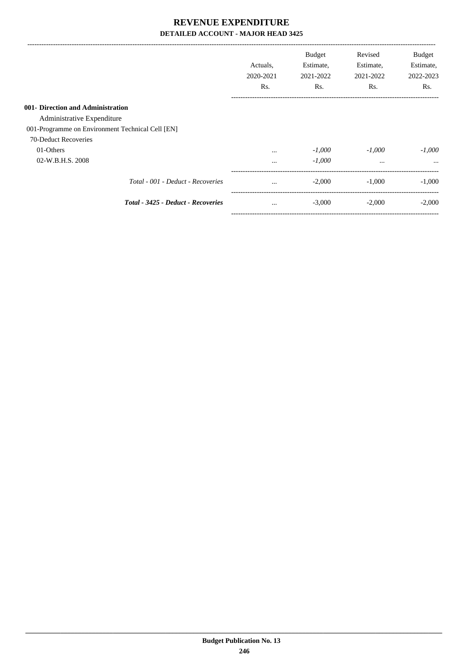|                                                  | Actuals.<br>2020-2021<br>Rs. | <b>Budget</b><br>Estimate,<br>2021-2022<br>Rs. | Revised<br>Estimate,<br>2021-2022<br>Rs. | <b>Budget</b><br>Estimate,<br>2022-2023<br>R <sub>s</sub> . |
|--------------------------------------------------|------------------------------|------------------------------------------------|------------------------------------------|-------------------------------------------------------------|
| 001- Direction and Administration                |                              |                                                |                                          |                                                             |
| Administrative Expenditure                       |                              |                                                |                                          |                                                             |
| 001-Programme on Environment Technical Cell [EN] |                              |                                                |                                          |                                                             |
| 70-Deduct Recoveries                             |                              |                                                |                                          |                                                             |
| 01-Others                                        | $\cdots$                     | $-1.000$                                       | $-1.000$                                 | $-1.000$                                                    |
| 02-W.B.H.S. 2008                                 | $\cdots$                     | $-1,000$                                       | $\cdots$                                 |                                                             |
| Total - 001 - Deduct - Recoveries                | $\cdots$                     | $-2.000$                                       | $-1.000$                                 | $-1.000$                                                    |
| Total - 3425 - Deduct - Recoveries               | $\cdots$                     | $-3,000$                                       | $-2,000$                                 | $-2,000$                                                    |

-----------------------------------------------------------------------------------------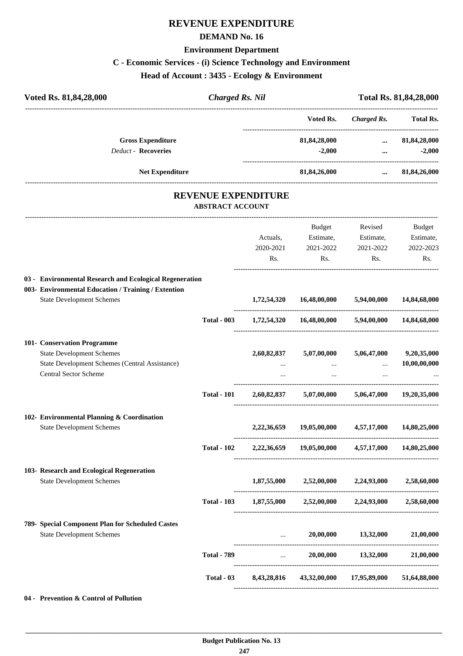### **REVENUE EXPENDITURE**

#### **DEMAND No. 16**

#### **Environment Department**

### **C - Economic Services - (i) Science Technology and Environment**

**Head of Account : 3435 - Ecology & Environment**

| <b>Charged Rs. Nil</b>                                  |                              |                                                       |                                                                                                              | Total Rs. 81,84,28,000                                                                                                                                                                                                                                                                                                                                                                                                                                                                        |
|---------------------------------------------------------|------------------------------|-------------------------------------------------------|--------------------------------------------------------------------------------------------------------------|-----------------------------------------------------------------------------------------------------------------------------------------------------------------------------------------------------------------------------------------------------------------------------------------------------------------------------------------------------------------------------------------------------------------------------------------------------------------------------------------------|
|                                                         |                              | Voted Rs.                                             |                                                                                                              |                                                                                                                                                                                                                                                                                                                                                                                                                                                                                               |
|                                                         |                              |                                                       | $\cdots$<br>$\cdots$                                                                                         | 81,84,28,000<br>$-2,000$                                                                                                                                                                                                                                                                                                                                                                                                                                                                      |
| <b>Net Expenditure</b>                                  |                              |                                                       |                                                                                                              |                                                                                                                                                                                                                                                                                                                                                                                                                                                                                               |
|                                                         |                              |                                                       |                                                                                                              |                                                                                                                                                                                                                                                                                                                                                                                                                                                                                               |
|                                                         | Actuals,<br>2020-2021<br>Rs. | Budget<br>Rs.                                         | Revised<br>Estimate,<br>2021-2022<br>Rs.                                                                     | Budget<br>Estimate,<br>2022-2023<br>Rs.                                                                                                                                                                                                                                                                                                                                                                                                                                                       |
| 03 - Environmental Research and Ecological Regeneration |                              |                                                       |                                                                                                              | 14,84,68,000                                                                                                                                                                                                                                                                                                                                                                                                                                                                                  |
| <b>Total - 003</b>                                      |                              |                                                       |                                                                                                              | 14,84,68,000                                                                                                                                                                                                                                                                                                                                                                                                                                                                                  |
| <b>Total - 101</b>                                      | $\cdots$                     |                                                       | $\ddots$<br>$\ddots$                                                                                         | 9,20,35,000<br>10,00,00,000                                                                                                                                                                                                                                                                                                                                                                                                                                                                   |
|                                                         | 2,22,36,659                  | 19,05,00,000                                          | 4,57,17,000                                                                                                  | 14,80,25,000                                                                                                                                                                                                                                                                                                                                                                                                                                                                                  |
| <b>Total - 102</b>                                      |                              |                                                       |                                                                                                              |                                                                                                                                                                                                                                                                                                                                                                                                                                                                                               |
|                                                         |                              |                                                       |                                                                                                              |                                                                                                                                                                                                                                                                                                                                                                                                                                                                                               |
| <b>Total - 103</b>                                      |                              |                                                       |                                                                                                              | 2,58,60,000                                                                                                                                                                                                                                                                                                                                                                                                                                                                                   |
|                                                         |                              |                                                       |                                                                                                              | 21,00,000                                                                                                                                                                                                                                                                                                                                                                                                                                                                                     |
| <b>Total - 789</b>                                      |                              |                                                       |                                                                                                              |                                                                                                                                                                                                                                                                                                                                                                                                                                                                                               |
| Total - 03                                              |                              | 43,32,00,000                                          | 17,95,89,000                                                                                                 | 51,64,88,000                                                                                                                                                                                                                                                                                                                                                                                                                                                                                  |
|                                                         |                              | <b>REVENUE EXPENDITURE</b><br><b>ABSTRACT ACCOUNT</b> | 2,60,82,837 5,07,00,000<br>$\mathbf{r}$ and $\mathbf{r}$<br>$\sim 10^{11}$ and $\sim 10^{11}$<br>8,43,28,816 | Charged Rs. Total Rs.<br>81,84,28,000<br>$-2,000$<br>81,84,26,000  81,84,26,000<br>Estimate,<br>2021-2022<br>$1,72,54,320$ $16,48,00,000$ $5,94,00,000$<br>$1,72,54,320$ $16,48,00,000$ $5,94,00,000$<br>5,06,47,000<br>2,60,82,837 5,07,00,000 5,06,47,000 19,20,35,000<br>2,22,36,659 19,05,00,000 4,57,17,000 14,80,25,000<br>$1,87,55,000$ $2,52,00,000$ $2,24,93,000$ $2,58,60,000$<br>$1,87,55,000$ $2,52,00,000$ $2,24,93,000$<br>20,00,000 13,32,000<br>20,00,000 13,32,000 21,00,000 |

#### **04 - Prevention & Control of Pollution**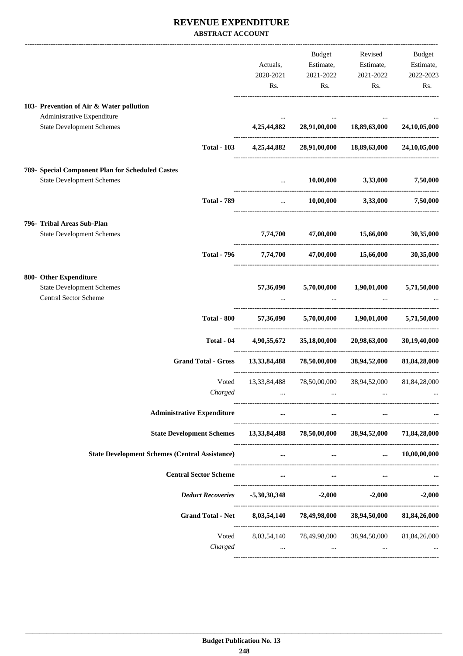### **REVENUE EXPENDITURE ABSTRACT ACCOUNT**

|                                                       |                              |              | Budget                                                                             | Revised                                                                       | Budget               |
|-------------------------------------------------------|------------------------------|--------------|------------------------------------------------------------------------------------|-------------------------------------------------------------------------------|----------------------|
|                                                       |                              | Actuals,     | Estimate,                                                                          | Estimate,                                                                     | Estimate,            |
|                                                       |                              | 2020-2021    | 2021-2022                                                                          | 2021-2022                                                                     | 2022-2023            |
|                                                       |                              | Rs.          | Rs.                                                                                | Rs.                                                                           | Rs.                  |
| 103- Prevention of Air & Water pollution              |                              |              |                                                                                    |                                                                               |                      |
| Administrative Expenditure                            |                              |              |                                                                                    |                                                                               |                      |
| <b>State Development Schemes</b>                      |                              | 4,25,44,882  |                                                                                    | 28,91,00,000 18,89,63,000                                                     | 24,10,05,000         |
|                                                       | <b>Total - 103</b>           | 4,25,44,882  |                                                                                    | 28,91,00,000 18,89,63,000 24,10,05,000                                        |                      |
| 789- Special Component Plan for Scheduled Castes      |                              |              |                                                                                    |                                                                               |                      |
| <b>State Development Schemes</b>                      |                              | $\cdots$     | 10,00,000                                                                          | 3,33,000                                                                      | 7,50,000             |
|                                                       | <b>Total - 789</b>           |              |                                                                                    | $10,00,000$ $3,33,000$ $7,50,000$                                             |                      |
| 796- Tribal Areas Sub-Plan                            |                              |              |                                                                                    |                                                                               |                      |
| <b>State Development Schemes</b>                      |                              |              | 7,74,700 47,00,000 15,66,000                                                       |                                                                               | 30,35,000            |
|                                                       | <b>Total - 796</b>           |              |                                                                                    | 7,74,700 47,00,000 15,66,000                                                  | 30,35,000            |
| 800- Other Expenditure                                |                              |              |                                                                                    |                                                                               |                      |
| <b>State Development Schemes</b>                      |                              | 57,36,090    | 5,70,00,000 1,90,01,000                                                            |                                                                               | 5,71,50,000          |
| Central Sector Scheme                                 |                              |              |                                                                                    |                                                                               |                      |
|                                                       | <b>Total - 800</b>           |              |                                                                                    | 57,36,090 5,70,00,000 1,90,01,000 5,71,50,000                                 |                      |
|                                                       | Total - 04                   | 4,90,55,672  | 35,18,00,000                                                                       | 20,98,63,000                                                                  | 30,19,40,000         |
|                                                       | <b>Grand Total - Gross</b>   | 13,33,84,488 |                                                                                    | 78,50,00,000 38,94,52,000                                                     | 81,84,28,000         |
|                                                       | Voted                        |              |                                                                                    | 13,33,84,488 78,50,00,000 38,94,52,000                                        | 81,84,28,000         |
|                                                       | Charged                      |              | $\ddots$                                                                           |                                                                               |                      |
| <b>Administrative Expenditure</b>                     |                              | $\cdots$     | $\cdots$                                                                           | $\cdots$                                                                      |                      |
|                                                       |                              |              |                                                                                    | State Development Schemes 13,33,84,488 78,50,00,000 38,94,52,000 71,84,28,000 |                      |
| <b>State Development Schemes (Central Assistance)</b> |                              |              | $\mathbf{a}$ , and the contract of $\mathbf{a}$ , and the contract of $\mathbf{a}$ |                                                                               | $\dots$ 10,00,00,000 |
|                                                       | <b>Central Sector Scheme</b> | $\cdots$     | $\sim$ $\sim$                                                                      | $\cdots$                                                                      |                      |
|                                                       | <b>Deduct Recoveries</b>     |              | $-5,30,30,348$ $-2,000$                                                            | $-2,000$                                                                      | $-2,000$             |
|                                                       |                              |              |                                                                                    | Grand Total - Net 8,03,54,140 78,49,98,000 38,94,50,000 81,84,26,000          |                      |
|                                                       | Voted                        |              |                                                                                    | 8,03,54,140 78,49,98,000 38,94,50,000 81,84,26,000                            |                      |
|                                                       | Charged                      |              | the company of the company of the                                                  | <b>Contract Contract Contract</b><br>$\cdots$                                 |                      |
|                                                       |                              |              |                                                                                    |                                                                               |                      |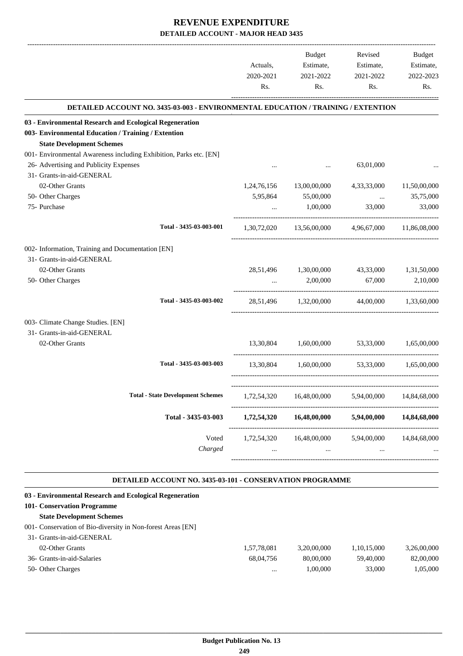|                                                                                                                |                                                                                   | Actuals,<br>2020-2021 | Budget<br>Estimate,<br>2021-2022            | Revised<br>Estimate,<br>2021-2022 | <b>Budget</b><br>Estimate,<br>2022-2023 |
|----------------------------------------------------------------------------------------------------------------|-----------------------------------------------------------------------------------|-----------------------|---------------------------------------------|-----------------------------------|-----------------------------------------|
|                                                                                                                |                                                                                   |                       |                                             |                                   |                                         |
|                                                                                                                |                                                                                   | Rs.                   | Rs.                                         | Rs.                               | Rs.                                     |
|                                                                                                                | DETAILED ACCOUNT NO. 3435-03-003 - ENVIRONMENTAL EDUCATION / TRAINING / EXTENTION |                       |                                             |                                   |                                         |
|                                                                                                                |                                                                                   |                       |                                             |                                   |                                         |
| 03 - Environmental Research and Ecological Regeneration<br>003- Environmental Education / Training / Extention |                                                                                   |                       |                                             |                                   |                                         |
| <b>State Development Schemes</b>                                                                               |                                                                                   |                       |                                             |                                   |                                         |
| 001- Environmental Awareness including Exhibition, Parks etc. [EN]                                             |                                                                                   |                       |                                             |                                   |                                         |
| 26- Advertising and Publicity Expenses                                                                         |                                                                                   |                       |                                             | 63,01,000                         |                                         |
| 31- Grants-in-aid-GENERAL                                                                                      |                                                                                   |                       |                                             |                                   |                                         |
| 02-Other Grants                                                                                                |                                                                                   | 1,24,76,156           | 13,00,00,000                                | 4,33,33,000                       | 11,50,00,000                            |
| 50- Other Charges                                                                                              |                                                                                   | 5,95,864              | 55,00,000                                   | $\cdots$                          | 35,75,000                               |
| 75- Purchase                                                                                                   |                                                                                   | $\cdots$              | 1,00,000                                    | 33,000                            | 33,000                                  |
|                                                                                                                | Total - 3435-03-003-001                                                           | 1,30,72,020           | 13,56,00,000 4,96,67,000                    |                                   | 11,86,08,000                            |
| 002- Information, Training and Documentation [EN]                                                              |                                                                                   |                       |                                             |                                   |                                         |
| 31- Grants-in-aid-GENERAL                                                                                      |                                                                                   |                       |                                             |                                   |                                         |
| 02-Other Grants                                                                                                |                                                                                   | 28,51,496             | 1,30,00,000                                 | 43,33,000                         | 1,31,50,000                             |
| 50- Other Charges                                                                                              |                                                                                   |                       | 2,00,000                                    | 67,000                            | 2,10,000                                |
|                                                                                                                | Total - 3435-03-003-002                                                           |                       | 28,51,496 1,32,00,000 44,00,000 1,33,60,000 |                                   |                                         |
| 003- Climate Change Studies. [EN]                                                                              |                                                                                   |                       |                                             |                                   |                                         |
| 31- Grants-in-aid-GENERAL                                                                                      |                                                                                   |                       |                                             |                                   |                                         |
| 02-Other Grants                                                                                                |                                                                                   | 13,30,804             | 1,60,00,000                                 | 53,33,000                         | 1,65,00,000                             |
|                                                                                                                | Total - 3435-03-003-003                                                           |                       | 13,30,804 1,60,00,000 53,33,000 1,65,00,000 |                                   |                                         |
|                                                                                                                | <b>Total - State Development Schemes</b>                                          | 1,72,54,320           | 16,48,00,000                                | 5,94,00,000                       | 14,84,68,000                            |
|                                                                                                                | Total - 3435-03-003                                                               | 1,72,54,320           | 16,48,00,000                                | 5,94,00,000                       | 14,84,68,000                            |
|                                                                                                                | Voted                                                                             | 1,72,54,320           | 16,48,00,000                                | 5,94,00,000                       | 14,84,68,000                            |
|                                                                                                                | Charged                                                                           |                       |                                             |                                   |                                         |
|                                                                                                                | DETAILED ACCOUNT NO. 3435-03-101 - CONSERVATION PROGRAMME                         |                       |                                             |                                   |                                         |
| 03 - Environmental Research and Ecological Regeneration                                                        |                                                                                   |                       |                                             |                                   |                                         |

### **101- Conservation Programme**

### **State Development Schemes**

001- Conservation of Bio-diversity in Non-forest Areas [EN]

| 31- Grants-in-aid-GENERAL  |             |             |             |             |
|----------------------------|-------------|-------------|-------------|-------------|
| 02-Other Grants            | 1.57.78.081 | 3.20.00.000 | 1.10.15.000 | 3.26.00.000 |
| 36- Grants-in-aid-Salaries | 68,04.756   | 80,00,000   | 59.40.000   | 82,00,000   |
| 50- Other Charges          | $\cdots$    | 00.000      | 33,000      | .05.000     |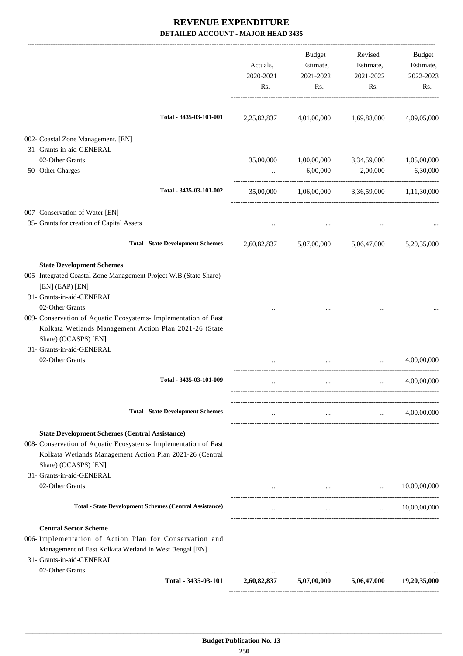|                                                                                                                                                                                                   | Actuals,<br>2020-2021<br>Rs. | Budget<br>Estimate,<br>2021-2022<br>Rs.                                        | Revised<br>Estimate,<br>2021-2022<br>Rs. | Budget<br>Estimate,<br>2022-2023<br>Rs. |
|---------------------------------------------------------------------------------------------------------------------------------------------------------------------------------------------------|------------------------------|--------------------------------------------------------------------------------|------------------------------------------|-----------------------------------------|
| Total - 3435-03-101-001                                                                                                                                                                           |                              | 2,25,82,837 4,01,00,000 1,69,88,000 4,09,05,000                                |                                          |                                         |
| 002- Coastal Zone Management. [EN]                                                                                                                                                                |                              |                                                                                |                                          |                                         |
| 31- Grants-in-aid-GENERAL                                                                                                                                                                         |                              |                                                                                |                                          |                                         |
| 02-Other Grants                                                                                                                                                                                   |                              | 35,00,000 1,00,00,000 3,34,59,000 1,05,00,000                                  |                                          |                                         |
| 50- Other Charges                                                                                                                                                                                 |                              | $6,00,000$ $2,00,000$                                                          |                                          | 6,30,000                                |
| Total - 3435-03-101-002                                                                                                                                                                           |                              | $35,00,000$ $1,06,00,000$ $3,36,59,000$ $1,11,30,000$                          |                                          |                                         |
| 007- Conservation of Water [EN]                                                                                                                                                                   |                              |                                                                                |                                          |                                         |
| 35- Grants for creation of Capital Assets                                                                                                                                                         |                              | $\cdots$                                                                       |                                          |                                         |
| <b>Total - State Development Schemes</b>                                                                                                                                                          |                              | 2,60,82,837 5,07,00,000 5,06,47,000 5,20,35,000                                |                                          |                                         |
| <b>State Development Schemes</b>                                                                                                                                                                  |                              |                                                                                |                                          |                                         |
| 005- Integrated Coastal Zone Management Project W.B.(State Share)-<br>[EN] (EAP) [EN]<br>31- Grants-in-aid-GENERAL<br>02-Other Grants                                                             |                              |                                                                                |                                          |                                         |
| 009- Conservation of Aquatic Ecosystems- Implementation of East<br>Kolkata Wetlands Management Action Plan 2021-26 (State<br>Share) (OCASPS) [EN]<br>31- Grants-in-aid-GENERAL                    |                              |                                                                                |                                          |                                         |
| 02-Other Grants                                                                                                                                                                                   |                              | $\cdots$                                                                       | $\cdots$                                 | 4,00,00,000                             |
| Total - 3435-03-101-009                                                                                                                                                                           | $\cdots$                     | $\cdots$                                                                       | $\cdots$                                 | 4,00,00,000                             |
| <b>Total - State Development Schemes</b>                                                                                                                                                          | $\cdots$                     | $\ldots$                                                                       | <b>Second Contract</b>                   | 4,00,00,000                             |
| <b>State Development Schemes (Central Assistance)</b>                                                                                                                                             |                              |                                                                                |                                          |                                         |
| 008- Conservation of Aquatic Ecosystems- Implementation of East<br>Kolkata Wetlands Management Action Plan 2021-26 (Central<br>Share) (OCASPS) [EN]                                               |                              |                                                                                |                                          |                                         |
| 31- Grants-in-aid-GENERAL                                                                                                                                                                         |                              |                                                                                |                                          |                                         |
| 02-Other Grants                                                                                                                                                                                   |                              | and the control of the control of the control of the control of the control of | $\cdots$                                 | 10,00,00,000                            |
| <b>Total - State Development Schemes (Central Assistance)</b>                                                                                                                                     | $\cdots$                     | $\cdots$                                                                       | <b>Sales Committee</b>                   | 10,00,00,000                            |
| <b>Central Sector Scheme</b><br>006- Implementation of Action Plan for Conservation and<br>Management of East Kolkata Wetland in West Bengal [EN]<br>31- Grants-in-aid-GENERAL<br>02-Other Grants |                              |                                                                                |                                          |                                         |
| Total - 3435-03-101                                                                                                                                                                               | 2,60,82,837                  | $5,07,00,000$ $5,06,47,000$                                                    |                                          | 19,20,35,000                            |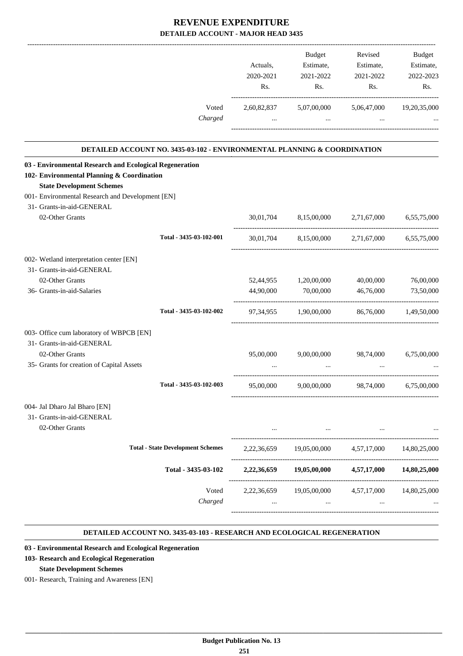|                                                                                                                                                                                                                            | Actuals,<br>2020-2021<br>Rs. | Budget<br>Estimate,<br>2021-2022<br>Rs. | Revised<br>Estimate,<br>2021-2022<br>Rs. | Budget<br>Estimate,<br>2022-2023<br>Rs. |
|----------------------------------------------------------------------------------------------------------------------------------------------------------------------------------------------------------------------------|------------------------------|-----------------------------------------|------------------------------------------|-----------------------------------------|
| Voted<br>Charged                                                                                                                                                                                                           | 2,60,82,837<br>$\cdots$      | 5,07,00,000<br>$\cdots$                 | 5,06,47,000<br>$\cdots$                  | 19, 20, 35, 000                         |
| DETAILED ACCOUNT NO. 3435-03-102 - ENVIRONMENTAL PLANNING & COORDINATION                                                                                                                                                   |                              |                                         |                                          |                                         |
| 03 - Environmental Research and Ecological Regeneration<br>102- Environmental Planning & Coordination<br><b>State Development Schemes</b><br>001- Environmental Research and Development [EN]<br>31- Grants-in-aid-GENERAL |                              |                                         |                                          |                                         |
| 02-Other Grants                                                                                                                                                                                                            |                              | 30,01,704 8,15,00,000 2,71,67,000       |                                          | 6,55,75,000                             |
| Total - 3435-03-102-001                                                                                                                                                                                                    | 30,01,704                    |                                         | 8,15,00,000 2,71,67,000 6,55,75,000      |                                         |
| 002- Wetland interpretation center [EN]<br>31- Grants-in-aid-GENERAL<br>02-Other Grants                                                                                                                                    |                              | 52,44,955 1,20,00,000                   | 40,00,000                                | 76,00,000                               |
| 36- Grants-in-aid-Salaries                                                                                                                                                                                                 | 44,90,000                    | 70,00,000                               | 46,76,000                                | 73,50,000                               |
| Total - 3435-03-102-002                                                                                                                                                                                                    |                              | 97,34,955 1,90,00,000                   | 86,76,000                                | 1,49,50,000                             |
| 003- Office cum laboratory of WBPCB [EN]<br>31- Grants-in-aid-GENERAL<br>02-Other Grants<br>35- Grants for creation of Capital Assets                                                                                      | 95,00,000                    | 9,00,00,000                             | 98,74,000                                | 6,75,00,000                             |
| Total - 3435-03-102-003                                                                                                                                                                                                    | 95,00,000                    | 9,00,00,000                             | 98,74,000                                | 6,75,00,000                             |
| 004- Jal Dharo Jal Bharo [EN]<br>31- Grants-in-aid-GENERAL<br>02-Other Grants                                                                                                                                              | $\cdots$                     | $\cdots$                                | $\cdots$                                 |                                         |
| <b>Total - State Development Schemes</b>                                                                                                                                                                                   | 2,22,36,659                  | 19,05,00,000                            | ----------------------<br>4,57,17,000    | 14,80,25,000                            |
| Total - 3435-03-102                                                                                                                                                                                                        | 2,22,36,659                  | 19,05,00,000                            | 4,57,17,000                              | 14,80,25,000                            |
| Voted<br>Charged                                                                                                                                                                                                           | 2,22,36,659<br>$\cdots$      | 19,05,00,000<br>$\ldots$                | 4,57,17,000<br>$\ldots$                  | 14,80,25,000                            |

#### **DETAILED ACCOUNT NO. 3435-03-103 - RESEARCH AND ECOLOGICAL REGENERATION .**

.

### **03 - Environmental Research and Ecological Regeneration**

### **103- Research and Ecological Regeneration**

### **State Development Schemes**

001- Research, Training and Awareness [EN]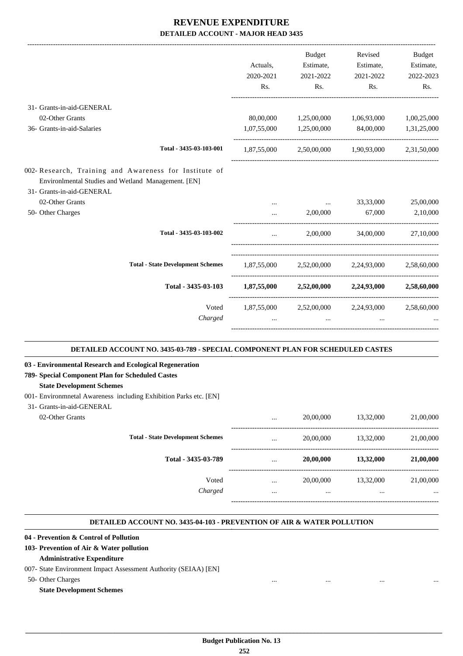|                                                                                                                                           |           | Budget                            | Revised                                                 | Budget      |
|-------------------------------------------------------------------------------------------------------------------------------------------|-----------|-----------------------------------|---------------------------------------------------------|-------------|
|                                                                                                                                           | Actuals,  | Estimate,                         | Estimate,                                               | Estimate,   |
|                                                                                                                                           | 2020-2021 | 2021-2022                         | 2021-2022                                               | 2022-2023   |
|                                                                                                                                           | Rs.       | Rs.                               | Rs.                                                     | Rs.         |
| 31- Grants-in-aid-GENERAL                                                                                                                 |           |                                   |                                                         |             |
| 02-Other Grants                                                                                                                           |           |                                   | 80,00,000   1,25,00,000   1,06,93,000   1,00,25,000     |             |
| 36- Grants-in-aid-Salaries                                                                                                                |           | 1,07,55,000 1,25,00,000 84,00,000 |                                                         | 1,31,25,000 |
| Total - 3435-03-103-001                                                                                                                   |           |                                   | 1,87,55,000 2,50,00,000 1,90,93,000 2,31,50,000         |             |
| 002-Research, Training and Awareness for Institute of<br>Environlmental Studies and Wetland Management. [EN]<br>31- Grants-in-aid-GENERAL |           |                                   |                                                         |             |
| 02-Other Grants                                                                                                                           |           | $\cdots$                          | 33,33,000                                               | 25,00,000   |
| 50- Other Charges                                                                                                                         | $\ddotsc$ | 2,00,000                          | 67,000                                                  | 2,10,000    |
| Total - 3435-03-103-002                                                                                                                   | $\cdots$  |                                   | 2,00,000 34,00,000 27,10,000                            |             |
| <b>Total - State Development Schemes</b>                                                                                                  |           |                                   | 1,87,55,000 2,52,00,000 2,24,93,000 2,58,60,000         |             |
| Total - 3435-03-103                                                                                                                       |           |                                   | $1,87,55,000$ $2,52,00,000$ $2,24,93,000$ $2,58,60,000$ |             |
| Voted                                                                                                                                     |           |                                   | $1,87,55,000$ $2,52,00,000$ $2,24,93,000$               | 2,58,60,000 |
| Charged                                                                                                                                   |           | $\cdots$                          |                                                         |             |
|                                                                                                                                           |           |                                   |                                                         |             |

#### **DETAILED ACCOUNT NO. 3435-03-789 - SPECIAL COMPONENT PLAN FOR SCHEDULED CASTES .**

.

.

#### **03 - Environmental Research and Ecological Regeneration**

### **789- Special Component Plan for Scheduled Castes**

#### **State Development Schemes**

001- Environmnetal Awareness including Exhibition Parks etc. [EN]

| 31- Grants-in-aid-GENERAL |                                          |          |           |           |           |
|---------------------------|------------------------------------------|----------|-----------|-----------|-----------|
| 02-Other Grants           |                                          | $\cdots$ | 20,00,000 | 13,32,000 | 21,00,000 |
|                           | <b>Total - State Development Schemes</b> | $\cdots$ | 20,00,000 | 13,32,000 | 21,00,000 |
|                           | Total - 3435-03-789                      | $\cdots$ | 20,00,000 | 13,32,000 | 21,00,000 |
|                           | Voted                                    | $\cdots$ | 20,00,000 | 13,32,000 | 21,00,000 |
|                           | Charged                                  |          | $\cdots$  |           | $\cdots$  |
|                           |                                          |          |           |           |           |

#### **DETAILED ACCOUNT NO. 3435-04-103 - PREVENTION OF AIR & WATER POLLUTION .**

#### **04 - Prevention & Control of Pollution**

### **103- Prevention of Air & Water pollution**

### **Administrative Expenditure**

- 007- State Environment Impact Assessment Authority (SEIAA) [EN]
- 50- Other Charges

#### **State Development Schemes**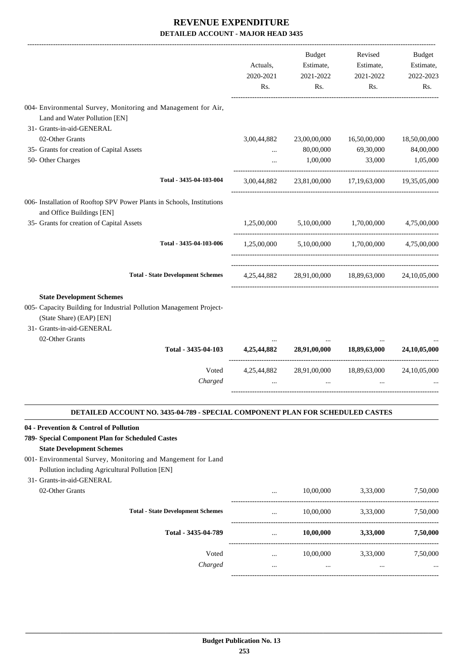|                                                                                                                                                                                  | Actuals,<br>2020-2021<br>Rs. | Budget<br>Estimate,<br>2021-2022<br>Rs. | Revised<br>Estimate,<br>2021-2022<br>Rs.                | Budget<br>Estimate,<br>2022-2023<br>Rs. |
|----------------------------------------------------------------------------------------------------------------------------------------------------------------------------------|------------------------------|-----------------------------------------|---------------------------------------------------------|-----------------------------------------|
| 004- Environmental Survey, Monitoring and Management for Air,<br>Land and Water Pollution [EN]                                                                                   |                              |                                         |                                                         |                                         |
| 31- Grants-in-aid-GENERAL                                                                                                                                                        |                              |                                         |                                                         |                                         |
| 02-Other Grants                                                                                                                                                                  | 3,00,44,882                  | 23,00,00,000                            | 16,50,00,000                                            | 18,50,00,000                            |
| 35- Grants for creation of Capital Assets                                                                                                                                        | $\cdots$                     | 80,00,000                               | 69,30,000                                               | 84,00,000                               |
| 50- Other Charges                                                                                                                                                                | $\cdots$                     | 1,00,000                                | 33,000                                                  | 1,05,000                                |
| Total - 3435-04-103-004                                                                                                                                                          | 3,00,44,882                  |                                         | 23,81,00,000 17,19,63,000 19,35,05,000                  |                                         |
| 006- Installation of Rooftop SPV Power Plants in Schools, Institutions<br>and Office Buildings [EN]                                                                              |                              |                                         |                                                         |                                         |
| 35- Grants for creation of Capital Assets                                                                                                                                        | 1.25,00,000                  | 5,10,00,000                             | 1,70,00,000                                             | 4,75,00,000                             |
| Total - 3435-04-103-006                                                                                                                                                          |                              |                                         | $1,25,00,000$ $5,10,00,000$ $1,70,00,000$ $4,75,00,000$ |                                         |
| <b>Total - State Development Schemes</b>                                                                                                                                         |                              |                                         | 4,25,44,882 28,91,00,000 18,89,63,000 24,10,05,000      |                                         |
| 005- Capacity Building for Industrial Pollution Management Project-<br>(State Share) (EAP) [EN]<br>31- Grants-in-aid-GENERAL<br>02-Other Grants<br>Total - 3435-04-103           | 4,25,44,882                  | 28,91,00,000                            | 18,89,63,000                                            | 24,10,05,000                            |
| Voted<br>Charged                                                                                                                                                                 | 4,25,44,882<br>$\cdots$      | 28,91,00,000<br>$\cdots$                | 18,89,63,000<br>                                        | 24, 10, 05, 000                         |
| DETAILED ACCOUNT NO. 3435-04-789 - SPECIAL COMPONENT PLAN FOR SCHEDULED CASTES<br>04 - Prevention & Control of Pollution<br>789- Special Component Plan for Scheduled Castes     |                              |                                         |                                                         |                                         |
| <b>State Development Schemes</b><br>001- Environmental Survey, Monitoring and Mangement for Land<br>Pollution including Agricultural Pollution [EN]<br>31- Grants-in-aid-GENERAL |                              |                                         |                                                         |                                         |
| 02-Other Grants                                                                                                                                                                  |                              | 10,00,000                               | 3,33,000<br>-------------------------                   | 7,50,000                                |
| <b>Total - State Development Schemes</b>                                                                                                                                         | $\cdots$                     | 10,00,000                               | 3,33,000                                                | 7,50,000                                |
| Total - 3435-04-789                                                                                                                                                              | $\cdots$                     | 10,00,000                               | 3,33,000                                                | 7,50,000                                |
| Voted                                                                                                                                                                            | $\cdots$                     | 10,00,000                               | 3,33,000                                                | 7,50,000                                |
| Charged                                                                                                                                                                          | $\cdots$                     | $\cdots$                                | $\cdots$                                                |                                         |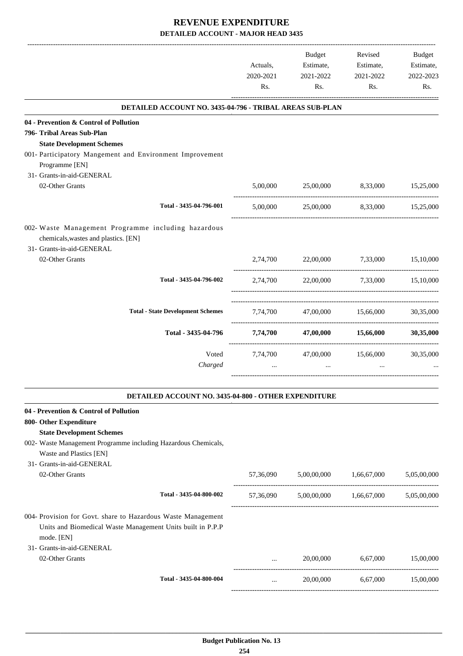|                                                                                                                                          | Actuals,<br>2020-2021<br>Rs. | Budget<br>Estimate,<br>2021-2022<br>Rs. | Revised<br>Estimate,<br>2021-2022<br>Rs. | Budget<br>Estimate,<br>2022-2023<br>Rs. |
|------------------------------------------------------------------------------------------------------------------------------------------|------------------------------|-----------------------------------------|------------------------------------------|-----------------------------------------|
| DETAILED ACCOUNT NO. 3435-04-796 - TRIBAL AREAS SUB-PLAN                                                                                 |                              |                                         |                                          |                                         |
| 04 - Prevention & Control of Pollution                                                                                                   |                              |                                         |                                          |                                         |
| 796- Tribal Areas Sub-Plan                                                                                                               |                              |                                         |                                          |                                         |
| <b>State Development Schemes</b>                                                                                                         |                              |                                         |                                          |                                         |
| 001- Participatory Mangement and Environment Improvement                                                                                 |                              |                                         |                                          |                                         |
| Programme [EN]                                                                                                                           |                              |                                         |                                          |                                         |
| 31- Grants-in-aid-GENERAL                                                                                                                |                              |                                         |                                          |                                         |
| 02-Other Grants                                                                                                                          | 5,00,000                     |                                         | 25,00,000 8,33,000                       | 15,25,000                               |
| Total - 3435-04-796-001                                                                                                                  | 5,00,000                     | 25,00,000 8,33,000 15,25,000            |                                          |                                         |
| 002- Waste Management Programme including hazardous<br>chemicals, wastes and plastics. [EN]<br>31- Grants-in-aid-GENERAL                 |                              |                                         |                                          |                                         |
| 02-Other Grants                                                                                                                          |                              | 2,74,700 22,00,000 7,33,000             |                                          | 15,10,000                               |
| Total - 3435-04-796-002                                                                                                                  |                              | 2,74,700 22,00,000 7,33,000 15,10,000   |                                          |                                         |
| <b>Total - State Development Schemes</b>                                                                                                 |                              | 7,74,700 47,00,000 15,66,000            |                                          | 30,35,000                               |
| Total - 3435-04-796                                                                                                                      |                              | 7,74,700 47,00,000 15,66,000            |                                          | 30,35,000                               |
| Voted                                                                                                                                    |                              | 7,74,700 47,00,000 15,66,000            |                                          | 30,35,000                               |
| Charged                                                                                                                                  |                              | $\cdots$                                |                                          |                                         |
| DETAILED ACCOUNT NO. 3435-04-800 - OTHER EXPENDITURE                                                                                     |                              |                                         |                                          |                                         |
| 04 - Prevention & Control of Pollution                                                                                                   |                              |                                         |                                          |                                         |
| 800- Other Expenditure                                                                                                                   |                              |                                         |                                          |                                         |
| <b>State Development Schemes</b>                                                                                                         |                              |                                         |                                          |                                         |
| 002- Waste Management Programme including Hazardous Chemicals,                                                                           |                              |                                         |                                          |                                         |
| Waste and Plastics [EN]                                                                                                                  |                              |                                         |                                          |                                         |
| 31- Grants-in-aid-GENERAL                                                                                                                |                              |                                         |                                          |                                         |
| 02-Other Grants                                                                                                                          |                              | 57,36,090 5,00,00,000                   | 1,66,67,000                              | 5,05,00,000                             |
|                                                                                                                                          |                              |                                         |                                          |                                         |
| Total - 3435-04-800-002                                                                                                                  | 57,36,090                    |                                         | 5,00,00,000 1,66,67,000                  | 5,05,00,000                             |
| 004- Provision for Govt. share to Hazardous Waste Management<br>Units and Biomedical Waste Management Units built in P.P.P<br>mode. [EN] |                              |                                         |                                          |                                         |
| 31- Grants-in-aid-GENERAL                                                                                                                |                              |                                         |                                          |                                         |
| 02-Other Grants                                                                                                                          | $\cdots$                     | 20,00,000                               | 6,67,000                                 | 15,00,000                               |
| Total - 3435-04-800-004                                                                                                                  | $\cdots$                     | 20,00,000                               | 6,67,000                                 | 15,00,000                               |
|                                                                                                                                          |                              |                                         |                                          |                                         |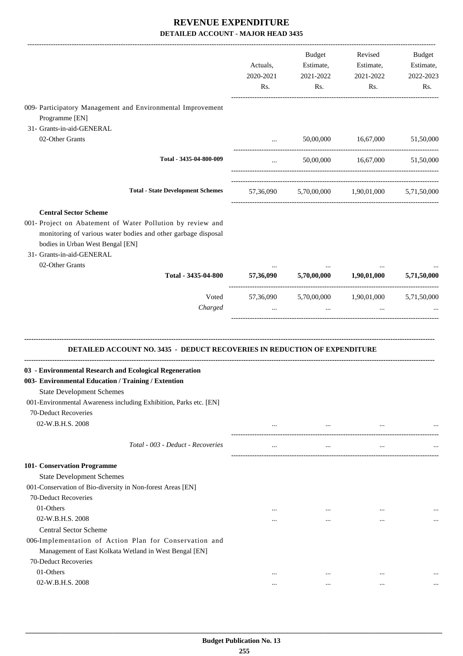|                                                                                                                                                                                                                                                                                                                                                  | Actuals,<br>2020-2021<br>Rs. | Budget<br>Estimate,<br>2021-2022<br>Rs. | Revised<br>Estimate,<br>2021-2022<br>Rs.                  | Budget<br>Estimate,<br>2022-2023<br>Rs. |
|--------------------------------------------------------------------------------------------------------------------------------------------------------------------------------------------------------------------------------------------------------------------------------------------------------------------------------------------------|------------------------------|-----------------------------------------|-----------------------------------------------------------|-----------------------------------------|
| 009- Participatory Management and Environmental Improvement                                                                                                                                                                                                                                                                                      |                              |                                         |                                                           |                                         |
| Programme [EN]                                                                                                                                                                                                                                                                                                                                   |                              |                                         |                                                           |                                         |
| 31- Grants-in-aid-GENERAL                                                                                                                                                                                                                                                                                                                        |                              |                                         |                                                           |                                         |
| 02-Other Grants                                                                                                                                                                                                                                                                                                                                  | $\cdots$                     |                                         | 50,00,000 16,67,000                                       | 51,50,000                               |
| Total - 3435-04-800-009                                                                                                                                                                                                                                                                                                                          | $\cdots$                     |                                         |                                                           |                                         |
| <b>Total - State Development Schemes</b>                                                                                                                                                                                                                                                                                                         |                              |                                         | 57,36,090 5,70,00,000 1,90,01,000 5,71,50,000             |                                         |
| <b>Central Sector Scheme</b>                                                                                                                                                                                                                                                                                                                     |                              |                                         |                                                           |                                         |
| 001- Project on Abatement of Water Pollution by review and<br>monitoring of various water bodies and other garbage disposal<br>bodies in Urban West Bengal [EN]<br>31- Grants-in-aid-GENERAL                                                                                                                                                     |                              |                                         |                                                           |                                         |
| 02-Other Grants<br>Total - 3435-04-800                                                                                                                                                                                                                                                                                                           | 57,36,090                    |                                         | $5,70,00,000$ $1,90,01,000$                               | 5,71,50,000                             |
|                                                                                                                                                                                                                                                                                                                                                  |                              |                                         |                                                           |                                         |
| Voted<br>Charged                                                                                                                                                                                                                                                                                                                                 | $\cdots$                     | $\cdots$                                | 57,36,090 5,70,00,000 1,90,01,000 5,71,50,000<br>$\cdots$ |                                         |
| DETAILED ACCOUNT NO. 3435 - DEDUCT RECOVERIES IN REDUCTION OF EXPENDITURE<br>03 - Environmental Research and Ecological Regeneration<br>003- Environmental Education / Training / Extention<br><b>State Development Schemes</b><br>001-Environmental Awareness including Exhibition, Parks etc. [EN]<br>70-Deduct Recoveries<br>02-W.B.H.S. 2008 | $\cdots$                     | $\cdots$                                | $\cdots$                                                  |                                         |
| Total - 003 - Deduct - Recoveries                                                                                                                                                                                                                                                                                                                | $\cdots$                     | $\cdots$                                | $\ddotsc$                                                 |                                         |
| 101- Conservation Programme<br><b>State Development Schemes</b><br>001-Conservation of Bio-diversity in Non-forest Areas [EN]<br>70-Deduct Recoveries<br>01-Others<br>02-W.B.H.S. 2008<br><b>Central Sector Scheme</b><br>006-Implementation of Action Plan for Conservation and<br>Management of East Kolkata Wetland in West Bengal [EN]       | $\cdots$<br>$\cdots$         | $\cdots$<br>$\cdots$                    | $\cdots$<br>$\cdots$                                      | $\cdots$                                |
| 70-Deduct Recoveries                                                                                                                                                                                                                                                                                                                             |                              |                                         |                                                           |                                         |
|                                                                                                                                                                                                                                                                                                                                                  |                              |                                         |                                                           |                                         |
| 01-Others<br>02-W.B.H.S. 2008                                                                                                                                                                                                                                                                                                                    |                              | $\ddotsc$                               | $\ddotsc$                                                 |                                         |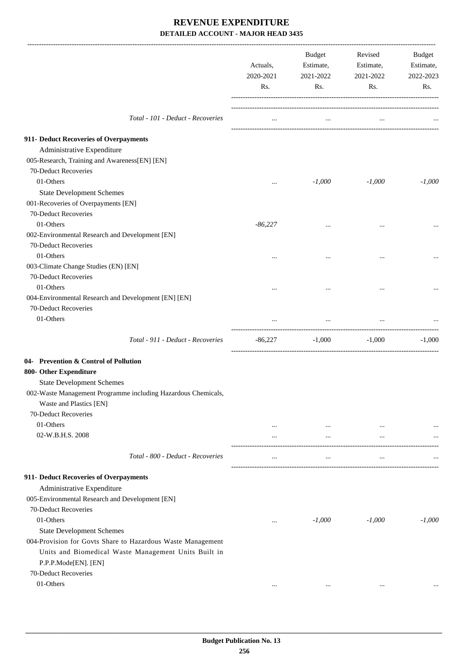|                                                               | Actuals,<br>2020-2021<br>Rs. | <b>Budget</b><br>Estimate,<br>2021-2022<br>Rs. | Revised<br>Estimate,<br>2021-2022<br>Rs. | Budget<br>Estimate,<br>2022-2023<br>Rs. |
|---------------------------------------------------------------|------------------------------|------------------------------------------------|------------------------------------------|-----------------------------------------|
| Total - 101 - Deduct - Recoveries                             | $\ddotsc$                    | $\cdots$                                       | $\cdots$                                 |                                         |
| 911- Deduct Recoveries of Overpayments                        |                              |                                                |                                          |                                         |
| Administrative Expenditure                                    |                              |                                                |                                          |                                         |
| 005-Research, Training and Awareness[EN] [EN]                 |                              |                                                |                                          |                                         |
| 70-Deduct Recoveries                                          |                              |                                                |                                          |                                         |
| 01-Others                                                     | $\cdots$                     | $-1,000$                                       | $-1,000$                                 | $-1,000$                                |
| <b>State Development Schemes</b>                              |                              |                                                |                                          |                                         |
| 001-Recoveries of Overpayments [EN]                           |                              |                                                |                                          |                                         |
| 70-Deduct Recoveries                                          |                              |                                                |                                          |                                         |
| 01-Others                                                     | $-86,227$                    |                                                |                                          |                                         |
| 002-Environmental Research and Development [EN]               |                              |                                                |                                          |                                         |
| 70-Deduct Recoveries                                          |                              |                                                |                                          |                                         |
| 01-Others                                                     |                              |                                                |                                          |                                         |
| 003-Climate Change Studies (EN) [EN]                          |                              |                                                |                                          |                                         |
| 70-Deduct Recoveries                                          |                              |                                                |                                          |                                         |
| 01-Others                                                     |                              | $\cdots$                                       |                                          |                                         |
| 004-Environmental Research and Development [EN] [EN]          |                              |                                                |                                          |                                         |
| 70-Deduct Recoveries                                          |                              |                                                |                                          |                                         |
| 01-Others                                                     |                              |                                                |                                          |                                         |
| Total - 911 - Deduct - Recoveries                             | -86,227                      | $-1,000$                                       | $-1,000$                                 | $-1,000$                                |
| 04- Prevention & Control of Pollution                         |                              |                                                |                                          |                                         |
| 800- Other Expenditure                                        |                              |                                                |                                          |                                         |
| <b>State Development Schemes</b>                              |                              |                                                |                                          |                                         |
| 002-Waste Management Programme including Hazardous Chemicals, |                              |                                                |                                          |                                         |
| Waste and Plastics [EN]                                       |                              |                                                |                                          |                                         |
| 70-Deduct Recoveries                                          |                              |                                                |                                          |                                         |
| 01-Others                                                     | $\cdots$                     | $\cdots$                                       | $\cdots$                                 |                                         |
| 02-W.B.H.S. 2008                                              | $\cdots$                     | $\cdots$                                       | $\cdots$                                 |                                         |
|                                                               |                              |                                                |                                          |                                         |
| Total - 800 - Deduct - Recoveries                             | $\cdots$                     | $\cdots$                                       | $\cdots$                                 |                                         |
| 911- Deduct Recoveries of Overpayments                        |                              |                                                |                                          |                                         |
| Administrative Expenditure                                    |                              |                                                |                                          |                                         |
| 005-Environmental Research and Development [EN]               |                              |                                                |                                          |                                         |
| 70-Deduct Recoveries                                          |                              |                                                |                                          |                                         |
| 01-Others                                                     | $\cdots$                     | $-1,000$                                       | $-1,000$                                 | $-1,000$                                |
| <b>State Development Schemes</b>                              |                              |                                                |                                          |                                         |
| 004-Provision for Govts Share to Hazardous Waste Management   |                              |                                                |                                          |                                         |
| Units and Biomedical Waste Management Units Built in          |                              |                                                |                                          |                                         |
| P.P.P.Mode[EN]. [EN]                                          |                              |                                                |                                          |                                         |
| 70-Deduct Recoveries                                          |                              |                                                |                                          |                                         |
| 01-Others                                                     | $\cdots$                     | $\cdots$                                       | $\cdots$                                 |                                         |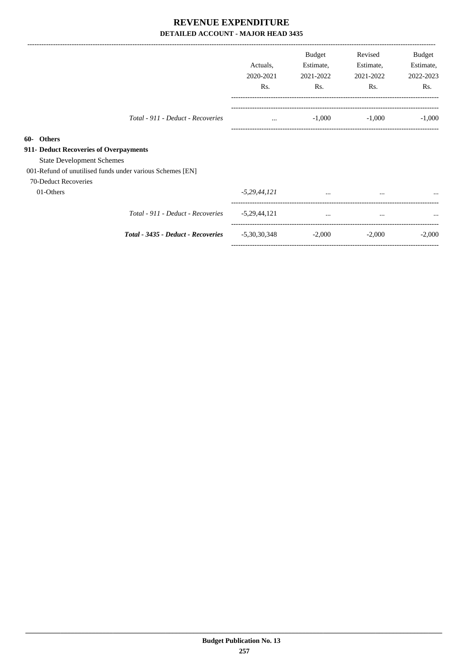|                                                                                          | Actuals,<br>2020-2021<br>Rs. | Budget<br>Estimate,<br>2021-2022<br>Rs. | Revised<br>Estimate,<br>2021-2022<br>Rs. | Budget<br>Estimate,<br>2022-2023<br>Rs. |
|------------------------------------------------------------------------------------------|------------------------------|-----------------------------------------|------------------------------------------|-----------------------------------------|
| Total - 911 - Deduct - Recoveries                                                        |                              | $-1,000$                                | $-1,000$                                 | $-1,000$                                |
| 60- Others<br>911- Deduct Recoveries of Overpayments<br><b>State Development Schemes</b> |                              |                                         |                                          |                                         |
| 001-Refund of unutilised funds under various Schemes [EN]                                |                              |                                         |                                          |                                         |
| 70-Deduct Recoveries<br>01-Others                                                        | $-5,29,44,121$               |                                         |                                          | $\cdots$                                |
| Total - 911 - Deduct - Recoveries                                                        | $-5,29,44,121$               | $\cdots$                                | $\cdots$                                 |                                         |
| Total - 3435 - Deduct - Recoveries                                                       | $-5,30,30,348$               | $-2,000$                                | $-2,000$                                 | $-2,000$                                |

-----------------------------------------------------------------------------------------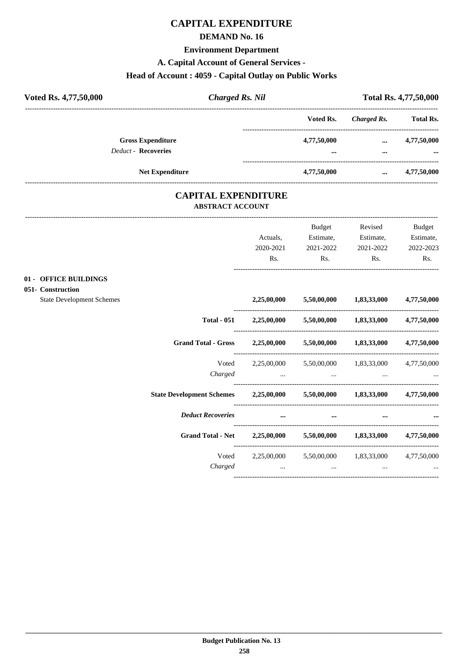# **CAPITAL EXPENDITURE**

### **DEMAND No. 16**

### **Environment Department**

**A. Capital Account of General Services -**

# **Head of Account : 4059 - Capital Outlay on Public Works**

| Voted Rs. 4,77,50,000      | <b>Charged Rs. Nil</b> |             |             | Total Rs. 4,77,50,000 |
|----------------------------|------------------------|-------------|-------------|-----------------------|
|                            |                        | Voted Rs.   | Charged Rs. | <b>Total Rs.</b>      |
| <b>Gross Expenditure</b>   |                        | 4,77,50,000 | $\cdots$    | 4,77,50,000           |
| <b>Deduct - Recoveries</b> |                        |             |             |                       |
|                            | <b>Net Expenditure</b> | 4,77,50,000 | $\cdots$    | 4,77,50,000           |
|                            |                        |             |             |                       |

### **CAPITAL EXPENDITURE ABSTRACT ACCOUNT**

|                                                                                |                                                                           | Actuals,<br>2020-2021<br>Rs. | <b>Budget</b><br>Estimate,<br>2021-2022<br>Rs. | Revised<br>Estimate,<br>2021-2022<br>Rs.        | <b>Budget</b><br>Estimate,<br>2022-2023<br>Rs. |
|--------------------------------------------------------------------------------|---------------------------------------------------------------------------|------------------------------|------------------------------------------------|-------------------------------------------------|------------------------------------------------|
| 01 - OFFICE BUILDINGS<br>051- Construction<br><b>State Development Schemes</b> |                                                                           | 2,25,00,000                  |                                                | 5,50,00,000 1,83,33,000                         | 4,77,50,000                                    |
|                                                                                | <b>Total - 051</b>                                                        |                              |                                                | 2,25,00,000 5,50,00,000 1,83,33,000 4,77,50,000 |                                                |
|                                                                                | <b>Grand Total - Gross</b>                                                |                              |                                                | 2,25,00,000 5,50,00,000 1,83,33,000 4,77,50,000 |                                                |
|                                                                                | Voted<br>Charged                                                          |                              | and the state of the state of the state of the | 2,25,00,000 5,50,00,000 1,83,33,000 4,77,50,000 | $\cdots$ . The contract of $\cdots$            |
|                                                                                | State Development Schemes 2,25,00,000 5,50,00,000 1,83,33,000 4,77,50,000 |                              |                                                |                                                 |                                                |
|                                                                                | <b>Deduct Recoveries</b>                                                  | $\cdots$                     | $\cdots$                                       | $\cdots$                                        |                                                |
|                                                                                | <b>Grand Total - Net</b>                                                  |                              |                                                | 2,25,00,000 5,50,00,000 1,83,33,000 4,77,50,000 |                                                |
|                                                                                | Voted<br>Charged                                                          | $\cdots$                     | $\cdots$                                       | 2,25,00,000 5,50,00,000 1,83,33,000<br>$\cdots$ | 4,77,50,000                                    |
|                                                                                |                                                                           |                              |                                                |                                                 |                                                |